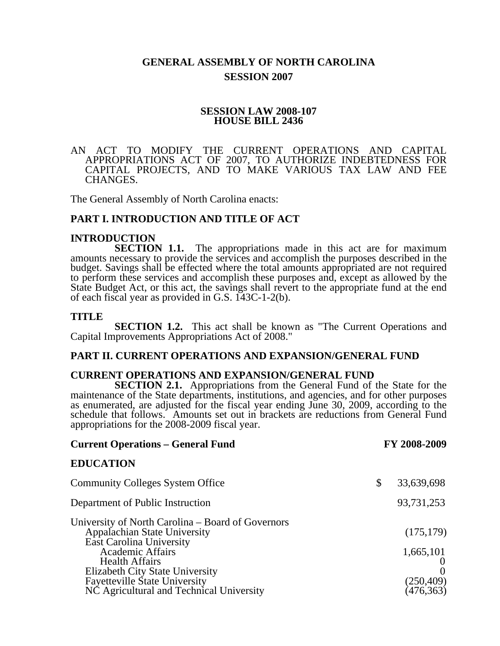# **GENERAL ASSEMBLY OF NORTH CAROLINA SESSION 2007**

#### **SESSION LAW 2008-107 HOUSE BILL 2436**

#### AN ACT TO MODIFY THE CURRENT OPERATIONS AND CAPITAL APPROPRIATIONS ACT OF 2007, TO AUTHORIZE INDEBTEDNESS FOR CAPITAL PROJECTS, AND TO MAKE VARIOUS TAX LAW AND FEE CHANGES.

The General Assembly of North Carolina enacts:

#### **PART I. INTRODUCTION AND TITLE OF ACT**

#### **INTRODUCTION**

**SECTION 1.1.** The appropriations made in this act are for maximum amounts necessary to provide the services and accomplish the purposes described in the budget. Savings shall be effected where the total amounts appropriated are not required to perform these services and accomplish these purposes and, except as allowed by the State Budget Act, or this act, the savings shall revert to the appropriate fund at the end of each fiscal year as provided in G.S. 143C-1-2(b).

#### **TITLE**

**SECTION 1.2.** This act shall be known as "The Current Operations and Capital Improvements Appropriations Act of 2008."

# **PART II. CURRENT OPERATIONS AND EXPANSION/GENERAL FUND**

#### **CURRENT OPERATIONS AND EXPANSION/GENERAL FUND**

**SECTION 2.1.** Appropriations from the General Fund of the State for the maintenance of the State departments, institutions, and agencies, and for other purposes as enumerated, are adjusted for the fiscal year ending June 30, 2009, according to the schedule that follows. Amounts set out in brackets are reductions from General Fund appropriations for the 2008-2009 fiscal year.

| <b>Current Operations – General Fund</b>                                                                                                                                                                                                                                                               | FY 2008-2009                                        |
|--------------------------------------------------------------------------------------------------------------------------------------------------------------------------------------------------------------------------------------------------------------------------------------------------------|-----------------------------------------------------|
| <b>EDUCATION</b>                                                                                                                                                                                                                                                                                       |                                                     |
| <b>Community Colleges System Office</b>                                                                                                                                                                                                                                                                | \$<br>33,639,698                                    |
| Department of Public Instruction                                                                                                                                                                                                                                                                       | 93,731,253                                          |
| University of North Carolina – Board of Governors<br><b>Appalachian State University</b><br>East Carolina University<br><b>Academic Affairs</b><br><b>Health Affairs</b><br><b>Elizabeth City State University</b><br><b>Fayetteville State University</b><br>NC Agricultural and Technical University | (175, 179)<br>1,665,101<br>(250, 409)<br>(476, 363) |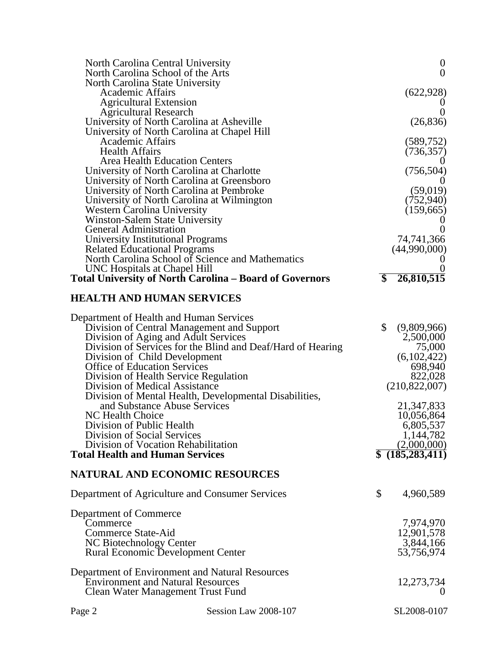|                                                     | North Carolina Central University<br>North Carolina School of the Arts                              | $\boldsymbol{0}$<br>$\overline{0}$   |
|-----------------------------------------------------|-----------------------------------------------------------------------------------------------------|--------------------------------------|
| North Carolina State University<br>Academic Affairs |                                                                                                     | (622, 928)                           |
| <b>Agricultural Extension</b>                       |                                                                                                     |                                      |
| <b>Agricultural Research</b>                        | University of North Carolina at Asheville                                                           | $\overline{0}$<br>(26, 836)          |
|                                                     | University of North Carolina at Chapel Hill                                                         |                                      |
| <b>Academic Affairs</b>                             |                                                                                                     | (589, 752)                           |
| <b>Health Affairs</b>                               | <b>Area Health Education Centers</b>                                                                | (736, 357)                           |
|                                                     | University of North Carolina at Charlotte                                                           | (756, 504)                           |
|                                                     | University of North Carolina at Greensboro                                                          |                                      |
|                                                     | University of North Carolina at Pembroke<br>University of North Carolina at Wilmington              | (59,019)<br>(752, 940)               |
| Western Carolina University                         |                                                                                                     | (159,665)                            |
|                                                     | <b>Winston-Salem State University</b>                                                               |                                      |
| <b>General Administration</b>                       | University Institutional Programs                                                                   | 74,741,366                           |
| <b>Related Educational Programs</b>                 |                                                                                                     | (44,990,000)                         |
|                                                     | North Carolina School of Science and Mathematics                                                    |                                      |
| UNC Hospitals at Chapel Hill                        |                                                                                                     | $\overline{\$}$                      |
|                                                     | <b>Total University of North Carolina – Board of Governors</b>                                      | 26,810,515                           |
|                                                     | <b>HEALTH AND HUMAN SERVICES</b>                                                                    |                                      |
|                                                     | Department of Health and Human Services                                                             |                                      |
|                                                     | Division of Central Management and Support                                                          | \$<br>(9,809,966)                    |
|                                                     | Division of Aging and Adult Services<br>Division of Services for the Blind and Deaf/Hard of Hearing | 2,500,000<br>75,000                  |
|                                                     | Division of Child Development                                                                       | (6,102,422)                          |
| <b>Office of Education Services</b>                 |                                                                                                     | 698,940                              |
|                                                     | Division of Health Service Regulation                                                               | 822,028                              |
| Division of Medical Assistance                      | Division of Mental Health, Developmental Disabilities,                                              | (210,822,007)                        |
|                                                     | and Substance Abuse Services                                                                        | 21,347,833                           |
| NC Health Choice                                    |                                                                                                     | 10,056,864                           |
| Division of Public Health                           |                                                                                                     | 6,805,537                            |
| Division of Social Services                         | Division of Vocation Rehabilitation                                                                 | 1,144,782                            |
| <b>Total Health and Human Services</b>              |                                                                                                     | $\frac{(2,000,000)}{$(185,283,411)}$ |
|                                                     | <b>NATURAL AND ECONOMIC RESOURCES</b>                                                               |                                      |
|                                                     | Department of Agriculture and Consumer Services                                                     | \$<br>4,960,589                      |
|                                                     |                                                                                                     |                                      |
| Department of Commerce<br>Commerce                  |                                                                                                     | 7,974,970                            |
| <b>Commerce State-Aid</b>                           |                                                                                                     | 12,901,578                           |
| NC Biotechnology Center                             |                                                                                                     | 3,844,166                            |
|                                                     | <b>Rural Economic Development Center</b>                                                            | 53,756,974                           |
|                                                     | Department of Environment and Natural Resources                                                     |                                      |
|                                                     | <b>Environment and Natural Resources</b>                                                            | 12,273,734                           |
|                                                     | Clean Water Management Trust Fund                                                                   | 0                                    |
| Page 2                                              | Session Law 2008-107                                                                                | SL2008-0107                          |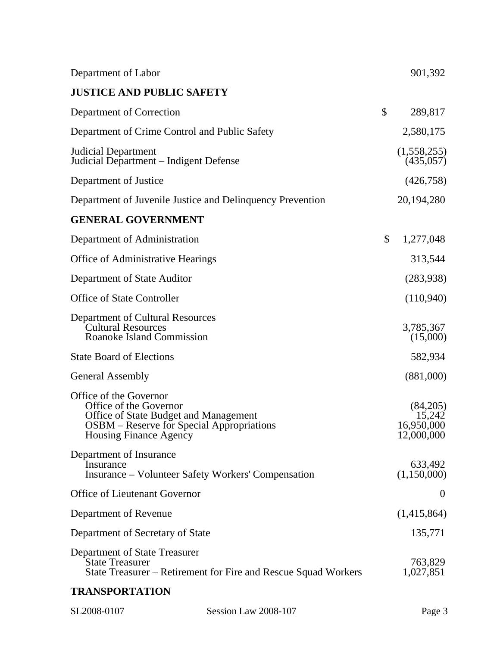| Department of Labor                                                                                                                                                     |                                                                | 901,392                                        |
|-------------------------------------------------------------------------------------------------------------------------------------------------------------------------|----------------------------------------------------------------|------------------------------------------------|
| <b>JUSTICE AND PUBLIC SAFETY</b>                                                                                                                                        |                                                                |                                                |
| Department of Correction                                                                                                                                                |                                                                | \$<br>289,817                                  |
| Department of Crime Control and Public Safety                                                                                                                           |                                                                | 2,580,175                                      |
| Judicial Department<br>Judicial Department – Indigent Defense                                                                                                           |                                                                | (1,558,255)<br>(435,057)                       |
| Department of Justice                                                                                                                                                   |                                                                | (426, 758)                                     |
| Department of Juvenile Justice and Delinquency Prevention                                                                                                               |                                                                | 20, 194, 280                                   |
| <b>GENERAL GOVERNMENT</b>                                                                                                                                               |                                                                |                                                |
| Department of Administration                                                                                                                                            |                                                                | \$<br>1,277,048                                |
| <b>Office of Administrative Hearings</b>                                                                                                                                |                                                                | 313,544                                        |
| Department of State Auditor                                                                                                                                             |                                                                | (283,938)                                      |
| <b>Office of State Controller</b>                                                                                                                                       |                                                                | (110,940)                                      |
| <b>Department of Cultural Resources</b><br><b>Cultural Resources</b><br>Roanoke Island Commission                                                                       |                                                                | 3,785,367<br>(15,000)                          |
| <b>State Board of Elections</b>                                                                                                                                         |                                                                | 582,934                                        |
| <b>General Assembly</b>                                                                                                                                                 |                                                                | (881,000)                                      |
| Office of the Governor<br>Office of the Governor<br>Office of State Budget and Management<br>OSBM – Reserve for Special Appropriations<br><b>Housing Finance Agency</b> |                                                                | (84,205)<br>15,242<br>16,950,000<br>12,000,000 |
| Department of Insurance<br>Insurance<br><b>Insurance – Volunteer Safety Workers' Compensation</b>                                                                       |                                                                | 633,492<br>(1,150,000)                         |
| <b>Office of Lieutenant Governor</b>                                                                                                                                    |                                                                | $\overline{0}$                                 |
| Department of Revenue                                                                                                                                                   |                                                                | (1,415,864)                                    |
| Department of Secretary of State                                                                                                                                        |                                                                | 135,771                                        |
| Department of State Treasurer<br><b>State Treasurer</b>                                                                                                                 | State Treasurer – Retirement for Fire and Rescue Squad Workers | 763,829<br>1,027,851                           |
| <b>TRANSPORTATION</b>                                                                                                                                                   |                                                                |                                                |
| SL2008-0107                                                                                                                                                             | Session Law 2008-107                                           | Page 3                                         |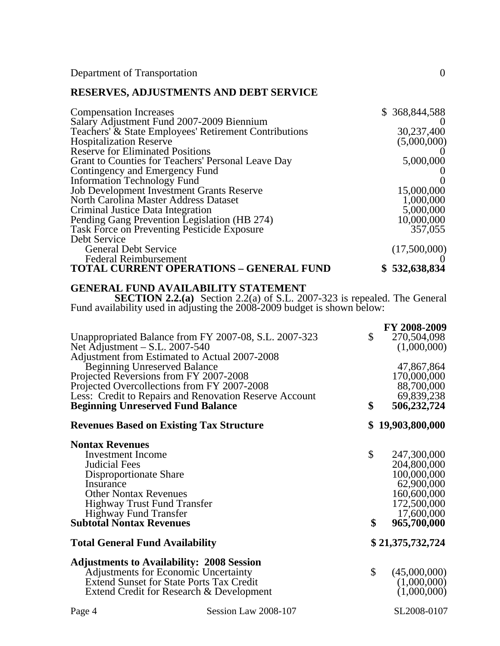Department of Transportation 0

# **RESERVES, ADJUSTMENTS AND DEBT SERVICE**

| <b>Compensation Increases</b>                         | \$368,844,588 |
|-------------------------------------------------------|---------------|
| Salary Adjustment Fund 2007-2009 Biennium             |               |
| Teachers' & State Employees' Retirement Contributions | 30,237,400    |
| <b>Hospitalization Reserve</b>                        | (5,000,000)   |
| <b>Reserve for Eliminated Positions</b>               |               |
| Grant to Counties for Teachers' Personal Leave Day    | 5,000,000     |
| Contingency and Emergency Fund                        |               |
| <b>Information Technology Fund</b>                    |               |
| <b>Job Development Investment Grants Reserve</b>      | 15,000,000    |
| North Carolina Master Address Dataset                 | 1,000,000     |
| Criminal Justice Data Integration                     | 5,000,000     |
| Pending Gang Prevention Legislation (HB 274)          | 10,000,000    |
| <b>Task Force on Preventing Pesticide Exposure</b>    | 357,055       |
| Debt Service                                          |               |
| <b>General Debt Service</b>                           | (17,500,000)  |
| <b>Federal Reimbursement</b>                          |               |
| TOTAL CURRENT OPERATIONS - GENERAL FUND               | \$532,638,834 |

#### **GENERAL FUND AVAILABILITY STATEMENT**

**SECTION 2.2.(a)** Section 2.2(a) of S.L. 2007-323 is repealed. The General Fund availability used in adjusting the 2008-2009 budget is shown below:

|                                                                                                       | FY 2008-2009             |
|-------------------------------------------------------------------------------------------------------|--------------------------|
| Unappropriated Balance from FY 2007-08, S.L. 2007-323                                                 | \$<br>270,504,098        |
| Net $\overline{A}$ djustment – S.L. 2007-540                                                          | (1,000,000)              |
| Adjustment from Estimated to Actual 2007-2008                                                         |                          |
| Beginning Unreserved Balance                                                                          | 47,867,864               |
| Projected Reversions from FY 2007-2008                                                                | 170,000,000              |
| Projected Overcollections from FY 2007-2008<br>Less: Credit to Repairs and Renovation Reserve Account | 88,700,000<br>69,839,238 |
| <b>Beginning Unreserved Fund Balance</b>                                                              | \$<br>506,232,724        |
|                                                                                                       |                          |
| <b>Revenues Based on Existing Tax Structure</b>                                                       | \$19,903,800,000         |
| <b>Nontax Revenues</b>                                                                                |                          |
| <b>Investment</b> Income                                                                              | \$<br>247,300,000        |
| <b>Judicial Fees</b>                                                                                  | 204,800,000              |
| Disproportionate Share                                                                                | 100,000,000              |
| Insurance                                                                                             | 62,900,000               |
| <b>Other Nontax Revenues</b>                                                                          | 160,600,000              |
| <b>Highway Trust Fund Transfer</b>                                                                    | 172,500,000              |
| <b>Highway Fund Transfer</b>                                                                          | 17,600,000               |
| <b>Subtotal Nontax Revenues</b>                                                                       | \$<br>965,700,000        |
| <b>Total General Fund Availability</b>                                                                | \$21,375,732,724         |
| <b>Adjustments to Availability: 2008 Session</b>                                                      |                          |
| <b>Adjustments for Economic Uncertainty</b>                                                           | \$<br>(45,000,000)       |
| <b>Extend Sunset for State Ports Tax Credit</b>                                                       | (1,000,000)              |
| Extend Credit for Research & Development                                                              | (1,000,000)              |
|                                                                                                       |                          |

Page 4 Session Law 2008-107 SL2008-0107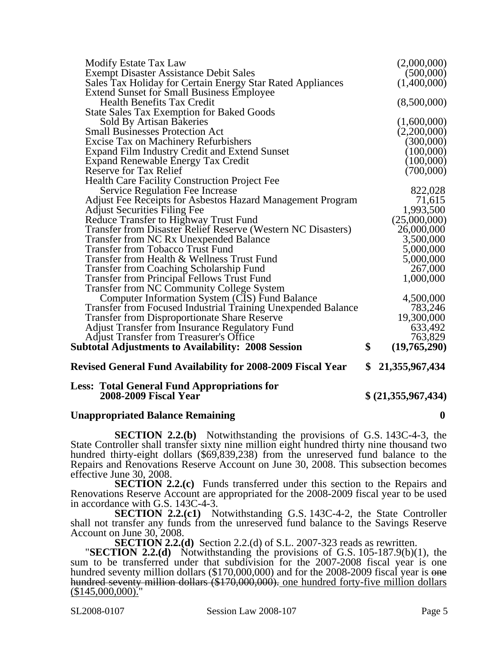| <b>Less: Total General Fund Appropriations for</b><br><b>2008-2009 Fiscal Year</b>                    | \$ (21,355,967,434)     |
|-------------------------------------------------------------------------------------------------------|-------------------------|
| Revised General Fund Availability for 2008-2009 Fiscal Year                                           | \$<br>21, 355, 967, 434 |
| Subtotal Adjustments to Availability: 2008 Session                                                    | \$<br>(19,765,290)      |
| <b>Adjust Transfer from Treasurer's Office</b>                                                        | 763,829                 |
| <b>Adjust Transfer from Insurance Regulatory Fund</b>                                                 | 633,492                 |
| <b>Transfer from Disproportionate Share Reserve</b>                                                   | 19,300,000              |
| <b>Transfer from Focused Industrial Training Unexpended Balance</b>                                   | 783,246                 |
| Computer Information System (CIS) Fund Balance                                                        | 4,500,000               |
| <b>Transfer from Principal Fellows Trust Fund</b><br><b>Transfer from NC Community College System</b> |                         |
| <b>Transfer from Coaching Scholarship Fund</b>                                                        | 1,000,000               |
| Transfer from Health & Wellness Trust Fund                                                            | 5,000,000<br>267,000    |
| <b>Transfer from Tobacco Trust Fund</b>                                                               | 5,000,000               |
| Transfer from NC Rx Unexpended Balance                                                                | 3,500,000               |
| Transfer from Disaster Relief Reserve (Western NC Disasters)                                          | 26,000,000              |
| Reduce Transfer to Highway Trust Fund                                                                 | (25,000,000)            |
| <b>Adjust Securities Filing Fee</b>                                                                   | 1,993,500               |
| <b>Adjust Fee Receipts for Asbestos Hazard Management Program</b>                                     | 71,615                  |
| <b>Service Regulation Fee Increase</b>                                                                | 822,028                 |
| Health Care Facility Construction Project Fee                                                         |                         |
| Reserve for Tax Relief                                                                                | (700,000)               |
| Expand Renewable Energy Tax Credit                                                                    | (100,000)               |
| <b>Expand Film Industry Credit and Extend Sunset</b>                                                  | (100,000)               |
| <b>Excise Tax on Machinery Refurbishers</b>                                                           | (300,000)               |
| <b>Small Businesses Protection Act</b>                                                                | (2,200,000)             |
| <b>Sold By Artisan Bakeries</b>                                                                       | (1,600,000)             |
| <b>State Sales Tax Exemption for Baked Goods</b>                                                      |                         |
| <b>Health Benefits Tax Credit</b>                                                                     | (8,500,000)             |
| <b>Extend Sunset for Small Business Employee</b>                                                      |                         |
| Sales Tax Holiday for Certain Energy Star Rated Appliances                                            | (1,400,000)             |
| <b>Exempt Disaster Assistance Debit Sales</b>                                                         | (500,000)               |
| <b>Modify Estate Tax Law</b>                                                                          | (2,000,000)             |

# **Unappropriated Balance Remaining 0**

**SECTION 2.2.(b)** Notwithstanding the provisions of G.S. 143C-4-3, the State Controller shall transfer sixty nine million eight hundred thirty nine thousand two hundred thirty-eight dollars (\$69,839,238) from the unreserved fund balance to the Repairs and Renovations Reserve Account on June 30, 2008. This subsection becomes effective June 30, 2008.

**SECTION 2.2.(c)** Funds transferred under this section to the Repairs and Renovations Reserve Account are appropriated for the 2008-2009 fiscal year to be used in accordance with G.S. 143C-4-3.

**SECTION 2.2.(c1)** Notwithstanding G.S. 143C-4-2, the State Controller shall not transfer any funds from the unreserved fund balance to the Savings Reserve Account on June 30, 2008.<br>SECTION 2.2.(d) Section 2.2.(d) of S.L. 2007-323 reads as rewritten.

**SECTION 2.2.(d)** Notwithstanding the provisions of G.S.  $105-187.9(b)(1)$ , the sum to be transferred under that subdivision for the 2007-2008 fiscal year is one hundred seventy million dollars (\$170,000,000) and for the 2008-2009 fiscal year is <del>one hundred seventy million dollars (\$170,000,000).</del> one hundred forty-five million dollars (\$145,000,000)."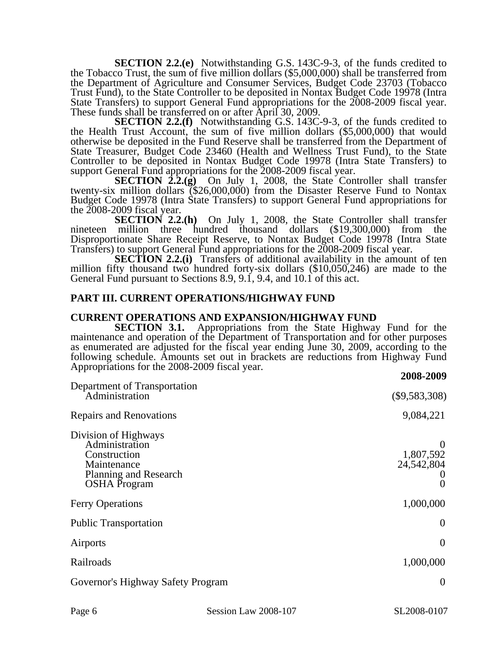**SECTION 2.2.(e)** Notwithstanding G.S. 143C-9-3, of the funds credited to the Tobacco Trust, the sum of five million dollars (\$5,000,000) shall be transferred from the Department of Agriculture and Consumer Services, Budget Code 23703 (Tobacco Trust Fund), to the State Controller to be deposited in Nontax Budget Code 19978 (Intra State Transfers) to support General Fund appropriations for the 2008-2009 fiscal year. These funds shall be transferred on or after April 30, 2009.

**SECTION 2.2.(f)** Notwithstanding G.S. 143C-9-3, of the funds credited to the Health Trust Account, the sum of five million dollars (\$5,000,000) that would otherwise be deposited in the Fund Reserve shall be transferred from the Department of State Treasurer, Budget Code 23460 (Health and Wellness Trust Fund), to the State Controller to be deposited in Nontax Budget Code 19978 (Intra State Transfers) to support General Fund appropriations for the 2008-2009 fiscal year.

**SECTION 2.2.(g)** On July 1, 2008, the State Controller shall transfer twenty-six million dollars (\$26,000,000) from the Disaster Reserve Fund to Nontax twenty-six million dollars (\$26,000,000) from the Disaster Reserve Fund to Nontax Budget Code 19978 (Intra State Transfers) to support General Fund appropriations for the 2008-2009 fiscal year.

**SECTION 2.2.(h)** On July 1, 2008, the State Controller shall transfer nineteen million three hundred thousand dollars (\$19,300,000) from the Disproportionate Share Receipt Reserve, to Nontax Budget Code 19978 (Intra State Transfers) to support General Fund appropriations for the 2008-2009 fiscal year.

**SECTION 2.2.(i)** Transfers of additional availability in the amount of ten million fifty thousand two hundred forty-six dollars (\$10,050,246) are made to the General Fund pursuant to Sections 8.9, 9.1, 9.4, and 10.1 of this act.

#### **PART III. CURRENT OPERATIONS/HIGHWAY FUND**

#### **CURRENT OPERATIONS AND EXPANSION/HIGHWAY FUND**

**SECTION 3.1.** Appropriations from the State Highway Fund for the maintenance and operation of the Department of Transportation and for other purposes as enumerated are adjusted for the fiscal year ending June 30, 2009, according to the following schedule. Amounts set out in brackets are reductions from Highway Fund Appropriations for the 2008-2009 fiscal year.

| 2008-2009                           |
|-------------------------------------|
| $(\$9,583,308)$                     |
| 9,084,221                           |
| 1,807,592<br>24,542,804<br>$\theta$ |
| 1,000,000                           |
| $\theta$                            |
| $\theta$                            |
| 1,000,000                           |
| $\overline{0}$                      |
|                                     |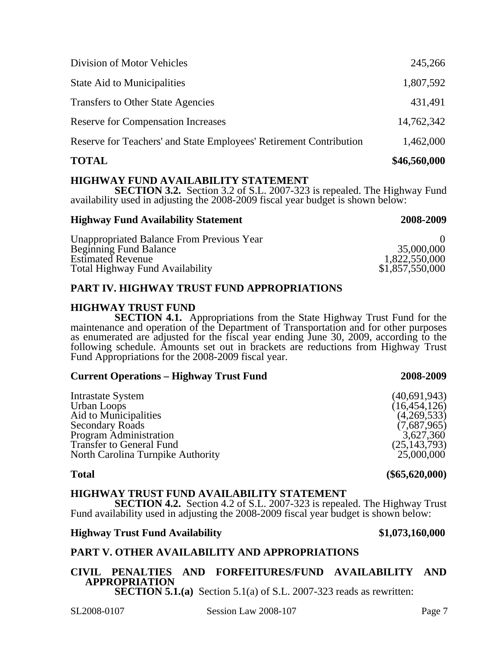| <b>TOTAL</b>                                                       | \$46,560,000 |
|--------------------------------------------------------------------|--------------|
| Reserve for Teachers' and State Employees' Retirement Contribution | 1,462,000    |
| <b>Reserve for Compensation Increases</b>                          | 14,762,342   |
| <b>Transfers to Other State Agencies</b>                           | 431,491      |
| <b>State Aid to Municipalities</b>                                 | 1,807,592    |
| Division of Motor Vehicles                                         | 245,266      |

### **HIGHWAY FUND AVAILABILITY STATEMENT**

**SECTION 3.2.** Section 3.2 of S.L. 2007-323 is repealed. The Highway Fund availability used in adjusting the 2008-2009 fiscal year budget is shown below:

#### **Highway Fund Availability Statement 2008-2009**

#### Unappropriated Balance From Previous Year 0<br>Beginning Fund Balance 0<br>35.000.000 Beginning Fund Balance 35,000,000<br>Estimated Revenue 1,822,550,000 Estimated Revenue 1,822,550,000<br>
Total Highway Fund Availability \$1,857,550,000 Total Highway Fund Availability

# **PART IV. HIGHWAY TRUST FUND APPROPRIATIONS**

# **HIGHWAY TRUST FUND**

**SECTION 4.1.** Appropriations from the State Highway Trust Fund for the maintenance and operation of the Department of Transportation and for other purposes as enumerated are adjusted for the fiscal year ending June 30, 2009, according to the following schedule. Amounts set out in brackets are reductions from Highway Trust Fund Appropriations for the 2008-2009 fiscal year.

# **Current Operations – Highway Trust Fund 2008-2009**

| Intrastate System                 | (40,691,943)   |
|-----------------------------------|----------------|
| Urban Loops                       | (16, 454, 126) |
| Aid to Municipalities             | (4,269,533)    |
| <b>Secondary Roads</b>            | (7,687,965)    |
| <b>Program Administration</b>     | 3,627,360      |
| <b>Transfer to General Fund</b>   | (25, 143, 793) |
| North Carolina Turnpike Authority | 25,000,000     |
|                                   |                |

### **HIGHWAY TRUST FUND AVAILABILITY STATEMENT**

**SECTION 4.2.** Section 4.2 of S.L. 2007-323 is repealed. The Highway Trust Fund availability used in adjusting the 2008-2009 fiscal year budget is shown below:

### **Highway Trust Fund Availability \$1,073,160,000**

# **PART V. OTHER AVAILABILITY AND APPROPRIATIONS**

# **CIVIL PENALTIES AND FORFEITURES/FUND AVAILABILITY AND APPROPRIATION**

**SECTION 5.1.(a)** Section 5.1(a) of S.L. 2007-323 reads as rewritten:

**Total (\$65,620,000)**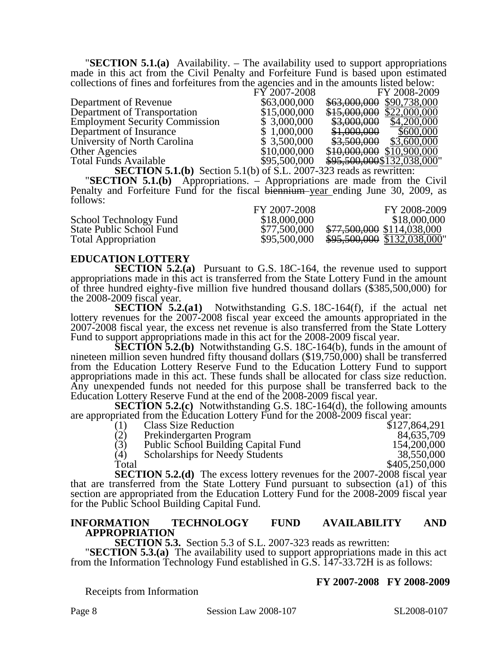"**SECTION 5.1.(a)** Availability. – The availability used to support appropriations made in this act from the Civil Penalty and Forfeiture Fund is based upon estimated collections of fines and forfeitures from the agencies and in the amounts listed below:

|                                       | FY 2007-2008 | FY 2008-2009                 |
|---------------------------------------|--------------|------------------------------|
| Department of Revenue                 | \$63,000,000 | \$63,000,000 \$90,738,000    |
| Department of Transportation          | \$15,000,000 | $$15,000,000$ \$22,000,000   |
| <b>Employment Security Commission</b> | \$3,000,000  | \$3,000,000<br>\$4,200,000   |
| Department of Insurance               | \$1,000,000  | \$1,000,000<br>\$600,000     |
| University of North Carolina          | \$3,500,000  | \$3,500,000<br>\$3,600,000   |
| <b>Other Agencies</b>                 | \$10,000,000 | \$10,000,000<br>\$10,900,000 |
| <b>Total Funds Available</b>          | \$95,500,000 | \$95,500,000\$132,038,000"   |

**SECTION 5.1.(b)** Section 5.1(b) of S.L. 2007-323 reads as rewritten: "**SECTION 5.1.(b)** Appropriations. – Appropriations are made from the Civil Penalty and Forfeiture Fund for the fiscal biennium year ending June 30, 2009, as follows:

|                            | FY 2007-2008 | FY 2008-2009                |
|----------------------------|--------------|-----------------------------|
| School Technology Fund     | \$18,000,000 | \$18,000,000                |
| State Public School Fund   | \$77,500,000 | \$77,500,000 \$114,038,000  |
| <b>Total Appropriation</b> | \$95,500,000 | \$95,500,000 \$132,038,000" |

#### **EDUCATION LOTTERY**

**SECTION 5.2.(a)** Pursuant to G.S. 18C-164, the revenue used to support appropriations made in this act is transferred from the State Lottery Fund in the amount of three hundred eighty-five million five hundred thousand dollars (\$385,500,000) for the 2008-2009 fiscal year.

**SECTION 5.2.(a1)** Notwithstanding G.S. 18C-164(f), if the actual net lottery revenues for the 2007-2008 fiscal year exceed the amounts appropriated in the 2007-2008 fiscal year, the excess net revenue is also transferred from the State Lottery Fund to support appropriations made in this act for the 2008-2009 fiscal year.

**SECTION 5.2.(b)** Notwithstanding G.S. 18C-164(b), funds in the amount of nineteen million seven hundred fifty thousand dollars (\$19,750,000) shall be transferred from the Education Lottery Reserve Fund to the Education Lottery Fund to support appropriations made in this act. These funds shall be allocated for class size reduction. Any unexpended funds not needed for this purpose shall be transferred back to the Education Lottery Reserve Fund at the end of the 2008-2009 fiscal year.

**SECTION 5.2.(c)** Notwithstanding G.S. 18C-164(d), the following amounts are appropriated from the Education Lottery Fund for the 2008-2009 fiscal year:

| (1)   | <b>Class Size Reduction</b>                                                      | \$127,864,291 |
|-------|----------------------------------------------------------------------------------|---------------|
| (2)   | Prekindergarten Program                                                          | 84,635,709    |
| (3)   | Public School Building Capital Fund                                              | 154,200,000   |
| (4)   | <b>Scholarships for Needy Students</b>                                           | 38,550,000    |
| Total |                                                                                  | \$405,250,000 |
|       | <b>SECTION 5.2.(d)</b> The excess lottery revenues for the 2007-2008 fiscal year |               |

that are transferred from the State Lottery Fund pursuant to subsection (a1) of this section are appropriated from the Education Lottery Fund for the 2008-2009 fiscal year for the Public School Building Capital Fund.

# **INFORMATION TECHNOLOGY FUND AVAILABILITY AND APPROPRIATION**<br>**SECTION 5.3.** Section 5.3 of S.L. 2007-323 reads as rewritten:

**SECTION 5.3.(a)** The availability used to support appropriations made in this act from the Information Technology Fund established in G.S. 147-33.72H is as follows:

Receipts from Information

#### **FY 2007-2008 FY 2008-2009**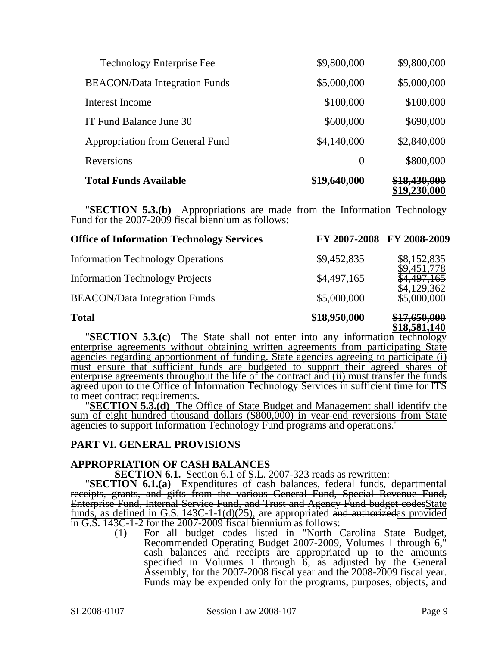| <b>Total Funds Available</b>         | \$19,640,000   |             |
|--------------------------------------|----------------|-------------|
| Reversions                           | $\overline{0}$ | \$800,000   |
| Appropriation from General Fund      | \$4,140,000    | \$2,840,000 |
| IT Fund Balance June 30              | \$600,000      | \$690,000   |
| Interest Income                      | \$100,000      | \$100,000   |
| <b>BEACON/Data Integration Funds</b> | \$5,000,000    | \$5,000,000 |
| <b>Technology Enterprise Fee</b>     | \$9,800,000    | \$9,800,000 |

"**SECTION 5.3.(b)** Appropriations are made from the Information Technology Fund for the 2007-2009 fiscal biennium as follows:

| <b>Office of Information Technology Services</b>                |              | FY 2007-2008 FY 2008-2009  |
|-----------------------------------------------------------------|--------------|----------------------------|
| <b>Information Technology Operations</b>                        | \$9,452,835  | \$8,152,835<br>9,451,778   |
| <b>Information Technology Projects</b>                          | \$4,497,165  |                            |
| <b>BEACON/Data Integration Funds</b>                            | \$5,000,000  | \$4,129,362<br>\$5,000,000 |
| <b>Total</b>                                                    | \$18,950,000 | <del>\$17,650,000</del>    |
| "SECTION 5.3.(c) The State shall not enter into any information |              | \$18,581,140<br>technology |

enterprise agreements without obtaining written agreements from participating State agencies regarding apportionment of funding. State agencies agreeing to participate (i) must ensure that sufficient funds are budgeted to support their agreed shares of enterprise agreements throughout the life of the contract and (ii) must transfer the funds agreed upon to the Office of Information Technology Services in sufficient time for ITS

to meet contract requirements. "**SECTION 5.3.(d)** The Office of State Budget and Management shall identify the sum of eight hundred thousand dollars (\$800,000) in year-end reversions from State agencies to support Information Technology Fund programs and operations."

### **PART VI. GENERAL PROVISIONS**

**APPROPRIATION OF CASH BALANCES**<br>**SECTION 6.1.** Section 6.1 of S.L. 2007-323 reads as rewritten:

**SECTION 6.1. (a)** Expenditures of cash balances, federal funds, departmental receipts, grants, and gifts from the various General Fund, Special Revenue Fund, Enterprise Fund, Internal Service Fund, and Trust and Agency Fund budget codesState funds, as defined in G.S. 143C-1-1(d)(25), are appropriated and authorizedas provided in G.S. 143C-1-2 for the 2007-2009 fiscal biennium as follows:

 $\frac{3642}{200}$  For all budget codes listed in "North Carolina State Budget, Recommended Operating Budget 2007-2009, Volumes 1 through 6," cash balances and receipts are appropriated up to the amounts specified in Volumes  $1$  through  $6$ , as adjusted by the General Assembly, for the 2007-2008 fiscal year and the 2008-2009 fiscal year. Funds may be expended only for the programs, purposes, objects, and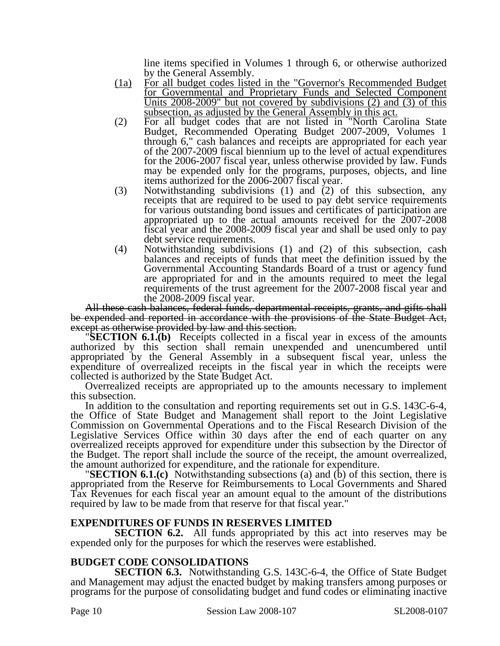line items specified in Volumes 1 through 6, or otherwise authorized by the General Assembly.

- (1a) For all budget codes listed in the "Governor's Recommended Budget for Governmental and Proprietary Funds and Selected Component Units  $2008 - 2009$ " but not covered by subdivisions (2) and (3) of this subsection, as adjusted by the General Assembly in this act.
- (2) For all budget codes that are not listed in "North Carolina State Budget, Recommended Operating Budget 2007-2009, Volumes 1 through 6," cash balances and receipts are appropriated for each year of the 2007-2009 fiscal biennium up to the level of actual expenditures for the 2006-2007 fiscal year, unless otherwise provided by law. Funds may be expended only for the programs, purposes, objects, and line items authorized for the 2006-2007 fiscal year.
- (3) Notwithstanding subdivisions (1) and (2) of this subsection, any receipts that are required to be used to pay debt service requirements for various outstanding bond issues and certificates of participation are appropriated up to the actual amounts received for the 2007-2008 fiscal year and the 2008-2009 fiscal year and shall be used only to pay debt service requirements.
- (4) Notwithstanding subdivisions (1) and (2) of this subsection, cash balances and receipts of funds that meet the definition issued by the Governmental Accounting Standards Board of a trust or agency fund are appropriated for and in the amounts required to meet the legal requirements of the trust agreement for the 2007-2008 fiscal year and the 2008-2009 fiscal year.

All these cash balances, federal funds, departmental receipts, grants, and gifts shall be expended and reported in accordance with the provisions of the State Budget Act, except as otherwise provided by law and this section.

**EXCTION 6.1.(b)** Receipts collected in a fiscal year in excess of the amounts authorized by this section shall remain unexpended and unencumbered until appropriated by the General Assembly in a subsequent fiscal year, unless the expenditure of overrealized receipts in the fiscal year in which the receipts were collected is authorized by the State Budget Act.

Overrealized receipts are appropriated up to the amounts necessary to implement this subsection.

In addition to the consultation and reporting requirements set out in G.S. 143C-6-4, the Office of State Budget and Management shall report to the Joint Legislative Commission on Governmental Operations and to the Fiscal Research Division of the Legislative Services Office within 30 days after the end of each quarter on any overrealized receipts approved for expenditure under this subsection by the Director of the Budget. The report shall include the source of the receipt, the amount overrealized,

the amount authorized for expenditure, and the rationale for expenditure. "**SECTION 6.1.(c)** Notwithstanding subsections (a) and (b) of this section, there is appropriated from the Reserve for Reimbursements to Local Governments and Shared Tax Revenues for each fiscal year an amount equal to the amount of the distributions required by law to be made from that reserve for that fiscal year."

#### **EXPENDITURES OF FUNDS IN RESERVES LIMITED**

**SECTION 6.2.** All funds appropriated by this act into reserves may be expended only for the purposes for which the reserves were established.

#### **BUDGET CODE CONSOLIDATIONS**

**SECTION 6.3.** Notwithstanding G.S. 143C-6-4, the Office of State Budget and Management may adjust the enacted budget by making transfers among purposes or programs for the purpose of consolidating budget and fund codes or eliminating inactive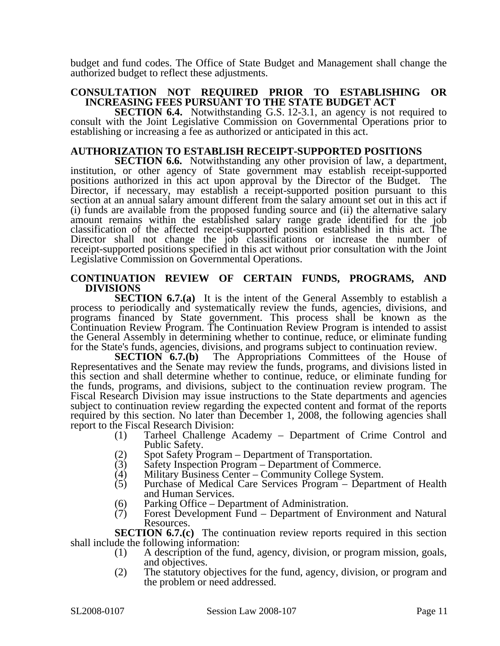budget and fund codes. The Office of State Budget and Management shall change the authorized budget to reflect these adjustments.

#### **CONSULTATION NOT REQUIRED PRIOR TO ESTABLISHING OR INCREASING FEES PURSUANT TO THE STATE BUDGET ACT**

**SECTION 6.4.** Notwithstanding G.S. 12-3.1, an agency is not required to consult with the Joint Legislative Commission on Governmental Operations prior to establishing or increasing a fee as authorized or anticipated in this act.

#### **AUTHORIZATION TO ESTABLISH RECEIPT-SUPPORTED POSITIONS**

**SECTION 6.6.** Notwithstanding any other provision of law, a department, institution, or other agency of State government may establish receipt-supported positions authorized in this act upon approval by the Director of the Budget. The Director, if necessary, may establish a receipt-supported position pursuant to this section at an annual salary amount different from the salary amount set out in this act if (i) funds are available from the proposed funding source and (ii) the alternative salary amount remains within the established salary range grade identified for the job classification of the affected receipt-supported position established in this act. The Director shall not change the job classifications or increase the number of receipt-supported positions specified in this act without prior consultation with the Joint Legislative Commission on Governmental Operations.

#### **CONTINUATION REVIEW OF CERTAIN FUNDS, PROGRAMS, AND DIVISIONS**

**SECTION 6.7.(a)** It is the intent of the General Assembly to establish a process to periodically and systematically review the funds, agencies, divisions, and programs financed by State government. This process shall be known as the Continuation Review Program. The Continuation Review Program is intended to assist the General Assembly in determining whether to continue, reduce, or eliminate funding for the State's funds, agencies, divisions, and programs subject to continuation review.<br> **SECTION 6.7.(b)** The Appropriations Committees of the House

The Appropriations Committees of the House of Representatives and the Senate may review the funds, programs, and divisions listed in this section and shall determine whether to continue, reduce, or eliminate funding for the funds, programs, and divisions, subject to the continuation review program. The Fiscal Research Division may issue instructions to the State departments and agencies subject to continuation review regarding the expected content and format of the reports required by this section. No later than December 1, 2008, the following agencies shall report to the Fiscal Research Division:

- (1) Tarheel Challenge Academy Department of Crime Control and Public Safety.
- (2) Spot Safety Program Department of Transportation.<br>
(3) Safety Inspection Program Department of Commerc
- Safety Inspection Program Department of Commerce.
- (4) Military Business Center Community College System.<br>(5) Purchase of Medical Care Services Program Departn
- Purchase of Medical Care Services Program Department of Health and Human Services.
- (6) Parking Office Department of Administration.<br>(7) Forest Development Fund Department of Env
- Forest Development Fund Department of Environment and Natural Resources.

**SECTION 6.7.(c)** The continuation review reports required in this section shall include the following information:

- (1) A description of the fund, agency, division, or program mission, goals, and objectives.
- (2) The statutory objectives for the fund, agency, division, or program and the problem or need addressed.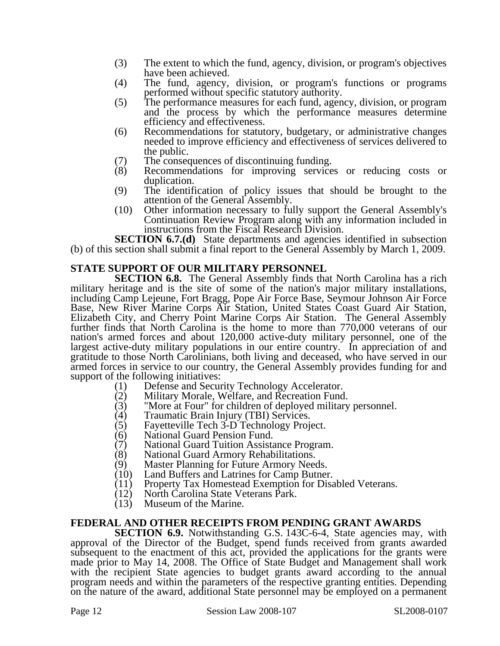- (3) The extent to which the fund, agency, division, or program's objectives have been achieved.
- (4) The fund, agency, division, or program's functions or programs performed without specific statutory authority.
- (5) The performance measures for each fund, agency, division, or program and the process by which the performance measures determine efficiency and effectiveness.
- (6) Recommendations for statutory, budgetary, or administrative changes needed to improve efficiency and effectiveness of services delivered to the public.
- (7) The consequences of discontinuing funding.<br>(8) Recommendations for improving service
- Recommendations for improving services or reducing costs or duplication.
- (9) The identification of policy issues that should be brought to the attention of the General Assembly.
- (10) Other information necessary to fully support the General Assembly's Continuation Review Program along with any information included in instructions from the Fiscal Research Division.

**SECTION 6.7.(d)** State departments and agencies identified in subsection (b) of this section shall submit a final report to the General Assembly by March 1, 2009.

# **STATE SUPPORT OF OUR MILITARY PERSONNEL**

**SECTION 6.8.** The General Assembly finds that North Carolina has a rich military heritage and is the site of some of the nation's major military installations, including Camp Lejeune, Fort Bragg, Pope Air Force Base, Seymour Johnson Air Force Base, New River Marine Corps Air Station, United States Coast Guard Air Station, Elizabeth City, and Cherry Point Marine Corps Air Station. The General Assembly further finds that North Carolina is the home to more than 770,000 veterans of our nation's armed forces and about 120,000 active-duty military personnel, one of the largest active-duty military populations in our entire country. In appreciation of and gratitude to those North Carolinians, both living and deceased, who have served in our armed forces in service to our country, the General Assembly provides funding for and support of the following initiatives:

- 
- (1) Defense and Security Technology Accelerator.<br>(2) Military Morale, Welfare, and Recreation Fund (2) Military Morale, Welfare, and Recreation Fund.<br>
(3) "More at Four" for children of deployed military
- "More at Four" for children of deployed military personnel.
- 
- (4) Traumatic Brain Injury (TBI) Services.<br>(5) Fayetteville Tech 3-D Technology Proje (5) Fayetteville Tech 3-D Technology Project.
- (6) National Guard Pension Fund.
- (7) National Guard Tuition Assistance Program.
- (8) National Guard Armory Rehabilitations.
- (9) Master Planning for Future Armory Needs.<br>(10) Land Buffers and Latrines for Camp Butner
- (10) Land Buffers and Latrines for Camp Butner.<br>(11) Property Tax Homestead Exemption for Disa
- (11) Property Tax Homestead Exemption for Disabled Veterans.<br>(12) North Carolina State Veterans Park.
- (12) North Carolina State Veterans Park.<br>(13) Museum of the Marine.
- Museum of the Marine.

### **FEDERAL AND OTHER RECEIPTS FROM PENDING GRANT AWARDS**

**SECTION 6.9.** Notwithstanding G.S. 143C-6-4, State agencies may, with approval of the Director of the Budget, spend funds received from grants awarded subsequent to the enactment of this act, provided the applications for the grants were made prior to May 14, 2008. The Office of State Budget and Management shall work with the recipient State agencies to budget grants award according to the annual program needs and within the parameters of the respective granting entities. Depending on the nature of the award, additional State personnel may be employed on a permanent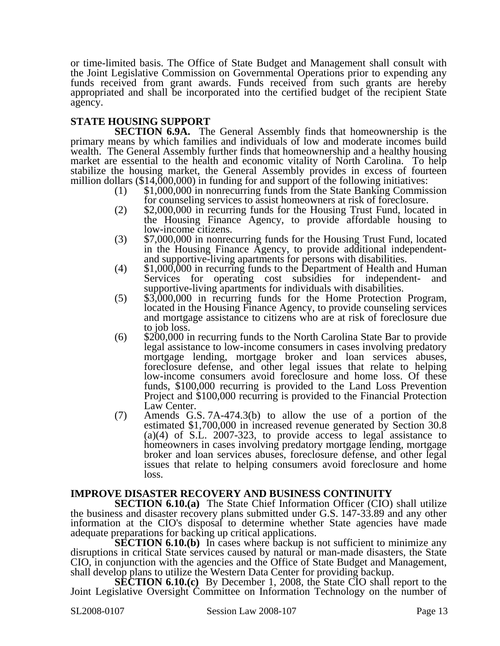or time-limited basis. The Office of State Budget and Management shall consult with the Joint Legislative Commission on Governmental Operations prior to expending any funds received from grant awards. Funds received from such grants are hereby appropriated and shall be incorporated into the certified budget of the recipient State agency.

# **STATE HOUSING SUPPORT**

**SECTION 6.9A.** The General Assembly finds that homeownership is the primary means by which families and individuals of low and moderate incomes build wealth. The General Assembly further finds that homeownership and a healthy housing market are essential to the health and economic vitality of North Carolina. To help stabilize the housing market, the General Assembly provides in excess of fourteen million dollars  $(\$14,000,000)$  in funding for and support of the following initiatives:<br>(1)  $\$1,000,000$  in nonrecurring funds from the State Banking Commission

- for counseling services to assist homeowners at risk of foreclosure.
- (2) \$2,000,000 in recurring funds for the Housing Trust Fund, located in the Housing Finance Agency, to provide affordable housing to low-income citizens.
- (3) \$7,000,000 in nonrecurring funds for the Housing Trust Fund, located in the Housing Finance Agency, to provide additional independent-<br>and supportive-living apartments for persons with disabilities.
- $(4)$  \$1,000,000 in recurring funds to the Department of Health and Human Services for operating cost subsidies for independent- and supportive-living apartments for individuals with disabilities.
- (5) \$3,000,000 in recurring funds for the Home Protection Program, located in the Housing Finance Agency, to provide counseling services and mortgage assistance to citizens who are at risk of foreclosure due to job loss. (6) \$200,000 in recurring funds to the North Carolina State Bar to provide
- legal assistance to low-income consumers in cases involving predatory mortgage lending, mortgage broker and loan services abuses, foreclosure defense, and other legal issues that relate to helping low-income consumers avoid foreclosure and home loss. Of these funds, \$100,000 recurring is provided to the Land Loss Prevention Project and \$100,000 recurring is provided to the Financial Protection Law Center.
- (7) Amends G.S. 7A-474.3(b) to allow the use of a portion of the estimated \$1,700,000 in increased revenue generated by Section 30.8 (a)(4) of S.L. 2007-323, to provide access to legal assistance to homeowners in cases involving predatory mortgage lending, mortgage broker and loan services abuses, foreclosure defense, and other legal issues that relate to helping consumers avoid foreclosure and home loss.

### **IMPROVE DISASTER RECOVERY AND BUSINESS CONTINUITY**

**SECTION 6.10.(a)** The State Chief Information Officer (CIO) shall utilize the business and disaster recovery plans submitted under G.S. 147-33.89 and any other information at the CIO's disposal to determine whether State agencies have made adequate preparations for backing up critical applications.

**SECTION 6.10.(b)** In cases where backup is not sufficient to minimize any disruptions in critical State services caused by natural or man-made disasters, the State CIO, in conjunction with the agencies and the Office of State Budget and Management, shall develop plans to utilize the Western Data Center for providing backup.

**SECTION 6.10.(c)** By December 1, 2008, the State CIO shall report to the Joint Legislative Oversight Committee on Information Technology on the number of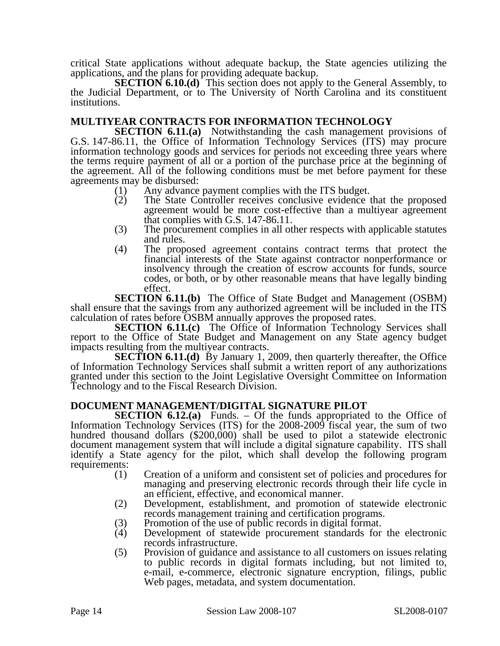critical State applications without adequate backup, the State agencies utilizing the applications, and the plans for providing adequate backup.

**SECTION 6.10.(d)** This section does not apply to the General Assembly, to the Judicial Department, or to The University of North Carolina and its constituent institutions.

# **MULTIYEAR CONTRACTS FOR INFORMATION TECHNOLOGY**

**SECTION 6.11.(a)** Notwithstanding the cash management provisions of G.S. 147-86.11, the Office of Information Technology Services (ITS) may procure information technology goods and services for periods not exceeding three years where the terms require payment of all or a portion of the purchase price at the beginning of the agreement. All of the following conditions must be met before payment for these agreements may be disbursed:

- (1) Any advance payment complies with the ITS budget.
- (2) The State Controller receives conclusive evidence that the proposed agreement would be more cost-effective than a multiyear agreement that complies with G.S. 147-86.11.
- (3) The procurement complies in all other respects with applicable statutes and rules.
- (4) The proposed agreement contains contract terms that protect the financial interests of the State against contractor nonperformance or insolvency through the creation of escrow accounts for funds, source codes, or both, or by other reasonable means that have legally binding effect.

**SECTION 6.11.(b)** The Office of State Budget and Management (OSBM) shall ensure that the savings from any authorized agreement will be included in the ITS calculation of rates before OSBM annually approves the proposed rates.

**SECTION 6.11.(c)** The Office of Information Technology Services shall report to the Office of State Budget and Management on any State agency budget impacts resulting from the multiyear contracts.

**SECTION 6.11.(d)** By January 1, 2009, then quarterly thereafter, the Office of Information Technology Services shall submit a written report of any authorizations granted under this section to the Joint Legislative Oversight Committee on Information Technology and to the Fiscal Research Division.

### **DOCUMENT MANAGEMENT/DIGITAL SIGNATURE PILOT**

**SECTION 6.12.(a)** Funds. – Of the funds appropriated to the Office of Information Technology Services (ITS) for the 2008-2009 fiscal year, the sum of two hundred thousand dollars (\$200,000) shall be used to pilot a statewide electronic document management system that will include a digital signature capability. ITS shall identify a State agency for the pilot, which shall develop the following program requirements:

- (1) Creation of a uniform and consistent set of policies and procedures for managing and preserving electronic records through their life cycle in an efficient, effective, and economical manner.
- (2) Development, establishment, and promotion of statewide electronic records management training and certification programs.
- (3) Promotion of the use of public records in digital format.<br>(4) Development of statewide procurement standards for
- Development of statewide procurement standards for the electronic records infrastructure.
- (5) Provision of guidance and assistance to all customers on issues relating to public records in digital formats including, but not limited to, e-mail, e-commerce, electronic signature encryption, filings, public Web pages, metadata, and system documentation.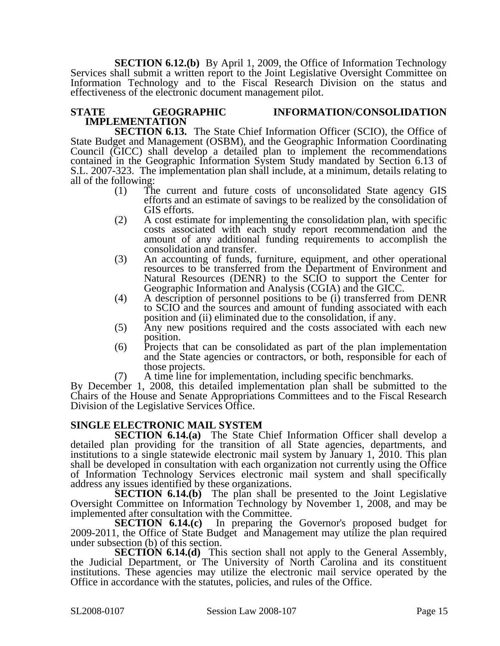**SECTION 6.12.(b)** By April 1, 2009, the Office of Information Technology Services shall submit a written report to the Joint Legislative Oversight Committee on Information Technology and to the Fiscal Research Division on the status and effectiveness of the electronic document management pilot.

#### **STATE GEOGRAPHIC INFORMATION/CONSOLIDATION IMPLEMENTATION**

**SECTION 6.13.** The State Chief Information Officer (SCIO), the Office of State Budget and Management (OSBM), and the Geographic Information Coordinating Council (GICC) shall develop a detailed plan to implement the recommendations contained in the Geographic Information System Study mandated by Section 6.13 of S.L. 2007-323. The implementation plan shall include, at a minimum, details relating to all of the following:

- (1) The current and future costs of unconsolidated State agency GIS efforts and an estimate of savings to be realized by the consolidation of GIS efforts.
- (2) A cost estimate for implementing the consolidation plan, with specific costs associated with each study report recommendation and the amount of any additional funding requirements to accomplish the consolidation and transfer.
- (3) An accounting of funds, furniture, equipment, and other operational resources to be transferred from the Department of Environment and Natural Resources (DENR) to the SCIO to support the Center for Geographic Information and Analysis (CGIA) and the GICC.
- (4) A description of personnel positions to be (i) transferred from DENR to SCIO and the sources and amount of funding associated with each position and (ii) eliminated due to the consolidation, if any.
- (5) Any new positions required and the costs associated with each new position.
- (6) Projects that can be consolidated as part of the plan implementation and the State agencies or contractors, or both, responsible for each of those projects.
- (7) A time line for implementation, including specific benchmarks.

By December 1, 2008, this detailed implementation plan shall be submitted to the Chairs of the House and Senate Appropriations Committees and to the Fiscal Research Division of the Legislative Services Office.

# **SINGLE ELECTRONIC MAIL SYSTEM**

**SECTION 6.14.(a)** The State Chief Information Officer shall develop a detailed plan providing for the transition of all State agencies, departments, and institutions to a single statewide electronic mail system by January 1, 2010. This plan shall be developed in consultation with each organization not currently using the Office of Information Technology Services electronic mail system and shall specifically address any issues identified by these organizations.

**SECTION 6.14.(b)** The plan shall be presented to the Joint Legislative Oversight Committee on Information Technology by November 1, 2008, and may be implemented after consultation with the Committee.

**SECTION 6.14.(c)** In preparing the Governor's proposed budget for 2009-2011, the Office of State Budget and Management may utilize the plan required under subsection (b) of this section.

**SECTION 6.14.(d)** This section shall not apply to the General Assembly, the Judicial Department, or The University of North Carolina and its constituent institutions. These agencies may utilize the electronic mail service operated by the Office in accordance with the statutes, policies, and rules of the Office.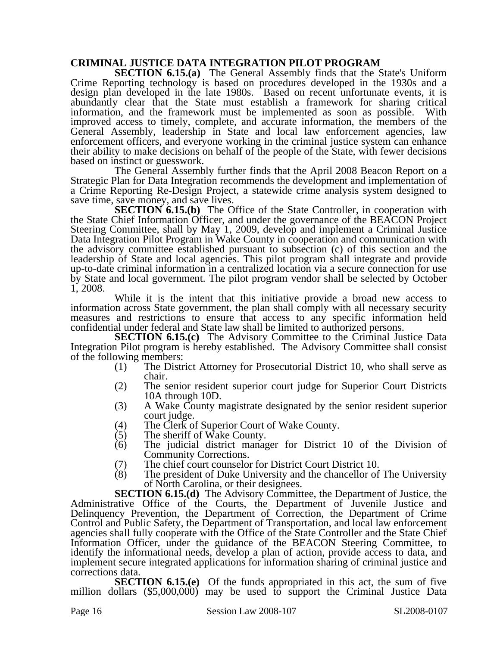### **CRIMINAL JUSTICE DATA INTEGRATION PILOT PROGRAM**

**SECTION 6.15.(a)** The General Assembly finds that the State's Uniform Crime Reporting technology is based on procedures developed in the 1930s and a design plan developed in the late 1980s. Based on recent unfortunate events, it is abundantly clear that the State must establish a framework for sharing critical information, and the framework must be implemented as soon as possible. With improved access to timely, complete, and accurate information, the members of the General Assembly, leadership in State and local law enforcement agencies, law enforcement officers, and everyone working in the criminal justice system can enhance their ability to make decisions on behalf of the people of the State, with fewer decisions based on instinct or guesswork.

The General Assembly further finds that the April 2008 Beacon Report on a Strategic Plan for Data Integration recommends the development and implementation of a Crime Reporting Re-Design Project, a statewide crime analysis system designed to save time, save money, and save lives.

**SECTION 6.15.(b)** The Office of the State Controller, in cooperation with the State Chief Information Officer, and under the governance of the BEACON Project Steering Committee, shall by May 1, 2009, develop and implement a Criminal Justice Data Integration Pilot Program in Wake County in cooperation and communication with the advisory committee established pursuant to subsection (c) of this section and the leadership of State and local agencies. This pilot program shall integrate and provide up-to-date criminal information in a centralized location via a secure connection for use by State and local government. The pilot program vendor shall be selected by October 1, 2008.

While it is the intent that this initiative provide a broad new access to information across State government, the plan shall comply with all necessary security measures and restrictions to ensure that access to any specific information held confidential under federal and State law shall be limited to authorized persons.

**SECTION 6.15.(c)** The Advisory Committee to the Criminal Justice Data Integration Pilot program is hereby established. The Advisory Committee shall consist of the following members:

- (1) The District Attorney for Prosecutorial District 10, who shall serve as chair.
- (2) The senior resident superior court judge for Superior Court Districts 10A through 10D.
- (3) A Wake County magistrate designated by the senior resident superior court judge.
- (4) The Clerk of Superior Court of Wake County.<br>(5) The sheriff of Wake County.
- (5) The sheriff of Wake County.<br>(6) The judicial district manage
- The judicial district manager for District 10 of the Division of Community Corrections.
- 
- (7) The chief court counselor for District Court District 10.<br>
(8) The president of Duke University and the chancellor of The president of Duke University and the chancellor of The University of North Carolina, or their designees.

**SECTION 6.15.(d)** The Advisory Committee, the Department of Justice, the Administrative Office of the Courts, the Department of Juvenile Justice and Delinquency Prevention, the Department of Correction, the Department of Crime Control and Public Safety, the Department of Transportation, and local law enforcement agencies shall fully cooperate with the Office of the State Controller and the State Chief Information Officer, under the guidance of the BEACON Steering Committee, to identify the informational needs, develop a plan of action, provide access to data, and implement secure integrated applications for information sharing of criminal justice and corrections data.

**SECTION 6.15.(e)** Of the funds appropriated in this act, the sum of five million dollars (\$5,000,000) may be used to support the Criminal Justice Data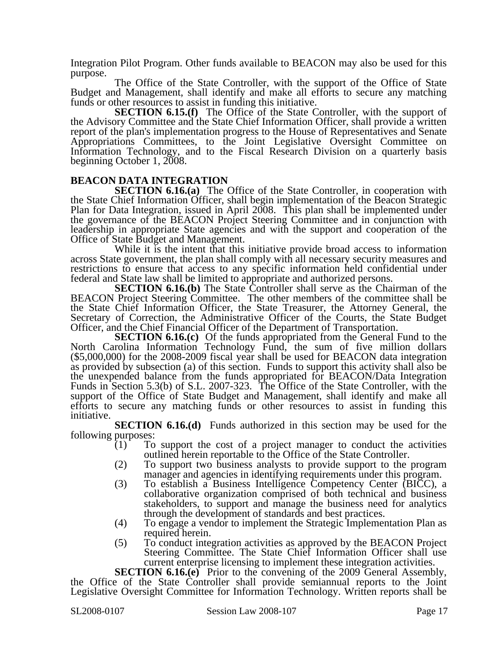Integration Pilot Program. Other funds available to BEACON may also be used for this purpose.

The Office of the State Controller, with the support of the Office of State Budget and Management, shall identify and make all efforts to secure any matching funds or other resources to assist in funding this initiative.

**SECTION 6.15.(f)** The Office of the State Controller, with the support of the Advisory Committee and the State Chief Information Officer, shall provide a written report of the plan's implementation progress to the House of Representatives and Senate Appropriations Committees, to the Joint Legislative Oversight Committee on Information Technology, and to the Fiscal Research Division on a quarterly basis beginning October 1, 2008.

#### **BEACON DATA INTEGRATION**

**SECTION 6.16.(a)** The Office of the State Controller, in cooperation with the State Chief Information Officer, shall begin implementation of the Beacon Strategic Plan for Data Integration, issued in April 2008. This plan shall be implemented under the governance of the BEACON Project Steering Committee and in conjunction with leadership in appropriate State agencies and with the support and cooperation of the Office of State Budget and Management.

While it is the intent that this initiative provide broad access to information across State government, the plan shall comply with all necessary security measures and restrictions to ensure that access to any specific information held confidential under federal and State law shall be limited to appropriate and authorized persons.

**SECTION 6.16.(b)** The State Controller shall serve as the Chairman of the BEACON Project Steering Committee. The other members of the committee shall be the State Chief Information Officer, the State Treasurer, the Attorney General, the Secretary of Correction, the Administrative Officer of the Courts, the State Budget Officer, and the Chief Financial Officer of the Department of Transportation.

**SECTION 6.16.(c)** Of the funds appropriated from the General Fund to the North Carolina Information Technology Fund, the sum of five million dollars (\$5,000,000) for the 2008-2009 fiscal year shall be used for BEACON data integration as provided by subsection (a) of this section. Funds to support this activity shall also be the unexpended balance from the funds appropriated for BEACON/Data Integration Funds in Section 5.3(b) of S.L. 2007-323. The Office of the State Controller, with the support of the Office of State Budget and Management, shall identify and make all efforts to secure any matching funds or other resources to assist in funding this initiative.

**SECTION 6.16.(d)** Funds authorized in this section may be used for the following purposes:

- (1) To support the cost of a project manager to conduct the activities outlined herein reportable to the Office of the State Controller.
- (2) To support two business analysts to provide support to the program manager and agencies in identifying requirements under this program.
- (3) To establish a Business Intelligence Competency Center (BICC), a collaborative organization comprised of both technical and business stakeholders, to support and manage the business need for analytics through the development of standards and best practices.
- (4) To engage a vendor to implement the Strategic Implementation Plan as required herein.
- (5) To conduct integration activities as approved by the BEACON Project Steering Committee. The State Chief Information Officer shall use current enterprise licensing to implement these integration activities.

**SECTION 6.16.(e)** Prior to the convening of the 2009 General Assembly, the Office of the State Controller shall provide semiannual reports to the Joint Legislative Oversight Committee for Information Technology. Written reports shall be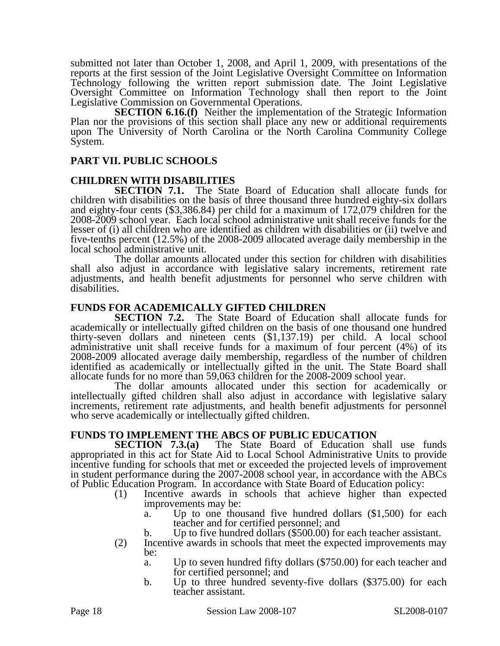submitted not later than October 1, 2008, and April 1, 2009, with presentations of the reports at the first session of the Joint Legislative Oversight Committee on Information Technology following the written report submission date. The Joint Legislative Oversight Committee on Information Technology shall then report to the Joint Legislative Commission on Governmental Operations.

**SECTION 6.16.(f)** Neither the implementation of the Strategic Information Plan nor the provisions of this section shall place any new or additional requirements upon The University of North Carolina or the North Carolina Community College System.

#### **PART VII. PUBLIC SCHOOLS**

### **CHILDREN WITH DISABILITIES**

**SECTION 7.1.** The State Board of Education shall allocate funds for children with disabilities on the basis of three thousand three hundred eighty-six dollars and eighty-four cents (\$3,386.84) per child for a maximum of 172,079 children for the 2008-2009 school year. Each local school administrative unit shall receive funds for the lesser of (i) all children who are identified as children with disabilities or (ii) twelve and five-tenths percent (12.5%) of the 2008-2009 allocated average daily membership in the local school administrative unit.

The dollar amounts allocated under this section for children with disabilities shall also adjust in accordance with legislative salary increments, retirement rate adjustments, and health benefit adjustments for personnel who serve children with disabilities.

#### **FUNDS FOR ACADEMICALLY GIFTED CHILDREN**

**SECTION 7.2.** The State Board of Education shall allocate funds for academically or intellectually gifted children on the basis of one thousand one hundred thirty-seven dollars and nineteen cents (\$1,137.19) per child. A local school administrative unit shall receive funds for a maximum of four percent (4%) of its 2008-2009 allocated average daily membership, regardless of the number of children identified as academically or intellectually gifted in the unit. The State Board shall allocate funds for no more than 59,063 children for the 2008-2009 school year.

The dollar amounts allocated under this section for academically or intellectually gifted children shall also adjust in accordance with legislative salary increments, retirement rate adjustments, and health benefit adjustments for personnel who serve academically or intellectually gifted children.

# **FUNDS TO IMPLEMENT THE ABCS OF PUBLIC EDUCATION**<br>**SECTION 7.3.(a)** The State Board of Education s

The State Board of Education shall use funds appropriated in this act for State Aid to Local School Administrative Units to provide incentive funding for schools that met or exceeded the projected levels of improvement in student performance during the 2007-2008 school year, in accordance with the ABCs of Public Education Program. In accordance with State Board of Education policy:

- (1) Incentive awards in schools that achieve higher than expected improvements may be:
	- a. Up to one thousand five hundred dollars (\$1,500) for each teacher and for certified personnel; and
	- b. Up to five hundred dollars (\$500.00) for each teacher assistant.
- (2) Incentive awards in schools that meet the expected improvements may be:
	- a. Up to seven hundred fifty dollars (\$750.00) for each teacher and for certified personnel; and
	- b. Up to three hundred seventy-five dollars (\$375.00) for each teacher assistant.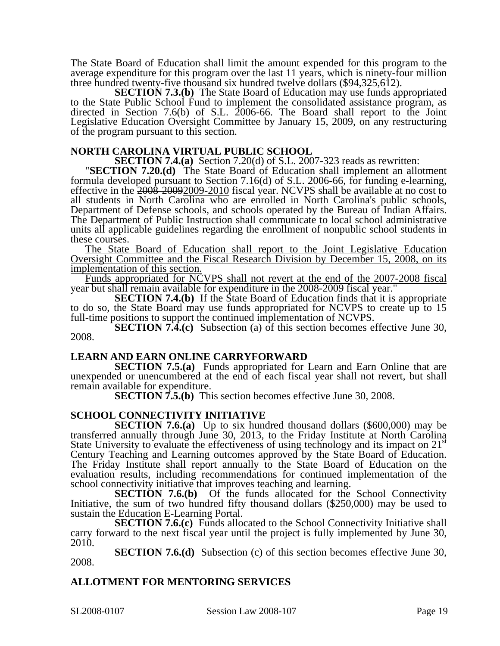The State Board of Education shall limit the amount expended for this program to the average expenditure for this program over the last 11 years, which is ninety-four million three hundred twenty-five thousand six hundred twelve dollars (\$94,325,612).

**SECTION 7.3.(b)** The State Board of Education may use funds appropriated to the State Public School Fund to implement the consolidated assistance program, as directed in Section 7.6(b) of S.L. 2006-66. The Board shall report to the Joint Legislative Education Oversight Committee by January 15, 2009, on any restructuring of the program pursuant to this section.

**NORTH CAROLINA VIRTUAL PUBLIC SCHOOL<br>SECTION 7.4.(a)** Section 7.20(d) of S.L. 2007-323 reads as rewritten:

**SECTION 7.20.(d)** The State Board of Education shall implement an allotment formula developed pursuant to Section 7.16(d) of S.L. 2006-66, for funding e-learning, effective in the 2008-20092009-2010 fiscal year. NCVPS shall be available at no cost to all students in North Carolina who are enrolled in North Carolina's public schools, Department of Defense schools, and schools operated by the Bureau of Indian Affairs. The Department of Public Instruction shall communicate to local school administrative units all applicable guidelines regarding the enrollment of nonpublic school students in these courses.

The State Board of Education shall report to the Joint Legislative Education Oversight Committee and the Fiscal Research Division by December 15, 2008, on its implementation of this section.

Funds appropriated for NCVPS shall not revert at the end of the 2007-2008 fiscal year but shall remain available for expenditure in the 2008-2009 fiscal year."

**SECTION 7.4.(b)** If the State Board of Education finds that it is appropriate to do so, the State Board may use funds appropriated for NCVPS to create up to 15 full-time positions to support the continued implementation of NCVPS.

**SECTION 7.4.(c)** Subsection (a) of this section becomes effective June 30, 2008.

#### **LEARN AND EARN ONLINE CARRYFORWARD**

**SECTION 7.5.(a)** Funds appropriated for Learn and Earn Online that are unexpended or unencumbered at the end of each fiscal year shall not revert, but shall remain available for expenditure.

**SECTION 7.5.(b)** This section becomes effective June 30, 2008.

### **SCHOOL CONNECTIVITY INITIATIVE**

**SECTION 7.6.(a)** Up to six hundred thousand dollars (\$600,000) may be transferred annually through June 30, 2013, to the Friday Institute at North Carolina State University to evaluate the effectiveness of using technology and its impact on  $21<sup>st</sup>$ Century Teaching and Learning outcomes approved by the State Board of Education. The Friday Institute shall report annually to the State Board of Education on the evaluation results, including recommendations for continued implementation of the school connectivity initiative that improves teaching and learning.

**SECTION 7.6.(b)** Of the funds allocated for the School Connectivity Initiative, the sum of two hundred fifty thousand dollars (\$250,000) may be used to sustain the Education E-Learning Portal.

**SECTION 7.6.(c)** Funds allocated to the School Connectivity Initiative shall carry forward to the next fiscal year until the project is fully implemented by June 30, 2010.

**SECTION 7.6.(d)** Subsection (c) of this section becomes effective June 30, 2008.

### **ALLOTMENT FOR MENTORING SERVICES**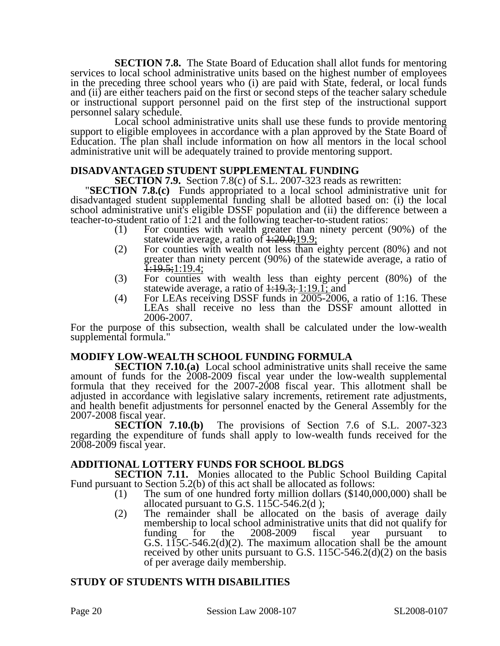**SECTION 7.8.** The State Board of Education shall allot funds for mentoring services to local school administrative units based on the highest number of employees in the preceding three school years who (i) are paid with State, federal, or local funds and (ii) are either teachers paid on the first or second steps of the teacher salary schedule or instructional support personnel paid on the first step of the instructional support personnel salary schedule.

Local school administrative units shall use these funds to provide mentoring support to eligible employees in accordance with a plan approved by the State Board of Education. The plan shall include information on how all mentors in the local school administrative unit will be adequately trained to provide mentoring support.

**DISADVANTAGED STUDENT SUPPLEMENTAL FUNDING<br>SECTION 7.9.** Section 7.8(c) of S.L. 2007-323 reads as rewritten:

**SECTION 7.8.(c)** Funds appropriated to a local school administrative unit for disadvantaged student supplemental funding shall be allotted based on: (i) the local school administrative unit's eligible DSSF population and (ii) the difference between a teacher-to-student ratio of 1:21 and the following teacher-to-student ratios:

- (1) For counties with wealth greater than ninety percent (90%) of the statewide average, a ratio of  $1:20.0;19.9;$
- (2) For counties with wealth not less than eighty percent (80%) and not greater than ninety percent (90%) of the statewide average, a ratio of  $\frac{1:19.5;1:19.4}{}$
- (3) For counties with wealth less than eighty percent (80%) of the statewide average, a ratio of  $1:19.3; 1:19.1;$  and
- (4) For LEAs receiving DSSF funds in 2005-2006, a ratio of 1:16. These LEAs shall receive no less than the DSSF amount allotted in 2006-2007.

For the purpose of this subsection, wealth shall be calculated under the low-wealth supplemental formula."

### **MODIFY LOW-WEALTH SCHOOL FUNDING FORMULA**

**SECTION 7.10.(a)** Local school administrative units shall receive the same amount of funds for the 2008-2009 fiscal year under the low-wealth supplemental formula that they received for the 2007-2008 fiscal year. This allotment shall be adjusted in accordance with legislative salary increments, retirement rate adjustments, and health benefit adjustments for personnel enacted by the General Assembly for the

2007-2008 fiscal year.<br>**SECTION 7.10.(b)** The provisions of Section 7.6 of S.L. 2007-323 regarding the expenditure of funds shall apply to low-wealth funds received for the 2008-2009 fiscal year.

#### **ADDITIONAL LOTTERY FUNDS FOR SCHOOL BLDGS**

**SECTION 7.11.** Monies allocated to the Public School Building Capital Fund pursuant to Section 5.2(b) of this act shall be allocated as follows:

- (1) The sum of one hundred forty million dollars (\$140,000,000) shall be allocated pursuant to G.S.  $11\overline{5}C - 546.2(d)$ ;
- (2) The remainder shall be allocated on the basis of average daily membership to local school administrative units that did not qualify for<br>funding for the 2008-2009 fiscal year pursuant to funding for the  $2008-2009$  fiscal year pursuant G.S. 115C-546.2(d)(2). The maximum allocation shall be the amount received by other units pursuant to G.S.  $115C-546.2(d)(2)$  on the basis of per average daily membership.

### **STUDY OF STUDENTS WITH DISABILITIES**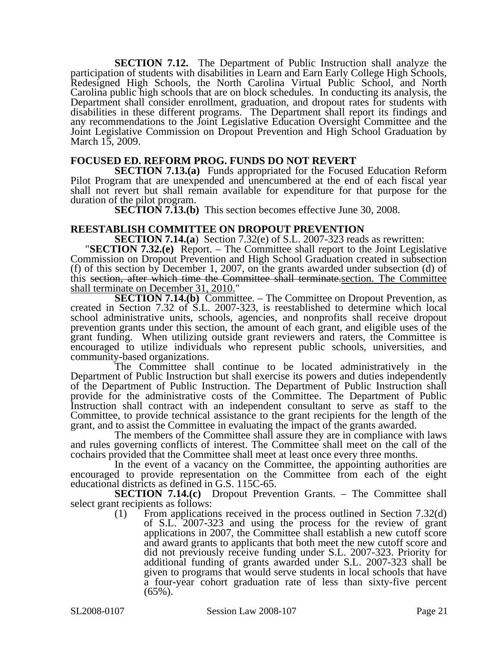**SECTION 7.12.** The Department of Public Instruction shall analyze the participation of students with disabilities in Learn and Earn Early College High Schools, Redesigned High Schools, the North Carolina Virtual Public School, and North Carolina public high schools that are on block schedules. In conducting its analysis, the Department shall consider enrollment, graduation, and dropout rates for students with disabilities in these different programs. The Department shall report its findings and any recommendations to the Joint Legislative Education Oversight Committee and the Joint Legislative Commission on Dropout Prevention and High School Graduation by March 15, 2009.

#### **FOCUSED ED. REFORM PROG. FUNDS DO NOT REVERT**

**SECTION 7.13.(a)** Funds appropriated for the Focused Education Reform Pilot Program that are unexpended and unencumbered at the end of each fiscal year shall not revert but shall remain available for expenditure for that purpose for the duration of the pilot program.

**SECTION 7.13.(b)** This section becomes effective June 30, 2008.

# **REESTABLISH COMMITTEE ON DROPOUT PREVENTION**<br>**SECTION 7.14.(a)** Section 7.32(e) of S.L. 2007-323 reads as rewritten:

"**SECTION 7.32.(e)** Report. – The Committee shall report to the Joint Legislative Commission on Dropout Prevention and High School Graduation created in subsection (f) of this section by December 1, 2007, on the grants awarded under subsection (d) of this section, after which time the Committee shall terminate.section. The Committee shall terminate on December 31, 2010."

**SECTION 7.14.(b)** Committee. – The Committee on Dropout Prevention, as created in Section 7.32 of S.L. 2007-323, is reestablished to determine which local school administrative units, schools, agencies, and nonprofits shall receive dropout prevention grants under this section, the amount of each grant, and eligible uses of the grant funding. When utilizing outside grant reviewers and raters, the Committee is encouraged to utilize individuals who represent public schools, universities, and community-based organizations.

The Committee shall continue to be located administratively in the Department of Public Instruction but shall exercise its powers and duties independently of the Department of Public Instruction. The Department of Public Instruction shall provide for the administrative costs of the Committee. The Department of Public Instruction shall contract with an independent consultant to serve as staff to the Committee, to provide technical assistance to the grant recipients for the length of the grant, and to assist the Committee in evaluating the impact of the grants awarded.

The members of the Committee shall assure they are in compliance with laws and rules governing conflicts of interest. The Committee shall meet on the call of the cochairs provided that the Committee shall meet at least once every three months.

In the event of a vacancy on the Committee, the appointing authorities are encouraged to provide representation on the Committee from each of the eight educational districts as defined in G.S. 115C-65.

**SECTION 7.14.(c)** Dropout Prevention Grants. – The Committee shall select grant recipients as follows:

(1) From applications received in the process outlined in Section 7.32(d) of S.L. 2007-323 and using the process for the review of grant applications in 2007, the Committee shall establish a new cutoff score and award grants to applicants that both meet the new cutoff score and did not previously receive funding under S.L. 2007-323. Priority for additional funding of grants awarded under S.L. 2007-323 shall be given to programs that would serve students in local schools that have a four-year cohort graduation rate of less than sixty-five percent  $(65\%)$ .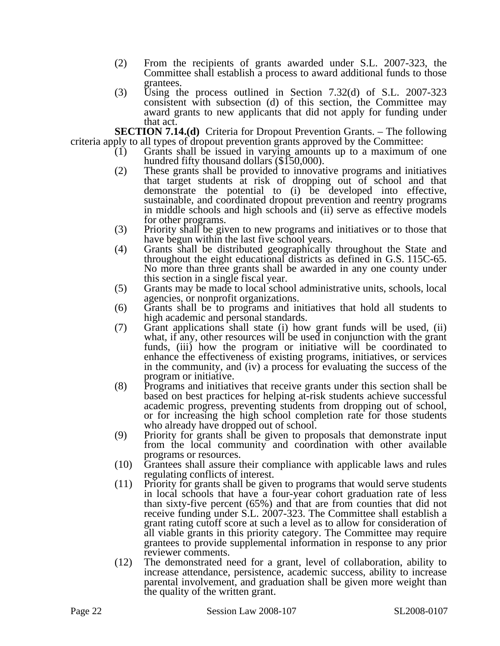- (2) From the recipients of grants awarded under S.L. 2007-323, the Committee shall establish a process to award additional funds to those grantees.
- (3) Using the process outlined in Section 7.32(d) of S.L. 2007-323 consistent with subsection (d) of this section, the Committee may award grants to new applicants that did not apply for funding under that act.

**SECTION 7.14.(d)** Criteria for Dropout Prevention Grants. – The following criteria apply to all types of dropout prevention grants approved by the Committee:

- (1) Grants shall be issued in varying amounts up to a maximum of one hundred fifty thousand dollars (\$150,000).<br>(2) These grants shall be provided to innovative programs and initiatives
- These grants shall be provided to innovative programs and initiatives that target students at risk of dropping out of school and that demonstrate the potential to (i) be developed into effective, sustainable, and coordinated dropout prevention and reentry programs in middle schools and high schools and (ii) serve as effective models for other programs.
- (3) Priority shall be given to new programs and initiatives or to those that have begun within the last five school years.
- (4) Grants shall be distributed geographically throughout the State and throughout the eight educational districts as defined in G.S. 115C-65. No more than three grants shall be awarded in any one county under this section in a single fiscal year.
- (5) Grants may be made to local school administrative units, schools, local agencies, or nonprofit organizations.
- (6) Grants shall be to programs and initiatives that hold all students to high academic and personal standards.
- (7) Grant applications shall state (i) how grant funds will be used, (ii) what, if any, other resources will be used in conjunction with the grant funds, (iii) how the program or initiative will be coordinated to enhance the effectiveness of existing programs, initiatives, or services in the community, and (iv) a process for evaluating the success of the program or initiative.
- (8) Programs and initiatives that receive grants under this section shall be based on best practices for helping at-risk students achieve successful academic progress, preventing students from dropping out of school, or for increasing the high school completion rate for those students who already have dropped out of school.
- (9) Priority for grants shall be given to proposals that demonstrate input from the local community and coordination with other available programs or resources.
- (10) Grantees shall assure their compliance with applicable laws and rules regulating conflicts of interest.
- (11) Priority for grants shall be given to programs that would serve students in local schools that have a four-year cohort graduation rate of less than sixty-five percent (65%) and that are from counties that did not receive funding under S.L. 2007-323. The Committee shall establish a grant rating cutoff score at such a level as to allow for consideration of all viable grants in this priority category. The Committee may require grantees to provide supplemental information in response to any prior reviewer comments.
- (12) The demonstrated need for a grant, level of collaboration, ability to increase attendance, persistence, academic success, ability to increase parental involvement, and graduation shall be given more weight than the quality of the written grant.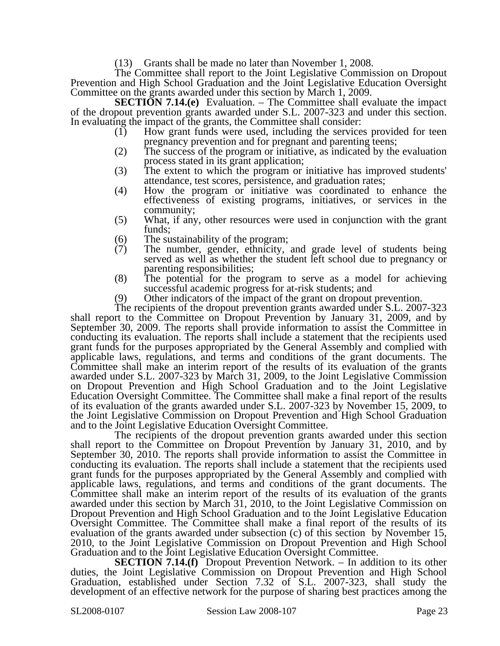(13) Grants shall be made no later than November 1, 2008.

The Committee shall report to the Joint Legislative Commission on Dropout Prevention and High School Graduation and the Joint Legislative Education Oversight Committee on the grants awarded under this section by March 1, 2009.

**SECTION 7.14.(e)** Evaluation. – The Committee shall evaluate the impact of the dropout prevention grants awarded under S.L. 2007-323 and under this section. In evaluating the impact of the grants, the Committee shall consider:

- (1) How grant funds were used, including the services provided for teen pregnancy prevention and for pregnant and parenting teens;
- (2) The success of the program or initiative, as indicated by the evaluation process stated in its grant application;
- (3) The extent to which the program or initiative has improved students' attendance, test scores, persistence, and graduation rates;
- (4) How the program or initiative was coordinated to enhance the effectiveness of existing programs, initiatives, or services in the community;
- (5) What, if any, other resources were used in conjunction with the grant funds;
- (6) The sustainability of the program;<br>(7) The number, gender, ethnicity,
- The number, gender, ethnicity, and grade level of students being served as well as whether the student left school due to pregnancy or parenting responsibilities;
- (8) The potential for the program to serve as a model for achieving successful academic progress for at-risk students; and
- (9) Other indicators of the impact of the grant on dropout prevention.

The recipients of the dropout prevention grants awarded under S.L. 2007-323 shall report to the Committee on Dropout Prevention by January 31, 2009, and by September 30, 2009. The reports shall provide information to assist the Committee in conducting its evaluation. The reports shall include a statement that the recipients used grant funds for the purposes appropriated by the General Assembly and complied with applicable laws, regulations, and terms and conditions of the grant documents. The Committee shall make an interim report of the results of its evaluation of the grants awarded under S.L. 2007-323 by March 31, 2009, to the Joint Legislative Commission on Dropout Prevention and High School Graduation and to the Joint Legislative Education Oversight Committee. The Committee shall make a final report of the results of its evaluation of the grants awarded under S.L. 2007-323 by November 15, 2009, to the Joint Legislative Commission on Dropout Prevention and High School Graduation and to the Joint Legislative Education Oversight Committee.

The recipients of the dropout prevention grants awarded under this section shall report to the Committee on Dropout Prevention by January 31, 2010, and by September 30, 2010. The reports shall provide information to assist the Committee in conducting its evaluation. The reports shall include a statement that the recipients used grant funds for the purposes appropriated by the General Assembly and complied with applicable laws, regulations, and terms and conditions of the grant documents. The Committee shall make an interim report of the results of its evaluation of the grants awarded under this section by March 31, 2010, to the Joint Legislative Commission on Dropout Prevention and High School Graduation and to the Joint Legislative Education Oversight Committee. The Committee shall make a final report of the results of its evaluation of the grants awarded under subsection (c) of this section by November 15, 2010, to the Joint Legislative Commission on Dropout Prevention and High School Graduation and to the Joint Legislative Education Oversight Committee.

**SECTION 7.14.(f)** Dropout Prevention Network. – In addition to its other duties, the Joint Legislative Commission on Dropout Prevention and High School Graduation, established under Section 7.32 of S.L. 2007-323, shall study the development of an effective network for the purpose of sharing best practices among the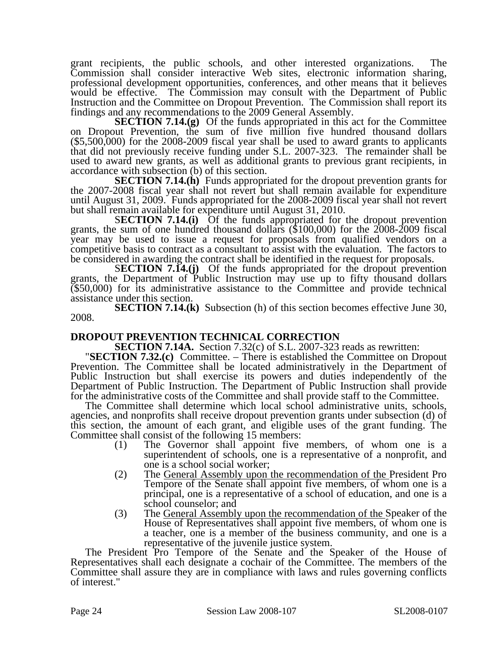grant recipients, the public schools, and other interested organizations. The Commission shall consider interactive Web sites, electronic information sharing, professional development opportunities, conferences, and other means that it believes would be effective. The Commission may consult with the Department of Public Instruction and the Committee on Dropout Prevention. The Commission shall report its findings and any recommendations to the 2009 General Assembly.

**SECTION 7.14.(g)** Of the funds appropriated in this act for the Committee on Dropout Prevention, the sum of five million five hundred thousand dollars (\$5,500,000) for the 2008-2009 fiscal year shall be used to award grants to applicants that did not previously receive funding under S.L. 2007-323. The remainder shall be used to award new grants, as well as additional grants to previous grant recipients, in accordance with subsection (b) of this section.

**SECTION 7.14.(h)** Funds appropriated for the dropout prevention grants for the 2007-2008 fiscal year shall not revert but shall remain available for expenditure until August 31, 2009. Funds appropriated for the 2008-2009 fiscal year shall not revert but shall remain available for expenditure until August 31, 2010.

**SECTION 7.14.(i)** Of the funds appropriated for the dropout prevention grants, the sum of one hundred thousand dollars (\$100,000) for the 2008-2009 fiscal year may be used to issue a request for proposals from qualified vendors on a competitive basis to contract as a consultant to assist with the evaluation. The factors to be considered in awarding the contract shall be identified in the request for proposals.

**SECTION 7.14.(j)** Of the funds appropriated for the dropout prevention grants, the Department of Public Instruction may use up to fifty thousand dollars  $($ \$50,000) for its administrative assistance to the Committee and provide technical assistance under this section.

**SECTION 7.14.(k)** Subsection (h) of this section becomes effective June 30, 2008.

**DROPOUT PREVENTION TECHNICAL CORRECTION**<br>**SECTION 7.14A.** Section 7.32(c) of S.L. 2007-323 reads as rewritten:

"**SECTION 7.32.(c)** Committee. – There is established the Committee on Dropout Prevention. The Committee shall be located administratively in the Department of Public Instruction but shall exercise its powers and duties independently of the Department of Public Instruction. The Department of Public Instruction shall provide for the administrative costs of the Committee and shall provide staff to the Committee.

The Committee shall determine which local school administrative units, schools, agencies, and nonprofits shall receive dropout prevention grants under subsection (d) of this section, the amount of each grant, and eligible uses of the grant funding. The Committee shall consist of the following 15 members:

- (1) The Governor shall appoint five members, of whom one is a superintendent of schools, one is a representative of a nonprofit, and one is a school social worker;
- (2) The General Assembly upon the recommendation of the President Pro Tempore of the Senate shall appoint five members, of whom one is a principal, one is a representative of a school of education, and one is a school counselor; and
- (3) The General Assembly upon the recommendation of the Speaker of the House of Representatives shall appoint five members, of whom one is a teacher, one is a member of the business community, and one is a representative of the juvenile justice system.

The President Pro Tempore of the Senate and the Speaker of the House of Representatives shall each designate a cochair of the Committee. The members of the Committee shall assure they are in compliance with laws and rules governing conflicts of interest."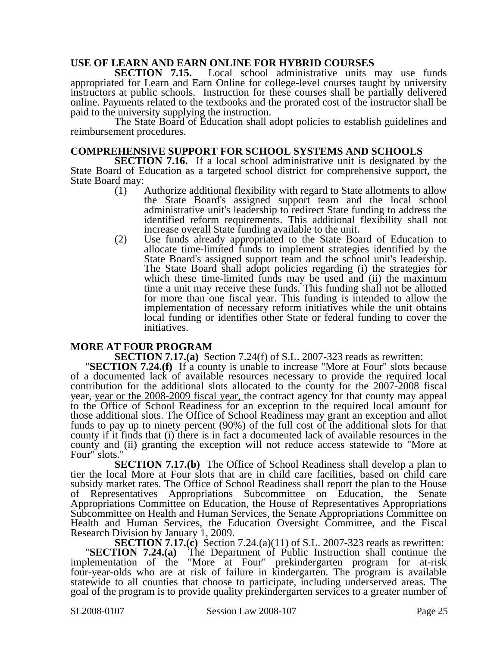# **USE OF LEARN AND EARN ONLINE FOR HYBRID COURSES**<br>**SECTION 7.15.** Local school administrative units

Local school administrative units may use funds appropriated for Learn and Earn Online for college-level courses taught by university instructors at public schools. Instruction for these courses shall be partially delivered online. Payments related to the textbooks and the prorated cost of the instructor shall be paid to the university supplying the instruction.

The State Board of Education shall adopt policies to establish guidelines and reimbursement procedures.

#### **COMPREHENSIVE SUPPORT FOR SCHOOL SYSTEMS AND SCHOOLS**

**SECTION 7.16.** If a local school administrative unit is designated by the State Board of Education as a targeted school district for comprehensive support, the State Board may:

- (1) Authorize additional flexibility with regard to State allotments to allow the State Board's assigned support team and the local school administrative unit's leadership to redirect State funding to address the identified reform requirements. This additional flexibility shall not increase overall State funding available to the unit.
- (2) Use funds already appropriated to the State Board of Education to allocate time-limited funds to implement strategies identified by the State Board's assigned support team and the school unit's leadership. The State Board shall adopt policies regarding (i) the strategies for which these time-limited funds may be used and (ii) the maximum time a unit may receive these funds. This funding shall not be allotted for more than one fiscal year. This funding is intended to allow the implementation of necessary reform initiatives while the unit obtains local funding or identifies other State or federal funding to cover the initiatives.

**MORE AT FOUR PROGRAM**<br>**SECTION 7.17.(a)** Section 7.24(f) of S.L. 2007-323 reads as rewritten:

**SECTION 7.24.(f)** If a county is unable to increase "More at Four" slots because of a documented lack of available resources necessary to provide the required local contribution for the additional slots allocated to the county for the 2007-2008 fiscal year, year or the 2008-2009 fiscal year, the contract agency for that county may appeal to the Office of School Readiness for an exception to the required local amount for those additional slots. The Office of School Readiness may grant an exception and allot funds to pay up to ninety percent (90%) of the full cost of the additional slots for that county if it finds that (i) there is in fact a documented lack of available resources in the county and (ii) granting the exception will not reduce access statewide to "More at Four" slots."

**SECTION 7.17.(b)** The Office of School Readiness shall develop a plan to tier the local More at Four slots that are in child care facilities, based on child care subsidy market rates. The Office of School Readiness shall report the plan to the House of Representatives Appropriations Subcommittee on Education, the Senate Appropriations Committee on Education, the House of Representatives Appropriations Subcommittee on Health and Human Services, the Senate Appropriations Committee on Health and Human Services, the Education Oversight Committee, and the Fiscal Research Division by January 1, 2009.

**SECTION 7.17.(c)** Section 7.24.(a)(11) of S.L. 2007-323 reads as rewritten: "**SECTION 7.24.(a)** The Department of Public Instruction shall continue the implementation of the "More at Four" prekindergarten program for at-risk four-year-olds who are at risk of failure in kindergarten. The program is available statewide to all counties that choose to participate, including underserved areas. The goal of the program is to provide quality prekindergarten services to a greater number of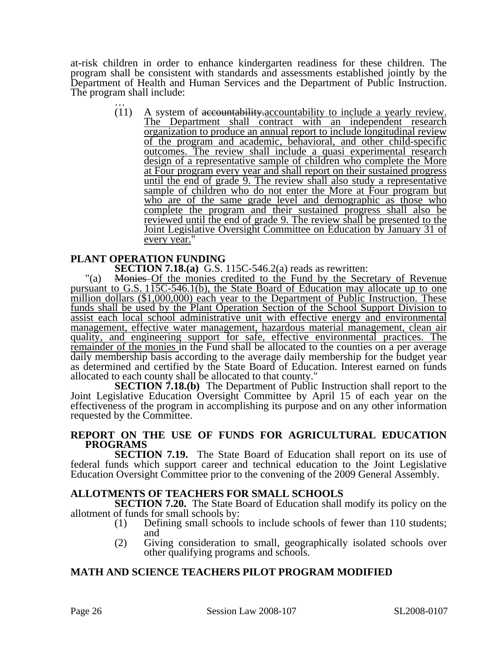at-risk children in order to enhance kindergarten readiness for these children. The program shall be consistent with standards and assessments established jointly by the Department of Health and Human Services and the Department of Public Instruction. The program shall include:<br> $(11)$  A system

A system of accountability.accountability to include a yearly review. The Department shall contract with an independent research organization to produce an annual report to include longitudinal review of the program and academic, behavioral, and other child-specific outcomes. The review shall include a quasi experimental research design of a representative sample of children who complete the More at Four program every year and shall report on their sustained progress until the end of grade 9. The review shall also study a representative sample of children who do not enter the More at Four program but who are of the same grade level and demographic as those who complete the program and their sustained progress shall also be reviewed until the end of grade 9. The review shall be presented to the Joint Legislative Oversight Committee on Education by January 31 of every year."

#### **PLANT OPERATION FUNDING**

**SECTION 7.18.(a)** G.S. 115C-546.2(a) reads as rewritten:

"(a) Monies Of the monies credited to the Fund by the Secretary of Revenue pursuant to G.S. 115C-546.1(b), the State Board of Education may allocate up to one million dollars (\$1,000,000) each year to the Department of Public Instruction. These funds shall be used by the Plant Operation Section of the School Support Division to assist each local school administrative unit with effective energy and environmental management, effective water management, hazardous material management, clean air quality, and engineering support for safe, effective environmental practices. The remainder of the monies in the Fund shall be allocated to the counties on a per average daily membership basis according to the average daily membership for the budget year as determined and certified by the State Board of Education. Interest earned on funds allocated to each county shall be allocated to that county."

**SECTION 7.18.(b)** The Department of Public Instruction shall report to the Joint Legislative Education Oversight Committee by April 15 of each year on the effectiveness of the program in accomplishing its purpose and on any other information requested by the Committee.

#### **REPORT ON THE USE OF FUNDS FOR AGRICULTURAL EDUCATION PROGRAMS**

**SECTION 7.19.** The State Board of Education shall report on its use of federal funds which support career and technical education to the Joint Legislative Education Oversight Committee prior to the convening of the 2009 General Assembly.

#### **ALLOTMENTS OF TEACHERS FOR SMALL SCHOOLS**

**SECTION 7.20.** The State Board of Education shall modify its policy on the allotment of funds for small schools by:

- (1) Defining small schools to include schools of fewer than 110 students; and
- (2) Giving consideration to small, geographically isolated schools over other qualifying programs and schools.

### **MATH AND SCIENCE TEACHERS PILOT PROGRAM MODIFIED**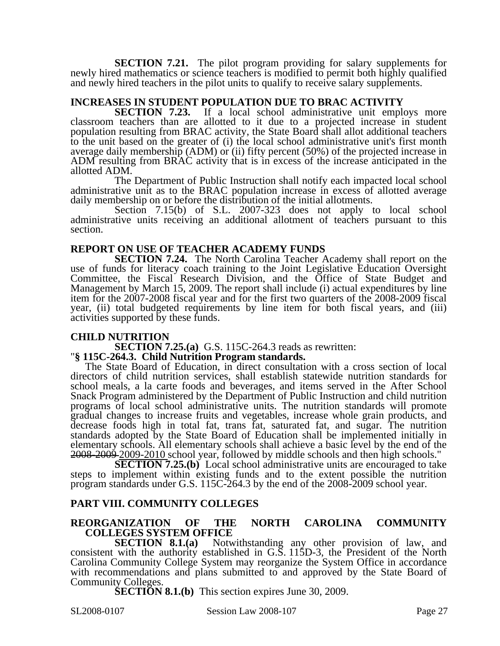**SECTION 7.21.** The pilot program providing for salary supplements for newly hired mathematics or science teachers is modified to permit both highly qualified and newly hired teachers in the pilot units to qualify to receive salary supplements.

# **INCREASES IN STUDENT POPULATION DUE TO BRAC ACTIVITY**

**SECTION 7.23.** If a local school administrative unit employs more classroom teachers than are allotted to it due to a projected increase in student population resulting from BRAC activity, the State Board shall allot additional teachers to the unit based on the greater of (i) the local school administrative unit's first month average daily membership (ADM) or (ii) fifty percent (50%) of the projected increase in ADM resulting from BRAC activity that is in excess of the increase anticipated in the allotted ADM.

The Department of Public Instruction shall notify each impacted local school administrative unit as to the BRAC population increase in excess of allotted average daily membership on or before the distribution of the initial allotments.

Section 7.15(b) of S.L. 2007-323 does not apply to local school administrative units receiving an additional allotment of teachers pursuant to this section.

#### **REPORT ON USE OF TEACHER ACADEMY FUNDS**

**SECTION 7.24.** The North Carolina Teacher Academy shall report on the use of funds for literacy coach training to the Joint Legislative Education Oversight Committee, the Fiscal Research Division, and the Office of State Budget and Management by March 15, 2009. The report shall include (i) actual expenditures by line item for the 2007-2008 fiscal year and for the first two quarters of the 2008-2009 fiscal year, (ii) total budgeted requirements by line item for both fiscal years, and (iii) activities supported by these funds.

**CHILD NUTRITION**<br>**SECTION 7.25.(a)** G.S. 115C-264.3 reads as rewritten:

# **''§ 115C-264.3. Child Nutrition Program standards.**

The State Board of Education, in direct consultation with a cross section of local directors of child nutrition services, shall establish statewide nutrition standards for school meals, a la carte foods and beverages, and items served in the After School Snack Program administered by the Department of Public Instruction and child nutrition programs of local school administrative units. The nutrition standards will promote gradual changes to increase fruits and vegetables, increase whole grain products, and decrease foods high in total fat, trans fat, saturated fat, and sugar. The nutrition standards adopted by the State Board of Education shall be implemented initially in elementary schools. All elementary schools shall achieve a basic level by the end of the 2008-2009 2009-2010 school year, followed by middle schools and then high schools."

**SECTION 7.25.(b)** Local school administrative units are encouraged to take steps to implement within existing funds and to the extent possible the nutrition program standards under G.S. 115C-264.3 by the end of the 2008-2009 school year.

### **PART VIII. COMMUNITY COLLEGES**

#### **REORGANIZATION OF THE NORTH CAROLINA COMMUNITY COLLEGES SYSTEM OFFICE**

**SECTION 8.1.(a)** Notwithstanding any other provision of law, and consistent with the authority established in G.S. 115D-3, the President of the North Carolina Community College System may reorganize the System Office in accordance with recommendations and plans submitted to and approved by the State Board of Community Colleges.

**SECTION 8.1.(b)** This section expires June 30, 2009.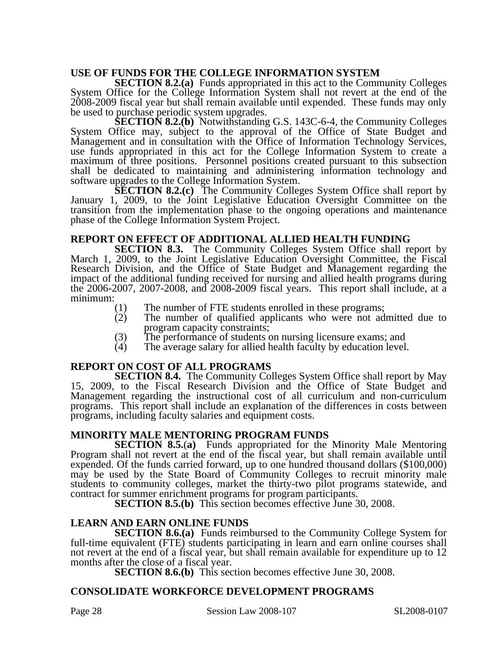# **USE OF FUNDS FOR THE COLLEGE INFORMATION SYSTEM**

**SECTION 8.2.(a)** Funds appropriated in this act to the Community Colleges System Office for the College Information System shall not revert at the end of the 2008-2009 fiscal year but shall remain available until expended. These funds may only be used to purchase periodic system upgrades.

**SECTION 8.2.(b)** Notwithstanding G.S. 143C-6-4, the Community Colleges System Office may, subject to the approval of the Office of State Budget and Management and in consultation with the Office of Information Technology Services, use funds appropriated in this act for the College Information System to create a maximum of three positions. Personnel positions created pursuant to this subsection shall be dedicated to maintaining and administering information technology and software upgrades to the College Information System.

**SECTION 8.2.(c)** The Community Colleges System Office shall report by January 1, 2009, to the Joint Legislative Education Oversight Committee on the transition from the implementation phase to the ongoing operations and maintenance phase of the College Information System Project.

### **REPORT ON EFFECT OF ADDITIONAL ALLIED HEALTH FUNDING**

**SECTION 8.3.** The Community Colleges System Office shall report by March 1, 2009, to the Joint Legislative Education Oversight Committee, the Fiscal Research Division, and the Office of State Budget and Management regarding the impact of the additional funding received for nursing and allied health programs during the 2006-2007, 2007-2008, and 2008-2009 fiscal years. This report shall include, at a minimum:

- (1) The number of FTE students enrolled in these programs;<br>(2) The number of qualified applicants who were not ad
- The number of qualified applicants who were not admitted due to program capacity constraints;
- (3) The performance of students on nursing licensure exams; and (4) The average salary for allied health faculty by education level.
- The average salary for allied health faculty by education level.

### **REPORT ON COST OF ALL PROGRAMS**

**SECTION 8.4.** The Community Colleges System Office shall report by May 15, 2009, to the Fiscal Research Division and the Office of State Budget and Management regarding the instructional cost of all curriculum and non-curriculum programs. This report shall include an explanation of the differences in costs between programs, including faculty salaries and equipment costs.

### **MINORITY MALE MENTORING PROGRAM FUNDS**

**SECTION 8.5.(a)** Funds appropriated for the Minority Male Mentoring Program shall not revert at the end of the fiscal year, but shall remain available until expended. Of the funds carried forward, up to one hundred thousand dollars (\$100,000) may be used by the State Board of Community Colleges to recruit minority male students to community colleges, market the thirty-two pilot programs statewide, and contract for summer enrichment programs for program participants.

**SECTION 8.5.(b)** This section becomes effective June 30, 2008.

### **LEARN AND EARN ONLINE FUNDS**

**SECTION 8.6.(a)** Funds reimbursed to the Community College System for full-time equivalent (FTE) students participating in learn and earn online courses shall not revert at the end of a fiscal year, but shall remain available for expenditure up to 12 months after the close of a fiscal year.

**SECTION 8.6.(b)** This section becomes effective June 30, 2008.

### **CONSOLIDATE WORKFORCE DEVELOPMENT PROGRAMS**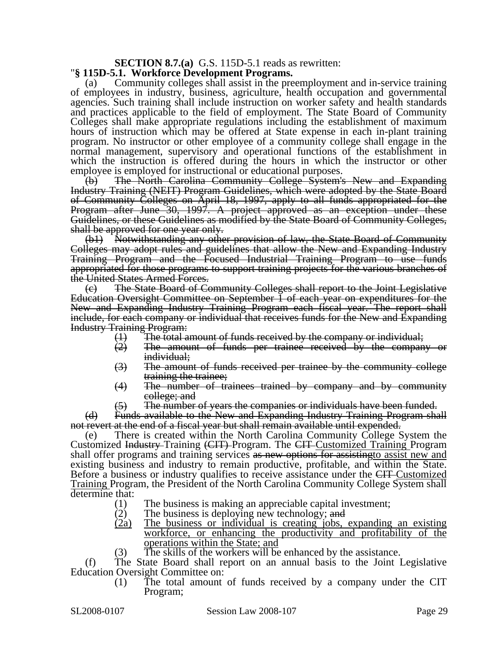# **SECTION 8.7.(a)** G.S. 115D-5.1 reads as rewritten: "**§ 115D-5.1. Workforce Development Programs.**

Community colleges shall assist in the preemployment and in-service training of employees in industry, business, agriculture, health occupation and governmental agencies. Such training shall include instruction on worker safety and health standards and practices applicable to the field of employment. The State Board of Community Colleges shall make appropriate regulations including the establishment of maximum hours of instruction which may be offered at State expense in each in-plant training program. No instructor or other employee of a community college shall engage in the normal management, supervisory and operational functions of the establishment in which the instruction is offered during the hours in which the instructor or other employee is employed for instructional or educational purposes.

(b) The North Carolina Community College System's New and Expanding Industry Training (NEIT) Program Guidelines, which were adopted by the State Board of Community Colleges on April 18, 1997, apply to all funds appropriated for the Program after June 30, 1997. A project approved as an exception under these Guidelines, or these Guidelines as modified by the State Board of Community Colleges, shall be approved for one year only.

(b1) Notwithstanding any other provision of law, the State Board of Community Colleges may adopt rules and guidelines that allow the New and Expanding Industry Training Program and the Focused Industrial Training Program to use funds appropriated for those programs to support training projects for the various branches of the United States Armed Forces.

(c) The State Board of Community Colleges shall report to the Joint Legislative Education Oversight Committee on September 1 of each year on expenditures for the New and Expanding Industry Training Program each fiscal year. The report shall include, for each company or individual that receives funds for the New and Expanding Industry Training Program:

- $(1)$  The total amount of funds received by the company or individual;<br> $(2)$  The amount of funds per trainee received by the compan
- The amount of funds per trainee received by the company or individual;
- (3) The amount of funds received per trainee by the community college training the trainee;
- (4) The number of trainees trained by company and by community college; and
- (5) The number of years the companies or individuals have been funded.

(d) Funds available to the New and Expanding Industry Training Program shall not revert at the end of a fiscal year but shall remain available until expended.

(e) There is created within the North Carolina Community College System the Customized Industry Training (CIT) Program. The CIT Customized Training Program shall offer programs and training services as new options for assisting to assist new and existing business and industry to remain productive, profitable, and within the State. Before a business or industry qualifies to receive assistance under the CIT-Customized Training Program, the President of the North Carolina Community College System shall determine that:

- (1) The business is making an appreciable capital investment;
- (2) The business is deploying new technology; and
- (2a) The business or individual is creating jobs, expanding an existing workforce, or enhancing the productivity and profitability of the operations within the State; and
- (3) The skills of the workers will be enhanced by the assistance.

(f) The State Board shall report on an annual basis to the Joint Legislative Education Oversight Committee on:

(1) The total amount of funds received by a company under the CIT Program;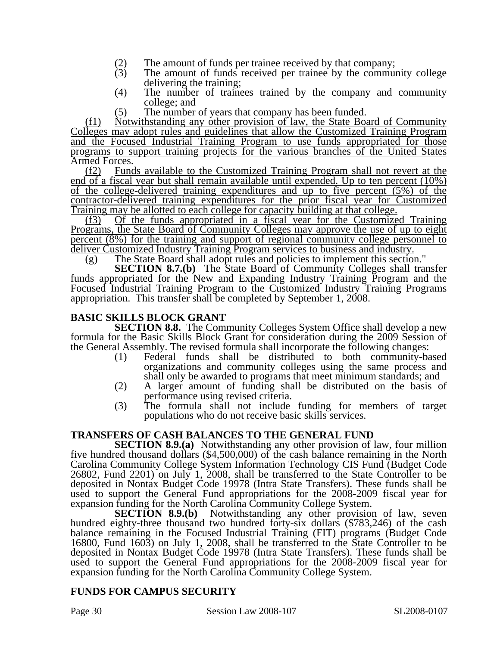- 
- (2) The amount of funds per trainee received by that company;<br>(3) The amount of funds received per trainee by the communi The amount of funds received per trainee by the community college delivering the training;
- (4) The number of trainees trained by the company and community college; and
- (5) The number of years that company has been funded.

(f1) Notwithstanding any other provision of law, the State Board of Community Colleges may adopt rules and guidelines that allow the Customized Training Program and the Focused Industrial Training Program to use funds appropriated for those programs to support training projects for the various branches of the United States

**Armed Forces.**<br>(<u>f2</u>) Fund Funds available to the Customized Training Program shall not revert at the end of a fiscal year but shall remain available until expended. Up to ten percent (10%) of the college-delivered training expenditures and up to five percent (5%) of the contractor-delivered training expenditures for the prior fiscal year for Customized Training may be allotted to each college for capacity building at that college.

(f3) Of the funds appropriated in a fiscal year for the Customized Training Programs, the State Board of Community Colleges may approve the use of up to eight percent (8%) for the training and support of regional community college personnel to deliver Customized Industry Training Program services to business and industry.

(g) The State Board shall adopt rules and policies to implement this section."

**SECTION 8.7.(b)** The State Board of Community Colleges shall transfer funds appropriated for the New and Expanding Industry Training Program and the Focused Industrial Training Program to the Customized Industry Training Programs appropriation. This transfer shall be completed by September 1, 2008.

### **BASIC SKILLS BLOCK GRANT**

**SECTION 8.8.** The Community Colleges System Office shall develop a new formula for the Basic Skills Block Grant for consideration during the 2009 Session of the General Assembly. The revised formula shall incorporate the following changes:

- (1) Federal funds shall be distributed to both community-based organizations and community colleges using the same process and shall only be awarded to programs that meet minimum standards; and
- (2) A larger amount of funding shall be distributed on the basis of performance using revised criteria.
- (3) The formula shall not include funding for members of target populations who do not receive basic skills services.

#### **TRANSFERS OF CASH BALANCES TO THE GENERAL FUND**

**SECTION 8.9.(a)** Notwithstanding any other provision of law, four million five hundred thousand dollars (\$4,500,000) of the cash balance remaining in the North Carolina Community College System Information Technology CIS Fund (Budget Code 26802, Fund 2201) on July 1, 2008, shall be transferred to the State Controller to be deposited in Nontax Budget Code 19978 (Intra State Transfers). These funds shall be used to support the General Fund appropriations for the 2008-2009 fiscal year for expansion funding for the North Carolina Community College System.

**SECTION 8.9.(b)** Notwithstanding any other provision of law, seven hundred eighty-three thousand two hundred forty-six dollars (\$783,246) of the cash balance remaining in the Focused Industrial Training (FIT) programs (Budget Code 16800, Fund 1603) on July 1, 2008, shall be transferred to the State Controller to be deposited in Nontax Budget Code 19978 (Intra State Transfers). These funds shall be used to support the General Fund appropriations for the 2008-2009 fiscal year for expansion funding for the North Carolina Community College System.

### **FUNDS FOR CAMPUS SECURITY**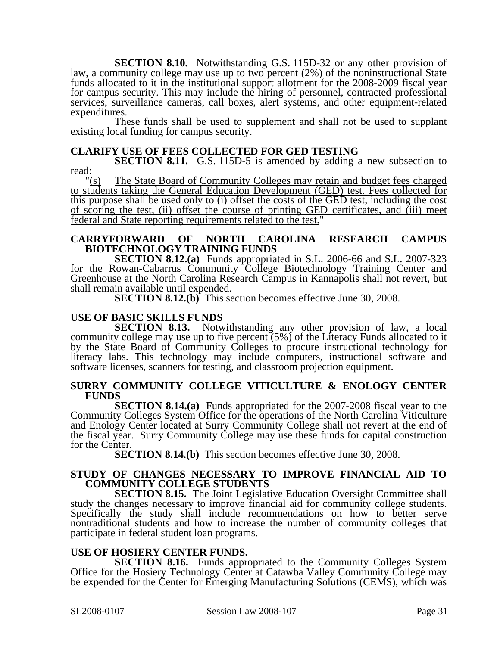**SECTION 8.10.** Notwithstanding G.S. 115D-32 or any other provision of law, a community college may use up to two percent (2%) of the noninstructional State funds allocated to it in the institutional support allotment for the 2008-2009 fiscal year for campus security. This may include the hiring of personnel, contracted professional services, surveillance cameras, call boxes, alert systems, and other equipment-related expenditures.

These funds shall be used to supplement and shall not be used to supplant existing local funding for campus security.

#### **CLARIFY USE OF FEES COLLECTED FOR GED TESTING**

**SECTION 8.11.** G.S. 115D-5 is amended by adding a new subsection to read:  $\frac{r}{s}$ 

The State Board of Community Colleges may retain and budget fees charged to students taking the General Education Development (GED) test. Fees collected for this purpose shall be used only to (i) offset the costs of the GED test, including the cost of scoring the test, (ii) offset the course of printing GED certificates, and (iii) meet federal and State reporting requirements related to the test."

#### **CARRYFORWARD OF NORTH CAROLINA RESEARCH CAMPUS BIOTECHNOLOGY TRAINING FUNDS**

**SECTION 8.12.(a)** Funds appropriated in S.L. 2006-66 and S.L. 2007-323 for the Rowan-Cabarrus Community College Biotechnology Training Center and Greenhouse at the North Carolina Research Campus in Kannapolis shall not revert, but shall remain available until expended.

**SECTION 8.12.(b)** This section becomes effective June 30, 2008.

#### **USE OF BASIC SKILLS FUNDS**

**SECTION 8.13.** Notwithstanding any other provision of law, a local community college may use up to five percent (5%) of the Literacy Funds allocated to it by the State Board of Community Colleges to procure instructional technology for literacy labs. This technology may include computers, instructional software and software licenses, scanners for testing, and classroom projection equipment.

#### **SURRY COMMUNITY COLLEGE VITICULTURE & ENOLOGY CENTER FUNDS**

**SECTION 8.14.(a)** Funds appropriated for the 2007-2008 fiscal year to the Community Colleges System Office for the operations of the North Carolina Viticulture and Enology Center located at Surry Community College shall not revert at the end of the fiscal year. Surry Community College may use these funds for capital construction for the Center.

**SECTION 8.14.(b)** This section becomes effective June 30, 2008.

#### **STUDY OF CHANGES NECESSARY TO IMPROVE FINANCIAL AID TO COMMUNITY COLLEGE STUDENTS**

**SECTION 8.15.** The Joint Legislative Education Oversight Committee shall study the changes necessary to improve financial aid for community college students. Specifically the study shall include recommendations on how to better serve nontraditional students and how to increase the number of community colleges that participate in federal student loan programs.

#### **USE OF HOSIERY CENTER FUNDS.**

**SECTION 8.16.** Funds appropriated to the Community Colleges System Office for the Hosiery Technology Center at Catawba Valley Community College may be expended for the Center for Emerging Manufacturing Solutions (CEMS), which was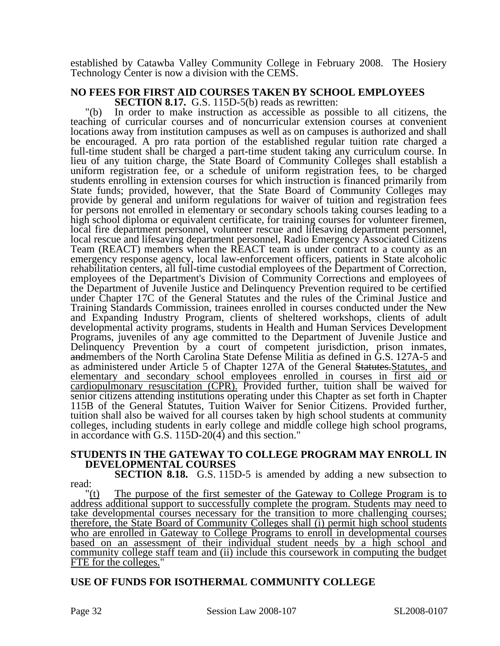established by Catawba Valley Community College in February 2008. The Hosiery Technology Center is now a division with the CEMS.

#### **NO FEES FOR FIRST AID COURSES TAKEN BY SCHOOL EMPLOYEES SECTION 8.17.** G.S. 115D-5(b) reads as rewritten:

"(b) In order to make instruction as accessible as possible to all citizens, the teaching of curricular courses and of noncurricular extension courses at convenient locations away from institution campuses as well as on campuses is authorized and shall be encouraged. A pro rata portion of the established regular tuition rate charged a full-time student shall be charged a part-time student taking any curriculum course. In lieu of any tuition charge, the State Board of Community Colleges shall establish a uniform registration fee, or a schedule of uniform registration fees, to be charged students enrolling in extension courses for which instruction is financed primarily from State funds; provided, however, that the State Board of Community Colleges may provide by general and uniform regulations for waiver of tuition and registration fees for persons not enrolled in elementary or secondary schools taking courses leading to a high school diploma or equivalent certificate, for training courses for volunteer firemen, local fire department personnel, volunteer rescue and lifesaving department personnel, local rescue and lifesaving department personnel, Radio Emergency Associated Citizens Team (REACT) members when the REACT team is under contract to a county as an emergency response agency, local law-enforcement officers, patients in State alcoholic rehabilitation centers, all full-time custodial employees of the Department of Correction, employees of the Department's Division of Community Corrections and employees of the Department of Juvenile Justice and Delinquency Prevention required to be certified under Chapter 17C of the General Statutes and the rules of the Criminal Justice and Training Standards Commission, trainees enrolled in courses conducted under the New and Expanding Industry Program, clients of sheltered workshops, clients of adult developmental activity programs, students in Health and Human Services Development Programs, juveniles of any age committed to the Department of Juvenile Justice and Delinquency Prevention by a court of competent jurisdiction, prison inmates, andmembers of the North Carolina State Defense Militia as defined in G.S. 127A-5 and as administered under Article 5 of Chapter 127A of the General Statutes. Statutes, and elementary and secondary school employees enrolled in courses in first aid or cardiopulmonary resuscitation (CPR). Provided further, tuition shall be waived for senior citizens attending institutions operating under this Chapter as set forth in Chapter 115B of the General Statutes, Tuition Waiver for Senior Citizens. Provided further, tuition shall also be waived for all courses taken by high school students at community colleges, including students in early college and middle college high school programs, in accordance with G.S. 115D-20(4) and this section."

#### **STUDENTS IN THE GATEWAY TO COLLEGE PROGRAM MAY ENROLL IN DEVELOPMENTAL COURSES**

**SECTION 8.18.** G.S. 115D-5 is amended by adding a new subsection to read:

 $f(t)$  The purpose of the first semester of the Gateway to College Program is to address additional support to successfully complete the program. Students may need to take developmental courses necessary for the transition to more challenging courses; therefore, the State Board of Community Colleges shall (i) permit high school students who are enrolled in Gateway to College Programs to enroll in developmental courses based on an assessment of their individual student needs by a high school and community college staff team and (ii) include this coursework in computing the budget FTE for the colleges."

# **USE OF FUNDS FOR ISOTHERMAL COMMUNITY COLLEGE**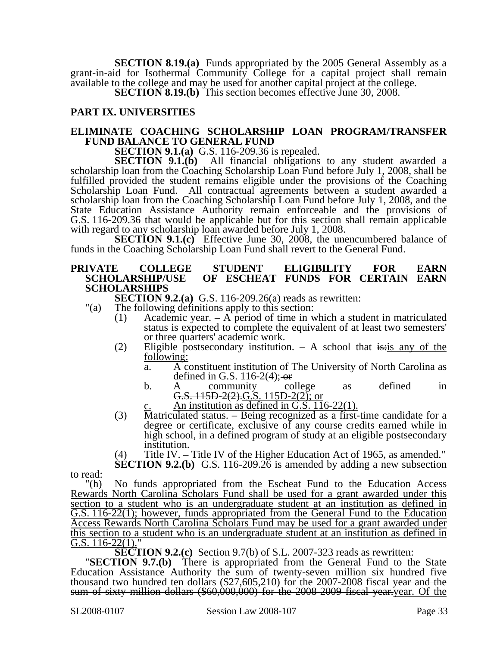**SECTION 8.19.(a)** Funds appropriated by the 2005 General Assembly as a grant-in-aid for Isothermal Community College for a capital project shall remain available to the college and may be used for another capital project at the college.

**SECTION 8.19.(b)** This section becomes effective June 30, 2008.

# **PART IX. UNIVERSITIES**

#### **ELIMINATE COACHING SCHOLARSHIP LOAN PROGRAM/TRANSFER FUND BALANCE TO GENERAL FUND**

**SECTION 9.1.(a)** G.S. 116-209.36 is repealed.

**SECTION 9.1.(b)** All financial obligations to any student awarded a scholarship loan from the Coaching Scholarship Loan Fund before July 1, 2008, shall be fulfilled provided the student remains eligible under the provisions of the Coaching Scholarship Loan Fund. All contractual agreements between a student awarded a scholarship loan from the Coaching Scholarship Loan Fund before July 1, 2008, and the State Education Assistance Authority remain enforceable and the provisions of G.S. 116-209.36 that would be applicable but for this section shall remain applicable with regard to any scholarship loan awarded before July 1, 2008.

**SECTION 9.1.(c)** Effective June 30, 2008, the unencumbered balance of funds in the Coaching Scholarship Loan Fund shall revert to the General Fund.

#### **PRIVATE COLLEGE STUDENT ELIGIBILITY FOR EARN**  OF ESCHEAT FUNDS FOR CERTAIN EARN **SCHOLARSHIPS**

**SECTION 9.2.(a)** G.S. 116-209.26(a) reads as rewritten:

- "(a) The following definitions apply to this section:
	- (1) Academic year. A period of time in which a student in matriculated status is expected to complete the equivalent of at least two semesters' or three quarters' academic work.
	- (2) Eligible postsecondary institution.  $-$  A school that is: is any of the following:
		- a. A constituent institution of The University of North Carolina as defined in G.S. 116-2(4); or
		- b. A community college as defined in G.S.  $115D-2(2)$ .G.S.  $115D-2(2)$ ; or
			- An institution as defined in G.S. 116-22(1).
	- (3) Matriculated status. Being recognized as a first-time candidate for a degree or certificate, exclusive of any course credits earned while in high school, in a defined program of study at an eligible postsecondary institution.

(4) Title IV. – Title IV of the Higher Education Act of 1965, as amended." **SECTION 9.2.(b)** G.S. 116-209.26 is amended by adding a new subsection

to read:

"(h) No funds appropriated from the Escheat Fund to the Education Access Rewards North Carolina Scholars Fund shall be used for a grant awarded under this section to a student who is an undergraduate student at an institution as defined in G.S. 116-22(1); however, funds appropriated from the General Fund to the Education Access Rewards North Carolina Scholars Fund may be used for a grant awarded under this section to a student who is an undergraduate student at an institution as defined in G.S.  $116-22(1)$ ."<br>**SECTION 9.2.(c)** Section 9.7(b) of S.L. 2007-323 reads as rewritten:

**SECTION 9.7.(b)** There is appropriated from the General Fund to the State Education Assistance Authority the sum of twenty-seven million six hundred five thousand two hundred ten dollars (\$27,605,210) for the 2007-2008 fiscal <del>year and the sum of sixty million dollars (\$60,000,000) for the 2008-2009 fiscal year.year. Of the</del>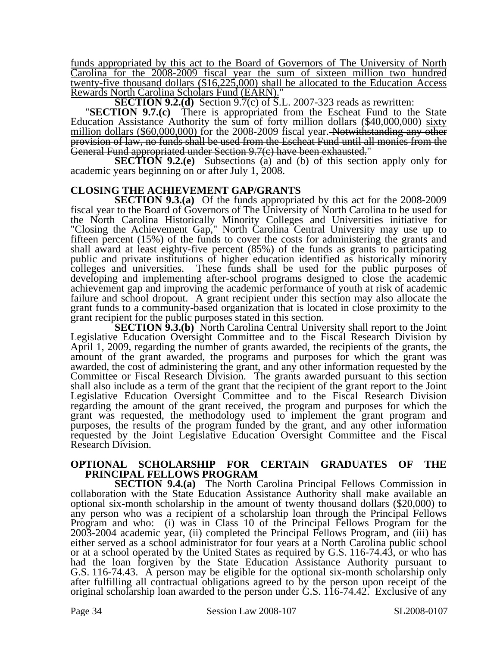funds appropriated by this act to the Board of Governors of The University of North Carolina for the 2008-2009 fiscal year the sum of sixteen million two hundred twenty-five thousand dollars (\$16,225,000) shall be allocated to the Education Access

Rewards North Carolina Scholars Fund (EARN)."<br>SECTION 9.2.(d) Section 9.7(c) of S.L. 2007-323 reads as rewritten:

"**SECTION 9.7.(c)** There is appropriated from the Escheat Fund to the State Education Assistance Authority the sum of <del>forty million dollars (\$40,000,000)</del> sixty million dollars (\$60,000,000) for the 2008-2009 fiscal year. Notwithstanding any other provision of law, no funds shall be used from the Escheat Fund until all monies from the General Fund appropriated under Section 9.7(c) have been exhausted."

**SECTION 9.2.(e)** Subsections (a) and (b) of this section apply only for academic years beginning on or after July 1, 2008.

#### **CLOSING THE ACHIEVEMENT GAP/GRANTS**

**SECTION 9.3.(a)** Of the funds appropriated by this act for the 2008-2009 fiscal year to the Board of Governors of The University of North Carolina to be used for the North Carolina Historically Minority Colleges and Universities initiative for "Closing the Achievement Gap," North Carolina Central University may use up to fifteen percent (15%) of the funds to cover the costs for administering the grants and shall award at least eighty-five percent (85%) of the funds as grants to participating public and private institutions of higher education identified as historically minority colleges and universities. These funds shall be used for the public purposes of developing and implementing after-school programs designed to close the academic achievement gap and improving the academic performance of youth at risk of academic failure and school dropout. A grant recipient under this section may also allocate the grant funds to a community-based organization that is located in close proximity to the grant recipient for the public purposes stated in this section.

**SECTION 9.3.(b)** North Carolina Central University shall report to the Joint Legislative Education Oversight Committee and to the Fiscal Research Division by April 1, 2009, regarding the number of grants awarded, the recipients of the grants, the amount of the grant awarded, the programs and purposes for which the grant was awarded, the cost of administering the grant, and any other information requested by the Committee or Fiscal Research Division. The grants awarded pursuant to this section shall also include as a term of the grant that the recipient of the grant report to the Joint Legislative Education Oversight Committee and to the Fiscal Research Division regarding the amount of the grant received, the program and purposes for which the grant was requested, the methodology used to implement the grant program and purposes, the results of the program funded by the grant, and any other information requested by the Joint Legislative Education Oversight Committee and the Fiscal Research Division.

#### **OPTIONAL SCHOLARSHIP FOR CERTAIN GRADUATES OF THE PRINCIPAL FELLOWS PROGRAM**

**SECTION 9.4.(a)** The North Carolina Principal Fellows Commission in collaboration with the State Education Assistance Authority shall make available an optional six-month scholarship in the amount of twenty thousand dollars (\$20,000) to any person who was a recipient of a scholarship loan through the Principal Fellows Program and who: (i) was in Class 10 of the Principal Fellows Program for the 2003-2004 academic year, (ii) completed the Principal Fellows Program, and (iii) has either served as a school administrator for four years at a North Carolina public school or at a school operated by the United States as required by G.S. 116-74.43, or who has had the loan forgiven by the State Education Assistance Authority pursuant to G.S. 116-74.43. A person may be eligible for the optional six-month scholarship only after fulfilling all contractual obligations agreed to by the person upon receipt of the original scholarship loan awarded to the person under G.S. 116-74.42. Exclusive of any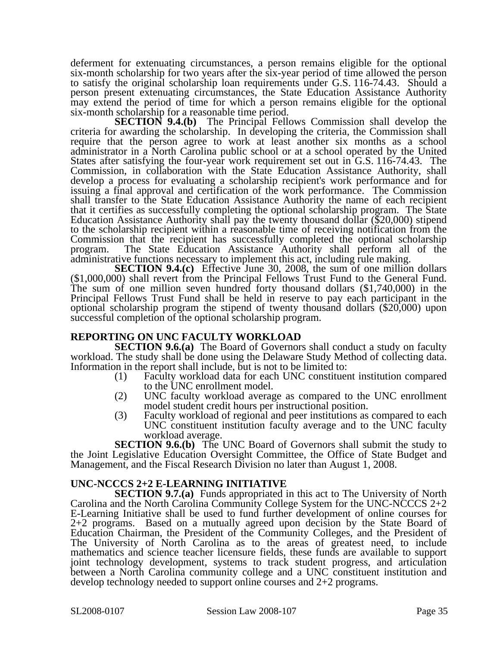deferment for extenuating circumstances, a person remains eligible for the optional six-month scholarship for two years after the six-year period of time allowed the person to satisfy the original scholarship loan requirements under G.S. 116-74.43. Should a person present extenuating circumstances, the State Education Assistance Authority may extend the period of time for which a person remains eligible for the optional six-month scholarship for a reasonable time period.

**SECTION 9.4.(b)** The Principal Fellows Commission shall develop the criteria for awarding the scholarship. In developing the criteria, the Commission shall require that the person agree to work at least another six months as a school administrator in a North Carolina public school or at a school operated by the United States after satisfying the four-year work requirement set out in G.S. 116-74.43. The Commission, in collaboration with the State Education Assistance Authority, shall develop a process for evaluating a scholarship recipient's work performance and for issuing a final approval and certification of the work performance. The Commission shall transfer to the State Education Assistance Authority the name of each recipient that it certifies as successfully completing the optional scholarship program. The State Education Assistance Authority shall pay the twenty thousand dollar (\$20,000) stipend to the scholarship recipient within a reasonable time of receiving notification from the Commission that the recipient has successfully completed the optional scholarship program. The State Education Assistance Authority shall perform all of the administrative functions necessary to implement this act, including rule making.

**SECTION 9.4.(c)** Effective June 30, 2008, the sum of one million dollars (\$1,000,000) shall revert from the Principal Fellows Trust Fund to the General Fund. The sum of one million seven hundred forty thousand dollars (\$1,740,000) in the Principal Fellows Trust Fund shall be held in reserve to pay each participant in the optional scholarship program the stipend of twenty thousand dollars (\$20,000) upon successful completion of the optional scholarship program.

# **REPORTING ON UNC FACULTY WORKLOAD**

**SECTION 9.6.(a)** The Board of Governors shall conduct a study on faculty workload. The study shall be done using the Delaware Study Method of collecting data. Information in the report shall include, but is not to be limited to:

- (1) Faculty workload data for each UNC constituent institution compared to the UNC enrollment model.
- (2) UNC faculty workload average as compared to the UNC enrollment model student credit hours per instructional position.
- (3) Faculty workload of regional and peer institutions as compared to each UNC constituent institution faculty average and to the UNC faculty workload average.

**SECTION 9.6.(b)** The UNC Board of Governors shall submit the study to the Joint Legislative Education Oversight Committee, the Office of State Budget and Management, and the Fiscal Research Division no later than August 1, 2008.

# **UNC-NCCCS 2+2 E-LEARNING INITIATIVE**

**SECTION 9.7.(a)** Funds appropriated in this act to The University of North Carolina and the North Carolina Community College System for the UNC-NCCCS 2+2 E-Learning Initiative shall be used to fund further development of online courses for 2+2 programs. Based on a mutually agreed upon decision by the State Board of Education Chairman, the President of the Community Colleges, and the President of The University of North Carolina as to the areas of greatest need, to include mathematics and science teacher licensure fields, these funds are available to support joint technology development, systems to track student progress, and articulation between a North Carolina community college and a UNC constituent institution and develop technology needed to support online courses and 2+2 programs.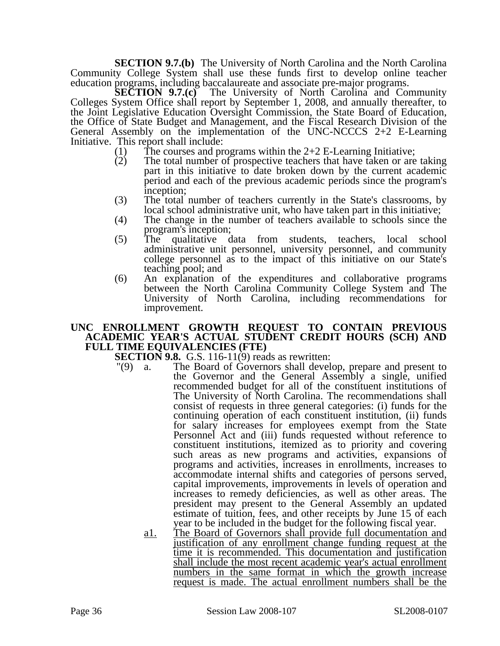**SECTION 9.7.(b)** The University of North Carolina and the North Carolina Community College System shall use these funds first to develop online teacher education programs, including baccalaureate and associate pre-major programs.

**SECTION 9.7.(c)** The University of North Carolina and Community Colleges System Office shall report by September 1, 2008, and annually thereafter, to the Joint Legislative Education Oversight Commission, the State Board of Education, the Office of State Budget and Management, and the Fiscal Research Division of the General Assembly on the implementation of the UNC-NCCCS 2+2 E-Learning Initiative. This report shall include:

- 
- (1) The courses and programs within the  $2+2$  E-Learning Initiative;<br>(2) The total number of prospective teachers that have taken or are The total number of prospective teachers that have taken or are taking part in this initiative to date broken down by the current academic period and each of the previous academic periods since the program's inception;
- (3) The total number of teachers currently in the State's classrooms, by local school administrative unit, who have taken part in this initiative;
- (4) The change in the number of teachers available to schools since the program's inception;
- (5) The qualitative data from students, teachers, local school administrative unit personnel, university personnel, and community college personnel as to the impact of this initiative on our State's teaching pool; and
- (6) An explanation of the expenditures and collaborative programs between the North Carolina Community College System and The University of North Carolina, including recommendations for improvement.

#### **UNC ENROLLMENT GROWTH REQUEST TO CONTAIN PREVIOUS ACADEMIC YEAR'S ACTUAL STUDENT CREDIT HOURS (SCH) AND FULL TIME EQUIVALENCIES (FTE)**

**SECTION 9.8.** G.S. 116-11(9) reads as rewritten:

- "(9) a. The Board of Governors shall develop, prepare and present to the Governor and the General Assembly a single, unified recommended budget for all of the constituent institutions of The University of North Carolina. The recommendations shall consist of requests in three general categories: (i) funds for the continuing operation of each constituent institution, (ii) funds for salary increases for employees exempt from the State Personnel Act and (iii) funds requested without reference to constituent institutions, itemized as to priority and covering such areas as new programs and activities, expansions of programs and activities, increases in enrollments, increases to accommodate internal shifts and categories of persons served, capital improvements, improvements in levels of operation and increases to remedy deficiencies, as well as other areas. The president may present to the General Assembly an updated estimate of tuition, fees, and other receipts by June 15 of each year to be included in the budget for the following fiscal year.
	- a1. The Board of Governors shall provide full documentation and justification of any enrollment change funding request at the time it is recommended. This documentation and justification shall include the most recent academic year's actual enrollment numbers in the same format in which the growth increase request is made. The actual enrollment numbers shall be the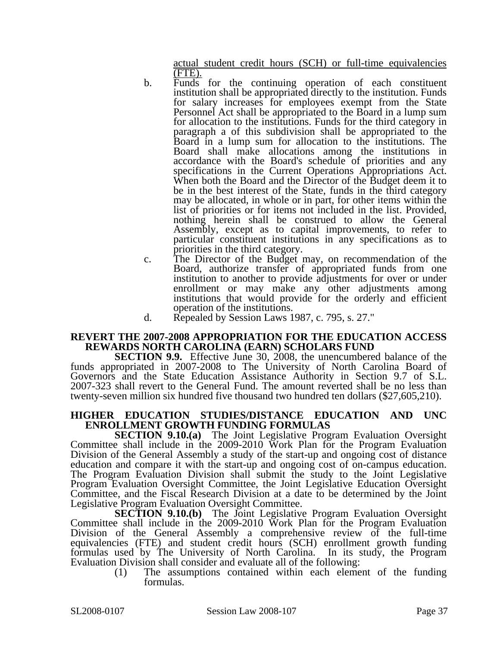actual student credit hours (SCH) or full-time equivalencies  $(\underline{FTE})$ .

- b. Funds for the continuing operation of each constituent institution shall be appropriated directly to the institution. Funds for salary increases for employees exempt from the State Personnel Act shall be appropriated to the Board in a lump sum for allocation to the institutions. Funds for the third category in paragraph a of this subdivision shall be appropriated to the Board in a lump sum for allocation to the institutions. The Board shall make allocations among the institutions in accordance with the Board's schedule of priorities and any specifications in the Current Operations Appropriations Act. When both the Board and the Director of the Budget deem it to be in the best interest of the State, funds in the third category may be allocated, in whole or in part, for other items within the list of priorities or for items not included in the list. Provided, nothing herein shall be construed to allow the General Assembly, except as to capital improvements, to refer to particular constituent institutions in any specifications as to priorities in the third category.
- c. The Director of the Budget may, on recommendation of the Board, authorize transfer of appropriated funds from one institution to another to provide adjustments for over or under enrollment or may make any other adjustments among institutions that would provide for the orderly and efficient operation of the institutions.
- d. Repealed by Session Laws 1987, c. 795, s. 27."

#### **REVERT THE 2007-2008 APPROPRIATION FOR THE EDUCATION ACCESS REWARDS NORTH CAROLINA (EARN) SCHOLARS FUND**

**SECTION 9.9.** Effective June 30, 2008, the unencumbered balance of the funds appropriated in 2007-2008 to The University of North Carolina Board of Governors and the State Education Assistance Authority in Section 9.7 of S.L. 2007-323 shall revert to the General Fund. The amount reverted shall be no less than twenty-seven million six hundred five thousand two hundred ten dollars (\$27,605,210).

#### **HIGHER EDUCATION STUDIES/DISTANCE EDUCATION AND UNC ENROLLMENT GROWTH FUNDING FORMULAS**

**SECTION 9.10.(a)** The Joint Legislative Program Evaluation Oversight Committee shall include in the 2009-2010 Work Plan for the Program Evaluation Division of the General Assembly a study of the start-up and ongoing cost of distance education and compare it with the start-up and ongoing cost of on-campus education. The Program Evaluation Division shall submit the study to the Joint Legislative Program Evaluation Oversight Committee, the Joint Legislative Education Oversight Committee, and the Fiscal Research Division at a date to be determined by the Joint Legislative Program Evaluation Oversight Committee.

**SECTION 9.10.(b)** The Joint Legislative Program Evaluation Oversight Committee shall include in the 2009-2010 Work Plan for the Program Evaluation Division of the General Assembly a comprehensive review of the full-time equivalencies (FTE) and student credit hours (SCH) enrollment growth funding formulas used by The University of North Carolina. In its study, the Program Evaluation Division shall consider and evaluate all of the following:

(1) The assumptions contained within each element of the funding formulas.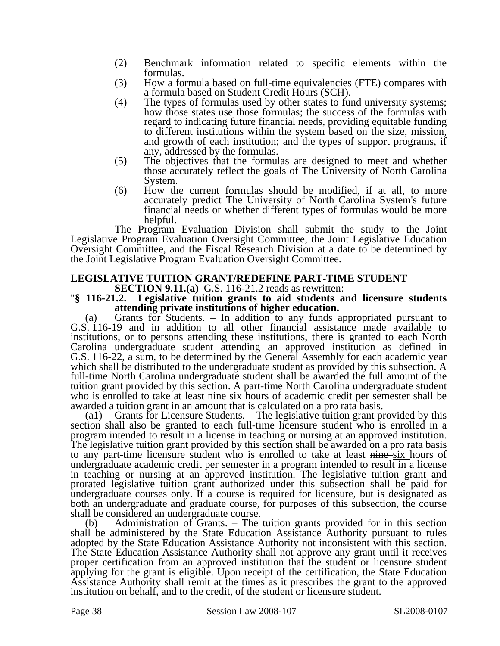- (2) Benchmark information related to specific elements within the formulas.
- (3) How a formula based on full-time equivalencies (FTE) compares with a formula based on Student Credit Hours (SCH).
- (4) The types of formulas used by other states to fund university systems; how those states use those formulas; the success of the formulas with regard to indicating future financial needs, providing equitable funding to different institutions within the system based on the size, mission, and growth of each institution; and the types of support programs, if any, addressed by the formulas.
- (5) The objectives that the formulas are designed to meet and whether those accurately reflect the goals of The University of North Carolina System.
- (6) How the current formulas should be modified, if at all, to more accurately predict The University of North Carolina System's future financial needs or whether different types of formulas would be more helpful.

The Program Evaluation Division shall submit the study to the Joint Legislative Program Evaluation Oversight Committee, the Joint Legislative Education Oversight Committee, and the Fiscal Research Division at a date to be determined by the Joint Legislative Program Evaluation Oversight Committee.

# **LEGISLATIVE TUITION GRANT/REDEFINE PART-TIME STUDENT**<br>**SECTION 9.11.(a)** G.S. 116-21.2 reads as rewritten:

#### **S.** 116-21.2. Legislative tuition grants to aid students and licensure students **attending private institutions of higher education.**

(a) Grants for Students. – In addition to any funds appropriated pursuant to G.S. 116-19 and in addition to all other financial assistance made available to institutions, or to persons attending these institutions, there is granted to each North Carolina undergraduate student attending an approved institution as defined in G.S. 116-22, a sum, to be determined by the General Assembly for each academic year which shall be distributed to the undergraduate student as provided by this subsection. A full-time North Carolina undergraduate student shall be awarded the full amount of the tuition grant provided by this section. A part-time North Carolina undergraduate student who is enrolled to take at least nine six hours of academic credit per semester shall be awarded a tuition grant in an amount that is calculated on a pro rata basis.

(a1) Grants for Licensure Students. – The legislative tuition grant provided by this section shall also be granted to each full-time licensure student who is enrolled in a program intended to result in a license in teaching or nursing at an approved institution. The legislative tuition grant provided by this section shall be awarded on a pro rata basis to any part-time licensure student who is enrolled to take at least nine-six hours of undergraduate academic credit per semester in a program intended to result in a license in teaching or nursing at an approved institution. The legislative tuition grant and prorated legislative tuition grant authorized under this subsection shall be paid for undergraduate courses only. If a course is required for licensure, but is designated as both an undergraduate and graduate course, for purposes of this subsection, the course shall be considered an undergraduate course.

(b) Administration of Grants. – The tuition grants provided for in this section shall be administered by the State Education Assistance Authority pursuant to rules adopted by the State Education Assistance Authority not inconsistent with this section. The State Education Assistance Authority shall not approve any grant until it receives proper certification from an approved institution that the student or licensure student applying for the grant is eligible. Upon receipt of the certification, the State Education Assistance Authority shall remit at the times as it prescribes the grant to the approved institution on behalf, and to the credit, of the student or licensure student.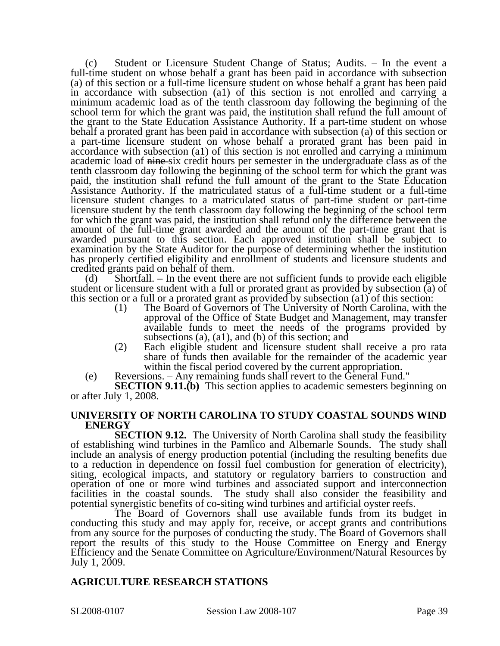(c) Student or Licensure Student Change of Status; Audits. – In the event a full-time student on whose behalf a grant has been paid in accordance with subsection (a) of this section or a full-time licensure student on whose behalf a grant has been paid in accordance with subsection (a1) of this section is not enrolled and carrying a minimum academic load as of the tenth classroom day following the beginning of the school term for which the grant was paid, the institution shall refund the full amount of the grant to the State Education Assistance Authority. If a part-time student on whose behalf a prorated grant has been paid in accordance with subsection (a) of this section or a part-time licensure student on whose behalf a prorated grant has been paid in accordance with subsection (a1) of this section is not enrolled and carrying a minimum academic load of  $\frac{m}{n}$  six credit hours per semester in the undergraduate class as of the tenth classroom day following the beginning of the school term for which the grant was paid, the institution shall refund the full amount of the grant to the State Education Assistance Authority. If the matriculated status of a full-time student or a full-time licensure student changes to a matriculated status of part-time student or part-time licensure student by the tenth classroom day following the beginning of the school term for which the grant was paid, the institution shall refund only the difference between the amount of the full-time grant awarded and the amount of the part-time grant that is awarded pursuant to this section. Each approved institution shall be subject to examination by the State Auditor for the purpose of determining whether the institution has properly certified eligibility and enrollment of students and licensure students and credited grants paid on behalf of them.

(d) Shortfall. – In the event there are not sufficient funds to provide each eligible student or licensure student with a full or prorated grant as provided by subsection (a) of this section or a full or a prorated grant as provided by subsection (a1) of this section:

- (1) The Board of Governors of The University of North Carolina, with the approval of the Office of State Budget and Management, may transfer available funds to meet the needs of the programs provided by subsections (a), (a1), and (b) of this section; and
- (2) Each eligible student and licensure student shall receive a pro rata share of funds then available for the remainder of the academic year within the fiscal period covered by the current appropriation.

(e) Reversions. – Any remaining funds shall revert to the General Fund."

**SECTION 9.11.(b)** This section applies to academic semesters beginning on or after July 1, 2008.

### **UNIVERSITY OF NORTH CAROLINA TO STUDY COASTAL SOUNDS WIND ENERGY**

**SECTION 9.12.** The University of North Carolina shall study the feasibility of establishing wind turbines in the Pamlico and Albemarle Sounds. The study shall include an analysis of energy production potential (including the resulting benefits due to a reduction in dependence on fossil fuel combustion for generation of electricity), siting, ecological impacts, and statutory or regulatory barriers to construction and operation of one or more wind turbines and associated support and interconnection facilities in the coastal sounds. The study shall also consider the feasibility and potential synergistic benefits of co-siting wind turbines and artificial oyster reefs.

The Board of Governors shall use available funds from its budget in conducting this study and may apply for, receive, or accept grants and contributions from any source for the purposes of conducting the study. The Board of Governors shall report the results of this study to the House Committee on Energy and Energy Efficiency and the Senate Committee on Agriculture/Environment/Natural Resources by July 1, 2009.

### **AGRICULTURE RESEARCH STATIONS**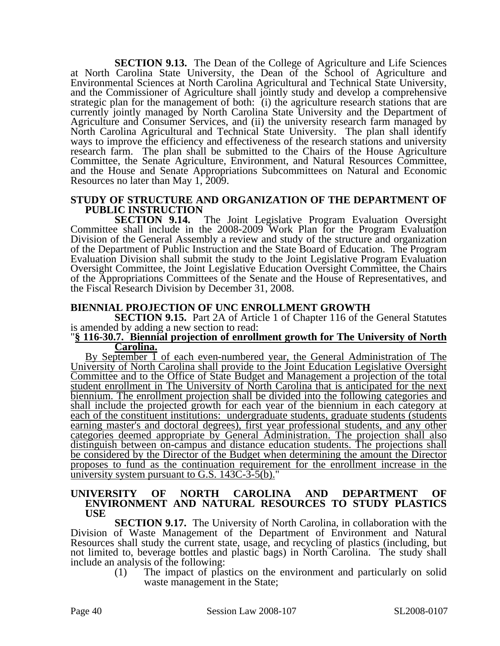**SECTION 9.13.** The Dean of the College of Agriculture and Life Sciences at North Carolina State University, the Dean of the School of Agriculture and Environmental Sciences at North Carolina Agricultural and Technical State University, and the Commissioner of Agriculture shall jointly study and develop a comprehensive strategic plan for the management of both: (i) the agriculture research stations that are currently jointly managed by North Carolina State University and the Department of Agriculture and Consumer Services, and (ii) the university research farm managed by North Carolina Agricultural and Technical State University. The plan shall identify ways to improve the efficiency and effectiveness of the research stations and university research farm. The plan shall be submitted to the Chairs of the House Agriculture Committee, the Senate Agriculture, Environment, and Natural Resources Committee, and the House and Senate Appropriations Subcommittees on Natural and Economic Resources no later than May 1, 2009.

## **STUDY OF STRUCTURE AND ORGANIZATION OF THE DEPARTMENT OF PUBLIC INSTRUCTION**

The Joint Legislative Program Evaluation Oversight Committee shall include in the 2008-2009 Work Plan for the Program Evaluation Division of the General Assembly a review and study of the structure and organization of the Department of Public Instruction and the State Board of Education. The Program Evaluation Division shall submit the study to the Joint Legislative Program Evaluation Oversight Committee, the Joint Legislative Education Oversight Committee, the Chairs of the Appropriations Committees of the Senate and the House of Representatives, and the Fiscal Research Division by December 31, 2008.

### **BIENNIAL PROJECTION OF UNC ENROLLMENT GROWTH**

**SECTION 9.15.** Part 2A of Article 1 of Chapter 116 of the General Statutes is amended by adding a new section to read:

#### "**§ 116-30.7. Biennial projection of enrollment growth for The University of North Carolina.**

By September 1 of each even-numbered year, the General Administration of The University of North Carolina shall provide to the Joint Education Legislative Oversight Committee and to the Office of State Budget and Management a projection of the total student enrollment in The University of North Carolina that is anticipated for the next biennium. The enrollment projection shall be divided into the following categories and shall include the projected growth for each year of the biennium in each category at each of the constituent institutions: undergraduate students, graduate students (students earning master's and doctoral degrees), first year professional students, and any other categories deemed appropriate by General Administration. The projection shall also distinguish between on-campus and distance education students. The projections shall be considered by the Director of the Budget when determining the amount the Director proposes to fund as the continuation requirement for the enrollment increase in the university system pursuant to G.S.  $143C-3-5(b)$ .

#### **UNIVERSITY OF NORTH CAROLINA AND DEPARTMENT OF ENVIRONMENT AND NATURAL RESOURCES TO STUDY PLASTICS USE**

**SECTION 9.17.** The University of North Carolina, in collaboration with the Division of Waste Management of the Department of Environment and Natural Resources shall study the current state, usage, and recycling of plastics (including, but not limited to, beverage bottles and plastic bags) in North Carolina. The study shall include an analysis of the following:

(1) The impact of plastics on the environment and particularly on solid waste management in the State;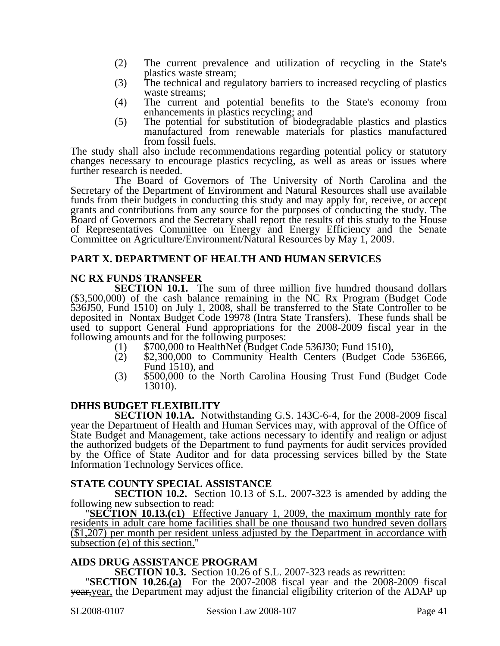- (2) The current prevalence and utilization of recycling in the State's plastics waste stream:
- (3) The technical and regulatory barriers to increased recycling of plastics waste streams;
- (4) The current and potential benefits to the State's economy from enhancements in plastics recycling; and
- (5) The potential for substitution of biodegradable plastics and plastics manufactured from renewable materials for plastics manufactured from fossil fuels.

The study shall also include recommendations regarding potential policy or statutory changes necessary to encourage plastics recycling, as well as areas or issues where further research is needed.

The Board of Governors of The University of North Carolina and the Secretary of the Department of Environment and Natural Resources shall use available funds from their budgets in conducting this study and may apply for, receive, or accept grants and contributions from any source for the purposes of conducting the study. The Board of Governors and the Secretary shall report the results of this study to the House of Representatives Committee on Energy and Energy Efficiency and the Senate Committee on Agriculture/Environment/Natural Resources by May 1, 2009.

### **PART X. DEPARTMENT OF HEALTH AND HUMAN SERVICES**

### **NC RX FUNDS TRANSFER**

**SECTION 10.1.** The sum of three million five hundred thousand dollars (\$3,500,000) of the cash balance remaining in the NC Rx Program (Budget Code 536J50, Fund 1510) on July 1, 2008, shall be transferred to the State Controller to be deposited in Nontax Budget Code 19978 (Intra State Transfers). These funds shall be used to support General Fund appropriations for the 2008-2009 fiscal year in the following amounts and for the following purposes:

- 
- following amounts and for the following purposes: (1)  $$700,000$  to Community Health Centers (Budget Code 536E66, (2) Fund 1510), and
- (3) \$500,000 to the North Carolina Housing Trust Fund (Budget Code 13010).

### **DHHS BUDGET FLEXIBILITY**

**SECTION 10.1A.** Notwithstanding G.S. 143C-6-4, for the 2008-2009 fiscal year the Department of Health and Human Services may, with approval of the Office of State Budget and Management, take actions necessary to identify and realign or adjust the authorized budgets of the Department to fund payments for audit services provided by the Office of State Auditor and for data processing services billed by the State Information Technology Services office.

### **STATE COUNTY SPECIAL ASSISTANCE**

**SECTION 10.2.** Section 10.13 of S.L. 2007-323 is amended by adding the following new subsection to read:

**SECTION 10.13.(c1)** Effective January 1, 2009, the maximum monthly rate for residents in adult care home facilities shall be one thousand two hundred seven dollars (\$1,207) per month per resident unless adjusted by the Department in accordance with subsection (e) of this section."

AIDS DRUG ASSISTANCE PROGRAM<br>SECTION 10.3. Section 10.26 of S.L. 2007-323 reads as rewritten:

**SECTION 10.26.(a)** For the 2007-2008 fiscal year and the 2008-2009 fiscal year, year, the Department may adjust the financial eligibility criterion of the ADAP up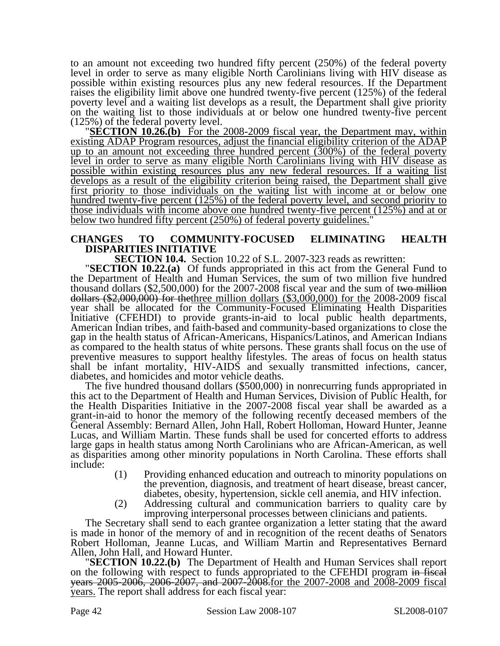to an amount not exceeding two hundred fifty percent (250%) of the federal poverty level in order to serve as many eligible North Carolinians living with HIV disease as possible within existing resources plus any new federal resources. If the Department raises the eligibility limit above one hundred twenty-five percent (125%) of the federal poverty level and a waiting list develops as a result, the Department shall give priority on the waiting list to those individuals at or below one hundred twenty-five percent

(125%) of the federal poverty level. "**SECTION 10.26.(b)** For the 2008-2009 fiscal year, the Department may, within existing ADAP Program resources, adjust the financial eligibility criterion of the ADAP up to an amount not exceeding three hundred percent (300%) of the federal poverty level in order to serve as many eligible North Carolinians living with HIV disease as possible within existing resources plus any new federal resources. If a waiting list develops as a result of the eligibility criterion being raised, the Department shall give first priority to those individuals on the waiting list with income at or below one hundred twenty-five percent (125%) of the federal poverty level, and second priority to those individuals with income above one hundred twenty-five percent (125%) and at or below two hundred fifty percent (250%) of federal poverty guidelines."

## **CHANGES TO COMMUNITY-FOCUSED ELIMINATING HEALTH DISPARITIES INITIATIVE**<br>**SECTION 10.4.** Section 10.22 of S.L. 2007-323 reads as rewritten:

**SECTION 10.22.(a)** Of funds appropriated in this act from the General Fund to the Department of Health and Human Services, the sum of two million five hundred thousand dollars (\$2,500,000) for the 2007-2008 fiscal year and the sum of <del>two million</del> dollars (\$2,000,000) for thethree million dollars (\$3,000,000) for the 2008-2009 fiscal dollars (\$2,000,000) for the three million dollars (\$3,000,000) for the 2008-2009 fiscal year shall be allocated for the Community-Focused Eliminating Health Disparities Initiative (CFEHDI) to provide grants-in-aid to local public health departments, American Indian tribes, and faith-based and community-based organizations to close the gap in the health status of African-Americans, Hispanics/Latinos, and American Indians as compared to the health status of white persons. These grants shall focus on the use of preventive measures to support healthy lifestyles. The areas of focus on health status shall be infant mortality, HIV-AIDS and sexually transmitted infections, cancer, diabetes, and homicides and motor vehicle deaths.

The five hundred thousand dollars (\$500,000) in nonrecurring funds appropriated in this act to the Department of Health and Human Services, Division of Public Health, for the Health Disparities Initiative in the 2007-2008 fiscal year shall be awarded as a grant-in-aid to honor the memory of the following recently deceased members of the General Assembly: Bernard Allen, John Hall, Robert Holloman, Howard Hunter, Jeanne Lucas, and William Martin. These funds shall be used for concerted efforts to address large gaps in health status among North Carolinians who are African-American, as well as disparities among other minority populations in North Carolina. These efforts shall include:

- (1) Providing enhanced education and outreach to minority populations on the prevention, diagnosis, and treatment of heart disease, breast cancer, diabetes, obesity, hypertension, sickle cell anemia, and HIV infection.
- (2) Addressing cultural and communication barriers to quality care by improving interpersonal processes between clinicians and patients.

The Secretary shall send to each grantee organization a letter stating that the award is made in honor of the memory of and in recognition of the recent deaths of Senators Robert Holloman, Jeanne Lucas, and William Martin and Representatives Bernard Allen, John Hall, and Howard Hunter. "**SECTION 10.22.(b)** The Department of Health and Human Services shall report

on the following with respect to funds appropriated to the CFEHDI program in fiscal years 2005-2006, 2006-2007, and 2007-2008.for the 2007-2008 and 2008-2009 fiscal years. The report shall address for each fiscal year: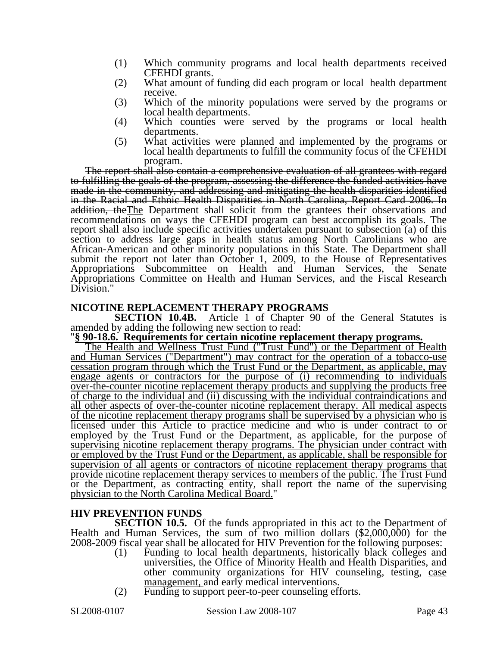- (1) Which community programs and local health departments received CFEHDI grants.
- (2) What amount of funding did each program or local health department receive.
- (3) Which of the minority populations were served by the programs or local health departments.
- (4) Which counties were served by the programs or local health departments.
- (5) What activities were planned and implemented by the programs or local health departments to fulfill the community focus of the CFEHDI program.

The report shall also contain a comprehensive evaluation of all grantees with regard to fulfilling the goals of the program, assessing the difference the funded activities have made in the community, and addressing and mitigating the health disparities identified in the Racial and Ethnic Health Disparities in North Carolina, Report Card 2006. In addition, the The Department shall solicit from the grantees their observations and recommendations on ways the CFEHDI program can best accomplish its goals. The report shall also include specific activities undertaken pursuant to subsection (a) of this section to address large gaps in health status among North Carolinians who are African-American and other minority populations in this State. The Department shall submit the report not later than October 1, 2009, to the House of Representatives Appropriations Subcommittee on Health and Human Services, the Senate Appropriations Committee on Health and Human Services, and the Fiscal Research Division."

### **NICOTINE REPLACEMENT THERAPY PROGRAMS**

**SECTION 10.4B.** Article 1 of Chapter 90 of the General Statutes is amended by adding the following new section to read:

#### "**§ 90-18.6. Requirements for certain nicotine replacement therapy programs.**

The Health and Wellness Trust Fund ("Trust Fund") or the Department of Health and Human Services ("Department") may contract for the operation of a tobacco-use cessation program through which the Trust Fund or the Department, as applicable, may engage agents or contractors for the purpose of (i) recommending to individuals over-the-counter nicotine replacement therapy products and supplying the products free of charge to the individual and (ii) discussing with the individual contraindications and all other aspects of over-the-counter nicotine replacement therapy. All medical aspects of the nicotine replacement therapy programs shall be supervised by a physician who is licensed under this Article to practice medicine and who is under contract to or employed by the Trust Fund or the Department, as applicable, for the purpose of supervising nicotine replacement therapy programs. The physician under contract with or employed by the Trust Fund or the Department, as applicable, shall be responsible for supervision of all agents or contractors of nicotine replacement therapy programs that provide nicotine replacement therapy services to members of the public. The Trust Fund or the Department, as contracting entity, shall report the name of the supervising physician to the North Carolina Medical Board."

### **HIV PREVENTION FUNDS**

**SECTION 10.5.** Of the funds appropriated in this act to the Department of Health and Human Services, the sum of two million dollars (\$2,000,000) for the 2008-2009 fiscal year shall be allocated for HIV Prevention for the following purposes:

- (1) Funding to local health departments, historically black colleges and universities, the Office of Minority Health and Health Disparities, and other community organizations for HIV counseling, testing, case management, and early medical interventions.
- (2) Funding to support peer-to-peer counseling efforts.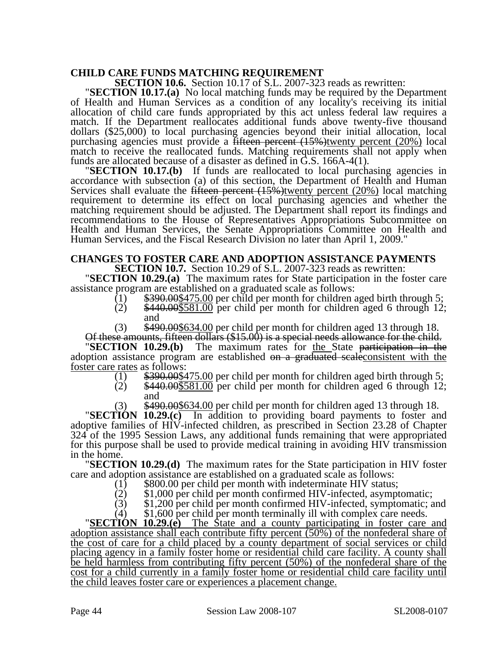**CHILD CARE FUNDS MATCHING REQUIREMENT<br>SECTION 10.6.** Section 10.17 of S.L. 2007-323 reads as rewritten:

**SECTION 10.17.(a)** No local matching funds may be required by the Department of Health and Human Services as a condition of any locality's receiving its initial allocation of child care funds appropriated by this act unless federal law requires a dollars  $(\$25,000)$  to local purchasing agencies beyond their initial allocation, local purchasing agencies must provide a <del>fifteen percent (15%)</del>twenty percent (20%) local match to receive the reallocated funds. Matching requirements shall not apply when funds are allocated because of a disaster as defined in G.S. 166A-4(1).

**SECTION 10.17.(b)** If funds are reallocated to local purchasing agencies in accordance with subsection (a) of this section, the Department of Health and Human Services shall evaluate the fifteen percent  $(15%)$ twenty percent  $(20%)$  local matching requirement to determine its effect on local purchasing agencies and whether the matching requirement should be adjusted. The Department shall report its findings and recommendations to the House of Representatives Appropriations Subcommittee on Health and Human Services, the Senate Appropriations Committee on Health and Human Services, and the Fiscal Research Division no later than April 1, 2009."

# **CHANGES TO FOSTER CARE AND ADOPTION ASSISTANCE PAYMENTS**<br>**SECTION 10.7.** Section 10.29 of S.L. 2007-323 reads as rewritten:

**SECTION 10.29.(a)** The maximum rates for State participation in the foster care assistance program are established on a graduated scale as follows:<br>(1) \$390.00\$475.00 per child per month for children aged birth through 5;<br>(2) \$440.00\$581.00 per child per month for children aged 6 through 12;

- 
- 
- and<br>\$490.00\$634.00 per child per month for children aged 13 through 18.

(3)  $$490.00\frac{$490.005634.00}{4}$  per child per month for children aged 13 through 18.<br>Of these amounts, fifteen dollars (\$15.00) is a special needs allowance for the child.<br>"SECTION 10.29.(b) The maximum rates for the Sta

adoption assistance program are established on a graduated scale consistent with the <u>foster care rates</u> as follows:<br>(1)  $$390.00$475.00$  per child per month for children aged birth through 5;

- 
- (1)  $$390.00$475.00$  per child per month for children aged birth through 5;<br>(2)  $$440.00$581.00$  per child per month for children aged 6 through 12;
	- and<br>\$490.00\$634.00 per child per month for children aged 13 through 18.

(3) \$490.00\$634.00 per child per month for children aged 13 through 18. "**SECTION 10.29.(c)** In addition to providing board payments to foster and adoptive families of HIV-infected children, as prescribed in Section 23.28 of Chapter 324 of the 1995 Session Laws, any additional funds remaining that were appropriated for this purpose shall be used to provide medical training in avoiding HIV transmission

in the home. "**SECTION 10.29.(d)** The maximum rates for the State participation in HIV foster care and adoption assistance are established on a graduated scale as follows:<br>
(1) \$800.00 per child per month with indeterminate HIV status;<br>
(2) \$1,000 per child per month confirmed HIV-infected, asymptomatic;

- 
- 
- $(3)$  \$1,200 per child per month confirmed HIV-infected, symptomatic; and  $(4)$  \$1,600 per child per month terminally ill with complex care needs.<br>"SECTION 10.29.(e) The State and a county participating in foster care and

adoption assistance shall each contribute fifty percent  $(50\%)$  of the nonfederal share of the cost of care for a child placed by a county department of social services or child placing agency in a family foster home or residential child care facility. A county shall be held harmless from contributing fifty percent (50%) of the nonfederal share of the cost for a child currently in a family foster home or residential child care facility until the child leaves foster care or experiences a placement change.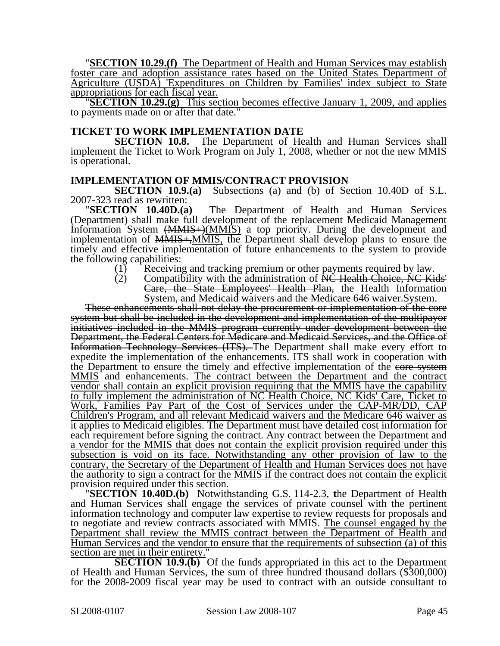"**SECTION 10.29.(f)** The Department of Health and Human Services may establish foster care and adoption assistance rates based on the United States Department of Agriculture (USDA) 'Expenditures on Children by Families' index subject to State appropriations for each fiscal year. "**SECTION 10.29.(g)** This section becomes effective January 1, 2009, and applies

to payments made on or after that date."

#### **TICKET TO WORK IMPLEMENTATION DATE**

**SECTION 10.8.** The Department of Health and Human Services shall implement the Ticket to Work Program on July 1, 2008, whether or not the new MMIS is operational.

# **IMPLEMENTATION OF MMIS/CONTRACT PROVISION**<br>**SECTION 10.9.(a)** Subsections (a) and (b) of Se

Subsections (a) and (b) of Section 10.40D of S.L.

2007-323 read as rewritten: "**SECTION 10.40D.(a)** The Department of Health and Human Services (Department) shall make full development of the replacement Medicaid Management Information System  $\left(\frac{M M I S}{M} \right)$  a top priority. During the development and implementation of MMIS+,MMIS, the Department shall develop plans to ensure the timely and effective implementation of future-enhancements to the system to provide the following capabilities:

- (1) Receiving and tracking premium or other payments required by law.<br>(2) Compatibility with the administration of NC Health Choice, NC Ki
- Compatibility with the administration of NC Health Choice, NC Kids' Care, the State Employees' Health Plan, the Health Information System, and Medicaid waivers and the Medicare 646 waiver.System.

These enhancements shall not delay the procurement or implementation of the core system but shall be included in the development and implementation of the multipayor initiatives included in the MMIS program currently under development between the Department, the Federal Centers for Medicare and Medicaid Services, and the Office of Information Technology Services (ITS). The Department shall make every effort to expedite the implementation of the enhancements. ITS shall work in cooperation with the Department to ensure the timely and effective implementation of the core system MMIS and enhancements. The contract between the Department and the contract vendor shall contain an explicit provision requiring that the MMIS have the capability to fully implement the administration of NC Health Choice, NC Kids' Care, Ticket to Work, Families Pay Part of the Cost of Services under the CAP-MR/DD, CAP Children's Program, and all relevant Medicaid waivers and the Medicare 646 waiver as it applies to Medicaid eligibles. The Department must have detailed cost information for each requirement before signing the contract. Any contract between the Department and a vendor for the MMIS that does not contain the explicit provision required under this subsection is void on its face. Notwithstanding any other provision of law to the contrary, the Secretary of the Department of Health and Human Services does not have the authority to sign a contract for the MMIS if the contract does not contain the explicit<br>provision required under this section.

**SECTION 10.40D.(b)** Notwithstanding G.S. 114-2.3, the Department of Health and Human Services shall engage the services of private counsel with the pertinent information technology and computer law expertise to review requests for proposals and to negotiate and review contracts associated with MMIS. The counsel engaged by the Department shall review the MMIS contract between the Department of Health and Human Services and the vendor to ensure that the requirements of subsection (a) of this section are met in their entirety."

**SECTION 10.9.(b)** Of the funds appropriated in this act to the Department of Health and Human Services, the sum of three hundred thousand dollars (\$300,000) for the 2008-2009 fiscal year may be used to contract with an outside consultant to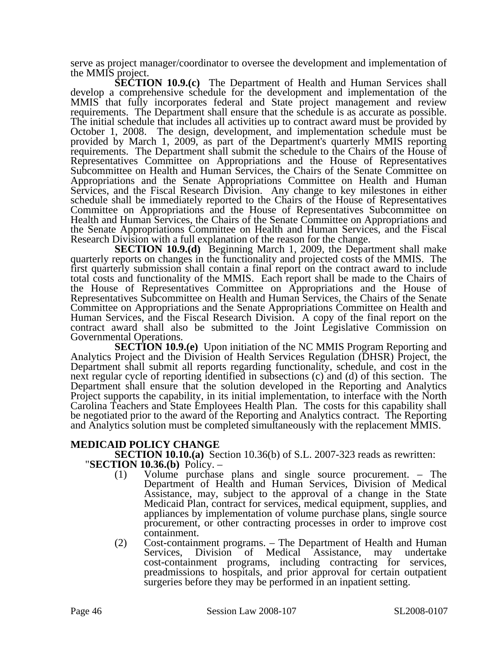serve as project manager/coordinator to oversee the development and implementation of the MMIS project.

**SECTION 10.9.(c)** The Department of Health and Human Services shall develop a comprehensive schedule for the development and implementation of the MMIS<sup>'</sup> that fully incorporates federal and State project management and review requirements. The Department shall ensure that the schedule is as accurate as possible. The initial schedule that includes all activities up to contract award must be provided by October 1, 2008. The design, development, and implementation schedule must be provided by March 1, 2009, as part of the Department's quarterly MMIS reporting requirements. The Department shall submit the schedule to the Chairs of the House of Representatives Committee on Appropriations and the House of Representatives Subcommittee on Health and Human Services, the Chairs of the Senate Committee on Appropriations and the Senate Appropriations Committee on Health and Human Services, and the Fiscal Research Division. Any change to key milestones in either schedule shall be immediately reported to the Chairs of the House of Representatives Committee on Appropriations and the House of Representatives Subcommittee on Health and Human Services, the Chairs of the Senate Committee on Appropriations and the Senate Appropriations Committee on Health and Human Services, and the Fiscal Research Division with a full explanation of the reason for the change.

**SECTION 10.9.(d)** Beginning March 1, 2009, the Department shall make quarterly reports on changes in the functionality and projected costs of the MMIS. The first quarterly submission shall contain a final report on the contract award to include total costs and functionality of the MMIS. Each report shall be made to the Chairs of the House of Representatives Committee on Appropriations and the House of Representatives Subcommittee on Health and Human Services, the Chairs of the Senate Committee on Appropriations and the Senate Appropriations Committee on Health and Human Services, and the Fiscal Research Division. A copy of the final report on the contract award shall also be submitted to the Joint Legislative Commission on Governmental Operations.

**SECTION 10.9.(e)** Upon initiation of the NC MMIS Program Reporting and Analytics Project and the Division of Health Services Regulation (DHSR) Project, the Department shall submit all reports regarding functionality, schedule, and cost in the next regular cycle of reporting identified in subsections (c) and (d) of this section. The Department shall ensure that the solution developed in the Reporting and Analytics Project supports the capability, in its initial implementation, to interface with the North Carolina Teachers and State Employees Health Plan. The costs for this capability shall be negotiated prior to the award of the Reporting and Analytics contract. The Reporting and Analytics solution must be completed simultaneously with the replacement MMIS.

### **MEDICAID POLICY CHANGE**

**SECTION 10.10.(a)** Section 10.36(b) of S.L. 2007-323 reads as rewritten: **"SECTION 10.36.(b)** Policy. –

- (1) Volume purchase plans and single source procurement. The Department of Health and Human Services, Division of Medical Assistance, may, subject to the approval of a change in the State Medicaid Plan, contract for services, medical equipment, supplies, and appliances by implementation of volume purchase plans, single source procurement, or other contracting processes in order to improve cost containment.
- (2) Cost-containment programs. The Department of Health and Human Services, Division of Medical Assistance, may undertake cost-containment programs, including contracting for services, preadmissions to hospitals, and prior approval for certain outpatient surgeries before they may be performed in an inpatient setting.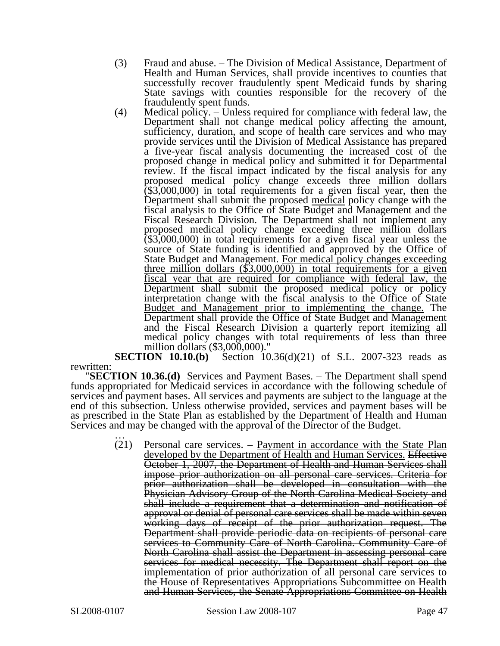- (3) Fraud and abuse. The Division of Medical Assistance, Department of Health and Human Services, shall provide incentives to counties that successfully recover fraudulently spent Medicaid funds by sharing State savings with counties responsible for the recovery of the fraudulently spent funds.
- (4) Medical policy. Unless required for compliance with federal law, the Department shall not change medical policy affecting the amount, sufficiency, duration, and scope of health care services and who may provide services until the Division of Medical Assistance has prepared a five-year fiscal analysis documenting the increased cost of the proposed change in medical policy and submitted it for Departmental review. If the fiscal impact indicated by the fiscal analysis for any proposed medical policy change exceeds three million dollars (\$3,000,000) in total requirements for a given fiscal year, then the Department shall submit the proposed <u>medical</u> policy change with the fiscal analysis to the Office of State Budget and Management and the Fiscal Research Division. The Department shall not implement any proposed medical policy change exceeding three million dollars (\$3,000,000) in total requirements for a given fiscal year unless the source of State funding is identified and approved by the Office of State Budget and Management. For medical policy changes exceeding three million dollars (\$3,000,000) in total requirements for a given fiscal year that are required for compliance with federal law, the Department shall submit the proposed medical policy or policy interpretation change with the fiscal analysis to the Office of State Budget and Management prior to implementing the change. The Department shall provide the Office of State Budget and Management and the Fiscal Research Division a quarterly report itemizing all medical policy changes with total requirements of less than three million dollars (\$3,000,000)."

**SECTION 10.10.(b)** Section 10.36(d)(21) of S.L. 2007-323 reads as

rewritten: "**SECTION 10.36.(d)** Services and Payment Bases. – The Department shall spend funds appropriated for Medicaid services in accordance with the following schedule of services and payment bases. All services and payments are subject to the language at the end of this subsection. Unless otherwise provided, services and payment bases will be as prescribed in the State Plan as established by the Department of Health and Human Services and may be changed with the approval of the Director of the Budget. …

> (21) Personal care services. – Payment in accordance with the State Plan developed by the Department of Health and Human Services. Effective October 1, 2007, the Department of Health and Human Services shall impose prior authorization on all personal care services. Criteria for prior authorization shall be developed in consultation with the Physician Advisory Group of the North Carolina Medical Society and shall include a requirement that a determination and notification of approval or denial of personal care services shall be made within seven working days of receipt of the prior authorization request. The Department shall provide periodic data on recipients of personal care services to Community Care of North Carolina. Community Care of North Carolina shall assist the Department in assessing personal care services for medical necessity. The Department shall report on the implementation of prior authorization of all personal care services to the House of Representatives Appropriations Subcommittee on Health and Human Services, the Senate Appropriations Committee on Health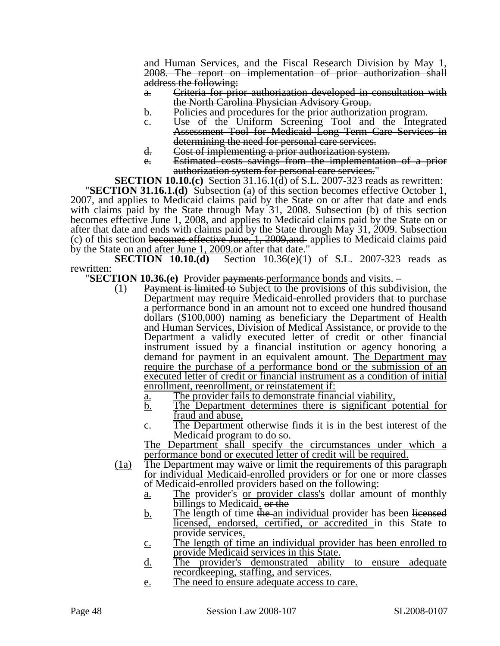and Human Services, and the Fiscal Research Division by May 1, 2008. The report on implementation of prior authorization shall address the following:

- a. Criteria for prior authorization developed in consultation with the North Carolina Physician Advisory Group.
- b. Policies and procedures for the prior authorization program.
- c. Use of the Uniform Screening Tool and the Integrated Assessment Tool for Medicaid Long Term Care Services in determining the need for personal care services.
- d. Cost of implementing a prior authorization system.
- e. Estimated costs savings from the implementation of a prior authorization system for personal care services."<br>SECTION 10.10.(c) Section 31.16.1(d) of S.L. 2007-323 reads as rewritten:

**SECTION 31.16.1.(d)** Subsection (a) of this section becomes effective October 1, 2007, and applies to Medicaid claims paid by the State on or after that date and ends with claims paid by the State through May 31, 2008. Subsection (b) of this section becomes effective June 1, 2008, and applies to Medicaid claims paid by the State on or after that date and ends with claims paid by the State through May 31, 2009. Subsection (c) of this section becomes effective June, 1, 2009,and applies to Medicaid claims paid by the State on <u>and after June 1, 2009</u> or after that date."

**SECTION 10.10.(d)** Section 10.36(e)(1) of S.L. 2007-323 reads as

rewritten: "**SECTION 10.36.(e)** Provider payments performance bonds and visits. –

- (1) Payment is limited to Subject to the provisions of this subdivision, the Department may require Medicaid-enrolled providers that to purchase a performance bond in an amount not to exceed one hundred thousand dollars (\$100,000) naming as beneficiary the Department of Health and Human Services, Division of Medical Assistance, or provide to the Department a validly executed letter of credit or other financial instrument issued by a financial institution or agency honoring a demand for payment in an equivalent amount. The Department may require the purchase of a performance bond or the submission of an executed letter of credit or financial instrument as a condition of initial enrollment, reenrollment, or reinstatement if:
	- a. The provider fails to demonstrate financial viability,
	- b. The Department determines there is significant potential for fraud and abuse,
	- c. The Department otherwise finds it is in the best interest of the

Medicaid program to do so.<br>The Department shall specify the circumstances under which a performance bond or executed letter of credit will be required.

- (1a) The Department may waive or limit the requirements of this paragraph for individual Medicaid-enrolled providers or for one or more classes of Medicaid-enrolled providers based on the following:
	- a. The provider's or provider class's dollar amount of monthly billings to Medicaid. or the
	- $\underline{b}$ . The length of time the an individual provider has been licensed licensed, endorsed, certified, or accredited in this State to provide services.
	- c. The length of time an individual provider has been enrolled to provide Medicaid services in this State.
	- d. The provider's demonstrated ability to ensure adequate
	- recordkeeping, staffing, and services.<br>
	<u>e.</u> The need to ensure adequate access to care.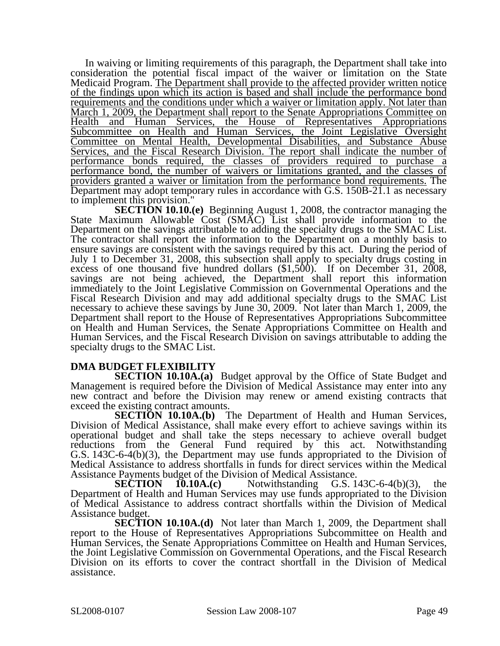In waiving or limiting requirements of this paragraph, the Department shall take into consideration the potential fiscal impact of the waiver or limitation on the State Medicaid Program. The Department shall provide to the affected provider written notice of the findings upon which its action is based and shall include the performance bond requirements and the conditions under which a waiver or limitation apply. Not later than March 1, 2009, the Department shall report to the Senate Appropriations Committee on Health and Human Services, the House of Representatives Appropriations Subcommittee on Health and Human Services, the Joint Legislative Oversight Committee on Mental Health, Developmental Disabilities, and Substance Abuse Services, and the Fiscal Research Division. The report shall indicate the number of performance bonds required, the classes of providers required to purchase a performance bond, the number of waivers or limitations granted, and the classes of providers granted a waiver or limitation from the performance bond requirements. The Department may adopt temporary rules in accordance with G.S. 150B-21.1 as necessary to implement this provision."

**SECTION 10.10.(e)** Beginning August 1, 2008, the contractor managing the State Maximum Allowable Cost (SMAC) List shall provide information to the Department on the savings attributable to adding the specialty drugs to the SMAC List. The contractor shall report the information to the Department on a monthly basis to ensure savings are consistent with the savings required by this act. During the period of July 1 to December 31, 2008, this subsection shall apply to specialty drugs costing in excess of one thousand five hundred dollars  $(\$1,500)$ . If on December 31, 2008, savings are not being achieved, the Department shall report this information immediately to the Joint Legislative Commission on Governmental Operations and the Fiscal Research Division and may add additional specialty drugs to the SMAC List necessary to achieve these savings by June 30, 2009. Not later than March 1, 2009, the Department shall report to the House of Representatives Appropriations Subcommittee on Health and Human Services, the Senate Appropriations Committee on Health and Human Services, and the Fiscal Research Division on savings attributable to adding the specialty drugs to the SMAC List.

### **DMA BUDGET FLEXIBILITY**

**SECTION 10.10A.(a)** Budget approval by the Office of State Budget and Management is required before the Division of Medical Assistance may enter into any new contract and before the Division may renew or amend existing contracts that exceed the existing contract amounts.

**SECTION 10.10A.(b)** The Department of Health and Human Services, Division of Medical Assistance, shall make every effort to achieve savings within its operational budget and shall take the steps necessary to achieve overall budget reductions from the General Fund required by this act. Notwithstanding G.S. 143C-6-4(b)(3), the Department may use funds appropriated to the Division of Medical Assistance to address shortfalls in funds for direct services within the Medical Assistance Payments budget of the Division of Medical Assistance.

**SECTION 10.10A.(c)** Notwithstanding G.S. 143C-6-4(b)(3), the Department of Health and Human Services may use funds appropriated to the Division of Medical Assistance to address contract shortfalls within the Division of Medical Assistance budget.

**SECTION 10.10A.(d)** Not later than March 1, 2009, the Department shall report to the House of Representatives Appropriations Subcommittee on Health and Human Services, the Senate Appropriations Committee on Health and Human Services, the Joint Legislative Commission on Governmental Operations, and the Fiscal Research Division on its efforts to cover the contract shortfall in the Division of Medical assistance.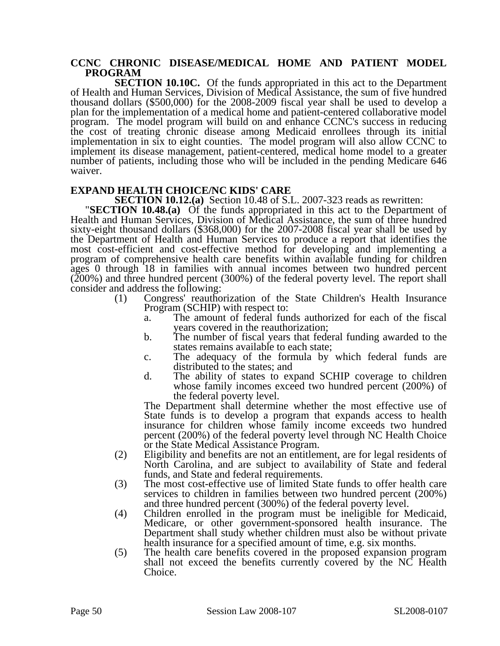#### **CCNC CHRONIC DISEASE/MEDICAL HOME AND PATIENT MODEL PROGRAM**

**SECTION 10.10C.** Of the funds appropriated in this act to the Department of Health and Human Services, Division of Medical Assistance, the sum of five hundred thousand dollars (\$500,000) for the 2008-2009 fiscal year shall be used to develop a plan for the implementation of a medical home and patient-centered collaborative model program. The model program will build on and enhance CCNC's success in reducing the cost of treating chronic disease among Medicaid enrollees through its initial implementation in six to eight counties. The model program will also allow CCNC to implement its disease management, patient-centered, medical home model to a greater number of patients, including those who will be included in the pending Medicare 646 waiver.

**EXPAND HEALTH CHOICE/NC KIDS' CARE<br>SECTION 10.12.(a)** Section 10.48 of S.L. 2007-323 reads as rewritten:

**SECTION 10.48.(a)** Of the funds appropriated in this act to the Department of Health and Human Services, Division of Medical Assistance, the sum of three hundred sixty-eight thousand dollars (\$368,000) for the 2007-2008 fiscal year shall be used by the Department of Health and Human Services to produce a report that identifies the most cost-efficient and cost-effective method for developing and implementing a program of comprehensive health care benefits within available funding for children ages 0 through 18 in families with annual incomes between two hundred percent  $(200%)$  and three hundred percent  $(300%)$  of the federal poverty level. The report shall consider and address the following:

- (1) Congress' reauthorization of the State Children's Health Insurance Program (SCHIP) with respect to:
	- The amount of federal funds authorized for each of the fiscal years covered in the reauthorization;
	- b. The number of fiscal years that federal funding awarded to the states remains available to each state;
	- c. The adequacy of the formula by which federal funds are distributed to the states; and
	- d. The ability of states to expand SCHIP coverage to children whose family incomes exceed two hundred percent (200%) of the federal poverty level.

The Department shall determine whether the most effective use of State funds is to develop a program that expands access to health insurance for children whose family income exceeds two hundred percent (200%) of the federal poverty level through NC Health Choice or the State Medical Assistance Program.

- (2) Eligibility and benefits are not an entitlement, are for legal residents of North Carolina, and are subject to availability of State and federal funds, and State and federal requirements.
- (3) The most cost-effective use of limited State funds to offer health care services to children in families between two hundred percent (200%) and three hundred percent (300%) of the federal poverty level.
- (4) Children enrolled in the program must be ineligible for Medicaid, Medicare, or other government-sponsored health insurance. The Department shall study whether children must also be without private health insurance for a specified amount of time, e.g. six months.
- (5) The health care benefits covered in the proposed expansion program shall not exceed the benefits currently covered by the NC Health Choice.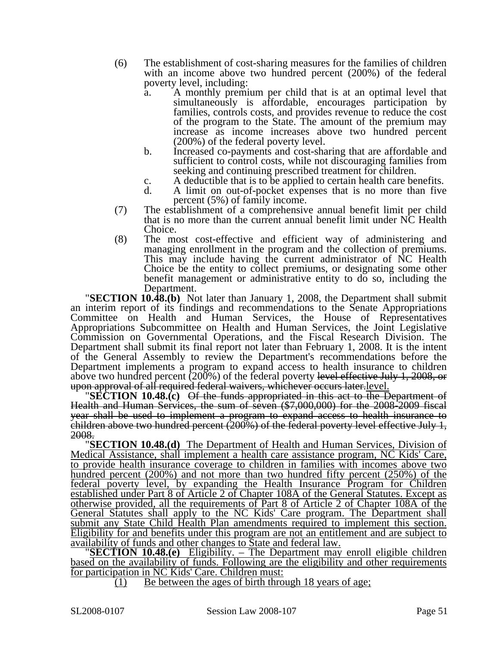- (6) The establishment of cost-sharing measures for the families of children with an income above two hundred percent (200%) of the federal poverty level, including:
	- a. A monthly premium per child that is at an optimal level that simultaneously is affordable, encourages participation by families, controls costs, and provides revenue to reduce the cost of the program to the State. The amount of the premium may increase as income increases above two hundred percent (200%) of the federal poverty level.
	- b. Increased co-payments and cost-sharing that are affordable and sufficient to control costs, while not discouraging families from seeking and continuing prescribed treatment for children.
	- c. A deductible that is to be applied to certain health care benefits.<br>d. A limit on out-of-pocket expenses that is no more than five
	- A limit on out-of-pocket expenses that is no more than five percent (5%) of family income.
- (7) The establishment of a comprehensive annual benefit limit per child that is no more than the current annual benefit limit under NC Health Choice.
- (8) The most cost-effective and efficient way of administering and managing enrollment in the program and the collection of premiums. This may include having the current administrator of NC Health Choice be the entity to collect premiums, or designating some other benefit management or administrative entity to do so, including the

**Department.**<br>**"SECTION 10.48.(b)** Not later than January 1, 2008, the Department shall submit an interim report of its findings and recommendations to the Senate Appropriations Committee on Health and Human Services, the House of Representatives Appropriations Subcommittee on Health and Human Services, the Joint Legislative Commission on Governmental Operations, and the Fiscal Research Division. The Department shall submit its final report not later than February 1, 2008. It is the intent of the General Assembly to review the Department's recommendations before the Department implements a program to expand access to health insurance to children above two hundred percent (200%) of the federal poverty l<del>evel effective July 1, 2008, or</del> upon approval of all required federal waivers, whichever occurs later-level.

**SECTION 10.48.(c)** Of the funds appropriated in this act to the Department of Health and Human Services, the sum of seven (\$7,000,000) for the 2008-2009 fiscal year shall be used to implement a program to expand access to health insurance to children above two hundred percent  $(200\%)$  of the federal poverty level effective July 1,  $2008$ .

**SECTION 10.48.(d)** The Department of Health and Human Services, Division of Medical Assistance, shall implement a health care assistance program, NC Kids' Care, to provide health insurance coverage to children in families with incomes above two hundred percent (200%) and not more than two hundred fifty percent (250%) of the federal poverty level, by expanding the Health Insurance Program for Children established under Part 8 of Article 2 of Chapter 108A of the General Statutes. Except as otherwise provided, all the requirements of Part 8 of Article 2 of Chapter 108A of the General Statutes shall apply to the NC Kids' Care program. The Department shall submit any State Child Health Plan amendments required to implement this section. Eligibility for and benefits under this program are not an entitlement and are subject to availability of funds and other changes to State and federal law.

**SECTION 10.48.(e)** Eligibility. – The Department may enroll eligible children based on the availability of funds. Following are the eligibility and other requirements for participation in NC Kids' Care. Children must:

(1) Be between the ages of birth through 18 years of age;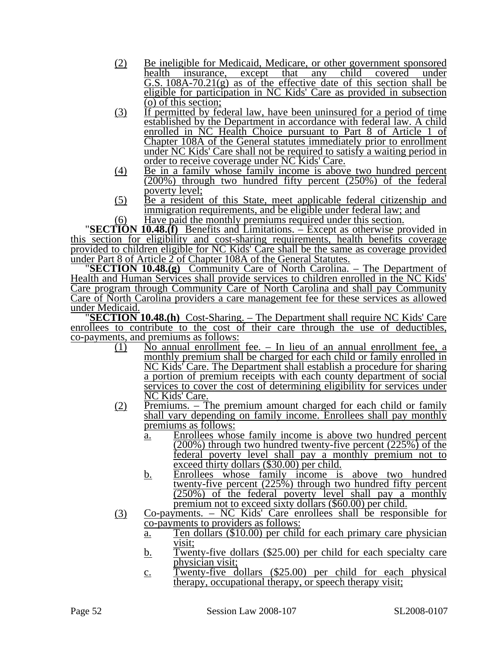- (2) Be ineligible for Medicaid, Medicare, or other government sponsored health insurance, except that any child covered under G.S.  $108A-70.21(g)$  as of the effective date of this section shall be eligible for participation in NC Kids' Care as provided in subsection (o) of this section;
- (3) If permitted by federal law, have been uninsured for a period of time established by the Department in accordance with federal law. A child enrolled in NC Health Choice pursuant to Part 8 of Article 1 of Chapter 108A of the General statutes immediately prior to enrollment under NC Kids' Care shall not be required to satisfy a waiting period in order to receive coverage under NC Kids' Care.
- (4) Be in a family whose family income is above two hundred percent (200%) through two hundred fifty percent (250%) of the federal poverty level;
- (5) Be a resident of this State, meet applicable federal citizenship and immigration requirements, and be eligible under federal law; and Have paid the monthly premiums required under this section.

(6) Have paid the monthly premiums required under this section. "**SECTION 10.48.(f)** Benefits and Limitations. – Except as otherwise provided in this section for eligibility and cost-sharing requirements, health benefits coverage provided to children eligible for NC Kids' Care shall be the same as coverage provided under Part 8 of Article 2 of Chapter 108A of the General Statutes.

**SECTION 10.48.(g)** Community Care of North Carolina. – The Department of Health and Human Services shall provide services to children enrolled in the NC Kids' Care program through Community Care of North Carolina and shall pay Community Care of North Carolina providers a care management fee for these services as allowed

under Medicaid. "**SECTION 10.48.(h)** Cost-Sharing. – The Department shall require NC Kids' Care enrollees to contribute to the cost of their care through the use of deductibles, co-payments, and premiums as follows:

- (1) No annual enrollment fee. In lieu of an annual enrollment fee, a monthly premium shall be charged for each child or family enrolled in NC Kids' Care. The Department shall establish a procedure for sharing a portion of premium receipts with each county department of social services to cover the cost of determining eligibility for services under NC Kids' Care.
- (2) Premiums. The premium amount charged for each child or family shall vary depending on family income. Enrollees shall pay monthly premiums as follows:
	- a. Enrollees whose family income is above two hundred percent  $(200\%)$  through two hundred twenty-five percent  $(225\%)$  of the federal poverty level shall pay a monthly premium not to exceed thirty dollars (\$30.00) per child.
	- b. Enrollees whose family income is above two hundred twenty-five percent  $(225\%)$  through two hundred fifty percent  $(250\%)$  of the federal poverty level shall pay a monthly premium not to exceed sixty dollars (\$60.00) per child.
- (3) Co-payments. NC Kids' Care enrollees shall be responsible for co-payments to providers as follows:
	- a. Ten dollars (\$10.00) per child for each primary care physician visit;
	- b. Twenty-five dollars (\$25.00) per child for each specialty care physician visit;
	- c. Twenty-five dollars (\$25.00) per child for each physical therapy, occupational therapy, or speech therapy visit;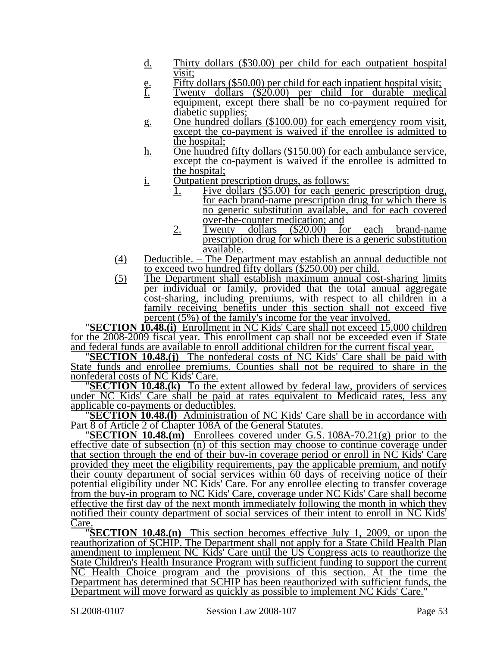- d. Thirty dollars (\$30.00) per child for each outpatient hospital visit;
- e. Fifty dollars (\$50.00) per child for each inpatient hospital visit;<br> $\underline{f}$ . Twenty dollars (\$20.00) per child for durable medica
- Twenty dollars (\$20.00) per child for durable medical equipment, except there shall be no co-payment required for diabetic supplies;
- g. One hundred dollars (\$100.00) for each emergency room visit, except the co-payment is waived if the enrollee is admitted to the hospital;
- h. One hundred fifty dollars (\$150.00) for each ambulance service, except the co-payment is waived if the enrollee is admitted to the hospital;
- i. Outpatient prescription drugs, as follows:
	- 1. Five dollars (\$5.00) for each generic prescription drug, for each brand-name prescription drug for which there is no generic substitution available, and for each covered over-the-counter medication; and<br>Twenty dollars (\$20.00) fo
	- 2. Twenty dollars (\$20.00) for each brand-name prescription drug for which there is a generic substitution available.
- (4) Deductible. The Department may establish an annual deductible not to exceed two hundred fifty dollars (\$250.00) per child.
- (5) The Department shall establish maximum annual cost-sharing limits per individual or family, provided that the total annual aggregate cost-sharing, including premiums, with respect to all children in a family receiving benefits under this section shall not exceed five

percent (5%) of the family's income for the year involved. "**SECTION 10.48.(i)** Enrollment in NC Kids' Care shall not exceed 15,000 children for the 2008-2009 fiscal year. This enrollment cap shall not be exceeded even if State

**SECTION 10.48.(j)** The nonfederal costs of NC Kids' Care shall be paid with State funds and enrollee premiums. Counties shall not be required to share in the

**SECTION 10.48.(k)** To the extent allowed by federal law, providers of services under NC Kids' Care shall be paid at rates equivalent to Medicaid rates, less any applicable co-payments or deductibles.

**SECTION 10.48.(I)** Administration of NC Kids' Care shall be in accordance with Part 8 of Article 2 of Chapter 108A of the General Statutes. "**SECTION 10.48.(m)** Enrollees covered under G.S. 108A-70.21(g) prior to the

effective date of subsection (n) of this section may choose to continue coverage under that section through the end of their buy-in coverage period or enroll in NC Kids' Care provided they meet the eligibility requirements, pay the applicable premium, and notify their county department of social services within 60 days of receiving notice of their potential eligibility under NC Kids' Care. For any enrollee electing to transfer coverage from the buy-in program to NC Kids' Care, coverage under NC Kids' Care shall become effective the first day of the next month immediately following the month in which they notified their county department of social services of their intent to enroll in NC Kids'

Care. "**SECTION 10.48.(n)** This section becomes effective July 1, 2009, or upon the reauthorization of SCHIP. The Department shall not apply for a State Child Health Plan amendment to implement NC Kids' Care until the US Congress acts to reauthorize the State Children's Health Insurance Program with sufficient funding to support the current NC Health Choice program and the provisions of this section. At the time the Department has determined that SCHIP has been reauthorized with sufficient funds, the Department will move forward as quickly as possible to implement NC Kids' Care."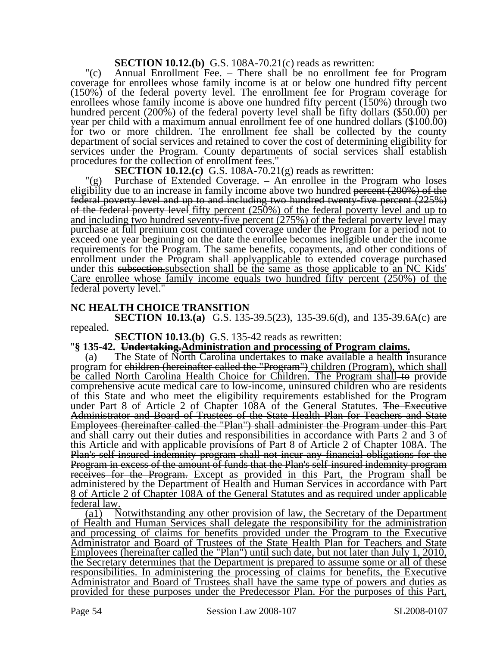**SECTION 10.12.(b)** G.S. 108A-70.21(c) reads as rewritten:

"(c) Annual Enrollment Fee. – There shall be no enrollment fee for Program coverage for enrollees whose family income is at or below one hundred fifty percent (150%) of the federal poverty level. The enrollment fee for Program coverage for enrollees whose family income is above one hundred fifty percent  $(150%)$  through two hundred percent (200%) of the federal poverty level shall be fifty dollars  $(\overline{$}50.00)$  per year per child with a maximum annual enrollment fee of one hundred dollars (\$100.00) for two or more children. The enrollment fee shall be collected by the county department of social services and retained to cover the cost of determining eligibility for services under the Program. County departments of social services shall establish procedures for the collection of enrollment fees."

**SECTION 10.12.(c)** G.S. 108A-70.21(g) reads as rewritten:

"(g) Purchase of Extended Coverage. – An enrollee in the Program who loses eligibility due to an increase in family income above two hundred percent (200%) of the federal poverty level and up to and including two hundred twenty-five percent (225%) of the federal poverty level fifty percent (250%) of the federal poverty level and up to and including two hundred seventy-five percent (275%) of the federal poverty level may purchase at full premium cost continued coverage under the Program for a period not to exceed one year beginning on the date the enrollee becomes ineligible under the income requirements for the Program. The same-benefits, copayments, and other conditions of enrollment under the Program shall applyapplicable to extended coverage purchased under this subsection.subsection shall be the same as those applicable to an NC Kids' Care enrollee whose family income equals two hundred fifty percent (250%) of the federal poverty level."

### **NC HEALTH CHOICE TRANSITION**

**SECTION 10.13.(a)** G.S. 135-39.5(23), 135-39.6(d), and 135-39.6A(c) are repealed.

# **SECTION 10.13.(b)** G.S. 135-42 reads as rewritten:<br>"**§ 135-42.** Undertaking.Administration and processing of Program claims.

(a) The State of North Carolina undertakes to make available a health insurance program for children (hereinafter called the "Program") children (Program), which shall be called North Carolina Health Choice for Children. The Program shall-to provide comprehensive acute medical care to low-income, uninsured children who are residents of this State and who meet the eligibility requirements established for the Program under Part 8 of Article 2 of Chapter 108A of the General Statutes. The Executive Administrator and Board of Trustees of the State Health Plan for Teachers and State Employees (hereinafter called the "Plan") shall administer the Program under this Part and shall carry out their duties and responsibilities in accordance with Parts 2 and 3 of this Article and with applicable provisions of Part 8 of Article 2 of Chapter 108A. The Plan's self-insured indemnity program shall not incur any financial obligations for the Program in excess of the amount of funds that the Plan's self-insured indemnity program receives for the Program. Except as provided in this Part, the Program shall be administered by the Department of Health and Human Services in accordance with Part 8 of Article 2 of Chapter 108A of the General Statutes and as required under applicable federal law.

(a1) Notwithstanding any other provision of law, the Secretary of the Department of Health and Human Services shall delegate the responsibility for the administration and processing of claims for benefits provided under the Program to the Executive Administrator and Board of Trustees of the State Health Plan for Teachers and State Employees (hereinafter called the "Plan") until such date, but not later than July 1, 2010, the Secretary determines that the Department is prepared to assume some or all of these responsibilities. In administering the processing of claims for benefits, the Executive Administrator and Board of Trustees shall have the same type of powers and duties as provided for these purposes under the Predecessor Plan. For the purposes of this Part,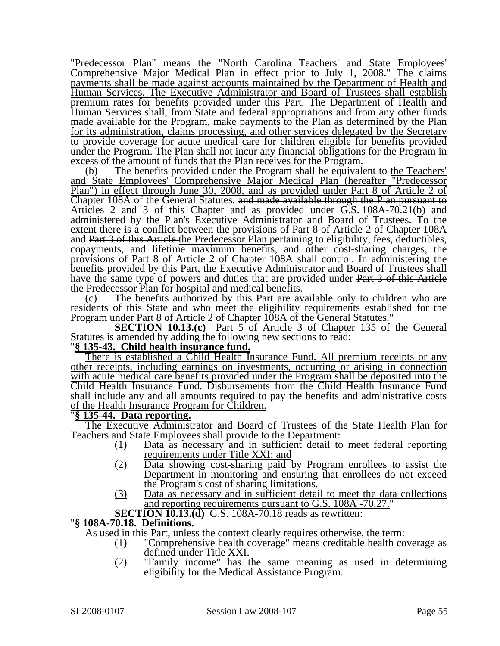"Predecessor Plan" means the "North Carolina Teachers' and State Employees' Comprehensive Major Medical Plan in effect prior to July 1, 2008." The claims payments shall be made against accounts maintained by the Department of Health and Human Services. The Executive Administrator and Board of Trustees shall establish premium rates for benefits provided under this Part. The Department of Health and Human Services shall, from State and federal appropriations and from any other funds made available for the Program, make payments to the Plan as determined by the Plan for its administration, claims processing, and other services delegated by the Secretary to provide coverage for acute medical care for children eligible for benefits provided under the Program. The Plan shall not incur any financial obligations for the Program in excess of the amount of funds that the Plan receives for the Program.

(b) The benefits provided under the Program shall be equivalent to the Teachers' and State Employees' Comprehensive Major Medical Plan (hereafter "Predecessor Plan") in effect through June 30, 2008, and as provided under Part 8 of Article 2 of Chapter 108A of the General Statutes. and made available through the Plan pursuant to Articles 2 and 3 of this Chapter and as provided under G.S. 108A-70.21(b) and administered by the Plan's Executive Administrator and Board of Trustees. To the extent there is a conflict between the provisions of Part 8 of Article 2 of Chapter 108A and Part 3 of this Article the Predecessor Plan pertaining to eligibility, fees, deductibles, copayments, and lifetime maximum benefits, and other cost-sharing charges, the provisions of Part 8 of Article 2 of Chapter 108A shall control. In administering the benefits provided by this Part, the Executive Administrator and Board of Trustees shall have the same type of powers and duties that are provided under Part 3 of this Article the Predecessor Plan for hospital and medical benefits.

(c) The benefits authorized by this Part are available only to children who are residents of this State and who meet the eligibility requirements established for the Program under Part 8 of Article 2 of Chapter 108A of the General Statutes."

**SECTION 10.13.(c)** Part 5 of Article 3 of Chapter 135 of the General Statutes is amended by adding the following new sections to read: "**§ 135-43. Child health insurance fund.**

There is established a Child Health Insurance Fund. All premium receipts or any other receipts, including earnings on investments, occurring or arising in connection with acute medical care benefits provided under the Program shall be deposited into the Child Health Insurance Fund. Disbursements from the Child Health Insurance Fund shall include any and all amounts required to pay the benefits and administrative costs of the Health Insurance Program for Children. "**§ 135-44. Data reporting.**

The Executive Administrator and Board of Trustees of the State Health Plan for Teachers and State Employees shall provide to the Department:

- (1) Data as necessary and in sufficient detail to meet federal reporting requirements under Title XXI; and
- (2) Data showing cost-sharing paid by Program enrollees to assist the Department in monitoring and ensuring that enrollees do not exceed the Program's cost of sharing limitations.
- (3) Data as necessary and in sufficient detail to meet the data collections and reporting requirements pursuant to G.S. 108A -70.27.
- **SECTION 10.13.(d)** G.S. 108A-70.18 reads as rewritten: "**§ 108A-70.18. Definitions.**

As used in this Part, unless the context clearly requires otherwise, the term:

- (1) "Comprehensive health coverage" means creditable health coverage as defined under Title XXI.
- (2) "Family income" has the same meaning as used in determining eligibility for the Medical Assistance Program.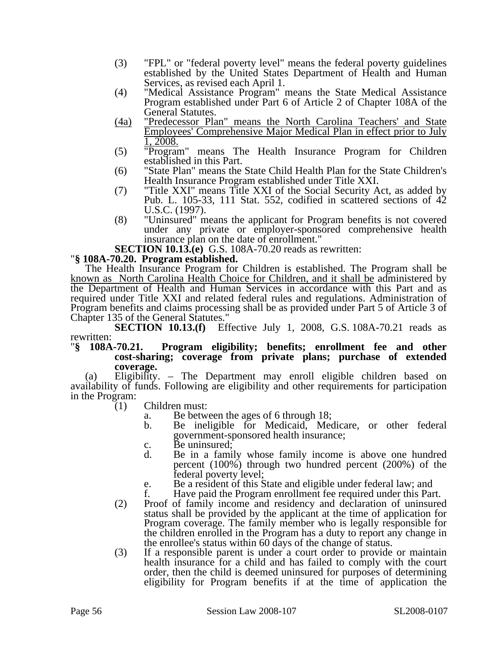- (3) "FPL" or "federal poverty level" means the federal poverty guidelines established by the United States Department of Health and Human Services, as revised each April 1.
- (4) "Medical Assistance Program" means the State Medical Assistance Program established under Part 6 of Article 2 of Chapter 108A of the General Statutes.
- (4a) "Predecessor Plan" means the North Carolina Teachers' and State Employees' Comprehensive Major Medical Plan in effect prior to July 1, 2008.
- (5) "Program" means The Health Insurance Program for Children established in this Part.
- (6) "State Plan" means the State Child Health Plan for the State Children's Health Insurance Program established under Title XXI.
- (7) "Title XXI" means Title XXI of the Social Security Act, as added by Pub. L. 105-33, 111 Stat. 552, codified in scattered sections of 42 U.S.C. (1997).
- (8) "Uninsured" means the applicant for Program benefits is not covered under any private or employer-sponsored comprehensive health insurance plan on the date of enrollment."

**SECTION 10.13.(e)** G.S. 108A-70.20 reads as rewritten: "**§ 108A-70.20. Program established.** 

The Health Insurance Program for Children is established. The Program shall be known as North Carolina Health Choice for Children, and it shall be administered by the Department of Health and Human Services in accordance with this Part and as required under Title XXI and related federal rules and regulations. Administration of Program benefits and claims processing shall be as provided under Part 5 of Article 3 of Chapter 135 of the General Statutes."<br>SECTION 10.13.(f) Eff

Effective July 1, 2008, G.S. 108A-70.21 reads as rewritten:<br>"§ 108A-70.21.

#### **Program eligibility; benefits; enrollment fee and other cost-sharing; coverage from private plans; purchase of extended coverage.**

(a) Eligibility. – The Department may enroll eligible children based on availability of funds. Following are eligibility and other requirements for participation in the Program:

- (1) Children must:
	- a. Be between the ages of 6 through 18;
	- b. Be ineligible for Medicaid, Medicare, or other federal government-sponsored health insurance;
	- c. Be uninsured;<br>d. Be in a fami
	- Be in a family whose family income is above one hundred percent (100%) through two hundred percent (200%) of the federal poverty level;
	- e. Be a resident of this State and eligible under federal law; and f. Have paid the Program enrollment fee required under this Par
	- Have paid the Program enrollment fee required under this Part.
- (2) Proof of family income and residency and declaration of uninsured status shall be provided by the applicant at the time of application for Program coverage. The family member who is legally responsible for the children enrolled in the Program has a duty to report any change in the enrollee's status within 60 days of the change of status.
- (3) If a responsible parent is under a court order to provide or maintain health insurance for a child and has failed to comply with the court order, then the child is deemed uninsured for purposes of determining eligibility for Program benefits if at the time of application the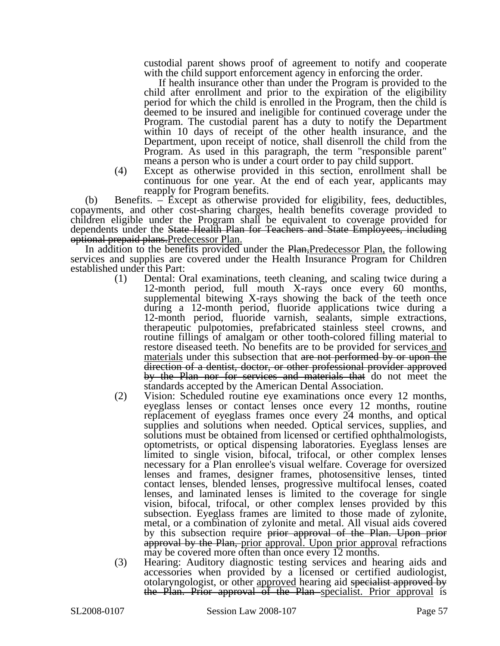custodial parent shows proof of agreement to notify and cooperate with the child support enforcement agency in enforcing the order.

If health insurance other than under the Program is provided to the child after enrollment and prior to the expiration of the eligibility period for which the child is enrolled in the Program, then the child is deemed to be insured and ineligible for continued coverage under the Program. The custodial parent has a duty to notify the Department within 10 days of receipt of the other health insurance, and the Department, upon receipt of notice, shall disenroll the child from the Program. As used in this paragraph, the term "responsible parent" means a person who is under a court order to pay child support.

(4) Except as otherwise provided in this section, enrollment shall be continuous for one year. At the end of each year, applicants may reapply for Program benefits.

(b) Benefits. – Except as otherwise provided for eligibility, fees, deductibles, copayments, and other cost-sharing charges, health benefits coverage provided to children eligible under the Program shall be equivalent to coverage provided for dependents under the State Health Plan for Teachers and State Employees, including optional prepaid plans.Predecessor Plan.

In addition to the benefits provided under the Plan, Predecessor Plan, the following services and supplies are covered under the Health Insurance Program for Children established under this Part:

- (1) Dental: Oral examinations, teeth cleaning, and scaling twice during a 12-month period, full mouth X-rays once every 60 months, supplemental bitewing X-rays showing the back of the teeth once during a 12-month period, fluoride applications twice during a 12-month period, fluoride varnish, sealants, simple extractions, therapeutic pulpotomies, prefabricated stainless steel crowns, and routine fillings of amalgam or other tooth-colored filling material to restore diseased teeth. No benefits are to be provided for services and materials under this subsection that are not performed by or upon the direction of a dentist, doctor, or other professional provider approved by the Plan nor for services and materials that do not meet the standards accepted by the American Dental Association.
- (2) Vision: Scheduled routine eye examinations once every 12 months, eyeglass lenses or contact lenses once every 12 months, routine replacement of eyeglass frames once every 24 months, and optical supplies and solutions when needed. Optical services, supplies, and solutions must be obtained from licensed or certified ophthalmologists, optometrists, or optical dispensing laboratories. Eyeglass lenses are limited to single vision, bifocal, trifocal, or other complex lenses necessary for a Plan enrollee's visual welfare. Coverage for oversized lenses and frames, designer frames, photosensitive lenses, tinted contact lenses, blended lenses, progressive multifocal lenses, coated lenses, and laminated lenses is limited to the coverage for single vision, bifocal, trifocal, or other complex lenses provided by this subsection. Eyeglass frames are limited to those made of zylonite, metal, or a combination of zylonite and metal. All visual aids covered by this subsection require prior approval of the Plan. Upon prior approval by the Plan, prior approval. Upon prior approval refractions may be covered more often than once every 12 months.
- (3) Hearing: Auditory diagnostic testing services and hearing aids and accessories when provided by a licensed or certified audiologist, otolaryngologist, or other approved hearing aid specialist approved by the Plan. Prior approval of the Plan specialist. Prior approval is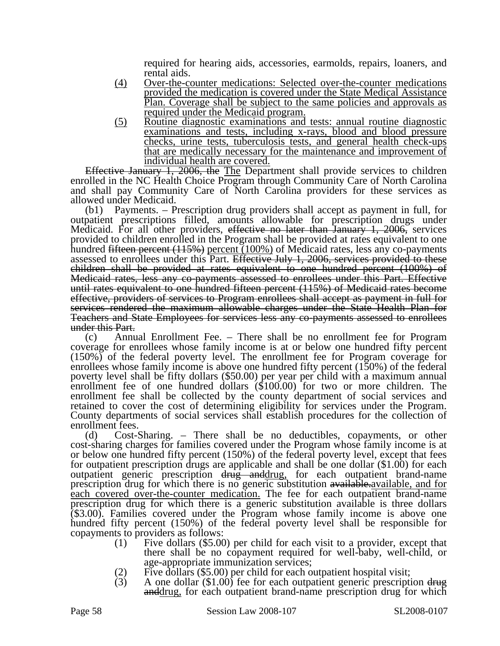required for hearing aids, accessories, earmolds, repairs, loaners, and rental aids.

- (4) Over-the-counter medications: Selected over-the-counter medications provided the medication is covered under the State Medical Assistance Plan. Coverage shall be subject to the same policies and approvals as required under the Medicaid program.
- (5) Routine diagnostic examinations and tests: annual routine diagnostic examinations and tests, including x-rays, blood and blood pressure checks, urine tests, tuberculosis tests, and general health check-ups that are medically necessary for the maintenance and improvement of individual health are covered.

Effective January 1, 2006, the The Department shall provide services to children enrolled in the NC Health Choice Program through Community Care of North Carolina and shall pay Community Care of North Carolina providers for these services as allowed under Medicaid.

(b1) Payments. – Prescription drug providers shall accept as payment in full, for outpatient prescriptions filled, amounts allowable for prescription drugs under Medicaid. For all other providers, effective no later than January 1, 2006, services provided to children enrolled in the Program shall be provided at rates equivalent to one hundred <del>fifteen percent (115%)</del> percent (100%) of Medicaid rates, less any co-payments assessed to enrollees under this Part. Effective July 1, 2006, services provided to these children shall be provided at rates equivalent to one hundred percent (100%) of Medicaid rates, less any co-payments assessed to enrollees under this Part. Effective until rates equivalent to one hundred fifteen percent (115%) of Medicaid rates become effective, providers of services to Program enrollees shall accept as payment in full for services rendered the maximum allowable charges under the State Health Plan for Teachers and State Employees for services less any co-payments assessed to enrollees under this Part.

(c) Annual Enrollment Fee. – There shall be no enrollment fee for Program coverage for enrollees whose family income is at or below one hundred fifty percent (150%) of the federal poverty level. The enrollment fee for Program coverage for enrollees whose family income is above one hundred fifty percent (150%) of the federal poverty level shall be fifty dollars (\$50.00) per year per child with a maximum annual enrollment fee of one hundred dollars (\$100.00) for two or more children. The enrollment fee shall be collected by the county department of social services and retained to cover the cost of determining eligibility for services under the Program. County departments of social services shall establish procedures for the collection of enrollment fees.

(d) Cost-Sharing. – There shall be no deductibles, copayments, or other cost-sharing charges for families covered under the Program whose family income is at or below one hundred fifty percent (150%) of the federal poverty level, except that fees for outpatient prescription drugs are applicable and shall be one dollar (\$1.00) for each outpatient generic prescription drug and drug, for each outpatient brand-name prescription drug for which there is no generic substitution available. available, and for each covered over-the-counter medication. The fee for each outpatient brand-name prescription drug for which there is a generic substitution available is three dollars (\$3.00). Families covered under the Program whose family income is above one hundred fifty percent (150%) of the federal poverty level shall be responsible for copayments to providers as follows:

- (1) Five dollars  $(\$5.00)$  per child for each visit to a provider, except that there shall be no copayment required for well-baby, well-child, or
- 
- age-appropriate immunization services;<br>
(2) Five dollars (\$5.00) per child for each outpatient hospital visit;<br>
(3) A one dollar (\$1.00) fee for each outpatient generic prescription drug anddrug, for each outpatient brand-name prescription drug for which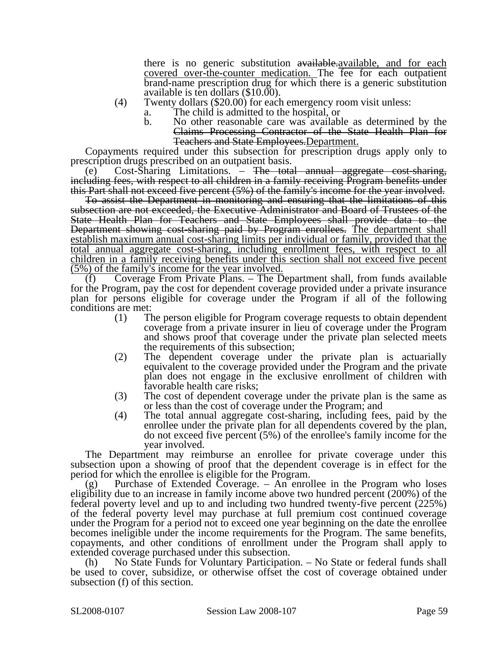there is no generic substitution available. available, and for each covered over-the-counter medication. The fee for each outpatient brand-name prescription drug for which there is a generic substitution available is ten dollars (\$10.00).

- (4) Twenty dollars (\$20.00) for each emergency room visit unless:
	- a. The child is admitted to the hospital, or
	- b. No other reasonable care was available as determined by the Claims Processing Contractor of the State Health Plan for Teachers and State Employees.Department.

Copayments required under this subsection for prescription drugs apply only to prescription drugs prescribed on an outpatient basis.

(e) Cost-Sharing Limitations.  $\overline{-}$  The total annual aggregate cost-sharing, including fees, with respect to all children in a family receiving Program benefits under this Part shall not exceed five percent (5%) of the family's income for the year involved.

To assist the Department in monitoring and ensuring that the limitations of this subsection are not exceeded, the Executive Administrator and Board of Trustees of the State Health Plan for Teachers and State Employees shall provide data to the Department showing cost-sharing paid by Program enrollees. The department shall establish maximum annual cost-sharing limits per individual or family, provided that the total annual aggregate cost-sharing, including enrollment fees, with respect to all children in a family receiving benefits under this section shall not exceed five pecent (5%) of the family's income for the year involved.

(f) Coverage From Private Plans. – The Department shall, from funds available for the Program, pay the cost for dependent coverage provided under a private insurance plan for persons eligible for coverage under the Program if all of the following conditions are met:

- (1) The person eligible for Program coverage requests to obtain dependent coverage from a private insurer in lieu of coverage under the Program and shows proof that coverage under the private plan selected meets the requirements of this subsection;
- (2) The dependent coverage under the private plan is actuarially equivalent to the coverage provided under the Program and the private plan does not engage in the exclusive enrollment of children with favorable health care risks;
- (3) The cost of dependent coverage under the private plan is the same as or less than the cost of coverage under the Program; and
- (4) The total annual aggregate cost-sharing, including fees, paid by the enrollee under the private plan for all dependents covered by the plan, do not exceed five percent (5%) of the enrollee's family income for the year involved.

The Department may reimburse an enrollee for private coverage under this subsection upon a showing of proof that the dependent coverage is in effect for the period for which the enrollee is eligible for the Program.

(g) Purchase of Extended Coverage. – An enrollee in the Program who loses eligibility due to an increase in family income above two hundred percent (200%) of the federal poverty level and up to and including two hundred twenty-five percent (225%) of the federal poverty level may purchase at full premium cost continued coverage under the Program for a period not to exceed one year beginning on the date the enrollee becomes ineligible under the income requirements for the Program. The same benefits, copayments, and other conditions of enrollment under the Program shall apply to extended coverage purchased under this subsection.

(h) No State Funds for Voluntary Participation. – No State or federal funds shall be used to cover, subsidize, or otherwise offset the cost of coverage obtained under subsection (f) of this section.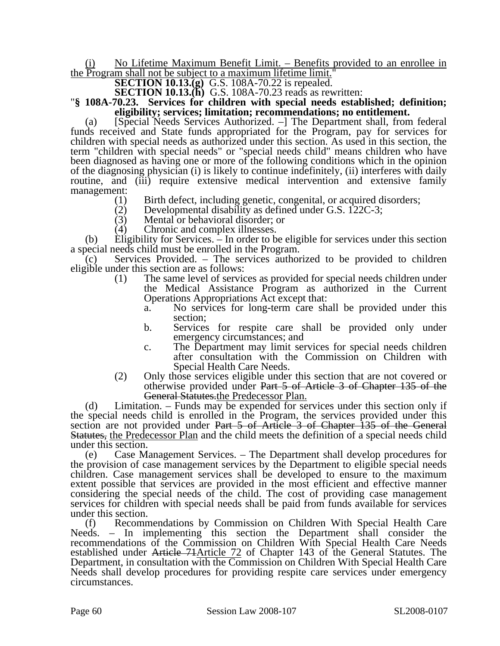#### No Lifetime Maximum Benefit Limit. – Benefits provided to an enrollee in the Program shall not be subject to a maximum lifetime limit."

**SECTION 10.13.(g)** G.S. 108A-70.22 is repealed.

## **SECTION 10.13.(h)** G.S. 108A-70.23 reads as rewritten: "**§ 108A-70.23. Services for children with special needs established; definition; eligibility; services; limitation; recommendations; no entitlement.**

(a) [Special Needs Services Authorized. –] The Department shall, from federal funds received and State funds appropriated for the Program, pay for services for children with special needs as authorized under this section. As used in this section, the term "children with special needs" or "special needs child" means children who have been diagnosed as having one or more of the following conditions which in the opinion of the diagnosing physician (i) is likely to continue indefinitely, (ii) interferes with daily routine, and (iii) require extensive medical intervention and extensive family management:

- (1) Birth defect, including genetic, congenital, or acquired disorders;<br>(2) Developmental disability as defined under G.S. 122C-3;
- (2) Developmental disability as defined under G.S.  $122C-3$ ;<br>(3) Mental or behavioral disorder; or
- Mental or behavioral disorder; or
- (4) Chronic and complex illnesses.

(b) Eligibility for Services. – In order to be eligible for services under this section a special needs child must be enrolled in the Program.

(c) Services Provided. – The services authorized to be provided to children eligible under this section are as follows:

- (1) The same level of services as provided for special needs children under the Medical Assistance Program as authorized in the Current Operations Appropriations Act except that:
	- a. No services for long-term care shall be provided under this section;
	- b. Services for respite care shall be provided only under emergency circumstances; and
	- c. The Department may limit services for special needs children after consultation with the Commission on Children with Special Health Care Needs.
- (2) Only those services eligible under this section that are not covered or otherwise provided under Part 5 of Article 3 of Chapter 135 of the General Statutes.the Predecessor Plan.

(d) Limitation. – Funds may be expended for services under this section only if the special needs child is enrolled in the Program, the services provided under this section are not provided under Part 5 of Article 3 of Chapter 135 of the General Statutes, the Predecessor Plan and the child meets the definition of a special needs child under this section.

(e) Case Management Services. – The Department shall develop procedures for the provision of case management services by the Department to eligible special needs children. Case management services shall be developed to ensure to the maximum extent possible that services are provided in the most efficient and effective manner considering the special needs of the child. The cost of providing case management services for children with special needs shall be paid from funds available for services under this section.

(f) Recommendations by Commission on Children With Special Health Care Needs. – In implementing this section the Department shall consider the recommendations of the Commission on Children With Special Health Care Needs established under Article 71Article 72 of Chapter 143 of the General Statutes. The Department, in consultation with the Commission on Children With Special Health Care Needs shall develop procedures for providing respite care services under emergency circumstances.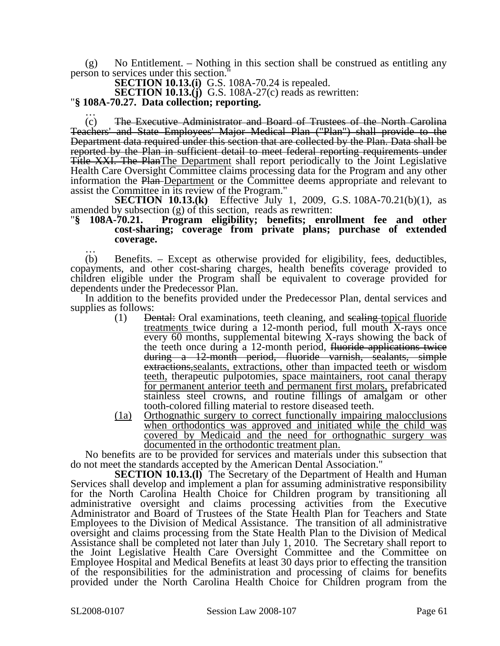(g) No Entitlement. – Nothing in this section shall be construed as entitling any person to services under this section."

**SECTION 10.13.(i)** G.S. 108A-70.24 is repealed.

**SECTION 10.13.(j)** G.S. 108A-27(c) reads as rewritten: "**§ 108A-70.27. Data collection; reporting.** …

(c) The Executive Administrator and Board of Trustees of the North Carolina Teachers' and State Employees' Major Medical Plan ("Plan") shall provide to the Department data required under this section that are collected by the Plan. Data shall be reported by the Plan in sufficient detail to meet federal reporting requirements under Title XXI. The PlanThe Department shall report periodically to the Joint Legislative Health Care Oversight Committee claims processing data for the Program and any other information the Plan Department or the Committee deems appropriate and relevant to assist the Committee in its review of the Program."

**SECTION 10.13.(k)** Effective July 1, 2009, G.S. 108A-70.21(b)(1), as amended by subsection (g) of this section, reads as rewritten: "**§ 108A-70.21. Program eligibility; benefits; enrollment fee and other** 

## **cost-sharing; coverage from private plans; purchase of extended coverage.** …

(b) Benefits. – Except as otherwise provided for eligibility, fees, deductibles, copayments, and other cost-sharing charges, health benefits coverage provided to children eligible under the Program shall be equivalent to coverage provided for dependents under the Predecessor Plan.

In addition to the benefits provided under the Predecessor Plan, dental services and supplies as follows:

- (1) Dental: Oral examinations, teeth cleaning, and scaling topical fluoride treatments twice during a 12-month period, full mouth X-rays once every 60 months, supplemental bitewing X-rays showing the back of the teeth once during a 12-month period, fluoride applications twice during a 12-month period, fluoride varnish, sealants, simple extractions,sealants, extractions, other than impacted teeth or wisdom teeth, therapeutic pulpotomies, space maintainers, root canal therapy for permanent anterior teeth and permanent first molars, prefabricated stainless steel crowns, and routine fillings of amalgam or other tooth-colored filling material to restore diseased teeth.
- (1a) Orthognathic surgery to correct functionally impairing malocclusions when orthodontics was approved and initiated while the child was covered by Medicaid and the need for orthognathic surgery was documented in the orthodontic treatment plan.

No benefits are to be provided for services and materials under this subsection that do not meet the standards accepted by the American Dental Association."

**SECTION 10.13.(l)** The Secretary of the Department of Health and Human Services shall develop and implement a plan for assuming administrative responsibility for the North Carolina Health Choice for Children program by transitioning all administrative oversight and claims processing activities from the Executive Administrator and Board of Trustees of the State Health Plan for Teachers and State Employees to the Division of Medical Assistance. The transition of all administrative oversight and claims processing from the State Health Plan to the Division of Medical Assistance shall be completed not later than July 1, 2010. The Secretary shall report to the Joint Legislative Health Care Oversight Committee and the Committee on Employee Hospital and Medical Benefits at least 30 days prior to effecting the transition of the responsibilities for the administration and processing of claims for benefits provided under the North Carolina Health Choice for Children program from the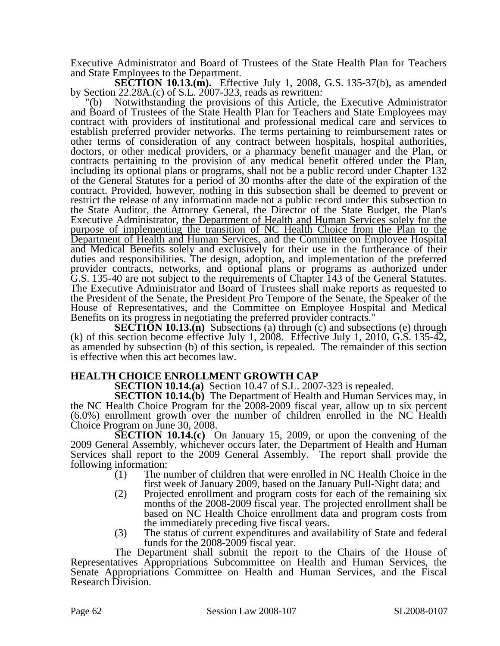Executive Administrator and Board of Trustees of the State Health Plan for Teachers and State Employees to the Department.

**SECTION 10.13.(m).** Effective July 1, 2008, G.S. 135-37(b), as amended by Section 22.28A.(c) of S.L. 2007-323, reads as rewritten:

"(b) Notwithstanding the provisions of this Article, the Executive Administrator and Board of Trustees of the State Health Plan for Teachers and State Employees may contract with providers of institutional and professional medical care and services to establish preferred provider networks. The terms pertaining to reimbursement rates or other terms of consideration of any contract between hospitals, hospital authorities, doctors, or other medical providers, or a pharmacy benefit manager and the Plan, or contracts pertaining to the provision of any medical benefit offered under the Plan, including its optional plans or programs, shall not be a public record under Chapter 132 of the General Statutes for a period of 30 months after the date of the expiration of the contract. Provided, however, nothing in this subsection shall be deemed to prevent or restrict the release of any information made not a public record under this subsection to the State Auditor, the Attorney General, the Director of the State Budget, the Plan's Executive Administrator, the Department of Health and Human Services solely for the purpose of implementing the transition of NC Health Choice from the Plan to the Department of Health and Human Services, and the Committee on Employee Hospital and Medical Benefits solely and exclusively for their use in the furtherance of their duties and responsibilities. The design, adoption, and implementation of the preferred provider contracts, networks, and optional plans or programs as authorized under G.S. 135-40 are not subject to the requirements of Chapter 143 of the General Statutes. The Executive Administrator and Board of Trustees shall make reports as requested to the President of the Senate, the President Pro Tempore of the Senate, the Speaker of the House of Representatives, and the Committee on Employee Hospital and Medical Benefits on its progress in negotiating the preferred provider contracts."

**SECTION 10.13.(n)** Subsections (a) through (c) and subsections (e) through (k) of this section become effective July 1, 2008. Effective July 1, 2010, G.S. 135-42, as amended by subsection (b) of this section, is repealed. The remainder of this section is effective when this act becomes law.

### **HEALTH CHOICE ENROLLMENT GROWTH CAP**

**SECTION 10.14.(a)** Section 10.47 of S.L. 2007-323 is repealed.

**SECTION 10.14.(b)** The Department of Health and Human Services may, in the NC Health Choice Program for the 2008-2009 fiscal year, allow up to six percent (6.0%) enrollment growth over the number of children enrolled in the NC Health Choice Program on June 30, 2008.

**SECTION 10.14.(c)** On January 15, 2009, or upon the convening of the 2009 General Assembly, whichever occurs later, the Department of Health and Human Services shall report to the 2009 General Assembly. The report shall provide the following information:

- (1) The number of children that were enrolled in NC Health Choice in the first week of January 2009, based on the January Pull-Night data; and
- (2) Projected enrollment and program costs for each of the remaining six months of the 2008-2009 fiscal year. The projected enrollment shall be based on NC Health Choice enrollment data and program costs from the immediately preceding five fiscal years.
- (3) The status of current expenditures and availability of State and federal funds for the 2008-2009 fiscal year.

The Department shall submit the report to the Chairs of the House of Representatives Appropriations Subcommittee on Health and Human Services, the Senate Appropriations Committee on Health and Human Services, and the Fiscal Research Division.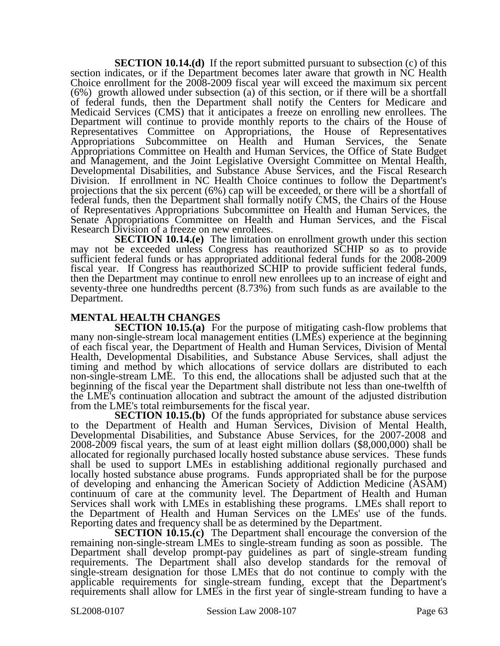**SECTION 10.14.(d)** If the report submitted pursuant to subsection (c) of this section indicates, or if the Department becomes later aware that growth in NC Health Choice enrollment for the 2008-2009 fiscal year will exceed the maximum six percent (6%) growth allowed under subsection (a) of this section, or if there will be a shortfall of federal funds, then the Department shall notify the Centers for Medicare and Medicaid Services (CMS) that it anticipates a freeze on enrolling new enrollees. The Department will continue to provide monthly reports to the chairs of the House of Representatives Committee on Appropriations, the House of Representatives Appropriations Subcommittee on Health and Human Services, the Senate Appropriations Committee on Health and Human Services, the Office of State Budget and Management, and the Joint Legislative Oversight Committee on Mental Health, Developmental Disabilities, and Substance Abuse Services, and the Fiscal Research Division. If enrollment in NC Health Choice continues to follow the Department's projections that the six percent (6%) cap will be exceeded, or there will be a shortfall of federal funds, then the Department shall formally notify CMS, the Chairs of the House of Representatives Appropriations Subcommittee on Health and Human Services, the Senate Appropriations Committee on Health and Human Services, and the Fiscal Research Division of a freeze on new enrollees.

**SECTION 10.14.(e)** The limitation on enrollment growth under this section may not be exceeded unless Congress has reauthorized SCHIP so as to provide sufficient federal funds or has appropriated additional federal funds for the 2008-2009 fiscal year. If Congress has reauthorized SCHIP to provide sufficient federal funds, then the Department may continue to enroll new enrollees up to an increase of eight and seventy-three one hundredths percent (8.73%) from such funds as are available to the Department.

### **MENTAL HEALTH CHANGES**

**SECTION 10.15.(a)** For the purpose of mitigating cash-flow problems that many non-single-stream local management entities (LMEs) experience at the beginning of each fiscal year, the Department of Health and Human Services, Division of Mental Health, Developmental Disabilities, and Substance Abuse Services, shall adjust the timing and method by which allocations of service dollars are distributed to each non-single-stream LME. To this end, the allocations shall be adjusted such that at the beginning of the fiscal year the Department shall distribute not less than one-twelfth of the LME's continuation allocation and subtract the amount of the adjusted distribution from the LME's total reimbursements for the fiscal year.

**SECTION 10.15.(b)** Of the funds appropriated for substance abuse services to the Department of Health and Human Services, Division of Mental Health, Developmental Disabilities, and Substance Abuse Services, for the 2007-2008 and 2008-2009 fiscal years, the sum of at least eight million dollars (\$8,000,000) shall be allocated for regionally purchased locally hosted substance abuse services. These funds shall be used to support LMEs in establishing additional regionally purchased and locally hosted substance abuse programs. Funds appropriated shall be for the purpose of developing and enhancing the American Society of Addiction Medicine (ASAM) continuum of care at the community level. The Department of Health and Human Services shall work with LMEs in establishing these programs. LMEs shall report to the Department of Health and Human Services on the LMEs' use of the funds. Reporting dates and frequency shall be as determined by the Department.

**SECTION 10.15.(c)** The Department shall encourage the conversion of the remaining non-single-stream LMEs to single-stream funding as soon as possible. The Department shall develop prompt-pay guidelines as part of single-stream funding requirements. The Department shall also develop standards for the removal of single-stream designation for those LMEs that do not continue to comply with the applicable requirements for single-stream funding, except that the Department's requirements shall allow for LMEs in the first year of single-stream funding to have a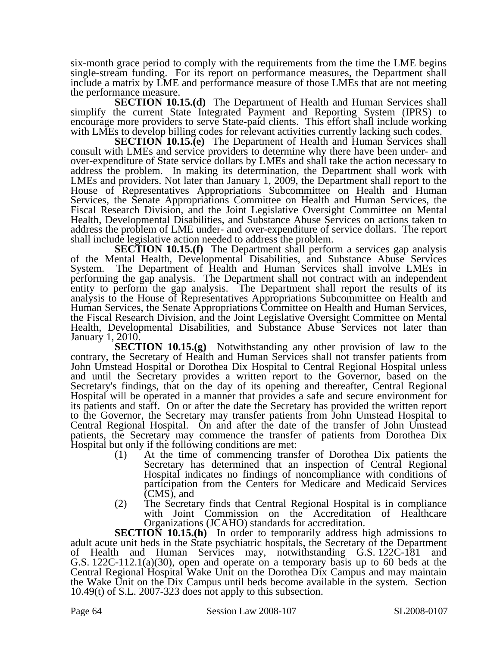six-month grace period to comply with the requirements from the time the LME begins single-stream funding. For its report on performance measures, the Department shall include a matrix by LME and performance measure of those LMEs that are not meeting the performance measure.

**SECTION 10.15.(d)** The Department of Health and Human Services shall simplify the current State Integrated Payment and Reporting System (IPRS) to encourage more providers to serve State-paid clients. This effort shall include working with LMEs to develop billing codes for relevant activities currently lacking such codes.

**SECTION 10.15.(e)** The Department of Health and Human Services shall consult with LMEs and service providers to determine why there have been under- and over-expenditure of State service dollars by LMEs and shall take the action necessary to address the problem. In making its determination, the Department shall work with LMEs and providers. Not later than January 1, 2009, the Department shall report to the House of Representatives Appropriations Subcommittee on Health and Human Services, the Senate Appropriations Committee on Health and Human Services, the Fiscal Research Division, and the Joint Legislative Oversight Committee on Mental Health, Developmental Disabilities, and Substance Abuse Services on actions taken to address the problem of LME under- and over-expenditure of service dollars. The report shall include legislative action needed to address the problem.

**SECTION 10.15.(f)** The Department shall perform a services gap analysis of the Mental Health, Developmental Disabilities, and Substance Abuse Services System. The Department of Health and Human Services shall involve LMEs in performing the gap analysis. The Department shall not contract with an independent entity to perform the gap analysis. The Department shall report the results of its analysis to the House of Representatives Appropriations Subcommittee on Health and Human Services, the Senate Appropriations Committee on Health and Human Services, the Fiscal Research Division, and the Joint Legislative Oversight Committee on Mental Health, Developmental Disabilities, and Substance Abuse Services not later than January 1, 2010.

**SECTION 10.15.(g)** Notwithstanding any other provision of law to the contrary, the Secretary of Health and Human Services shall not transfer patients from John Umstead Hospital or Dorothea Dix Hospital to Central Regional Hospital unless and until the Secretary provides a written report to the Governor, based on the Secretary's findings, that on the day of its opening and thereafter, Central Regional Hospital will be operated in a manner that provides a safe and secure environment for its patients and staff. On or after the date the Secretary has provided the written report to the Governor, the Secretary may transfer patients from John Umstead Hospital to Central Regional Hospital. On and after the date of the transfer of John Umstead patients, the Secretary may commence the transfer of patients from Dorothea Dix Hospital but only if the following conditions are met:

- (1) At the time of commencing transfer of Dorothea Dix patients the Secretary has determined that an inspection of Central Regional Hospital indicates no findings of noncompliance with conditions of participation from the Centers for Medicare and Medicaid Services (CMS), and
- (2) The Secretary finds that Central Regional Hospital is in compliance with Joint Commission on the Accreditation of Healthcare Organizations (JCAHO) standards for accreditation.

**SECTION 10.15.(h)** In order to temporarily address high admissions to adult acute unit beds in the State psychiatric hospitals, the Secretary of the Department of Health and Human Services may, notwithstanding G.S. 122C-181 and G.S. 122C-112.1(a)(30), open and operate on a temporary basis up to 60 beds at the Central Regional Hospital Wake Unit on the Dorothea Dix Campus and may maintain the Wake Unit on the Dix Campus until beds become available in the system. Section 10.49(t) of S.L. 2007-323 does not apply to this subsection.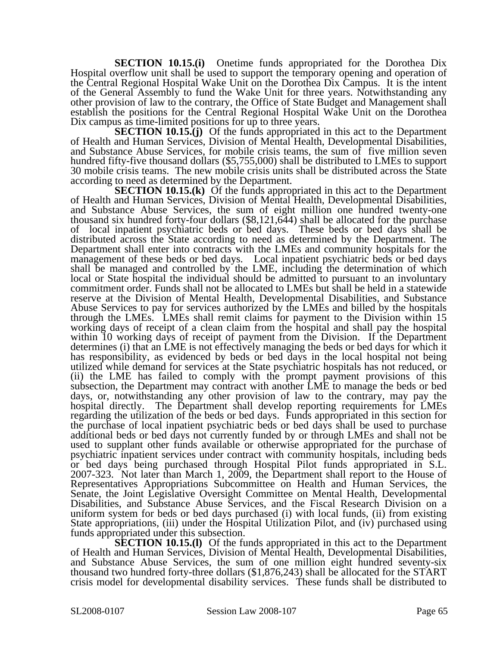**SECTION 10.15.(i)** Onetime funds appropriated for the Dorothea Dix Hospital overflow unit shall be used to support the temporary opening and operation of the Central Regional Hospital Wake Unit on the Dorothea Dix Campus. It is the intent of the General Assembly to fund the Wake Unit for three years. Notwithstanding any other provision of law to the contrary, the Office of State Budget and Management shall establish the positions for the Central Regional Hospital Wake Unit on the Dorothea Dix campus as time-limited positions for up to three years.

**SECTION 10.15.(j)** Of the funds appropriated in this act to the Department of Health and Human Services, Division of Mental Health, Developmental Disabilities, and Substance Abuse Services, for mobile crisis teams, the sum of five million seven hundred fifty-five thousand dollars (\$5,755,000) shall be distributed to LMEs to support 30 mobile crisis teams. The new mobile crisis units shall be distributed across the State according to need as determined by the Department.

**SECTION 10.15.(k)** Of the funds appropriated in this act to the Department of Health and Human Services, Division of Mental Health, Developmental Disabilities, and Substance Abuse Services, the sum of eight million one hundred twenty-one thousand six hundred forty-four dollars (\$8,121,644) shall be allocated for the purchase of local inpatient psychiatric beds or bed days. These beds or bed days shall be distributed across the State according to need as determined by the Department. The Department shall enter into contracts with the LMEs and community hospitals for the management of these beds or bed days. Local inpatient psychiatric beds or bed days shall be managed and controlled by the LME, including the determination of which local or State hospital the individual should be admitted to pursuant to an involuntary commitment order. Funds shall not be allocated to LMEs but shall be held in a statewide reserve at the Division of Mental Health, Developmental Disabilities, and Substance Abuse Services to pay for services authorized by the LMEs and billed by the hospitals through the LMEs. LMEs shall remit claims for payment to the Division within 15 working days of receipt of a clean claim from the hospital and shall pay the hospital within 10 working days of receipt of payment from the Division. If the Department determines (i) that an LME is not effectively managing the beds or bed days for which it has responsibility, as evidenced by beds or bed days in the local hospital not being utilized while demand for services at the State psychiatric hospitals has not reduced, or (ii) the LME has failed to comply with the prompt payment provisions of this subsection, the Department may contract with another LME to manage the beds or bed days, or, notwithstanding any other provision of law to the contrary, may pay the hospital directly. The Department shall develop reporting requirements for LMEs regarding the utilization of the beds or bed days. Funds appropriated in this section for the purchase of local inpatient psychiatric beds or bed days shall be used to purchase additional beds or bed days not currently funded by or through LMEs and shall not be used to supplant other funds available or otherwise appropriated for the purchase of psychiatric inpatient services under contract with community hospitals, including beds or bed days being purchased through Hospital Pilot funds appropriated in S.L. 2007-323. Not later than March 1, 2009, the Department shall report to the House of Representatives Appropriations Subcommittee on Health and Human Services, the Senate, the Joint Legislative Oversight Committee on Mental Health, Developmental Disabilities, and Substance Abuse Services, and the Fiscal Research Division on a uniform system for beds or bed days purchased (i) with local funds, (ii) from existing State appropriations, (iii) under the Hospital Utilization Pilot, and (iv) purchased using funds appropriated under this subsection.

**SECTION 10.15.(I)** Of the funds appropriated in this act to the Department of Health and Human Services, Division of Mental Health, Developmental Disabilities, and Substance Abuse Services, the sum of one million eight hundred seventy-six thousand two hundred forty-three dollars (\$1,876,243) shall be allocated for the START crisis model for developmental disability services. These funds shall be distributed to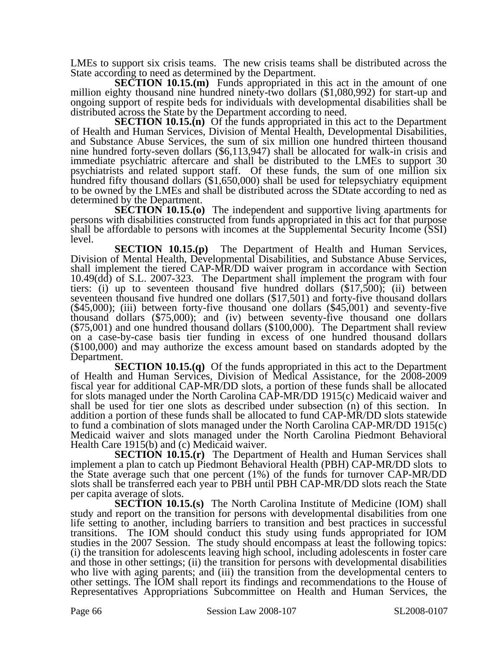LMEs to support six crisis teams. The new crisis teams shall be distributed across the State according to need as determined by the Department.

**SECTION 10.15.(m)** Funds appropriated in this act in the amount of one million eighty thousand nine hundred ninety-two dollars (\$1,080,992) for start-up and ongoing support of respite beds for individuals with developmental disabilities shall be distributed across the State by the Department according to need.

**SECTION 10.15.(n)** Of the funds appropriated in this act to the Department of Health and Human Services, Division of Mental Health, Developmental Disabilities, and Substance Abuse Services, the sum of six million one hundred thirteen thousand nine hundred forty-seven dollars (\$6,113,947) shall be allocated for walk-in crisis and immediate psychiatric aftercare and shall be distributed to the LMEs to support 30 psychiatrists and related support staff. Of these funds, the sum of one million six hundred fifty thousand dollars (\$1,650,000) shall be used for telepsychiatry equipment to be owned by the LMEs and shall be distributed across the SDtate according to ned as determined by the Department.

**SECTION 10.15.(o)** The independent and supportive living apartments for persons with disabilities constructed from funds appropriated in this act for that purpose shall be affordable to persons with incomes at the Supplemental Security Income (SSI) level.

**SECTION 10.15.(p)** The Department of Health and Human Services, Division of Mental Health, Developmental Disabilities, and Substance Abuse Services, shall implement the tiered CAP-MR/DD waiver program in accordance with Section 10.49(dd) of S.L. 2007-323. The Department shall implement the program with four tiers: (i) up to seventeen thousand five hundred dollars (\$17,500); (ii) between seventeen thousand five hundred one dollars (\$17,501) and forty-five thousand dollars  $(45,000)$ ; (iii) between forty-five thousand one dollars  $(45,001)$  and seventy-five thousand dollars  $(575,000)$ ; and (iv) between seventy-five thousand one dollars (\$75,001) and one hundred thousand dollars (\$100,000). The Department shall review on a case-by-case basis tier funding in excess of one hundred thousand dollars (\$100,000) and may authorize the excess amount based on standards adopted by the Department.

**SECTION 10.15.(q)** Of the funds appropriated in this act to the Department of Health and Human Services, Division of Medical Assistance, for the 2008-2009 fiscal year for additional CAP-MR/DD slots, a portion of these funds shall be allocated for slots managed under the North Carolina CAP-MR/DD 1915(c) Medicaid waiver and shall be used for tier one slots as described under subsection (n) of this section. In addition a portion of these funds shall be allocated to fund CAP-MR/DD slots statewide to fund a combination of slots managed under the North Carolina CAP-MR/DD 1915(c) Medicaid waiver and slots managed under the North Carolina Piedmont Behavioral Health Care 1915(b) and (c) Medicaid waiver.

**SECTION 10.15.(r)** The Department of Health and Human Services shall implement a plan to catch up Piedmont Behavioral Health (PBH) CAP-MR/DD slots to the State average such that one percent (1%) of the funds for turnover CAP-MR/DD slots shall be transferred each year to PBH until PBH CAP-MR/DD slots reach the State per capita average of slots.

**SECTION 10.15.(s)** The North Carolina Institute of Medicine (IOM) shall study and report on the transition for persons with developmental disabilities from one life setting to another, including barriers to transition and best practices in successful transitions. The IOM should conduct this study using funds appropriated for IOM studies in the 2007 Session. The study should encompass at least the following topics: (i) the transition for adolescents leaving high school, including adolescents in foster care and those in other settings; (ii) the transition for persons with developmental disabilities who live with aging parents; and (iii) the transition from the developmental centers to other settings. The IOM shall report its findings and recommendations to the House of Representatives Appropriations Subcommittee on Health and Human Services, the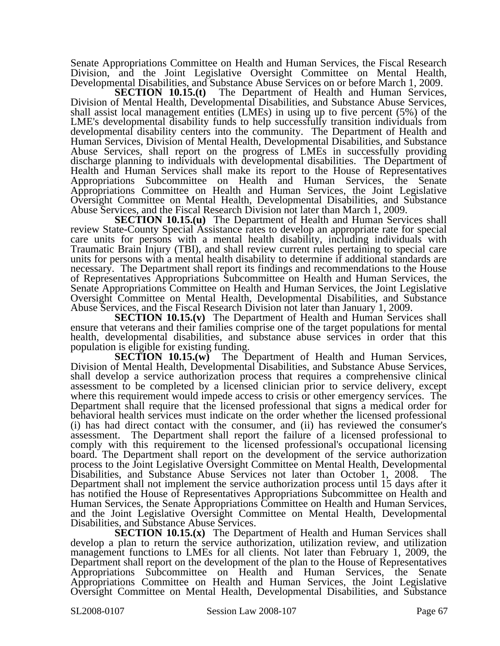Senate Appropriations Committee on Health and Human Services, the Fiscal Research Division, and the Joint Legislative Oversight Committee on Mental Health, Developmental Disabilities, and Substance Abuse Services on or before March 1, 2009.

**SECTION 10.15.(t)** The Department of Health and Human Services, Division of Mental Health, Developmental Disabilities, and Substance Abuse Services, shall assist local management entities (LMEs) in using up to five percent (5%) of the LME's developmental disability funds to help successfully transition individuals from developmental disability centers into the community. The Department of Health and Human Services, Division of Mental Health, Developmental Disabilities, and Substance Abuse Services, shall report on the progress of LMEs in successfully providing discharge planning to individuals with developmental disabilities. The Department of Health and Human Services shall make its report to the House of Representatives Appropriations Subcommittee on Health and Human Services, the Senate Appropriations Committee on Health and Human Services, the Joint Legislative Oversight Committee on Mental Health, Developmental Disabilities, and Substance Abuse Services, and the Fiscal Research Division not later than March 1, 2009.

**SECTION 10.15.(u)** The Department of Health and Human Services shall review State-County Special Assistance rates to develop an appropriate rate for special care units for persons with a mental health disability, including individuals with Traumatic Brain Injury (TBI), and shall review current rules pertaining to special care units for persons with a mental health disability to determine if additional standards are necessary. The Department shall report its findings and recommendations to the House of Representatives Appropriations Subcommittee on Health and Human Services, the Senate Appropriations Committee on Health and Human Services, the Joint Legislative Oversight Committee on Mental Health, Developmental Disabilities, and Substance Abuse Services, and the Fiscal Research Division not later than January 1, 2009.

**SECTION 10.15.(v)** The Department of Health and Human Services shall ensure that veterans and their families comprise one of the target populations for mental health, developmental disabilities, and substance abuse services in order that this

population is eligible for existing funding.<br>**SECTION 10.15.(w)** The D The Department of Health and Human Services, Division of Mental Health, Developmental Disabilities, and Substance Abuse Services, shall develop a service authorization process that requires a comprehensive clinical assessment to be completed by a licensed clinician prior to service delivery, except where this requirement would impede access to crisis or other emergency services. The Department shall require that the licensed professional that signs a medical order for behavioral health services must indicate on the order whether the licensed professional (i) has had direct contact with the consumer, and (ii) has reviewed the consumer's assessment. The Department shall report the failure of a licensed professional to comply with this requirement to the licensed professional's occupational licensing board. The Department shall report on the development of the service authorization process to the Joint Legislative Oversight Committee on Mental Health, Developmental Disabilities, and Substance Abuse Services not later than October 1, 2008. The Department shall not implement the service authorization process until 15 days after it has notified the House of Representatives Appropriations Subcommittee on Health and Human Services, the Senate Appropriations Committee on Health and Human Services, and the Joint Legislative Oversight Committee on Mental Health, Developmental Disabilities, and Substance Abuse Services.

**SECTION 10.15.(x)** The Department of Health and Human Services shall develop a plan to return the service authorization, utilization review, and utilization management functions to LMEs for all clients. Not later than February 1, 2009, the Department shall report on the development of the plan to the House of Representatives Appropriations Subcommittee on Health and Human Services, the Senate Appropriations Committee on Health and Human Services, the Joint Legislative Oversight Committee on Mental Health, Developmental Disabilities, and Substance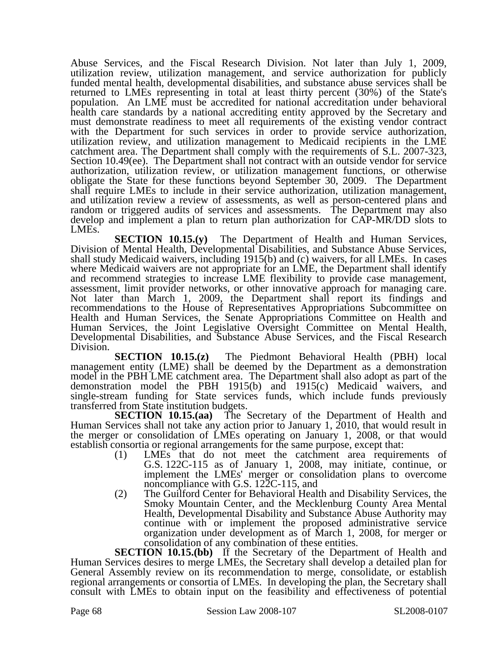Abuse Services, and the Fiscal Research Division. Not later than July 1, 2009, utilization review, utilization management, and service authorization for publicly funded mental health, developmental disabilities, and substance abuse services shall be returned to LMEs representing in total at least thirty percent (30%) of the State's population. An LME must be accredited for national accreditation under behavioral health care standards by a national accrediting entity approved by the Secretary and must demonstrate readiness to meet all requirements of the existing vendor contract with the Department for such services in order to provide service authorization, utilization review, and utilization management to Medicaid recipients in the LME catchment area. The Department shall comply with the requirements of S.L. 2007-323, Section 10.49(ee). The Department shall not contract with an outside vendor for service authorization, utilization review, or utilization management functions, or otherwise obligate the State for these functions beyond September 30, 2009. The Department shall require LMEs to include in their service authorization, utilization management, and utilization review a review of assessments, as well as person-centered plans and random or triggered audits of services and assessments. The Department may also develop and implement a plan to return plan authorization for CAP-MR/DD slots to LMEs.

**SECTION 10.15.(y)** The Department of Health and Human Services, Division of Mental Health, Developmental Disabilities, and Substance Abuse Services, shall study Medicaid waivers, including 1915(b) and (c) waivers, for all LMEs. In cases where Medicaid waivers are not appropriate for an LME, the Department shall identify and recommend strategies to increase LME flexibility to provide case management, assessment, limit provider networks, or other innovative approach for managing care. Not later than March 1, 2009, the Department shall report its findings and recommendations to the House of Representatives Appropriations Subcommittee on Health and Human Services, the Senate Appropriations Committee on Health and Human Services, the Joint Legislative Oversight Committee on Mental Health, Developmental Disabilities, and Substance Abuse Services, and the Fiscal Research Division.

**SECTION 10.15.(z)** The Piedmont Behavioral Health (PBH) local management entity (LME) shall be deemed by the Department as a demonstration model in the PBH LME catchment area. The Department shall also adopt as part of the demonstration model the PBH 1915(b) and 1915(c) Medicaid waivers, and single-stream funding for State services funds, which include funds previously transferred from State institution budgets.

**SECTION 10.15.(aa)** The Secretary of the Department of Health and Human Services shall not take any action prior to January 1, 2010, that would result in the merger or consolidation of LMEs operating on January 1, 2008, or that would establish consortia or regional arrangements for the same purpose, except that:

- (1) LMEs that do not meet the catchment area requirements of G.S. 122C-115 as of January 1, 2008, may initiate, continue, or implement the LMEs' merger or consolidation plans to overcome noncompliance with G.S. 122C-115, and
- (2) The Guilford Center for Behavioral Health and Disability Services, the Smoky Mountain Center, and the Mecklenburg County Area Mental Health, Developmental Disability and Substance Abuse Authority may continue with or implement the proposed administrative service organization under development as of March 1, 2008, for merger or consolidation of any combination of these entities.

**SECTION 10.15.(bb)** If the Secretary of the Department of Health and Human Services desires to merge LMEs, the Secretary shall develop a detailed plan for General Assembly review on its recommendation to merge, consolidate, or establish regional arrangements or consortia of LMEs. In developing the plan, the Secretary shall consult with LMEs to obtain input on the feasibility and effectiveness of potential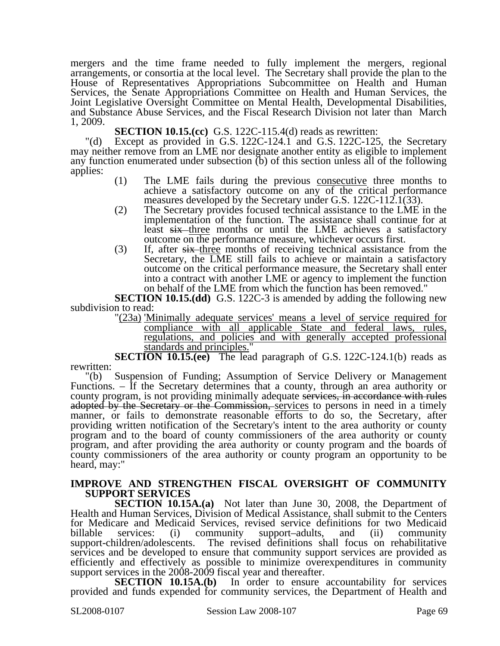mergers and the time frame needed to fully implement the mergers, regional arrangements, or consortia at the local level. The Secretary shall provide the plan to the House of Representatives Appropriations Subcommittee on Health and Human Services, the Senate Appropriations Committee on Health and Human Services, the Joint Legislative Oversight Committee on Mental Health, Developmental Disabilities, and Substance Abuse Services, and the Fiscal Research Division not later than March 1, 2009.

**SECTION 10.15.(cc)** G.S. 122C-115.4(d) reads as rewritten:

"(d) Except as provided in G.S.  $122C-124.\tilde{1}$  and G.S.  $122C-125$ , the Secretary may neither remove from an LME nor designate another entity as eligible to implement any function enumerated under subsection (b) of this section unless all of the following applies:

- (1) The LME fails during the previous consecutive three months to achieve a satisfactory outcome on any of the critical performance measures developed by the Secretary under G.S. 122C-112.1(33).
- (2) The Secretary provides focused technical assistance to the LME in the implementation of the function. The assistance shall continue for at least six three months or until the LME achieves a satisfactory outcome on the performance measure, whichever occurs first.
- $(3)$  If, after  $s\overline{s}$  three months of receiving technical assistance from the Secretary, the LME still fails to achieve or maintain a satisfactory outcome on the critical performance measure, the Secretary shall enter into a contract with another LME or agency to implement the function on behalf of the LME from which the function has been removed."

**SECTION 10.15.(dd)** G.S. 122C-3 is amended by adding the following new subdivision to read:

"(23a) 'Minimally adequate services' means a level of service required for compliance with all applicable State and federal laws, rules, regulations, and policies and with generally accepted professional standards and principles.

**SECTION 10.15.(ee)** The lead paragraph of G.S. 122C-124.1(b) reads as rewritten:

"(b) Suspension of Funding; Assumption of Service Delivery or Management Functions. – If the Secretary determines that a county, through an area authority or county program, is not providing minimally adequate services, in accordance with rules adopted by the Secretary or the Commission, services to persons in need in a timely manner, or fails to demonstrate reasonable efforts to do so, the Secretary, after providing written notification of the Secretary's intent to the area authority or county program and to the board of county commissioners of the area authority or county program, and after providing the area authority or county program and the boards of county commissioners of the area authority or county program an opportunity to be heard, may:"

#### **IMPROVE AND STRENGTHEN FISCAL OVERSIGHT OF COMMUNITY SUPPORT SERVICES**

**SECTION 10.15A.(a)** Not later than June 30, 2008, the Department of Health and Human Services, Division of Medical Assistance, shall submit to the Centers for Medicare and Medicaid Services, revised service definitions for two Medicaid billable services: (i) community support–adults, and (ii) community support-children/adolescents. The revised definitions shall focus on rehabilitative The revised definitions shall focus on rehabilitative services and be developed to ensure that community support services are provided as efficiently and effectively as possible to minimize overexpenditures in community support services in the 2008-2009 fiscal year and thereafter.<br>SECTION 10.15A.(b) In order to ensure

In order to ensure accountability for services provided and funds expended for community services, the Department of Health and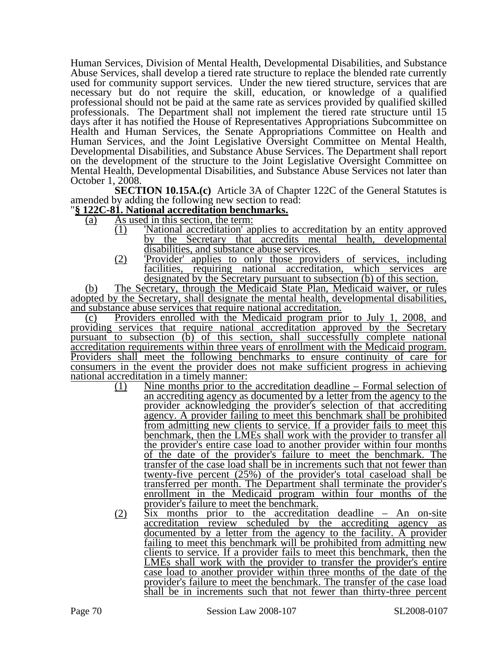Human Services, Division of Mental Health, Developmental Disabilities, and Substance Abuse Services, shall develop a tiered rate structure to replace the blended rate currently used for community support services. Under the new tiered structure, services that are necessary but do not require the skill, education, or knowledge of a qualified professional should not be paid at the same rate as services provided by qualified skilled professionals. The Department shall not implement the tiered rate structure until 15 days after it has notified the House of Representatives Appropriations Subcommittee on Health and Human Services, the Senate Appropriations Committee on Health and Human Services, and the Joint Legislative Oversight Committee on Mental Health, Developmental Disabilities, and Substance Abuse Services. The Department shall report on the development of the structure to the Joint Legislative Oversight Committee on Mental Health, Developmental Disabilities, and Substance Abuse Services not later than October 1, 2008.

**SECTION 10.15A.(c)** Article 3A of Chapter 122C of the General Statutes is amended by adding the following new section to read:

### "**§ 122C-81. National accreditation benchmarks.**

- (a) As used in this section, the term:
	- (1) 'National accreditation' applies to accreditation by an entity approved by the Secretary that accredits mental health, developmental disabilities, and substance abuse services.
	- (2) 'Provider' applies to only those providers of services, including facilities, requiring national accreditation, which services are designated by the Secretary pursuant to subsection (b) of this section.

(b) The Secretary, through the Medicaid State Plan, Medicaid waiver, or rules adopted by the Secretary, shall designate the mental health, developmental disabilities, and substance abuse services that require national accreditation.

(c) Providers enrolled with the Medicaid program prior to July 1, 2008, and providing services that require national accreditation approved by the Secretary pursuant to subsection (b) of this section, shall successfully complete national accreditation requirements within three years of enrollment with the Medicaid program. Providers shall meet the following benchmarks to ensure continuity of care for consumers in the event the provider does not make sufficient progress in achieving national accreditation in a timely manner:

- (1) Nine months prior to the accreditation deadline Formal selection of an accrediting agency as documented by a letter from the agency to the provider acknowledging the provider's selection of that accrediting agency. A provider failing to meet this benchmark shall be prohibited from admitting new clients to service. If a provider fails to meet this benchmark, then the LMEs shall work with the provider to transfer all the provider's entire case load to another provider within four months of the date of the provider's failure to meet the benchmark. The transfer of the case load shall be in increments such that not fewer than twenty-five percent (25%) of the provider's total caseload shall be transferred per month. The Department shall terminate the provider's enrollment in the Medicaid program within four months of the provider's failure to meet the benchmark.
- (2) Six months prior to the accreditation deadline An on-site accreditation review scheduled by the accrediting agency as documented by a letter from the agency to the facility. A provider failing to meet this benchmark will be prohibited from admitting new clients to service. If a provider fails to meet this benchmark, then the LMEs shall work with the provider to transfer the provider's entire case load to another provider within three months of the date of the provider's failure to meet the benchmark. The transfer of the case load shall be in increments such that not fewer than thirty-three percent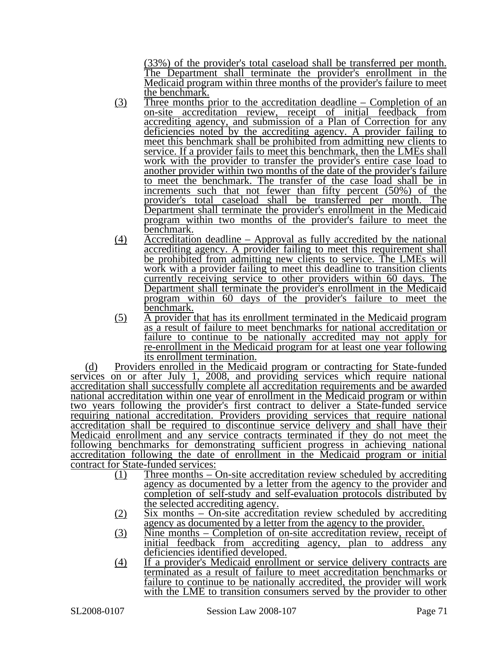(33%) of the provider's total caseload shall be transferred per month. The Department shall terminate the provider's enrollment in the Medicaid program within three months of the provider's failure to meet the benchmark.

- (3) Three months prior to the accreditation deadline Completion of an on-site accreditation review, receipt of initial feedback from accrediting agency, and submission of a Plan of Correction for any deficiencies noted by the accrediting agency. A provider failing to meet this benchmark shall be prohibited from admitting new clients to service. If a provider fails to meet this benchmark, then the LMEs shall work with the provider to transfer the provider's entire case load to another provider within two months of the date of the provider's failure to meet the benchmark. The transfer of the case load shall be in increments such that not fewer than fifty percent (50%) of the provider's total caseload shall be transferred per month. The Department shall terminate the provider's enrollment in the Medicaid program within two months of the provider's failure to meet the benchmark.
- (4) Accreditation deadline Approval as fully accredited by the national accrediting agency. A provider failing to meet this requirement shall be prohibited from admitting new clients to service. The LMEs will work with a provider failing to meet this deadline to transition clients currently receiving service to other providers within 60 days. The Department shall terminate the provider's enrollment in the Medicaid program within 60 days of the provider's failure to meet the benchmark.
- (5) A provider that has its enrollment terminated in the Medicaid program as a result of failure to meet benchmarks for national accreditation or failure to continue to be nationally accredited may not apply for re-enrollment in the Medicaid program for at least one year following its enrollment termination.

(d) Providers enrolled in the Medicaid program or contracting for State-funded services on or after July 1, 2008, and providing services which require national accreditation shall successfully complete all accreditation requirements and be awarded national accreditation within one year of enrollment in the Medicaid program or within two years following the provider's first contract to deliver a State-funded service requiring national accreditation. Providers providing services that require national accreditation shall be required to discontinue service delivery and shall have their Medicaid enrollment and any service contracts terminated if they do not meet the following benchmarks for demonstrating sufficient progress in achieving national accreditation following the date of enrollment in the Medicaid program or initial contract for State-funded services:

- (1) Three months On-site accreditation review scheduled by accrediting agency as documented by a letter from the agency to the provider and completion of self-study and self-evaluation protocols distributed by the selected accrediting agency.
- (2) Six months On-site accreditation review scheduled by accrediting agency as documented by a letter from the agency to the provider.
- (3) Nine months Completion of on-site accreditation review, receipt of initial feedback from accrediting agency, plan to address any deficiencies identified developed.
- (4) If a provider's Medicaid enrollment or service delivery contracts are terminated as a result of failure to meet accreditation benchmarks or failure to continue to be nationally accredited, the provider will work with the LME to transition consumers served by the provider to other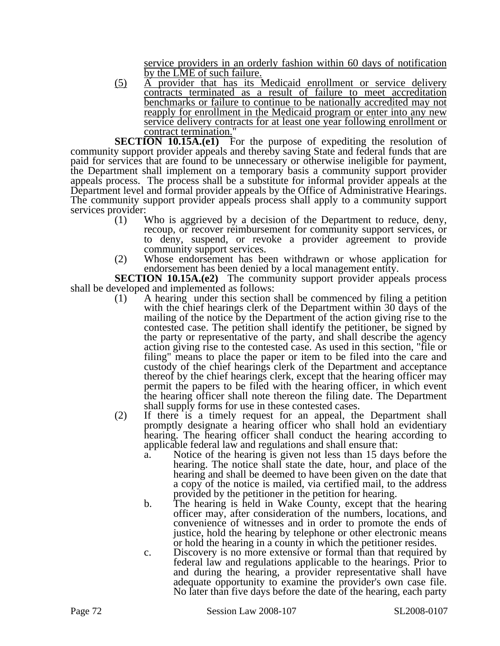service providers in an orderly fashion within 60 days of notification by the LME of such failure.

(5) A provider that has its Medicaid enrollment or service delivery contracts terminated as a result of failure to meet accreditation benchmarks or failure to continue to be nationally accredited may not reapply for enrollment in the Medicaid program or enter into any new service delivery contracts for at least one year following enrollment or contract termination."

**SECTION 10.15A.(e1)** For the purpose of expediting the resolution of community support provider appeals and thereby saving State and federal funds that are paid for services that are found to be unnecessary or otherwise ineligible for payment, the Department shall implement on a temporary basis a community support provider appeals process. The process shall be a substitute for informal provider appeals at the Department level and formal provider appeals by the Office of Administrative Hearings. The community support provider appeals process shall apply to a community support services provider:

- (1) Who is aggrieved by a decision of the Department to reduce, deny, recoup, or recover reimbursement for community support services, or to deny, suspend, or revoke a provider agreement to provide community support services.
- (2) Whose endorsement has been withdrawn or whose application for endorsement has been denied by a local management entity.

**SECTION 10.15A.(e2)** The community support provider appeals process shall be developed and implemented as follows:

- $(1)$  A hearing under this section shall be commenced by filing a petition with the chief hearings clerk of the Department within 30 days of the mailing of the notice by the Department of the action giving rise to the contested case. The petition shall identify the petitioner, be signed by the party or representative of the party, and shall describe the agency action giving rise to the contested case. As used in this section, "file or filing" means to place the paper or item to be filed into the care and custody of the chief hearings clerk of the Department and acceptance thereof by the chief hearings clerk, except that the hearing officer may permit the papers to be filed with the hearing officer, in which event the hearing officer shall note thereon the filing date. The Department shall supply forms for use in these contested cases.
- (2) If there is a timely request for an appeal, the Department shall promptly designate a hearing officer who shall hold an evidentiary hearing. The hearing officer shall conduct the hearing according to applicable federal law and regulations and shall ensure that:
	- a. Notice of the hearing is given not less than 15 days before the hearing. The notice shall state the date, hour, and place of the hearing and shall be deemed to have been given on the date that a copy of the notice is mailed, via certified mail, to the address provided by the petitioner in the petition for hearing.
	- b. The hearing is held in Wake County, except that the hearing officer may, after consideration of the numbers, locations, and convenience of witnesses and in order to promote the ends of justice, hold the hearing by telephone or other electronic means or hold the hearing in a county in which the petitioner resides.
	- c. Discovery is no more extensive or formal than that required by federal law and regulations applicable to the hearings. Prior to and during the hearing, a provider representative shall have adequate opportunity to examine the provider's own case file. No later than five days before the date of the hearing, each party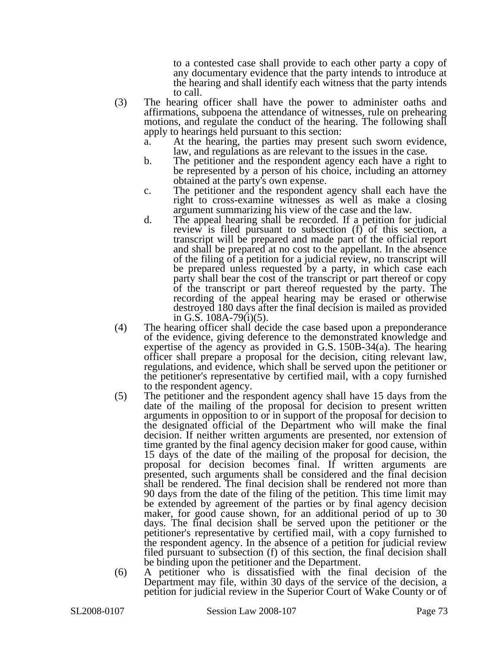to a contested case shall provide to each other party a copy of any documentary evidence that the party intends to introduce at the hearing and shall identify each witness that the party intends to call.

- (3) The hearing officer shall have the power to administer oaths and affirmations, subpoena the attendance of witnesses, rule on prehearing motions, and regulate the conduct of the hearing. The following shall apply to hearings held pursuant to this section:
	- a. At the hearing, the parties may present such sworn evidence, law, and regulations as are relevant to the issues in the case.
	- b. The petitioner and the respondent agency each have a right to be represented by a person of his choice, including an attorney obtained at the party's own expense.
	- c. The petitioner and the respondent agency shall each have the right to cross-examine witnesses as well as make a closing argument summarizing his view of the case and the law.
	- d. The appeal hearing shall be recorded. If a petition for judicial review is filed pursuant to subsection (f) of this section, a transcript will be prepared and made part of the official report and shall be prepared at no cost to the appellant. In the absence of the filing of a petition for a judicial review, no transcript will be prepared unless requested by a party, in which case each party shall bear the cost of the transcript or part thereof or copy of the transcript or part thereof requested by the party. The recording of the appeal hearing may be erased or otherwise destroyed 180 days after the final decision is mailed as provided in G.S. 108A-79(i)(5).
- (4) The hearing officer shall decide the case based upon a preponderance of the evidence, giving deference to the demonstrated knowledge and expertise of the agency as provided in G.S. 150B-34(a). The hearing officer shall prepare a proposal for the decision, citing relevant law, regulations, and evidence, which shall be served upon the petitioner or the petitioner's representative by certified mail, with a copy furnished to the respondent agency.
- (5) The petitioner and the respondent agency shall have 15 days from the date of the mailing of the proposal for decision to present written arguments in opposition to or in support of the proposal for decision to the designated official of the Department who will make the final decision. If neither written arguments are presented, nor extension of time granted by the final agency decision maker for good cause, within 15 days of the date of the mailing of the proposal for decision, the proposal for decision becomes final. If written arguments are presented, such arguments shall be considered and the final decision shall be rendered. The final decision shall be rendered not more than 90 days from the date of the filing of the petition. This time limit may be extended by agreement of the parties or by final agency decision maker, for good cause shown, for an additional period of up to 30 days. The final decision shall be served upon the petitioner or the petitioner's representative by certified mail, with a copy furnished to the respondent agency. In the absence of a petition for judicial review filed pursuant to subsection (f) of this section, the final decision shall be binding upon the petitioner and the Department.
- (6) A petitioner who is dissatisfied with the final decision of the Department may file, within 30 days of the service of the decision, a petition for judicial review in the Superior Court of Wake County or of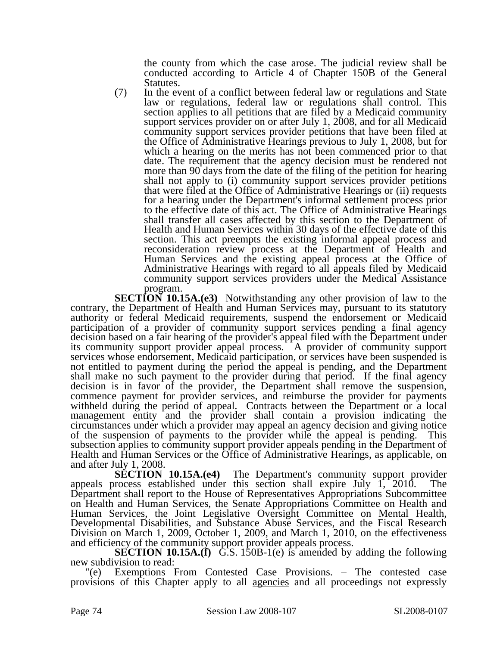the county from which the case arose. The judicial review shall be conducted according to Article 4 of Chapter 150B of the General Statutes.

(7) In the event of a conflict between federal law or regulations and State law or regulations, federal law or regulations shall control. This section applies to all petitions that are filed by a Medicaid community support services provider on or after July 1, 2008, and for all Medicaid community support services provider petitions that have been filed at the Office of Administrative Hearings previous to July 1, 2008, but for which a hearing on the merits has not been commenced prior to that date. The requirement that the agency decision must be rendered not more than 90 days from the date of the filing of the petition for hearing shall not apply to (i) community support services provider petitions that were filed at the Office of Administrative Hearings or (ii) requests for a hearing under the Department's informal settlement process prior to the effective date of this act. The Office of Administrative Hearings shall transfer all cases affected by this section to the Department of Health and Human Services within 30 days of the effective date of this section. This act preempts the existing informal appeal process and reconsideration review process at the Department of Health and Human Services and the existing appeal process at the Office of Administrative Hearings with regard to all appeals filed by Medicaid community support services providers under the Medical Assistance program.

**SECTION 10.15A.(e3)** Notwithstanding any other provision of law to the contrary, the Department of Health and Human Services may, pursuant to its statutory authority or federal Medicaid requirements, suspend the endorsement or Medicaid participation of a provider of community support services pending a final agency decision based on a fair hearing of the provider's appeal filed with the Department under its community support provider appeal process. A provider of community support services whose endorsement, Medicaid participation, or services have been suspended is not entitled to payment during the period the appeal is pending, and the Department shall make no such payment to the provider during that period. If the final agency decision is in favor of the provider, the Department shall remove the suspension, commence payment for provider services, and reimburse the provider for payments withheld during the period of appeal. Contracts between the Department or a local management entity and the provider shall contain a provision indicating the circumstances under which a provider may appeal an agency decision and giving notice of the suspension of payments to the provider while the appeal is pending. This subsection applies to community support provider appeals pending in the Department of Health and Human Services or the Office of Administrative Hearings, as applicable, on and after July 1, 2008.

**SECTION 10.15A.(e4)** The Department's community support provider appeals process established under this section shall expire July 1, 2010. The Department shall report to the House of Representatives Appropriations Subcommittee on Health and Human Services, the Senate Appropriations Committee on Health and Human Services, the Joint Legislative Oversight Committee on Mental Health, Developmental Disabilities, and Substance Abuse Services, and the Fiscal Research Division on March 1, 2009, October 1, 2009, and March 1, 2010, on the effectiveness and efficiency of the community support provider appeals process.

**SECTION 10.15A.(f)** G.S. 150B-1(e) is amended by adding the following new subdivision to read:

"(e) Exemptions From Contested Case Provisions. – The contested case provisions of this Chapter apply to all agencies and all proceedings not expressly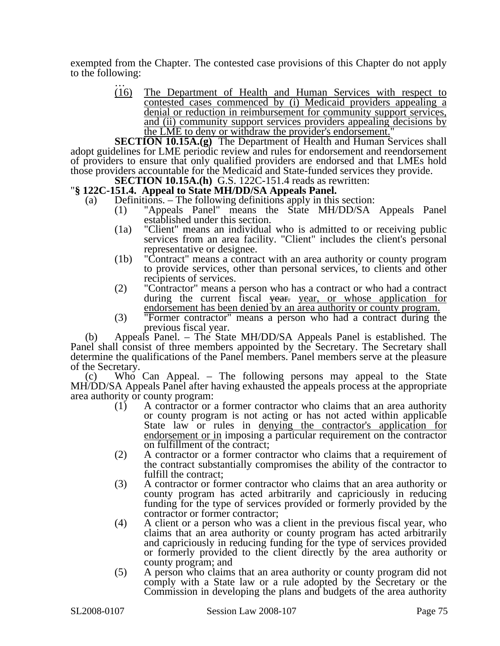exempted from the Chapter. The contested case provisions of this Chapter do not apply to the following: …

> (16) The Department of Health and Human Services with respect to contested cases commenced by (i) Medicaid providers appealing a denial or reduction in reimbursement for community support services, and (ii) community support services providers appealing decisions by the LME to deny or withdraw the provider's endorsement."

**SECTION 10.15A.(g)** The Department of Health and Human Services shall adopt guidelines for LME periodic review and rules for endorsement and reendorsement of providers to ensure that only qualified providers are endorsed and that LMEs hold those providers accountable for the Medicaid and State-funded services they provide.

**SECTION 10.15A.(h)** G.S. 122C-151.4 reads as rewritten: "**§ 122C-151.4.** Appeal to State MH/DD/SA Appeals Panel.

- (a) Definitions. The following definitions apply in this section:
	- (1) "Appeals Panel" means the State MH/DD/SA Appeals Panel established under this section.
	- (1a) "Client" means an individual who is admitted to or receiving public services from an area facility. "Client" includes the client's personal representative or designee.
	- (1b) "Contract" means a contract with an area authority or county program to provide services, other than personal services, to clients and other recipients of services.
	- (2) "Contractor" means a person who has a contract or who had a contract during the current fiscal year. year, or whose application for endorsement has been denied by an area authority or county program.
	- (3) "Former contractor" means a person who had a contract during the previous fiscal year.

(b) Appeals Panel. – The State MH/DD/SA Appeals Panel is established. The Panel shall consist of three members appointed by the Secretary. The Secretary shall determine the qualifications of the Panel members. Panel members serve at the pleasure of the Secretary.

(c) Who Can Appeal. – The following persons may appeal to the State MH/DD/SA Appeals Panel after having exhausted the appeals process at the appropriate area authority or county program:

- (1) A contractor or a former contractor who claims that an area authority or county program is not acting or has not acted within applicable State law or rules in denying the contractor's application for endorsement or in imposing a particular requirement on the contractor on fulfillment of the contract;
- (2) A contractor or a former contractor who claims that a requirement of the contract substantially compromises the ability of the contractor to fulfill the contract;
- (3) A contractor or former contractor who claims that an area authority or county program has acted arbitrarily and capriciously in reducing funding for the type of services provided or formerly provided by the contractor or former contractor;
- (4) A client or a person who was a client in the previous fiscal year, who claims that an area authority or county program has acted arbitrarily and capriciously in reducing funding for the type of services provided or formerly provided to the client directly by the area authority or county program; and
- (5) A person who claims that an area authority or county program did not comply with a State law or a rule adopted by the Secretary or the Commission in developing the plans and budgets of the area authority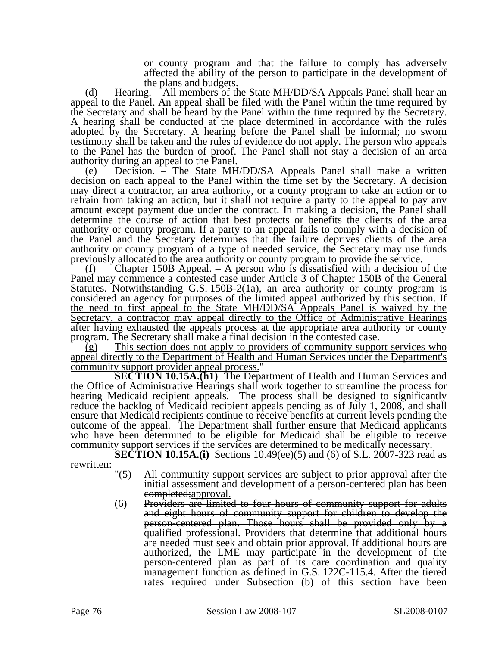or county program and that the failure to comply has adversely affected the ability of the person to participate in the development of the plans and budgets.

(d) Hearing. – All members of the State MH/DD/SA Appeals Panel shall hear an appeal to the Panel. An appeal shall be filed with the Panel within the time required by the Secretary and shall be heard by the Panel within the time required by the Secretary. A hearing shall be conducted at the place determined in accordance with the rules adopted by the Secretary. A hearing before the Panel shall be informal; no sworn testimony shall be taken and the rules of evidence do not apply. The person who appeals to the Panel has the burden of proof. The Panel shall not stay a decision of an area authority during an appeal to the Panel.

(e) Decision. – The State MH/DD/SA Appeals Panel shall make a written decision on each appeal to the Panel within the time set by the Secretary. A decision may direct a contractor, an area authority, or a county program to take an action or to refrain from taking an action, but it shall not require a party to the appeal to pay any amount except payment due under the contract. In making a decision, the Panel shall determine the course of action that best protects or benefits the clients of the area authority or county program. If a party to an appeal fails to comply with a decision of the Panel and the Secretary determines that the failure deprives clients of the area authority or county program of a type of needed service, the Secretary may use funds previously allocated to the area authority or county program to provide the service.

Chapter 150B Appeal.  $-$  A person who is dissatisfied with a decision of the Panel may commence a contested case under Article 3 of Chapter 150B of the General Statutes. Notwithstanding G.S. 150B-2(1a), an area authority or county program is considered an agency for purposes of the limited appeal authorized by this section. If the need to first appeal to the State MH/DD/SA Appeals Panel is waived by the Secretary, a contractor may appeal directly to the Office of Administrative Hearings after having exhausted the appeals process at the appropriate area authority or county program. The Secretary shall make a final decision in the contested case.

(g) This section does not apply to providers of community support services who appeal directly to the Department of Health and Human Services under the Department's community support provider appeal process."

**SECTION 10.15A.(h1)** The Department of Health and Human Services and the Office of Administrative Hearings shall work together to streamline the process for hearing Medicaid recipient appeals. The process shall be designed to significantly reduce the backlog of Medicaid recipient appeals pending as of July 1, 2008, and shall ensure that Medicaid recipients continue to receive benefits at current levels pending the outcome of the appeal. The Department shall further ensure that Medicaid applicants who have been determined to be eligible for Medicaid shall be eligible to receive community support services if the services are determined to be medically necessary.

**SECTION 10.15A.(i)** Sections 10.49(ee)(5) and (6) of S.L. 2007-323 read as rewritten:  $"(5)$ 

- All community support services are subject to prior approval after the initial assessment and development of a person-centered plan has been completed;approval.
- (6) Providers are limited to four hours of community support for adults and eight hours of community support for children to develop the person-centered plan. Those hours shall be provided only by a qualified professional. Providers that determine that additional hours are needed must seek and obtain prior approval. If additional hours are authorized, the LME may participate in the development of the person-centered plan as part of its care coordination and quality management function as defined in G.S. 122C-115.4. After the tiered rates required under Subsection (b) of this section have been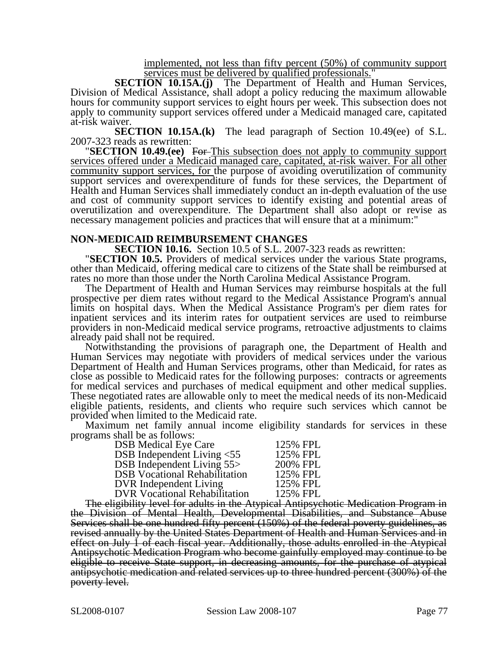implemented, not less than fifty percent (50%) of community support services must be delivered by qualified professionals."

**SECTION 10.15A.(j)** The Department of Health and Human Services, Division of Medical Assistance, shall adopt a policy reducing the maximum allowable hours for community support services to eight hours per week. This subsection does not apply to community support services offered under a Medicaid managed care, capitated at-risk waiver.

**SECTION 10.15A.(k)** The lead paragraph of Section 10.49(ee) of S.L. 2007-323 reads as rewritten:

**2007-2008-2008-2008-2008-323 reads SECTION 10.49.(ee)** For This subsection does not apply to community support services offered under a Medicaid managed care, capitated, at-risk waiver. For all other community support services, for the purpose of avoiding overutilization of community support services and overexpenditure of funds for these services, the Department of Health and Human Services shall immediately conduct an in-depth evaluation of the use and cost of community support services to identify existing and potential areas of overutilization and overexpenditure. The Department shall also adopt or revise as necessary management policies and practices that will ensure that at a minimum:"

**NON-MEDICAID REIMBURSEMENT CHANGES**<br>**SECTION 10.16.** Section 10.5 of S.L. 2007-323 reads as rewritten:

**SECTION 10.5.** Providers of medical services under the various State programs, other than Medicaid, offering medical care to citizens of the State shall be reimbursed at rates no more than those under the North Carolina Medical Assistance Program.

The Department of Health and Human Services may reimburse hospitals at the full prospective per diem rates without regard to the Medical Assistance Program's annual limits on hospital days. When the Medical Assistance Program's per diem rates for inpatient services and its interim rates for outpatient services are used to reimburse providers in non-Medicaid medical service programs, retroactive adjustments to claims already paid shall not be required.

Notwithstanding the provisions of paragraph one, the Department of Health and Human Services may negotiate with providers of medical services under the various Department of Health and Human Services programs, other than Medicaid, for rates as close as possible to Medicaid rates for the following purposes: contracts or agreements for medical services and purchases of medical equipment and other medical supplies. These negotiated rates are allowable only to meet the medical needs of its non-Medicaid eligible patients, residents, and clients who require such services which cannot be provided when limited to the Medicaid rate.

Maximum net family annual income eligibility standards for services in these programs shall be as follows:

| <b>DSB Medical Eye Care</b>          | 125% FPL |
|--------------------------------------|----------|
| DSB Independent Living <55           | 125% FPL |
| DSB Independent Living 55>           | 200% FPL |
| <b>DSB</b> Vocational Rehabilitation | 125% FPL |
| <b>DVR</b> Independent Living        | 125% FPL |
| <b>DVR Vocational Rehabilitation</b> | 125% FPL |

The eligibility level for adults in the Atypical Antipsychotic Medication Program in the Division of Mental Health, Developmental Disabilities, and Substance Abuse Services shall be one hundred fifty percent (150%) of the federal poverty guidelines, as revised annually by the United States Department of Health and Human Services and in effect on July 1 of each fiscal year. Additionally, those adults enrolled in the Atypical Antipsychotic Medication Program who become gainfully employed may continue to be eligible to receive State support, in decreasing amounts, for the purchase of atypical antipsychotic medication and related services up to three hundred percent (300%) of the poverty level.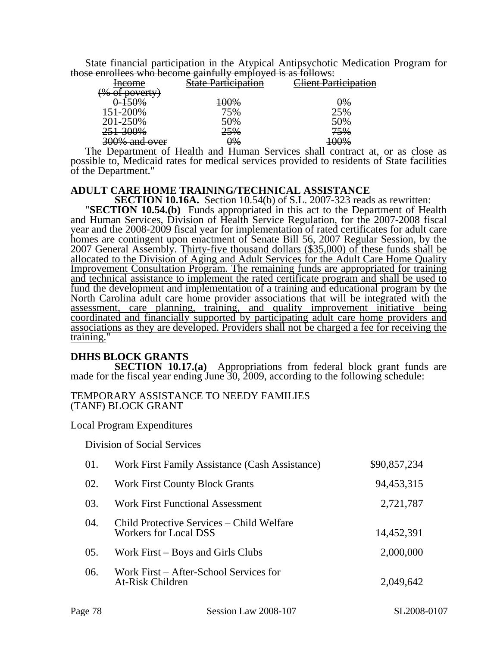State financial participation in the Atypical Antipsychotic Medication Program for those enrollees who become gainfully employed is as follows:

| those embress who second guilland             |                                     | $\frac{1}{2}$       |
|-----------------------------------------------|-------------------------------------|---------------------|
| <del>Income</del>                             | ortievation<br><u>al troupation</u> | lient Participation |
| $\sim 0/2$<br>$\alpha$ varty                  |                                     |                     |
| 5004<br>770 70                                | <del>100%</del>                     | <del>0%</del>       |
| <del>151-200%</del>                           | 75%                                 | 25%                 |
| 201-250%                                      | 50%                                 | <del>50%</del>      |
| $300\%$<br><del>231-30070</del>               | 25%                                 | 75%                 |
| $300\%$ and over<br><del>50070 and OVCI</del> | $\frac{10}{6}$                      | <del>100%</del>     |
|                                               |                                     |                     |

The Department of Health and Human Services shall contract at, or as close as possible to, Medicaid rates for medical services provided to residents of State facilities of the Department."

# **ADULT CARE HOME TRAINING/TECHNICAL ASSISTANCE<br>SECTION 10.16A.** Section 10.54(b) of S.L. 2007-323 reads as rewritten:

**SECTION 10.54.(b)** Funds appropriated in this act to the Department of Health and Human Services, Division of Health Service Regulation, for the 2007-2008 fiscal year and the 2008-2009 fiscal year for implementation of rated certificates for adult care homes are contingent upon enactment of Senate Bill 56, 2007 Regular Session, by the 2007 General Assembly. Thirty-five thousand dollars (\$35,000) of these funds shall be allocated to the Division of Aging and Adult Services for the Adult Care Home Quality Improvement Consultation Program. The remaining funds are appropriated for training and technical assistance to implement the rated certificate program and shall be used to fund the development and implementation of a training and educational program by the North Carolina adult care home provider associations that will be integrated with the assessment, care planning, training, and quality improvement initiative being coordinated and financially supported by participating adult care home providers and associations as they are developed. Providers shall not be charged a fee for receiving the training."

#### **DHHS BLOCK GRANTS**

**SECTION 10.17.(a)** Appropriations from federal block grant funds are made for the fiscal year ending June 30, 2009, according to the following schedule:

#### TEMPORARY ASSISTANCE TO NEEDY FAMILIES (TANF) BLOCK GRANT

Local Program Expenditures

Division of Social Services

| 01. | Work First Family Assistance (Cash Assistance)                            | \$90,857,234 |
|-----|---------------------------------------------------------------------------|--------------|
| 02. | <b>Work First County Block Grants</b>                                     | 94,453,315   |
| 03. | <b>Work First Functional Assessment</b>                                   | 2,721,787    |
| 04. | Child Protective Services – Child Welfare<br><b>Workers for Local DSS</b> | 14,452,391   |
| 05. | Work First – Boys and Girls Clubs                                         | 2,000,000    |
| 06. | Work First – After-School Services for<br>At-Risk Children                | 2,049,642    |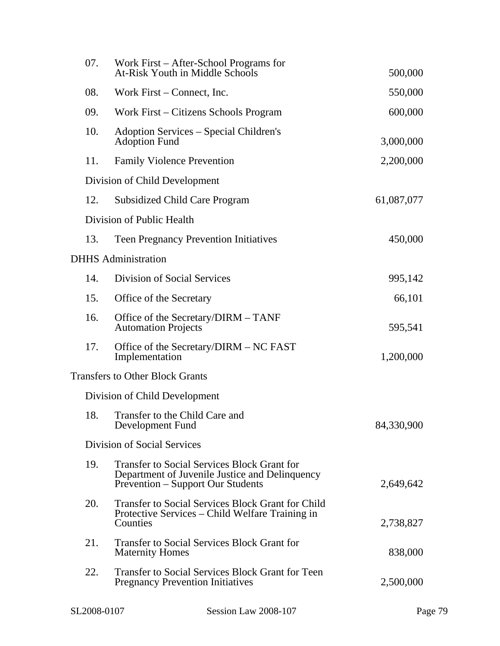| 07. | Work First – After-School Programs for<br>At-Risk Youth in Middle Schools                                                                        | 500,000    |
|-----|--------------------------------------------------------------------------------------------------------------------------------------------------|------------|
| 08. | Work First – Connect, Inc.                                                                                                                       | 550,000    |
| 09. | Work First – Citizens Schools Program                                                                                                            | 600,000    |
| 10. | Adoption Services – Special Children's<br><b>Adoption Fund</b>                                                                                   | 3,000,000  |
| 11. | <b>Family Violence Prevention</b>                                                                                                                | 2,200,000  |
|     | Division of Child Development                                                                                                                    |            |
| 12. | <b>Subsidized Child Care Program</b>                                                                                                             | 61,087,077 |
|     | Division of Public Health                                                                                                                        |            |
| 13. | <b>Teen Pregnancy Prevention Initiatives</b>                                                                                                     | 450,000    |
|     | <b>DHHS</b> Administration                                                                                                                       |            |
| 14. | Division of Social Services                                                                                                                      | 995,142    |
| 15. | Office of the Secretary                                                                                                                          | 66,101     |
| 16. | Office of the Secretary/DIRM – TANF<br><b>Automation Projects</b>                                                                                | 595,541    |
| 17. | Office of the Secretary/DIRM - NC FAST<br>Implementation                                                                                         | 1,200,000  |
|     | <b>Transfers to Other Block Grants</b>                                                                                                           |            |
|     | Division of Child Development                                                                                                                    |            |
| 18. | Transfer to the Child Care and<br>Development Fund                                                                                               | 84,330,900 |
|     | Division of Social Services                                                                                                                      |            |
| 19. | <b>Transfer to Social Services Block Grant for</b><br>Department of Juvenile Justice and Delinquency<br><b>Prevention – Support Our Students</b> | 2,649,642  |
| 20. | <b>Transfer to Social Services Block Grant for Child</b><br>Protective Services - Child Welfare Training in<br>Counties                          | 2,738,827  |
| 21. | <b>Transfer to Social Services Block Grant for</b><br><b>Maternity Homes</b>                                                                     | 838,000    |
| 22. | <b>Transfer to Social Services Block Grant for Teen</b><br><b>Pregnancy Prevention Initiatives</b>                                               | 2,500,000  |
|     |                                                                                                                                                  |            |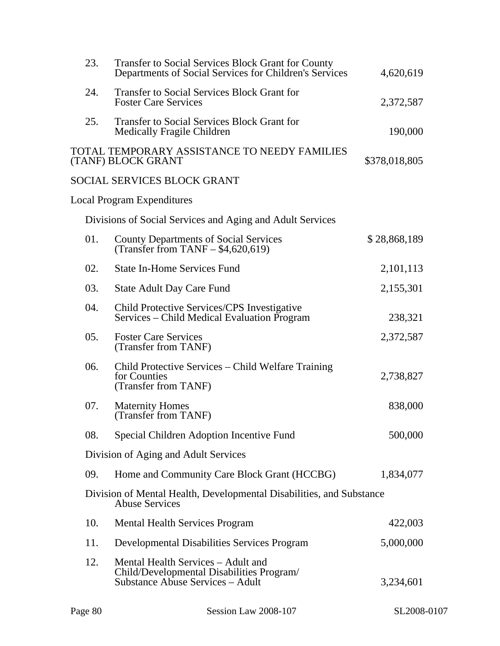| 23. | Transfer to Social Services Block Grant for County<br>Departments of Social Services for Children's Services        | 4,620,619     |
|-----|---------------------------------------------------------------------------------------------------------------------|---------------|
| 24. | <b>Transfer to Social Services Block Grant for</b><br><b>Foster Care Services</b>                                   | 2,372,587     |
| 25. | <b>Transfer to Social Services Block Grant for</b><br>Medically Fragile Children                                    | 190,000       |
|     | TOTAL TEMPORARY ASSISTANCE TO NEEDY FAMILIES<br>(TANF) BLOCK GRANT                                                  | \$378,018,805 |
|     | SOCIAL SERVICES BLOCK GRANT                                                                                         |               |
|     | Local Program Expenditures                                                                                          |               |
|     | Divisions of Social Services and Aging and Adult Services                                                           |               |
| 01. | <b>County Departments of Social Services</b><br>(Transfer from TANF $-$ \$4,620,619)                                | \$28,868,189  |
| 02. | <b>State In-Home Services Fund</b>                                                                                  | 2,101,113     |
| 03. | <b>State Adult Day Care Fund</b>                                                                                    | 2,155,301     |
| 04. | Child Protective Services/CPS Investigative<br>Services – Child Medical Evaluation Program                          | 238,321       |
| 05. | <b>Foster Care Services</b><br>(Transfer from TANF)                                                                 | 2,372,587     |
| 06. | Child Protective Services – Child Welfare Training<br>for Counties<br>(Transfer from TANF)                          | 2,738,827     |
| 07. | <b>Maternity Homes</b><br>(Transfer from TANF)                                                                      | 838,000       |
| 08. | Special Children Adoption Incentive Fund                                                                            | 500,000       |
|     | Division of Aging and Adult Services                                                                                |               |
| 09. | Home and Community Care Block Grant (HCCBG)                                                                         | 1,834,077     |
|     | Division of Mental Health, Developmental Disabilities, and Substance<br><b>Abuse Services</b>                       |               |
| 10. | <b>Mental Health Services Program</b>                                                                               | 422,003       |
| 11. | <b>Developmental Disabilities Services Program</b>                                                                  | 5,000,000     |
| 12. | Mental Health Services – Adult and<br>Child/Developmental Disabilities Program/<br>Substance Abuse Services – Adult | 3,234,601     |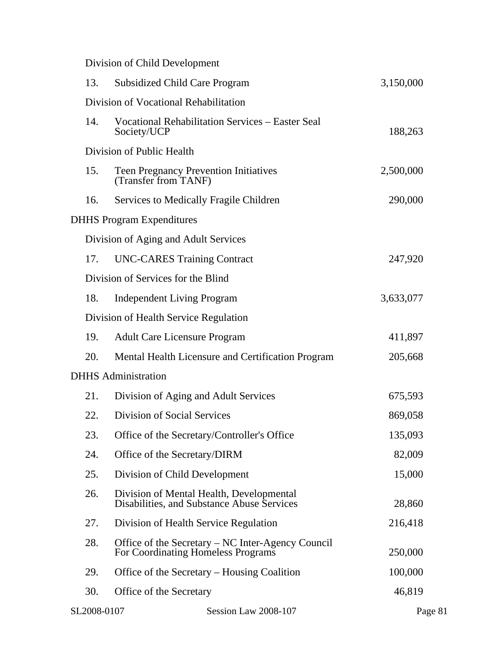Division of Child Development

| 13.         | <b>Subsidized Child Care Program</b>                                                    | 3,150,000 |
|-------------|-----------------------------------------------------------------------------------------|-----------|
|             | Division of Vocational Rehabilitation                                                   |           |
| 14.         | <b>Vocational Rehabilitation Services - Easter Seal</b><br>Society/UCP                  | 188,263   |
|             | Division of Public Health                                                               |           |
| 15.         | Teen Pregnancy Prevention Initiatives<br>(Transfer from TANF)                           | 2,500,000 |
| 16.         | Services to Medically Fragile Children                                                  | 290,000   |
|             | <b>DHHS Program Expenditures</b>                                                        |           |
|             | Division of Aging and Adult Services                                                    |           |
| 17.         | <b>UNC-CARES Training Contract</b>                                                      | 247,920   |
|             | Division of Services for the Blind                                                      |           |
| 18.         | <b>Independent Living Program</b>                                                       | 3,633,077 |
|             | Division of Health Service Regulation                                                   |           |
| 19.         | <b>Adult Care Licensure Program</b>                                                     | 411,897   |
| 20.         | Mental Health Licensure and Certification Program                                       | 205,668   |
|             | <b>DHHS</b> Administration                                                              |           |
| 21.         | Division of Aging and Adult Services                                                    | 675,593   |
| 22.         | Division of Social Services                                                             | 869,058   |
| 23.         | Office of the Secretary/Controller's Office                                             | 135,093   |
| 24.         | Office of the Secretary/DIRM                                                            | 82,009    |
| 25.         | Division of Child Development                                                           | 15,000    |
| 26.         | Division of Mental Health, Developmental<br>Disabilities, and Substance Abuse Services  | 28,860    |
| 27.         | Division of Health Service Regulation                                                   | 216,418   |
| 28.         | Office of the Secretary – NC Inter-Agency Council<br>For Coordinating Homeless Programs | 250,000   |
| 29.         | Office of the Secretary – Housing Coalition                                             | 100,000   |
| 30.         | Office of the Secretary                                                                 | 46,819    |
| SL2008-0107 | Session Law 2008-107                                                                    | Page 81   |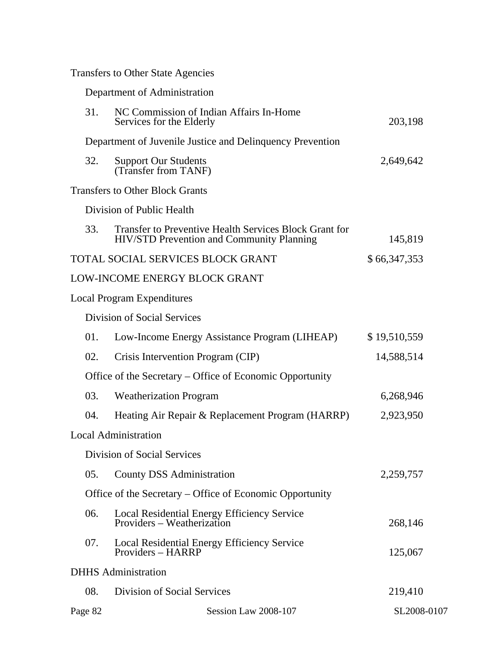Transfers to Other State Agencies

|         | Department of Administration                                                                                      |              |  |
|---------|-------------------------------------------------------------------------------------------------------------------|--------------|--|
| 31.     | NC Commission of Indian Affairs In-Home<br>Services for the Elderly                                               | 203,198      |  |
|         | Department of Juvenile Justice and Delinquency Prevention                                                         |              |  |
| 32.     | <b>Support Our Students</b><br>(Transfer from TANF)                                                               | 2,649,642    |  |
|         | <b>Transfers to Other Block Grants</b>                                                                            |              |  |
|         | Division of Public Health                                                                                         |              |  |
| 33.     | <b>Transfer to Preventive Health Services Block Grant for</b><br><b>HIV/STD Prevention and Community Planning</b> | 145,819      |  |
|         | TOTAL SOCIAL SERVICES BLOCK GRANT                                                                                 | \$66,347,353 |  |
|         | LOW-INCOME ENERGY BLOCK GRANT                                                                                     |              |  |
|         | <b>Local Program Expenditures</b>                                                                                 |              |  |
|         | Division of Social Services                                                                                       |              |  |
| 01.     | Low-Income Energy Assistance Program (LIHEAP)                                                                     | \$19,510,559 |  |
| 02.     | Crisis Intervention Program (CIP)                                                                                 | 14,588,514   |  |
|         | Office of the Secretary – Office of Economic Opportunity                                                          |              |  |
| 03.     | <b>Weatherization Program</b>                                                                                     | 6,268,946    |  |
| 04.     | Heating Air Repair & Replacement Program (HARRP)                                                                  | 2,923,950    |  |
|         | <b>Local Administration</b>                                                                                       |              |  |
|         | <b>Division of Social Services</b>                                                                                |              |  |
| 05.     | County DSS Administration                                                                                         | 2,259,757    |  |
|         | Office of the Secretary – Office of Economic Opportunity                                                          |              |  |
| 06.     | Local Residential Energy Efficiency Service<br>Providers - Weatherization                                         | 268,146      |  |
| 07.     | Local Residential Energy Efficiency Service<br>Providers - HARRP                                                  | 125,067      |  |
|         | <b>DHHS</b> Administration                                                                                        |              |  |
| 08.     | Division of Social Services                                                                                       | 219,410      |  |
| Page 82 | Session Law 2008-107                                                                                              | SL2008-0107  |  |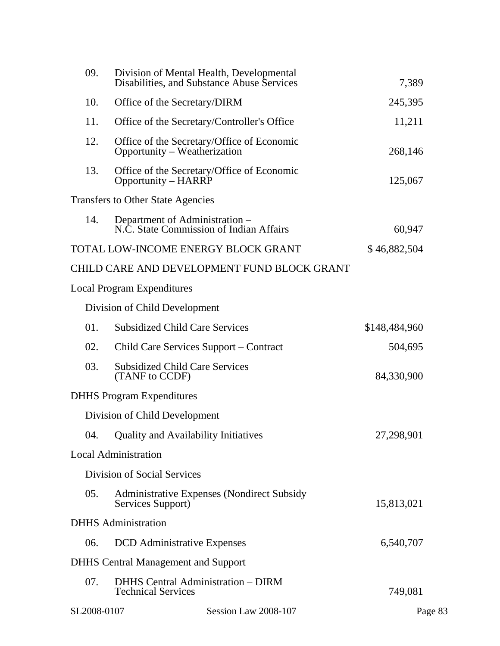| 09.         | Division of Mental Health, Developmental<br>Disabilities, and Substance Abuse Services |                                             | 7,389         |  |
|-------------|----------------------------------------------------------------------------------------|---------------------------------------------|---------------|--|
| 10.         | Office of the Secretary/DIRM                                                           |                                             | 245,395       |  |
| 11.         | Office of the Secretary/Controller's Office                                            |                                             | 11,211        |  |
| 12.         | Office of the Secretary/Office of Economic<br>Opportunity - Weatherization             |                                             | 268,146       |  |
| 13.         | Office of the Secretary/Office of Economic<br>Opportunity – HARRP                      |                                             | 125,067       |  |
|             | <b>Transfers to Other State Agencies</b>                                               |                                             |               |  |
| 14.         | Department of Administration –<br>N.C. State Commission of Indian Affairs              |                                             | 60,947        |  |
|             | TOTAL LOW-INCOME ENERGY BLOCK GRANT                                                    |                                             | \$46,882,504  |  |
|             |                                                                                        | CHILD CARE AND DEVELOPMENT FUND BLOCK GRANT |               |  |
|             | <b>Local Program Expenditures</b>                                                      |                                             |               |  |
|             | Division of Child Development                                                          |                                             |               |  |
| 01.         | <b>Subsidized Child Care Services</b>                                                  |                                             | \$148,484,960 |  |
| 02.         | Child Care Services Support – Contract                                                 |                                             | 504,695       |  |
| 03.         | <b>Subsidized Child Care Services</b><br>(TANF to CCDF)                                |                                             | 84,330,900    |  |
|             | <b>DHHS</b> Program Expenditures                                                       |                                             |               |  |
|             | Division of Child Development                                                          |                                             |               |  |
|             | 04. Quality and Availability Initiatives                                               |                                             | 27,298,901    |  |
|             | <b>Local Administration</b>                                                            |                                             |               |  |
|             | Division of Social Services                                                            |                                             |               |  |
| 05.         | <b>Administrative Expenses (Nondirect Subsidy</b><br>Services Support)                 |                                             | 15,813,021    |  |
|             | <b>DHHS</b> Administration                                                             |                                             |               |  |
| 06.         | <b>DCD</b> Administrative Expenses                                                     |                                             | 6,540,707     |  |
|             | <b>DHHS</b> Central Management and Support                                             |                                             |               |  |
| 07.         | <b>DHHS Central Administration - DIRM</b><br><b>Technical Services</b>                 |                                             | 749,081       |  |
| SL2008-0107 |                                                                                        | Session Law 2008-107                        | Page 83       |  |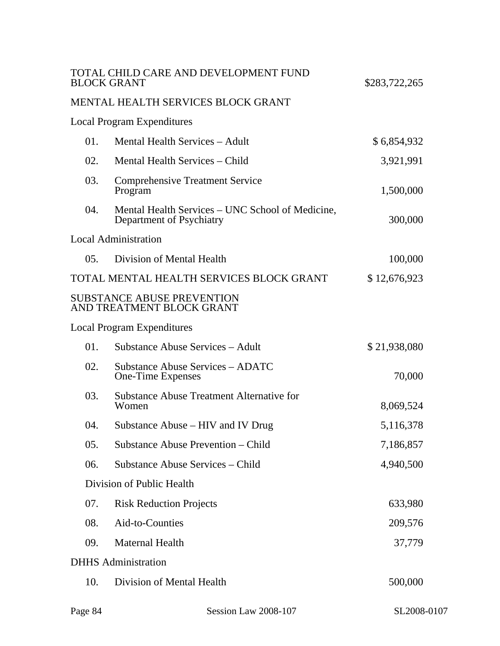|     | TOTAL CHILD CARE AND DEVELOPMENT FUND<br><b>BLOCK GRANT</b>                  | \$283,722,265 |
|-----|------------------------------------------------------------------------------|---------------|
|     | MENTAL HEALTH SERVICES BLOCK GRANT                                           |               |
|     | <b>Local Program Expenditures</b>                                            |               |
| 01. | Mental Health Services – Adult                                               | \$6,854,932   |
| 02. | Mental Health Services – Child                                               | 3,921,991     |
| 03. | <b>Comprehensive Treatment Service</b><br>Program                            | 1,500,000     |
| 04. | Mental Health Services – UNC School of Medicine,<br>Department of Psychiatry | 300,000       |
|     | <b>Local Administration</b>                                                  |               |
| 05. | Division of Mental Health                                                    | 100,000       |
|     | TOTAL MENTAL HEALTH SERVICES BLOCK GRANT                                     | \$12,676,923  |
|     | <b>SUBSTANCE ABUSE PREVENTION</b><br>AND TREATMENT BLOCK GRANT               |               |
|     | Local Program Expenditures                                                   |               |
| 01. | Substance Abuse Services – Adult                                             | \$21,938,080  |
| 02. | <b>Substance Abuse Services – ADATC</b><br>One-Time Expenses                 | 70,000        |
| 03. | <b>Substance Abuse Treatment Alternative for</b><br>Women                    | 8,069,524     |
| 04. | Substance Abuse – HIV and IV Drug                                            | 5,116,378     |
| 05. | Substance Abuse Prevention – Child                                           | 7,186,857     |
| 06. | Substance Abuse Services – Child                                             | 4,940,500     |
|     | Division of Public Health                                                    |               |
| 07. | <b>Risk Reduction Projects</b>                                               | 633,980       |
| 08. | Aid-to-Counties                                                              | 209,576       |
| 09. | <b>Maternal Health</b>                                                       | 37,779        |
|     | <b>DHHS</b> Administration                                                   |               |
| 10. | Division of Mental Health                                                    | 500,000       |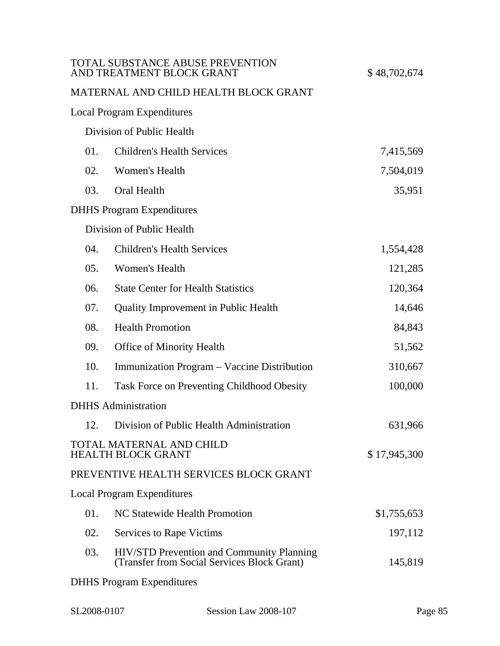|     | TOTAL SUBSTANCE ABUSE PREVENTION<br>AND TREATMENT BLOCK GRANT                                   | \$48,702,674 |
|-----|-------------------------------------------------------------------------------------------------|--------------|
|     | MATERNAL AND CHILD HEALTH BLOCK GRANT                                                           |              |
|     | <b>Local Program Expenditures</b>                                                               |              |
|     | Division of Public Health                                                                       |              |
| 01. | <b>Children's Health Services</b>                                                               | 7,415,569    |
| 02. | Women's Health                                                                                  | 7,504,019    |
| 03. | Oral Health                                                                                     | 35,951       |
|     | <b>DHHS</b> Program Expenditures                                                                |              |
|     | Division of Public Health                                                                       |              |
| 04. | <b>Children's Health Services</b>                                                               | 1,554,428    |
| 05. | Women's Health                                                                                  | 121,285      |
| 06. | <b>State Center for Health Statistics</b>                                                       | 120,364      |
| 07. | <b>Quality Improvement in Public Health</b>                                                     | 14,646       |
| 08. | <b>Health Promotion</b>                                                                         | 84,843       |
| 09. | <b>Office of Minority Health</b>                                                                | 51,562       |
| 10. | Immunization Program – Vaccine Distribution                                                     | 310,667      |
| 11. | <b>Task Force on Preventing Childhood Obesity</b>                                               | 100,000      |
|     | <b>DHHS</b> Administration                                                                      |              |
|     | 12. Division of Public Health Administration                                                    | 631,966      |
|     | <b>TOTAL MATERNAL AND CHILD</b><br><b>HEALTH BLOCK GRANT</b>                                    | \$17,945,300 |
|     | PREVENTIVE HEALTH SERVICES BLOCK GRANT                                                          |              |
|     | <b>Local Program Expenditures</b>                                                               |              |
| 01. | NC Statewide Health Promotion                                                                   | \$1,755,653  |
| 02. | <b>Services to Rape Victims</b>                                                                 | 197,112      |
| 03. | <b>HIV/STD Prevention and Community Planning</b><br>(Transfer from Social Services Block Grant) | 145,819      |
|     | <b>DHHS</b> Program Expenditures                                                                |              |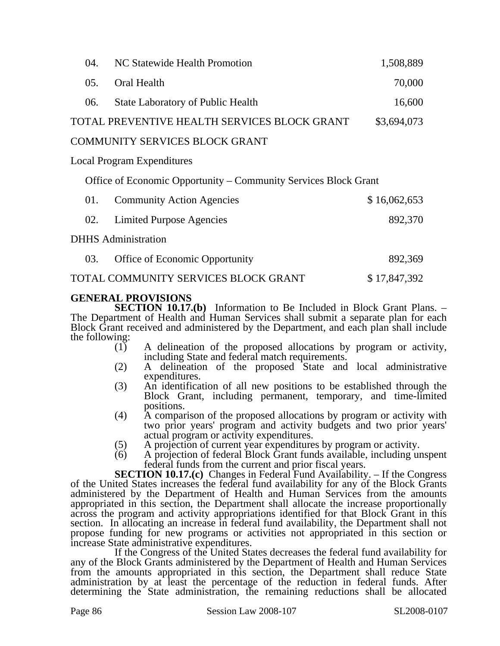| 04. | NC Statewide Health Promotion                                   | 1,508,889    |
|-----|-----------------------------------------------------------------|--------------|
| 05. | Oral Health                                                     | 70,000       |
| 06. | <b>State Laboratory of Public Health</b>                        | 16,600       |
|     | TOTAL PREVENTIVE HEALTH SERVICES BLOCK GRANT                    | \$3,694,073  |
|     | <b>COMMUNITY SERVICES BLOCK GRANT</b>                           |              |
|     | <b>Local Program Expenditures</b>                               |              |
|     | Office of Economic Opportunity – Community Services Block Grant |              |
| 01. | <b>Community Action Agencies</b>                                | \$16,062,653 |
| 02. | <b>Limited Purpose Agencies</b>                                 | 892,370      |
|     | <b>DHHS</b> Administration                                      |              |
| 03. | Office of Economic Opportunity                                  | 892,369      |
|     | TOTAL COMMUNITY SERVICES BLOCK GRANT                            | \$17,847,392 |

### **GENERAL PROVISIONS**

**SECTION 10.17.(b)** Information to Be Included in Block Grant Plans. – The Department of Health and Human Services shall submit a separate plan for each Block Grant received and administered by the Department, and each plan shall include the following:

- (1) A delineation of the proposed allocations by program or activity, including State and federal match requirements.
- (2) A delineation of the proposed State and local administrative expenditures.
- (3) An identification of all new positions to be established through the Block Grant, including permanent, temporary, and time-limited positions.
- (4) A comparison of the proposed allocations by program or activity with two prior years' program and activity budgets and two prior years' actual program or activity expenditures.
- (5) A projection of current year expenditures by program or activity.<br>(6) A projection of federal Block Grant funds available, including un
- (6) A projection of federal Block Grant funds available, including unspent federal funds from the current and prior fiscal years.

**SECTION 10.17.(c)** Changes in Federal Fund Availability. – If the Congress of the United States increases the federal fund availability for any of the Block Grants administered by the Department of Health and Human Services from the amounts appropriated in this section, the Department shall allocate the increase proportionally across the program and activity appropriations identified for that Block Grant in this section. In allocating an increase in federal fund availability, the Department shall not propose funding for new programs or activities not appropriated in this section or increase State administrative expenditures.

If the Congress of the United States decreases the federal fund availability for any of the Block Grants administered by the Department of Health and Human Services from the amounts appropriated in this section, the Department shall reduce State administration by at least the percentage of the reduction in federal funds. After determining the State administration, the remaining reductions shall be allocated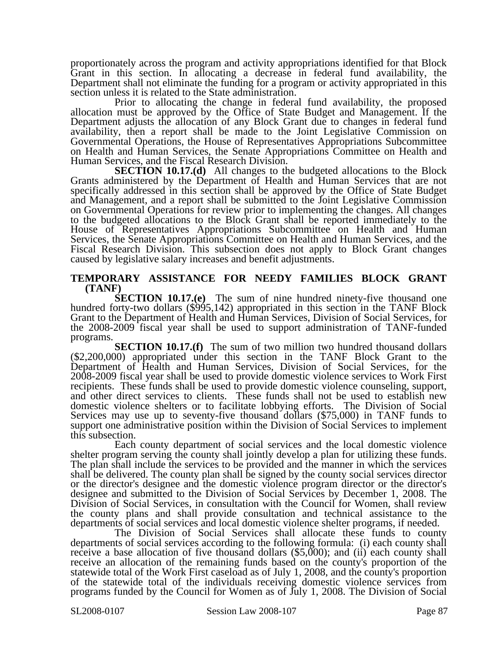proportionately across the program and activity appropriations identified for that Block Grant in this section. In allocating a decrease in federal fund availability, the Department shall not eliminate the funding for a program or activity appropriated in this section unless it is related to the State administration.

Prior to allocating the change in federal fund availability, the proposed allocation must be approved by the Office of State Budget and Management. If the Department adjusts the allocation of any Block Grant due to changes in federal fund availability, then a report shall be made to the Joint Legislative Commission on Governmental Operations, the House of Representatives Appropriations Subcommittee on Health and Human Services, the Senate Appropriations Committee on Health and Human Services, and the Fiscal Research Division.

**SECTION 10.17.(d)** All changes to the budgeted allocations to the Block Grants administered by the Department of Health and Human Services that are not specifically addressed in this section shall be approved by the Office of State Budget and Management, and a report shall be submitted to the Joint Legislative Commission on Governmental Operations for review prior to implementing the changes. All changes to the budgeted allocations to the Block Grant shall be reported immediately to the House of Representatives Appropriations Subcommittee on Health and Human Services, the Senate Appropriations Committee on Health and Human Services, and the Fiscal Research Division. This subsection does not apply to Block Grant changes caused by legislative salary increases and benefit adjustments.

## **TEMPORARY ASSISTANCE FOR NEEDY FAMILIES BLOCK GRANT (TANF)**<br>**SECTION 10.17.(e)** The sum of nine hundred ninety-five thousand one

hundred forty-two dollars (\$995,142) appropriated in this section in the TANF Block Grant to the Department of Health and Human Services, Division of Social Services, for the 2008-2009 fiscal year shall be used to support administration of TANF-funded programs.

**SECTION 10.17.(f)** The sum of two million two hundred thousand dollars (\$2,200,000) appropriated under this section in the TANF Block Grant to the Department of Health and Human Services, Division of Social Services, for the 2008-2009 fiscal year shall be used to provide domestic violence services to Work First recipients. These funds shall be used to provide domestic violence counseling, support, and other direct services to clients. These funds shall not be used to establish new domestic violence shelters or to facilitate lobbying efforts. The Division of Social Services may use up to seventy-five thousand dollars (\$75,000) in TANF funds to support one administrative position within the Division of Social Services to implement this subsection.

Each county department of social services and the local domestic violence shelter program serving the county shall jointly develop a plan for utilizing these funds. The plan shall include the services to be provided and the manner in which the services shall be delivered. The county plan shall be signed by the county social services director or the director's designee and the domestic violence program director or the director's designee and submitted to the Division of Social Services by December 1, 2008. The Division of Social Services, in consultation with the Council for Women, shall review the county plans and shall provide consultation and technical assistance to the departments of social services and local domestic violence shelter programs, if needed.

The Division of Social Services shall allocate these funds to county departments of social services according to the following formula: (i) each county shall receive a base allocation of five thousand dollars (\$5,000); and (ii) each county shall receive an allocation of the remaining funds based on the county's proportion of the statewide total of the Work First caseload as of July 1, 2008, and the county's proportion of the statewide total of the individuals receiving domestic violence services from programs funded by the Council for Women as of July 1, 2008. The Division of Social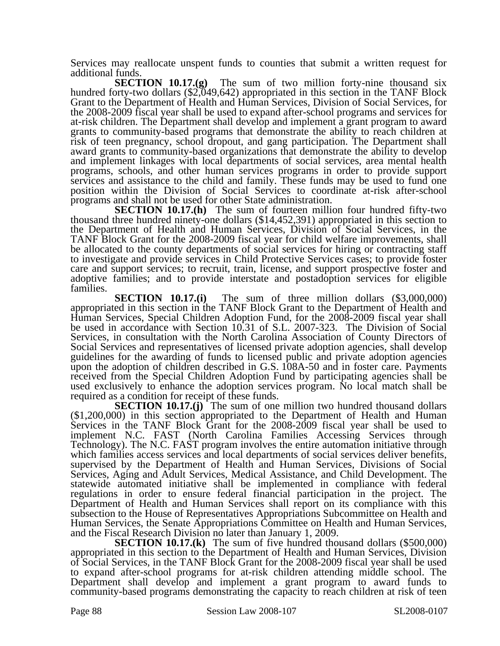Services may reallocate unspent funds to counties that submit a written request for additional funds.

**SECTION 10.17.(g)** The sum of two million forty-nine thousand six hundred forty-two dollars (\$2,049,642) appropriated in this section in the TANF Block Grant to the Department of Health and Human Services, Division of Social Services, for the 2008-2009 fiscal year shall be used to expand after-school programs and services for at-risk children. The Department shall develop and implement a grant program to award grants to community-based programs that demonstrate the ability to reach children at risk of teen pregnancy, school dropout, and gang participation. The Department shall award grants to community-based organizations that demonstrate the ability to develop and implement linkages with local departments of social services, area mental health programs, schools, and other human services programs in order to provide support services and assistance to the child and family. These funds may be used to fund one position within the Division of Social Services to coordinate at-risk after-school

programs and shall not be used for other State administration.<br>**SECTION 10.17.(h)** The sum of fourteen million four hundred fifty-two thousand three hundred ninety-one dollars (\$14,452,391) appropriated in this section to the Department of Health and Human Services, Division of Social Services, in the TANF Block Grant for the 2008-2009 fiscal year for child welfare improvements, shall be allocated to the county departments of social services for hiring or contracting staff to investigate and provide services in Child Protective Services cases; to provide foster care and support services; to recruit, train, license, and support prospective foster and adoptive families; and to provide interstate and postadoption services for eligible families.

**SECTION 10.17.(i)** The sum of three million dollars (\$3,000,000) appropriated in this section in the TANF Block Grant to the Department of Health and Human Services, Special Children Adoption Fund, for the 2008-2009 fiscal year shall be used in accordance with Section 10.31 of S.L. 2007-323. The Division of Social Services, in consultation with the North Carolina Association of County Directors of Social Services and representatives of licensed private adoption agencies, shall develop guidelines for the awarding of funds to licensed public and private adoption agencies upon the adoption of children described in G.S. 108A-50 and in foster care. Payments received from the Special Children Adoption Fund by participating agencies shall be used exclusively to enhance the adoption services program. No local match shall be required as a condition for receipt of these funds.

**SECTION 10.17.(j)** The sum of one million two hundred thousand dollars (\$1,200,000) in this section appropriated to the Department of Health and Human Services in the TANF Block Grant for the 2008-2009 fiscal year shall be used to implement N.C. FAST (North Carolina Families Accessing Services through Technology). The N.C. FAST program involves the entire automation initiative through which families access services and local departments of social services deliver benefits, supervised by the Department of Health and Human Services, Divisions of Social Services, Aging and Adult Services, Medical Assistance, and Child Development. The statewide automated initiative shall be implemented in compliance with federal regulations in order to ensure federal financial participation in the project. The Department of Health and Human Services shall report on its compliance with this subsection to the House of Representatives Appropriations Subcommittee on Health and Human Services, the Senate Appropriations Committee on Health and Human Services, and the Fiscal Research Division no later than January 1, 2009.

**SECTION 10.17.(k)** The sum of five hundred thousand dollars (\$500,000) appropriated in this section to the Department of Health and Human Services, Division of Social Services, in the TANF Block Grant for the 2008-2009 fiscal year shall be used to expand after-school programs for at-risk children attending middle school. The Department shall develop and implement a grant program to award funds to community-based programs demonstrating the capacity to reach children at risk of teen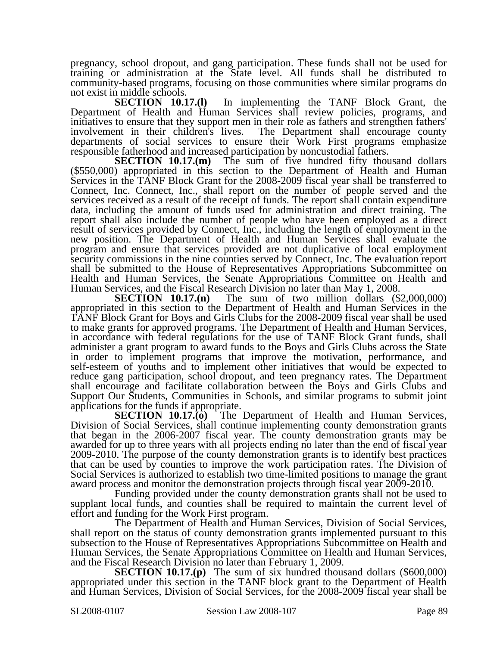pregnancy, school dropout, and gang participation. These funds shall not be used for training or administration at the State level. All funds shall be distributed to community-based programs, focusing on those communities where similar programs do

not exist in middle schools.<br>**SECTION** 10.17.(1) In implementing the TANF Block Grant, the Department of Health and Human Services shall review policies, programs, and initiatives to ensure that they support men in their role as fathers and strengthen fathers' involvement in their children's lives. The Department shall encourage county The Department shall encourage county departments of social services to ensure their Work First programs emphasize responsible fatherhood and increased participation by noncustodial fathers.<br>SECTION 10.17.(m) The sum of five hundred fifty thousand dollars

**SECTION 10.17.(m)** The sum of five hundred fifty thousand dollars (\$550,000) appropriated in this section to the Department of Health and Human Services in the TANF Block Grant for the 2008-2009 fiscal year shall be transferred to Connect, Inc. Connect, Inc., shall report on the number of people served and the services received as a result of the receipt of funds. The report shall contain expenditure data, including the amount of funds used for administration and direct training. The report shall also include the number of people who have been employed as a direct result of services provided by Connect, Inc., including the length of employment in the new position. The Department of Health and Human Services shall evaluate the program and ensure that services provided are not duplicative of local employment security commissions in the nine counties served by Connect, Inc. The evaluation report shall be submitted to the House of Representatives Appropriations Subcommittee on Health and Human Services, the Senate Appropriations Committee on Health and Human Services, and the Fiscal Research Division no later than May 1, 2008.

**SECTION 10.17.(n)** The sum of two million dollars (\$2,000,000) appropriated in this section to the Department of Health and Human Services in the TANF Block Grant for Boys and Girls Clubs for the 2008-2009 fiscal year shall be used to make grants for approved programs. The Department of Health and Human Services, in accordance with federal regulations for the use of TANF Block Grant funds, shall administer a grant program to award funds to the Boys and Girls Clubs across the State in order to implement programs that improve the motivation, performance, and self-esteem of youths and to implement other initiatives that would be expected to reduce gang participation, school dropout, and teen pregnancy rates. The Department shall encourage and facilitate collaboration between the Boys and Girls Clubs and Support Our Students, Communities in Schools, and similar programs to submit joint applications for the funds if appropriate.

**SECTION 10.17.(o)** The Department of Health and Human Services, Division of Social Services, shall continue implementing county demonstration grants that began in the 2006-2007 fiscal year. The county demonstration grants may be awarded for up to three years with all projects ending no later than the end of fiscal year 2009-2010. The purpose of the county demonstration grants is to identify best practices that can be used by counties to improve the work participation rates. The Division of Social Services is authorized to establish two time-limited positions to manage the grant award process and monitor the demonstration projects through fiscal year 2009-2010.

Funding provided under the county demonstration grants shall not be used to supplant local funds, and counties shall be required to maintain the current level of effort and funding for the Work First program.

The Department of Health and Human Services, Division of Social Services, shall report on the status of county demonstration grants implemented pursuant to this subsection to the House of Representatives Appropriations Subcommittee on Health and Human Services, the Senate Appropriations Committee on Health and Human Services, and the Fiscal Research Division no later than February 1, 2009.

**SECTION 10.17.(p)** The sum of six hundred thousand dollars (\$600,000) appropriated under this section in the TANF block grant to the Department of Health and Human Services, Division of Social Services, for the 2008-2009 fiscal year shall be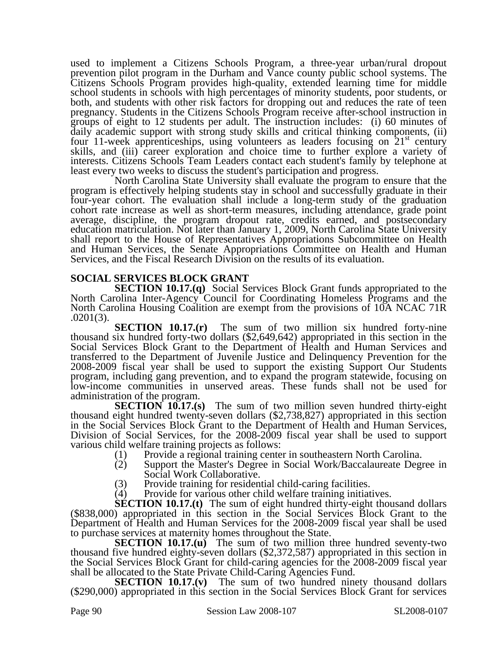used to implement a Citizens Schools Program, a three-year urban/rural dropout prevention pilot program in the Durham and Vance county public school systems. The Citizens Schools Program provides high-quality, extended learning time for middle school students in schools with high percentages of minority students, poor students, or both, and students with other risk factors for dropping out and reduces the rate of teen pregnancy. Students in the Citizens Schools Program receive after-school instruction in groups of eight to 12 students per adult. The instruction includes: (i) 60 minutes of daily academic support with strong study skills and critical thinking components, (ii) four 11-week apprenticeships, using volunteers as leaders focusing on  $21<sup>st</sup>$  century skills, and (iii) career exploration and choice time to further explore a variety of interests. Citizens Schools Team Leaders contact each student's family by telephone at least every two weeks to discuss the student's participation and progress.

North Carolina State University shall evaluate the program to ensure that the program is effectively helping students stay in school and successfully graduate in their four-year cohort. The evaluation shall include a long-term study of the graduation cohort rate increase as well as short-term measures, including attendance, grade point average, discipline, the program dropout rate, credits earned, and postsecondary education matriculation. Not later than January 1, 2009, North Carolina State University shall report to the House of Representatives Appropriations Subcommittee on Health and Human Services, the Senate Appropriations Committee on Health and Human Services, and the Fiscal Research Division on the results of its evaluation.

#### **SOCIAL SERVICES BLOCK GRANT**

**SECTION 10.17.(q)** Social Services Block Grant funds appropriated to the North Carolina Inter-Agency Council for Coordinating Homeless Programs and the North Carolina Housing Coalition are exempt from the provisions of 10A NCAC 71R .0201(3).

**SECTION 10.17.(r)** The sum of two million six hundred forty-nine thousand six hundred forty-two dollars (\$2,649,642) appropriated in this section in the Social Services Block Grant to the Department of Health and Human Services and transferred to the Department of Juvenile Justice and Delinquency Prevention for the 2008-2009 fiscal year shall be used to support the existing Support Our Students program, including gang prevention, and to expand the program statewide, focusing on low-income communities in unserved areas. These funds shall not be used for administration of the program.

**SECTION 10.17.(s)** The sum of two million seven hundred thirty-eight thousand eight hundred twenty-seven dollars (\$2,738,827) appropriated in this section in the Social Services Block Grant to the Department of Health and Human Services, Division of Social Services, for the 2008-2009 fiscal year shall be used to support various child welfare training projects as follows:

- 
- (1) Provide a regional training center in southeastern North Carolina.<br>(2) Support the Master's Degree in Social Work/Baccalaureate Degi Support the Master's Degree in Social Work/Baccalaureate Degree in Social Work Collaborative.
- 
- (3) Provide training for residential child-caring facilities.<br>
(4) Provide for various other child welfare training initiat Provide for various other child welfare training initiatives.

**SECTION 10.17.(t)** The sum of eight hundred thirty-eight thousand dollars (\$838,000) appropriated in this section in the Social Services Block Grant to the Department of Health and Human Services for the 2008-2009 fiscal year shall be used to purchase services at maternity homes throughout the State.

**SECTION 10.17.(u)** The sum of two million three hundred seventy-two thousand five hundred eighty-seven dollars (\$2,372,587) appropriated in this section in the Social Services Block Grant for child-caring agencies for the 2008-2009 fiscal year shall be allocated to the State Private Child-Caring Agencies Fund.

**SECTION 10.17.(v)** The sum of two hundred ninety thousand dollars (\$290,000) appropriated in this section in the Social Services Block Grant for services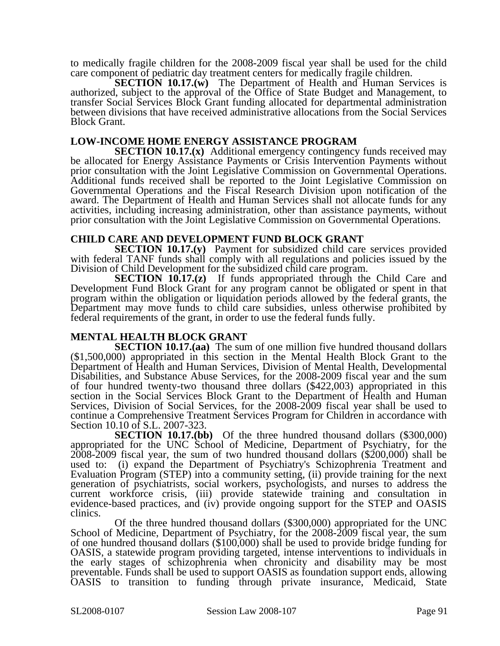to medically fragile children for the 2008-2009 fiscal year shall be used for the child care component of pediatric day treatment centers for medically fragile children.

**SECTION 10.17.(w)** The Department of Health and Human Services is authorized, subject to the approval of the Office of State Budget and Management, to transfer Social Services Block Grant funding allocated for departmental administration between divisions that have received administrative allocations from the Social Services Block Grant.

#### **LOW-INCOME HOME ENERGY ASSISTANCE PROGRAM**

**SECTION 10.17.(x)** Additional emergency contingency funds received may be allocated for Energy Assistance Payments or Crisis Intervention Payments without prior consultation with the Joint Legislative Commission on Governmental Operations. Additional funds received shall be reported to the Joint Legislative Commission on Governmental Operations and the Fiscal Research Division upon notification of the award. The Department of Health and Human Services shall not allocate funds for any activities, including increasing administration, other than assistance payments, without prior consultation with the Joint Legislative Commission on Governmental Operations.

#### **CHILD CARE AND DEVELOPMENT FUND BLOCK GRANT**

**SECTION 10.17.(y)** Payment for subsidized child care services provided with federal TANF funds shall comply with all regulations and policies issued by the Division of Child Development for the subsidized child care program.

**SECTION 10.17.(z)** If funds appropriated through the Child Care and Development Fund Block Grant for any program cannot be obligated or spent in that program within the obligation or liquidation periods allowed by the federal grants, the Department may move funds to child care subsidies, unless otherwise prohibited by federal requirements of the grant, in order to use the federal funds fully.

#### **MENTAL HEALTH BLOCK GRANT**

**SECTION 10.17.(aa)** The sum of one million five hundred thousand dollars (\$1,500,000) appropriated in this section in the Mental Health Block Grant to the Department of Health and Human Services, Division of Mental Health, Developmental Disabilities, and Substance Abuse Services, for the 2008-2009 fiscal year and the sum of four hundred twenty-two thousand three dollars (\$422,003) appropriated in this section in the Social Services Block Grant to the Department of Health and Human Services, Division of Social Services, for the 2008-2009 fiscal year shall be used to continue a Comprehensive Treatment Services Program for Children in accordance with Section 10.10 of S.L. 2007-323.

**SECTION 10.17.(bb)** Of the three hundred thousand dollars (\$300,000) appropriated for the UNC School of Medicine, Department of Psychiatry, for the 2008-2009 fiscal year, the sum of two hundred thousand dollars (\$200,000) shall be used to: (i) expand the Department of Psychiatry's Schizophrenia Treatment and Evaluation Program (STEP) into a community setting, (ii) provide training for the next generation of psychiatrists, social workers, psychologists, and nurses to address the current workforce crisis, (iii) provide statewide training and consultation in evidence-based practices, and (iv) provide ongoing support for the STEP and OASIS clinics.

Of the three hundred thousand dollars (\$300,000) appropriated for the UNC School of Medicine, Department of Psychiatry, for the 2008-2009 fiscal year, the sum of one hundred thousand dollars (\$100,000) shall be used to provide bridge funding for OASIS, a statewide program providing targeted, intense interventions to individuals in the early stages of schizophrenia when chronicity and disability may be most preventable. Funds shall be used to support OASIS as foundation support ends, allowing OASIS to transition to funding through private insurance, Medicaid, State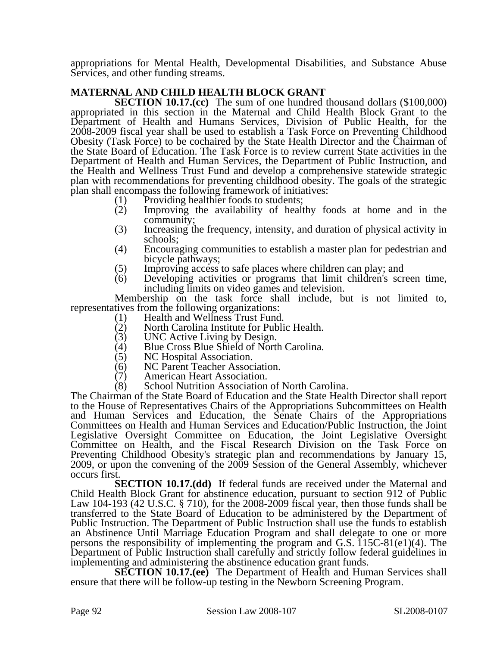appropriations for Mental Health, Developmental Disabilities, and Substance Abuse Services, and other funding streams.

### **MATERNAL AND CHILD HEALTH BLOCK GRANT**

**SECTION 10.17.(cc)** The sum of one hundred thousand dollars (\$100,000) appropriated in this section in the Maternal and Child Health Block Grant to the Department of Health and Humans Services, Division of Public Health, for the 2008-2009 fiscal year shall be used to establish a Task Force on Preventing Childhood Obesity (Task Force) to be cochaired by the State Health Director and the Chairman of the State Board of Education. The Task Force is to review current State activities in the Department of Health and Human Services, the Department of Public Instruction, and the Health and Wellness Trust Fund and develop a comprehensive statewide strategic plan with recommendations for preventing childhood obesity. The goals of the strategic plan shall encompass the following framework of initiatives:

- 
- (1) Providing healthier foods to students;<br>(2) Improving the availability of healt Improving the availability of healthy foods at home and in the community;
- (3) Increasing the frequency, intensity, and duration of physical activity in schools;
- (4) Encouraging communities to establish a master plan for pedestrian and bicycle pathways;
- 
- (5) Improving access to safe places where children can play; and (6) Developing activities or programs that limit children's scr Developing activities or programs that limit children's screen time, including limits on video games and television.

Membership on the task force shall include, but is not limited to, representatives from the following organizations:<br>(1) Health and Wellness Trust Fund

- (1) Health and Wellness Trust Fund.<br>(2) North Carolina Institute for Publi
	- (2) North Carolina Institute for Public Health.<br>(3) UNC Active Living by Design.
	- (3) UNC Active Living by Design.
	- (4) Blue Cross Blue Shield of North Carolina.<br>(5) NC Hospital Association.
	- (5) NC Hospital Association.<br>(6) NC Parent Teacher Assoc
	- (6) NC Parent Teacher Association.
	-
- (7) American Heart Association. School Nutrition Association of North Carolina.

The Chairman of the State Board of Education and the State Health Director shall report to the House of Representatives Chairs of the Appropriations Subcommittees on Health and Human Services and Education, the Senate Chairs of the Appropriations Committees on Health and Human Services and Education/Public Instruction, the Joint Legislative Oversight Committee on Education, the Joint Legislative Oversight Committee on Health, and the Fiscal Research Division on the Task Force on Preventing Childhood Obesity's strategic plan and recommendations by January 15, 2009, or upon the convening of the 2009 Session of the General Assembly, whichever occurs first.

**SECTION 10.17.(dd)** If federal funds are received under the Maternal and Child Health Block Grant for abstinence education, pursuant to section 912 of Public Law 104-193 (42 U.S.C. § 710), for the 2008-2009 fiscal year, then those funds shall be transferred to the State Board of Education to be administered by the Department of Public Instruction. The Department of Public Instruction shall use the funds to establish an Abstinence Until Marriage Education Program and shall delegate to one or more persons the responsibility of implementing the program and G.S.  $115C-81(e1)(4)$ . The Department of Public Instruction shall carefully and strictly follow federal guidelines in implementing and administering the abstinence education grant funds.

**SECTION 10.17.(ee)** The Department of Health and Human Services shall ensure that there will be follow-up testing in the Newborn Screening Program.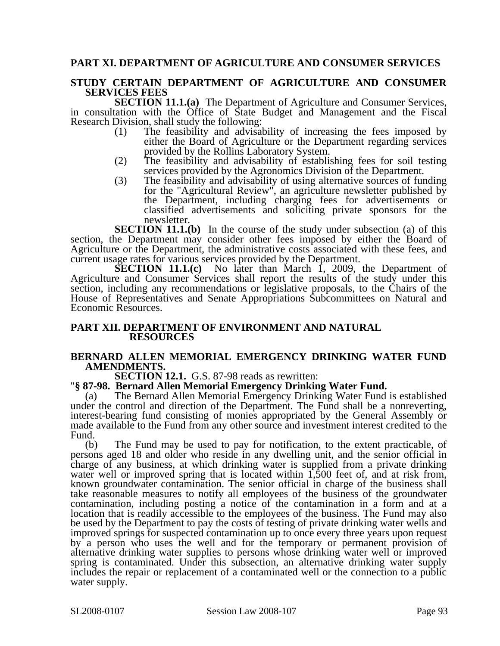#### **PART XI. DEPARTMENT OF AGRICULTURE AND CONSUMER SERVICES**

#### **STUDY CERTAIN DEPARTMENT OF AGRICULTURE AND CONSUMER SERVICES FEES**

**SECTION 11.1.(a)** The Department of Agriculture and Consumer Services, in consultation with the Office of State Budget and Management and the Fiscal Research Division, shall study the following:

- (1) The feasibility and advisability of increasing the fees imposed by either the Board of Agriculture or the Department regarding services provided by the Rollins Laboratory System.
- (2) The feasibility and advisability of establishing fees for soil testing services provided by the Agronomics Division of the Department.
- (3) The feasibility and advisability of using alternative sources of funding for the "Agricultural Review", an agriculture newsletter published by the Department, including charging fees for advertisements or classified advertisements and soliciting private sponsors for the newsletter.

**SECTION 11.1.(b)** In the course of the study under subsection (a) of this section, the Department may consider other fees imposed by either the Board of Agriculture or the Department, the administrative costs associated with these fees, and current usage rates for various services provided by the Department.

**SECTION 11.1.(c)** No later than March 1, 2009, the Department of Agriculture and Consumer Services shall report the results of the study under this section, including any recommendations or legislative proposals, to the Chairs of the House of Representatives and Senate Appropriations Subcommittees on Natural and Economic Resources.

#### **PART XII. DEPARTMENT OF ENVIRONMENT AND NATURAL RESOURCES**

## **BERNARD ALLEN MEMORIAL EMERGENCY DRINKING WATER FUND AMENDMENTS.**<br>**SECTION 12.1.** G.S. 87-98 reads as rewritten:

#### **SECTION 12.1.** G.S. 87-98 reads as rewritten: "**§ 87-98. Bernard Allen Memorial Emergency Drinking Water Fund.**

(a) The Bernard Allen Memorial Emergency Drinking Water Fund is established under the control and direction of the Department. The Fund shall be a nonreverting, interest-bearing fund consisting of monies appropriated by the General Assembly or made available to the Fund from any other source and investment interest credited to the Fund.

(b) The Fund may be used to pay for notification, to the extent practicable, of persons aged 18 and older who reside in any dwelling unit, and the senior official in charge of any business, at which drinking water is supplied from a private drinking water well or improved spring that is located within 1,500 feet of, and at risk from, known groundwater contamination. The senior official in charge of the business shall take reasonable measures to notify all employees of the business of the groundwater contamination, including posting a notice of the contamination in a form and at a location that is readily accessible to the employees of the business. The Fund may also be used by the Department to pay the costs of testing of private drinking water wells and improved springs for suspected contamination up to once every three years upon request by a person who uses the well and for the temporary or permanent provision of alternative drinking water supplies to persons whose drinking water well or improved spring is contaminated. Under this subsection, an alternative drinking water supply includes the repair or replacement of a contaminated well or the connection to a public water supply.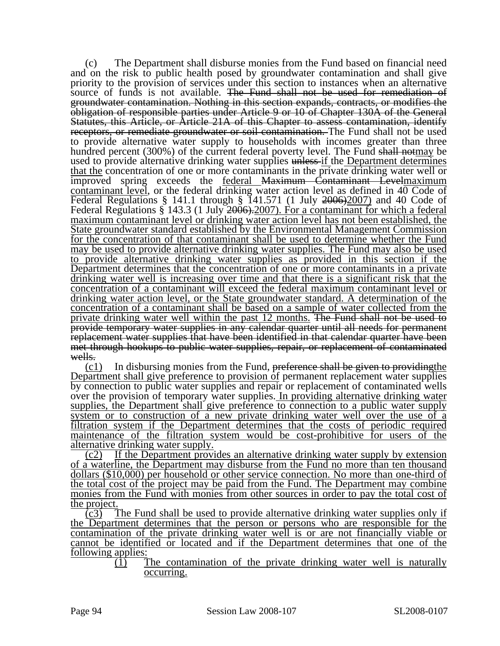(c) The Department shall disburse monies from the Fund based on financial need and on the risk to public health posed by groundwater contamination and shall give priority to the provision of services under this section to instances when an alternative source of funds is not available. The Fund shall not be used for remediation of groundwater contamination. Nothing in this section expands, contracts, or modifies the obligation of responsible parties under Article 9 or 10 of Chapter 130A of the General Statutes, this Article, or Article 21A of this Chapter to assess contamination, identify receptors, or remediate groundwater or soil contamination. The Fund shall not be used to provide alternative water supply to households with incomes greater than three hundred percent (300%) of the current federal poverty level. The Fund shall notmay be used to provide alternative drinking water supplies unless-if the Department determines that the concentration of one or more contaminants in the private drinking water well or improved spring exceeds the <u>federal Maximum Contaminant Levelmaximum</u> contaminant level, or the federal drinking water action level as defined in 40 Code of Federal Regulations § 141.1 through § 141.571 (1 July 2006)2007) and 40 Code of Federal Regulations § 143.3 (1 July 2006). 2007). For a contaminant for which a federal maximum contaminant level or drinking water action level has not been established, the State groundwater standard established by the Environmental Management Commission for the concentration of that contaminant shall be used to determine whether the Fund may be used to provide alternative drinking water supplies. The Fund may also be used to provide alternative drinking water supplies as provided in this section if the Department determines that the concentration of one or more contaminants in a private drinking water well is increasing over time and that there is a significant risk that the concentration of a contaminant will exceed the federal maximum contaminant level or drinking water action level, or the State groundwater standard. A determination of the concentration of a contaminant shall be based on a sample of water collected from the private drinking water well within the past 12 months. The Fund shall not be used to provide temporary water supplies in any calendar quarter until all needs for permanent replacement water supplies that have been identified in that calendar quarter have been met through hookups to public water supplies, repair, or replacement of contaminated wells.

 $(c_1)$  In disbursing monies from the Fund, preference shall be given to providing the Department shall give preference to provision of permanent replacement water supplies by connection to public water supplies and repair or replacement of contaminated wells over the provision of temporary water supplies. In providing alternative drinking water supplies, the Department shall give preference to connection to a public water supply system or to construction of a new private drinking water well over the use of a filtration system if the Department determines that the costs of periodic required maintenance of the filtration system would be cost-prohibitive for users of the alternative drinking water supply.

(c2) If the Department provides an alternative drinking water supply by extension of a waterline, the Department may disburse from the Fund no more than ten thousand dollars (\$10,000) per household or other service connection. No more than one-third of the total cost of the project may be paid from the Fund. The Department may combine monies from the Fund with monies from other sources in order to pay the total cost of the project.

(c3) The Fund shall be used to provide alternative drinking water supplies only if the Department determines that the person or persons who are responsible for the contamination of the private drinking water well is or are not financially viable or cannot be identified or located and if the Department determines that one of the following applies:

 $(1)$  The contamination of the private drinking water well is naturally occurring.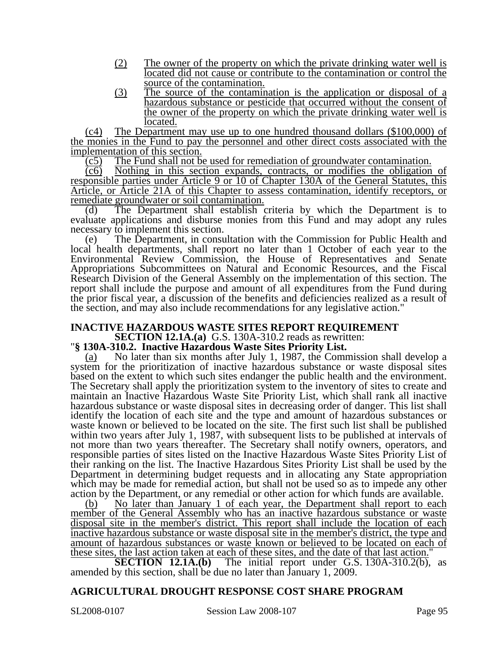- (2) The owner of the property on which the private drinking water well is located did not cause or contribute to the contamination or control the source of the contamination.
- (3) The source of the contamination is the application or disposal of a hazardous substance or pesticide that occurred without the consent of the owner of the property on which the private drinking water well is located.

(c4) The Department may use up to one hundred thousand dollars (\$100,000) of the monies in the Fund to pay the personnel and other direct costs associated with the implementation of this section.

(c5) The Fund shall not be used for remediation of groundwater contamination.

(c6) Nothing in this section expands, contracts, or modifies the obligation of responsible parties under Article 9 or 10 of Chapter 130A of the General Statutes, this Article, or Article 21A of this Chapter to assess contamination, identify receptors, or remediate groundwater or soil contamination.

(d) The Department shall establish criteria by which the Department is to evaluate applications and disburse monies from this Fund and may adopt any rules necessary to implement this section.

(e) The Department, in consultation with the Commission for Public Health and local health departments, shall report no later than 1 October of each year to the Environmental Review Commission, the House of Representatives and Senate Appropriations Subcommittees on Natural and Economic Resources, and the Fiscal Research Division of the General Assembly on the implementation of this section. The report shall include the purpose and amount of all expenditures from the Fund during the prior fiscal year, a discussion of the benefits and deficiencies realized as a result of the section, and may also include recommendations for any legislative action."

# **INACTIVE HAZARDOUS WASTE SITES REPORT REQUIREMENT**<br>**SECTION 12.1A.(a)** G.S. 130A-310.2 reads as rewritten:

#### **S. 130A-310.2. Inactive Hazardous Waste Sites Priority List.**

(a) No later than six months after July 1, 1987, the Commission shall develop a system for the prioritization of inactive hazardous substance or waste disposal sites based on the extent to which such sites endanger the public health and the environment. The Secretary shall apply the prioritization system to the inventory of sites to create and maintain an Inactive Hazardous Waste Site Priority List, which shall rank all inactive hazardous substance or waste disposal sites in decreasing order of danger. This list shall identify the location of each site and the type and amount of hazardous substances or waste known or believed to be located on the site. The first such list shall be published within two years after July 1, 1987, with subsequent lists to be published at intervals of not more than two years thereafter. The Secretary shall notify owners, operators, and responsible parties of sites listed on the Inactive Hazardous Waste Sites Priority List of their ranking on the list. The Inactive Hazardous Sites Priority List shall be used by the Department in determining budget requests and in allocating any State appropriation which may be made for remedial action, but shall not be used so as to impede any other action by the Department, or any remedial or other action for which funds are available.

(b) No later than January 1 of each year, the Department shall report to each member of the General Assembly who has an inactive hazardous substance or waste disposal site in the member's district. This report shall include the location of each inactive hazardous substance or waste disposal site in the member's district, the type and amount of hazardous substances or waste known or believed to be located on each of these sites, the last action taken at each of these sites, and the date of that last action."

**SECTION 12.1A.(b)** The initial report under G.S. 130A-310.2(b), as amended by this section, shall be due no later than January 1, 2009.

#### **AGRICULTURAL DROUGHT RESPONSE COST SHARE PROGRAM**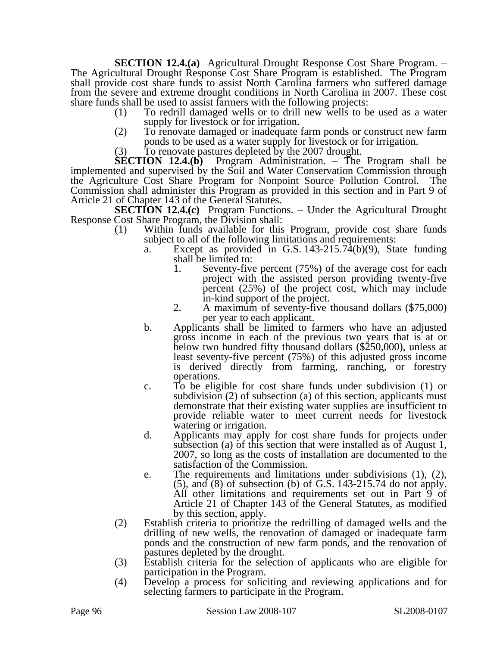**SECTION 12.4.(a)** Agricultural Drought Response Cost Share Program. – The Agricultural Drought Response Cost Share Program is established. The Program shall provide cost share funds to assist North Carolina farmers who suffered damage from the severe and extreme drought conditions in North Carolina in 2007. These cost share funds shall be used to assist farmers with the following projects:

- (1) To redrill damaged wells or to drill new wells to be used as a water supply for livestock or for irrigation.
- (2) To renovate damaged or inadequate farm ponds or construct new farm ponds to be used as a water supply for livestock or for irrigation.
- (3) To renovate pastures depleted by the 2007 drought.

**SECTION 12.4.(b)** Program Administration. – The Program shall be implemented and supervised by the Soil and Water Conservation Commission through the Agriculture Cost Share Program for Nonpoint Source Pollution Control. The Commission shall administer this Program as provided in this section and in Part 9 of Article 21 of Chapter 143 of the General Statutes.

**SECTION 12.4.(c)** Program Functions. – Under the Agricultural Drought Response Cost Share Program, the Division shall:

- (1) Within funds available for this Program, provide cost share funds subject to all of the following limitations and requirements:
	- a. Except as provided in G.S. 143-215.74(b)(9), State funding shall be limited to:
		- 1. Seventy-five percent (75%) of the average cost for each project with the assisted person providing twenty-five percent (25%) of the project cost, which may include
		- in-kind support of the project.<br>2. A maximum of seventy-five thousand dollars (\$75,000) per year to each applicant.
	- b. Applicants shall be limited to farmers who have an adjusted gross income in each of the previous two years that is at or below two hundred fifty thousand dollars (\$250,000), unless at least seventy-five percent (75%) of this adjusted gross income is derived directly from farming, ranching, or forestry operations.
	- c. To be eligible for cost share funds under subdivision (1) or subdivision (2) of subsection (a) of this section, applicants must demonstrate that their existing water supplies are insufficient to provide reliable water to meet current needs for livestock watering or irrigation.
	- d. Applicants may apply for cost share funds for projects under subsection (a) of this section that were installed as of August 1, 2007, so long as the costs of installation are documented to the satisfaction of the Commission.
	- e. The requirements and limitations under subdivisions (1), (2), (5), and (8) of subsection (b) of G.S. 143-215.74 do not apply. All other limitations and requirements set out in Part 9 of Article 21 of Chapter 143 of the General Statutes, as modified by this section, apply.
- (2) Establish criteria to prioritize the redrilling of damaged wells and the drilling of new wells, the renovation of damaged or inadequate farm ponds and the construction of new farm ponds, and the renovation of pastures depleted by the drought.
- (3) Establish criteria for the selection of applicants who are eligible for participation in the Program.
- (4) Develop a process for soliciting and reviewing applications and for selecting farmers to participate in the Program.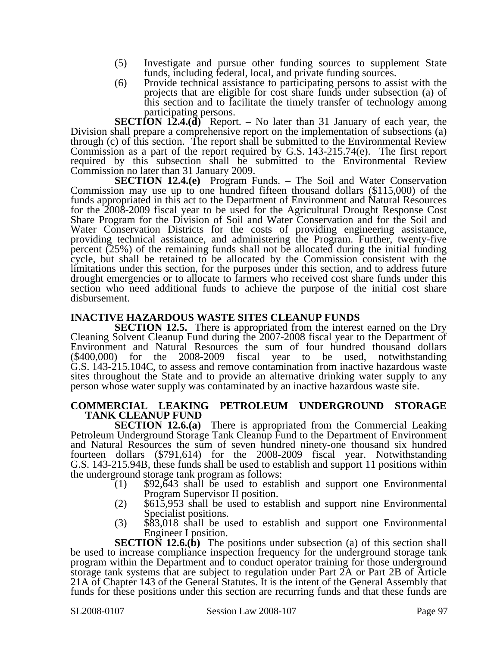- (5) Investigate and pursue other funding sources to supplement State funds, including federal, local, and private funding sources.
- (6) Provide technical assistance to participating persons to assist with the projects that are eligible for cost share funds under subsection (a) of this section and to facilitate the timely transfer of technology among participating persons.

**SECTION 12.4.(d)** Report. – No later than 31 January of each year, the Division shall prepare a comprehensive report on the implementation of subsections (a) through (c) of this section. The report shall be submitted to the Environmental Review Commission as a part of the report required by G.S. 143-215.74(e). The first report required by this subsection shall be submitted to the Environmental Review Commission no later than 31 January 2009.

**SECTION 12.4.(e)** Program Funds. – The Soil and Water Conservation Commission may use up to one hundred fifteen thousand dollars (\$115,000) of the funds appropriated in this act to the Department of Environment and Natural Resources for the 2008-2009 fiscal year to be used for the Agricultural Drought Response Cost Share Program for the Division of Soil and Water Conservation and for the Soil and Water Conservation Districts for the costs of providing engineering assistance, providing technical assistance, and administering the Program. Further, twenty-five percent (25%) of the remaining funds shall not be allocated during the initial funding cycle, but shall be retained to be allocated by the Commission consistent with the limitations under this section, for the purposes under this section, and to address future drought emergencies or to allocate to farmers who received cost share funds under this section who need additional funds to achieve the purpose of the initial cost share disbursement.

#### **INACTIVE HAZARDOUS WASTE SITES CLEANUP FUNDS**

**SECTION 12.5.** There is appropriated from the interest earned on the Dry Cleaning Solvent Cleanup Fund during the 2007-2008 fiscal year to the Department of Environment and Natural Resources the sum of four hundred thousand dollars (\$400,000) for the 2008-2009 fiscal year to be used, notwithstanding G.S. 143-215.104C, to assess and remove contamination from inactive hazardous waste sites throughout the State and to provide an alternative drinking water supply to any person whose water supply was contaminated by an inactive hazardous waste site.

#### **COMMERCIAL LEAKING PETROLEUM UNDERGROUND STORAGE TANK CLEANUP FUND**

**SECTION 12.6.(a)** There is appropriated from the Commercial Leaking Petroleum Underground Storage Tank Cleanup Fund to the Department of Environment and Natural Resources the sum of seven hundred ninety-one thousand six hundred fourteen dollars (\$791,614) for the 2008-2009 fiscal year. Notwithstanding G.S. 143-215.94B, these funds shall be used to establish and support 11 positions within

- the underground storage tank program as follows:<br>
(1) \$92,643 shall be used to establish and support one Environmental<br>
Program Supervisor II position.
	- $\text{F}(2)$  \$615,953 shall be used to establish and support nine Environmental Specialist positions.<br>
	(3) \$83,018 shall be used to establish and support one Environmental
	- Engineer I position.

**SECTION 12.6.(b)** The positions under subsection (a) of this section shall be used to increase compliance inspection frequency for the underground storage tank program within the Department and to conduct operator training for those underground storage tank systems that are subject to regulation under Part 2A or Part 2B of Article 21A of Chapter 143 of the General Statutes. It is the intent of the General Assembly that funds for these positions under this section are recurring funds and that these funds are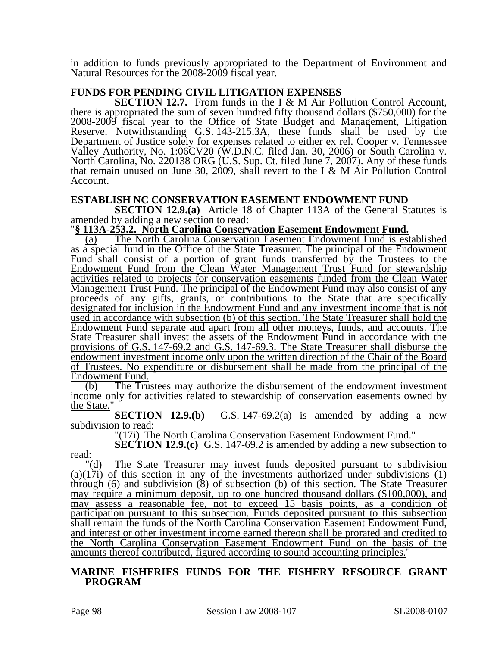in addition to funds previously appropriated to the Department of Environment and Natural Resources for the 2008-2009 fiscal year.

#### **FUNDS FOR PENDING CIVIL LITIGATION EXPENSES**

**SECTION 12.7.** From funds in the I & M Air Pollution Control Account, there is appropriated the sum of seven hundred fifty thousand dollars (\$750,000) for the 2008-2009 fiscal year to the Office of State Budget and Management, Litigation Reserve. Notwithstanding G.S. 143-215.3A, these funds shall be used by the Department of Justice solely for expenses related to either ex rel. Cooper v. Tennessee Valley Authority, No. 1:06CV20 (W.D.N.C. filed Jan. 30, 2006) or South Carolina v. North Carolina, No. 220138 ORG (U.S. Sup. Ct. filed June 7, 2007). Any of these funds that remain unused on June 30, 2009, shall revert to the I & M Air Pollution Control Account.

### **ESTABLISH NC CONSERVATION EASEMENT ENDOWMENT FUND**

**SECTION 12.9.(a)** Article 18 of Chapter 113A of the General Statutes is amended by adding a new section to read:

#### "**§ 113A-253.2. North Carolina Conservation Easement Endowment Fund.**

(a) The North Carolina Conservation Easement Endowment Fund is established as a special fund in the Office of the State Treasurer. The principal of the Endowment Fund shall consist of a portion of grant funds transferred by the Trustees to the Endowment Fund from the Clean Water Management Trust Fund for stewardship activities related to projects for conservation easements funded from the Clean Water Management Trust Fund. The principal of the Endowment Fund may also consist of any proceeds of any gifts, grants, or contributions to the State that are specifically designated for inclusion in the Endowment Fund and any investment income that is not used in accordance with subsection (b) of this section. The State Treasurer shall hold the Endowment Fund separate and apart from all other moneys, funds, and accounts. The State Treasurer shall invest the assets of the Endowment Fund in accordance with the provisions of G.S. 147-69.2 and G.S. 147-69.3. The State Treasurer shall disburse the endowment investment income only upon the written direction of the Chair of the Board of Trustees. No expenditure or disbursement shall be made from the principal of the Endowment Fund.

(b) The Trustees may authorize the disbursement of the endowment investment income only for activities related to stewardship of conservation easements owned by  $\frac{\text{the State.}}{\text{SECTION}}$  12.9.(b)

G.S.  $147-69.2(a)$  is amended by adding a new subdivision to read:

"(17i) The North Carolina Conservation Easement Endowment Fund."

**SECTION 12.9.(c)** G.S. 147-69.2 is amended by adding a new subsection to read:

"(d) The State Treasurer may invest funds deposited pursuant to subdivision (a)(17i) of this section in any of the investments authorized under subdivisions (1) through (6) and subdivision (8) of subsection (b) of this section. The State Treasurer may require a minimum deposit, up to one hundred thousand dollars (\$100,000), and may assess a reasonable fee, not to exceed 15 basis points, as a condition of participation pursuant to this subsection. Funds deposited pursuant to this subsection shall remain the funds of the North Carolina Conservation Easement Endowment Fund, and interest or other investment income earned thereon shall be prorated and credited to the North Carolina Conservation Easement Endowment Fund on the basis of the amounts thereof contributed, figured according to sound accounting principles."

#### **MARINE FISHERIES FUNDS FOR THE FISHERY RESOURCE GRANT PROGRAM**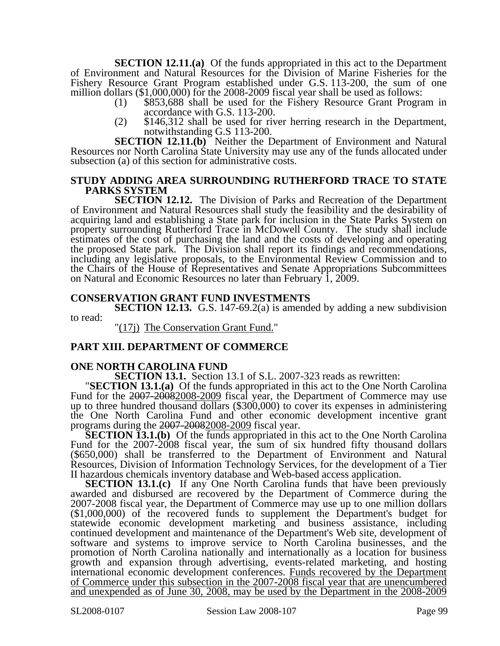**SECTION 12.11.(a)** Of the funds appropriated in this act to the Department of Environment and Natural Resources for the Division of Marine Fisheries for the Fishery Resource Grant Program established under G.S. 113-200, the sum of one million dollars (\$1,000,000) for the 2008-2009 fiscal year shall be used as follows:<br>(1) \$853,688 shall be used for the Fishery Resource Grant Program in

- accordance with G.S. 113-200.
- (2) \$146,312 shall be used for river herring research in the Department, notwithstanding G.S 113-200.

**SECTION 12.11.(b)** Neither the Department of Environment and Natural Resources nor North Carolina State University may use any of the funds allocated under subsection (a) of this section for administrative costs.

#### **STUDY ADDING AREA SURROUNDING RUTHERFORD TRACE TO STATE PARKS SYSTEM**

**SECTION 12.12.** The Division of Parks and Recreation of the Department of Environment and Natural Resources shall study the feasibility and the desirability of acquiring land and establishing a State park for inclusion in the State Parks System on property surrounding Rutherford Trace in McDowell County. The study shall include estimates of the cost of purchasing the land and the costs of developing and operating the proposed State park. The Division shall report its findings and recommendations, including any legislative proposals, to the Environmental Review Commission and to the Chairs of the House of Representatives and Senate Appropriations Subcommittees on Natural and Economic Resources no later than February 1, 2009.

#### **CONSERVATION GRANT FUND INVESTMENTS**

**SECTION 12.13.** G.S. 147-69.2(a) is amended by adding a new subdivision to read:

"(17j) The Conservation Grant Fund."

#### **PART XIII. DEPARTMENT OF COMMERCE**

**ONE NORTH CAROLINA FUND**<br>**SECTION 13.1.** Section 13.1 of S.L. 2007-323 reads as rewritten:

**SECTION 13.1.** Section 13.1 of S.L. 2007-323 reads as rewritten: "**SECTION 13.1.(a)** Of the funds appropriated in this act to the One North Carolina Fund for the 2007-20082008-2009 fiscal year, the Department of Commerce may use up to three hundred thousand dollars (\$300,000) to cover its expenses in administering the One North Carolina Fund and other economic development incentive grant programs during the 2007-20082008-2009 fiscal year.

**SECTION 13.1.(b)** Of the funds appropriated in this act to the One North Carolina Fund for the 2007-2008 fiscal year, the sum of six hundred fifty thousand dollars (\$650,000) shall be transferred to the Department of Environment and Natural Resources, Division of Information Technology Services, for the development of a Tier II hazardous chemicals inventory database and Web-based access application.

**SECTION 13.1.(c)** If any One North Carolina funds that have been previously awarded and disbursed are recovered by the Department of Commerce during the 2007-2008 fiscal year, the Department of Commerce may use up to one million dollars (\$1,000,000) of the recovered funds to supplement the Department's budget for statewide economic development marketing and business assistance, including continued development and maintenance of the Department's Web site, development of software and systems to improve service to North Carolina businesses, and the promotion of North Carolina nationally and internationally as a location for business growth and expansion through advertising, events-related marketing, and hosting international economic development conferences. Funds recovered by the Department of Commerce under this subsection in the 2007-2008 fiscal year that are unencumbered and unexpended as of June 30, 2008, may be used by the Department in the 2008-2009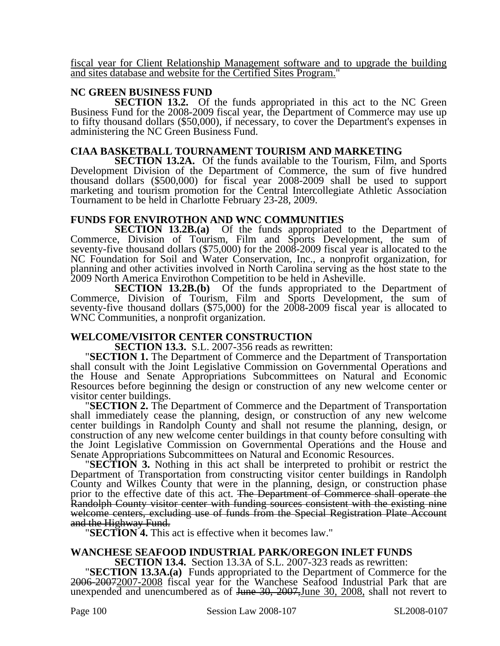fiscal year for Client Relationship Management software and to upgrade the building and sites database and website for the Certified Sites Program."

#### **NC GREEN BUSINESS FUND**

**SECTION 13.2.** Of the funds appropriated in this act to the NC Green Business Fund for the 2008-2009 fiscal year, the Department of Commerce may use up to fifty thousand dollars (\$50,000), if necessary, to cover the Department's expenses in administering the NC Green Business Fund.

#### **CIAA BASKETBALL TOURNAMENT TOURISM AND MARKETING**

**SECTION 13.2A.** Of the funds available to the Tourism, Film, and Sports Development Division of the Department of Commerce, the sum of five hundred thousand dollars (\$500,000) for fiscal year 2008-2009 shall be used to support marketing and tourism promotion for the Central Intercollegiate Athletic Association Tournament to be held in Charlotte February 23-28, 2009.

#### **FUNDS FOR ENVIROTHON AND WNC COMMUNITIES**

**SECTION 13.2B.(a)** Of the funds appropriated to the Department of Commerce, Division of Tourism, Film and Sports Development, the sum of seventy-five thousand dollars (\$75,000) for the 2008-2009 fiscal year is allocated to the NC Foundation for Soil and Water Conservation, Inc., a nonprofit organization, for planning and other activities involved in North Carolina serving as the host state to the 2009 North America Envirothon Competition to be held in Asheville.

**SECTION 13.2B.(b)** Of the funds appropriated to the Department of Commerce, Division of Tourism, Film and Sports Development, the sum of seventy-five thousand dollars (\$75,000) for the 2008-2009 fiscal year is allocated to WNC Communities, a nonprofit organization.

# **WELCOME/VISITOR CENTER CONSTRUCTION**<br>**SECTION 13.3.** S.L. 2007-356 reads as rewritten:

**"SECTION 1.** The Department of Commerce and the Department of Transportation shall consult with the Joint Legislative Commission on Governmental Operations and the House and Senate Appropriations Subcommittees on Natural and Economic Resources before beginning the design or construction of any new welcome center or

visitor center buildings. "**SECTION 2.** The Department of Commerce and the Department of Transportation shall immediately cease the planning, design, or construction of any new welcome center buildings in Randolph County and shall not resume the planning, design, or construction of any new welcome center buildings in that county before consulting with the Joint Legislative Commission on Governmental Operations and the House and Senate Appropriations Subcommittees on Natural and Economic Resources.

**SECTION 3.** Nothing in this act shall be interpreted to prohibit or restrict the Department of Transportation from constructing visitor center buildings in Randolph County and Wilkes County that were in the planning, design, or construction phase prior to the effective date of this act. The Department of Commerce shall operate the Randolph County visitor center with funding sources consistent with the existing nine welcome centers, excluding use of funds from the Special Registration Plate Account and the Highway Fund. "**SECTION 4.** This act is effective when it becomes law."

# **WANCHESE SEAFOOD INDUSTRIAL PARK/OREGON INLET FUNDS**

"SECTION 13.3A.(a) Funds appropriated to the Department of Commerce for the 2006-20072007-2008 fiscal year for the Wanchese Seafood Industrial Park that are unexpended and unencumbered as of June 30, 2007, June 30, 2008, shall not revert to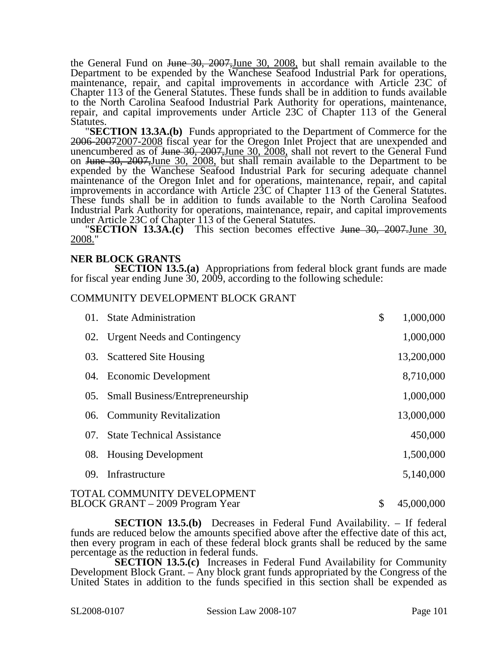the General Fund on <del>June 30, 2007, June 30, 2008</del>, but shall remain available to the Department to be expended by the Wanchese Seafood Industrial Park for operations, maintenance, repair, and capital improvements in accordance with Article 23C of Chapter 113 of the General Statutes. These funds shall be in addition to funds available to the North Carolina Seafood Industrial Park Authority for operations, maintenance, repair, and capital improvements under Article 23C of Chapter 113 of the General

Statutes. "**SECTION 13.3A.(b)** Funds appropriated to the Department of Commerce for the 2006-2007-2007-2008 fiscal year for the Oregon Inlet Project that are unexpended and unencumbered as of June 30, 2007, June 30, 2008, shall not revert to the General Fund on June 30, 2007,June 30, 2008, but shall remain available to the Department to be expended by the Wanchese Seafood Industrial Park for securing adequate channel maintenance of the Oregon Inlet and for operations, maintenance, repair, and capital improvements in accordance with Article 23C of Chapter 113 of the General Statutes. These funds shall be in addition to funds available to the North Carolina Seafood Industrial Park Authority for operations, maintenance, repair, and capital improvements

**"SECTION 13.3A.(c)** This section becomes effective June 30, 2007.June 30, 2008."

#### **NER BLOCK GRANTS**

**SECTION 13.5.(a)** Appropriations from federal block grant funds are made for fiscal year ending June 30, 2009, according to the following schedule:

#### COMMUNITY DEVELOPMENT BLOCK GRANT

| 01.             | <b>State Administration</b>                                    | \$<br>1,000,000  |
|-----------------|----------------------------------------------------------------|------------------|
| 02.             | <b>Urgent Needs and Contingency</b>                            | 1,000,000        |
| 03.             | <b>Scattered Site Housing</b>                                  | 13,200,000       |
|                 | 04. Economic Development                                       | 8,710,000        |
| 05.             | <b>Small Business/Entrepreneurship</b>                         | 1,000,000        |
|                 | 06. Community Revitalization                                   | 13,000,000       |
| 07 <sub>1</sub> | <b>State Technical Assistance</b>                              | 450,000          |
| 08.             | <b>Housing Development</b>                                     | 1,500,000        |
| 09.             | Infrastructure                                                 | 5,140,000        |
|                 | TOTAL COMMUNITY DEVELOPMENT<br>BLOCK GRANT – 2009 Program Year | \$<br>45,000,000 |

**SECTION 13.5.(b)** Decreases in Federal Fund Availability. – If federal funds are reduced below the amounts specified above after the effective date of this act, then every program in each of these federal block grants shall be reduced by the same percentage as the reduction in federal funds.

**SECTION 13.5.(c)** Increases in Federal Fund Availability for Community Development Block Grant. – Any block grant funds appropriated by the Congress of the United States in addition to the funds specified in this section shall be expended as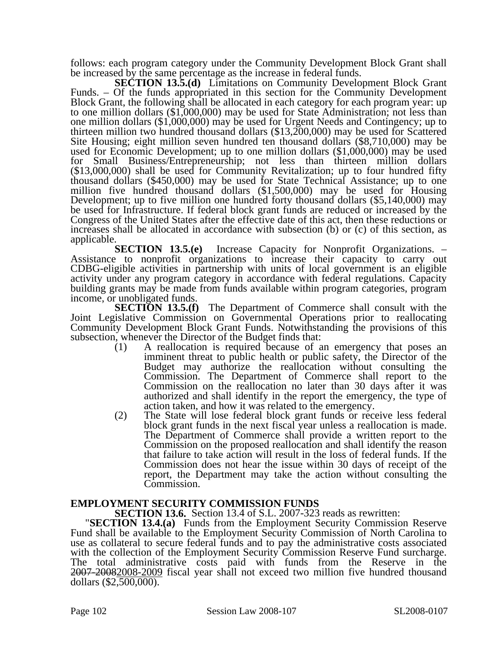follows: each program category under the Community Development Block Grant shall be increased by the same percentage as the increase in federal funds.

**SECTION 13.5.(d)** Limitations on Community Development Block Grant Funds. – Of the funds appropriated in this section for the Community Development Block Grant, the following shall be allocated in each category for each program year: up to one million dollars (\$1,000,000) may be used for State Administration; not less than one million dollars (\$1,000,000) may be used for Urgent Needs and Contingency; up to thirteen million two hundred thousand dollars (\$13,200,000) may be used for Scattered Site Housing; eight million seven hundred ten thousand dollars (\$8,710,000) may be used for Economic Development; up to one million dollars (\$1,000,000) may be used for Small Business/Entrepreneurship; not less than thirteen million dollars (\$13,000,000) shall be used for Community Revitalization; up to four hundred fifty (\$13,000,000) shall be used for Community Revitalization; up to four hundred fifty thousand dollars (\$450,000) may be used for State Technical Assistance; up to one million five hundred thousand dollars (\$1,500,000) may be used for Housing Development; up to five million one hundred forty thousand dollars (\$5,140,000) may be used for Infrastructure. If federal block grant funds are reduced or increased by the Congress of the United States after the effective date of this act, then these reductions or increases shall be allocated in accordance with subsection (b) or (c) of this section, as applicable.

**SECTION 13.5.(e)** Increase Capacity for Nonprofit Organizations. – Assistance to nonprofit organizations to increase their capacity to carry out CDBG-eligible activities in partnership with units of local government is an eligible activity under any program category in accordance with federal regulations. Capacity building grants may be made from funds available within program categories, program income, or unobligated funds.

**SECTION 13.5.(f)** The Department of Commerce shall consult with the Joint Legislative Commission on Governmental Operations prior to reallocating Community Development Block Grant Funds. Notwithstanding the provisions of this subsection, whenever the Director of the Budget finds that:

- (1) A reallocation is required because of an emergency that poses an imminent threat to public health or public safety, the Director of the Budget may authorize the reallocation without consulting the Commission. The Department of Commerce shall report to the Commission on the reallocation no later than 30 days after it was authorized and shall identify in the report the emergency, the type of action taken, and how it was related to the emergency.
- (2) The State will lose federal block grant funds or receive less federal block grant funds in the next fiscal year unless a reallocation is made. The Department of Commerce shall provide a written report to the Commission on the proposed reallocation and shall identify the reason that failure to take action will result in the loss of federal funds. If the Commission does not hear the issue within 30 days of receipt of the report, the Department may take the action without consulting the Commission.

**EMPLOYMENT SECURITY COMMISSION FUNDS<br>SECTION 13.6.** Section 13.4 of S.L. 2007-323 reads as rewritten:

**"SECTION 13.4.(a)** Funds from the Employment Security Commission Reserve Fund shall be available to the Employment Security Commission of North Carolina to use as collateral to secure federal funds and to pay the administrative costs associated with the collection of the Employment Security Commission Reserve Fund surcharge. The total administrative costs paid with funds from the Reserve in the 2007-20082008-2009 fiscal year shall not exceed two million five hundred thousand dollars (\$2,500,000).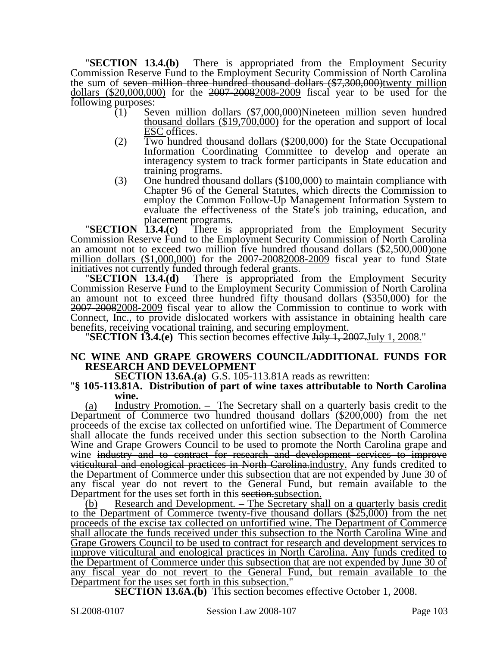"**SECTION 13.4.(b)** There is appropriated from the Employment Security Commission Reserve Fund to the Employment Security Commission of North Carolina the sum of <del>seven million three hundred thousand dollars  $(\$7,300,000)$ twenty million dollars  $(\$20,000,000)$  for the  $2007-20082008-2009$  fiscal year to be used for the</del> following purposes:<br>(1) Seven million dollars (\$7,000,000)Nineteen million seven hundred

- thousand dollars (\$19,700,000) for the operation and support of local ESC offices.
- (2) Two hundred thousand dollars (\$200,000) for the State Occupational Information Coordinating Committee to develop and operate an interagency system to track former participants in State education and training programs.
- (3) One hundred thousand dollars (\$100,000) to maintain compliance with Chapter 96 of the General Statutes, which directs the Commission to employ the Common Follow-Up Management Information System to evaluate the effectiveness of the State's job training, education, and

placement programs. "**SECTION 13.4.(c)** There is appropriated from the Employment Security Commission Reserve Fund to the Employment Security Commission of North Carolina an amount not to exceed two million five hundred thousand dollars  $(\$2,500,000)$ one million dollars (\$1,000,000) for the 2007-20082008-2009 fiscal year to fund State initiatives not currently funded through federal grants. "**SECTION 13.4.(d)** There is appropriated from the Employment Security

Commission Reserve Fund to the Employment Security Commission of North Carolina an amount not to exceed three hundred fifty thousand dollars (\$350,000) for the 2007-20082008-2009 fiscal year to allow the Commission to continue to work with Connect, Inc., to provide dislocated workers with assistance in obtaining health care

benefits, receiving vocational training, and securing employment. "**SECTION 13.4.(e)** This section becomes effective July 1, 2007.July 1, 2008."

#### **NC WINE AND GRAPE GROWERS COUNCIL/ADDITIONAL FUNDS FOR RESEARCH AND DEVELOPMENT**

## **SECTION 13.6A.(a)** G.S. 105-113.81A reads as rewritten: "**§ 105-113.81A. Distribution of part of wine taxes attributable to North Carolina wine.**

(a) Industry Promotion. – The Secretary shall on a quarterly basis credit to the Department of Commerce two hundred thousand dollars (\$200,000) from the net proceeds of the excise tax collected on unfortified wine. The Department of Commerce shall allocate the funds received under this section subsection to the North Carolina Wine and Grape Growers Council to be used to promote the North Carolina grape and wine industry and to contract for research and development services to improve viticultural and enological practices in North Carolina.industry. Any funds credited to the Department of Commerce under this subsection that are not expended by June 30 of any fiscal year do not revert to the General Fund, but remain available to the Department for the uses set forth in this section.

(b) Research and Development. – The Secretary shall on a quarterly basis credit to the Department of Commerce twenty-five thousand dollars (\$25,000) from the net proceeds of the excise tax collected on unfortified wine. The Department of Commerce shall allocate the funds received under this subsection to the North Carolina Wine and Grape Growers Council to be used to contract for research and development services to improve viticultural and enological practices in North Carolina. Any funds credited to the Department of Commerce under this subsection that are not expended by June 30 of any fiscal year do not revert to the General Fund, but remain available to the Department for the uses set forth in this subsection.

**SECTION 13.6A.(b)** This section becomes effective October 1, 2008.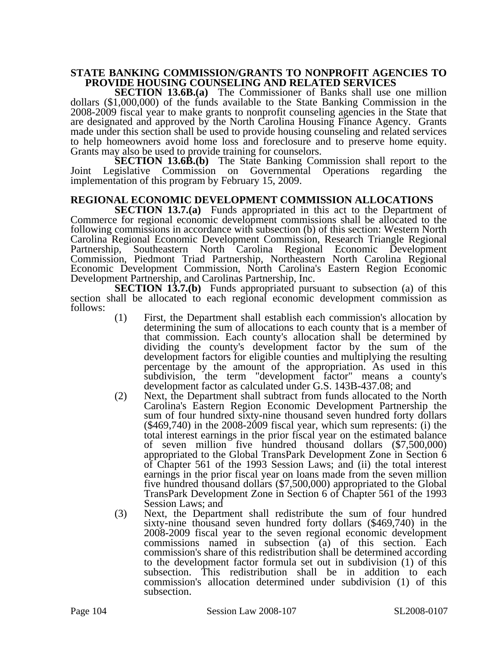#### **STATE BANKING COMMISSION/GRANTS TO NONPROFIT AGENCIES TO PROVIDE HOUSING COUNSELING AND RELATED SERVICES**

**SECTION 13.6B.(a)** The Commissioner of Banks shall use one million dollars (\$1,000,000) of the funds available to the State Banking Commission in the 2008-2009 fiscal year to make grants to nonprofit counseling agencies in the State that are designated and approved by the North Carolina Housing Finance Agency. Grants made under this section shall be used to provide housing counseling and related services to help homeowners avoid home loss and foreclosure and to preserve home equity. Grants may also be used to provide training for counselors.

**SECTION 13.6B.(b)** The State Banking Commission shall report to the Joint Legislative Commission on Governmental Operations regarding the implementation of this program by February 15, 2009.

### **REGIONAL ECONOMIC DEVELOPMENT COMMISSION ALLOCATIONS**

**SECTION 13.7.(a)** Funds appropriated in this act to the Department of Commerce for regional economic development commissions shall be allocated to the following commissions in accordance with subsection (b) of this section: Western North Carolina Regional Economic Development Commission, Research Triangle Regional Partnership, Southeastern North Carolina Regional Economic Development Commission, Piedmont Triad Partnership, Northeastern North Carolina Regional Economic Development Commission, North Carolina's Eastern Region Economic Development Partnership, and Carolinas Partnership, Inc.

**SECTION 13.7.(b)** Funds appropriated pursuant to subsection (a) of this section shall be allocated to each regional economic development commission as follows:

- (1) First, the Department shall establish each commission's allocation by determining the sum of allocations to each county that is a member of that commission. Each county's allocation shall be determined by dividing the county's development factor by the sum of the development factors for eligible counties and multiplying the resulting percentage by the amount of the appropriation. As used in this subdivision, the term "development factor" means a county's development factor as calculated under G.S. 143B-437.08; and
- (2) Next, the Department shall subtract from funds allocated to the North Carolina's Eastern Region Economic Development Partnership the sum of four hundred sixty-nine thousand seven hundred forty dollars (\$469,740) in the 2008-2009 fiscal year, which sum represents: (i) the total interest earnings in the prior fiscal year on the estimated balance of seven million five hundred thousand dollars (\$7,500,000) appropriated to the Global TransPark Development Zone in Section 6 of Chapter 561 of the 1993 Session Laws; and (ii) the total interest earnings in the prior fiscal year on loans made from the seven million five hundred thousand dollars (\$7,500,000) appropriated to the Global TransPark Development Zone in Section 6 of Chapter 561 of the 1993 Session Laws; and
- (3) Next, the Department shall redistribute the sum of four hundred sixty-nine thousand seven hundred forty dollars (\$469,740) in the 2008-2009 fiscal year to the seven regional economic development commissions named in subsection (a) of this section. Each commission's share of this redistribution shall be determined according to the development factor formula set out in subdivision (1) of this subsection. This redistribution shall be in addition to each commission's allocation determined under subdivision (1) of this subsection.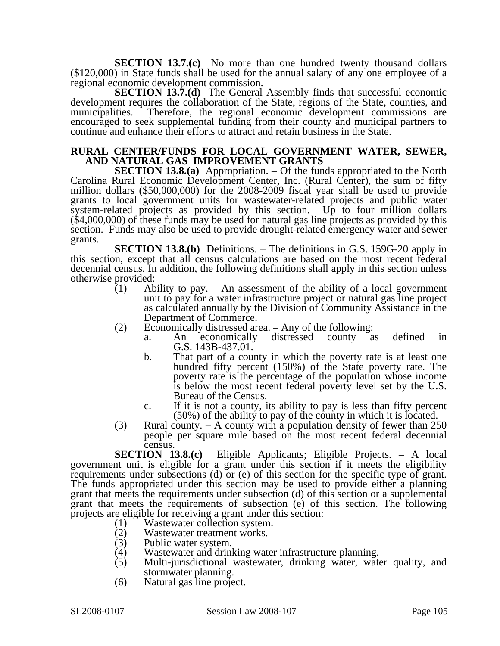**SECTION 13.7.(c)** No more than one hundred twenty thousand dollars (\$120,000) in State funds shall be used for the annual salary of any one employee of a regional economic development commission.

**SECTION 13.7.(d)** The General Assembly finds that successful economic development requires the collaboration of the State, regions of the State, counties, and municipalities. Therefore, the regional economic development commissions are encouraged to seek supplemental funding from their county and municipal partners to continue and enhance their efforts to attract and retain business in the State.

#### **RURAL CENTER/FUNDS FOR LOCAL GOVERNMENT WATER, SEWER, AND NATURAL GAS IMPROVEMENT GRANTS**

**SECTION 13.8.(a)** Appropriation. – Of the funds appropriated to the North Carolina Rural Economic Development Center, Inc. (Rural Center), the sum of fifty million dollars (\$50,000,000) for the 2008-2009 fiscal year shall be used to provide grants to local government units for wastewater-related projects and public water system-related projects as provided by this section. Up to four million dollars (\$4,000,000) of these funds may be used for natural gas line projects as provided by this section. Funds may also be used to provide drought-related emergency water and sewer grants.

**SECTION 13.8.(b)** Definitions. – The definitions in G.S. 159G-20 apply in this section, except that all census calculations are based on the most recent federal decennial census. In addition, the following definitions shall apply in this section unless otherwise provided:

- (1) Ability to pay. An assessment of the ability of a local government unit to pay for a water infrastructure project or natural gas line project as calculated annually by the Division of Community Assistance in the Department of Commerce.
- (2) Economically distressed area. Any of the following:
	- a. An economically distressed county as defined in G.S. 143B-437.01.
	- b. That part of a county in which the poverty rate is at least one hundred fifty percent (150%) of the State poverty rate. The poverty rate is the percentage of the population whose income is below the most recent federal poverty level set by the U.S. Bureau of the Census.
	- c. If it is not a county, its ability to pay is less than fifty percent (50%) of the ability to pay of the county in which it is located.
- (3) Rural county. A county with a population density of fewer than 250 people per square mile based on the most recent federal decennial census.

**SECTION 13.8.(c)** Eligible Applicants; Eligible Projects. – A local government unit is eligible for a grant under this section if it meets the eligibility requirements under subsections (d) or (e) of this section for the specific type of grant. The funds appropriated under this section may be used to provide either a planning grant that meets the requirements under subsection (d) of this section or a supplemental grant that meets the requirements of subsection (e) of this section. The following projects are eligible for receiving a grant under this section:

- 
- (1) Wastewater collection system.<br>(2) Wastewater treatment works. (2) Wastewater treatment works.<br>(3) Public water system.
- Public water system.
- (4) Wastewater and drinking water infrastructure planning.<br>(5) Multi-jurisdictional wastewater, drinking water, water
- Multi-jurisdictional wastewater, drinking water, water quality, and stormwater planning.
- (6) Natural gas line project.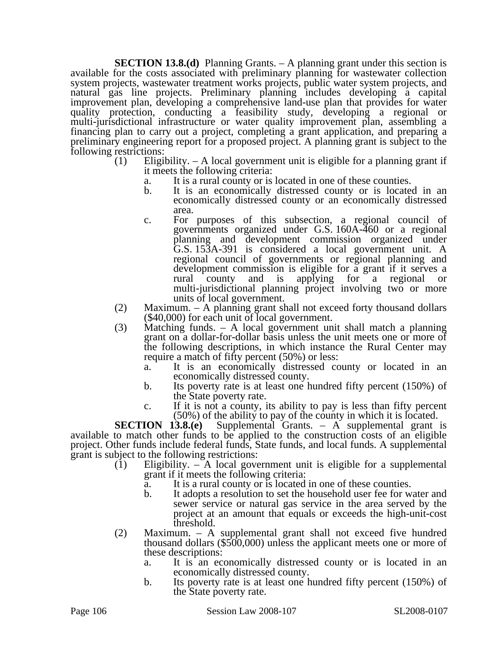**SECTION 13.8.(d)** Planning Grants. – A planning grant under this section is available for the costs associated with preliminary planning for wastewater collection system projects, wastewater treatment works projects, public water system projects, and natural gas line projects. Preliminary planning includes developing a capital improvement plan, developing a comprehensive land-use plan that provides for water quality protection, conducting a feasibility study, developing a regional or multi-jurisdictional infrastructure or water quality improvement plan, assembling a financing plan to carry out a project, completing a grant application, and preparing a preliminary engineering report for a proposed project. A planning grant is subject to the following restrictions:

- (1) Eligibility. A local government unit is eligible for a planning grant if it meets the following criteria:
	- a. It is a rural county or is located in one of these counties.
	- b. It is an economically distressed county or is located in an economically distressed county or an economically distressed area.
	- c. For purposes of this subsection, a regional council of governments organized under G.S. 160A-460 or a regional planning and development commission organized under G.S. 153A-391 is considered a local government unit. A regional council of governments or regional planning and development commission is eligible for a grant if it serves a rural county and is applying for a regional or rural county and is applying for a regional or multi-jurisdictional planning project involving two or more units of local government.
- (2) Maximum. A planning grant shall not exceed forty thousand dollars (\$40,000) for each unit of local government.<br>
(3) Matching funds. A local government unit shall match a planning
- Matching funds.  $-$  A local government unit shall match a planning grant on a dollar-for-dollar basis unless the unit meets one or more of the following descriptions, in which instance the Rural Center may require a match of fifty percent (50%) or less:
	- a. It is an economically distressed county or located in an economically distressed county.
	- b. Its poverty rate is at least one hundred fifty percent (150%) of the State poverty rate.
	- c. If it is not a county, its ability to pay is less than fifty percent

(50%) of the ability to pay of the county in which it is located.<br>**SECTION 13.8.(e)** Supplemental Grants.  $-$  A supplemental grant Supplemental Grants. – A supplemental grant is available to match other funds to be applied to the construction costs of an eligible project. Other funds include federal funds, State funds, and local funds. A supplemental grant is subject to the following restrictions:

- (1) Eligibility. A local government unit is eligible for a supplemental grant if it meets the following criteria:
	- a. It is a rural county or is located in one of these counties.
	- b. It adopts a resolution to set the household user fee for water and sewer service or natural gas service in the area served by the project at an amount that equals or exceeds the high-unit-cost threshold.
- (2) Maximum. A supplemental grant shall not exceed five hundred thousand dollars (\$500,000) unless the applicant meets one or more of these descriptions:
	- a. It is an economically distressed county or is located in an economically distressed county.
	- b. Its poverty rate is at least one hundred fifty percent (150%) of the State poverty rate.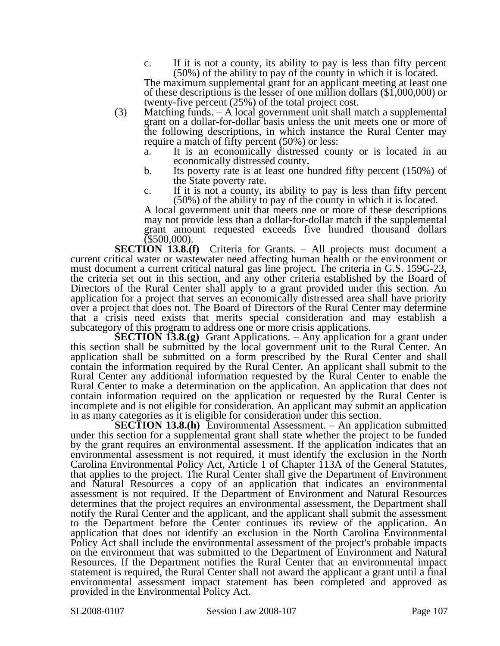c. If it is not a county, its ability to pay is less than fifty percent (50%) of the ability to pay of the county in which it is located.

The maximum supplemental grant for an applicant meeting at least one of these descriptions is the lesser of one million dollars (\$1,000,000) or twenty-five percent (25%) of the total project cost.

- (3) Matching funds. A local government unit shall match a supplemental grant on a dollar-for-dollar basis unless the unit meets one or more of the following descriptions, in which instance the Rural Center may require a match of fifty percent (50%) or less:
	- a. It is an economically distressed county or is located in an economically distressed county.
	- b. Its poverty rate is at least one hundred fifty percent (150%) of the State poverty rate.
	- c. If it is not a county, its ability to pay is less than fifty percent (50%) of the ability to pay of the county in which it is located.

A local government unit that meets one or more of these descriptions may not provide less than a dollar-for-dollar match if the supplemental grant amount requested exceeds five hundred thousand dollars (\$500,000).

**SECTION 13.8.(f)** Criteria for Grants. – All projects must document a current critical water or wastewater need affecting human health or the environment or must document a current critical natural gas line project. The criteria in G.S. 159G-23, the criteria set out in this section, and any other criteria established by the Board of Directors of the Rural Center shall apply to a grant provided under this section. An application for a project that serves an economically distressed area shall have priority over a project that does not. The Board of Directors of the Rural Center may determine that a crisis need exists that merits special consideration and may establish a subcategory of this program to address one or more crisis applications.

**SECTION 13.8.(g)** Grant Applications. – Any application for a grant under this section shall be submitted by the local government unit to the Rural Center. An application shall be submitted on a form prescribed by the Rural Center and shall contain the information required by the Rural Center. An applicant shall submit to the Rural Center any additional information requested by the Rural Center to enable the Rural Center to make a determination on the application. An application that does not contain information required on the application or requested by the Rural Center is incomplete and is not eligible for consideration. An applicant may submit an application in as many categories as it is eligible for consideration under this section.

**SECTION 13.8.(h)** Environmental Assessment. – An application submitted under this section for a supplemental grant shall state whether the project to be funded by the grant requires an environmental assessment. If the application indicates that an environmental assessment is not required, it must identify the exclusion in the North Carolina Environmental Policy Act, Article 1 of Chapter 113A of the General Statutes, that applies to the project. The Rural Center shall give the Department of Environment and Natural Resources a copy of an application that indicates an environmental assessment is not required. If the Department of Environment and Natural Resources determines that the project requires an environmental assessment, the Department shall notify the Rural Center and the applicant, and the applicant shall submit the assessment to the Department before the Center continues its review of the application. An application that does not identify an exclusion in the North Carolina Environmental Policy Act shall include the environmental assessment of the project's probable impacts on the environment that was submitted to the Department of Environment and Natural Resources. If the Department notifies the Rural Center that an environmental impact statement is required, the Rural Center shall not award the applicant a grant until a final environmental assessment impact statement has been completed and approved as provided in the Environmental Policy Act.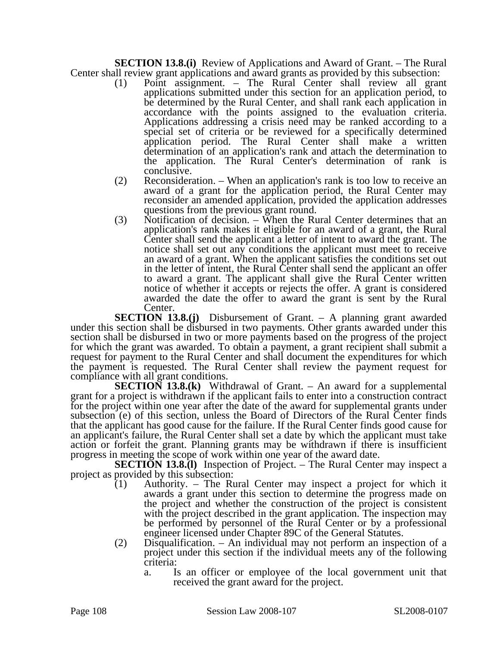**SECTION 13.8.(i)** Review of Applications and Award of Grant. – The Rural Center shall review grant applications and award grants as provided by this subsection:

- (1) Point assignment. The Rural Center shall review all grant applications submitted under this section for an application period, to be determined by the Rural Center, and shall rank each application in accordance with the points assigned to the evaluation criteria. Applications addressing a crisis need may be ranked according to a special set of criteria or be reviewed for a specifically determined application period. The Rural Center shall make a written determination of an application's rank and attach the determination to the application. The Rural Center's determination of rank is conclusive.
- (2) Reconsideration. When an application's rank is too low to receive an award of a grant for the application period, the Rural Center may reconsider an amended application, provided the application addresses questions from the previous grant round.
- (3) Notification of decision. When the Rural Center determines that an application's rank makes it eligible for an award of a grant, the Rural Center shall send the applicant a letter of intent to award the grant. The notice shall set out any conditions the applicant must meet to receive an award of a grant. When the applicant satisfies the conditions set out in the letter of intent, the Rural Center shall send the applicant an offer to award a grant. The applicant shall give the Rural Center written notice of whether it accepts or rejects the offer. A grant is considered awarded the date the offer to award the grant is sent by the Rural Center.

**SECTION 13.8.(j)** Disbursement of Grant. – A planning grant awarded under this section shall be disbursed in two payments. Other grants awarded under this section shall be disbursed in two or more payments based on the progress of the project for which the grant was awarded. To obtain a payment, a grant recipient shall submit a request for payment to the Rural Center and shall document the expenditures for which the payment is requested. The Rural Center shall review the payment request for compliance with all grant conditions.

**SECTION 13.8.(k)** Withdrawal of Grant. – An award for a supplemental grant for a project is withdrawn if the applicant fails to enter into a construction contract for the project within one year after the date of the award for supplemental grants under subsection (e) of this section, unless the Board of Directors of the Rural Center finds that the applicant has good cause for the failure. If the Rural Center finds good cause for an applicant's failure, the Rural Center shall set a date by which the applicant must take action or forfeit the grant. Planning grants may be withdrawn if there is insufficient progress in meeting the scope of work within one year of the award date.

**SECTION 13.8.(I)** Inspection of Project. – The Rural Center may inspect a project as provided by this subsection:

- $(1)$  Authority. The Rural Center may inspect a project for which it awards a grant under this section to determine the progress made on the project and whether the construction of the project is consistent with the project described in the grant application. The inspection may be performed by personnel of the Rural Center or by a professional engineer licensed under Chapter 89C of the General Statutes.
- (2) Disqualification. An individual may not perform an inspection of a project under this section if the individual meets any of the following criteria:
	- a. Is an officer or employee of the local government unit that received the grant award for the project.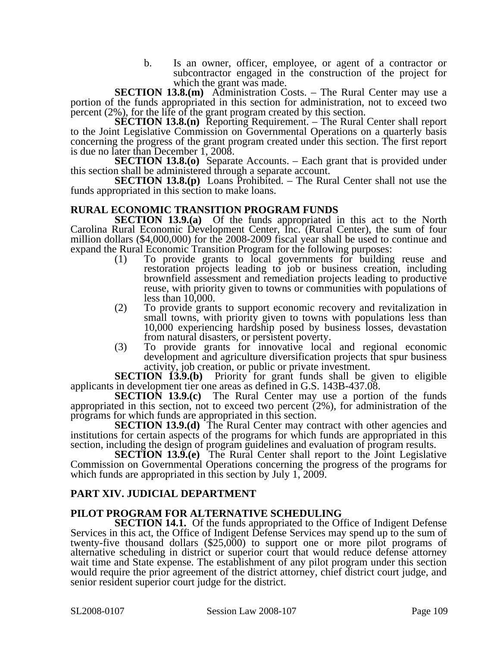b. Is an owner, officer, employee, or agent of a contractor or subcontractor engaged in the construction of the project for which the grant was made.

**SECTION 13.8.(m)** Administration Costs. – The Rural Center may use a portion of the funds appropriated in this section for administration, not to exceed two percent (2%), for the life of the grant program created by this section.

**SECTION 13.8.(n)** Reporting Requirement. – The Rural Center shall report to the Joint Legislative Commission on Governmental Operations on a quarterly basis concerning the progress of the grant program created under this section. The first report is due no later than December 1, 2008.

**SECTION 13.8.(0)** Separate Accounts. – Each grant that is provided under this section shall be administered through a separate account.

**SECTION 13.8.(p)** Loans Prohibited. – The Rural Center shall not use the funds appropriated in this section to make loans.

### **RURAL ECONOMIC TRANSITION PROGRAM FUNDS**

**SECTION 13.9.(a)** Of the funds appropriated in this act to the North Carolina Rural Economic Development Center, Inc. (Rural Center), the sum of four million dollars (\$4,000,000) for the 2008-2009 fiscal year shall be used to continue and expand the Rural Economic Transition Program for the following purposes:

- (1) To provide grants to local governments for building reuse and restoration projects leading to job or business creation, including brownfield assessment and remediation projects leading to productive reuse, with priority given to towns or communities with populations of less than  $10,000$ .
- (2) To provide grants to support economic recovery and revitalization in small towns, with priority given to towns with populations less than 10,000 experiencing hardship posed by business losses, devastation from natural disasters, or persistent poverty.
- (3) To provide grants for innovative local and regional economic development and agriculture diversification projects that spur business activity, job creation, or public or private investment.

**SECTION 13.9.(b)** Priority for grant funds shall be given to eligible applicants in development tier one areas as defined in G.S. 143B-437.08.

**SECTION 13.9.(c)** The Rural Center may use a portion of the funds appropriated in this section, not to exceed two percent (2%), for administration of the programs for which funds are appropriated in this section.

**SECTION 13.9.(d)** The Rural Center may contract with other agencies and institutions for certain aspects of the programs for which funds are appropriated in this section, including the design of program guidelines and evaluation of program results.

**SECTION 13.9.(e)** The Rural Center shall report to the Joint Legislative Commission on Governmental Operations concerning the progress of the programs for which funds are appropriated in this section by July 1, 2009.

### **PART XIV. JUDICIAL DEPARTMENT**

### **PILOT PROGRAM FOR ALTERNATIVE SCHEDULING**

**SECTION 14.1.** Of the funds appropriated to the Office of Indigent Defense Services in this act, the Office of Indigent Defense Services may spend up to the sum of twenty-five thousand dollars  $(\$25,000)$  to support one or more pilot programs of alternative scheduling in district or superior court that would reduce defense attorney wait time and State expense. The establishment of any pilot program under this section would require the prior agreement of the district attorney, chief district court judge, and senior resident superior court judge for the district.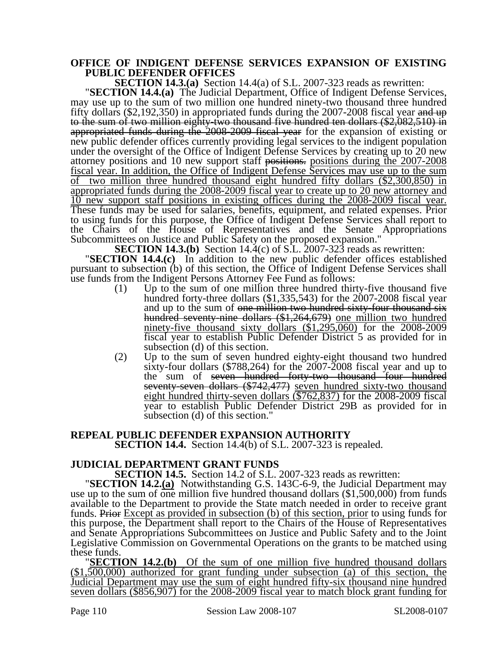# **OFFICE OF INDIGENT DEFENSE SERVICES EXPANSION OF EXISTING PUBLIC DEFENDER OFFICES**<br>**SECTION 14.3.(a)** Section 14.4(a) of S.L. 2007-323 reads as rewritten:

**SECTION 14.4. (a)** The Judicial Department, Office of Indigent Defense Services, may use up to the sum of two million one hundred ninety-two thousand three hundred fifty dollars  $(\$2,192,350)$  in appropriated funds during the 2007-2008 fiscal year and up to the sum of two million eighty-two thousand five hundred ten dollars (\$2,082,510) in appropriated funds during the 2008-2009 fiscal year for the expansion of existing or new public defender offices currently providing legal services to the indigent population under the oversight of the Office of Indigent Defense Services by creating up to 20 new attorney positions and 10 new support staff positions. positions during the 2007-2008 fiscal year. In addition, the Office of Indigent Defense Services may use up to the sum of two million three hundred thousand eight hundred fifty dollars (\$2,300,850) in appropriated funds during the 2008-2009 fiscal year to create up to 20 new attorney and 10 new support staff positions in existing offices during the 2008-2009 fiscal year. These funds may be used for salaries, benefits, equipment, and related expenses. Prior to using funds for this purpose, the Office of Indigent Defense Services shall report to the Chairs of the House of Representatives and the Senate Appropriations Subcommittees on Justice and Public Safety on the proposed expansion."

**SECTION 14.3.(b)** Section 14.4(c) of S.L. 2007-323 reads as rewritten: "**SECTION 14.4.(c)** In addition to the new public defender offices established pursuant to subsection (b) of this section, the Office of Indigent Defense Services shall use funds from the Indigent Persons Attorney Fee Fund as follows:<br>(1) Up to the sum of one million three hundred thirty-five thousand five

- (1) Up to the sum of one million three hundred thirty-five thousand five hundred forty-three dollars (\$1,335,543) for the 2007-2008 fiscal year and up to the sum of <del>one million two hundred sixty-four thousand six</del> hundred seventy-nine dollars (\$1,264,679) one million two hundred ninety-five thousand sixty dollars (\$1,295,060) for the 2008-2009 fiscal year to establish Public Defender District 5 as provided for in subsection (d) of this section.
- (2) Up to the sum of seven hundred eighty-eight thousand two hundred sixty-four dollars (\$788,264) for the 2007-2008 fiscal year and up to the sum of seven hundred forty-two thousand four hundred seventy-seven dollars (\$742,477) seven hundred sixty-two thousand eight hundred thirty-seven dollars (\$762,837) for the 2008-2009 fiscal year to establish Public Defender District 29B as provided for in subsection (d) of this section."

# **REPEAL PUBLIC DEFENDER EXPANSION AUTHORITY**

**SECTION 14.4.** Section 14.4(b) of S.L. 2007-323 is repealed.

**JUDICIAL DEPARTMENT GRANT FUNDS**<br>**SECTION 14.5.** Section 14.2 of S.L. 2007-323 reads as rewritten:

**SECTION 14.2.** (a) Notwithstanding G.S. 143C-6-9, the Judicial Department may use up to the sum of one million five hundred thousand dollars (\$1,500,000) from funds available to the Department to provide the State match needed in order to receive grant funds. Prior Except as provided in subsection (b) of this section, prior to using funds for this purpose, the Department shall report to the Chairs of the House of Representatives and Senate Appropriations Subcommittees on Justice and Public Safety and to the Joint Legislative Commission on Governmental Operations on the grants to be matched using

these funds. "**SECTION 14.2.(b)** Of the sum of one million five hundred thousand dollars (\$1,500,000) authorized for grant funding under subsection (a) of this section, the Judicial Department may use the sum of eight hundred fifty-six thousand nine hundred seven dollars (\$856,907) for the 2008-2009 fiscal year to match block grant funding for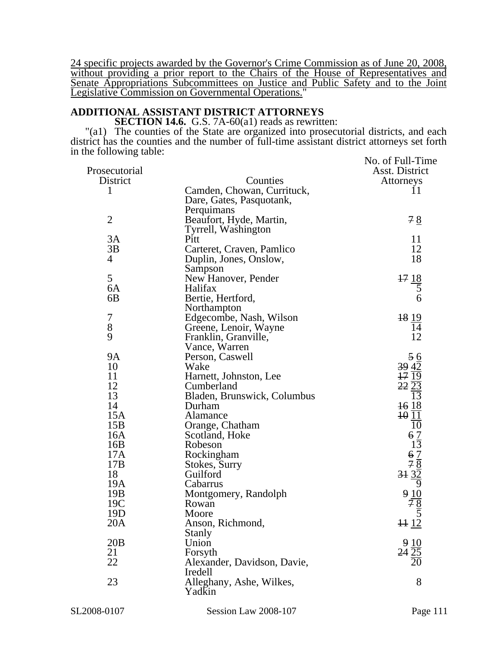24 specific projects awarded by the Governor's Crime Commission as of June 20, 2008, without providing a prior report to the Chairs of the House of Representatives and Senate Appropriations Subcommittees on Justice and Public Safety and to the Joint Legislative Commission on Governmental Operations."

#### **ADDITIONAL ASSISTANT DISTRICT ATTORNEYS**

**SECTION 14.6.** G.S. 7A-60(a1) reads as rewritten:

"(a1) The counties of the State are organized into prosecutorial districts, and each district has the counties and the number of full-time assistant district attorneys set forth in the following table: No. of Full-Time

| Prosecutorial   |                             | NO. OF LAHE LIHR<br>Asst. District            |
|-----------------|-----------------------------|-----------------------------------------------|
| District        | Counties                    | Attorneys                                     |
| 1               | Camden, Chowan, Currituck,  | 11                                            |
|                 | Dare, Gates, Pasquotank,    |                                               |
|                 | Perquimans                  |                                               |
| $\overline{2}$  | Beaufort, Hyde, Martin,     | 78                                            |
|                 | Tyrrell, Washington         |                                               |
| 3A              | Pitt                        | 11                                            |
| 3B              | Carteret, Craven, Pamlico   | 12                                            |
| 4               | Duplin, Jones, Onslow,      | 18                                            |
|                 | Sampson                     |                                               |
| 5               | New Hanover, Pender         |                                               |
| 6A              | Halifax                     | $\frac{17}{5}$                                |
| 6B              | Bertie, Hertford,           | 6                                             |
|                 | Northampton                 |                                               |
| 7               | Edgecombe, Nash, Wilson     | 18 19                                         |
| $8\,$           | Greene, Lenoir, Wayne       | 14                                            |
| 9               | Franklin, Granville,        | 12                                            |
|                 | Vance, Warren               |                                               |
| <b>9A</b>       | Person, Caswell             | 56                                            |
| 10              | Wake                        | 39 42                                         |
| 11              | Harnett, Johnston, Lee      | 1719                                          |
| 12              | Cumberland                  | 2223                                          |
| 13              | Bladen, Brunswick, Columbus | 13                                            |
| 14              | Durham                      | 1618                                          |
| 15A             | Alamance                    | 1011                                          |
| 15B             | Orange, Chatham             | 10                                            |
| 16A             | Scotland, Hoke              |                                               |
| 16B             | Robeson                     | $\frac{6}{13}$                                |
| 17A             | Rockingham                  |                                               |
| 17B             | Stokes, Surry               |                                               |
| 18              | Guilford                    | $rac{67}{7}$<br>$rac{78}{31}$<br>$rac{32}{2}$ |
| 19A             | Cabarrus                    | $\overline{9}$                                |
| 19B             | Montgomery, Randolph        | 9                                             |
| 19C             | Rowan                       |                                               |
| 19 <sub>D</sub> | Moore                       |                                               |
| 20A             | Anson, Richmond,            | 1112                                          |
|                 | Stanly                      |                                               |
| 20B             | Union                       |                                               |
| 21              | Forsyth                     |                                               |
| 22              | Alexander, Davidson, Davie, |                                               |
|                 | Iredell                     |                                               |
| 23              | Alleghany, Ashe, Wilkes,    | 8                                             |
|                 | Yadkin                      |                                               |
|                 |                             |                                               |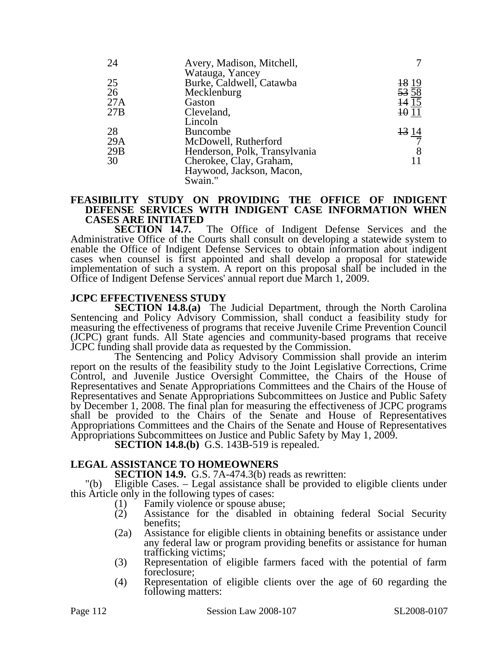| 24  | Avery, Madison, Mitchell,     |                                 |
|-----|-------------------------------|---------------------------------|
|     | Watauga, Yancey               |                                 |
| 25  | Burke, Caldwell, Catawba      |                                 |
| 26  | Mecklenburg                   | $\frac{18}{53} \frac{19}{58}$   |
| 27A | Gaston                        | $\overline{14}$ $\overline{15}$ |
| 27B | Cleveland,                    | 1011                            |
|     | Lincoln                       |                                 |
| 28  | <b>Buncombe</b>               |                                 |
| 29A | McDowell, Rutherford          | $\frac{13}{7}$                  |
| 29B | Henderson, Polk, Transylvania | 8                               |
| 30  | Cherokee, Clay, Graham,       |                                 |
|     | Haywood, Jackson, Macon,      |                                 |
|     | Swain."                       |                                 |

# **FEASIBILITY STUDY ON PROVIDING THE OFFICE OF INDIGENT DEFENSE SERVICES WITH INDIGENT CASE INFORMATION WHEN CASES ARE INITIATED**

The Office of Indigent Defense Services and the Administrative Office of the Courts shall consult on developing a statewide system to enable the Office of Indigent Defense Services to obtain information about indigent cases when counsel is first appointed and shall develop a proposal for statewide implementation of such a system. A report on this proposal shall be included in the Office of Indigent Defense Services' annual report due March 1, 2009.

### **JCPC EFFECTIVENESS STUDY**

**SECTION 14.8.(a)** The Judicial Department, through the North Carolina Sentencing and Policy Advisory Commission, shall conduct a feasibility study for measuring the effectiveness of programs that receive Juvenile Crime Prevention Council (JCPC) grant funds. All State agencies and community-based programs that receive JCPC funding shall provide data as requested by the Commission.

The Sentencing and Policy Advisory Commission shall provide an interim report on the results of the feasibility study to the Joint Legislative Corrections, Crime Control, and Juvenile Justice Oversight Committee, the Chairs of the House of Representatives and Senate Appropriations Committees and the Chairs of the House of Representatives and Senate Appropriations Subcommittees on Justice and Public Safety by December 1, 2008. The final plan for measuring the effectiveness of JCPC programs shall be provided to the Chairs of the Senate and House of Representatives Appropriations Committees and the Chairs of the Senate and House of Representatives Appropriations Subcommittees on Justice and Public Safety by May 1, 2009.

**SECTION 14.8.(b)** G.S. 143B-519 is repealed.

### **LEGAL ASSISTANCE TO HOMEOWNERS**

**SECTION 14.9.** G.S. 7A-474.3(b) reads as rewritten:

"(b) Eligible Cases. – Legal assistance shall be provided to eligible clients under this Article only in the following types of cases:

- (1) Family violence or spouse abuse;
- (2) Assistance for the disabled in obtaining federal Social Security benefits;
- (2a) Assistance for eligible clients in obtaining benefits or assistance under any federal law or program providing benefits or assistance for human trafficking victims;
- (3) Representation of eligible farmers faced with the potential of farm foreclosure;
- (4) Representation of eligible clients over the age of 60 regarding the following matters: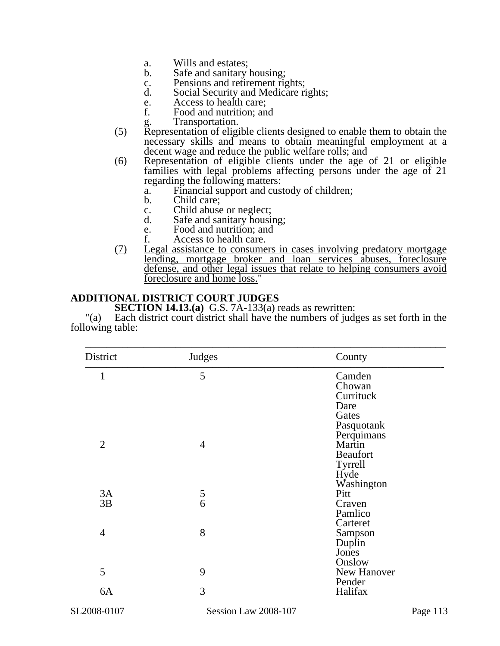- a. Wills and estates;
- b. Safe and sanitary housing;
- c. Pensions and retirement rights;
- d. Social Security and Medicare rights;
- e. Access to health care;<br>f. Food and nutrition: an
- Food and nutrition; and
	- Transportation.
- (5) Representation of eligible clients designed to enable them to obtain the necessary skills and means to obtain meaningful employment at a decent wage and reduce the public welfare rolls; and
- (6) Representation of eligible clients under the age of 21 or eligible families with legal problems affecting persons under the age of 21 regarding the following matters:
	- a. Financial support and custody of children;
	- b. Child care;
	- c. Child abuse or neglect;<br>d. Safe and sanitary housing
	- Safe and sanitary housing;
	- e. Food and nutrition; and<br>f. Access to health care.
	- Access to health care.
- (7) Legal assistance to consumers in cases involving predatory mortgage lending, mortgage broker and loan services abuses, foreclosure defense, and other legal issues that relate to helping consumers avoid foreclosure and home loss."

### **ADDITIONAL DISTRICT COURT JUDGES**

**SECTION 14.13.(a)** G.S. 7A-133(a) reads as rewritten:

"(a) Each district court district shall have the numbers of judges as set forth in the following table:

| District       | Judges               | County                                                                     |
|----------------|----------------------|----------------------------------------------------------------------------|
| 1              | 5                    | Camden<br>Chowan<br>Currituck<br>Dare<br>Gates<br>Pasquotank<br>Perquimans |
| $\overline{2}$ | $\overline{4}$       | Martin<br><b>Beaufort</b><br><b>Tyrrell</b><br>Hyde<br>Washington          |
| 3A             |                      | Pitt                                                                       |
| 3B             | $\frac{5}{6}$        | Craven<br>Pamlico<br>Carteret                                              |
| $\overline{4}$ | 8                    | Sampson<br>Duplin<br>Jones<br>Onslow                                       |
| 5              | 9                    | New Hanover<br>Pender                                                      |
| 6A             | 3                    | Halifax                                                                    |
| SL2008-0107    | Session Law 2008-107 | Page 113                                                                   |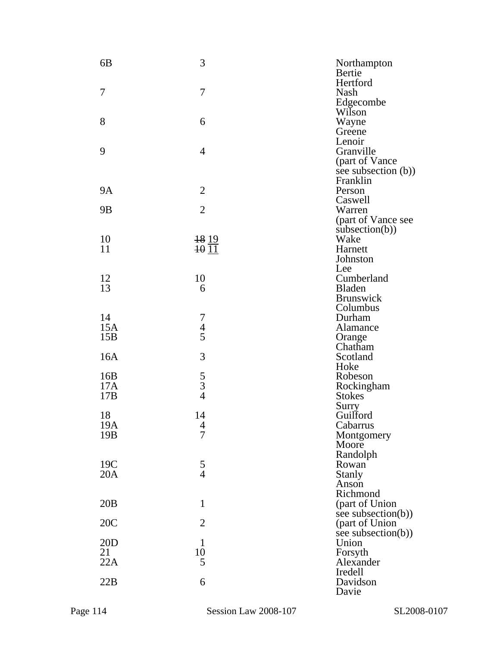| 6 <sub>B</sub>  | 3                                          | Northampton<br>Bertie                |
|-----------------|--------------------------------------------|--------------------------------------|
|                 | 7                                          | Hertford                             |
| 7               |                                            | Nash<br>Edgecombe                    |
|                 |                                            | Wilson                               |
| 8               | 6                                          | Wayne                                |
|                 |                                            | Greene                               |
|                 |                                            | Lenoir                               |
| 9               | $\overline{4}$                             | Granville                            |
|                 |                                            | (part of Vance                       |
|                 |                                            | see subsection (b))                  |
|                 |                                            | Franklin                             |
| <b>9A</b>       | $\overline{2}$                             | Person                               |
|                 | $\overline{2}$                             | Caswell                              |
| 9 <sub>B</sub>  |                                            | Warren                               |
|                 |                                            | (part of Vance see<br>subsection(b)) |
| 10              | <del>18</del> 19                           | Wake                                 |
| 11              | $\overline{10}$ $\overline{11}$            | Harnett                              |
|                 |                                            | Johnston                             |
|                 |                                            | Lee                                  |
| 12              | 10                                         | Cumberland                           |
| 13              | 6                                          | Bladen                               |
|                 |                                            | <b>Brunswick</b>                     |
|                 |                                            | Columbus                             |
| 14              |                                            | Durham                               |
| 15A             | $\begin{array}{c} 7 \\ 4 \\ 5 \end{array}$ | Alamance                             |
| 15B             |                                            | Orange<br>Chatham                    |
| 16A             | 3                                          | Scotland                             |
|                 |                                            | Hoke                                 |
| 16B             |                                            | Robeson                              |
| 17A             | $\frac{5}{3}$                              | Rockingham                           |
| 17B             |                                            | <b>Stokes</b>                        |
|                 |                                            | Surry                                |
| 18              | 14                                         | Guilford                             |
| 19A             | $\overline{\mathcal{A}}$                   | Cabarrus                             |
| 19 <sub>B</sub> | $\overline{7}$                             | Montgomery                           |
|                 |                                            | Moore                                |
| 19C             |                                            | Randolph<br>Rowan <sup>®</sup>       |
| 20A             | $\frac{5}{4}$                              | <b>Stanly</b>                        |
|                 |                                            | Anson                                |
|                 |                                            | Richmond                             |
| 20B             | $\mathbf{1}$                               | (part of Union                       |
|                 |                                            | see subsection(b))                   |
| 20C             | $\overline{2}$                             | (part of Union                       |
|                 |                                            | see subsection(b))                   |
| 20D             | $\mathbf{1}$                               | Union                                |
| 21<br>22A       | 10<br>5                                    | Forsyth<br>Alexander                 |
|                 |                                            | Iredell                              |
| 22B             | 6                                          | Davidson                             |
|                 |                                            | Davie                                |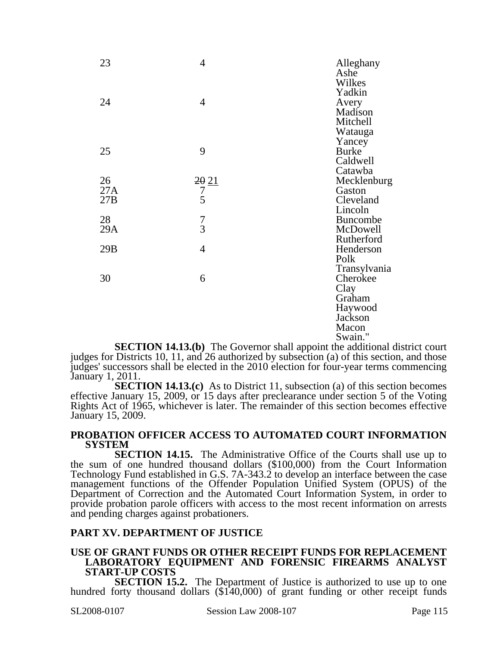| 23  | $\overline{4}$                | Alleghany<br>Ashe<br>Wilkes |
|-----|-------------------------------|-----------------------------|
| 24  | $\overline{4}$                | Yadkin<br>Avery             |
|     |                               | Madison<br>Mitchell         |
|     |                               | Watauga                     |
|     |                               | Yancey                      |
| 25  | 9                             | <b>Burke</b>                |
|     |                               | Caldwell                    |
| 26  |                               | Catawba                     |
| 27A | $\frac{20}{7}$ $\frac{21}{5}$ | Mecklenburg<br>Gaston       |
| 27B |                               | Cleveland                   |
|     |                               | Lincoln                     |
| 28  |                               | <b>Buncombe</b>             |
| 29A | $\frac{7}{3}$                 | McDowell                    |
|     |                               | Rutherford                  |
| 29B | $\overline{4}$                | Henderson                   |
|     |                               | Polk                        |
|     |                               | Transylvania                |
| 30  | 6                             | Cherokee                    |
|     |                               | Clay                        |
|     |                               | Graham                      |
|     |                               | Haywood                     |
|     |                               | Jackson                     |
|     |                               | Macon                       |
|     |                               | Swain."                     |

**SECTION 14.13.(b)** The Governor shall appoint the additional district court judges for Districts 10, 11, and 26 authorized by subsection (a) of this section, and those judges' successors shall be elected in the 2010 election for four-year terms commencing January 1, 2011.

**SECTION 14.13.(c)** As to District 11, subsection (a) of this section becomes effective January 15, 2009, or 15 days after preclearance under section 5 of the Voting Rights Act of 1965, whichever is later. The remainder of this section becomes effective January 15, 2009.

#### **PROBATION OFFICER ACCESS TO AUTOMATED COURT INFORMATION SYSTEM**

**SECTION 14.15.** The Administrative Office of the Courts shall use up to the sum of one hundred thousand dollars (\$100,000) from the Court Information Technology Fund established in G.S. 7A-343.2 to develop an interface between the case management functions of the Offender Population Unified System (OPUS) of the Department of Correction and the Automated Court Information System, in order to provide probation parole officers with access to the most recent information on arrests and pending charges against probationers.

### **PART XV. DEPARTMENT OF JUSTICE**

# **USE OF GRANT FUNDS OR OTHER RECEIPT FUNDS FOR REPLACEMENT LABORATORY EQUIPMENT AND FORENSIC FIREARMS ANALYST START-UP COSTS**<br>**SECTION 15.2.** The Department of Justice is authorized to use up to one

hundred forty thousand dollars (\$1<sup>40,000)</sup> of grant funding or other receipt funds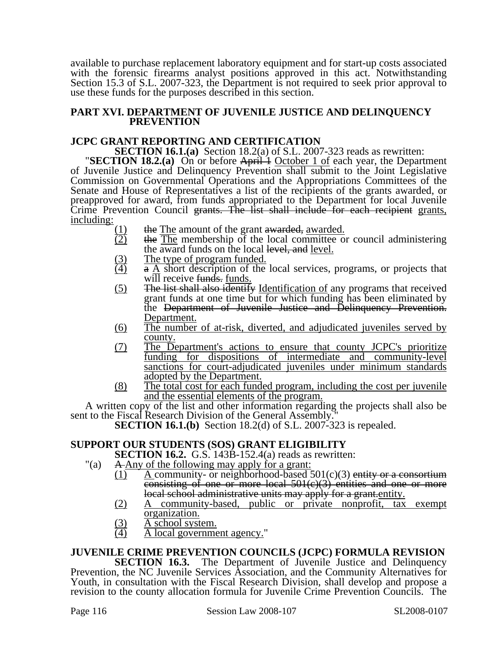available to purchase replacement laboratory equipment and for start-up costs associated with the forensic firearms analyst positions approved in this act. Notwithstanding Section 15.3 of S.L. 2007-323, the Department is not required to seek prior approval to use these funds for the purposes described in this section.

#### **PART XVI. DEPARTMENT OF JUVENILE JUSTICE AND DELINQUENCY PREVENTION**

**JCPC GRANT REPORTING AND CERTIFICATION**<br>**SECTION 16.1.(a)** Section 18.2(a) of S.L. 2007-323 reads as rewritten:

**SECTION 18.2. (a)** On or before April 1 October 1 of each year, the Department of Juvenile Justice and Delinquency Prevention shall submit to the Joint Legislative Commission on Governmental Operations and the Appropriations Committees of the Senate and House of Representatives a list of the recipients of the grants awarded, or preapproved for award, from funds appropriated to the Department for local Juvenile Crime Prevention Council grants. The list shall include for each recipient grants, including:

- 
- $\frac{(1)}{(2)}$  the The amount of the grant awarded, <u>awarded.</u><br> $\frac{(2)}{(2)}$  the The membership of the local committee on the The membership of the local committee or council administering the award funds on the local level, and level.
- $\frac{(3)}{(4)}$  The type of program funded.<br>  $\frac{(4)}{(4)}$  a A short description of the
- $\overline{a}$  A short description of the local services, programs, or projects that will receive funds. funds.
- (5) The list shall also identify Identification of any programs that received grant funds at one time but for which funding has been eliminated by the Department of Juvenile Justice and Delinquency Prevention. Department.
- (6) The number of at-risk, diverted, and adjudicated juveniles served by county.
- (7) The Department's actions to ensure that county JCPC's prioritize funding for dispositions of intermediate and community-level sanctions for court-adjudicated juveniles under minimum standards adopted by the Department.
- $(8)$  The total cost for each funded program, including the cost per juvenile and the essential elements of the program.

A written copy of the list and other information regarding the projects shall also be sent to the Fiscal Research Division of the General Assembly.

**SECTION 16.1.(b)** Section 18.2(d) of S.L. 2007-323 is repealed.

### **SUPPORT OUR STUDENTS (SOS) GRANT ELIGIBILITY**

**SECTION 16.2.** G.S. 143B-152.4(a) reads as rewritten:

- "(a) A Any of the following may apply for a grant:
	- $(1)$  A community- or neighborhood-based 501(c)(3) entity or a consortium consisting of one or more local 501(c)(3) entities and one or more local school administrative units may apply for a grant.entity.
	- (2) A community-based, public or private nonprofit, tax exempt organization.
	- $\frac{(3)}{(4)}$  A school system.<br>A local governme
	- A local government agency."

### **JUVENILE CRIME PREVENTION COUNCILS (JCPC) FORMULA REVISION**

**SECTION 16.3.** The Department of Juvenile Justice and Delinquency Prevention, the NC Juvenile Services Association, and the Community Alternatives for Youth, in consultation with the Fiscal Research Division, shall develop and propose a revision to the county allocation formula for Juvenile Crime Prevention Councils. The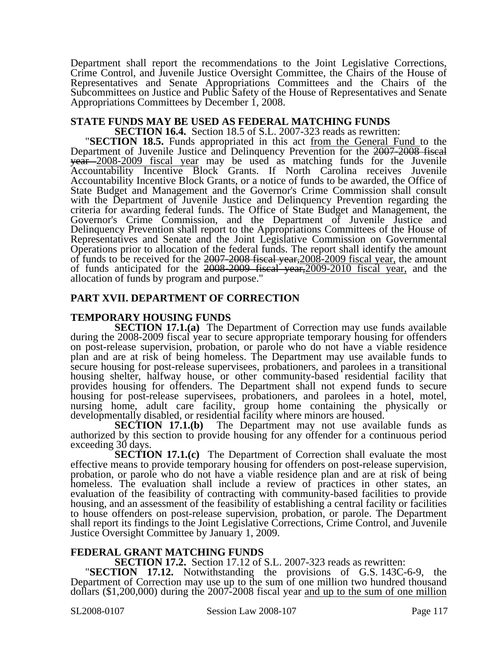Department shall report the recommendations to the Joint Legislative Corrections, Crime Control, and Juvenile Justice Oversight Committee, the Chairs of the House of Representatives and Senate Appropriations Committees and the Chairs of the Subcommittees on Justice and Public Safety of the House of Representatives and Senate Appropriations Committees by December 1, 2008.

# **STATE FUNDS MAY BE USED AS FEDERAL MATCHING FUNDS<br>SECTION 16.4.** Section 18.5 of S.L. 2007-323 reads as rewritten:

"SECTION 18.5. Funds appropriated in this act from the General Fund to the Department of Juvenile Justice and Delinquency Prevention for the 2007-2008 fiscal year 2008-2009 fiscal year may be used as matching funds for the Juvenile Accountability Incentive Block Grants. If North Carolina receives Juvenile Accountability Incentive Block Grants, or a notice of funds to be awarded, the Office of State Budget and Management and the Governor's Crime Commission shall consult with the Department of Juvenile Justice and Delinquency Prevention regarding the criteria for awarding federal funds. The Office of State Budget and Management, the Governor's Crime Commission, and the Department of Juvenile Justice and Delinquency Prevention shall report to the Appropriations Committees of the House of Representatives and Senate and the Joint Legislative Commission on Governmental Operations prior to allocation of the federal funds. The report shall identify the amount of funds to be received for the 2007-2008 fiscal year, 2008-2009 fiscal year, the amount of funds anticipated for the 2008-2009 fiscal year,2009-2010 fiscal year, and the allocation of funds by program and purpose."

#### **PART XVII. DEPARTMENT OF CORRECTION**

#### **TEMPORARY HOUSING FUNDS**

**SECTION 17.1.(a)** The Department of Correction may use funds available during the 2008-2009 fiscal year to secure appropriate temporary housing for offenders on post-release supervision, probation, or parole who do not have a viable residence plan and are at risk of being homeless. The Department may use available funds to secure housing for post-release supervisees, probationers, and parolees in a transitional housing shelter, halfway house, or other community-based residential facility that provides housing for offenders. The Department shall not expend funds to secure housing for post-release supervisees, probationers, and parolees in a hotel, motel, nursing home, adult care facility, group home containing the physically or developmentally disabled, or residential facility where minors are housed.

**SECTION 17.1.(b)** The Department may not use available funds as authorized by this section to provide housing for any offender for a continuous period exceeding 30 days.

**SECTION 17.1.(c)** The Department of Correction shall evaluate the most effective means to provide temporary housing for offenders on post-release supervision, probation, or parole who do not have a viable residence plan and are at risk of being homeless. The evaluation shall include a review of practices in other states, an evaluation of the feasibility of contracting with community-based facilities to provide housing, and an assessment of the feasibility of establishing a central facility or facilities to house offenders on post-release supervision, probation, or parole. The Department shall report its findings to the Joint Legislative Corrections, Crime Control, and Juvenile Justice Oversight Committee by January 1, 2009.

**FEDERAL GRANT MATCHING FUNDS**<br>**SECTION 17.2.** Section 17.12 of S.L. 2007-323 reads as rewritten:

**SECTION 17.12.** Notwithstanding the provisions of G.S. 143C-6-9, the Department of Correction may use up to the sum of one million two hundred thousand dollars (\$1,200,000) during the 2007-2008 fiscal year and up to the sum of one million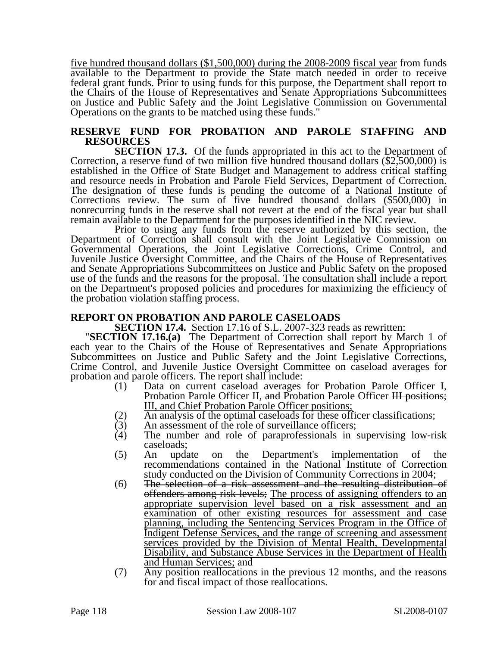five hundred thousand dollars (\$1,500,000) during the 2008-2009 fiscal year from funds available to the Department to provide the State match needed in order to receive federal grant funds. Prior to using funds for this purpose, the Department shall report to the Chairs of the House of Representatives and Senate Appropriations Subcommittees on Justice and Public Safety and the Joint Legislative Commission on Governmental Operations on the grants to be matched using these funds."

#### **RESERVE FUND FOR PROBATION AND PAROLE STAFFING AND RESOURCES**

**SECTION 17.3.** Of the funds appropriated in this act to the Department of Correction, a reserve fund of two million five hundred thousand dollars (\$2,500,000) is established in the Office of State Budget and Management to address critical staffing and resource needs in Probation and Parole Field Services, Department of Correction. The designation of these funds is pending the outcome of a National Institute of Corrections review. The sum of five hundred thousand dollars (\$500,000) in nonrecurring funds in the reserve shall not revert at the end of the fiscal year but shall remain available to the Department for the purposes identified in the NIC review.

Prior to using any funds from the reserve authorized by this section, the Department of Correction shall consult with the Joint Legislative Commission on Governmental Operations, the Joint Legislative Corrections, Crime Control, and Juvenile Justice Oversight Committee, and the Chairs of the House of Representatives and Senate Appropriations Subcommittees on Justice and Public Safety on the proposed use of the funds and the reasons for the proposal. The consultation shall include a report on the Department's proposed policies and procedures for maximizing the efficiency of the probation violation staffing process.

**REPORT ON PROBATION AND PAROLE CASELOADS**<br>**SECTION 17.4.** Section 17.16 of S.L. 2007-323 reads as rewritten:

**SECTION 17.16.(a)** The Department of Correction shall report by March 1 of each year to the Chairs of the House of Representatives and Senate Appropriations Subcommittees on Justice and Public Safety and the Joint Legislative Corrections, Crime Control, and Juvenile Justice Oversight Committee on caseload averages for probation and parole officers. The report shall include:

- (1) Data on current caseload averages for Probation Parole Officer I, Probation Parole Officer II, and Probation Parole Officer III positions; III, and Chief Probation Parole Officer positions;
- (2) An analysis of the optimal caseloads for these officer classifications;<br>(3) An assessment of the role of surveillance officers;
- (3) An assessment of the role of surveillance officers;<br>(4) The number and role of paraprofessionals in
- The number and role of paraprofessionals in supervising low-risk caseloads;
- (5) An update on the Department's implementation of the recommendations contained in the National Institute of Correction study conducted on the Division of Community Corrections in 2004;
- (6) The selection of a risk assessment and the resulting distribution of offenders among risk levels; The process of assigning offenders to an appropriate supervision level based on a risk assessment and an examination of other existing resources for assessment and case planning, including the Sentencing Services Program in the Office of Indigent Defense Services, and the range of screening and assessment services provided by the Division of Mental Health, Developmental Disability, and Substance Abuse Services in the Department of Health and Human Services; and
- (7) Any position reallocations in the previous 12 months, and the reasons for and fiscal impact of those reallocations.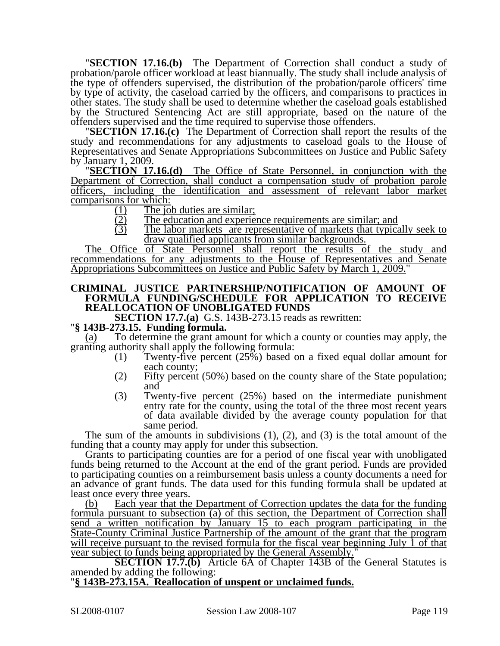"**SECTION 17.16.(b)** The Department of Correction shall conduct a study of probation/parole officer workload at least biannually. The study shall include analysis of the type of offenders supervised, the distribution of the probation/parole officers' time by type of activity, the caseload carried by the officers, and comparisons to practices in other states. The study shall be used to determine whether the caseload goals established by the Structured Sentencing Act are still appropriate, based on the nature of the

offenders supervised and the time required to supervise those offenders. "**SECTION 17.16.(c)** The Department of Correction shall report the results of the study and recommendations for any adjustments to caseload goals to the House of Representatives and Senate Appropriations Subcommittees on Justice and Public Safety

by January 1, 2009. "**SECTION 17.16.(d)** The Office of State Personnel, in conjunction with the Department of Correction, shall conduct a compensation study of probation parole officers, including the identification and assessment of relevant labor market comparisons for which:<br> $\frac{(1)}{(2)}$  The jo<br>The ed

- The job duties are similar;
- $\overline{22}$  The education and experience requirements are similar; and  $\overline{3}$  The labor markets are representative of markets that typical
- The labor markets are representative of markets that typically seek to draw qualified applicants from similar backgrounds.

The Office of State Personnel shall report the results of the study and recommendations for any adjustments to the House of Representatives and Senate Appropriations Subcommittees on Justice and Public Safety by March 1, 2009."

#### **CRIMINAL JUSTICE PARTNERSHIP/NOTIFICATION OF AMOUNT OF FORMULA FUNDING/SCHEDULE FOR APPLICATION TO RECEIVE REALLOCATION OF UNOBLIGATED FUNDS**

**SECTION 17.7.(a)** G.S. 143B-273.15 reads as rewritten: "**§ 143B-273.15. Funding formula.** 

(a) To determine the grant amount for which a county or counties may apply, the granting authority shall apply the following formula:

- (1) Twenty-five percent (25%) based on a fixed equal dollar amount for each county;
- (2) Fifty percent (50%) based on the county share of the State population; and
- (3) Twenty-five percent (25%) based on the intermediate punishment entry rate for the county, using the total of the three most recent years of data available divided by the average county population for that same period.

The sum of the amounts in subdivisions  $(1)$ ,  $(2)$ , and  $(3)$  is the total amount of the funding that a county may apply for under this subsection.

Grants to participating counties are for a period of one fiscal year with unobligated funds being returned to the Account at the end of the grant period. Funds are provided to participating counties on a reimbursement basis unless a county documents a need for an advance of grant funds. The data used for this funding formula shall be updated at least once every three years.

(b) Each year that the Department of Correction updates the data for the funding formula pursuant to subsection (a) of this section, the Department of Correction shall send a written notification by January 15 to each program participating in the State-County Criminal Justice Partnership of the amount of the grant that the program will receive pursuant to the revised formula for the fiscal year beginning July 1 of that year subject to funds being appropriated by the General Assembly."

**SECTION 17.7.(b)** Article 6A of Chapter 143B of the General Statutes is amended by adding the following:

#### "**§ 143B-273.15A. Reallocation of unspent or unclaimed funds.**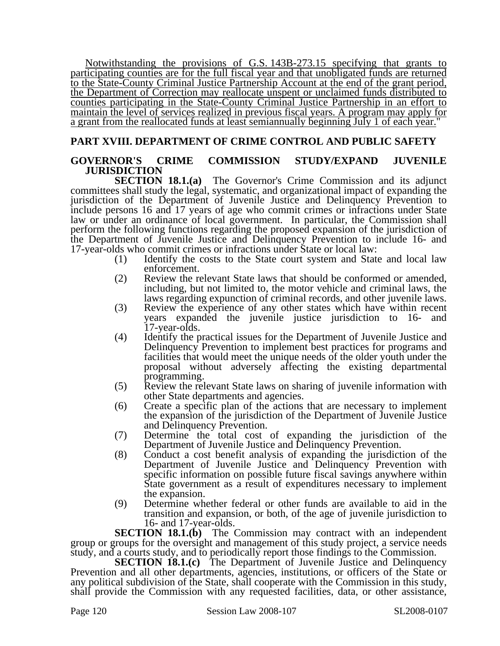Notwithstanding the provisions of G.S. 143B-273.15 specifying that grants to participating counties are for the full fiscal year and that unobligated funds are returned to the State-County Criminal Justice Partnership Account at the end of the grant period, the Department of Correction may reallocate unspent or unclaimed funds distributed to counties participating in the State-County Criminal Justice Partnership in an effort to maintain the level of services realized in previous fiscal years. A program may apply for a grant from the reallocated funds at least semiannually beginning July 1 of each year."

### **PART XVIII. DEPARTMENT OF CRIME CONTROL AND PUBLIC SAFETY**

#### **GOVERNOR'S CRIME COMMISSION STUDY/EXPAND JUVENILE JURISDICTION**

**SECTION 18.1.(a)** The Governor's Crime Commission and its adjunct committees shall study the legal, systematic, and organizational impact of expanding the jurisdiction of the Department of Juvenile Justice and Delinquency Prevention to include persons 16 and 17 years of age who commit crimes or infractions under State law or under an ordinance of local government. In particular, the Commission shall perform the following functions regarding the proposed expansion of the jurisdiction of the Department of Juvenile Justice and Delinquency Prevention to include 16- and 17-year-olds who commit crimes or infractions under State or local law:

- (1) Identify the costs to the State court system and State and local law enforcement.
- (2) Review the relevant State laws that should be conformed or amended, including, but not limited to, the motor vehicle and criminal laws, the laws regarding expunction of criminal records, and other juvenile laws.
- (3) Review the experience of any other states which have within recent years expanded the juvenile justice jurisdiction to 16- and 17-year-olds.
- (4) Identify the practical issues for the Department of Juvenile Justice and Delinquency Prevention to implement best practices for programs and facilities that would meet the unique needs of the older youth under the proposal without adversely affecting the existing departmental programming.
- (5) Review the relevant State laws on sharing of juvenile information with other State departments and agencies.
- (6) Create a specific plan of the actions that are necessary to implement the expansion of the jurisdiction of the Department of Juvenile Justice and Delinquency Prevention.
- (7) Determine the total cost of expanding the jurisdiction of the Department of Juvenile Justice and Delinquency Prevention.
- (8) Conduct a cost benefit analysis of expanding the jurisdiction of the Department of Juvenile Justice and Delinquency Prevention with specific information on possible future fiscal savings anywhere within State government as a result of expenditures necessary to implement the expansion.
- (9) Determine whether federal or other funds are available to aid in the transition and expansion, or both, of the age of juvenile jurisdiction to 16- and 17-year-olds.

**SECTION 18.1.(b)** The Commission may contract with an independent group or groups for the oversight and management of this study project, a service needs study, and a courts study, and to periodically report those findings to the Commission.

**SECTION 18.1.(c)** The Department of Juvenile Justice and Delinquency Prevention and all other departments, agencies, institutions, or officers of the State or any political subdivision of the State, shall cooperate with the Commission in this study, shall provide the Commission with any requested facilities, data, or other assistance,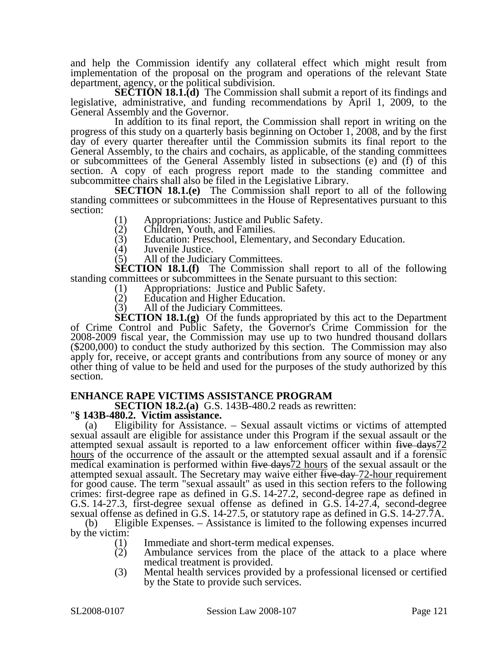and help the Commission identify any collateral effect which might result from implementation of the proposal on the program and operations of the relevant State department, agency, or the political subdivision.

**SECTION 18.1.(d)** The Commission shall submit a report of its findings and legislative, administrative, and funding recommendations by April 1, 2009, to the General Assembly and the Governor.

In addition to its final report, the Commission shall report in writing on the progress of this study on a quarterly basis beginning on October 1, 2008, and by the first day of every quarter thereafter until the Commission submits its final report to the General Assembly, to the chairs and cochairs, as applicable, of the standing committees or subcommittees of the General Assembly listed in subsections (e) and (f) of this section. A copy of each progress report made to the standing committee and subcommittee chairs shall also be filed in the Legislative Library.

**SECTION 18.1.(e)** The Commission shall report to all of the following standing committees or subcommittees in the House of Representatives pursuant to this section:

- (1) Appropriations: Justice and Public Safety.<br>(2) Children, Youth, and Families.
- (2) Children, Youth, and Families.<br>(3) Education: Preschool, Elementa
- (3) Education: Preschool, Elementary, and Secondary Education.<br>(4) Juvenile Justice.
- Juvenile Justice.

(5) All of the Judiciary Committees.

**SECTION 18.1.(f)** The Commission shall report to all of the following standing committees or subcommittees in the Senate pursuant to this section:

- (1) Appropriations: Justice and Public Safety.<br>(2) Education and Higher Education.
- Education and Higher Education.
- (3) All of the Judiciary Committees.

**SECTION 18.1.(g)** Of the funds appropriated by this act to the Department of Crime Control and Public Safety, the Governor's Crime Commission for the 2008-2009 fiscal year, the Commission may use up to two hundred thousand dollars (\$200,000) to conduct the study authorized by this section. The Commission may also apply for, receive, or accept grants and contributions from any source of money or any other thing of value to be held and used for the purposes of the study authorized by this section.

#### **ENHANCE RAPE VICTIMS ASSISTANCE PROGRAM**

**SECTION 18.2.(a)** G.S. 143B-480.2 reads as rewritten: "**§ 143B-480.2. Victim assistance.** 

(a) Eligibility for Assistance. – Sexual assault victims or victims of attempted sexual assault are eligible for assistance under this Program if the sexual assault or the attempted sexual assault is reported to a law enforcement officer within five days72 hours of the occurrence of the assault or the attempted sexual assault and if a forensic medical examination is performed within five days<sup>72</sup> hours of the sexual assault or the attempted sexual assault. The Secretary may waive either five-day-72-hour requirement for good cause. The term "sexual assault" as used in this section refers to the following crimes: first-degree rape as defined in G.S. 14-27.2, second-degree rape as defined in G.S. 14-27.3, first-degree sexual offense as defined in G.S. 14-27.4, second-degree sexual offense as defined in G.S. 14-27.5, or statutory rape as defined in G.S. 14-27.7A.

(b) Eligible Expenses. – Assistance is limited to the following expenses incurred by the victim:

- (1) Immediate and short-term medical expenses.
- (2) Ambulance services from the place of the attack to a place where medical treatment is provided.
- (3) Mental health services provided by a professional licensed or certified by the State to provide such services.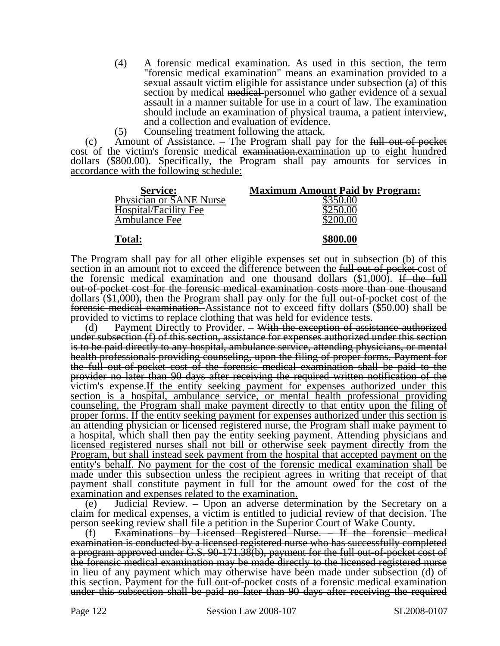- (4) A forensic medical examination. As used in this section, the term "forensic medical examination" means an examination provided to a sexual assault victim eligible for assistance under subsection (a) of this section by medical medical personnel who gather evidence of a sexual assault in a manner suitable for use in a court of law. The examination should include an examination of physical trauma, a patient interview, and a collection and evaluation of evidence.
- (5) Counseling treatment following the attack.

(c) Amount of Assistance. – The Program shall pay for the  $\frac{1}{2}$  full out-of-pocket cost of the victim's forensic medical examination.examination up to eight hundred dollars (\$800.00). Specifically, the Program shall pay amounts for services in accordance with the following schedule:

| <b>Service:</b>                | <b>Maximum Amount Paid by Program:</b> |
|--------------------------------|----------------------------------------|
| <b>Physician or SANE Nurse</b> | \$350.00                               |
| Hospital/Facility Fee          | \$250.00                               |
| Ambulance Fee                  | \$200.00                               |
|                                |                                        |

#### **Total: \$800.00**

The Program shall pay for all other eligible expenses set out in subsection (b) of this section in an amount not to exceed the difference between the full out-of-pocket-cost of the forensic medical examination and one thousand dollars  $(\$1,000)$ . If the full out-of-pocket cost for the forensic medical examination costs more than one thousand dollars (\$1,000), then the Program shall pay only for the full out-of-pocket cost of the forensic medical examination. Assistance not to exceed fifty dollars (\$50.00) shall be provided to victims to replace clothing that was held for evidence tests.

(d) Payment Directly to Provider.  $-\overline{With}$  the exception of assistance authorized under subsection (f) of this section, assistance for expenses authorized under this section is to be paid directly to any hospital, ambulance service, attending physicians, or mental health professionals providing counseling, upon the filing of proper forms. Payment for the full out-of-pocket cost of the forensic medical examination shall be paid to the provider no later than 90 days after receiving the required written notification of the victim's expense. If the entity seeking payment for expenses authorized under this section is a hospital, ambulance service, or mental health professional providing counseling, the Program shall make payment directly to that entity upon the filing of proper forms. If the entity seeking payment for expenses authorized under this section is an attending physician or licensed registered nurse, the Program shall make payment to a hospital, which shall then pay the entity seeking payment. Attending physicians and licensed registered nurses shall not bill or otherwise seek payment directly from the Program, but shall instead seek payment from the hospital that accepted payment on the entity's behalf. No payment for the cost of the forensic medical examination shall be made under this subsection unless the recipient agrees in writing that receipt of that payment shall constitute payment in full for the amount owed for the cost of the examination and expenses related to the examination.

(e) Judicial Review. – Upon an adverse determination by the Secretary on a claim for medical expenses, a victim is entitled to judicial review of that decision. The person seeking review shall file a petition in the Superior Court of Wake County.

(f) Examinations by Licensed Registered Nurse. – If the forensic medical examination is conducted by a licensed registered nurse who has successfully completed a program approved under G.S. 90-171.38(b), payment for the full out-of-pocket cost of the forensic medical examination may be made directly to the licensed registered nurse in lieu of any payment which may otherwise have been made under subsection (d) of this section. Payment for the full out-of-pocket costs of a forensic medical examination under this subsection shall be paid no later than 90 days after receiving the required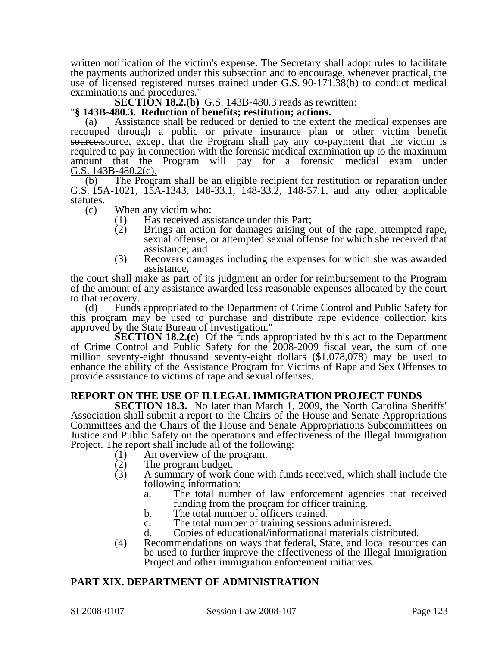written notification of the victim's expense. The Secretary shall adopt rules to facilitate the payments authorized under this subsection and to encourage, whenever practical, the use of licensed registered nurses trained under G.S. 90-171.38(b) to conduct medical examinations and procedures."

**SECTION 18.2.(b)** G.S. 143B-480.3 reads as rewritten: "**§ 143B-480.3. Reduction of benefits; restitution; actions.** 

(a) Assistance shall be reduced or denied to the extent the medical expenses are recouped through a public or private insurance plan or other victim benefit source. except that the Program shall pay any co-payment that the victim is required to pay in connection with the forensic medical examination up to the maximum amount that the Program will pay for a forensic medical exam under  $\overline{G.S.}$  143B-480.2(c).

(b) The Program shall be an eligible recipient for restitution or reparation under G.S. 15A-1021, 15A-1343, 148-33.1, 148-33.2, 148-57.1, and any other applicable statutes.

(c) When any victim who:

- (1) Has received assistance under this Part;<br>(2) Brings an action for damages arising o
- Brings an action for damages arising out of the rape, attempted rape, sexual offense, or attempted sexual offense for which she received that assistance; and
- (3) Recovers damages including the expenses for which she was awarded assistance,

the court shall make as part of its judgment an order for reimbursement to the Program of the amount of any assistance awarded less reasonable expenses allocated by the court to that recovery.

(d) Funds appropriated to the Department of Crime Control and Public Safety for this program may be used to purchase and distribute rape evidence collection kits approved by the State Bureau of Investigation."

**SECTION 18.2.(c)** Of the funds appropriated by this act to the Department of Crime Control and Public Safety for the 2008-2009 fiscal year, the sum of one million seventy-eight thousand seventy-eight dollars (\$1,078,078) may be used to enhance the ability of the Assistance Program for Victims of Rape and Sex Offenses to provide assistance to victims of rape and sexual offenses.

### **REPORT ON THE USE OF ILLEGAL IMMIGRATION PROJECT FUNDS**

**SECTION 18.3.** No later than March 1, 2009, the North Carolina Sheriffs' Association shall submit a report to the Chairs of the House and Senate Appropriations Committees and the Chairs of the House and Senate Appropriations Subcommittees on Justice and Public Safety on the operations and effectiveness of the Illegal Immigration Project. The report shall include all of the following:

- (1) An overview of the program.<br>(2) The program budget.
- (2) The program budget.<br>(3) A summary of work
- A summary of work done with funds received, which shall include the following information:
	- a. The total number of law enforcement agencies that received funding from the program for officer training.
	- b. The total number of officers trained.
	- c. The total number of training sessions administered.
	- d. Copies of educational/informational materials distributed.
- (4) Recommendations on ways that federal, State, and local resources can be used to further improve the effectiveness of the Illegal Immigration Project and other immigration enforcement initiatives.

### **PART XIX. DEPARTMENT OF ADMINISTRATION**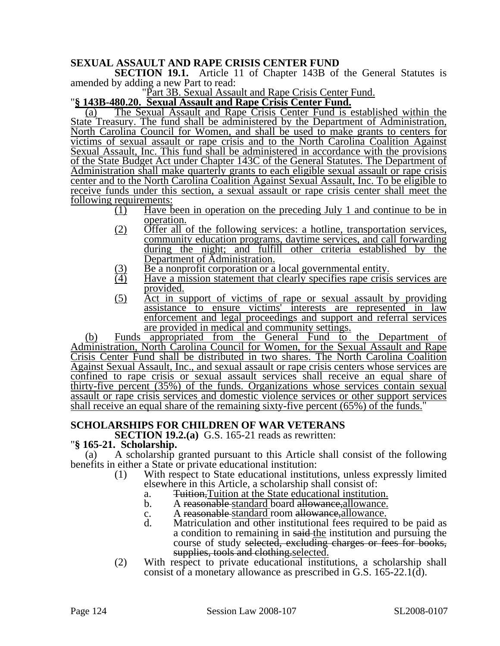### **SEXUAL ASSAULT AND RAPE CRISIS CENTER FUND**

**SECTION 19.1.** Article 11 of Chapter 143B of the General Statutes is amended by adding a new Part to read:<br>"Part 3B. Sexual Assault and Rape Crisis Center Fund.

"Part 3B. Sexual Assault and Rape Crisis Center Fund. "**§ 143B-480.20. Sexual Assault and Rape Crisis Center Fund.**

(a) The Sexual Assault and Rape Crisis Center Fund is established within the State Treasury. The fund shall be administered by the Department of Administration, North Carolina Council for Women, and shall be used to make grants to centers for victims of sexual assault or rape crisis and to the North Carolina Coalition Against Sexual Assault, Inc. This fund shall be administered in accordance with the provisions of the State Budget Act under Chapter 143C of the General Statutes. The Department of Administration shall make quarterly grants to each eligible sexual assault or rape crisis center and to the North Carolina Coalition Against Sexual Assault, Inc. To be eligible to receive funds under this section, a sexual assault or rape crisis center shall meet the following requirements:

- (1) Have been in operation on the preceding July 1 and continue to be in operation.
- (2) Offer all of the following services: a hotline, transportation services, community education programs, daytime services, and call forwarding during the night; and fulfill other criteria established by the Department of Administration.
- (3) Be a nonprofit corporation or a local governmental entity.<br>
(4) Have a mission statement that clearly specifies rape crisis
- Have a mission statement that clearly specifies rape crisis services are provided.
- (5) Act in support of victims of rape or sexual assault by providing assistance to ensure victims' interests are represented in law enforcement and legal proceedings and support and referral services are provided in medical and community settings.

(b) Funds appropriated from the General Fund to the Department of Administration, North Carolina Council for Women, for the Sexual Assault and Rape Crisis Center Fund shall be distributed in two shares. The North Carolina Coalition Against Sexual Assault, Inc., and sexual assault or rape crisis centers whose services are confined to rape crisis or sexual assault services shall receive an equal share of thirty-five percent (35%) of the funds. Organizations whose services contain sexual assault or rape crisis services and domestic violence services or other support services shall receive an equal share of the remaining sixty-five percent (65%) of the funds."

### **SCHOLARSHIPS FOR CHILDREN OF WAR VETERANS**

**SECTION 19.2.(a)** G.S. 165-21 reads as rewritten: "**§ 165-21. Scholarship.** 

(a) A scholarship granted pursuant to this Article shall consist of the following benefits in either a State or private educational institution:

- (1) With respect to State educational institutions, unless expressly limited elsewhere in this Article, a scholarship shall consist of:
	- a. Tuition,Tuition at the State educational institution.
	- b. A reasonable standard board allowance, allowance.
	- c. A reasonable-standard room allowance, allowance.
	- d. Matriculation and other institutional fees required to be paid as a condition to remaining in said-the institution and pursuing the course of study selected, excluding charges or fees for books, supplies, tools and clothing selected.
- (2) With respect to private educational institutions, a scholarship shall consist of a monetary allowance as prescribed in G.S. 165-22.1(d).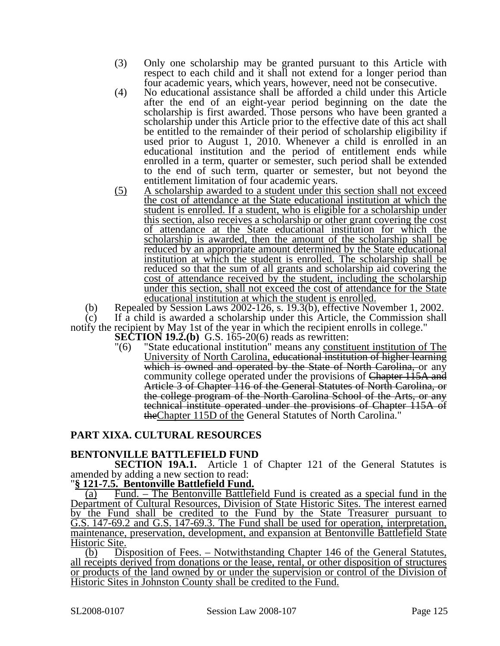- (3) Only one scholarship may be granted pursuant to this Article with respect to each child and it shall not extend for a longer period than four academic years, which years, however, need not be consecutive.
- (4) No educational assistance shall be afforded a child under this Article after the end of an eight-year period beginning on the date the scholarship is first awarded. Those persons who have been granted a scholarship under this Article prior to the effective date of this act shall be entitled to the remainder of their period of scholarship eligibility if used prior to August 1, 2010. Whenever a child is enrolled in an educational institution and the period of entitlement ends while enrolled in a term, quarter or semester, such period shall be extended to the end of such term, quarter or semester, but not beyond the entitlement limitation of four academic years.
- (5) A scholarship awarded to a student under this section shall not exceed the cost of attendance at the State educational institution at which the student is enrolled. If a student, who is eligible for a scholarship under this section, also receives a scholarship or other grant covering the cost of attendance at the State educational institution for which the scholarship is awarded, then the amount of the scholarship shall be reduced by an appropriate amount determined by the State educational institution at which the student is enrolled. The scholarship shall be reduced so that the sum of all grants and scholarship aid covering the cost of attendance received by the student, including the scholarship under this section, shall not exceed the cost of attendance for the State educational institution at which the student is enrolled.

(b) Repealed by Session Laws 2002-126, s. 19.3(b), effective November 1, 2002.<br>(c) If a child is awarded a scholarship under this Article, the Commission shall

If a child is awarded a scholarship under this Article, the Commission shall notify the recipient by May 1st of the year in which the recipient enrolls in college."

**SECTION 19.2.(b)** G.S. 165-20(6) reads as rewritten:

"(6) "State educational institution" means any constituent institution of The University of North Carolina, educational institution of higher learning which is owned and operated by the State of North Carolina, or any community college operated under the provisions of Chapter 115A and Article 3 of Chapter 116 of the General Statutes of North Carolina, or the college program of the North Carolina School of the Arts, or any technical institute operated under the provisions of Chapter 115A of theChapter 115D of the General Statutes of North Carolina."

### **PART XIXA. CULTURAL RESOURCES**

### **BENTONVILLE BATTLEFIELD FUND**

**SECTION 19A.1.** Article 1 of Chapter 121 of the General Statutes is amended by adding a new section to read:

#### "**§ 121-7.5. Bentonville Battlefield Fund.**

(a) Fund. – The Bentonville Battlefield Fund is created as a special fund in the Department of Cultural Resources, Division of State Historic Sites. The interest earned by the Fund shall be credited to the Fund by the State Treasurer pursuant to G.S. 147-69.2 and G.S. 147-69.3. The Fund shall be used for operation, interpretation, maintenance, preservation, development, and expansion at Bentonville Battlefield State Historic Site.

(b) Disposition of Fees. – Notwithstanding Chapter 146 of the General Statutes, all receipts derived from donations or the lease, rental, or other disposition of structures or products of the land owned by or under the supervision or control of the Division of Historic Sites in Johnston County shall be credited to the Fund.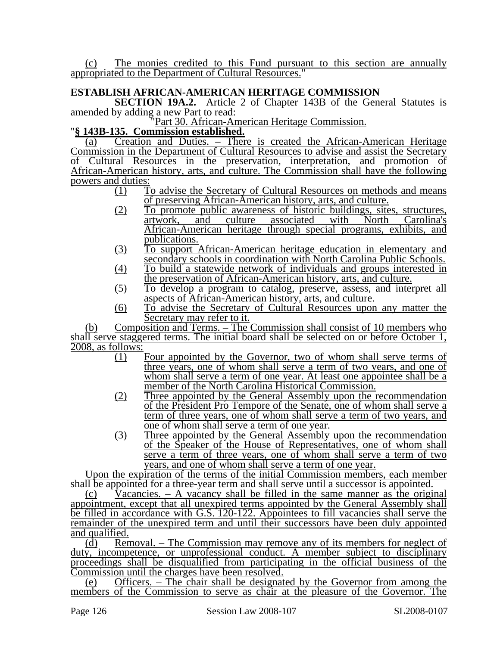(c) The monies credited to this Fund pursuant to this section are annually appropriated to the Department of Cultural Resources."

## **ESTABLISH AFRICAN-AMERICAN HERITAGE COMMISSION**

**SECTION 19A.2.** Article 2 of Chapter 143B of the General Statutes is amended by adding a new Part to read:

# "Part 30. African-American Heritage Commission. "**§ 143B-135. Commission established.**

(a) Creation and Duties. – There is created the African-American Heritage Commission in the Department of Cultural Resources to advise and assist the Secretary of Cultural Resources in the preservation, interpretation, and promotion of African-American history, arts, and culture. The Commission shall have the following powers and duties:

- (1) To advise the Secretary of Cultural Resources on methods and means of preserving African-American history, arts, and culture.
- (2) To promote public awareness of historic buildings, sites, structures, artwork, and culture associated with North Carolina's African-American heritage through special programs, exhibits, and publications.
- (3) To support African-American heritage education in elementary and secondary schools in coordination with North Carolina Public Schools.
- (4) To build a statewide network of individuals and groups interested in the preservation of African-American history, arts, and culture.
- (5) To develop a program to catalog, preserve, assess, and interpret all aspects of African-American history, arts, and culture.
- (6) To advise the Secretary of Cultural Resources upon any matter the Secretary may refer to it.

(b) Composition and Terms. – The Commission shall consist of 10 members who shall serve staggered terms. The initial board shall be selected on or before October 1, 2008, as follows:

- (1) Four appointed by the Governor, two of whom shall serve terms of three years, one of whom shall serve a term of two years, and one of whom shall serve a term of one year. At least one appointee shall be a member of the North Carolina Historical Commission.
- (2) Three appointed by the General Assembly upon the recommendation of the President Pro Tempore of the Senate, one of whom shall serve a term of three years, one of whom shall serve a term of two years, and one of whom shall serve a term of one year.
- (3) Three appointed by the General Assembly upon the recommendation of the Speaker of the House of Representatives, one of whom shall serve a term of three years, one of whom shall serve a term of two years, and one of whom shall serve a term of one year.

Upon the expiration of the terms of the initial Commission members, each member shall be appointed for a three-year term and shall serve until a successor is appointed.

(c) Vacancies. – A vacancy shall be filled in the same manner as the original appointment, except that all unexpired terms appointed by the General Assembly shall be filled in accordance with G.S. 120-122. Appointees to fill vacancies shall serve the remainder of the unexpired term and until their successors have been duly appointed and qualified.

(d) Removal. – The Commission may remove any of its members for neglect of duty, incompetence, or unprofessional conduct. A member subject to disciplinary proceedings shall be disqualified from participating in the official business of the Commission until the charges have been resolved.

(e) Officers. – The chair shall be designated by the Governor from among the members of the Commission to serve as chair at the pleasure of the Governor. The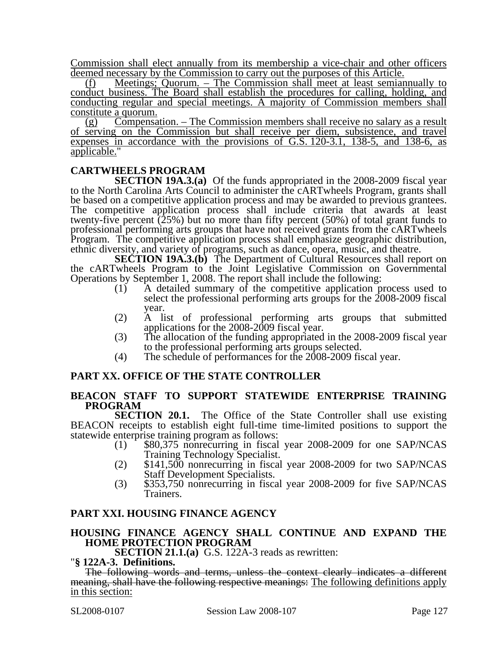Commission shall elect annually from its membership a vice-chair and other officers deemed necessary by the Commission to carry out the purposes of this Article.

(f) Meetings; Quorum. – The Commission shall meet at least semiannually to conduct business. The Board shall establish the procedures for calling, holding, and conducting regular and special meetings. A majority of Commission members shall constitute a quorum.

(g) Compensation. – The Commission members shall receive no salary as a result of serving on the Commission but shall receive per diem, subsistence, and travel expenses in accordance with the provisions of G.S. 120-3.1, 138-5, and 138-6, as applicable."

### **CARTWHEELS PROGRAM**

**SECTION 19A.3.(a)** Of the funds appropriated in the 2008-2009 fiscal year to the North Carolina Arts Council to administer the cARTwheels Program, grants shall be based on a competitive application process and may be awarded to previous grantees. The competitive application process shall include criteria that awards at least twenty-five percent  $(25%)$  but no more than fifty percent  $(50%)$  of total grant funds to professional performing arts groups that have not received grants from the cARTwheels Program. The competitive application process shall emphasize geographic distribution, ethnic diversity, and variety of programs, such as dance, opera, music, and theatre.

**SECTION 19A.3.(b)** The Department of Cultural Resources shall report on the cARTwheels Program to the Joint Legislative Commission on Governmental Operations by September 1, 2008. The report shall include the following:<br>(1) A detailed summary of the competitive application p

- A detailed summary of the competitive application process used to select the professional performing arts groups for the 2008-2009 fiscal year.
- (2) A list of professional performing arts groups that submitted applications for the 2008-2009 fiscal year.
- (3) The allocation of the funding appropriated in the 2008-2009 fiscal year to the professional performing arts groups selected.
- (4) The schedule of performances for the 2008-2009 fiscal year.

### **PART XX. OFFICE OF THE STATE CONTROLLER**

#### **BEACON STAFF TO SUPPORT STATEWIDE ENTERPRISE TRAINING PROGRAM**

**SECTION 20.1.** The Office of the State Controller shall use existing BEACON receipts to establish eight full-time time-limited positions to support the statewide enterprise training program as follows:

- (1) \$80,375 nonrecurring in fiscal year 2008-2009 for one SAP/NCAS<br>Training Technology Specialist.
- $5141,500$  nonrecurring in fiscal year 2008-2009 for two SAP/NCAS<br>Staff Development Specialists.
- $\text{S353,750}$  nonrecurring in fiscal year 2008-2009 for five SAP/NCAS Trainers.

#### **PART XXI. HOUSING FINANCE AGENCY**

#### **HOUSING FINANCE AGENCY SHALL CONTINUE AND EXPAND THE HOME PROTECTION PROGRAM**

**SECTION 21.1.(a)** G.S. 122A-3 reads as rewritten: "**§ 122A-3. Definitions.** 

The following words and terms, unless the context clearly indicates a different meaning, shall have the following respective meanings: The following definitions apply in this section: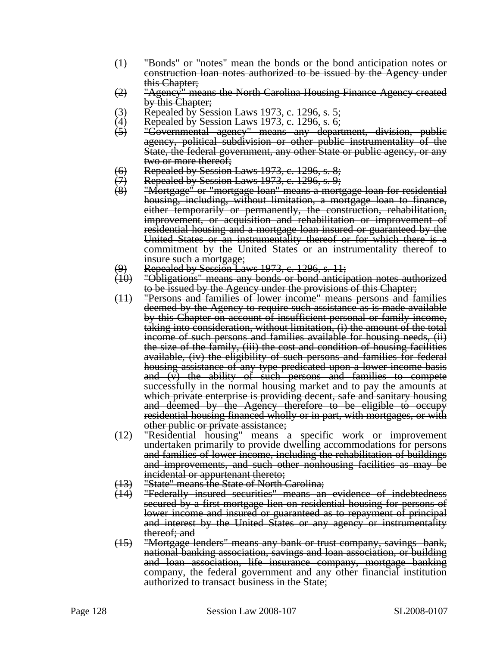- (1) "Bonds" or "notes" mean the bonds or the bond anticipation notes or construction loan notes authorized to be issued by the Agency under this Chapter;
- (2) "Agency" means the North Carolina Housing Finance Agency created by this Chapter;
- (3) Fepealed by Session Laws 1973, c. 1296, s. 5;<br>(4) Fepealed by Session Laws 1973, c. 1296, s. 6;
- (4) Repealed by Session Laws 1973, c. 1296, s. 6;
- "Governmental agency" means any department, division, public agency, political subdivision or other public instrumentality of the State, the federal government, any other State or public agency, or any two or more thereof;
- 
- (6) Repealed by Session Laws 1973, c. 1296, s. 8;<br>(7) Repealed by Session Laws 1973, c. 1296, s. 9;<br>(8) "Mortgage" or "mortgage loan" means a mort Repealed by Session Laws 1973, c. 1296, s. 9;
- "Mortgage" or "mortgage loan" means a mortgage loan for residential housing, including, without limitation, a mortgage loan to finance, either temporarily or permanently, the construction, rehabilitation, improvement, or acquisition and rehabilitation or improvement of residential housing and a mortgage loan insured or guaranteed by the United States or an instrumentality thereof or for which there is a commitment by the United States or an instrumentality thereof to insure such a mortgage;
- (9) Repealed by Session Laws 1973, c. 1296, s. 11;<br>(10) "Obligations" means any bonds or bond anticij
- "Obligations" means any bonds or bond anticipation notes authorized to be issued by the Agency under the provisions of this Chapter;
- (11) "Persons and families of lower income" means persons and families deemed by the Agency to require such assistance as is made available by this Chapter on account of insufficient personal or family income, taking into consideration, without limitation, (i) the amount of the total income of such persons and families available for housing needs, (ii) the size of the family, (iii) the cost and condition of housing facilities available, (iv) the eligibility of such persons and families for federal housing assistance of any type predicated upon a lower income basis and  $(v)$  the ability of such persons and families to compete successfully in the normal housing market and to pay the amounts at which private enterprise is providing decent, safe and sanitary housing and deemed by the Agency therefore to be eligible to occupy residential housing financed wholly or in part, with mortgages, or with other public or private assistance;
- (12) "Residential housing" means a specific work or improvement undertaken primarily to provide dwelling accommodations for persons and families of lower income, including the rehabilitation of buildings and improvements, and such other nonhousing facilities as may be incidental or appurtenant thereto;
- 
- (13) "State" means the State of North Carolina;<br>(14) "Federally -insured -securities" means -an "Federally insured securities" means an evidence of indebtedness secured by a first mortgage lien on residential housing for persons of lower income and insured or guaranteed as to repayment of principal and interest by the United States or any agency or instrumentality thereof; and
- (15) "Mortgage lenders" means any bank or trust company, savings bank, national banking association, savings and loan association, or building and loan association, life insurance company, mortgage banking company, the federal government and any other financial institution authorized to transact business in the State;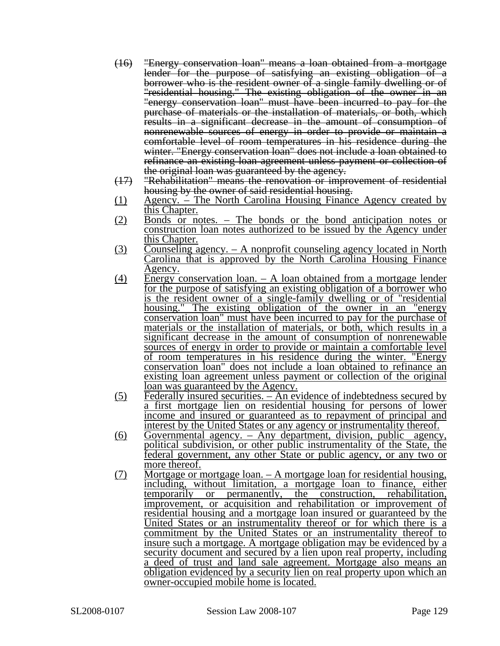- (16) "Energy conservation loan" means a loan obtained from a mortgage lender for the purpose of satisfying an existing obligation of a borrower who is the resident owner of a single family dwelling or of "residential housing." The existing obligation of the owner in an "energy conservation loan" must have been incurred to pay for the purchase of materials or the installation of materials, or both, which results in a significant decrease in the amount of consumption of nonrenewable sources of energy in order to provide or maintain a comfortable level of room temperatures in his residence during the winter. "Energy conservation loan" does not include a loan obtained to refinance an existing loan agreement unless payment or collection of the original loan was guaranteed by the agency.
- (17) "Rehabilitation" means the renovation or improvement of residential housing by the owner of said residential housing.
- (1) Agency. The North Carolina Housing Finance Agency created by this Chapter.
- (2) Bonds or notes. The bonds or the bond anticipation notes or construction loan notes authorized to be issued by the Agency under this Chapter.
- (3) Counseling agency. A nonprofit counseling agency located in North Carolina that is approved by the North Carolina Housing Finance Agency.
- (4) Energy conservation loan. A loan obtained from a mortgage lender for the purpose of satisfying an existing obligation of a borrower who is the resident owner of a single-family dwelling or of "residential housing." The existing obligation of the owner in an "energy conservation loan" must have been incurred to pay for the purchase of materials or the installation of materials, or both, which results in a significant decrease in the amount of consumption of nonrenewable sources of energy in order to provide or maintain a comfortable level of room temperatures in his residence during the winter. "Energy conservation loan" does not include a loan obtained to refinance an existing loan agreement unless payment or collection of the original loan was guaranteed by the Agency.
- (5) Federally insured securities. An evidence of indebtedness secured by a first mortgage lien on residential housing for persons of lower income and insured or guaranteed as to repayment of principal and interest by the United States or any agency or instrumentality thereof.
- (6) Governmental agency. Any department, division, public agency, political subdivision, or other public instrumentality of the State, the federal government, any other State or public agency, or any two or more thereof.
- (7) Mortgage or mortgage loan. A mortgage loan for residential housing, including, without limitation, a mortgage loan to finance, either temporarily or permanently, the construction, rehabilitation, improvement, or acquisition and rehabilitation or improvement of residential housing and a mortgage loan insured or guaranteed by the United States or an instrumentality thereof or for which there is a commitment by the United States or an instrumentality thereof to insure such a mortgage. A mortgage obligation may be evidenced by a security document and secured by a lien upon real property, including a deed of trust and land sale agreement. Mortgage also means an obligation evidenced by a security lien on real property upon which an owner-occupied mobile home is located.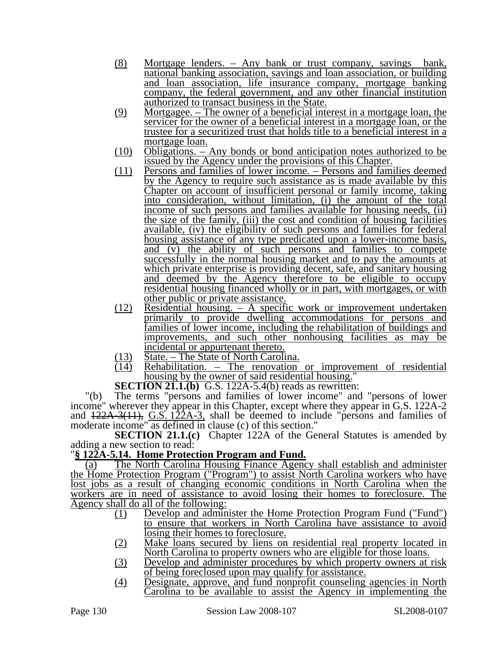- (8) Mortgage lenders. Any bank or trust company, savings bank, national banking association, savings and loan association, or building and loan association, life insurance company, mortgage banking company, the federal government, and any other financial institution authorized to transact business in the State.
- (9) Mortgagee. The owner of a beneficial interest in a mortgage loan, the servicer for the owner of a beneficial interest in a mortgage loan, or the trustee for a securitized trust that holds title to a beneficial interest in a mortgage loan.
- (10) Obligations. Any bonds or bond anticipation notes authorized to be issued by the Agency under the provisions of this Chapter.
- (11) Persons and families of lower income. Persons and families deemed by the Agency to require such assistance as is made available by this Chapter on account of insufficient personal or family income, taking into consideration, without limitation, (i) the amount of the total income of such persons and families available for housing needs, (ii) the size of the family, (iii) the cost and condition of housing facilities available, (iv) the eligibility of such persons and families for federal housing assistance of any type predicated upon a lower-income basis, and  $(v)$  the ability of such persons and families to compete successfully in the normal housing market and to pay the amounts at which private enterprise is providing decent, safe, and sanitary housing and deemed by the Agency therefore to be eligible to occupy residential housing financed wholly or in part, with mortgages, or with other public or private assistance.
- (12) Residential housing. A specific work or improvement undertaken primarily to provide dwelling accommodations for persons and families of lower income, including the rehabilitation of buildings and improvements, and such other nonhousing facilities as may be incidental or appurtenant thereto.
- $\frac{(13)}{(14)}$  State. The State of North Carolina.<br>
Rehabilitation. The renovation
- $Rehabilitation.$  The renovation or improvement of residential housing by the owner of said residential housing.

**SECTION 21.1.(b)** G.S. 122A-5.4(b) reads as rewritten:

"(b) The terms "persons and families of lower income" and "persons of lower income" wherever they appear in this Chapter, except where they appear in G.S. 122A-2 and  $122A-3(11)$ , G.S. 122A-3, shall be deemed to include "persons and families of moderate income" as defined in clause (c) of this section."

**SECTION 21.1.(c)** Chapter 122A of the General Statutes is amended by adding a new section to read:

### "**§ 122A-5.14. Home Protection Program and Fund.**

(a) The North Carolina Housing Finance Agency shall establish and administer the Home Protection Program ("Program") to assist North Carolina workers who have lost jobs as a result of changing economic conditions in North Carolina when the workers are in need of assistance to avoid losing their homes to foreclosure. The Agency shall do all of the following:

- (1) Develop and administer the Home Protection Program Fund ("Fund") to ensure that workers in North Carolina have assistance to avoid losing their homes to foreclosure.
- (2) Make loans secured by liens on residential real property located in North Carolina to property owners who are eligible for those loans.
- (3) Develop and administer procedures by which property owners at risk of being foreclosed upon may qualify for assistance.
- (4) Designate, approve, and fund nonprofit counseling agencies in North Carolina to be available to assist the Agency in implementing the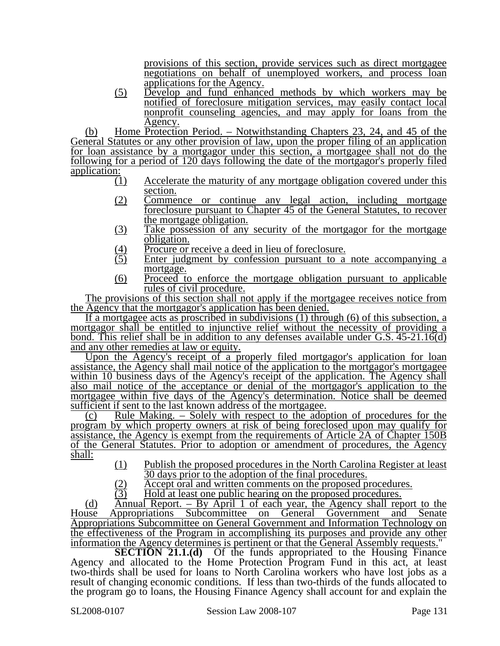provisions of this section, provide services such as direct mortgagee negotiations on behalf of unemployed workers, and process loan applications for the Agency.

(5) Develop and fund enhanced methods by which workers may be notified of foreclosure mitigation services, may easily contact local nonprofit counseling agencies, and may apply for loans from the Agency.

(b) Home Protection Period. – Notwithstanding Chapters 23, 24, and 45 of the General Statutes or any other provision of law, upon the proper filing of an application for loan assistance by a mortgagor under this section, a mortgagee shall not do the following for a period of 120 days following the date of the mortgagor's properly filed application:

- (1) Accelerate the maturity of any mortgage obligation covered under this section.
- (2) Commence or continue any legal action, including mortgage foreclosure pursuant to Chapter 45 of the General Statutes, to recover the mortgage obligation.
- (3) Take possession of any security of the mortgagor for the mortgage obligation.
- $\frac{(4)}{(5)}$  Procure or receive a deed in lieu of foreclosure.<br>
(5) Enter judgment by confession pursuant to a
- Enter judgment by confession pursuant to a note accompanying a mortgage.
- (6) Proceed to enforce the mortgage obligation pursuant to applicable rules of civil procedure.

The provisions of this section shall not apply if the mortgagee receives notice from the Agency that the mortgagor's application has been denied.

If a mortgagee acts as proscribed in subdivisions (1) through (6) of this subsection, a mortgagor shall be entitled to injunctive relief without the necessity of providing a bond. This relief shall be in addition to any defenses available under  $\overline{G.S. 45\cdot 21.16(d)}$ and any other remedies at law or equity.

Upon the Agency's receipt of a properly filed mortgagor's application for loan assistance, the Agency shall mail notice of the application to the mortgagor's mortgagee within 10 business days of the Agency's receipt of the application. The Agency shall also mail notice of the acceptance or denial of the mortgagor's application to the mortgagee within five days of the Agency's determination. Notice shall be deemed sufficient if sent to the last known address of the mortgagee.

(c) Rule Making. – Solely with respect to the adoption of procedures for the program by which property owners at risk of being foreclosed upon may qualify for assistance, the Agency is exempt from the requirements of Article 2A of Chapter 150B of the General Statutes. Prior to adoption or amendment of procedures, the Agency shall:

- (1) Publish the proposed procedures in the North Carolina Register at least 30 days prior to the adoption of the final procedures.
- $\frac{12}{2}$  Accept oral and written comments on the proposed procedures.<br>  $\frac{12}{2}$  Hold at least one public hearing on the proposed procedures.

Hold at least one public hearing on the proposed procedures.

(d) Annual Report. – By April 1 of each year, the Agency shall report to the House Appropriations Subcommittee on General Government and Senate Appropriations Subcommittee on General Government and Information Technology on the effectiveness of the Program in accomplishing its purposes and provide any other information the Agency determines is pertinent or that the General Assembly requests."

**SECTION 21.1.(d)** Of the funds appropriated to the Housing Finance Agency and allocated to the Home Protection Program Fund in this act, at least two-thirds shall be used for loans to North Carolina workers who have lost jobs as a result of changing economic conditions. If less than two-thirds of the funds allocated to the program go to loans, the Housing Finance Agency shall account for and explain the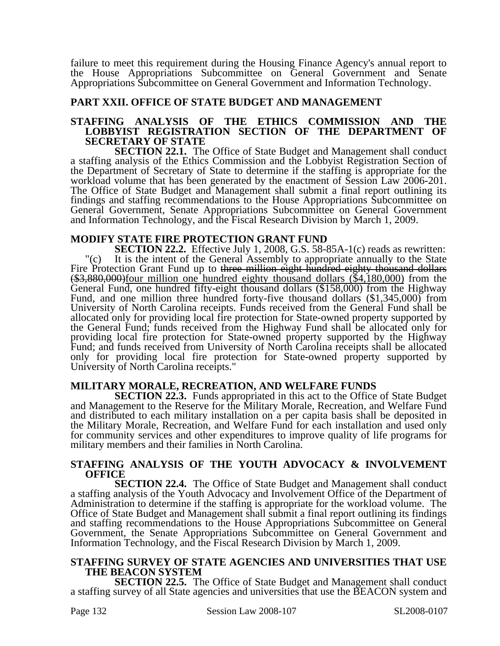failure to meet this requirement during the Housing Finance Agency's annual report to the House Appropriations Subcommittee on General Government and Senate Appropriations Subcommittee on General Government and Information Technology.

#### **PART XXII. OFFICE OF STATE BUDGET AND MANAGEMENT**

#### **STAFFING ANALYSIS OF THE ETHICS COMMISSION AND THE LOBBYIST REGISTRATION SECTION OF THE DEPARTMENT OF SECRETARY OF STATE**

**SECTION 22.1.** The Office of State Budget and Management shall conduct a staffing analysis of the Ethics Commission and the Lobbyist Registration Section of the Department of Secretary of State to determine if the staffing is appropriate for the workload volume that has been generated by the enactment of Session Law 2006-201. The Office of State Budget and Management shall submit a final report outlining its findings and staffing recommendations to the House Appropriations Subcommittee on General Government, Senate Appropriations Subcommittee on General Government and Information Technology, and the Fiscal Research Division by March 1, 2009.

#### **MODIFY STATE FIRE PROTECTION GRANT FUND**

**SECTION 22.2.** Effective July 1, 2008, G.S. 58-85A-1(c) reads as rewritten: "(c) It is the intent of the General Assembly to appropriate annually to the State Fire Protection Grant Fund up to three million eight hundred eighty thousand dollars  $$\frac{1}{10}$   $$\frac{1}{10}$   $$\frac{1}{10}$  from the million one hundred eighty thousand dollars (\$4,180,000) from the General Fund, one hundred fifty-eight thousand dollars (\$158,000) from the Highway Fund, and one million three hundred forty-five thousand dollars (\$1,345,000) from University of North Carolina receipts. Funds received from the General Fund shall be allocated only for providing local fire protection for State-owned property supported by the General Fund; funds received from the Highway Fund shall be allocated only for providing local fire protection for State-owned property supported by the Highway Fund; and funds received from University of North Carolina receipts shall be allocated only for providing local fire protection for State-owned property supported by University of North Carolina receipts."

### **MILITARY MORALE, RECREATION, AND WELFARE FUNDS**

**SECTION 22.3.** Funds appropriated in this act to the Office of State Budget and Management to the Reserve for the Military Morale, Recreation, and Welfare Fund and distributed to each military installation on a per capita basis shall be deposited in the Military Morale, Recreation, and Welfare Fund for each installation and used only for community services and other expenditures to improve quality of life programs for military members and their families in North Carolina.

#### **STAFFING ANALYSIS OF THE YOUTH ADVOCACY & INVOLVEMENT OFFICE**

**SECTION 22.4.** The Office of State Budget and Management shall conduct a staffing analysis of the Youth Advocacy and Involvement Office of the Department of Administration to determine if the staffing is appropriate for the workload volume. The Office of State Budget and Management shall submit a final report outlining its findings and staffing recommendations to the House Appropriations Subcommittee on General Government, the Senate Appropriations Subcommittee on General Government and Information Technology, and the Fiscal Research Division by March 1, 2009.

#### **STAFFING SURVEY OF STATE AGENCIES AND UNIVERSITIES THAT USE THE BEACON SYSTEM**

**SECTION 22.5.** The Office of State Budget and Management shall conduct a staffing survey of all State agencies and universities that use the BEACON system and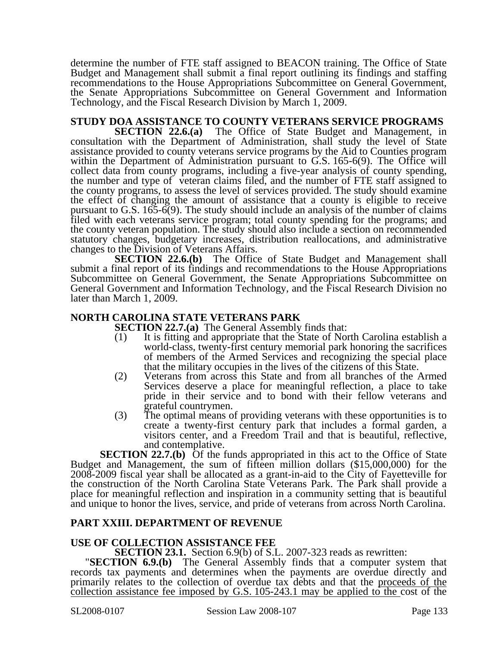determine the number of FTE staff assigned to BEACON training. The Office of State Budget and Management shall submit a final report outlining its findings and staffing recommendations to the House Appropriations Subcommittee on General Government, the Senate Appropriations Subcommittee on General Government and Information Technology, and the Fiscal Research Division by March 1, 2009.

## **STUDY DOA ASSISTANCE TO COUNTY VETERANS SERVICE PROGRAMS**

**SECTION 22.6.(a)** The Office of State Budget and Management, in consultation with the Department of Administration, shall study the level of State assistance provided to county veterans service programs by the Aid to Counties program within the Department of Administration pursuant to G.S. 165-6(9). The Office will collect data from county programs, including a five-year analysis of county spending, the number and type of veteran claims filed, and the number of FTE staff assigned to the county programs, to assess the level of services provided. The study should examine the effect of changing the amount of assistance that a county is eligible to receive pursuant to G.S.  $165-6(9)$ . The study should include an analysis of the number of claims filed with each veterans service program; total county spending for the programs; and the county veteran population. The study should also include a section on recommended statutory changes, budgetary increases, distribution reallocations, and administrative changes to the Division of Veterans Affairs.

**SECTION 22.6.(b)** The Office of State Budget and Management shall submit a final report of its findings and recommendations to the House Appropriations Subcommittee on General Government, the Senate Appropriations Subcommittee on General Government and Information Technology, and the Fiscal Research Division no later than March 1, 2009.

### **NORTH CAROLINA STATE VETERANS PARK**

**SECTION 22.7.(a)** The General Assembly finds that:

- (1) It is fitting and appropriate that the State of North Carolina establish a world-class, twenty-first century memorial park honoring the sacrifices of members of the Armed Services and recognizing the special place that the military occupies in the lives of the citizens of this State.
- (2) Veterans from across this State and from all branches of the Armed Services deserve a place for meaningful reflection, a place to take pride in their service and to bond with their fellow veterans and grateful countrymen.
- (3) The optimal means of providing veterans with these opportunities is to create a twenty-first century park that includes a formal garden, a visitors center, and a Freedom Trail and that is beautiful, reflective, and contemplative.

**SECTION 22.7.(b)** Of the funds appropriated in this act to the Office of State Budget and Management, the sum of fifteen million dollars (\$15,000,000) for the 2008-2009 fiscal year shall be allocated as a grant-in-aid to the City of Fayetteville for the construction of the North Carolina State Veterans Park. The Park shall provide a place for meaningful reflection and inspiration in a community setting that is beautiful and unique to honor the lives, service, and pride of veterans from across North Carolina.

### **PART XXIII. DEPARTMENT OF REVENUE**

**USE OF COLLECTION ASSISTANCE FEE**<br>**SECTION 23.1.** Section 6.9(b) of S.L. 2007-323 reads as rewritten:

**SECTION 6.9.(b)** The General Assembly finds that a computer system that records tax payments and determines when the payments are overdue directly and primarily relates to the collection of overdue tax debts and that the proceeds of the collection assistance fee imposed by G.S. 105-243.1 may be applied to the cost of the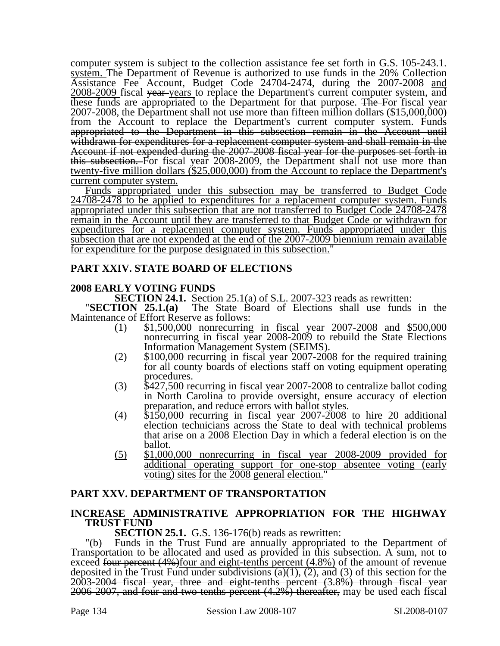computer system is subject to the collection assistance fee set forth in G.S. 105-243.1. system. The Department of Revenue is authorized to use funds in the 20% Collection Assistance Fee Account, Budget Code 24704-2474, during the 2007-2008 and 2008-2009 fiscal year years to replace the Department's current computer system, and these funds are appropriated to the Department for that purpose. The For fiscal year 2007-2008, the Department shall not use more than fifteen million dollars (\$15,000,000) from the Account to replace the Department's current computer system. Funds appropriated to the Department in this subsection remain in the Account until withdrawn for expenditures for a replacement computer system and shall remain in the Account if not expended during the 2007-2008 fiscal year for the purposes set forth in this subsection. For fiscal year 2008-2009, the Department shall not use more than twenty-five million dollars (\$25,000,000) from the Account to replace the Department's current computer system.

Funds appropriated under this subsection may be transferred to Budget Code 24708-2478 to be applied to expenditures for a replacement computer system. Funds appropriated under this subsection that are not transferred to Budget Code 24708-2478 remain in the Account until they are transferred to that Budget Code or withdrawn for expenditures for a replacement computer system. Funds appropriated under this subsection that are not expended at the end of the 2007-2009 biennium remain available for expenditure for the purpose designated in this subsection."

### **PART XXIV. STATE BOARD OF ELECTIONS**

### **2008 EARLY VOTING FUNDS**

**SECTION 24.1.** Section 25.1(a) of S.L. 2007-323 reads as rewritten: "**SECTION 25.1.(a)** The State Board of Elections shall use funds in the Maintenance of Effort Reserve as follows:

- (1) \$1,500,000 nonrecurring in fiscal year 2007-2008 and \$500,000 nonrecurring in fiscal year 2008-2009 to rebuild the State Elections Information Management System (SEIMS).
- $\Omega$  \$100,000 recurring in fiscal year 2007-2008 for the required training for all county boards of elections staff on voting equipment operating
- procedures.<br>
(3) \$427,500 recurring in fiscal year 2007-2008 to centralize ballot coding in North Carolina to provide oversight, ensure accuracy of election
- $p(4)$  \$150,000 recurring in fiscal year 2007-2008 to hire 20 additional election technicians across the State to deal with technical problems that arise on a 2008 Election Day in which a federal election is on the ballot.
- (5) \$1,000,000 nonrecurring in fiscal year 2008-2009 provided for additional operating support for one-stop absentee voting (early voting) sites for the 2008 general election."

### **PART XXV. DEPARTMENT OF TRANSPORTATION**

#### **INCREASE ADMINISTRATIVE APPROPRIATION FOR THE HIGHWAY TRUST FUND**

**SECTION 25.1.** G.S. 136-176(b) reads as rewritten:

"(b) Funds in the Trust Fund are annually appropriated to the Department of Transportation to be allocated and used as provided in this subsection. A sum, not to exceed four percent  $(4\%)$  four and eight-tenths percent  $(4.8\%)$  of the amount of revenue deposited in the Trust Fund under subdivisions (a)(1), (2), and (3) of this section for the 2003-2004 fiscal year, three and eight-tenths percent (3.8%) through fiscal year 2006-2007, and four and two-tenths percent (4.2%) thereafter, may be used each fiscal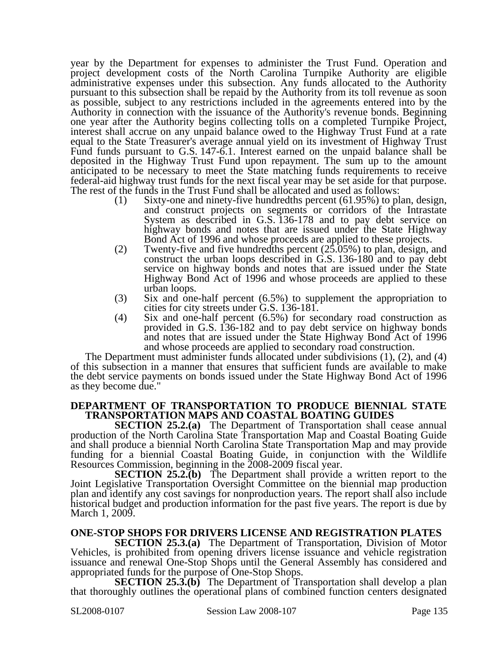year by the Department for expenses to administer the Trust Fund. Operation and project development costs of the North Carolina Turnpike Authority are eligible administrative expenses under this subsection. Any funds allocated to the Authority pursuant to this subsection shall be repaid by the Authority from its toll revenue as soon as possible, subject to any restrictions included in the agreements entered into by the Authority in connection with the issuance of the Authority's revenue bonds. Beginning one year after the Authority begins collecting tolls on a completed Turnpike Project, interest shall accrue on any unpaid balance owed to the Highway Trust Fund at a rate equal to the State Treasurer's average annual yield on its investment of Highway Trust Fund funds pursuant to G.S. 147-6.1. Interest earned on the unpaid balance shall be deposited in the Highway Trust Fund upon repayment. The sum up to the amount anticipated to be necessary to meet the State matching funds requirements to receive federal-aid highway trust funds for the next fiscal year may be set aside for that purpose. The rest of the funds in the Trust Fund shall be allocated and used as follows:

- (1) Sixty-one and ninety-five hundredths percent (61.95%) to plan, design, and construct projects on segments or corridors of the Intrastate System as described in G.S. 136-178 and to pay debt service on highway bonds and notes that are issued under the State Highway Bond Act of 1996 and whose proceeds are applied to these projects.
- (2) Twenty-five and five hundredths percent (25.05%) to plan, design, and construct the urban loops described in G.S. 136-180 and to pay debt service on highway bonds and notes that are issued under the State Highway Bond Act of 1996 and whose proceeds are applied to these urban loops.
- (3) Six and one-half percent (6.5%) to supplement the appropriation to cities for city streets under G.S. 136-181.
- (4) Six and one-half percent (6.5%) for secondary road construction as provided in G.S. 136-182 and to pay debt service on highway bonds and notes that are issued under the State Highway Bond Act of 1996 and whose proceeds are applied to secondary road construction.

The Department must administer funds allocated under subdivisions (1), (2), and (4) of this subsection in a manner that ensures that sufficient funds are available to make the debt service payments on bonds issued under the State Highway Bond Act of 1996 as they become due."

#### **DEPARTMENT OF TRANSPORTATION TO PRODUCE BIENNIAL STATE TRANSPORTATION MAPS AND COASTAL BOATING GUIDES**

**SECTION 25.2.(a)** The Department of Transportation shall cease annual production of the North Carolina State Transportation Map and Coastal Boating Guide and shall produce a biennial North Carolina State Transportation Map and may provide funding for a biennial Coastal Boating Guide, in conjunction with the Wildlife Resources Commission, beginning in the 2008-2009 fiscal year.

**SECTION 25.2.(b)** The Department shall provide a written report to the Joint Legislative Transportation Oversight Committee on the biennial map production plan and identify any cost savings for nonproduction years. The report shall also include historical budget and production information for the past five years. The report is due by March 1, 2009.

### **ONE-STOP SHOPS FOR DRIVERS LICENSE AND REGISTRATION PLATES**

**SECTION 25.3.(a)** The Department of Transportation, Division of Motor Vehicles, is prohibited from opening drivers license issuance and vehicle registration issuance and renewal One-Stop Shops until the General Assembly has considered and appropriated funds for the purpose of One-Stop Shops.

**SECTION 25.3.(b)** The Department of Transportation shall develop a plan that thoroughly outlines the operational plans of combined function centers designated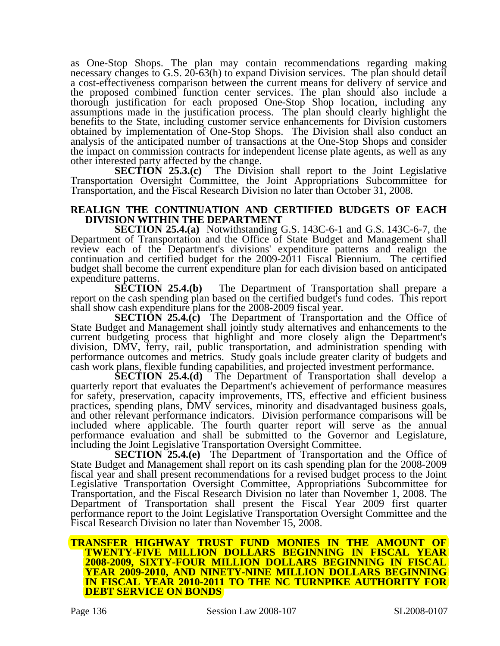as One-Stop Shops. The plan may contain recommendations regarding making necessary changes to G.S. 20-63(h) to expand Division services. The plan should detail a cost-effectiveness comparison between the current means for delivery of service and the proposed combined function center services. The plan should also include a thorough justification for each proposed One-Stop Shop location, including any assumptions made in the justification process. The plan should clearly highlight the benefits to the State, including customer service enhancements for Division customers obtained by implementation of One-Stop Shops. The Division shall also conduct an analysis of the anticipated number of transactions at the One-Stop Shops and consider the impact on commission contracts for independent license plate agents, as well as any other interested party affected by the change.

**SECTION 25.3.(c)** The Division shall report to the Joint Legislative Transportation Oversight Committee, the Joint Appropriations Subcommittee for Transportation, and the Fiscal Research Division no later than October 31, 2008.

#### **REALIGN THE CONTINUATION AND CERTIFIED BUDGETS OF EACH DIVISION WITHIN THE DEPARTMENT**

**SECTION 25.4.(a)** Notwithstanding G.S. 143C-6-1 and G.S. 143C-6-7, the Department of Transportation and the Office of State Budget and Management shall review each of the Department's divisions' expenditure patterns and realign the continuation and certified budget for the 2009-2011 Fiscal Biennium. The certified budget shall become the current expenditure plan for each division based on anticipated

expenditure patterns.<br>**SECTION 25.4.(b)** The Department of Transportation shall prepare a report on the cash spending plan based on the certified budget's fund codes. This report shall show cash expenditure plans for the 2008-2009 fiscal year.

**SECTION 25.4.(c)** The Department of Transportation and the Office of State Budget and Management shall jointly study alternatives and enhancements to the current budgeting process that highlight and more closely align the Department's division, DMV, ferry, rail, public transportation, and administration spending with performance outcomes and metrics. Study goals include greater clarity of budgets and cash work plans, flexible funding capabilities, and projected investment performance.

**SECTION 25.4.(d)** The Department of Transportation shall develop a quarterly report that evaluates the Department's achievement of performance measures for safety, preservation, capacity improvements, ITS, effective and efficient business practices, spending plans, DMV services, minority and disadvantaged business goals, and other relevant performance indicators. Division performance comparisons will be included where applicable. The fourth quarter report will serve as the annual performance evaluation and shall be submitted to the Governor and Legislature, including the Joint Legislative Transportation Oversight Committee.

**SECTION 25.4.(e)** The Department of Transportation and the Office of State Budget and Management shall report on its cash spending plan for the 2008-2009 fiscal year and shall present recommendations for a revised budget process to the Joint Legislative Transportation Oversight Committee, Appropriations Subcommittee for Transportation, and the Fiscal Research Division no later than November 1, 2008. The Department of Transportation shall present the Fiscal Year 2009 first quarter performance report to the Joint Legislative Transportation Oversight Committee and the Fiscal Research Division no later than November 15, 2008.

#### **TRANSFER HIGHWAY TRUST FUND MONIES IN THE AMOUNT OF TWENTY-FIVE MILLION DOLLARS BEGINNING IN FISCAL YEAR 2008-2009, SIXTY-FOUR MILLION DOLLARS BEGINNING IN FISCAL YEAR 2009-2010, AND NINETY-NINE MILLION DOLLARS BEGINNING IN FISCAL YEAR 2010-2011 TO THE NC TURNPIKE AUTHORITY FOR DEBT SERVICE ON BONDS**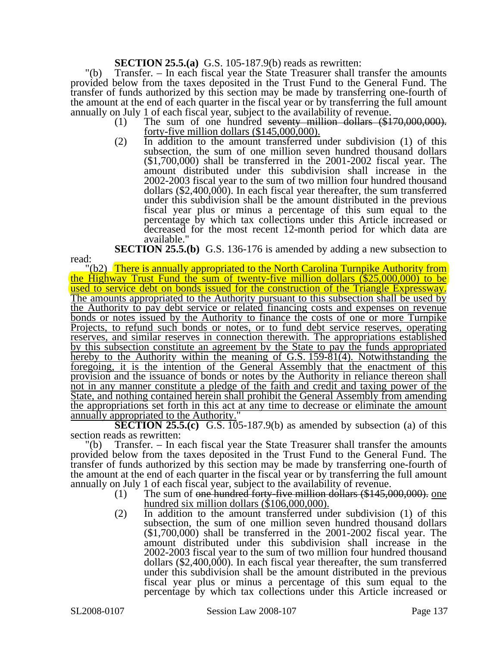#### **SECTION 25.5.(a)** G.S. 105-187.9(b) reads as rewritten:

"(b) Transfer. – In each fiscal year the State Treasurer shall transfer the amounts provided below from the taxes deposited in the Trust Fund to the General Fund. The transfer of funds authorized by this section may be made by transferring one-fourth of the amount at the end of each quarter in the fiscal year or by transferring the full amount annually on July 1 of each fiscal year, subject to the availability of revenue.

- $(1)$  The sum of one hundred seventy million dollars  $(\$170,000,000)$ . forty-five million dollars (\$145,000,000).
- (2) In addition to the amount transferred under subdivision (1) of this subsection, the sum of one million seven hundred thousand dollars (\$1,700,000) shall be transferred in the 2001-2002 fiscal year. The amount distributed under this subdivision shall increase in the 2002-2003 fiscal year to the sum of two million four hundred thousand dollars (\$2,400,000). In each fiscal year thereafter, the sum transferred under this subdivision shall be the amount distributed in the previous fiscal year plus or minus a percentage of this sum equal to the percentage by which tax collections under this Article increased or decreased for the most recent 12-month period for which data are available."

**SECTION 25.5.(b)** G.S. 136-176 is amended by adding a new subsection to

"(b2) There is annually appropriated to the North Carolina Turnpike Authority from the Highway Trust Fund the sum of twenty-five million dollars (\$25,000,000) to be used to service debt on bonds issued for the construction of the Triangle Expressway. The amounts appropriated to the Authority pursuant to this subsection shall be used by the Authority to pay debt service or related financing costs and expenses on revenue bonds or notes issued by the Authority to finance the costs of one or more Turnpike Projects, to refund such bonds or notes, or to fund debt service reserves, operating reserves, and similar reserves in connection therewith. The appropriations established by this subsection constitute an agreement by the State to pay the funds appropriated hereby to the Authority within the meaning of G.S. 159-81(4). Notwithstanding the foregoing, it is the intention of the General Assembly that the enactment of this provision and the issuance of bonds or notes by the Authority in reliance thereon shall not in any manner constitute a pledge of the faith and credit and taxing power of the State, and nothing contained herein shall prohibit the General Assembly from amending the appropriations set forth in this act at any time to decrease or eliminate the amount annually appropriated to the Authority.

**SECTION 25.5.(c)** G.S. 105-187.9(b) as amended by subsection (a) of this section reads as rewritten:

"(b) Transfer. – In each fiscal year the State Treasurer shall transfer the amounts provided below from the taxes deposited in the Trust Fund to the General Fund. The transfer of funds authorized by this section may be made by transferring one-fourth of the amount at the end of each quarter in the fiscal year or by transferring the full amount annually on July 1 of each fiscal year, subject to the availability of revenue.

- $(1)$  The sum of <del>one hundred forty-five million dollars (\$145,000,000).</del> one hundred six million dollars (\$106,000,000).
- (2) In addition to the amount transferred under subdivision (1) of this subsection, the sum of one million seven hundred thousand dollars (\$1,700,000) shall be transferred in the 2001-2002 fiscal year. The amount distributed under this subdivision shall increase in the 2002-2003 fiscal year to the sum of two million four hundred thousand dollars (\$2,400,000). In each fiscal year thereafter, the sum transferred under this subdivision shall be the amount distributed in the previous fiscal year plus or minus a percentage of this sum equal to the percentage by which tax collections under this Article increased or

read: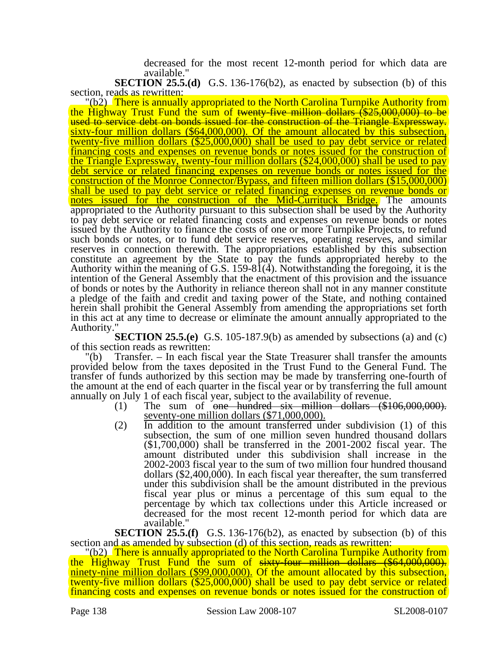decreased for the most recent 12-month period for which data are available."

**SECTION 25.5.(d)** G.S. 136-176(b2), as enacted by subsection (b) of this section, reads as rewritten:

"(b2) There is annually appropriated to the North Carolina Turnpike Authority from the Highway Trust Fund the sum of twenty-five million dollars (\$25,000,000) to be<br>used to service debt on bonds issued for the construction of the Triangle Expressway.  $\frac{\text{sixty-four million dollars} (\$64,000,000)$ . Of the amount allocated by this subsection, twenty-five million dollars (\$25,000,000) shall be used to pay debt service or related financing costs and expenses on revenue bonds or notes issued for the construction of the Triangle Expressway, twenty-four million dollars (\$24,000,000) shall be used to pay debt service or related financing expenses on revenue bonds or notes issued for the construction of the Monroe Connector/Bypass, and fifteen million dollars (\$15,000,000) shall be used to pay debt service or related financing expenses on revenue bonds or notes issued for the construction of the Mid-Currituck Bridge. The amounts appropriated to the Authority pursuant to this subsection shall be used by the Authority to pay debt service or related financing costs and expenses on revenue bonds or notes issued by the Authority to finance the costs of one or more Turnpike Projects, to refund such bonds or notes, or to fund debt service reserves, operating reserves, and similar reserves in connection therewith. The appropriations established by this subsection constitute an agreement by the State to pay the funds appropriated hereby to the Authority within the meaning of G.S. 159-8 $\hat{1}$ (4). Notwithstanding the foregoing, it is the intention of the General Assembly that the enactment of this provision and the issuance of bonds or notes by the Authority in reliance thereon shall not in any manner constitute a pledge of the faith and credit and taxing power of the State, and nothing contained herein shall prohibit the General Assembly from amending the appropriations set forth in this act at any time to decrease or eliminate the amount annually appropriated to the Authority."

**SECTION 25.5.(e)** G.S. 105-187.9(b) as amended by subsections (a) and (c) of this section reads as rewritten:

"(b) Transfer. – In each fiscal year the State Treasurer shall transfer the amounts provided below from the taxes deposited in the Trust Fund to the General Fund. The transfer of funds authorized by this section may be made by transferring one-fourth of the amount at the end of each quarter in the fiscal year or by transferring the full amount annually on July 1 of each fiscal year, subject to the availability of revenue.

- $(1)$  The sum of one hundred six million dollars  $(\$106,000,000)$ . seventy-one million dollars (\$71,000,000).
- (2) In addition to the amount transferred under subdivision (1) of this subsection, the sum of one million seven hundred thousand dollars (\$1,700,000) shall be transferred in the 2001-2002 fiscal year. The amount distributed under this subdivision shall increase in the 2002-2003 fiscal year to the sum of two million four hundred thousand dollars (\$2,400,000). In each fiscal year thereafter, the sum transferred under this subdivision shall be the amount distributed in the previous fiscal year plus or minus a percentage of this sum equal to the percentage by which tax collections under this Article increased or decreased for the most recent 12-month period for which data are available."

**SECTION 25.5.(f)** G.S. 136-176(b2), as enacted by subsection (b) of this section and as amended by subsection (d) of this section, reads as rewritten:

"(b2) There is annually appropriated to the North Carolina Turnpike Authority from the Highway Trust Fund the sum of sixty-four million dollars (\$64,000,000). ninety-nine million dollars (\$99,000,000). Of the amount allocated by this subsection, twenty-five million dollars (\$25,000,000) shall be used to pay debt service or related financing costs and expenses on revenue bonds or notes issued for the construction of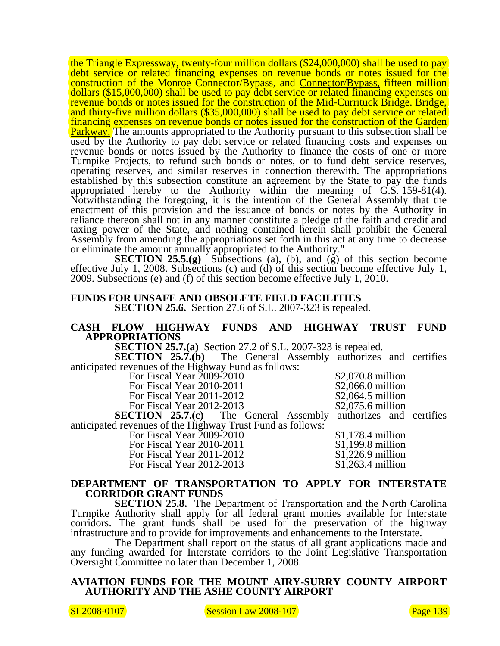the Triangle Expressway, twenty-four million dollars (\$24,000,000) shall be used to pay debt service or related financing expenses on revenue bonds or notes issued for the construction of the Monroe Connector/Bypass, and Connector/Bypass, fifteen million dollars (\$15,000,000) shall be used to pay debt service or related financing expenses on revenue bonds or notes issued for the construction of the Mid-Currituck Bridge. Bridge, and thirty-five million dollars (\$35,000,000) shall be used to pay debt service or related financing expenses on revenue bonds or notes issued for the construction of the Garden **Parkway.** The amounts appropriated to the Authority pursuant to this subsection shall be used by the Authority to pay debt service or related financing costs and expenses on revenue bonds or notes issued by the Authority to finance the costs of one or more Turnpike Projects, to refund such bonds or notes, or to fund debt service reserves, operating reserves, and similar reserves in connection therewith. The appropriations established by this subsection constitute an agreement by the State to pay the funds appropriated hereby to the Authority within the meaning of G.S. 159-81(4). Notwithstanding the foregoing, it is the intention of the General Assembly that the enactment of this provision and the issuance of bonds or notes by the Authority in reliance thereon shall not in any manner constitute a pledge of the faith and credit and taxing power of the State, and nothing contained herein shall prohibit the General Assembly from amending the appropriations set forth in this act at any time to decrease or eliminate the amount annually appropriated to the Authority."

**SECTION 25.5.(g)** Subsections (a), (b), and (g) of this section become effective July 1, 2008. Subsections (c) and (d) of this section become effective July 1, 2009. Subsections (e) and (f) of this section become effective July 1, 2010.

#### **FUNDS FOR UNSAFE AND OBSOLETE FIELD FACILITIES SECTION 25.6.** Section 27.6 of S.L. 2007-323 is repealed.

#### **CASH FLOW HIGHWAY FUNDS AND HIGHWAY TRUST FUND APPROPRIATIONS**

**SECTION 25.7.(a)** Section 27.2 of S.L. 2007-323 is repealed.<br>**SECTION 25.7.(b)** The General Assembly authorizes

The General Assembly authorizes and certifies anticipated revenues of the Highway Fund as follows:

For Fiscal Year 2009-2010<br>
For Fiscal Year 2010-2011<br>
\$2,066.0 million

For Fiscal Year 2012-2013.

For Fiscal Year 2010-2011 \$2,066.0 million<br>For Fiscal Year 2011-2012 \$2,064.5 million For Fiscal Year 2011-2012<br>
For Fiscal Year 2012-2013<br>
\$2,075.6 million

**SECTION 25.7.(c)** The General Assembly authorizes and certifies anticipated revenues of the Highway Trust Fund as follows:

For Fiscal Year 2009-2010<br>
For Fiscal Year 2010-2011<br>
\$1,199.8 million For Fiscal Year 2010-2011 \$1,199.8 million<br>For Fiscal Year 2011-2012 \$1,226.9 million For Fiscal Year 2011-2012<br>
For Fiscal Year 2012-2013<br>
\$1,263.4 million For Fiscal Year  $2012-2013$ 

#### **DEPARTMENT OF TRANSPORTATION TO APPLY FOR INTERSTATE CORRIDOR GRANT FUNDS**

**SECTION 25.8.** The Department of Transportation and the North Carolina Turnpike Authority shall apply for all federal grant monies available for Interstate corridors. The grant funds shall be used for the preservation of the highway infrastructure and to provide for improvements and enhancements to the Interstate.

The Department shall report on the status of all grant applications made and any funding awarded for Interstate corridors to the Joint Legislative Transportation Oversight Committee no later than December 1, 2008.

#### **AVIATION FUNDS FOR THE MOUNT AIRY-SURRY COUNTY AIRPORT AUTHORITY AND THE ASHE COUNTY AIRPORT**

SL2008-0107 Session Law 2008-107 Session Law 2008-107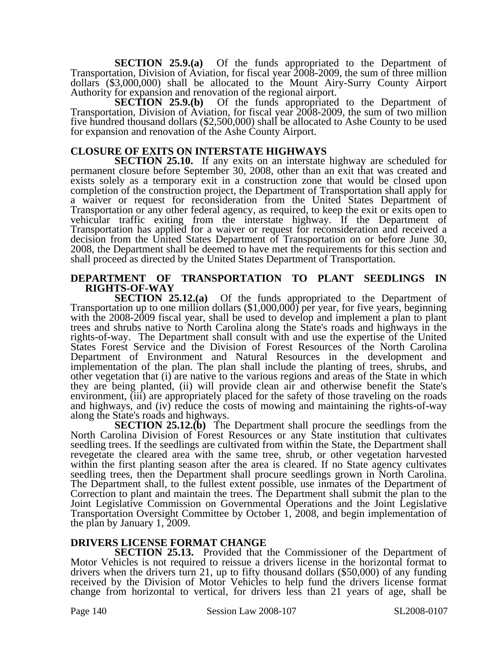**SECTION 25.9.(a)** Of the funds appropriated to the Department of Transportation, Division of Aviation, for fiscal year 2008-2009, the sum of three million dollars (\$3,000,000) shall be allocated to the Mount Airy-Surry County Airport Authority for expansion and renovation of the regional airport.

**SECTION 25.9.(b)** Of the funds appropriated to the Department of Transportation, Division of Aviation, for fiscal year 2008-2009, the sum of two million five hundred thousand dollars (\$2,500,000) shall be allocated to Ashe County to be used for expansion and renovation of the Ashe County Airport.

#### **CLOSURE OF EXITS ON INTERSTATE HIGHWAYS**

**SECTION 25.10.** If any exits on an interstate highway are scheduled for permanent closure before September 30, 2008, other than an exit that was created and exists solely as a temporary exit in a construction zone that would be closed upon completion of the construction project, the Department of Transportation shall apply for a waiver or request for reconsideration from the United States Department of Transportation or any other federal agency, as required, to keep the exit or exits open to vehicular traffic exiting from the interstate highway. If the Department of Transportation has applied for a waiver or request for reconsideration and received a decision from the United States Department of Transportation on or before June 30, 2008, the Department shall be deemed to have met the requirements for this section and shall proceed as directed by the United States Department of Transportation.

#### **DEPARTMENT OF TRANSPORTATION TO PLANT SEEDLINGS IN RIGHTS-OF-WAY**

**SECTION 25.12.(a)** Of the funds appropriated to the Department of Transportation up to one million dollars (\$1,000,000) per year, for five years, beginning with the 2008-2009 fiscal year, shall be used to develop and implement a plan to plant trees and shrubs native to North Carolina along the State's roads and highways in the rights-of-way. The Department shall consult with and use the expertise of the United States Forest Service and the Division of Forest Resources of the North Carolina Department of Environment and Natural Resources in the development and implementation of the plan. The plan shall include the planting of trees, shrubs, and other vegetation that (i) are native to the various regions and areas of the State in which they are being planted, (ii) will provide clean air and otherwise benefit the State's environment, (iii) are appropriately placed for the safety of those traveling on the roads and highways, and (iv) reduce the costs of mowing and maintaining the rights-of-way along the State's roads and highways.

**SECTION 25.12.(b)** The Department shall procure the seedlings from the North Carolina Division of Forest Resources or any State institution that cultivates seedling trees. If the seedlings are cultivated from within the State, the Department shall revegetate the cleared area with the same tree, shrub, or other vegetation harvested within the first planting season after the area is cleared. If no State agency cultivates seedling trees, then the Department shall procure seedlings grown in North Carolina. The Department shall, to the fullest extent possible, use inmates of the Department of Correction to plant and maintain the trees. The Department shall submit the plan to the Joint Legislative Commission on Governmental Operations and the Joint Legislative Transportation Oversight Committee by October 1, 2008, and begin implementation of the plan by January 1, 2009.

#### **DRIVERS LICENSE FORMAT CHANGE**

**SECTION 25.13.** Provided that the Commissioner of the Department of Motor Vehicles is not required to reissue a drivers license in the horizontal format to drivers when the drivers turn 21, up to fifty thousand dollars (\$50,000) of any funding received by the Division of Motor Vehicles to help fund the drivers license format change from horizontal to vertical, for drivers less than 21 years of age, shall be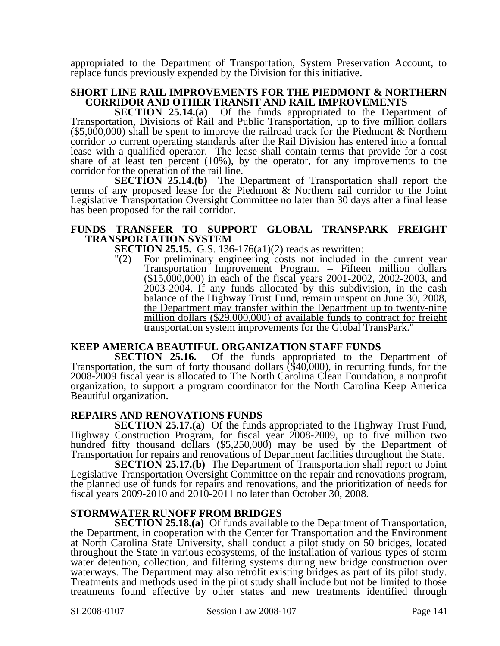appropriated to the Department of Transportation, System Preservation Account, to replace funds previously expended by the Division for this initiative.

#### **SHORT LINE RAIL IMPROVEMENTS FOR THE PIEDMONT & NORTHERN CORRIDOR AND OTHER TRANSIT AND RAIL IMPROVEMENTS**

**SECTION 25.14.(a)** Of the funds appropriated to the Department of Transportation, Divisions of Rail and Public Transportation, up to five million dollars (\$5,000,000) shall be spent to improve the railroad track for the Piedmont & Northern corridor to current operating standards after the Rail Division has entered into a formal lease with a qualified operator. The lease shall contain terms that provide for a cost share of at least ten percent (10%), by the operator, for any improvements to the corridor for the operation of the rail line.

**SECTION 25.14.(b)** The Department of Transportation shall report the terms of any proposed lease for the Piedmont & Northern rail corridor to the Joint Legislative Transportation Oversight Committee no later than 30 days after a final lease has been proposed for the rail corridor.

#### **FUNDS TRANSFER TO SUPPORT GLOBAL TRANSPARK FREIGHT TRANSPORTATION SYSTEM**

**SECTION 25.15.** G.S. 136-176(a1)(2) reads as rewritten:

"(2) For preliminary engineering costs not included in the current year Transportation Improvement Program. – Fifteen million dollars (\$15,000,000) in each of the fiscal years 2001-2002, 2002-2003, and 2003-2004. If any funds allocated by this subdivision, in the cash balance of the Highway Trust Fund, remain unspent on June 30, 2008, the Department may transfer within the Department up to twenty-nine million dollars (\$29,000,000) of available funds to contract for freight transportation system improvements for the Global TransPark."

### **KEEP AMERICA BEAUTIFUL ORGANIZATION STAFF FUNDS**

**SECTION 25.16.** Of the funds appropriated to the Department of Transportation, the sum of forty thousand dollars (\$40,000), in recurring funds, for the 2008-2009 fiscal year is allocated to The North Carolina Clean Foundation, a nonprofit organization, to support a program coordinator for the North Carolina Keep America Beautiful organization.

### **REPAIRS AND RENOVATIONS FUNDS**

**SECTION 25.17.(a)** Of the funds appropriated to the Highway Trust Fund, Highway Construction Program, for fiscal year 2008-2009, up to five million two hundred fifty thousand dollars (\$5,250,000) may be used by the Department of Transportation for repairs and renovations of Department facilities throughout the State.

**SECTION 25.17.(b)** The Department of Transportation shall report to Joint Legislative Transportation Oversight Committee on the repair and renovations program, the planned use of funds for repairs and renovations, and the prioritization of needs for fiscal years 2009-2010 and 2010-2011 no later than October 30, 2008.

### **STORMWATER RUNOFF FROM BRIDGES**

**SECTION 25.18.(a)** Of funds available to the Department of Transportation, the Department, in cooperation with the Center for Transportation and the Environment at North Carolina State University, shall conduct a pilot study on 50 bridges, located throughout the State in various ecosystems, of the installation of various types of storm water detention, collection, and filtering systems during new bridge construction over waterways. The Department may also retrofit existing bridges as part of its pilot study. Treatments and methods used in the pilot study shall include but not be limited to those treatments found effective by other states and new treatments identified through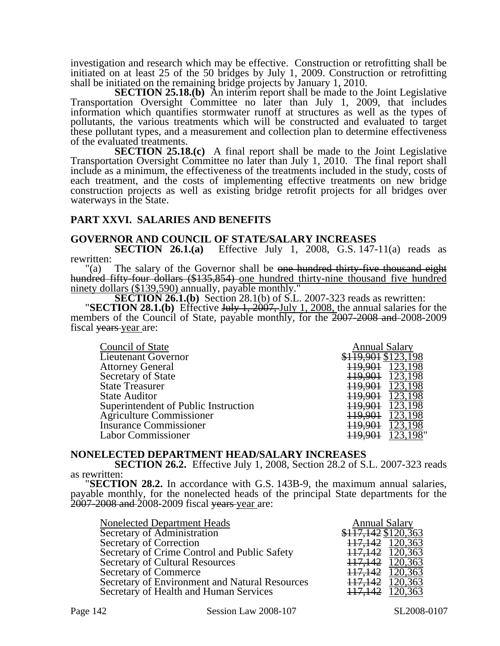investigation and research which may be effective. Construction or retrofitting shall be initiated on at least 25 of the 50 bridges by July 1, 2009. Construction or retrofitting shall be initiated on the remaining bridge projects by January 1, 2010.

**SECTION 25.18.(b)** An interim report shall be made to the Joint Legislative Transportation Oversight Committee no later than July 1, 2009, that includes information which quantifies stormwater runoff at structures as well as the types of pollutants, the various treatments which will be constructed and evaluated to target these pollutant types, and a measurement and collection plan to determine effectiveness of the evaluated treatments.

**SECTION 25.18.(c)** A final report shall be made to the Joint Legislative Transportation Oversight Committee no later than July 1, 2010. The final report shall include as a minimum, the effectiveness of the treatments included in the study, costs of each treatment, and the costs of implementing effective treatments on new bridge construction projects as well as existing bridge retrofit projects for all bridges over waterways in the State.

#### **PART XXVI. SALARIES AND BENEFITS**

#### **GOVERNOR AND COUNCIL OF STATE/SALARY INCREASES**

**SECTION 26.1.(a)** Effective July 1, 2008, G.S. 147-11(a) reads as

rewritten:<br> $"(a)$ The salary of the Governor shall be one hundred thirty-five thousand eight hundred fifty-four dollars (\$135,854) one hundred thirty-nine thousand five hundred ninety dollars (\$139,590) annually, payable monthly."

**SECTION 26.1.(b)** Section 28.1(b) of S.L. 2007-323 reads as rewritten:<br>"**SECTION 28.1.(b)** Effective July 1, 2007, July 1, 2008, the annual salaries for the **SECTION 28.1.(b)** Effective  $\frac{\text{July 1, 2007, July 1, 2008, the annual salaries for the members of the Council of State, payable monthly, for the  $2007-2008$  and  $2008-2009$$ fiscal vears year are:

| Council of State                     | <b>Annual Salary</b> |
|--------------------------------------|----------------------|
| Lieutenant Governor                  | \$119,901 \$123,198  |
| <b>Attorney General</b>              |                      |
| Secretary of State                   | 123,198<br>119,901   |
| <b>State Treasurer</b>               | 123,198              |
| <b>State Auditor</b>                 | 123,198              |
| Superintendent of Public Instruction | 123,198              |
| Agriculture Commissioner             | 123,198              |
| <b>Insurance Commissioner</b>        |                      |
| Labor Commissioner                   |                      |

#### **NONELECTED DEPARTMENT HEAD/SALARY INCREASES**

**SECTION 26.2.** Effective July 1, 2008, Section 28.2 of S.L. 2007-323 reads as rewritten: "**SECTION 28.2.** In accordance with G.S. 143B-9, the maximum annual salaries,

payable monthly, for the nonelected heads of the principal State departments for the 2007-2008 and 2008-2009 fiscal <del>years year</del> are:

| Nonelected Department Heads                    | <b>Annual Salary</b>            |
|------------------------------------------------|---------------------------------|
| Secretary of Administration                    | $$1\overline{17,142}$ \$120,363 |
| Secretary of Correction                        | 117,142 120,363                 |
| Secretary of Crime Control and Public Safety   | 117,142 120,363                 |
| Secretary of Cultural Resources                | 117,142 120,363                 |
| Secretary of Commerce                          | 117,142 120,363                 |
| Secretary of Environment and Natural Resources | 117,142 120,363                 |
| Secretary of Health and Human Services         | 117,142 120,363                 |
|                                                |                                 |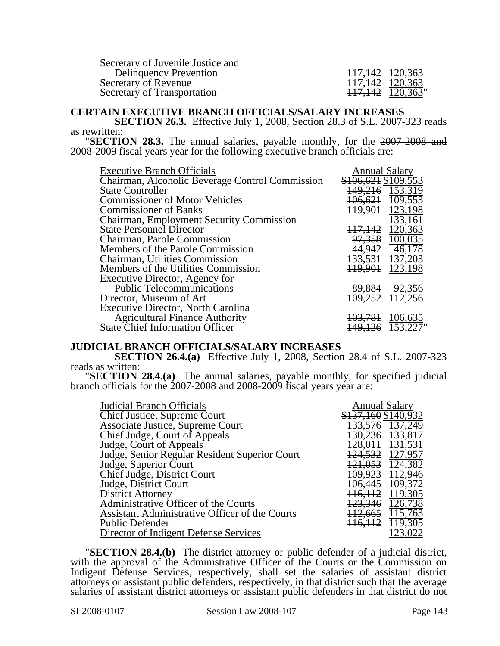Secretary of Juvenile Justice and Delinquency Prevention Secretary of Revenue  $\frac{117,142}{120,363}$ Secretary of Transportation

| <del>117,142</del> | 120,363 |
|--------------------|---------|
| <del>117,142</del> | 120,363 |
| <del>117,142</del> | 120,363 |
|                    |         |

#### **CERTAIN EXECUTIVE BRANCH OFFICIALS/SALARY INCREASES**

**SECTION 26.3.** Effective July 1, 2008, Section 28.3 of S.L. 2007-323 reads as rewritten: "**SECTION 28.3.** The annual salaries, payable monthly, for the 2007-2008 and

2008-2009 fiscal years year for the following executive branch officials are:

| <b>Executive Branch Officials</b>               | <b>Annual Salary</b>    |
|-------------------------------------------------|-------------------------|
| Chairman, Alcoholic Beverage Control Commission | \$106,621 \$109,553     |
| <b>State Controller</b>                         | 149,216 153,319         |
| <b>Commissioner of Motor Vehicles</b>           | 106,621 109,553         |
| <b>Commissioner of Banks</b>                    | 119,901 123,198         |
| <b>Chairman, Employment Security Commission</b> | 133,161                 |
| <b>State Personnel Director</b>                 | 120,363<br>117,142      |
| Chairman, Parole Commission                     | 97,358 100,035          |
| Members of the Parole Commission                | 44,942 46,178           |
| Chairman, Utilities Commission                  | 133,531 137,203         |
| Members of the Utilities Commission             | 119,901 123,198         |
| Executive Director, Agency for                  |                         |
| <b>Public Telecommunications</b>                | 89,884<br>92,356        |
| Director, Museum of Art                         | 109,252 112,256         |
| <b>Executive Director, North Carolina</b>       |                         |
| <b>Agricultural Finance Authority</b>           | 103.781<br>106,635      |
| <b>State Chief Information Officer</b>          | <del>126</del> 153,227" |

#### **JUDICIAL BRANCH OFFICIALS/SALARY INCREASES**

**SECTION 26.4.(a)** Effective July 1, 2008, Section 28.4 of S.L. 2007-323 reads as written:

**"SECTION 28.4.(a)** The annual salaries, payable monthly, for specified judicial branch officials for the 2007-2008 and 2008-2009 fiscal years year are:

| <b>Judicial Branch Officials</b>               | <b>Annual Salary</b> |
|------------------------------------------------|----------------------|
| Chief Justice, Supreme Court                   | \$137,160 \$140,932  |
| Associate Justice, Supreme Court               | 133,576 137,249      |
| Chief Judge, Court of Appeals                  | 130,236 133,817      |
| Judge, Court of Appeals                        | 128,011 131,531      |
| Judge, Senior Regular Resident Superior Court  | 124,532 127,957      |
| Judge, Superior Court                          | 121,053 124,382      |
| Chief Judge, District Court                    | 109,923 112,946      |
| Judge, District Court                          | 106,445 109,372      |
| District Attorney                              | 116, 112 119, 305    |
| Administrative Officer of the Courts           | 123,346 126,738      |
| Assistant Administrative Officer of the Courts | 112,665 115,763      |
| <b>Public Defender</b>                         | 116, 112 119, 305    |
| Director of Indigent Defense Services          |                      |

"**SECTION 28.4.(b)** The district attorney or public defender of a judicial district, with the approval of the Administrative Officer of the Courts or the Commission on Indigent Defense Services, respectively, shall set the salaries of assistant district attorneys or assistant public defenders, respectively, in that district such that the average salaries of assistant district attorneys or assistant public defenders in that district do not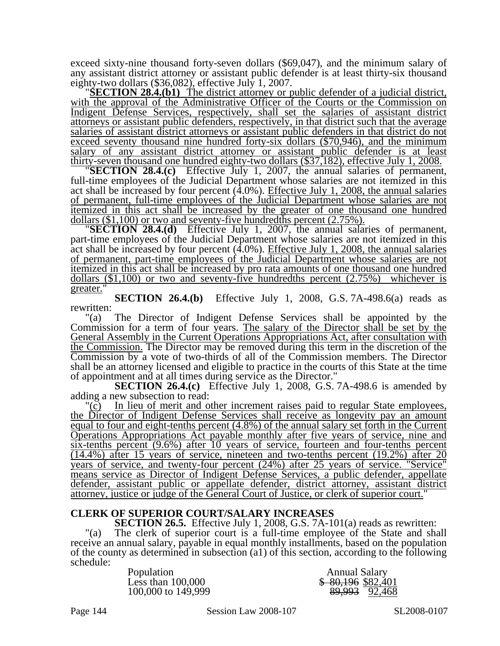exceed sixty-nine thousand forty-seven dollars (\$69,047), and the minimum salary of any assistant district attorney or assistant public defender is at least thirty-six thousand eighty-two dollars (\$36,082), effective July 1, 2007.<br>"SECTION 28.4.(b1) The district attorney or public defender of a judicial d

with the approval of the Administrative Officer of the Courts or the Commission on Indigent Defense Services, respectively, shall set the salaries of assistant district attorneys or assistant public defenders, respectively, in that district such that the average salaries of assistant district attorneys or assistant public defenders in that district do not exceed seventy thousand nine hundred forty-six dollars (\$70,946), and the minimum salary of any assistant district attorney or assistant public defender is at least thirty-seven thousand one hundred eighty-two dollars (\$37,182), effective July 1, 2008.

**THE SECTION 28.4.(c)** Effective July 1, 2007, the annual salaries of permanent, full-time employees of the Judicial Department whose salaries are not itemized in this act shall be increased by four percent (4.0%). Effective July 1, 2008, the annual salaries of permanent, full-time employees of the Judicial Department whose salaries are not itemized in this act shall be increased by the greater of one thousand one hundred dollars  $(\$1,100)$  or two and seventy-five hundredths percent  $(2.75\%)$ .

**SECTION 28.4.(d)** Effective July 1, 2007, the annual salaries of permanent, part-time employees of the Judicial Department whose salaries are not itemized in this act shall be increased by four percent (4.0%). Effective July 1, 2008, the annual salaries of permanent, part-time employees of the Judicial Department whose salaries are not itemized in this act shall be increased by pro rata amounts of one thousand one hundred dollars  $(\$1,100)$  or two and seventy-five hundredths percent  $(2.75%)$  whichever is greater."

**SECTION 26.4.(b)** Effective July 1, 2008, G.S. 7A-498.6(a) reads as rewritten:

"(a) The Director of Indigent Defense Services shall be appointed by the Commission for a term of four years. The salary of the Director shall be set by the General Assembly in the Current Operations Appropriations Act, after consultation with the Commission. The Director may be removed during this term in the discretion of the Commission by a vote of two-thirds of all of the Commission members. The Director shall be an attorney licensed and eligible to practice in the courts of this State at the time of appointment and at all times during service as the Director."

**SECTION 26.4.(c)** Effective July 1, 2008, G.S. 7A-498.6 is amended by adding a new subsection to read:

"(c) In lieu of merit and other increment raises paid to regular State employees, the Director of Indigent Defense Services shall receive as longevity pay an amount equal to four and eight-tenths percent (4.8%) of the annual salary set forth in the Current Operations Appropriations Act payable monthly after five years of service, nine and six-tenths percent (9.6%) after 10 years of service, fourteen and four-tenths percent (14.4%) after 15 years of service, nineteen and two-tenths percent (19.2%) after 20 years of service, and twenty-four percent (24%) after 25 years of service. "Service" means service as Director of Indigent Defense Services, a public defender, appellate defender, assistant public or appellate defender, district attorney, assistant district attorney, justice or judge of the General Court of Justice, or clerk of superior court."

#### **CLERK OF SUPERIOR COURT/SALARY INCREASES**

**SECTION 26.5.** Effective July 1, 2008, G.S. 7A-101(a) reads as rewritten: "(a) The clerk of superior court is a full-time employee of the State and shall receive an annual salary, payable in equal monthly installments, based on the population of the county as determined in subsection (a1) of this section, according to the following schedule:

Population Annual Salary<br>Less than 100,000 \$80,196 \$82,4

\$ 80,196 \$82,401 100,000 to 149,999 89,993 89,993 89,993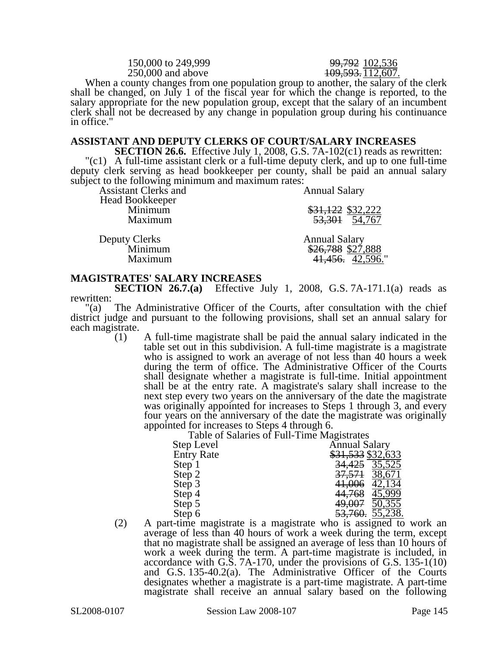150,000 to 249,999<br>250,000 and above  $\frac{99,792}{102,593,112,607}$ 

109.593.112,607.

When a county changes from one population group to another, the salary of the clerk shall be changed, on July 1 of the fiscal year for which the change is reported, to the salary appropriate for the new population group, except that the salary of an incumbent clerk shall not be decreased by any change in population group during his continuance in office."

### **ASSISTANT AND DEPUTY CLERKS OF COURT/SALARY INCREASES**

**SECTION 26.6.** Effective July 1, 2008, G.S. 7A-102(c1) reads as rewritten: "(c1) A full-time assistant clerk or a full-time deputy clerk, and up to one full-time deputy clerk serving as head bookkeeper per county, shall be paid an annual salary subject to the following minimum and maximum rates:

| Assistant Clerks and       | <b>Annual Salary</b> |  |
|----------------------------|----------------------|--|
| Head Bookkeeper<br>Minimum | \$31,122 \$32,222    |  |
| Maximum                    | 53,301 54,767        |  |
| <b>Deputy Clerks</b>       | <b>Annual Salary</b> |  |
| Minimum                    | \$26,788 \$27,888    |  |
| Maximum                    | 41,456. $42,596$ ."  |  |

### **MAGISTRATES' SALARY INCREASES**

**SECTION 26.7.(a)** Effective July 1, 2008, G.S. 7A-171.1(a) reads as rewritten:

"(a) The Administrative Officer of the Courts, after consultation with the chief district judge and pursuant to the following provisions, shall set an annual salary for each magistrate.

(1) A full-time magistrate shall be paid the annual salary indicated in the table set out in this subdivision. A full-time magistrate is a magistrate who is assigned to work an average of not less than 40 hours a week during the term of office. The Administrative Officer of the Courts shall designate whether a magistrate is full-time. Initial appointment shall be at the entry rate. A magistrate's salary shall increase to the next step every two years on the anniversary of the date the magistrate was originally appointed for increases to Steps 1 through 3, and every four years on the anniversary of the date the magistrate was originally appointed for increases to Steps 4 through 6.

Table of Salaries of Full-Time Magistrates

| Step Level        | <b>Annual Salary</b> |
|-------------------|----------------------|
| <b>Entry Rate</b> | \$31,533 \$32,633    |
| Step 1            | 34,425 35,525        |
| Step 2            | 37,571 38,671        |
| Step 3            | 41,006 42,134        |
| Step 4            | 44,768 45,999        |
| Step 5            | 49,007 50,355        |
| Step 6            | 53,760. 55,238.      |

(2) A part-time magistrate is a magistrate who is assigned to work an average of less than 40 hours of work a week during the term, except that no magistrate shall be assigned an average of less than 10 hours of work a week during the term. A part-time magistrate is included, in accordance with G.S. 7A-170, under the provisions of G.S. 135-1(10) and G.S. 135-40.2(a). The Administrative Officer of the Courts designates whether a magistrate is a part-time magistrate. A part-time magistrate shall receive an annual salary based on the following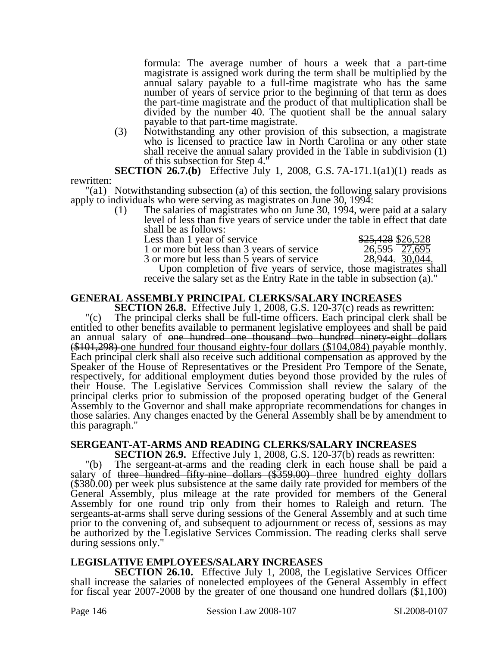formula: The average number of hours a week that a part-time magistrate is assigned work during the term shall be multiplied by the annual salary payable to a full-time magistrate who has the same number of years of service prior to the beginning of that term as does the part-time magistrate and the product of that multiplication shall be divided by the number 40. The quotient shall be the annual salary payable to that part-time magistrate.

(3) Notwithstanding any other provision of this subsection, a magistrate who is licensed to practice law in North Carolina or any other state shall receive the annual salary provided in the Table in subdivision (1) of this subsection for Step 4."

**SECTION 26.7.(b)** Effective July 1, 2008, G.S. 7A-171.1(a1)(1) reads as rewritten:

"(a1) Notwithstanding subsection (a) of this section, the following salary provisions apply to individuals who were serving as magistrates on June 30, 1994:

(1) The salaries of magistrates who on June 30, 1994, were paid at a salary level of less than five years of service under the table in effect that date shall be as follows:

Less than 1 year of service

1 or more but less than 3 years of service 3 or more but less than 5 years of service

| \$25,428 \$26,528 |         |
|-------------------|---------|
| <del>26,595</del> | 27,695  |
| <u>28,944.</u>    | 30,044. |

Upon completion of five years of service, those magistrates shall receive the salary set as the Entry Rate in the table in subsection (a)."

### **GENERAL ASSEMBLY PRINCIPAL CLERKS/SALARY INCREASES**

**SECTION 26.8.** Effective July 1, 2008, G.S. 120-37(c) reads as rewritten: "(c) The principal clerks shall be full-time officers. Each principal clerk shall be entitled to other benefits available to permanent legislative employees and shall be paid<br>an annual salary of <del>one hundred one thousand two hundred ninety eight dollars</del>  $\left(\frac{\$101,298\right)$  one hundred four thousand eighty-four dollars (\$104,084) payable monthly. Each principal clerk shall also receive such additional compensation as approved by the Speaker of the House of Representatives or the President Pro Tempore of the Senate, respectively, for additional employment duties beyond those provided by the rules of their House. The Legislative Services Commission shall review the salary of the principal clerks prior to submission of the proposed operating budget of the General Assembly to the Governor and shall make appropriate recommendations for changes in those salaries. Any changes enacted by the General Assembly shall be by amendment to this paragraph."

### **SERGEANT-AT-ARMS AND READING CLERKS/SALARY INCREASES**

**SECTION 26.9.** Effective July 1, 2008, G.S. 120-37(b) reads as rewritten: "(b) The sergeant-at-arms and the reading clerk in each house shall be paid a salary of three hundred fifty-nine dollars (\$359.00) three hundred eighty dollars  $$380.00$ ) per week plus subsistence at the same daily rate provided for members of the General Assembly, plus mileage at the rate provided for members of the General Assembly for one round trip only from their homes to Raleigh and return. The sergeants-at-arms shall serve during sessions of the General Assembly and at such time prior to the convening of, and subsequent to adjournment or recess of, sessions as may be authorized by the Legislative Services Commission. The reading clerks shall serve during sessions only."

### **LEGISLATIVE EMPLOYEES/SALARY INCREASES**

**SECTION 26.10.** Effective July 1, 2008, the Legislative Services Officer shall increase the salaries of nonelected employees of the General Assembly in effect for fiscal year 2007-2008 by the greater of one thousand one hundred dollars (\$1,100)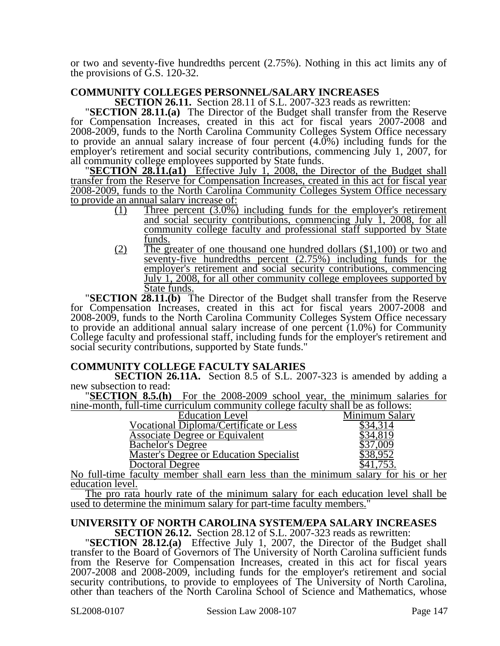or two and seventy-five hundredths percent (2.75%). Nothing in this act limits any of the provisions of G.S. 120-32.

# **COMMUNITY COLLEGES PERSONNEL/SALARY INCREASES**

**SECTION 28.11.(a)** The Director of the Budget shall transfer from the Reserve for Compensation Increases, created in this act for fiscal years 2007-2008 and 2008-2009, funds to the North Carolina Community Colleges System Office necessary to provide an annual salary increase of four percent (4.0%) including funds for the employer's retirement and social security contributions, commencing July 1, 2007, for all community college employees supported by State funds.

**SECTION 28.11.(a1)** Effective July 1, 2008, the Director of the Budget shall transfer from the Reserve for Compensation Increases, created in this act for fiscal year 2008-2009, funds to the North Carolina Community Colleges System Office necessary to provide an annual salary increase of:

- (1) Three percent (3.0%) including funds for the employer's retirement and social security contributions, commencing July 1, 2008, for all community college faculty and professional staff supported by State funds.
- (2) The greater of one thousand one hundred dollars (\$1,100) or two and seventy-five hundredths percent (2.75%) including funds for the employer's retirement and social security contributions, commencing July 1, 2008, for all other community college employees supported by State funds.

**"SECTION 28.11.(b)** The Director of the Budget shall transfer from the Reserve for Compensation Increases, created in this act for fiscal years 2007-2008 and 2008-2009, funds to the North Carolina Community Colleges System Office necessary to provide an additional annual salary increase of one percent (1.0%) for Community College faculty and professional staff, including funds for the employer's retirement and social security contributions, supported by State funds."

### **COMMUNITY COLLEGE FACULTY SALARIES**

**SECTION 26.11A.** Section 8.5 of S.L. 2007-323 is amended by adding a new subsection to read:

**SECTION 8.5.(h)** For the 2008-2009 school year, the minimum salaries for nine-month, full-time curriculum community college faculty shall be as follows:

| ппю пюниц тап иню сантоатанг соннцаны сонсде тасану внан ос автономв.    |                |
|--------------------------------------------------------------------------|----------------|
| <b>Education Level</b>                                                   | Minimum Salary |
| Vocational Diploma/Certificate or Less                                   |                |
| <b>Associate Degree or Equivalent</b>                                    |                |
| <b>Bachelor's Degree</b>                                                 | .009           |
| Master's Degree or Education Specialist                                  | 38.952         |
| Doctoral Degree                                                          |                |
| <b>ATC 11.1</b><br>$\mathbf 1$ $\mathbf 1$ $\mathbf 1$<br>$\blacksquare$ |                |

No full-time faculty member shall earn less than the minimum salary for his or her education level.

The pro rata hourly rate of the minimum salary for each education level shall be used to determine the minimum salary for part-time faculty members."

# **UNIVERSITY OF NORTH CAROLINA SYSTEM/EPA SALARY INCREASES**

**SECTION 26.12.** Section 28.12 of S.L. 2007-323 reads as rewritten: "**SECTION 28.12.(a)** Effective July 1, 2007, the Director of the Budget shall transfer to the Board of Governors of The University of North Carolina sufficient funds from the Reserve for Compensation Increases, created in this act for fiscal years 2007-2008 and 2008-2009, including funds for the employer's retirement and social security contributions, to provide to employees of The University of North Carolina, other than teachers of the North Carolina School of Science and Mathematics, whose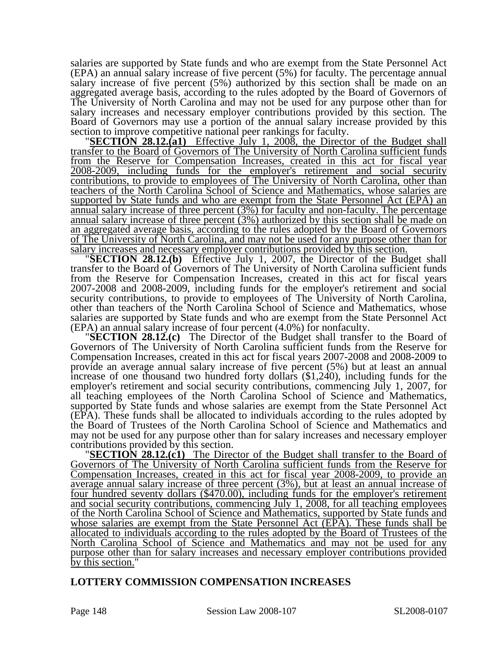salaries are supported by State funds and who are exempt from the State Personnel Act (EPA) an annual salary increase of five percent (5%) for faculty. The percentage annual salary increase of five percent (5%) authorized by this section shall be made on an aggregated average basis, according to the rules adopted by the Board of Governors of The University of North Carolina and may not be used for any purpose other than for salary increases and necessary employer contributions provided by this section. The Board of Governors may use a portion of the annual salary increase provided by this

section to improve competitive national peer rankings for faculty.<br>"**SECTION 28.12.(a1)** Effective July 1, 2008, the Director of the Budget shall transfer to the Board of Governors of The University of North Carolina sufficient funds from the Reserve for Compensation Increases, created in this act for fiscal year 2008-2009, including funds for the employer's retirement and social security contributions, to provide to employees of The University of North Carolina, other than teachers of the North Carolina School of Science and Mathematics, whose salaries are supported by State funds and who are exempt from the State Personnel Act (EPA) an annual salary increase of three percent (3%) for faculty and non-faculty. The percentage annual salary increase of three percent (3%) authorized by this section shall be made on an aggregated average basis, according to the rules adopted by the Board of Governors of The University of North Carolina, and may not be used for any purpose other than for

salary increases and necessary employer contributions provided by this section. "**SECTION 28.12.(b)** Effective July 1, 2007, the Director of the Budget shall transfer to the Board of Governors of The University of North Carolina sufficient funds from the Reserve for Compensation Increases, created in this act for fiscal years 2007-2008 and 2008-2009, including funds for the employer's retirement and social security contributions, to provide to employees of The University of North Carolina, other than teachers of the North Carolina School of Science and Mathematics, whose salaries are supported by State funds and who are exempt from the State Personnel Act (EPA) an annual salary increase of four percent (4.0%) for nonfaculty.

**"SECTION 28.12.(c)** The Director of the Budget shall transfer to the Board of Governors of The University of North Carolina sufficient funds from the Reserve for Compensation Increases, created in this act for fiscal years 2007-2008 and 2008-2009 to provide an average annual salary increase of five percent (5%) but at least an annual increase of one thousand two hundred forty dollars (\$1,240), including funds for the employer's retirement and social security contributions, commencing July 1, 2007, for all teaching employees of the North Carolina School of Science and Mathematics, supported by State funds and whose salaries are exempt from the State Personnel Act (EPA). These funds shall be allocated to individuals according to the rules adopted by the Board of Trustees of the North Carolina School of Science and Mathematics and may not be used for any purpose other than for salary increases and necessary employer

contributions provided by this section. "**SECTION 28.12.(c1)** The Director of the Budget shall transfer to the Board of Governors of The University of North Carolina sufficient funds from the Reserve for Compensation Increases, created in this act for fiscal year 2008-2009, to provide an average annual salary increase of three percent (3%), but at least an annual increase of four hundred seventy dollars (\$470.00), including funds for the employer's retirement and social security contributions, commencing July 1, 2008, for all teaching employees of the North Carolina School of Science and Mathematics, supported by State funds and whose salaries are exempt from the State Personnel Act (EPA). These funds shall be allocated to individuals according to the rules adopted by the Board of Trustees of the North Carolina School of Science and Mathematics and may not be used for any purpose other than for salary increases and necessary employer contributions provided by this section.'

### **LOTTERY COMMISSION COMPENSATION INCREASES**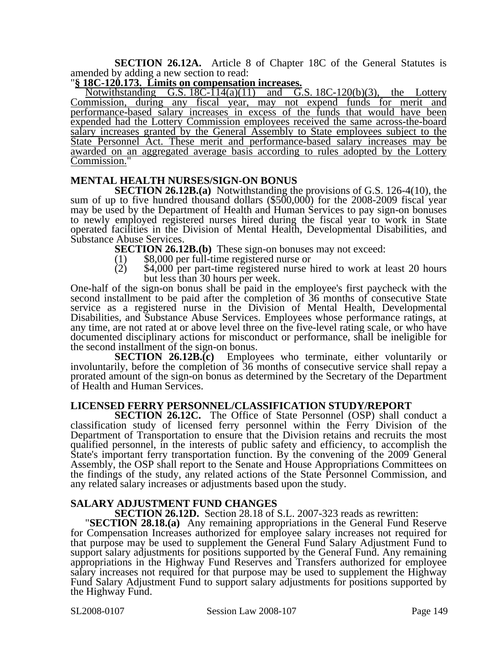**SECTION 26.12A.** Article 8 of Chapter 18C of the General Statutes is amended by adding a new section to read:

### "**§ 18C-120.173. Limits on compensation increases.**

Notwithstanding G.S.  $18C-114(a)(11)$  and G.S.  $18C-120(b)(3)$ , the Lottery Commission, during any fiscal year, may not expend funds for merit and performance-based salary increases in excess of the funds that would have been expended had the Lottery Commission employees received the same across-the-board salary increases granted by the General Assembly to State employees subject to the State Personnel Act. These merit and performance-based salary increases may be awarded on an aggregated average basis according to rules adopted by the Lottery Commission."

### **MENTAL HEALTH NURSES/SIGN-ON BONUS**

**SECTION 26.12B.(a)** Notwithstanding the provisions of G.S. 126-4(10), the sum of up to five hundred thousand dollars (\$500,000) for the 2008-2009 fiscal year may be used by the Department of Health and Human Services to pay sign-on bonuses to newly employed registered nurses hired during the fiscal year to work in State operated facilities in the Division of Mental Health, Developmental Disabilities, and Substance Abuse Services.

**SECTION 26.12B.(b)** These sign-on bonuses may not exceed: (1) \$8,000 per full-time registered nurse or

- 
- (2) \$4,000 per part-time registered nurse hired to work at least 20 hours but less than 30 hours per week.

One-half of the sign-on bonus shall be paid in the employee's first paycheck with the second installment to be paid after the completion of 36 months of consecutive State service as a registered nurse in the Division of Mental Health, Developmental Disabilities, and Substance Abuse Services. Employees whose performance ratings, at any time, are not rated at or above level three on the five-level rating scale, or who have documented disciplinary actions for misconduct or performance, shall be ineligible for the second installment of the sign-on bonus.

**SECTION 26.12B.(c)** Employees who terminate, either voluntarily or involuntarily, before the completion of 36 months of consecutive service shall repay a prorated amount of the sign-on bonus as determined by the Secretary of the Department of Health and Human Services.

### **LICENSED FERRY PERSONNEL/CLASSIFICATION STUDY/REPORT**

**SECTION 26.12C.** The Office of State Personnel (OSP) shall conduct a classification study of licensed ferry personnel within the Ferry Division of the Department of Transportation to ensure that the Division retains and recruits the most qualified personnel, in the interests of public safety and efficiency, to accomplish the State's important ferry transportation function. By the convening of the 2009 General Assembly, the OSP shall report to the Senate and House Appropriations Committees on the findings of the study, any related actions of the State Personnel Commission, and any related salary increases or adjustments based upon the study.

**SALARY ADJUSTMENT FUND CHANGES**<br>**SECTION 26.12D.** Section 28.18 of S.L. 2007-323 reads as rewritten:

**SECTION 28.18.(a)** Any remaining appropriations in the General Fund Reserve for Compensation Increases authorized for employee salary increases not required for that purpose may be used to supplement the General Fund Salary Adjustment Fund to support salary adjustments for positions supported by the General Fund. Any remaining appropriations in the Highway Fund Reserves and Transfers authorized for employee salary increases not required for that purpose may be used to supplement the Highway Fund Salary Adjustment Fund to support salary adjustments for positions supported by the Highway Fund.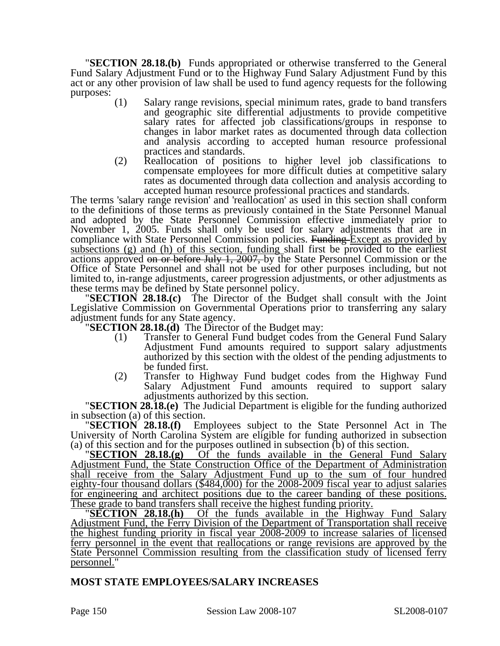"**SECTION 28.18.(b)** Funds appropriated or otherwise transferred to the General Fund Salary Adjustment Fund or to the Highway Fund Salary Adjustment Fund by this act or any other provision of law shall be used to fund agency requests for the following purposes:  $(1)$ 

- Salary range revisions, special minimum rates, grade to band transfers and geographic site differential adjustments to provide competitive salary rates for affected job classifications/groups in response to changes in labor market rates as documented through data collection and analysis according to accepted human resource professional practices and standards.
- (2) Reallocation of positions to higher level job classifications to compensate employees for more difficult duties at competitive salary rates as documented through data collection and analysis according to accepted human resource professional practices and standards.

The terms 'salary range revision' and 'reallocation' as used in this section shall conform to the definitions of those terms as previously contained in the State Personnel Manual and adopted by the State Personnel Commission effective immediately prior to November 1, 2005. Funds shall only be used for salary adjustments that are in compliance with State Personnel Commission policies. Funding Except as provided by subsections (g) and (h) of this section, funding shall first be provided to the earliest actions approved on or before July 1, 2007, by the State Personnel Commission or the Office of State Personnel and shall not be used for other purposes including, but not limited to, in-range adjustments, career progression adjustments, or other adjustments as

**SECTION 28.18.(c)** The Director of the Budget shall consult with the Joint Legislative Commission on Governmental Operations prior to transferring any salary adjustment funds for any State agency.

**SECTION 28.18.(d)** The Director of the Budget may:

- (1) Transfer to General Fund budget codes from the General Fund Salary Adjustment Fund amounts required to support salary adjustments authorized by this section with the oldest of the pending adjustments to be funded first.
- (2) Transfer to Highway Fund budget codes from the Highway Fund Salary Adjustment Fund amounts required to support salary adjustments authorized by this section.

**"SECTION 28.18.(e)** The Judicial Department is eligible for the funding authorized

in subsection (a) of this section. "**SECTION 28.18.(f)** Employees subject to the State Personnel Act in The University of North Carolina System are eligible for funding authorized in subsection

(a) of this section and for the purposes outlined in subsection (b) of this section. "**SECTION 28.18.(g)** Of the funds available in the General Fund Salary Adjustment Fund, the State Construction Office of the Department of Administration shall receive from the Salary Adjustment Fund up to the sum of four hundred eighty-four thousand dollars (\$484,000) for the 2008-2009 fiscal year to adjust salaries for engineering and architect positions due to the career banding of these positions. These grade to band transfers shall receive the highest funding priority. "**SECTION 28.18.(h)** Of the funds available in the Highway Fund Salary

Adjustment Fund, the Ferry Division of the Department of Transportation shall receive the highest funding priority in fiscal year 2008-2009 to increase salaries of licensed ferry personnel in the event that reallocations or range revisions are approved by the State Personnel Commission resulting from the classification study of licensed ferry personnel."

### **MOST STATE EMPLOYEES/SALARY INCREASES**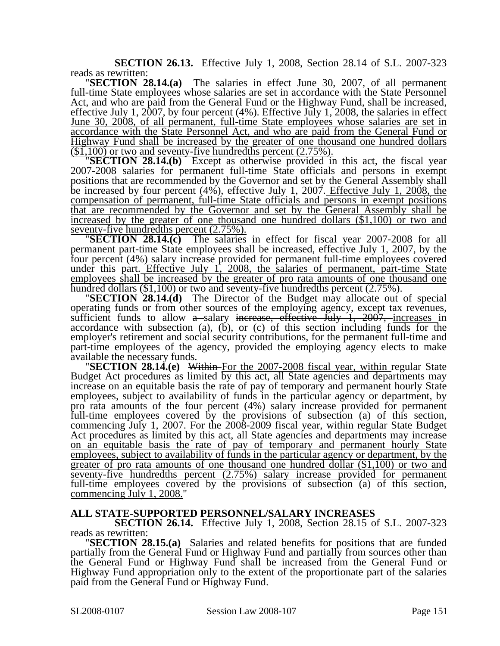**SECTION 26.13.** Effective July 1, 2008, Section 28.14 of S.L. 2007-323 reads as rewritten: "**SECTION 28.14.(a)** The salaries in effect June 30, 2007, of all permanent

full-time State employees whose salaries are set in accordance with the State Personnel Act, and who are paid from the General Fund or the Highway Fund, shall be increased, effective July 1, 2007, by four percent (4%). Effective July 1, 2008, the salaries in effect June 30, 2008, of all permanent, full-time State employees whose salaries are set in accordance with the State Personnel Act, and who are paid from the General Fund or Highway Fund shall be increased by the greater of one thousand one hundred dollars  $(\$1,100)$  or two and seventy-five hundredths percent  $(2.75\%)$ .

**"SECTION 28.14.(b)** Except as otherwise provided in this act, the fiscal year 2007-2008 salaries for permanent full-time State officials and persons in exempt positions that are recommended by the Governor and set by the General Assembly shall be increased by four percent (4%), effective July 1, 2007. Effective July 1, 2008, the compensation of permanent, full-time State officials and persons in exempt positions that are recommended by the Governor and set by the General Assembly shall be increased by the greater of one thousand one hundred dollars  $(\$1,100)$  or two and seventy-five hundredths percent  $(2.75\%)$ .

**SECTION 28.14.(c)** The salaries in effect for fiscal year 2007-2008 for all permanent part-time State employees shall be increased, effective July 1, 2007, by the four percent (4%) salary increase provided for permanent full-time employees covered under this part. Effective July 1, 2008, the salaries of permanent, part-time State employees shall be increased by the greater of pro rata amounts of one thousand one <u>hundred dollars  $(\$1,100)$  or two and seventy-five hundredths percent  $(2.75\%)$ .<br>"SECTION 28.14.(d) The Director of the Budget may allocate out of special</u>

operating funds or from other sources of the employing agency, except tax revenues, sufficient funds to allow  $a$ -salary increase, effective July 1, 2007, increases in accordance with subsection (a),  $(b)$ , or (c) of this section including funds for the employer's retirement and social security contributions, for the permanent full-time and part-time employees of the agency, provided the employing agency elects to make

available the necessary funds. "**SECTION 28.14.(e)** Within For the 2007-2008 fiscal year, within regular State Budget Act procedures as limited by this act, all State agencies and departments may increase on an equitable basis the rate of pay of temporary and permanent hourly State employees, subject to availability of funds in the particular agency or department, by pro rata amounts of the four percent (4%) salary increase provided for permanent full-time employees covered by the provisions of subsection (a) of this section, commencing July 1, 2007. For the 2008-2009 fiscal year, within regular State Budget Act procedures as limited by this act, all State agencies and departments may increase on an equitable basis the rate of pay of temporary and permanent hourly State employees, subject to availability of funds in the particular agency or department, by the greater of pro rata amounts of one thousand one hundred dollar (\$1,100) or two and seventy-five hundredths percent (2.75%) salary increase provided for permanent full-time employees covered by the provisions of subsection (a) of this section, commencing July 1, 2008."

### **ALL STATE-SUPPORTED PERSONNEL/SALARY INCREASES**

**SECTION 26.14.** Effective July 1, 2008, Section 28.15 of S.L. 2007-323 reads as rewritten:

**SECTION 28.15.(a)** Salaries and related benefits for positions that are funded partially from the General Fund or Highway Fund and partially from sources other than the General Fund or Highway Fund shall be increased from the General Fund or Highway Fund appropriation only to the extent of the proportionate part of the salaries paid from the General Fund or Highway Fund.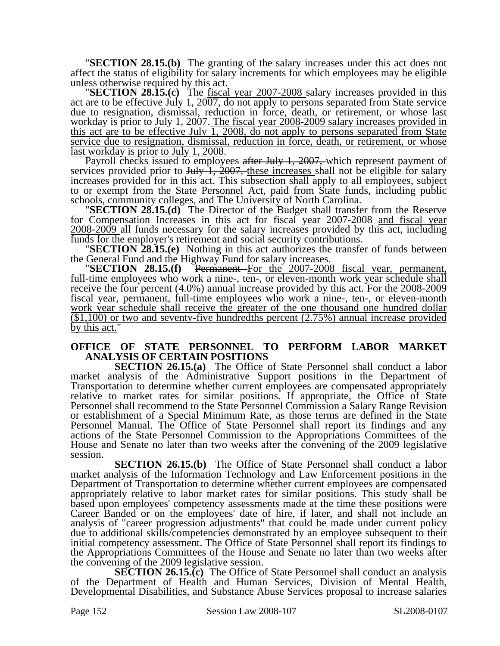"**SECTION 28.15.(b)** The granting of the salary increases under this act does not affect the status of eligibility for salary increments for which employees may be eligible unless otherwise required by this act. "**SECTION 28.15.(c)** The fiscal year 2007-2008 salary increases provided in this

act are to be effective July 1, 2007, do not apply to persons separated from State service due to resignation, dismissal, reduction in force, death, or retirement, or whose last workday is prior to July 1, 2007. The fiscal year 2008-2009 salary increases provided in this act are to be effective July 1, 2008, do not apply to persons separated from State service due to resignation, dismissal, reduction in force, death, or retirement, or whose last workday is prior to July 1, 2008.

Payroll checks issued to employees after July 1, 2007, which represent payment of services provided prior to July 1, 2007, these increases shall not be eligible for salary increases provided for in this act. This subsection shall apply to all employees, subject to or exempt from the State Personnel Act, paid from State funds, including public schools, community colleges, and The University of North Carolina. "**SECTION 28.15.(d)** The Director of the Budget shall transfer from the Reserve

for Compensation Increases in this act for fiscal year 2007-2008 and fiscal year 2008-2009 all funds necessary for the salary increases provided by this act, including funds for the employer's retirement and social security contributions.

**SECTION 28.15.(e)** Nothing in this act authorizes the transfer of funds between the General Fund and the Highway Fund for salary increases.

**TECTION 28.15.(f)** Permanent For the 2007-2008 fiscal year, permanent, full-time employees who work a nine-, ten-, or eleven-month work year schedule shall receive the four percent (4.0%) annual increase provided by this act. For the 2008-2009 fiscal year, permanent, full-time employees who work a nine-, ten-, or eleven-month work year schedule shall receive the greater of the one thousand one hundred dollar (\$1,100) or two and seventy-five hundredths percent (2.75%) annual increase provided by this act."

### **OFFICE OF STATE PERSONNEL TO PERFORM LABOR MARKET ANALYSIS OF CERTAIN POSITIONS**

**SECTION 26.15.(a)** The Office of State Personnel shall conduct a labor market analysis of the Administrative Support positions in the Department of Transportation to determine whether current employees are compensated appropriately relative to market rates for similar positions. If appropriate, the Office of State Personnel shall recommend to the State Personnel Commission a Salary Range Revision or establishment of a Special Minimum Rate, as those terms are defined in the State Personnel Manual. The Office of State Personnel shall report its findings and any actions of the State Personnel Commission to the Appropriations Committees of the House and Senate no later than two weeks after the convening of the 2009 legislative session.

**SECTION 26.15.(b)** The Office of State Personnel shall conduct a labor market analysis of the Information Technology and Law Enforcement positions in the Department of Transportation to determine whether current employees are compensated appropriately relative to labor market rates for similar positions. This study shall be based upon employees' competency assessments made at the time these positions were Career Banded or on the employees' date of hire, if later, and shall not include an analysis of "career progression adjustments" that could be made under current policy due to additional skills/competencies demonstrated by an employee subsequent to their initial competency assessment. The Office of State Personnel shall report its findings to the Appropriations Committees of the House and Senate no later than two weeks after the convening of the 2009 legislative session.

**SECTION 26.15.(c)** The Office of State Personnel shall conduct an analysis of the Department of Health and Human Services, Division of Mental Health, Developmental Disabilities, and Substance Abuse Services proposal to increase salaries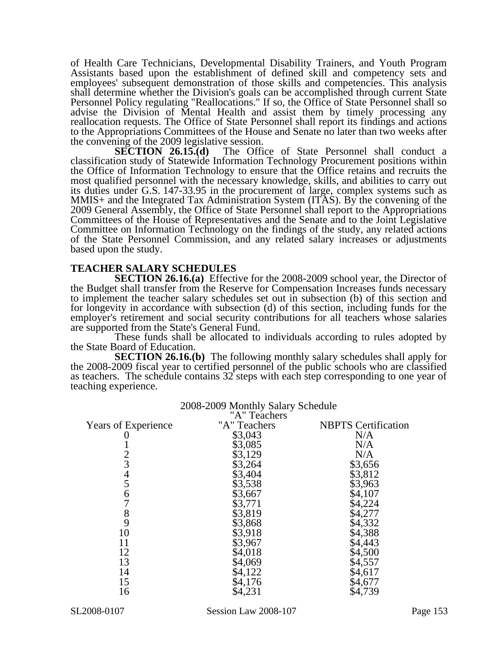of Health Care Technicians, Developmental Disability Trainers, and Youth Program Assistants based upon the establishment of defined skill and competency sets and employees' subsequent demonstration of those skills and competencies. This analysis shall determine whether the Division's goals can be accomplished through current State Personnel Policy regulating "Reallocations." If so, the Office of State Personnel shall so advise the Division of Mental Health and assist them by timely processing any reallocation requests. The Office of State Personnel shall report its findings and actions to the Appropriations Committees of the House and Senate no later than two weeks after

the convening of the 2009 legislative session.<br>SECTION 26.15.(d) The Office The Office of State Personnel shall conduct a classification study of Statewide Information Technology Procurement positions within the Office of Information Technology to ensure that the Office retains and recruits the most qualified personnel with the necessary knowledge, skills, and abilities to carry out its duties under G.S. 147-33.95 in the procurement of large, complex systems such as MMIS+ and the Integrated Tax Administration System (ITAS). By the convening of the 2009 General Assembly, the Office of State Personnel shall report to the Appropriations Committees of the House of Representatives and the Senate and to the Joint Legislative Committee on Information Technology on the findings of the study, any related actions of the State Personnel Commission, and any related salary increases or adjustments based upon the study.

### **TEACHER SALARY SCHEDULES**

**SECTION 26.16.(a)** Effective for the 2008-2009 school year, the Director of the Budget shall transfer from the Reserve for Compensation Increases funds necessary to implement the teacher salary schedules set out in subsection (b) of this section and for longevity in accordance with subsection (d) of this section, including funds for the employer's retirement and social security contributions for all teachers whose salaries are supported from the State's General Fund.

These funds shall be allocated to individuals according to rules adopted by the State Board of Education.

**SECTION 26.16.(b)** The following monthly salary schedules shall apply for the 2008-2009 fiscal year to certified personnel of the public schools who are classified as teachers. The schedule contains 32 steps with each step corresponding to one year of teaching experience.

|                            | "A" Teachers |                            |
|----------------------------|--------------|----------------------------|
| <b>Years of Experience</b> | "A" Teachers | <b>NBPTS</b> Certification |
|                            | \$3,043      | N/A                        |
|                            | \$3,085      | N/A                        |
|                            | \$3,129      | N/A                        |
| 2<br>3                     | \$3,264      | \$3,656                    |
|                            | \$3,404      | \$3,812                    |
| $rac{4}{5}$                | \$3,538      | \$3,963                    |
| 6                          | \$3,667      | \$4,107                    |
|                            | \$3,771      | \$4,224                    |
| 8                          | \$3,819      | \$4,277                    |
| 9                          | \$3,868      | \$4,332                    |
| 10                         | \$3,918      | \$4,388                    |
| 11                         | \$3,967      | \$4,443                    |
| 12                         | \$4,018      | \$4,500                    |
| 13                         | \$4,069      | \$4,557                    |
| 14                         | \$4,122      | \$4,617                    |
| 15                         | \$4,176      | \$4,677                    |
| 16                         | \$4,231      | \$4,739                    |
|                            |              |                            |

# 2008-2009 Monthly Salary Schedule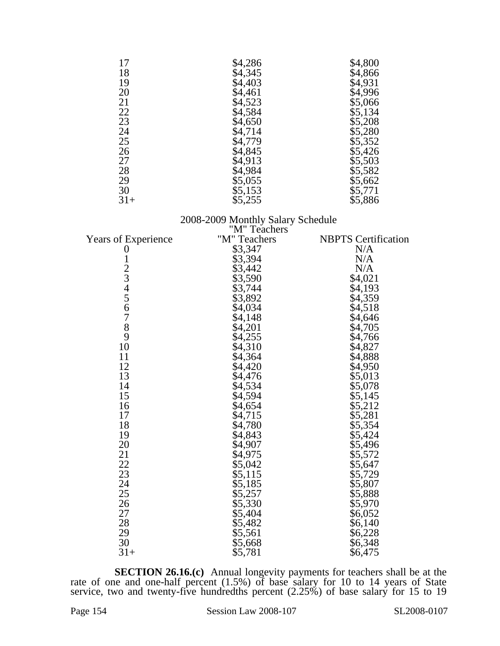| 17    | \$4,286 | \$4,800 |
|-------|---------|---------|
| 18    | \$4,345 | \$4,866 |
| 19    | \$4,403 | \$4,931 |
| 20    | \$4,461 | \$4,996 |
| 21    | \$4,523 | \$5,066 |
| 22    | \$4,584 | \$5,134 |
| 23    | \$4,650 | \$5,208 |
| 24    | \$4,714 | \$5,280 |
| 25    | \$4,779 | \$5,352 |
| 26    | \$4,845 | \$5,426 |
| 27    | \$4,913 | \$5,503 |
| 28    | \$4,984 | \$5,582 |
| 29    | \$5,055 | \$5,662 |
| 30    | \$5,153 | \$5,771 |
| $31+$ | \$5,255 | \$5,886 |

### 2008-2009 Monthly Salary Schedule

|                            | "M" Teachers |                            |
|----------------------------|--------------|----------------------------|
| <b>Years of Experience</b> | "M" Teachers | <b>NBPTS</b> Certification |
| 0                          | \$3,347      | N/A                        |
|                            | \$3,394      | N/A                        |
|                            | \$3,442      | N/A                        |
|                            | \$3,590      | \$4,021                    |
|                            | \$3,744      | \$4,193                    |
|                            | \$3,892      | \$4,359                    |
| 1234567                    | \$4,034      | \$4,518                    |
|                            | \$4,148      | \$4,646                    |
| $\overline{8}$             | \$4,201      | \$4,705                    |
| 9                          | \$4,255      | \$4,766                    |
| 10                         | \$4,310      | \$4,827                    |
| 11                         | \$4,364      | \$4,888                    |
| 12                         | \$4,420      | \$4,950                    |
| 13                         | \$4,476      | \$5,013                    |
| 14                         | \$4,534      | \$5,078                    |
| 15                         | \$4,594      | \$5,145                    |
| 16                         | \$4,654      | \$5,212                    |
| 17                         | \$4,715      | \$5,281                    |
| 18                         | \$4,780      | \$5,354                    |
| 19                         | \$4,843      | \$5,424                    |
| 20                         | \$4,907      | \$5,496                    |
| 21                         | \$4,975      | \$5,572                    |
| 22                         | \$5,042      | \$5,647                    |
| 23                         | \$5,115      | \$5,729                    |
| 24                         | \$5,185      | \$5,807                    |
| 25                         | \$5,257      | \$5,888                    |
| 26                         | \$5,330      | \$5,970                    |
| 27                         | \$5,404      | \$6,052                    |
| 28                         | \$5,482      | \$6,140                    |
| 29                         | \$5,561      | \$6,228                    |
| 30                         | \$5,668      | \$6,348                    |
| $31+$                      | \$5,781      | \$6,475                    |

**SECTION 26.16.(c)** Annual longevity payments for teachers shall be at the rate of one and one-half percent (1.5%) of base salary for 10 to 14 years of State service, two and twenty-five hundredths percent (2.25%) of base salary for 15 to 19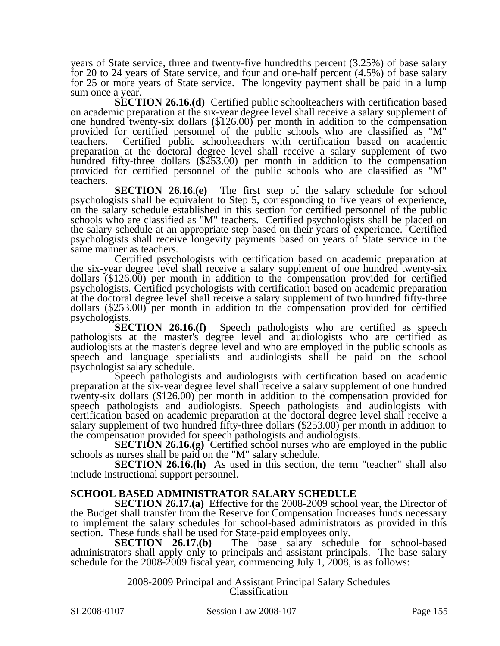years of State service, three and twenty-five hundredths percent (3.25%) of base salary for 20 to 24 years of State service, and four and one-half percent (4.5%) of base salary for 25 or more years of State service. The longevity payment shall be paid in a lump sum once a year.

**SECTION 26.16.(d)** Certified public schoolteachers with certification based on academic preparation at the six-year degree level shall receive a salary supplement of one hundred twenty-six dollars (\$126.00) per month in addition to the compensation provided for certified personnel of the public schools who are classified as "M" teachers. Certified public schoolteachers with certification based on academic preparation at the doctoral degree level shall receive a salary supplement of two hundred fifty-three dollars (\$253.00) per month in addition to the compensation provided for certified personnel of the public schools who are classified as "M" teachers.

**SECTION 26.16.(e)** The first step of the salary schedule for school psychologists shall be equivalent to Step 5, corresponding to five years of experience, on the salary schedule established in this section for certified personnel of the public schools who are classified as "M" teachers. Certified psychologists shall be placed on the salary schedule at an appropriate step based on their years of experience. Certified psychologists shall receive longevity payments based on years of State service in the same manner as teachers.

Certified psychologists with certification based on academic preparation at the six-year degree level shall receive a salary supplement of one hundred twenty-six dollars (\$126.00) per month in addition to the compensation provided for certified psychologists. Certified psychologists with certification based on academic preparation at the doctoral degree level shall receive a salary supplement of two hundred fifty-three dollars (\$253.00) per month in addition to the compensation provided for certified

psychologists.<br>**SECTION 26.16.(f)** Speech pathologists who are certified as speech pathologists at the master's degree level and audiologists who are certified as audiologists at the master's degree level and who are employed in the public schools as speech and language specialists and audiologists shall be paid on the school psychologist salary schedule.

Speech pathologists and audiologists with certification based on academic preparation at the six-year degree level shall receive a salary supplement of one hundred twenty-six dollars (\$126.00) per month in addition to the compensation provided for speech pathologists and audiologists. Speech pathologists and audiologists with certification based on academic preparation at the doctoral degree level shall receive a salary supplement of two hundred fifty-three dollars (\$253.00) per month in addition to the compensation provided for speech pathologists and audiologists.

**SECTION 26.16.(g)** Certified school nurses who are employed in the public schools as nurses shall be paid on the "M" salary schedule.

**SECTION 26.16.(h)** As used in this section, the term "teacher" shall also include instructional support personnel.

### **SCHOOL BASED ADMINISTRATOR SALARY SCHEDULE**

**SECTION 26.17.(a)** Effective for the 2008-2009 school year, the Director of the Budget shall transfer from the Reserve for Compensation Increases funds necessary to implement the salary schedules for school-based administrators as provided in this section. These funds shall be used for State-paid employees only.<br>**SECTION** 26.17.(b) The base salary schedu

The base salary schedule for school-based administrators shall apply only to principals and assistant principals. The base salary schedule for the 2008-2009 fiscal year, commencing July 1, 2008, is as follows:

> 2008-2009 Principal and Assistant Principal Salary Schedules Classification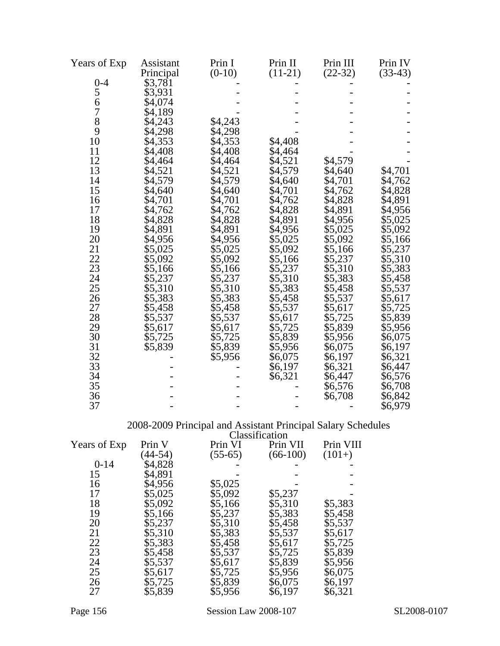| Years of Exp   | Assistant | Prin I   | Prin II   | Prin III  | Prin IV   |
|----------------|-----------|----------|-----------|-----------|-----------|
|                | Principal | $(0-10)$ | $(11-21)$ | $(22-32)$ | $(33-43)$ |
| $0 - 4$        | \$3,781   |          |           |           |           |
| 5              | \$3,931   |          |           |           |           |
| 6              | \$4,074   |          |           |           |           |
| $\overline{7}$ | \$4,189   |          |           |           |           |
| 8              | \$4,243   | \$4,243  |           |           |           |
| 9              | \$4,298   | \$4,298  |           |           |           |
| 10             | \$4,353   | \$4,353  | \$4,408   |           |           |
| 11             | \$4,408   | \$4,408  | \$4,464   |           |           |
| 12             | \$4,464   | \$4,464  | \$4,521   | \$4,579   |           |
| 13             | \$4,521   | \$4,521  | \$4,579   | \$4,640   | \$4,701   |
| 14             | \$4,579   | \$4,579  | \$4,640   | \$4,701   | \$4,762   |
| 15             | \$4,640   | \$4,640  | \$4,701   | \$4,762   | \$4,828   |
| 16             | \$4,701   | \$4,701  | \$4,762   | \$4,828   | \$4,891   |
| 17             | \$4,762   | \$4,762  | \$4,828   | \$4,891   | \$4,956   |
| 18             | \$4,828   | \$4,828  | \$4,891   | \$4,956   | \$5,025   |
| 19             | \$4,891   | \$4,891  | \$4,956   | \$5,025   | \$5,092   |
| 20             | \$4,956   | \$4,956  | \$5,025   | \$5,092   | \$5,166   |
| 21             | \$5,025   | \$5,025  | \$5,092   | \$5,166   | \$5,237   |
| 22             | \$5,092   | \$5,092  | \$5,166   | \$5,237   | \$5,310   |
| 23             | \$5,166   | \$5,166  | \$5,237   | \$5,310   | \$5,383   |
| 24             | \$5,237   | \$5,237  | \$5,310   | \$5,383   | \$5,458   |
| 25             | \$5,310   | \$5,310  | \$5,383   | \$5,458   | \$5,537   |
| 26             | \$5,383   | \$5,383  | \$5,458   | \$5,537   | \$5,617   |
| 27             | \$5,458   | \$5,458  | \$5,537   | \$5,617   | \$5,725   |
| 28             | \$5,537   | \$5,537  | \$5,617   | \$5,725   | \$5,839   |
| 29             | \$5,617   | \$5,617  | \$5,725   | \$5,839   | \$5,956   |
| 30             | \$5,725   | \$5,725  | \$5,839   | \$5,956   | \$6,075   |
| 31             | \$5,839   | \$5,839  | \$5,956   | \$6,075   | \$6,197   |
| 32             |           | \$5,956  | \$6,075   | \$6,197   | \$6,321   |
| 33             |           |          | \$6,197   | \$6,321   | \$6,447   |
| 34             |           |          | \$6,321   | \$6,447   | \$6,576   |
| 35             |           |          |           | \$6,576   | \$6,708   |
| 36             |           |          |           | \$6,708   | \$6,842   |
| 37             |           |          |           |           | \$6,979   |

### 2008-2009 Principal and Assistant Principal Salary Schedules

|              |           |           | Classification |           |
|--------------|-----------|-----------|----------------|-----------|
| Years of Exp | Prin V    | Prin VI   | Prin VII       | Prin VIII |
|              | $(44-54)$ | $(55-65)$ | $(66-100)$     | $(101+)$  |
| $0 - 14$     | \$4,828   |           |                |           |
| 15           | \$4,891   |           |                |           |
| 16           | \$4,956   | \$5,025   |                |           |
| 17           | \$5,025   | \$5,092   | \$5,237        |           |
| 18           | \$5,092   | \$5,166   | \$5,310        | \$5,383   |
| 19           | \$5,166   | \$5,237   | \$5,383        | \$5,458   |
| 20           | \$5,237   | \$5,310   | \$5,458        | \$5,537   |
| 21           | \$5,310   | \$5,383   | \$5,537        | \$5,617   |
| 22           | \$5,383   | \$5,458   | \$5,617        | \$5,725   |
| 23           | \$5,458   | \$5,537   | \$5,725        | \$5,839   |
| 24           | \$5,537   | \$5,617   | \$5,839        | \$5,956   |
| 25           | \$5,617   | \$5,725   | \$5,956        | \$6,075   |
| 26           | \$5,725   | \$5,839   | \$6,075        | \$6,197   |
| 27           | \$5,839   | \$5,956   | \$6,197        | \$6,321   |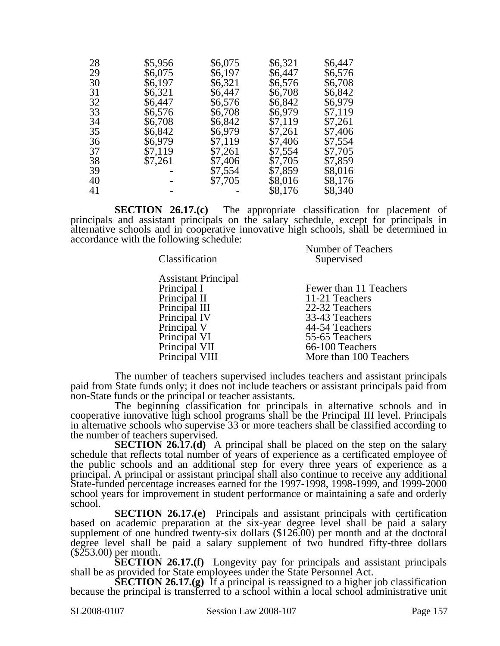| 28 | \$5,956 | \$6,075 | \$6,321 | \$6,447 |
|----|---------|---------|---------|---------|
| 29 | \$6,075 | \$6,197 | \$6,447 | \$6,576 |
| 30 | \$6,197 | \$6,321 | \$6,576 | \$6,708 |
| 31 | \$6,321 | \$6,447 | \$6,708 | \$6,842 |
| 32 | \$6,447 | \$6,576 | \$6,842 | \$6,979 |
| 33 | \$6,576 | \$6,708 | \$6,979 | \$7,119 |
| 34 | \$6,708 | \$6,842 | \$7,119 | \$7,261 |
| 35 | \$6,842 | \$6,979 | \$7,261 | \$7,406 |
| 36 | \$6,979 | \$7,119 | \$7,406 | \$7,554 |
| 37 | \$7,119 | \$7,261 | \$7,554 | \$7,705 |
| 38 | \$7,261 | \$7,406 | \$7,705 | \$7,859 |
| 39 |         | \$7,554 | \$7,859 | \$8,016 |
| 40 |         | \$7,705 | \$8,016 | \$8,176 |
| 41 |         |         | \$8,176 | \$8,340 |

**SECTION 26.17.(c)** The appropriate classification for placement of principals and assistant principals on the salary schedule, except for principals in alternative schools and in cooperative innovative high schools, shall be determined in accordance with the following schedule: Number of Teachers

| Number of Teachers<br>Supervised |
|----------------------------------|
|                                  |
| Fewer than 11 Teachers           |
| 11-21 Teachers                   |
| 22-32 Teachers                   |
| 33-43 Teachers                   |
| 44-54 Teachers                   |
| 55-65 Teachers                   |
| 66-100 Teachers                  |
| More than 100 Teachers           |
|                                  |

The number of teachers supervised includes teachers and assistant principals paid from State funds only; it does not include teachers or assistant principals paid from non-State funds or the principal or teacher assistants.

The beginning classification for principals in alternative schools and in cooperative innovative high school programs shall be the Principal III level. Principals in alternative schools who supervise 33 or more teachers shall be classified according to the number of teachers supervised.

**SECTION 26.17.(d)** A principal shall be placed on the step on the salary schedule that reflects total number of years of experience as a certificated employee of the public schools and an additional step for every three years of experience as a principal. A principal or assistant principal shall also continue to receive any additional State-funded percentage increases earned for the 1997-1998, 1998-1999, and 1999-2000 school years for improvement in student performance or maintaining a safe and orderly school.

**SECTION 26.17.(e)** Principals and assistant principals with certification based on academic preparation at the six-year degree level shall be paid a salary supplement of one hundred twenty-six dollars (\$126.00) per month and at the doctoral degree level shall be paid a salary supplement of two hundred fifty-three dollars (\$253.00) per month.

**SECTION 26.17.(f)** Longevity pay for principals and assistant principals shall be as provided for State employees under the State Personnel Act.

**SECTION 26.17.(g)** If a principal is reassigned to a higher job classification because the principal is transferred to a school within a local school administrative unit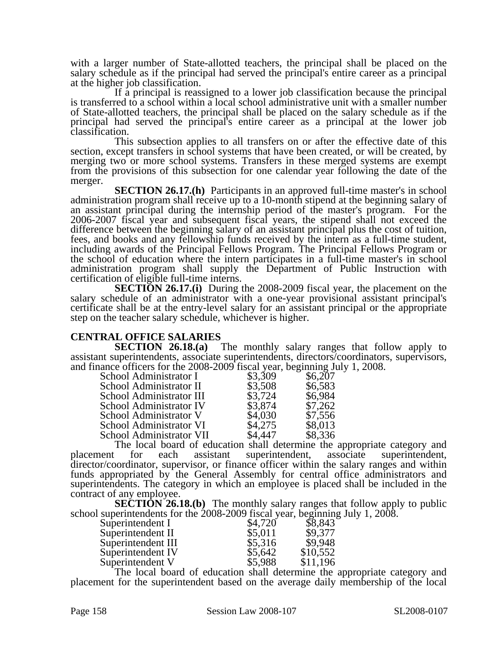with a larger number of State-allotted teachers, the principal shall be placed on the salary schedule as if the principal had served the principal's entire career as a principal at the higher job classification.

If a principal is reassigned to a lower job classification because the principal is transferred to a school within a local school administrative unit with a smaller number of State-allotted teachers, the principal shall be placed on the salary schedule as if the principal had served the principal's entire career as a principal at the lower job classification.

This subsection applies to all transfers on or after the effective date of this section, except transfers in school systems that have been created, or will be created, by merging two or more school systems. Transfers in these merged systems are exempt from the provisions of this subsection for one calendar year following the date of the merger.

**SECTION 26.17.(h)** Participants in an approved full-time master's in school administration program shall receive up to a 10-month stipend at the beginning salary of an assistant principal during the internship period of the master's program. For the 2006-2007 fiscal year and subsequent fiscal years, the stipend shall not exceed the difference between the beginning salary of an assistant principal plus the cost of tuition, fees, and books and any fellowship funds received by the intern as a full-time student, including awards of the Principal Fellows Program. The Principal Fellows Program or the school of education where the intern participates in a full-time master's in school administration program shall supply the Department of Public Instruction with certification of eligible full-time interns.

**SECTION 26.17.(i)** During the 2008-2009 fiscal year, the placement on the salary schedule of an administrator with a one-year provisional assistant principal's certificate shall be at the entry-level salary for an assistant principal or the appropriate step on the teacher salary schedule, whichever is higher.

# **CENTRAL OFFICE SALARIES**

The monthly salary ranges that follow apply to assistant superintendents, associate superintendents, directors/coordinators, supervisors, and finance officers for the  $2008-2009$  fiscal year, beginning July 1, 2008.

| $\frac{1}{2}$ of the state $\frac{1}{2}$ and $\frac{1}{2}$ and $\frac{1}{2}$ and $\frac{1}{2}$ and $\frac{1}{2}$ and $\frac{1}{2}$ and $\frac{1}{2}$ and $\frac{1}{2}$ and $\frac{1}{2}$ and $\frac{1}{2}$ and $\frac{1}{2}$ and $\frac{1}{2}$ and $\frac{1}{2}$ and $\frac{1}{2}$ and $\$ |         |         |
|--------------------------------------------------------------------------------------------------------------------------------------------------------------------------------------------------------------------------------------------------------------------------------------------|---------|---------|
| School Administrator I                                                                                                                                                                                                                                                                     | \$3,309 | \$6,207 |
| School Administrator II                                                                                                                                                                                                                                                                    | \$3,508 | \$6,583 |
| School Administrator III                                                                                                                                                                                                                                                                   | \$3,724 | \$6,984 |
| School Administrator IV                                                                                                                                                                                                                                                                    | \$3,874 | \$7,262 |
| School Administrator V                                                                                                                                                                                                                                                                     | \$4,030 | \$7,556 |
| School Administrator VI                                                                                                                                                                                                                                                                    | \$4,275 | \$8,013 |
| School Administrator VII                                                                                                                                                                                                                                                                   | \$4,447 | \$8,336 |
|                                                                                                                                                                                                                                                                                            |         |         |

The local board of education shall determine the appropriate category and placement for each assistant superintendent, associate superintendent, for each assistant superintendent, director/coordinator, supervisor, or finance officer within the salary ranges and within funds appropriated by the General Assembly for central office administrators and superintendents. The category in which an employee is placed shall be included in the contract of any employee.

**SECTION 26.18.(b)** The monthly salary ranges that follow apply to public school superintendents for the  $2008-2009$  fiscal year, beginning July 1,  $2008$ .

| Superintendent I   | \$4,720 | \$8,843  |
|--------------------|---------|----------|
| Superintendent II  | \$5,011 | \$9,377  |
| Superintendent III | \$5,316 | \$9,948  |
| Superintendent IV  | \$5,642 | \$10,552 |
| Superintendent V   | \$5,988 | \$11,196 |

The local board of education shall determine the appropriate category and placement for the superintendent based on the average daily membership of the local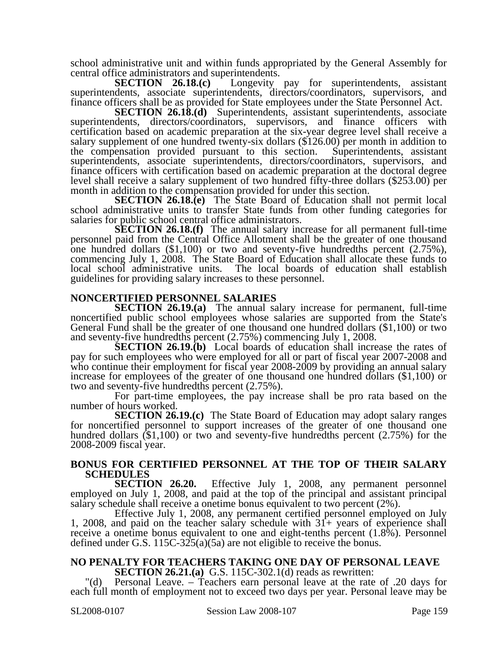school administrative unit and within funds appropriated by the General Assembly for central office administrators and superintendents.

**SECTION 26.18.(c)** Longevity pay for superintendents, assistant superintendents, associate superintendents, directors/coordinators, supervisors, and finance officers shall be as provided for State employees under the State Personnel Act.

**SECTION 26.18.(d)** Superintendents, assistant superintendents, associate superintendents, directors/coordinators, supervisors, and finance officers with certification based on academic preparation at the six-year degree level shall receive a salary supplement of one hundred twenty-six dollars (\$126.00) per month in addition to the compensation provided pursuant to this section. Superintendents, assistant superintendents, associate superintendents, directors/coordinators, supervisors, and finance officers with certification based on academic preparation at the doctoral degree level shall receive a salary supplement of two hundred fifty-three dollars (\$253.00) per month in addition to the compensation provided for under this section.

**SECTION 26.18.(e)** The State Board of Education shall not permit local school administrative units to transfer State funds from other funding categories for salaries for public school central office administrators.

**SECTION 26.18.(f)** The annual salary increase for all permanent full-time personnel paid from the Central Office Allotment shall be the greater of one thousand one hundred dollars  $(\$1,100)$  or two and seventy-five hundredths percent  $(2.75\%)$ , commencing July 1, 2008. The State Board of Education shall allocate these funds to local school administrative units. The local boards of education shall establish guidelines for providing salary increases to these personnel.

### **NONCERTIFIED PERSONNEL SALARIES**

**SECTION 26.19.(a)** The annual salary increase for permanent, full-time noncertified public school employees whose salaries are supported from the State's General Fund shall be the greater of one thousand one hundred dollars (\$1,100) or two and seventy-five hundredths percent (2.75%) commencing July 1, 2008.

**SECTION 26.19.(b)** Local boards of education shall increase the rates of pay for such employees who were employed for all or part of fiscal year 2007-2008 and who continue their employment for fiscal year 2008-2009 by providing an annual salary increase for employees of the greater of one thousand one hundred dollars (\$1,100) or two and seventy-five hundredths percent (2.75%).

For part-time employees, the pay increase shall be pro rata based on the number of hours worked.

**SECTION 26.19.(c)** The State Board of Education may adopt salary ranges for noncertified personnel to support increases of the greater of one thousand one hundred dollars (\$1,100) or two and seventy-five hundredths percent (2.75%) for the 2008-2009 fiscal year.

## **BONUS FOR CERTIFIED PERSONNEL AT THE TOP OF THEIR SALARY SCHEDULES**<br>**SECTION** 26.20.

Effective July 1, 2008, any permanent personnel employed on July 1, 2008, and paid at the top of the principal and assistant principal salary schedule shall receive a onetime bonus equivalent to two percent (2%).

Effective July 1, 2008, any permanent certified personnel employed on July 1, 2008, and paid on the teacher salary schedule with 31+ years of experience shall receive a onetime bonus equivalent to one and eight-tenths percent (1.8%). Personnel defined under G.S.  $115C-325(a)(5a)$  are not eligible to receive the bonus.

### **NO PENALTY FOR TEACHERS TAKING ONE DAY OF PERSONAL LEAVE**

**SECTION 26.21.(a)** G.S. 115C-302.1(d) reads as rewritten:

Personal Leave. – Teachers earn personal leave at the rate of .20 days for each full month of employment not to exceed two days per year. Personal leave may be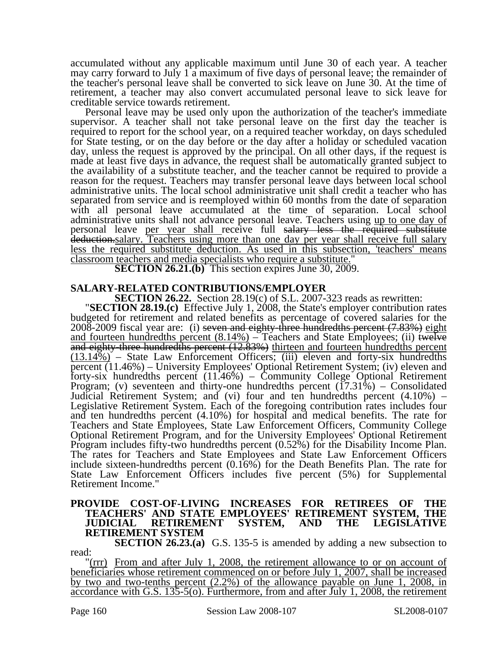accumulated without any applicable maximum until June 30 of each year. A teacher may carry forward to July 1 a maximum of five days of personal leave; the remainder of the teacher's personal leave shall be converted to sick leave on June 30. At the time of retirement, a teacher may also convert accumulated personal leave to sick leave for creditable service towards retirement.

Personal leave may be used only upon the authorization of the teacher's immediate supervisor. A teacher shall not take personal leave on the first day the teacher is required to report for the school year, on a required teacher workday, on days scheduled for State testing, or on the day before or the day after a holiday or scheduled vacation day, unless the request is approved by the principal. On all other days, if the request is made at least five days in advance, the request shall be automatically granted subject to the availability of a substitute teacher, and the teacher cannot be required to provide a reason for the request. Teachers may transfer personal leave days between local school administrative units. The local school administrative unit shall credit a teacher who has separated from service and is reemployed within 60 months from the date of separation with all personal leave accumulated at the time of separation. Local school administrative units shall not advance personal leave. Teachers using up to one day of personal leave per year shall receive full salary less the required substitute deduction.salary. Teachers using more than one day per year shall receive full salary less the required substitute deduction. As used in this subsection, 'teachers' means classroom teachers and media specialists who require a substitute."

**SECTION 26.21.(b)** This section expires June 30, 2009.

**SALARY-RELATED CONTRIBUTIONS/EMPLOYER<br>SECTION 26.22.** Section 28.19(c) of S.L. 2007-323 reads as rewritten:

**SECTION 28.19.(c)** Effective July 1, 2008, the State's employer contribution rates budgeted for retirement and related benefits as percentage of covered salaries for the  $2008-2009$  fiscal year are: (i) seven and eighty-three hundredths percent  $(7.83%)$  eight and fourteen hundredths percent  $(8.14\%)$  – Teachers and State Employees; (ii) twelve and eighty-three hundredths percent (12.83%) thirteen and fourteen hundredths percent  $(13.14%)$  – State Law Enforcement Officers; (iii) eleven and forty-six hundredths percent (11.46%) – University Employees' Optional Retirement System; (iv) eleven and forty-six hundredths percent (11.46%) – Community College Optional Retirement Program; (v) seventeen and thirty-one hundredths percent  $(17.31\%)$  – Consolidated Judicial Retirement System; and (vi) four and ten hundredths percent (4.10%) – Legislative Retirement System. Each of the foregoing contribution rates includes four and ten hundredths percent (4.10%) for hospital and medical benefits. The rate for Teachers and State Employees, State Law Enforcement Officers, Community College Optional Retirement Program, and for the University Employees' Optional Retirement Program includes fifty-two hundredths percent (0.52%) for the Disability Income Plan. The rates for Teachers and State Employees and State Law Enforcement Officers include sixteen-hundredths percent (0.16%) for the Death Benefits Plan. The rate for State Law Enforcement Officers includes five percent (5%) for Supplemental Retirement Income."

### **PROVIDE COST-OF-LIVING INCREASES FOR RETIREES OF THE TEACHERS' AND STATE EMPLOYEES' RETIREMENT SYSTEM, THE JUDICIAL RETIREMENT SYSTEM, AND THE LEGISLATIVE RETIREMENT SYSTEM**

**SECTION 26.23.(a)** G.S. 135-5 is amended by adding a new subsection to read:

"(rrr) From and after July 1, 2008, the retirement allowance to or on account of beneficiaries whose retirement commenced on or before July 1, 2007, shall be increased by two and two-tenths percent (2.2%) of the allowance payable on June 1, 2008, in accordance with G.S. 135-5(o). Furthermore, from and after July 1, 2008, the retirement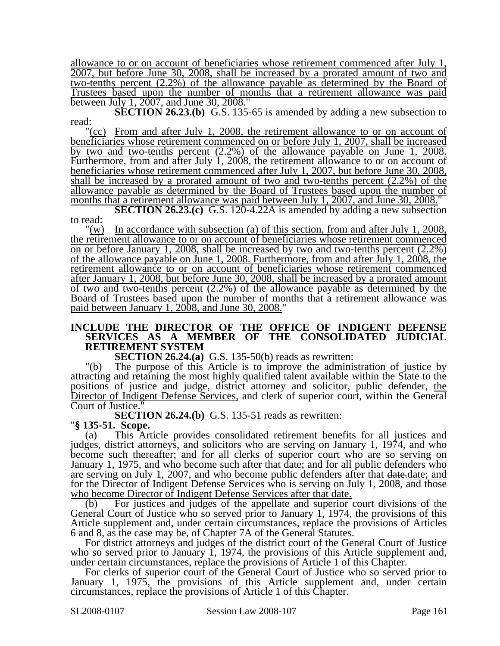allowance to or on account of beneficiaries whose retirement commenced after July 1, 2007, but before June 30, 2008, shall be increased by a prorated amount of two and two-tenths percent (2.2%) of the allowance payable as determined by the Board of Trustees based upon the number of months that a retirement allowance was paid between July 1, 2007, and June 30, 2008."

**SECTION 26.23.(b)** G.S. 135-65 is amended by adding a new subsection to read:

"(cc) From and after July 1, 2008, the retirement allowance to or on account of beneficiaries whose retirement commenced on or before July 1, 2007, shall be increased by two and two-tenths percent (2.2%) of the allowance payable on June 1, 2008. Furthermore, from and after July 1, 2008, the retirement allowance to or on account of beneficiaries whose retirement commenced after July 1, 2007, but before June 30, 2008, shall be increased by a prorated amount of two and two-tenths percent (2.2%) of the allowance payable as determined by the Board of Trustees based upon the number of months that a retirement allowance was paid between July 1, 2007, and June 30, 2008."

**SECTION 26.23.(c)** G.S. 120-4.22A is amended by adding a new subsection to read:

"(w) In accordance with subsection (a) of this section, from and after July 1, 2008, the retirement allowance to or on account of beneficiaries whose retirement commenced on or before January 1, 2008, shall be increased by two and two-tenths percent (2.2%) of the allowance payable on June 1, 2008. Furthermore, from and after July 1, 2008, the retirement allowance to or on account of beneficiaries whose retirement commenced after January 1, 2008, but before June 30, 2008, shall be increased by a prorated amount of two and two-tenths percent (2.2%) of the allowance payable as determined by the Board of Trustees based upon the number of months that a retirement allowance was paid between January 1, 2008, and June 30, 2008."

### **INCLUDE THE DIRECTOR OF THE OFFICE OF INDIGENT DEFENSE SERVICES AS A MEMBER OF THE CONSOLIDATED JUDICIAL RETIREMENT SYSTEM**

**SECTION 26.24.(a)** G.S. 135-50(b) reads as rewritten:

"(b) The purpose of this Article is to improve the administration of justice by attracting and retaining the most highly qualified talent available within the State to the positions of justice and judge, district attorney and solicitor, public defender, the Director of Indigent Defense Services, and clerk of superior court, within the General Court of Justice.

**SECTION 26.24.(b)** G.S. 135-51 reads as rewritten: "**§ 135-51. Scope.** 

(a) This Article provides consolidated retirement benefits for all justices and judges, district attorneys, and solicitors who are serving on January 1, 1974, and who become such thereafter; and for all clerks of superior court who are so serving on January 1, 1975, and who become such after that date; and for all public defenders who are serving on July 1, 2007, and who become public defenders after that date-date; and for the Director of Indigent Defense Services who is serving on July 1, 2008, and those who become Director of Indigent Defense Services after that date.

(b) For justices and judges of the appellate and superior court divisions of the General Court of Justice who so served prior to January 1, 1974, the provisions of this Article supplement and, under certain circumstances, replace the provisions of Articles 6 and 8, as the case may be, of Chapter 7A of the General Statutes.

For district attorneys and judges of the district court of the General Court of Justice who so served prior to January 1, 1974, the provisions of this Article supplement and, under certain circumstances, replace the provisions of Article 1 of this Chapter.

For clerks of superior court of the General Court of Justice who so served prior to January 1, 1975, the provisions of this Article supplement and, under certain circumstances, replace the provisions of Article 1 of this Chapter.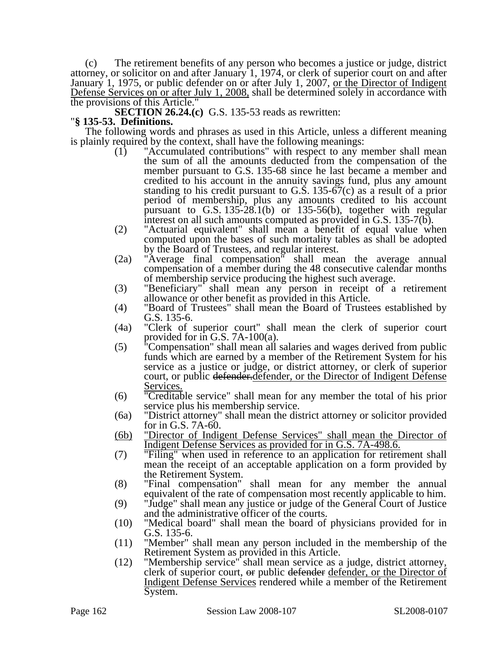(c) The retirement benefits of any person who becomes a justice or judge, district attorney, or solicitor on and after January 1, 1974, or clerk of superior court on and after January 1, 1975, or public defender on or after July 1, 2007, <u>or the Director of Indigent</u> Defense Services on or after July 1, 2008, shall be determined solely in accordance with the provisions of this Article."

**SECTION 26.24.(c)** G.S. 135-53 reads as rewritten: "**§ 135-53. Definitions.** 

The following words and phrases as used in this Article, unless a different meaning is plainly required by the context, shall have the following meanings:

- (1) "Accumulated contributions" with respect to any member shall mean the sum of all the amounts deducted from the compensation of the member pursuant to G.S. 135-68 since he last became a member and credited to his account in the annuity savings fund, plus any amount standing to his credit pursuant to G.S. 135-67(c) as a result of a prior period of membership, plus any amounts credited to his account pursuant to G.S. 135-28.1(b) or 135-56(b), together with regular interest on all such amounts computed as provided in G.S. 135-7(b).
- (2) "Actuarial equivalent" shall mean a benefit of equal value when computed upon the bases of such mortality tables as shall be adopted by the Board of Trustees, and regular interest.
- (2a) "Average final compensation" shall mean the average annual compensation of a member during the 48 consecutive calendar months of membership service producing the highest such average.
- (3) "Beneficiary" shall mean any person in receipt of a retirement allowance or other benefit as provided in this Article.
- (4) "Board of Trustees" shall mean the Board of Trustees established by G.S. 135-6.
- (4a) "Clerk of superior court" shall mean the clerk of superior court provided for in G.S. 7A-100(a).
- (5) "Compensation" shall mean all salaries and wages derived from public funds which are earned by a member of the Retirement System for his service as a justice or judge, or district attorney, or clerk of superior court, or public defender. defender, or the Director of Indigent Defense Services.
- (6) "Creditable service" shall mean for any member the total of his prior service plus his membership service.
- (6a) "District attorney" shall mean the district attorney or solicitor provided for in G.S. 7A-60.
- (6b) "Director of Indigent Defense Services" shall mean the Director of Indigent Defense Services as provided for in G.S. 7A-498.6.
- (7) "Filing" when used in reference to an application for retirement shall mean the receipt of an acceptable application on a form provided by the Retirement System.
- (8) "Final compensation" shall mean for any member the annual equivalent of the rate of compensation most recently applicable to him.
- (9) "Judge" shall mean any justice or judge of the General Court of Justice and the administrative officer of the courts.
- (10) "Medical board" shall mean the board of physicians provided for in G.S. 135-6.
- (11) "Member" shall mean any person included in the membership of the Retirement System as provided in this Article.
- (12) "Membership service" shall mean service as a judge, district attorney, clerk of superior court, or public defender defender, or the Director of Indigent Defense Services rendered while a member of the Retirement System.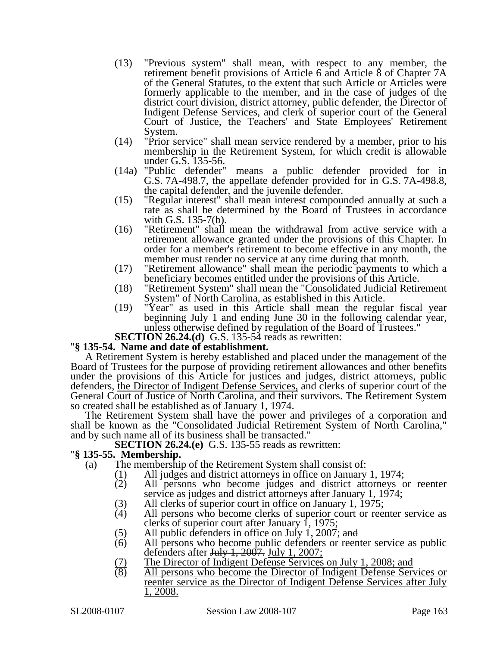- (13) "Previous system" shall mean, with respect to any member, the retirement benefit provisions of Article 6 and Article 8 of Chapter 7A of the General Statutes, to the extent that such Article or Articles were formerly applicable to the member, and in the case of judges of the district court division, district attorney, public defender, the Director of Indigent Defense Services, and clerk of superior court of the General Court of Justice, the Teachers' and State Employees' Retirement System.
- (14) "Prior service" shall mean service rendered by a member, prior to his membership in the Retirement System, for which credit is allowable under G.S. 135-56.
- (14a) "Public defender" means a public defender provided for in G.S. 7A-498.7, the appellate defender provided for in G.S. 7A-498.8, the capital defender, and the juvenile defender.
- (15) "Regular interest" shall mean interest compounded annually at such a rate as shall be determined by the Board of Trustees in accordance with G.S. 135-7(b).
- (16) "Retirement" shall mean the withdrawal from active service with a retirement allowance granted under the provisions of this Chapter. In order for a member's retirement to become effective in any month, the member must render no service at any time during that month.
- (17) "Retirement allowance" shall mean the periodic payments to which a beneficiary becomes entitled under the provisions of this Article.
- (18) "Retirement System" shall mean the "Consolidated Judicial Retirement System" of North Carolina, as established in this Article.
- (19) "Year" as used in this Article shall mean the regular fiscal year beginning July 1 and ending June 30 in the following calendar year, unless otherwise defined by regulation of the Board of Trustees."
- **SECTION 26.24.(d)** G.S. 135-54 reads as rewritten: "**§ 135-54. Name and date of establishment.**

A Retirement System is hereby established and placed under the management of the Board of Trustees for the purpose of providing retirement allowances and other benefits under the provisions of this Article for justices and judges, district attorneys, public defenders, the Director of Indigent Defense Services, and clerks of superior court of the General Court of Justice of North Carolina, and their survivors. The Retirement System so created shall be established as of January 1, 1974.

The Retirement System shall have the power and privileges of a corporation and shall be known as the "Consolidated Judicial Retirement System of North Carolina," and by such name all of its business shall be transacted."

**SECTION 26.24.(e)** G.S. 135-55 reads as rewritten: "**§ 135-55. Membership.** 

- (a) The membership of the Retirement System shall consist of:
	-
	- (1) All judges and district attorneys in office on January 1, 1974;<br>(2) All persons who become judges and district attorneys o All persons who become judges and district attorneys or reenter service as judges and district attorneys after January 1, 1974;
	- (3) All clerks of superior court in office on January 1, 1975;<br>(4) All persons who become clerks of superior court or ree
	- All persons who become clerks of superior court or reenter service as clerks of superior court after January 1, 1975;
	- (5) All public defenders in office on July 1, 2007; and (6) All persons who become public defenders or reen
	- All persons who become public defenders or reenter service as public defenders after  $J_{\text{u}}$ ,  $\frac{1}{2007}$ ,  $J_{\text{u}}$   $\frac{1}{2007}$ ;
	- (7) The Director of Indigent Defense Services on July 1, 2008; and (8) All persons who become the Director of Indigent Defense Serv
	- All persons who become the Director of Indigent Defense Services or reenter service as the Director of Indigent Defense Services after July 1, 2008.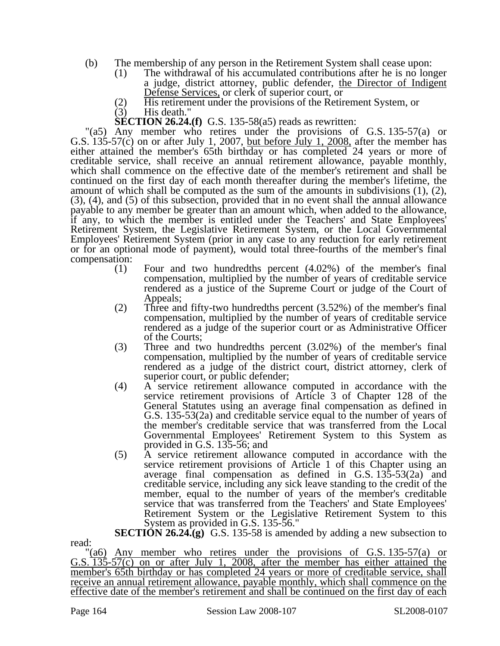- (b) The membership of any person in the Retirement System shall cease upon:
	- (1) The withdrawal of his accumulated contributions after he is no longer a judge, district attorney, public defender, the Director of Indigent Defense Services, or clerk of superior court, or
	- (2) His retirement under the provisions of the Retirement System, or  $(3)$  His death."
	- His death."
	- **SECTION 26.24.(f)** G.S. 135-58(a5) reads as rewritten:

"(a5) Any member who retires under the provisions of G.S. 135-57(a) or G.S.  $135-57(c)$  on or after July 1, 2007, but before July 1, 2008, after the member has either attained the member's 65th birthday or has completed 24 years or more of creditable service, shall receive an annual retirement allowance, payable monthly, which shall commence on the effective date of the member's retirement and shall be continued on the first day of each month thereafter during the member's lifetime, the amount of which shall be computed as the sum of the amounts in subdivisions (1), (2), (3), (4), and (5) of this subsection, provided that in no event shall the annual allowance payable to any member be greater than an amount which, when added to the allowance, if any, to which the member is entitled under the Teachers' and State Employees' Retirement System, the Legislative Retirement System, or the Local Governmental Employees' Retirement System (prior in any case to any reduction for early retirement or for an optional mode of payment), would total three-fourths of the member's final compensation:

- (1) Four and two hundredths percent (4.02%) of the member's final compensation, multiplied by the number of years of creditable service rendered as a justice of the Supreme Court or judge of the Court of Appeals;
- (2) Three and fifty-two hundredths percent (3.52%) of the member's final compensation, multiplied by the number of years of creditable service rendered as a judge of the superior court or as Administrative Officer of the Courts;
- (3) Three and two hundredths percent (3.02%) of the member's final compensation, multiplied by the number of years of creditable service rendered as a judge of the district court, district attorney, clerk of superior court, or public defender;
- (4) A service retirement allowance computed in accordance with the service retirement provisions of Article 3 of Chapter 128 of the General Statutes using an average final compensation as defined in G.S. 135-53(2a) and creditable service equal to the number of years of the member's creditable service that was transferred from the Local Governmental Employees' Retirement System to this System as provided in G.S. 135-56; and
- (5) A service retirement allowance computed in accordance with the service retirement provisions of Article 1 of this Chapter using an average final compensation as defined in G.S. 135-53(2a) and creditable service, including any sick leave standing to the credit of the member, equal to the number of years of the member's creditable service that was transferred from the Teachers' and State Employees' Retirement System or the Legislative Retirement System to this System as provided in G.S. 135-56."

**SECTION 26.24.(g)** G.S. 135-58 is amended by adding a new subsection to read:

"(a6) Any member who retires under the provisions of G.S. 135-57(a) or G.S. 135-57(c) on or after July 1, 2008, after the member has either attained the member's 65th birthday or has completed 24 years or more of creditable service, shall receive an annual retirement allowance, payable monthly, which shall commence on the effective date of the member's retirement and shall be continued on the first day of each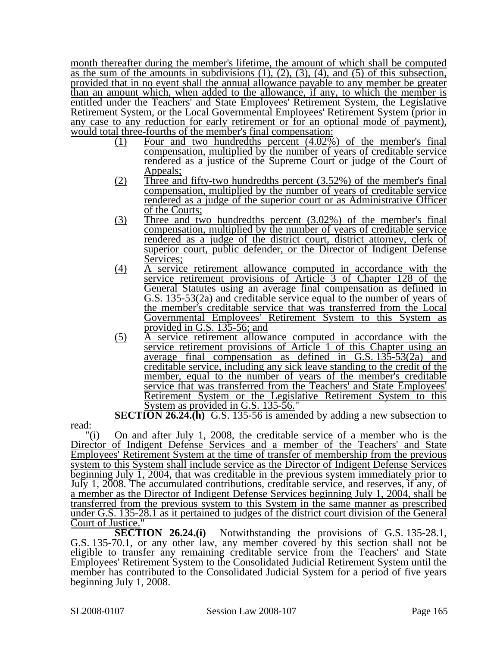month thereafter during the member's lifetime, the amount of which shall be computed as the sum of the amounts in subdivisions  $(1)$ ,  $(2)$ ,  $(3)$ ,  $(4)$ , and  $(5)$  of this subsection, provided that in no event shall the annual allowance payable to any member be greater than an amount which, when added to the allowance, if any, to which the member is entitled under the Teachers' and State Employees' Retirement System, the Legislative Retirement System, or the Local Governmental Employees' Retirement System (prior in any case to any reduction for early retirement or for an optional mode of payment), would total three-fourths of the member's final compensation:

- (1) Four and two hundredths percent (4.02%) of the member's final compensation, multiplied by the number of years of creditable service rendered as a justice of the Supreme Court or judge of the Court of Appeals;
- (2) Three and fifty-two hundredths percent (3.52%) of the member's final compensation, multiplied by the number of years of creditable service rendered as a judge of the superior court or as Administrative Officer of the Courts;
- (3) Three and two hundredths percent (3.02%) of the member's final compensation, multiplied by the number of years of creditable service rendered as a judge of the district court, district attorney, clerk of superior court, public defender, or the Director of Indigent Defense Services;
- (4) A service retirement allowance computed in accordance with the service retirement provisions of Article 3 of Chapter 128 of the General Statutes using an average final compensation as defined in G.S. 135-53(2a) and creditable service equal to the number of years of the member's creditable service that was transferred from the Local Governmental Employees' Retirement System to this System as provided in G.S. 135-56; and
- (5) A service retirement allowance computed in accordance with the service retirement provisions of Article 1 of this Chapter using an average final compensation as defined in G.S. 135-53(2a) and creditable service, including any sick leave standing to the credit of the member, equal to the number of years of the member's creditable service that was transferred from the Teachers' and State Employees' Retirement System or the Legislative Retirement System to this System as provided in G.S. 135-56."

**SECTION 26.24.(h)** G.S. 135-56 is amended by adding a new subsection to

 $\langle i\rangle$  On and after July 1, 2008, the creditable service of a member who is the Director of Indigent Defense Services and a member of the Teachers' and State Employees' Retirement System at the time of transfer of membership from the previous system to this System shall include service as the Director of Indigent Defense Services beginning July 1, 2004, that was creditable in the previous system immediately prior to July 1, 2008. The accumulated contributions, creditable service, and reserves, if any, of a member as the Director of Indigent Defense Services beginning July 1, 2004, shall be transferred from the previous system to this System in the same manner as prescribed under G.S. 135-28.1 as it pertained to judges of the district court division of the General Court of Justice.

**SECTION 26.24.(i)** Notwithstanding the provisions of G.S. 135-28.1, G.S. 135-70.1, or any other law, any member covered by this section shall not be eligible to transfer any remaining creditable service from the Teachers' and State Employees' Retirement System to the Consolidated Judicial Retirement System until the member has contributed to the Consolidated Judicial System for a period of five years beginning July 1, 2008.

read: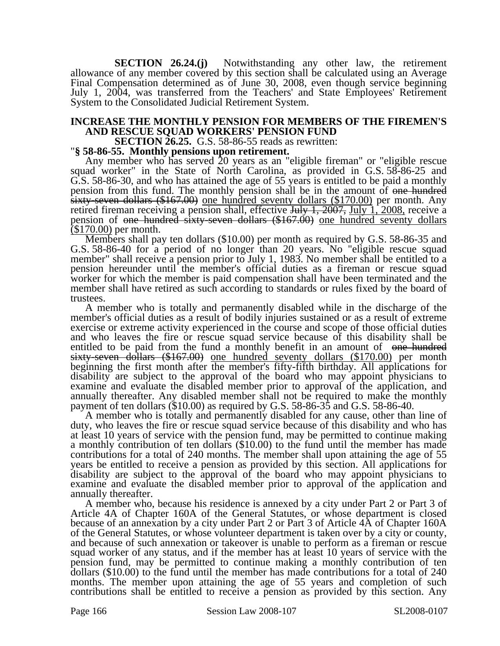**SECTION 26.24.(j)** Notwithstanding any other law, the retirement allowance of any member covered by this section shall be calculated using an Average Final Compensation determined as of June 30, 2008, even though service beginning July 1, 2004, was transferred from the Teachers' and State Employees' Retirement System to the Consolidated Judicial Retirement System.

### **INCREASE THE MONTHLY PENSION FOR MEMBERS OF THE FIREMEN'S AND RESCUE SQUAD WORKERS' PENSION FUND**

**SECTION 26.25.** G.S. 58-86-55 reads as rewritten: "**§ 58-86-55. Monthly pensions upon retirement.** 

Any member who has served 20 years as an "eligible fireman" or "eligible rescue squad worker" in the State of North Carolina, as provided in G.S. 58-86-25 and G.S. 58-86-30, and who has attained the age of 55 years is entitled to be paid a monthly pension from this fund. The monthly pension shall be in the amount of one hundred sixty-seven dollars (\$167.00) one hundred seventy dollars (\$170.00) per month. Any retired fireman receiving a pension shall, effective July 1, 2007, July 1, 2008, receive a pension of <del>one hundred sixty-seven dollars (\$167.00)</del> one hundred seventy dollars (\$170.00) per month.<br>
Members shall pay ten dollars (\$10.00) per month as required by G.S. 58-86-35 and

G.S. 58-86-40 for a period of no longer than 20 years. No "eligible rescue squad member" shall receive a pension prior to July 1, 1983. No member shall be entitled to a pension hereunder until the member's official duties as a fireman or rescue squad worker for which the member is paid compensation shall have been terminated and the member shall have retired as such according to standards or rules fixed by the board of trustees.

A member who is totally and permanently disabled while in the discharge of the member's official duties as a result of bodily injuries sustained or as a result of extreme exercise or extreme activity experienced in the course and scope of those official duties and who leaves the fire or rescue squad service because of this disability shall be entitled to be paid from the fund a monthly benefit in an amount of one hundred sixty-seven dollars (\$167.00) one hundred seventy dollars (\$170.00) per month beginning the first month after the member's fifty-fifth birthday. All applications for disability are subject to the approval of the board who may appoint physicians to examine and evaluate the disabled member prior to approval of the application, and annually thereafter. Any disabled member shall not be required to make the monthly payment of ten dollars (\$10.00) as required by G.S. 58-86-35 and G.S. 58-86-40.

A member who is totally and permanently disabled for any cause, other than line of duty, who leaves the fire or rescue squad service because of this disability and who has at least 10 years of service with the pension fund, may be permitted to continue making a monthly contribution of ten dollars (\$10.00) to the fund until the member has made contributions for a total of 240 months. The member shall upon attaining the age of 55 years be entitled to receive a pension as provided by this section. All applications for disability are subject to the approval of the board who may appoint physicians to examine and evaluate the disabled member prior to approval of the application and annually thereafter.

A member who, because his residence is annexed by a city under Part 2 or Part 3 of Article 4A of Chapter 160A of the General Statutes, or whose department is closed because of an annexation by a city under Part 2 or Part 3 of Article 4A of Chapter 160A of the General Statutes, or whose volunteer department is taken over by a city or county, and because of such annexation or takeover is unable to perform as a fireman or rescue squad worker of any status, and if the member has at least 10 years of service with the pension fund, may be permitted to continue making a monthly contribution of ten dollars (\$10.00) to the fund until the member has made contributions for a total of 240 months. The member upon attaining the age of 55 years and completion of such contributions shall be entitled to receive a pension as provided by this section. Any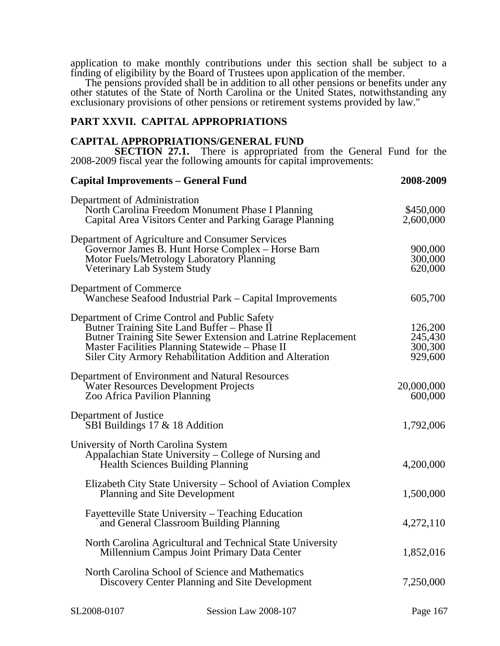application to make monthly contributions under this section shall be subject to a finding of eligibility by the Board of Trustees upon application of the member.

The pensions provided shall be in addition to all other pensions or benefits under any other statutes of the State of North Carolina or the United States, notwithstanding any exclusionary provisions of other pensions or retirement systems provided by law."

### **PART XXVII. CAPITAL APPROPRIATIONS**

### **CAPITAL APPROPRIATIONS/GENERAL FUND**

**SECTION 27.1.** There is appropriated from the General Fund for the 2008-2009 fiscal year the following amounts for capital improvements:

| <b>Capital Improvements - General Fund</b>                                                                                                                                                                                                                                  | 2008-2009                                |
|-----------------------------------------------------------------------------------------------------------------------------------------------------------------------------------------------------------------------------------------------------------------------------|------------------------------------------|
| Department of Administration<br>North Carolina Freedom Monument Phase I Planning<br>Capital Area Visitors Center and Parking Garage Planning                                                                                                                                | \$450,000<br>2,600,000                   |
| Department of Agriculture and Consumer Services<br>Governor James B. Hunt Horse Complex - Horse Barn<br>Motor Fuels/Metrology Laboratory Planning<br>Veterinary Lab System Study                                                                                            | 900,000<br>300,000<br>620,000            |
| Department of Commerce<br>Wanchese Seafood Industrial Park – Capital Improvements                                                                                                                                                                                           | 605,700                                  |
| Department of Crime Control and Public Safety<br>Butner Training Site Land Buffer - Phase II<br>Butner Training Site Sewer Extension and Latrine Replacement<br>Master Facilities Planning Statewide - Phase II<br>Siler City Armory Rehabilitation Addition and Alteration | 126,200<br>245,430<br>300,300<br>929,600 |
| Department of Environment and Natural Resources<br>Water Resources Development Projects<br>Zoo Africa Pavilion Planning                                                                                                                                                     | 20,000,000<br>600,000                    |
| Department of Justice<br>SBI Buildings $17 \& 18$ Addition                                                                                                                                                                                                                  | 1,792,006                                |
| University of North Carolina System<br>Appalachian State University – College of Nursing and<br>Health Sciences Building Planning                                                                                                                                           | 4,200,000                                |
| Elizabeth City State University – School of Aviation Complex<br>Planning and Site Development                                                                                                                                                                               | 1,500,000                                |
| Fayetteville State University – Teaching Education<br>and General Classroom Building Planning                                                                                                                                                                               | 4,272,110                                |
| North Carolina Agricultural and Technical State University<br>Millennium Campus Joint Primary Data Center                                                                                                                                                                   | 1,852,016                                |
| North Carolina School of Science and Mathematics<br>Discovery Center Planning and Site Development                                                                                                                                                                          | 7,250,000                                |
|                                                                                                                                                                                                                                                                             |                                          |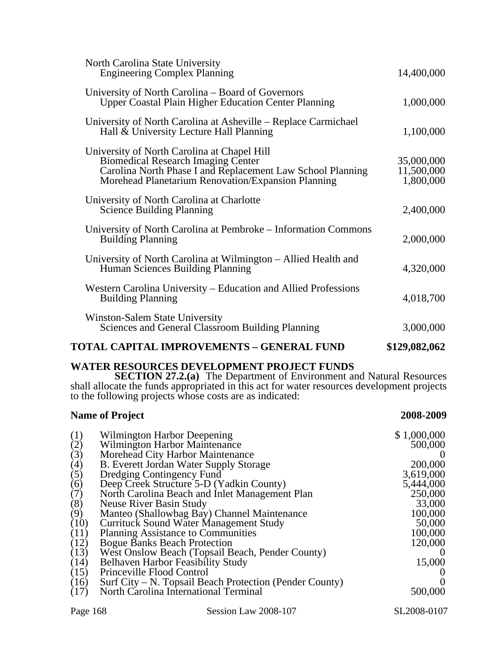| <b>TOTAL CAPITAL IMPROVEMENTS - GENERAL FUND</b>                                                                                                                                                             | \$129,082,062                         |
|--------------------------------------------------------------------------------------------------------------------------------------------------------------------------------------------------------------|---------------------------------------|
| Winston-Salem State University<br><b>Sciences and General Classroom Building Planning</b>                                                                                                                    | 3,000,000                             |
| Western Carolina University – Education and Allied Professions<br><b>Building Planning</b>                                                                                                                   | 4,018,700                             |
| University of North Carolina at Wilmington – Allied Health and<br>Human Sciences Building Planning                                                                                                           | 4,320,000                             |
| University of North Carolina at Pembroke – Information Commons<br><b>Building Planning</b>                                                                                                                   | 2,000,000                             |
| University of North Carolina at Charlotte<br><b>Science Building Planning</b>                                                                                                                                | 2,400,000                             |
| University of North Carolina at Chapel Hill<br><b>Biomedical Research Imaging Center</b><br>Carolina North Phase I and Replacement Law School Planning<br>Morehead Planetarium Renovation/Expansion Planning | 35,000,000<br>11,500,000<br>1,800,000 |
| University of North Carolina at Asheville – Replace Carmichael<br>Hall & University Lecture Hall Planning                                                                                                    | 1,100,000                             |
| University of North Carolina – Board of Governors<br><b>Upper Coastal Plain Higher Education Center Planning</b>                                                                                             | 1,000,000                             |
| North Carolina State University<br><b>Engineering Complex Planning</b>                                                                                                                                       | 14,400,000                            |

### **WATER RESOURCES DEVELOPMENT PROJECT FUNDS**

**SECTION 27.2.(a)** The Department of Environment and Natural Resources shall allocate the funds appropriated in this act for water resources development projects to the following projects whose costs are as indicated:

|      | <b>Name of Project</b>                                  | 2008-2009    |
|------|---------------------------------------------------------|--------------|
| (1)  | Wilmington Harbor Deepening                             | \$1,000,000  |
| (2)  | Wilmington Harbor Maintenance                           | 500,000      |
| (3)  | Morehead City Harbor Maintenance                        |              |
| (4)  | B. Everett Jordan Water Supply Storage                  | 200,000      |
| (5)  | Dredging Contingency Fund                               | 3,619,000    |
| (6)  | Deep Creek Structure 5-D (Yadkin County)                | 5,444,000    |
| (7)  | North Carolina Beach and Inlet Management Plan          | 250,000      |
| (8)  | Neuse River Basin Study                                 | 33,000       |
| (9)  | Manteo (Shallowbag Bay) Channel Maintenance             | 100,000      |
| (10) | <b>Currituck Sound Water Management Study</b>           | 50,000       |
| (11) | <b>Planning Assistance to Communities</b>               | 100,000      |
| (12) | <b>Bogue Banks Beach Protection</b>                     | 120,000      |
| (13) | West Onslow Beach (Topsail Beach, Pender County)        | $\mathbf{U}$ |
| (14) | Belhaven Harbor Feasibility Study                       | 15,000       |
| (15) | Princeville Flood Control                               |              |
| (16) | Surf City – N. Topsail Beach Protection (Pender County) |              |
| (17) | North Carolina International Terminal                   | 500,000      |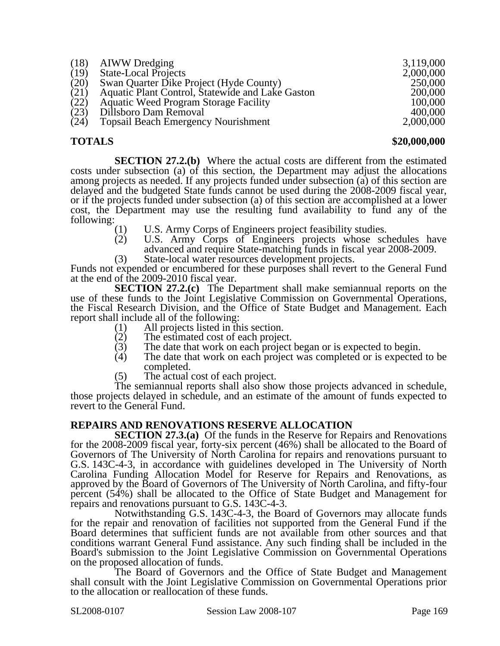| Swan Quarter Dike Project (Hyde County)<br>(20)<br>Aquatic Plant Control, Statewide and Lake Gaston<br>(21)<br>(22)<br><b>Aquatic Weed Program Storage Facility</b><br>(23)<br>Dillsboro Dam Removal<br>(24)<br><b>Topsail Beach Emergency Nourishment</b> | 250,000<br>200,000<br>100,000<br>400,000<br>2,000,000 |
|------------------------------------------------------------------------------------------------------------------------------------------------------------------------------------------------------------------------------------------------------------|-------------------------------------------------------|
|------------------------------------------------------------------------------------------------------------------------------------------------------------------------------------------------------------------------------------------------------------|-------------------------------------------------------|

**TOTALS \$20,000,000** 

**SECTION 27.2.(b)** Where the actual costs are different from the estimated costs under subsection (a) of this section, the Department may adjust the allocations among projects as needed. If any projects funded under subsection (a) of this section are delayed and the budgeted State funds cannot be used during the 2008-2009 fiscal year, or if the projects funded under subsection (a) of this section are accomplished at a lower cost, the Department may use the resulting fund availability to fund any of the following:

- (1) U.S. Army Corps of Engineers project feasibility studies.<br>(2) U.S. Army Corps of Engineers projects whose sch
- U.S. Army Corps of Engineers projects whose schedules have advanced and require State-matching funds in fiscal year 2008-2009.

(3) State-local water resources development projects. Funds not expended or encumbered for these purposes shall revert to the General Fund at the end of the 2009-2010 fiscal year.

**SECTION 27.2.(c)** The Department shall make semiannual reports on the use of these funds to the Joint Legislative Commission on Governmental Operations, the Fiscal Research Division, and the Office of State Budget and Management. Each report shall include all of the following:

- (1) All projects listed in this section.<br>(2) The estimated cost of each project
- 
- (2) The estimated cost of each project.<br>(3) The date that work on each project (3) The date that work on each project began or is expected to begin.<br>(4) The date that work on each project was completed or is expected
- The date that work on each project was completed or is expected to be completed.
- (5) The actual cost of each project.

The semiannual reports shall also show those projects advanced in schedule, those projects delayed in schedule, and an estimate of the amount of funds expected to revert to the General Fund.

### **REPAIRS AND RENOVATIONS RESERVE ALLOCATION**

**SECTION 27.3.(a)** Of the funds in the Reserve for Repairs and Renovations for the 2008-2009 fiscal year, forty-six percent (46%) shall be allocated to the Board of Governors of The University of North Carolina for repairs and renovations pursuant to G.S. 143C-4-3, in accordance with guidelines developed in The University of North Carolina Funding Allocation Model for Reserve for Repairs and Renovations, as approved by the Board of Governors of The University of North Carolina, and fifty-four percent (54%) shall be allocated to the Office of State Budget and Management for repairs and renovations pursuant to G.S. 143C-4-3.

Notwithstanding G.S. 143C-4-3, the Board of Governors may allocate funds for the repair and renovation of facilities not supported from the General Fund if the Board determines that sufficient funds are not available from other sources and that conditions warrant General Fund assistance. Any such finding shall be included in the Board's submission to the Joint Legislative Commission on Governmental Operations on the proposed allocation of funds.

The Board of Governors and the Office of State Budget and Management shall consult with the Joint Legislative Commission on Governmental Operations prior to the allocation or reallocation of these funds.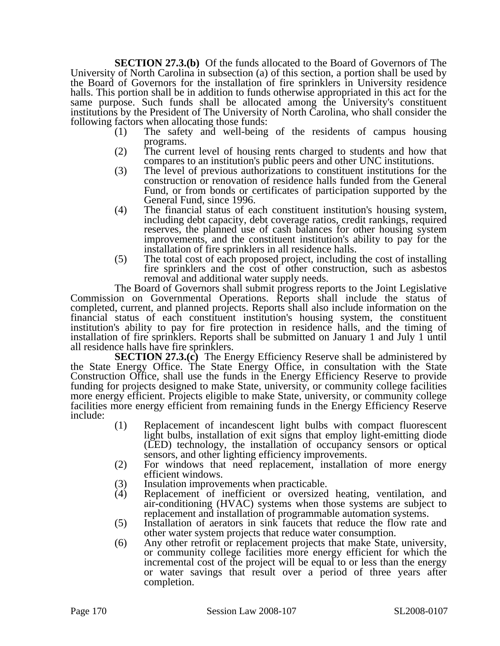**SECTION 27.3.(b)** Of the funds allocated to the Board of Governors of The University of North Carolina in subsection (a) of this section, a portion shall be used by the Board of Governors for the installation of fire sprinklers in University residence halls. This portion shall be in addition to funds otherwise appropriated in this act for the same purpose. Such funds shall be allocated among the University's constituent institutions by the President of The University of North Carolina, who shall consider the following factors when allocating those funds:

- (1) The safety and well-being of the residents of campus housing programs.
- (2) The current level of housing rents charged to students and how that compares to an institution's public peers and other UNC institutions.
- (3) The level of previous authorizations to constituent institutions for the construction or renovation of residence halls funded from the General Fund, or from bonds or certificates of participation supported by the General Fund, since 1996.
- (4) The financial status of each constituent institution's housing system, including debt capacity, debt coverage ratios, credit rankings, required reserves, the planned use of cash balances for other housing system improvements, and the constituent institution's ability to pay for the installation of fire sprinklers in all residence halls.
- (5) The total cost of each proposed project, including the cost of installing fire sprinklers and the cost of other construction, such as asbestos removal and additional water supply needs.

The Board of Governors shall submit progress reports to the Joint Legislative Commission on Governmental Operations. Reports shall include the status of completed, current, and planned projects. Reports shall also include information on the financial status of each constituent institution's housing system, the constituent institution's ability to pay for fire protection in residence halls, and the timing of installation of fire sprinklers. Reports shall be submitted on January 1 and July 1 until all residence halls have fire sprinklers.

**SECTION 27.3.(c)** The Energy Efficiency Reserve shall be administered by the State Energy Office. The State Energy Office, in consultation with the State Construction Office, shall use the funds in the Energy Efficiency Reserve to provide funding for projects designed to make State, university, or community college facilities more energy efficient. Projects eligible to make State, university, or community college facilities more energy efficient from remaining funds in the Energy Efficiency Reserve include:

- (1) Replacement of incandescent light bulbs with compact fluorescent light bulbs, installation of exit signs that employ light-emitting diode (LED) technology, the installation of occupancy sensors or optical sensors, and other lighting efficiency improvements.
- (2) For windows that need replacement, installation of more energy efficient windows.
- (3) Insulation improvements when practicable.<br>(4) Replacement of inefficient or oversized
- Replacement of inefficient or oversized heating, ventilation, and air-conditioning (HVAC) systems when those systems are subject to replacement and installation of programmable automation systems.
- (5) Installation of aerators in sink faucets that reduce the flow rate and other water system projects that reduce water consumption.
- (6) Any other retrofit or replacement projects that make State, university, or community college facilities more energy efficient for which the incremental cost of the project will be equal to or less than the energy or water savings that result over a period of three years after completion.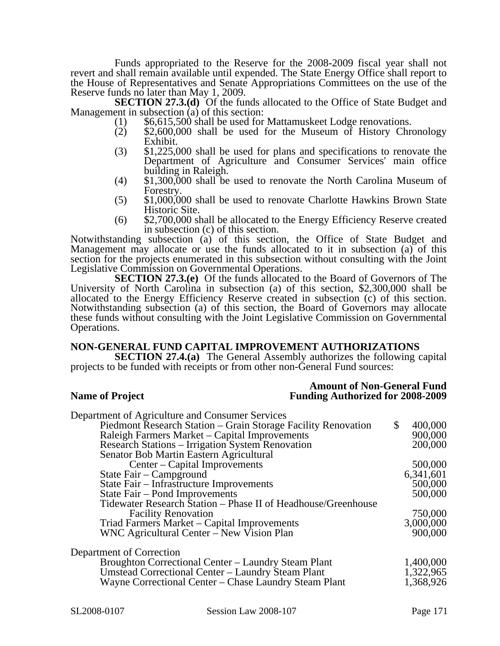Funds appropriated to the Reserve for the 2008-2009 fiscal year shall not revert and shall remain available until expended. The State Energy Office shall report to the House of Representatives and Senate Appropriations Committees on the use of the Reserve funds no later than May 1, 2009.

**SECTION 27.3.(d)** Of the funds allocated to the Office of State Budget and Management in subsection (a) of this section:

- 
- $M_1$  (1)  $$6,615,500$  shall be used for Mattamuskeet Lodge renovations.<br>
(2)  $$2,600,000$  shall be used for the Museum of History Chronology Exhibit.
- (3) \$1,225,000 shall be used for plans and specifications to renovate the Department of Agriculture and Consumer Services' main office building in Raleigh.
- (4)  $$1,300,000$  shall be used to renovate the North Carolina Museum of Forestry.
- $f(5)$  \$1,000,000 shall be used to renovate Charlotte Hawkins Brown State Historic Site.
- (6) \$2,700,000 shall be allocated to the Energy Efficiency Reserve created in subsection (c) of this section.

Notwithstanding subsection (a) of this section, the Office of State Budget and Management may allocate or use the funds allocated to it in subsection  $(a)$  of this section for the projects enumerated in this subsection without consulting with the Joint Legislative Commission on Governmental Operations.

**SECTION 27.3.(e)** Of the funds allocated to the Board of Governors of The University of North Carolina in subsection (a) of this section, \$2,300,000 shall be allocated to the Energy Efficiency Reserve created in subsection (c) of this section. Notwithstanding subsection (a) of this section, the Board of Governors may allocate these funds without consulting with the Joint Legislative Commission on Governmental Operations.

### **NON-GENERAL FUND CAPITAL IMPROVEMENT AUTHORIZATIONS**

**SECTION 27.4.(a)** The General Assembly authorizes the following capital projects to be funded with receipts or from other non-General Fund sources:

**Amount of Non-General Fund<br>Funding Authorized for 2008-2009 Funding Authorized for 2008-2009** 

| Department of Agriculture and Consumer Services               |               |
|---------------------------------------------------------------|---------------|
| Piedmont Research Station – Grain Storage Facility Renovation | \$<br>400,000 |
| Raleigh Farmers Market - Capital Improvements                 | 900,000       |
| Research Stations – Irrigation System Renovation              | 200,000       |
| Senator Bob Martin Eastern Agricultural                       |               |
| Center – Capital Improvements                                 | 500,000       |
| State Fair – Campground                                       | 6,341,601     |
| State Fair - Infrastructure Improvements                      | 500,000       |
| State Fair – Pond Improvements                                | 500,000       |
| Tidewater Research Station – Phase II of Headhouse/Greenhouse |               |
| <b>Facility Renovation</b>                                    | 750,000       |
| Triad Farmers Market - Capital Improvements                   | 3,000,000     |
| WNC Agricultural Center – New Vision Plan                     | 900,000       |
| Department of Correction                                      |               |
| Broughton Correctional Center – Laundry Steam Plant           | 1,400,000     |
| Umstead Correctional Center – Laundry Steam Plant             | 1,322,965     |
| Wayne Correctional Center - Chase Laundry Steam Plant         | 1,368,926     |
|                                                               |               |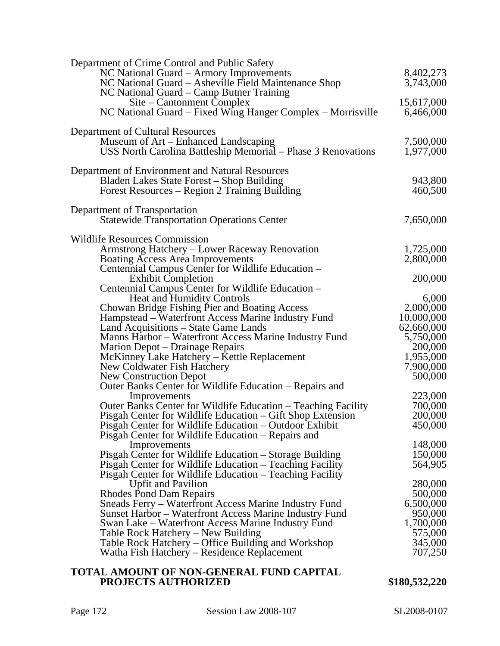| Department of Crime Control and Public Safety<br>NC National Guard - Armory Improvements<br>NC National Guard – Asheville Field Maintenance Shop<br>NC National Guard – Camp Butner Training | 8,402,273<br>3,743,000   |
|----------------------------------------------------------------------------------------------------------------------------------------------------------------------------------------------|--------------------------|
| Site – Cantonment Complex<br>NC National Guard – Fixed Wing Hanger Complex – Morrisville                                                                                                     | 15,617,000<br>6,466,000  |
| Department of Cultural Resources                                                                                                                                                             |                          |
| Museum of Art – Enhanced Landscaping<br>USS North Carolina Battleship Memorial – Phase 3 Renovations                                                                                         | 7,500,000<br>1,977,000   |
| Department of Environment and Natural Resources<br>Bladen Lakes State Forest - Shop Building<br>Forest Resources - Region 2 Training Building                                                | 943,800<br>460,500       |
|                                                                                                                                                                                              |                          |
| Department of Transportation<br><b>Statewide Transportation Operations Center</b>                                                                                                            | 7,650,000                |
| Wildlife Resources Commission                                                                                                                                                                |                          |
| Armstrong Hatchery - Lower Raceway Renovation                                                                                                                                                | 1,725,000                |
| <b>Boating Access Area Improvements</b><br>Centennial Campus Center for Wildlife Education -                                                                                                 | 2,800,000                |
| <b>Exhibit Completion</b>                                                                                                                                                                    | 200,000                  |
| Centennial Campus Center for Wildlife Education –                                                                                                                                            |                          |
| <b>Heat and Humidity Controls</b>                                                                                                                                                            | 6,000                    |
| Chowan Bridge Fishing Pier and Boating Access                                                                                                                                                | 2,000,000                |
| Hampstead - Waterfront Access Marine Industry Fund<br>Land Acquisitions - State Game Lands                                                                                                   | 10,000,000<br>62,660,000 |
| Manns Harbor – Waterfront Access Marine Industry Fund                                                                                                                                        | 5,750,000                |
| Marion Depot – Drainage Repairs                                                                                                                                                              | 200,000                  |
| McKinney Lake Hatchery - Kettle Replacement                                                                                                                                                  | 1,955,000                |
| New Coldwater Fish Hatchery                                                                                                                                                                  | 7,900,000                |
| <b>New Construction Depot</b><br>Outer Banks Center for Wildlife Education - Repairs and                                                                                                     | 500,000                  |
| Improvements                                                                                                                                                                                 | 223,000                  |
| Outer Banks Center for Wildlife Education – Teaching Facility                                                                                                                                | 700,000                  |
| Pisgah Center for Wildlife Education - Gift Shop Extension                                                                                                                                   | 200,000                  |
| Pisgah Center for Wildlife Education - Outdoor Exhibit                                                                                                                                       | 450,000                  |
| Pisgah Center for Wildlife Education – Repairs and<br>Improvements                                                                                                                           | 148,000                  |
| Pisgah Center for Wildlife Education - Storage Building                                                                                                                                      | 150,000                  |
| Pisgah Center for Wildlife Education – Teaching Facility                                                                                                                                     | 564,905                  |
| Pisgah Center for Wildlife Education - Teaching Facility                                                                                                                                     |                          |
| <b>Upfit and Pavilion</b>                                                                                                                                                                    | 280,000                  |
| Rhodes Pond Dam Repairs                                                                                                                                                                      | 500,000                  |
| Sneads Ferry – Waterfront Access Marine Industry Fund                                                                                                                                        | 6,500,000<br>950,000     |
| Sunset Harbor – Waterfront Access Marine Industry Fund<br>Swan Lake – Waterfront Access Marine Industry Fund                                                                                 | 1,700,000                |
| Table Rock Hatchery – New Building                                                                                                                                                           | 575,000                  |
| Table Rock Hatchery – Office Building and Workshop                                                                                                                                           | 345,000                  |
| Watha Fish Hatchery – Residence Replacement                                                                                                                                                  | 707,250                  |
| <b>TOTAL AMOUNT OF NON-GENERAL FUND CAPITAL</b>                                                                                                                                              |                          |

### **TOTAL AMOUNT OF NON-GENERAL FUND CAPITAL PROJECTS AUTHORIZED** \$180,532,220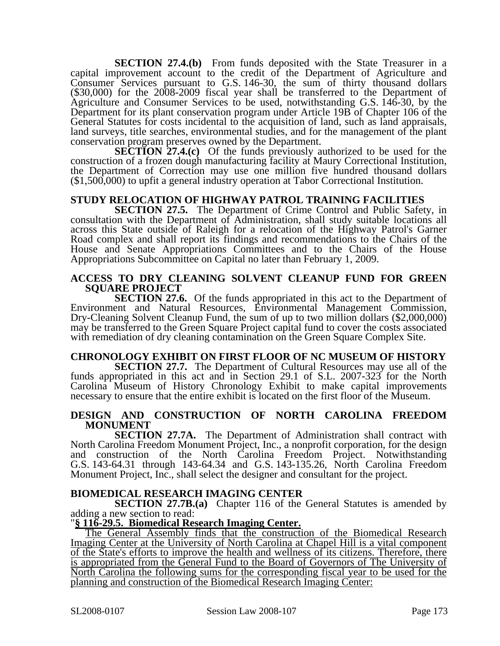**SECTION 27.4.(b)** From funds deposited with the State Treasurer in a capital improvement account to the credit of the Department of Agriculture and Consumer Services pursuant to G.S. 146-30, the sum of thirty thousand dollars (\$30,000) for the 2008-2009 fiscal year shall be transferred to the Department of Agriculture and Consumer Services to be used, notwithstanding G.S. 146-30, by the Department for its plant conservation program under Article 19B of Chapter 106 of the General Statutes for costs incidental to the acquisition of land, such as land appraisals, land surveys, title searches, environmental studies, and for the management of the plant conservation program preserves owned by the Department.

**SECTION 27.4.(c)** Of the funds previously authorized to be used for the construction of a frozen dough manufacturing facility at Maury Correctional Institution, the Department of Correction may use one million five hundred thousand dollars (\$1,500,000) to upfit a general industry operation at Tabor Correctional Institution.

## **STUDY RELOCATION OF HIGHWAY PATROL TRAINING FACILITIES**

**SECTION 27.5.** The Department of Crime Control and Public Safety, in consultation with the Department of Administration, shall study suitable locations all across this State outside of Raleigh for a relocation of the Highway Patrol's Garner Road complex and shall report its findings and recommendations to the Chairs of the House and Senate Appropriations Committees and to the Chairs of the House Appropriations Subcommittee on Capital no later than February 1, 2009.

### **ACCESS TO DRY CLEANING SOLVENT CLEANUP FUND FOR GREEN SQUARE PROJECT**

**SECTION 27.6.** Of the funds appropriated in this act to the Department of Environment and Natural Resources, Environmental Management Commission, Dry-Cleaning Solvent Cleanup Fund, the sum of up to two million dollars (\$2,000,000) may be transferred to the Green Square Project capital fund to cover the costs associated with remediation of dry cleaning contamination on the Green Square Complex Site.

### **CHRONOLOGY EXHIBIT ON FIRST FLOOR OF NC MUSEUM OF HISTORY**

**SECTION 27.7.** The Department of Cultural Resources may use all of the funds appropriated in this act and in Section 29.1 of S.L. 2007-323 for the North Carolina Museum of History Chronology Exhibit to make capital improvements necessary to ensure that the entire exhibit is located on the first floor of the Museum.

### **DESIGN AND CONSTRUCTION OF NORTH CAROLINA FREEDOM MONUMENT**

**SECTION 27.7A.** The Department of Administration shall contract with North Carolina Freedom Monument Project, Inc., a nonprofit corporation, for the design and construction of the North Carolina Freedom Project. Notwithstanding G.S. 143-64.31 through 143-64.34 and G.S. 143-135.26, North Carolina Freedom Monument Project, Inc., shall select the designer and consultant for the project.

### **BIOMEDICAL RESEARCH IMAGING CENTER**

**SECTION 27.7B.(a)** Chapter 116 of the General Statutes is amended by adding a new section to read:

### "**§ 116-29.5. Biomedical Research Imaging Center.**

The General Assembly finds that the construction of the Biomedical Research Imaging Center at the University of North Carolina at Chapel Hill is a vital component of the State's efforts to improve the health and wellness of its citizens. Therefore, there is appropriated from the General Fund to the Board of Governors of The University of North Carolina the following sums for the corresponding fiscal year to be used for the planning and construction of the Biomedical Research Imaging Center: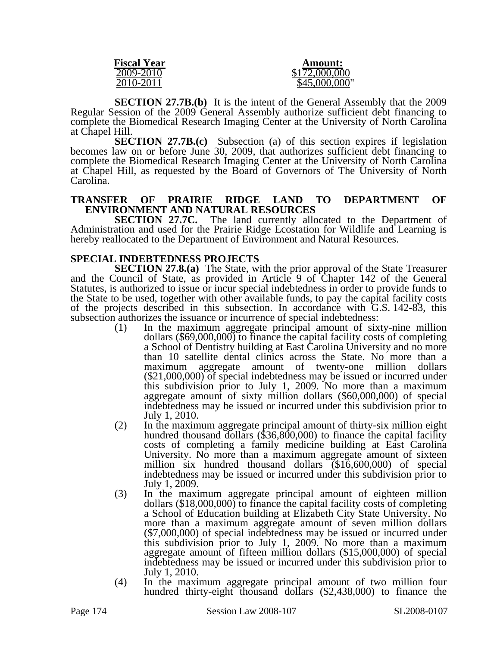| <b>Fiscal Year</b> | <b>Amount:</b> |
|--------------------|----------------|
| 2009-2010          | \$172,000,000  |
| 2010-2011          | \$45,000,000"  |

**SECTION 27.7B.(b)** It is the intent of the General Assembly that the 2009 Regular Session of the 2009 General Assembly authorize sufficient debt financing to complete the Biomedical Research Imaging Center at the University of North Carolina at Chapel Hill.

**SECTION 27.7B.(c)** Subsection (a) of this section expires if legislation becomes law on or before June 30, 2009, that authorizes sufficient debt financing to complete the Biomedical Research Imaging Center at the University of North Carolina at Chapel Hill, as requested by the Board of Governors of The University of North Carolina.

## **TRANSFER OF PRAIRIE RIDGE LAND TO DEPARTMENT OF ENVIRONMENT AND NATURAL RESOURCES**<br>**SECTION 27.7C.** The land currently allo

The land currently allocated to the Department of Administration and used for the Prairie Ridge Ecostation for Wildlife and Learning is hereby reallocated to the Department of Environment and Natural Resources.

### **SPECIAL INDEBTEDNESS PROJECTS**

**SECTION 27.8.(a)** The State, with the prior approval of the State Treasurer and the Council of State, as provided in Article 9 of Chapter 142 of the General Statutes, is authorized to issue or incur special indebtedness in order to provide funds to the State to be used, together with other available funds, to pay the capital facility costs of the projects described in this subsection. In accordance with G.S. 142-83, this subsection authorizes the issuance or incurrence of special indebtedness:<br>(1) In the maximum aggregate principal amount of sixty-nine million

- (1) In the maximum aggregate principal amount of sixty-nine million dollars (\$69,000,000) to finance the capital facility costs of completing a School of Dentistry building at East Carolina University and no more than 10 satellite dental clinics across the State. No more than a maximum aggregate amount of twenty-one million dollars (\$21,000,000) of special indebtedness may be issued or incurred under this subdivision prior to July 1, 2009. No more than a maximum aggregate amount of sixty million dollars (\$60,000,000) of special indebtedness may be issued or incurred under this subdivision prior to July 1, 2010.
- (2) In the maximum aggregate principal amount of thirty-six million eight hundred thousand dollars (\$36,800,000) to finance the capital facility costs of completing a family medicine building at East Carolina University. No more than a maximum aggregate amount of sixteen million six hundred thousand dollars (\$16,600,000) of special indebtedness may be issued or incurred under this subdivision prior to July 1, 2009.
- (3) In the maximum aggregate principal amount of eighteen million dollars (\$18,000,000) to finance the capital facility costs of completing a School of Education building at Elizabeth City State University. No more than a maximum aggregate amount of seven million dollars (\$7,000,000) of special indebtedness may be issued or incurred under this subdivision prior to July 1, 2009. No more than a maximum aggregate amount of fifteen million dollars (\$15,000,000) of special indebtedness may be issued or incurred under this subdivision prior to July 1, 2010.
- (4) In the maximum aggregate principal amount of two million four hundred thirty-eight thousand dollars (\$2,438,000) to finance the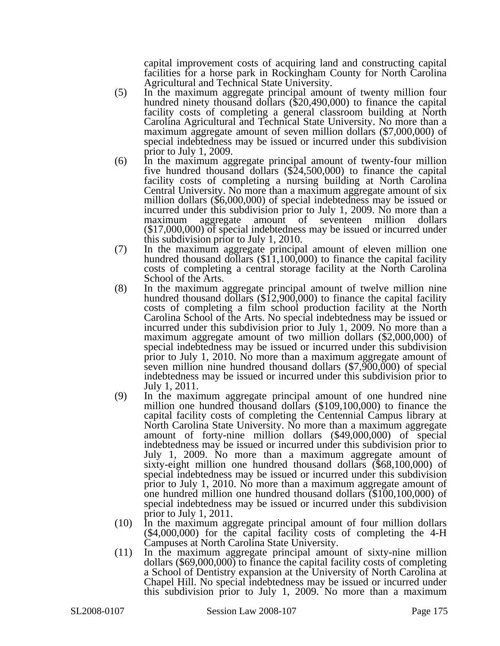capital improvement costs of acquiring land and constructing capital facilities for a horse park in Rockingham County for North Carolina Agricultural and Technical State University.

- (5) In the maximum aggregate principal amount of twenty million four hundred ninety thousand dollars (\$20,490,000) to finance the capital facility costs of completing a general classroom building at North Carolina Agricultural and Technical State University. No more than a maximum aggregate amount of seven million dollars (\$7,000,000) of special indebtedness may be issued or incurred under this subdivision prior to July 1, 2009.
- (6) In the maximum aggregate principal amount of twenty-four million five hundred thousand dollars (\$24,500,000) to finance the capital facility costs of completing a nursing building at North Carolina Central University. No more than a maximum aggregate amount of six million dollars (\$6,000,000) of special indebtedness may be issued or incurred under this subdivision prior to July 1, 2009. No more than a maximum aggregate amount of seventeen million dollars (\$17,000,000) of special indebtedness may be issued or incurred under this subdivision prior to July 1, 2010.
- (7) In the maximum aggregate principal amount of eleven million one hundred thousand dollars  $(\$11,100,000)$  to finance the capital facility costs of completing a central storage facility at the North Carolina School of the Arts.
- (8) In the maximum aggregate principal amount of twelve million nine hundred thousand dollars (\$12,900,000) to finance the capital facility costs of completing a film school production facility at the North Carolina School of the Arts. No special indebtedness may be issued or incurred under this subdivision prior to July 1, 2009. No more than a maximum aggregate amount of two million dollars (\$2,000,000) of special indebtedness may be issued or incurred under this subdivision prior to July 1, 2010. No more than a maximum aggregate amount of seven million nine hundred thousand dollars (\$7,900,000) of special indebtedness may be issued or incurred under this subdivision prior to July 1, 2011.
- (9) In the maximum aggregate principal amount of one hundred nine million one hundred thousand dollars (\$109,100,000) to finance the capital facility costs of completing the Centennial Campus library at North Carolina State University. No more than a maximum aggregate amount of forty-nine million dollars (\$49,000,000) of special indebtedness may be issued or incurred under this subdivision prior to July 1, 2009. No more than a maximum aggregate amount of sixty-eight million one hundred thousand dollars (\$68,100,000) of special indebtedness may be issued or incurred under this subdivision prior to July 1, 2010. No more than a maximum aggregate amount of one hundred million one hundred thousand dollars (\$100,100,000) of special indebtedness may be issued or incurred under this subdivision prior to July 1, 2011.
- (10) In the maximum aggregate principal amount of four million dollars (\$4,000,000) for the capital facility costs of completing the 4-H Campuses at North Carolina State University.
- (11) In the maximum aggregate principal amount of sixty-nine million dollars (\$69,000,000) to finance the capital facility costs of completing a School of Dentistry expansion at the University of North Carolina at Chapel Hill. No special indebtedness may be issued or incurred under this subdivision prior to July 1, 2009. No more than a maximum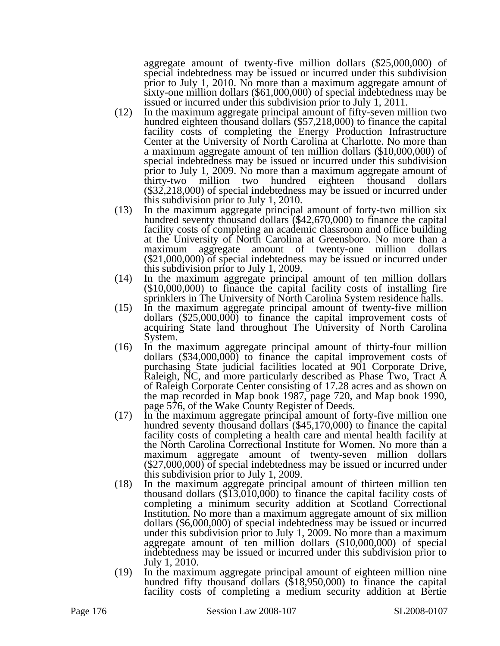aggregate amount of twenty-five million dollars (\$25,000,000) of special indebtedness may be issued or incurred under this subdivision prior to July 1, 2010. No more than a maximum aggregate amount of sixty-one million dollars (\$61,000,000) of special indebtedness may be issued or incurred under this subdivision prior to July 1, 2011.

- (12) In the maximum aggregate principal amount of fifty-seven million two hundred eighteen thousand dollars (\$57,218,000) to finance the capital facility costs of completing the Energy Production Infrastructure Center at the University of North Carolina at Charlotte. No more than a maximum aggregate amount of ten million dollars (\$10,000,000) of special indebtedness may be issued or incurred under this subdivision prior to July 1, 2009. No more than a maximum aggregate amount of thirty-two million two hundred eighteen thousand dollars thirty-two million two hundred eighteen thousand dollars (\$32,218,000) of special indebtedness may be issued or incurred under this subdivision prior to July 1, 2010.
- (13) In the maximum aggregate principal amount of forty-two million six hundred seventy thousand dollars (\$42,670,000) to finance the capital facility costs of completing an academic classroom and office building at the University of North Carolina at Greensboro. No more than a maximum aggregate amount of twenty-one million dollars (\$21,000,000) of special indebtedness may be issued or incurred under this subdivision prior to July 1, 2009.
- (14) In the maximum aggregate principal amount of ten million dollars (\$10,000,000) to finance the capital facility costs of installing fire sprinklers in The University of North Carolina System residence halls.
- (15) In the maximum aggregate principal amount of twenty-five million dollars (\$25,000,000) to finance the capital improvement costs of acquiring State land throughout The University of North Carolina System.
- (16) In the maximum aggregate principal amount of thirty-four million dollars (\$34,000,000) to finance the capital improvement costs of purchasing State judicial facilities located at 901 Corporate Drive, Raleigh, NC, and more particularly described as Phase Two, Tract A of Raleigh Corporate Center consisting of 17.28 acres and as shown on the map recorded in Map book 1987, page 720, and Map book 1990, page 576, of the Wake County Register of Deeds.
- (17) In the maximum aggregate principal amount of forty-five million one hundred seventy thousand dollars (\$45,170,000) to finance the capital facility costs of completing a health care and mental health facility at the North Carolina Correctional Institute for Women. No more than a maximum aggregate amount of twenty-seven million dollars (\$27,000,000) of special indebtedness may be issued or incurred under this subdivision prior to July 1, 2009.
- (18) In the maximum aggregate principal amount of thirteen million ten thousand dollars (\$13,010,000) to finance the capital facility costs of completing a minimum security addition at Scotland Correctional Institution. No more than a maximum aggregate amount of six million dollars (\$6,000,000) of special indebtedness may be issued or incurred under this subdivision prior to July 1, 2009. No more than a maximum aggregate amount of ten million dollars (\$10,000,000) of special indebtedness may be issued or incurred under this subdivision prior to July 1, 2010.
- (19) In the maximum aggregate principal amount of eighteen million nine hundred fifty thousand dollars (\$18,950,000) to finance the capital facility costs of completing a medium security addition at Bertie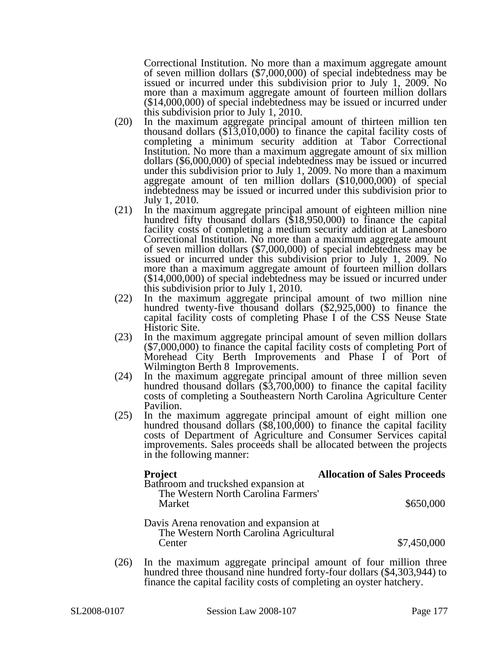Correctional Institution. No more than a maximum aggregate amount of seven million dollars (\$7,000,000) of special indebtedness may be issued or incurred under this subdivision prior to July 1, 2009. No more than a maximum aggregate amount of fourteen million dollars (\$14,000,000) of special indebtedness may be issued or incurred under this subdivision prior to July 1, 2010.

- (20) In the maximum aggregate principal amount of thirteen million ten thousand dollars (\$13,010,000) to finance the capital facility costs of completing a minimum security addition at Tabor Correctional Institution. No more than a maximum aggregate amount of six million dollars (\$6,000,000) of special indebtedness may be issued or incurred under this subdivision prior to July 1, 2009. No more than a maximum aggregate amount of ten million dollars (\$10,000,000) of special indebtedness may be issued or incurred under this subdivision prior to July 1, 2010.
- (21) In the maximum aggregate principal amount of eighteen million nine hundred fifty thousand dollars (\$18,950,000) to finance the capital facility costs of completing a medium security addition at Lanesboro Correctional Institution. No more than a maximum aggregate amount of seven million dollars (\$7,000,000) of special indebtedness may be issued or incurred under this subdivision prior to July 1, 2009. No more than a maximum aggregate amount of fourteen million dollars (\$14,000,000) of special indebtedness may be issued or incurred under this subdivision prior to July 1, 2010.
- (22) In the maximum aggregate principal amount of two million nine hundred twenty-five thousand dollars (\$2,925,000) to finance the capital facility costs of completing Phase I of the CSS Neuse State Historic Site.
- (23) In the maximum aggregate principal amount of seven million dollars (\$7,000,000) to finance the capital facility costs of completing Port of Morehead City Berth Improvements and Phase I of Port of
- Wilmington Berth 8 Improvements.<br>In the maximum aggregate principal amount of three million seven (24) In the maximum aggregate principal amount of three million seven hundred thousand dollars (\$3,700,000) to finance the capital facility costs of completing a Southeastern North Carolina Agriculture Center Pavilion.
- (25) In the maximum aggregate principal amount of eight million one hundred thousand dollars (\$8,100,000) to finance the capital facility costs of Department of Agriculture and Consumer Services capital improvements. Sales proceeds shall be allocated between the projects in the following manner:

| <b>Project</b>                                                                     | <b>Allocation of Sales Proceeds</b> |
|------------------------------------------------------------------------------------|-------------------------------------|
| Bathroom and truckshed expansion at<br>The Western North Carolina Farmers'         |                                     |
| Market                                                                             | \$650,000                           |
| Davis Arena renovation and expansion at<br>The Western North Carolina Agricultural |                                     |
| Center                                                                             | \$7,450,000                         |

(26) In the maximum aggregate principal amount of four million three hundred three thousand nine hundred forty-four dollars (\$4,303,944) to finance the capital facility costs of completing an oyster hatchery.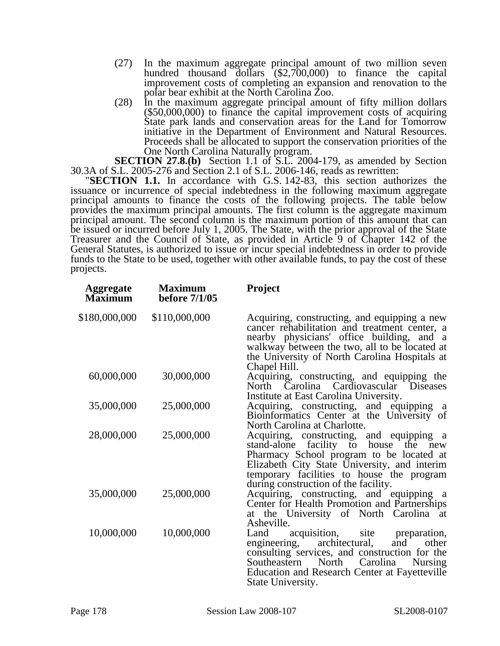- (27) In the maximum aggregate principal amount of two million seven hundred thousand dollars (\$2,700,000) to finance the capital improvement costs of completing an expansion and renovation to the polar bear exhibit at the North Carolina Zoo.
- (28) In the maximum aggregate principal amount of fifty million dollars (\$50,000,000) to finance the capital improvement costs of acquiring State park lands and conservation areas for the Land for Tomorrow initiative in the Department of Environment and Natural Resources. Proceeds shall be allocated to support the conservation priorities of the One North Carolina Naturally program.

**SECTION 27.8.(b)** Section 1.1 of S.L. 2004-179, as amended by Section 30.3A of S.L. 2005-276 and Section 2.1 of S.L. 2006-146, reads as rewritten:

"**SECTION 1.1.** In accordance with G.S. 142-83, this section authorizes the issuance or incurrence of special indebtedness in the following maximum aggregate principal amounts to finance the costs of the following projects. The table below provides the maximum principal amounts. The first column is the aggregate maximum principal amount. The second column is the maximum portion of this amount that can be issued or incurred before July 1, 2005. The State, with the prior approval of the State Treasurer and the Council of State, as provided in Article 9 of Chapter 142 of the General Statutes, is authorized to issue or incur special indebtedness in order to provide funds to the State to be used, together with other available funds, to pay the cost of these projects.

| <b>Aggregate</b><br><b>Maximum</b> | <b>Maximum</b><br>before 7/1/05 | <b>Project</b>                                                                                                                                                                                                                                                                      |
|------------------------------------|---------------------------------|-------------------------------------------------------------------------------------------------------------------------------------------------------------------------------------------------------------------------------------------------------------------------------------|
| \$180,000,000                      | \$110,000,000                   | Acquiring, constructing, and equipping a new<br>cancer rehabilitation and treatment center, a<br>nearby physicians' office building, and a<br>walkway between the two, all to be located at<br>the University of North Carolina Hospitals at<br>Chapel Hill.                        |
| 60,000,000                         | 30,000,000                      | Acquiring, constructing, and equipping the<br>North Carolina Cardiovascular Diseases<br>Institute at East Carolina University.                                                                                                                                                      |
| 35,000,000                         | 25,000,000                      | Acquiring, constructing, and equipping<br>a<br>Bioinformatics Center at the University of<br>North Carolina at Charlotte.                                                                                                                                                           |
| 28,000,000                         | 25,000,000                      | Acquiring, constructing, and equipping a<br>stand-alone facility to house the<br>new<br>Pharmacy School program to be located at<br>Elizabeth City State University, and interim<br>temporary facilities to house the program<br>during construction of the facility.               |
| 35,000,000                         | 25,000,000                      | Acquiring, constructing, and equipping a<br>Center for Health Promotion and Partnerships<br>at the University of North Carolina at<br>Asheville.                                                                                                                                    |
| 10,000,000                         | 10,000,000                      | acquisition,<br>site<br>Land<br>preparation,<br>architectural,<br>engineering,<br>and<br>other<br>consulting services, and construction for the<br>Carolina<br>North<br>Southeastern<br><b>Nursing</b><br><b>Education and Research Center at Fayetteville</b><br>State University. |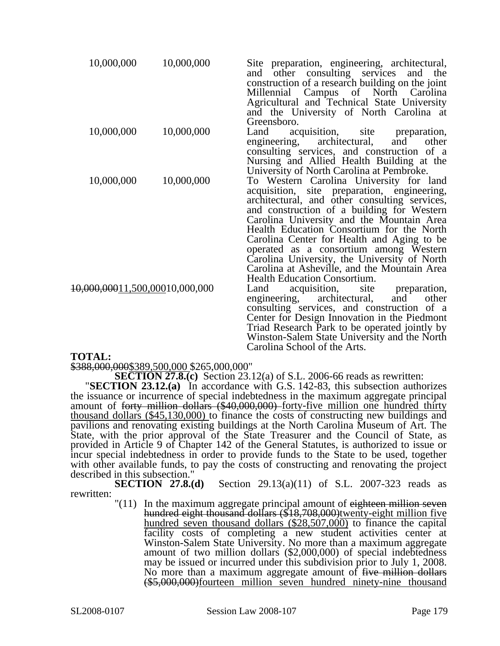| 10,000,000                     | 10,000,000 | Site preparation, engineering, architectural,<br>other consulting services and the<br>and<br>construction of a research building on the joint<br>Millennial Campus of North Carolina<br>Agricultural and Technical State University<br>and the University of North Carolina at<br>Greensboro.                                                                                                                                                                                                                  |
|--------------------------------|------------|----------------------------------------------------------------------------------------------------------------------------------------------------------------------------------------------------------------------------------------------------------------------------------------------------------------------------------------------------------------------------------------------------------------------------------------------------------------------------------------------------------------|
| 10,000,000                     | 10,000,000 | acquisition,<br>Land<br>site<br>preparation,<br>architectural,<br>engineering,<br>and<br>other<br>consulting services, and construction of a<br>Nursing and Allied Health Building at the<br>University of North Carolina at Pembroke.                                                                                                                                                                                                                                                                         |
| 10,000,000                     | 10,000,000 | To Western Carolina University for land<br>acquisition, site preparation, engineering,<br>architectural, and other consulting services,<br>and construction of a building for Western<br>Carolina University and the Mountain Area<br>Health Education Consortium for the North<br>Carolina Center for Health and Aging to be<br>operated as a consortium among Western<br>Carolina University, the University of North<br>Carolina at Asheville, and the Mountain Area<br><b>Health Education Consortium.</b> |
| 10,000,00011,500,00010,000,000 |            | acquisition,<br>site<br>Land<br>preparation,<br>engineering,<br>architectural,<br>and<br>other<br>consulting services, and construction of a<br>Center for Design Innovation in the Piedmont<br>Triad Research Park to be operated jointly by<br>Winston-Salem State University and the North<br>Carolina School of the Arts.                                                                                                                                                                                  |

### **TOTAL:**

\$388,000,000\$389,500,000 \$265,000,000"

**SECTION 27.8.(c)** Section 23.12(a) of S.L. 2006-66 reads as rewritten: "**SECTION 23.12.(a)** In accordance with G.S. 142-83, this subsection authorizes the issuance or incurrence of special indebtedness in the maximum aggregate principal amount of forty million dollars (\$40,000,000) forty-five million one hundred thirty thousand dollars (\$45,130,000) to finance the costs of constructing new buildings and pavilions and renovating existing buildings at the North Carolina Museum of Art. The State, with the prior approval of the State Treasurer and the Council of State, as provided in Article 9 of Chapter 142 of the General Statutes, is authorized to issue or incur special indebtedness in order to provide funds to the State to be used, together with other available funds, to pay the costs of constructing and renovating the project described in this subsection."

**SECTION 27.8.(d)** Section 29.13(a)(11) of S.L. 2007-323 reads as rewritten:

"(11) In the maximum aggregate principal amount of eighteen million seven<br>hundred eight thousand dollars (\$18,708,000)twenty-eight million five hundred seven thousand dollars (\$28,507,000) to finance the capital facility costs of completing a new student activities center at Winston-Salem State University. No more than a maximum aggregate amount of two million dollars (\$2,000,000) of special indebtedness may be issued or incurred under this subdivision prior to July 1, 2008. No more than a maximum aggregate amount of five million dollars (\$5,000,000)fourteen million seven hundred ninety-nine thousand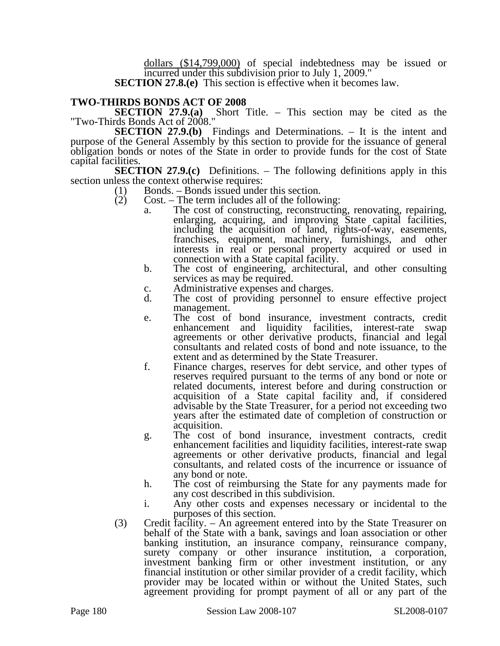dollars (\$14,799,000) of special indebtedness may be issued or incurred under this subdivision prior to July 1, 2009."

**SECTION 27.8.(e)** This section is effective when it becomes law.

# **TWO-THIRDS BONDS ACT OF 2008**

Short Title. – This section may be cited as the "Two-Thirds Bonds Act of 2008."

**SECTION 27.9.(b)** Findings and Determinations. – It is the intent and purpose of the General Assembly by this section to provide for the issuance of general obligation bonds or notes of the State in order to provide funds for the cost of State capital facilities.

**SECTION 27.9.(c)** Definitions. – The following definitions apply in this section unless the context otherwise requires:

- (1) Bonds. Bonds issued under this section.
- (2) Cost. The term includes all of the following:
	- a. The cost of constructing, reconstructing, renovating, repairing, enlarging, acquiring, and improving State capital facilities, including the acquisition of land, rights-of-way, easements, franchises, equipment, machinery, furnishings, and other interests in real or personal property acquired or used in connection with a State capital facility.
		- b. The cost of engineering, architectural, and other consulting services as may be required.
		- c. Administrative expenses and charges.
		- d. The cost of providing personnel to ensure effective project management.
		- e. The cost of bond insurance, investment contracts, credit enhancement and liquidity facilities, interest-rate swap agreements or other derivative products, financial and legal consultants and related costs of bond and note issuance, to the extent and as determined by the State Treasurer.
		- f. Finance charges, reserves for debt service, and other types of reserves required pursuant to the terms of any bond or note or related documents, interest before and during construction or acquisition of a State capital facility and, if considered advisable by the State Treasurer, for a period not exceeding two years after the estimated date of completion of construction or acquisition.
		- g. The cost of bond insurance, investment contracts, credit enhancement facilities and liquidity facilities, interest-rate swap agreements or other derivative products, financial and legal consultants, and related costs of the incurrence or issuance of any bond or note.
		- h. The cost of reimbursing the State for any payments made for any cost described in this subdivision.
		- i. Any other costs and expenses necessary or incidental to the purposes of this section.
- (3) Credit facility. An agreement entered into by the State Treasurer on behalf of the State with a bank, savings and loan association or other banking institution, an insurance company, reinsurance company, surety company or other insurance institution, a corporation, investment banking firm or other investment institution, or any financial institution or other similar provider of a credit facility, which provider may be located within or without the United States, such agreement providing for prompt payment of all or any part of the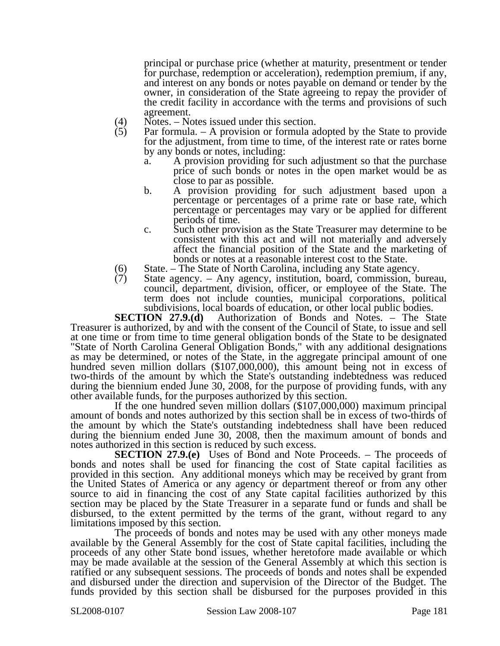principal or purchase price (whether at maturity, presentment or tender for purchase, redemption or acceleration), redemption premium, if any, and interest on any bonds or notes payable on demand or tender by the owner, in consideration of the State agreeing to repay the provider of the credit facility in accordance with the terms and provisions of such agreement.

- (4) Notes. Notes issued under this section.<br>
(5) Par formula. A provision or formula a
- Par formula.  $A$  provision or formula adopted by the State to provide for the adjustment, from time to time, of the interest rate or rates borne by any bonds or notes, including:
	- a. A provision providing for such adjustment so that the purchase price of such bonds or notes in the open market would be as close to par as possible.
	- b. A provision providing for such adjustment based upon a percentage or percentages of a prime rate or base rate, which percentage or percentages may vary or be applied for different periods of time.
	- c. Such other provision as the State Treasurer may determine to be consistent with this act and will not materially and adversely affect the financial position of the State and the marketing of bonds or notes at a reasonable interest cost to the State.
- (6) State. The State of North Carolina, including any State agency.<br>
(7) State agency. Any agency, institution, board, commission, b
- State agency. Any agency, institution, board, commission, bureau, council, department, division, officer, or employee of the State. The term does not include counties, municipal corporations, political subdivisions, local boards of education, or other local public bodies.<br>SECTION 27.9.(d) Authorization of Bonds and Notes. – The St

Authorization of Bonds and Notes. – The State Treasurer is authorized, by and with the consent of the Council of State, to issue and sell at one time or from time to time general obligation bonds of the State to be designated "State of North Carolina General Obligation Bonds," with any additional designations as may be determined, or notes of the State, in the aggregate principal amount of one hundred seven million dollars (\$107,000,000), this amount being not in excess of two-thirds of the amount by which the State's outstanding indebtedness was reduced during the biennium ended June 30, 2008, for the purpose of providing funds, with any other available funds, for the purposes authorized by this section.

If the one hundred seven million dollars  $(\$107,000,000)$  maximum principal amount of bonds and notes authorized by this section shall be in excess of two-thirds of the amount by which the State's outstanding indebtedness shall have been reduced during the biennium ended June 30, 2008, then the maximum amount of bonds and notes authorized in this section is reduced by such excess.

**SECTION 27.9.(e)** Uses of Bond and Note Proceeds. – The proceeds of bonds and notes shall be used for financing the cost of State capital facilities as provided in this section. Any additional moneys which may be received by grant from the United States of America or any agency or department thereof or from any other source to aid in financing the cost of any State capital facilities authorized by this section may be placed by the State Treasurer in a separate fund or funds and shall be disbursed, to the extent permitted by the terms of the grant, without regard to any limitations imposed by this section.

The proceeds of bonds and notes may be used with any other moneys made available by the General Assembly for the cost of State capital facilities, including the proceeds of any other State bond issues, whether heretofore made available or which may be made available at the session of the General Assembly at which this section is ratified or any subsequent sessions. The proceeds of bonds and notes shall be expended and disbursed under the direction and supervision of the Director of the Budget. The funds provided by this section shall be disbursed for the purposes provided in this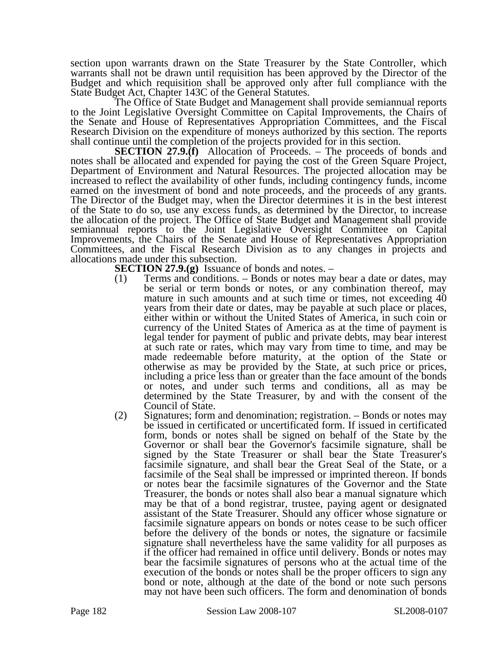section upon warrants drawn on the State Treasurer by the State Controller, which warrants shall not be drawn until requisition has been approved by the Director of the Budget and which requisition shall be approved only after full compliance with the State Budget Act, Chapter 143C of the General Statutes.

The Office of State Budget and Management shall provide semiannual reports to the Joint Legislative Oversight Committee on Capital Improvements, the Chairs of the Senate and House of Representatives Appropriation Committees, and the Fiscal Research Division on the expenditure of moneys authorized by this section. The reports shall continue until the completion of the projects provided for in this section.

**SECTION 27.9.(f)** Allocation of Proceeds. – The proceeds of bonds and notes shall be allocated and expended for paying the cost of the Green Square Project, Department of Environment and Natural Resources. The projected allocation may be increased to reflect the availability of other funds, including contingency funds, income earned on the investment of bond and note proceeds, and the proceeds of any grants. The Director of the Budget may, when the Director determines it is in the best interest of the State to do so, use any excess funds, as determined by the Director, to increase the allocation of the project. The Office of State Budget and Management shall provide semiannual reports to the Joint Legislative Oversight Committee on Capital Improvements, the Chairs of the Senate and House of Representatives Appropriation Committees, and the Fiscal Research Division as to any changes in projects and allocations made under this subsection.

**SECTION 27.9.(g)** Issuance of bonds and notes. –

- (1) Terms and conditions. Bonds or notes may bear a date or dates, may be serial or term bonds or notes, or any combination thereof, may mature in such amounts and at such time or times, not exceeding 40 years from their date or dates, may be payable at such place or places, either within or without the United States of America, in such coin or currency of the United States of America as at the time of payment is legal tender for payment of public and private debts, may bear interest at such rate or rates, which may vary from time to time, and may be made redeemable before maturity, at the option of the State or otherwise as may be provided by the State, at such price or prices, including a price less than or greater than the face amount of the bonds or notes, and under such terms and conditions, all as may be determined by the State Treasurer, by and with the consent of the Council of State.
- (2) Signatures; form and denomination; registration. Bonds or notes may be issued in certificated or uncertificated form. If issued in certificated form, bonds or notes shall be signed on behalf of the State by the Governor or shall bear the Governor's facsimile signature, shall be signed by the State Treasurer or shall bear the State Treasurer's facsimile signature, and shall bear the Great Seal of the State, or a facsimile of the Seal shall be impressed or imprinted thereon. If bonds or notes bear the facsimile signatures of the Governor and the State Treasurer, the bonds or notes shall also bear a manual signature which may be that of a bond registrar, trustee, paying agent or designated assistant of the State Treasurer. Should any officer whose signature or facsimile signature appears on bonds or notes cease to be such officer before the delivery of the bonds or notes, the signature or facsimile signature shall nevertheless have the same validity for all purposes as if the officer had remained in office until delivery. Bonds or notes may bear the facsimile signatures of persons who at the actual time of the execution of the bonds or notes shall be the proper officers to sign any bond or note, although at the date of the bond or note such persons may not have been such officers. The form and denomination of bonds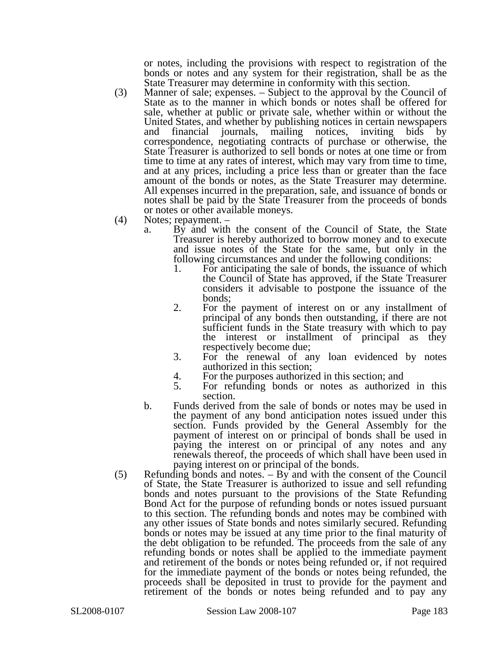or notes, including the provisions with respect to registration of the bonds or notes and any system for their registration, shall be as the State Treasurer may determine in conformity with this section.

- (3) Manner of sale; expenses. Subject to the approval by the Council of State as to the manner in which bonds or notes shall be offered for sale, whether at public or private sale, whether within or without the United States, and whether by publishing notices in certain newspapers and financial journals, mailing notices, inviting bids by correspondence, negotiating contracts of purchase or otherwise, the State Treasurer is authorized to sell bonds or notes at one time or from time to time at any rates of interest, which may vary from time to time, and at any prices, including a price less than or greater than the face amount of the bonds or notes, as the State Treasurer may determine. All expenses incurred in the preparation, sale, and issuance of bonds or notes shall be paid by the State Treasurer from the proceeds of bonds or notes or other available moneys.
- (4) Notes; repayment.
	- a. By and with the consent of the Council of State, the State Treasurer is hereby authorized to borrow money and to execute and issue notes of the State for the same, but only in the following circumstances and under the following conditions:
		- 1. For anticipating the sale of bonds, the issuance of which the Council of State has approved, if the State Treasurer considers it advisable to postpone the issuance of the bonds;
		- 2. For the payment of interest on or any installment of principal of any bonds then outstanding, if there are not sufficient funds in the State treasury with which to pay the interest or installment of principal as they respectively become due;
		- 3. For the renewal of any loan evidenced by notes authorized in this section;
		- 4. For the purposes authorized in this section; and<br>5. For refunding bonds or notes as authorized
		- 5. For refunding bonds or notes as authorized in this section.
	- b. Funds derived from the sale of bonds or notes may be used in the payment of any bond anticipation notes issued under this section. Funds provided by the General Assembly for the payment of interest on or principal of bonds shall be used in paying the interest on or principal of any notes and any renewals thereof, the proceeds of which shall have been used in paying interest on or principal of the bonds.
- (5) Refunding bonds and notes. By and with the consent of the Council of State, the State Treasurer is authorized to issue and sell refunding bonds and notes pursuant to the provisions of the State Refunding Bond Act for the purpose of refunding bonds or notes issued pursuant to this section. The refunding bonds and notes may be combined with any other issues of State bonds and notes similarly secured. Refunding bonds or notes may be issued at any time prior to the final maturity of the debt obligation to be refunded. The proceeds from the sale of any refunding bonds or notes shall be applied to the immediate payment and retirement of the bonds or notes being refunded or, if not required for the immediate payment of the bonds or notes being refunded, the proceeds shall be deposited in trust to provide for the payment and retirement of the bonds or notes being refunded and to pay any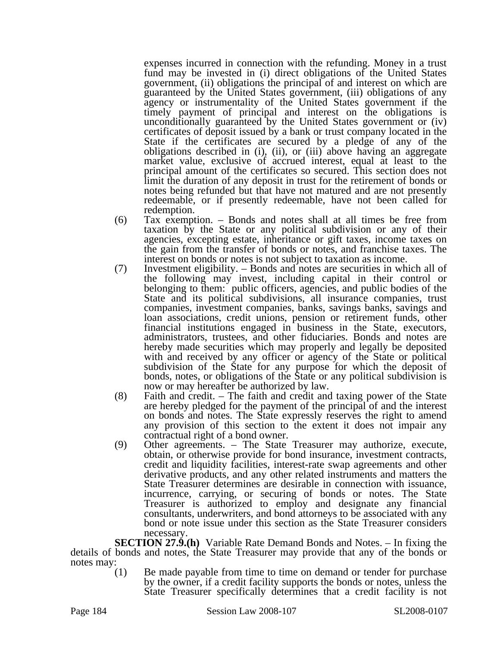expenses incurred in connection with the refunding. Money in a trust fund may be invested in (i) direct obligations of the United States government, (ii) obligations the principal of and interest on which are guaranteed by the United States government, (iii) obligations of any agency or instrumentality of the United States government if the timely payment of principal and interest on the obligations is unconditionally guaranteed by the United States government or (iv) certificates of deposit issued by a bank or trust company located in the State if the certificates are secured by a pledge of any of the obligations described in (i), (ii), or (iii) above having an aggregate market value, exclusive of accrued interest, equal at least to the principal amount of the certificates so secured. This section does not limit the duration of any deposit in trust for the retirement of bonds or notes being refunded but that have not matured and are not presently redeemable, or if presently redeemable, have not been called for redemption.

- (6) Tax exemption. Bonds and notes shall at all times be free from taxation by the State or any political subdivision or any of their agencies, excepting estate, inheritance or gift taxes, income taxes on the gain from the transfer of bonds or notes, and franchise taxes. The interest on bonds or notes is not subject to taxation as income.
- (7) Investment eligibility. Bonds and notes are securities in which all of the following may invest, including capital in their control or belonging to them: public officers, agencies, and public bodies of the State and its political subdivisions, all insurance companies, trust companies, investment companies, banks, savings banks, savings and loan associations, credit unions, pension or retirement funds, other financial institutions engaged in business in the State, executors, administrators, trustees, and other fiduciaries. Bonds and notes are hereby made securities which may properly and legally be deposited with and received by any officer or agency of the State or political subdivision of the State for any purpose for which the deposit of bonds, notes, or obligations of the State or any political subdivision is now or may hereafter be authorized by law.
- (8) Faith and credit. The faith and credit and taxing power of the State are hereby pledged for the payment of the principal of and the interest on bonds and notes. The State expressly reserves the right to amend any provision of this section to the extent it does not impair any contractual right of a bond owner.
- (9) Other agreements. The State Treasurer may authorize, execute, obtain, or otherwise provide for bond insurance, investment contracts, credit and liquidity facilities, interest-rate swap agreements and other derivative products, and any other related instruments and matters the State Treasurer determines are desirable in connection with issuance, incurrence, carrying, or securing of bonds or notes. The State Treasurer is authorized to employ and designate any financial consultants, underwriters, and bond attorneys to be associated with any bond or note issue under this section as the State Treasurer considers necessary.

**SECTION 27.9.(h)** Variable Rate Demand Bonds and Notes. – In fixing the details of bonds and notes, the State Treasurer may provide that any of the bonds or notes may:  $(1)$ 

Be made payable from time to time on demand or tender for purchase by the owner, if a credit facility supports the bonds or notes, unless the State Treasurer specifically determines that a credit facility is not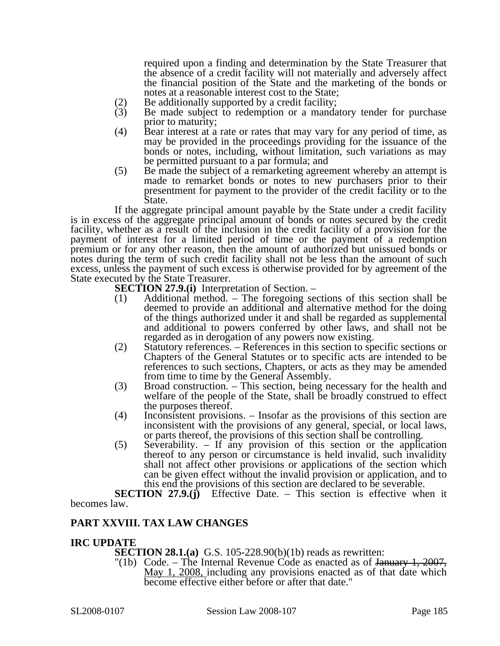required upon a finding and determination by the State Treasurer that the absence of a credit facility will not materially and adversely affect the financial position of the State and the marketing of the bonds or notes at a reasonable interest cost to the State;

- 
- (2) Be additionally supported by a credit facility;<br>(3) Be made subject to redemption or a manda Be made subject to redemption or a mandatory tender for purchase prior to maturity;
- (4) Bear interest at a rate or rates that may vary for any period of time, as may be provided in the proceedings providing for the issuance of the bonds or notes, including, without limitation, such variations as may be permitted pursuant to a par formula; and
- (5) Be made the subject of a remarketing agreement whereby an attempt is made to remarket bonds or notes to new purchasers prior to their presentment for payment to the provider of the credit facility or to the State.

If the aggregate principal amount payable by the State under a credit facility is in excess of the aggregate principal amount of bonds or notes secured by the credit facility, whether as a result of the inclusion in the credit facility of a provision for the payment of interest for a limited period of time or the payment of a redemption premium or for any other reason, then the amount of authorized but unissued bonds or notes during the term of such credit facility shall not be less than the amount of such excess, unless the payment of such excess is otherwise provided for by agreement of the State executed by the State Treasurer.

**SECTION 27.9.(i)** Interpretation of Section. –

- (1) Additional method. The foregoing sections of this section shall be deemed to provide an additional and alternative method for the doing of the things authorized under it and shall be regarded as supplemental and additional to powers conferred by other laws, and shall not be regarded as in derogation of any powers now existing.
- (2) Statutory references. References in this section to specific sections or Chapters of the General Statutes or to specific acts are intended to be references to such sections, Chapters, or acts as they may be amended from time to time by the General Assembly.
- (3) Broad construction. This section, being necessary for the health and welfare of the people of the State, shall be broadly construed to effect the purposes thereof.
- (4) Inconsistent provisions. Insofar as the provisions of this section are inconsistent with the provisions of any general, special, or local laws, or parts thereof, the provisions of this section shall be controlling.
- (5) Severability. If any provision of this section or the application thereof to any person or circumstance is held invalid, such invalidity shall not affect other provisions or applications of the section which can be given effect without the invalid provision or application, and to this end the provisions of this section are declared to be severable.

**SECTION 27.9.(j)** Effective Date. – This section is effective when it becomes law.

### **PART XXVIII. TAX LAW CHANGES**

#### **IRC UPDATE**

**SECTION 28.1.(a)** G.S. 105-228.90(b)(1b) reads as rewritten:

"(1b) Code. – The Internal Revenue Code as enacted as of January 1, 2007, May 1, 2008, including any provisions enacted as of that date which become effective either before or after that date."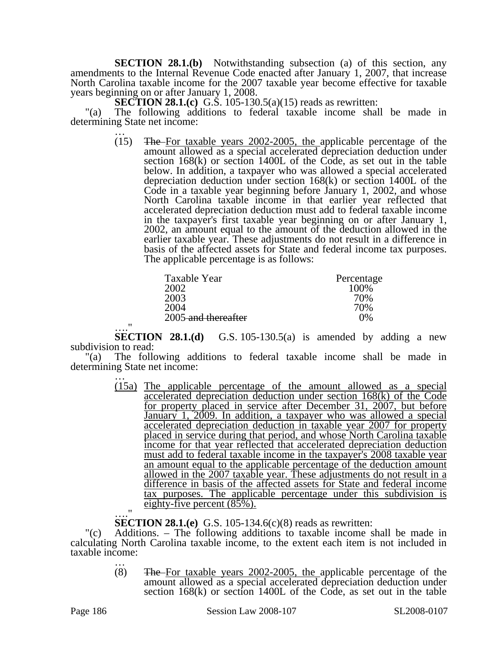**SECTION 28.1.(b)** Notwithstanding subsection (a) of this section, any amendments to the Internal Revenue Code enacted after January 1, 2007, that increase North Carolina taxable income for the 2007 taxable year become effective for taxable years beginning on or after January 1, 2008.

**SECTION 28.1.(c)** G.S. 105-130.5(a)(15) reads as rewritten:

"(a) The following additions to federal taxable income shall be made in determining State net income:<br> $\frac{1}{15}$  The-For taxe

The For taxable years 2002-2005, the applicable percentage of the amount allowed as a special accelerated depreciation deduction under section 168(k) or section 1400L of the Code, as set out in the table below. In addition, a taxpayer who was allowed a special accelerated depreciation deduction under section 168(k) or section 1400L of the Code in a taxable year beginning before January 1, 2002, and whose North Carolina taxable income in that earlier year reflected that accelerated depreciation deduction must add to federal taxable income in the taxpayer's first taxable year beginning on or after January 1, 2002, an amount equal to the amount of the deduction allowed in the earlier taxable year. These adjustments do not result in a difference in basis of the affected assets for State and federal income tax purposes. The applicable percentage is as follows:

| Taxable Year        | Percentage |
|---------------------|------------|
| 2002                | 100\%      |
| 2003                | 70%        |
| 2004                | 70%        |
| 2005-and thereafter | 0%         |
|                     |            |

…." **SECTION 28.1.(d)** G.S. 105-130.5(a) is amended by adding a new subdivision to read:

"(a) The following additions to federal taxable income shall be made in determining State net income: …

> (15a) The applicable percentage of the amount allowed as a special accelerated depreciation deduction under section 168(k) of the Code for property placed in service after December 31, 2007, but before January 1, 2009. In addition, a taxpayer who was allowed a special accelerated depreciation deduction in taxable year 2007 for property placed in service during that period, and whose North Carolina taxable income for that year reflected that accelerated depreciation deduction must add to federal taxable income in the taxpayer's 2008 taxable year an amount equal to the applicable percentage of the deduction amount allowed in the 2007 taxable year. These adjustments do not result in a difference in basis of the affected assets for State and federal income tax purposes. The applicable percentage under this subdivision is eighty-five percent  $(85\%)$ .

…." **SECTION 28.1.(e)** G.S. 105-134.6(c)(8) reads as rewritten:

Additions. – The following additions to taxable income shall be made in calculating North Carolina taxable income, to the extent each item is not included in taxable income:<br> $\frac{1}{(8)}$ 

The For taxable years 2002-2005, the applicable percentage of the amount allowed as a special accelerated depreciation deduction under section 168(k) or section 1400L of the Code, as set out in the table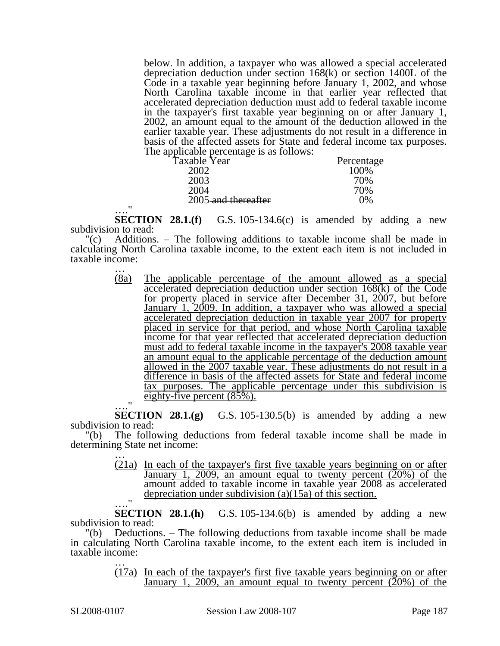below. In addition, a taxpayer who was allowed a special accelerated depreciation deduction under section 168(k) or section 1400L of the Code in a taxable year beginning before January 1, 2002, and whose North Carolina taxable income in that earlier year reflected that accelerated depreciation deduction must add to federal taxable income in the taxpayer's first taxable year beginning on or after January 1, 2002, an amount equal to the amount of the deduction allowed in the earlier taxable year. These adjustments do not result in a difference in basis of the affected assets for State and federal income tax purposes. The applicable percentage is as follows:

| Taxable Year        | Percentage |
|---------------------|------------|
| 2002                | 100\%      |
| 2003                | 70%        |
| 2004                | 70%        |
| 2005-and thereafter | 0%         |

…." **SECTION 28.1.(f)** G.S. 105-134.6(c) is amended by adding a new subdivision to read:

"(c) Additions. – The following additions to taxable income shall be made in calculating North Carolina taxable income, to the extent each item is not included in taxable income:<br> $\frac{1}{(8a)}$ 

(8a) The applicable percentage of the amount allowed as a special accelerated depreciation deduction under section 168(k) of the Code for property placed in service after December 31, 2007, but before January 1, 2009. In addition, a taxpayer who was allowed a special accelerated depreciation deduction in taxable year 2007 for property placed in service for that period, and whose North Carolina taxable income for that year reflected that accelerated depreciation deduction must add to federal taxable income in the taxpayer's 2008 taxable year an amount equal to the applicable percentage of the deduction amount allowed in the 2007 taxable year. These adjustments do not result in a difference in basis of the affected assets for State and federal income tax purposes. The applicable percentage under this subdivision is eighty-five percent (85%).

…." **SECTION 28.1.(g)** G.S. 105-130.5(b) is amended by adding a new subdivision to read:

"(b) The following deductions from federal taxable income shall be made in determining State net income: …

> (21a) In each of the taxpayer's first five taxable years beginning on or after January 1, 2009, an amount equal to twenty percent  $(20%)$  of the amount added to taxable income in taxable year 2008 as accelerated depreciation under subdivision (a)(15a) of this section.

 $SECTION 28.1(h)$ G.S.  $105-134.6(b)$  is amended by adding a new subdivision to read:

"(b) Deductions. – The following deductions from taxable income shall be made in calculating North Carolina taxable income, to the extent each item is included in taxable income:

> (17a) In each of the taxpayer's first five taxable years beginning on or after January 1, 2009, an amount equal to twenty percent  $(20%)$  of the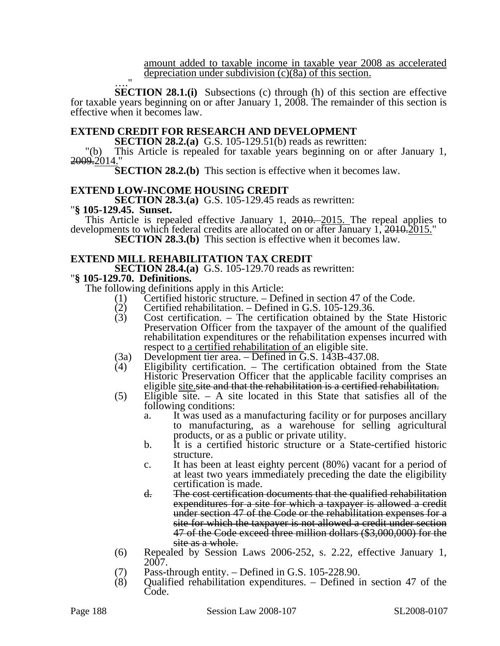amount added to taxable income in taxable year 2008 as accelerated depreciation under subdivision (c)(8a) of this section.

…." **SECTION 28.1.(i)** Subsections (c) through (h) of this section are effective for taxable years beginning on or after January 1, 2008. The remainder of this section is effective when it becomes law.

#### **EXTEND CREDIT FOR RESEARCH AND DEVELOPMENT**

**SECTION 28.2.(a)** G.S. 105-129.51(b) reads as rewritten:

"(b) This Article is repealed for taxable years beginning on or after January 1, 2009.2014."

**SECTION 28.2.(b)** This section is effective when it becomes law.

#### **EXTEND LOW-INCOME HOUSING CREDIT**

**SECTION 28.3.(a)** G.S. 105-129.45 reads as rewritten: "**§ 105-129.45. Sunset.** 

This Article is repealed effective January 1, 2010. 2015. The repeal applies to developments to which federal credits are allocated on or after January 1, 2010.2015."

**SECTION 28.3.(b)** This section is effective when it becomes law.

#### **EXTEND MILL REHABILITATION TAX CREDIT**

**SECTION 28.4.(a)** G.S. 105-129.70 reads as rewritten: "**§ 105-129.70. Definitions.** 

The following definitions apply in this Article:

- (1) Certified historic structure. Defined in section 47 of the Code.
- (2) Certified rehabilitation. Defined in G.S. 105-129.36.<br>
(3) Cost certification. The certification obtained by the
- $Cost$  certification. The certification obtained by the State Historic Preservation Officer from the taxpayer of the amount of the qualified rehabilitation expenditures or the rehabilitation expenses incurred with respect to a certified rehabilitation of an eligible site.
- (3a) Development tier area. Defined in G.S. 143B-437.08.
- (4) Eligibility certification. The certification obtained from the State Historic Preservation Officer that the applicable facility comprises an eligible site.site and that the rehabilitation is a certified rehabilitation.
- (5) Eligible site. A site located in this State that satisfies all of the following conditions:
	- a. It was used as a manufacturing facility or for purposes ancillary to manufacturing, as a warehouse for selling agricultural products, or as a public or private utility.
	- b. It is a certified historic structure or a State-certified historic structure.
	- c. It has been at least eighty percent (80%) vacant for a period of at least two years immediately preceding the date the eligibility certification is made.
	- d. The cost certification documents that the qualified rehabilitation expenditures for a site for which a taxpayer is allowed a credit under section 47 of the Code or the rehabilitation expenses for a site for which the taxpayer is not allowed a credit under section 47 of the Code exceed three million dollars (\$3,000,000) for the site as a whole.
- (6) Repealed by Session Laws 2006-252, s. 2.22, effective January 1, 2007.
- 
- (7) Pass-through entity. Defined in G.S. 105-228.90.<br>(8) Oualified rehabilitation expenditures. Defined i (8) Qualified rehabilitation expenditures. – Defined in section 47 of the Code.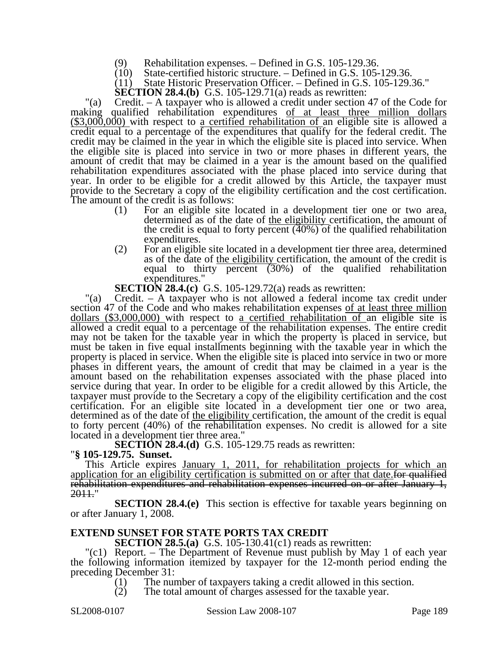- (9) Rehabilitation expenses. Defined in G.S. 105-129.36.
- (10) State-certified historic structure. Defined in G.S. 105-129.36.

(11) State Historic Preservation Officer. – Defined in G.S. 105-129.36."

**SECTION 28.4.(b)** G.S. 105-129.71(a) reads as rewritten:

"(a) Credit. – A taxpayer who is allowed a credit under section 47 of the Code for making qualified rehabilitation expenditures of at least three million dollars  $(\$3,000,000)$  with respect to a certified rehabilitation of an eligible site is allowed a credit equal to a percentage of the expenditures that qualify for the federal credit. The credit may be claimed in the year in which the eligible site is placed into service. When the eligible site is placed into service in two or more phases in different years, the amount of credit that may be claimed in a year is the amount based on the qualified rehabilitation expenditures associated with the phase placed into service during that year. In order to be eligible for a credit allowed by this Article, the taxpayer must provide to the Secretary a copy of the eligibility certification and the cost certification. The amount of the credit is as follows:

- (1) For an eligible site located in a development tier one or two area, determined as of the date of the eligibility certification, the amount of the credit is equal to forty percent (40%) of the qualified rehabilitation expenditures.
- (2) For an eligible site located in a development tier three area, determined as of the date of <u>the eligibility</u> certification, the amount of the credit is equal to thirty percent (30%) of the qualified rehabilitation expenditures."
- **SECTION 28.4.(c)** G.S. 105-129.72(a) reads as rewritten:

"(a) Credit. – A taxpayer who is not allowed a federal income tax credit under section 47 of the Code and who makes rehabilitation expenses of at least three million dollars (\$3,000,000) with respect to a certified rehabilitation of an eligible site is allowed a credit equal to a percentage of the rehabilitation expenses. The entire credit may not be taken for the taxable year in which the property is placed in service, but must be taken in five equal installments beginning with the taxable year in which the property is placed in service. When the eligible site is placed into service in two or more phases in different years, the amount of credit that may be claimed in a year is the amount based on the rehabilitation expenses associated with the phase placed into service during that year. In order to be eligible for a credit allowed by this Article, the taxpayer must provide to the Secretary a copy of the eligibility certification and the cost certification. For an eligible site located in a development tier one or two area, determined as of the date of <u>the eligibility</u> certification, the amount of the credit is equal to forty percent (40%) of the rehabilitation expenses. No credit is allowed for a site located in a development tier three area."

**SECTION 28.4.(d)** G.S. 105-129.75 reads as rewritten: "**§ 105-129.75. Sunset.** 

This Article expires January 1, 2011, for rehabilitation projects for which an application for an eligibility certification is submitted on or after that date for qualified rehabilitation expenditures and rehabilitation expenses incurred on or after January 1, 2011."

**SECTION 28.4.(e)** This section is effective for taxable years beginning on or after January 1, 2008.

#### **EXTEND SUNSET FOR STATE PORTS TAX CREDIT**

**SECTION 28.5.(a)** G.S. 105-130.41(c1) reads as rewritten:

"(c1) Report. – The Department of Revenue must publish by May 1 of each year the following information itemized by taxpayer for the 12-month period ending the preceding December 31:

(1) The number of taxpayers taking a credit allowed in this section.

(2) The total amount of charges assessed for the taxable year.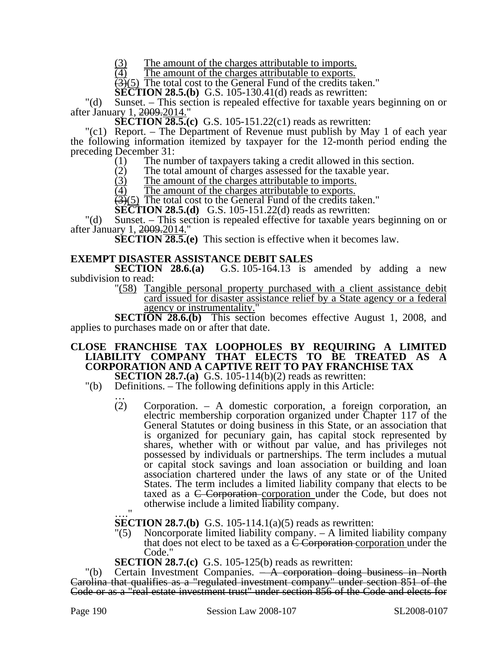$\frac{(3)}{(4)}$  The amount of the charges attributable to imports.<br>
The amount of the charges attributable to exports.

The amount of the charges attributable to exports.

 $(3)(5)$  The total cost to the General Fund of the credits taken."

**SECTION 28.5.(b)** G.S. 105-130.41(d) reads as rewritten:

"(d) Sunset. – This section is repealed effective for taxable years beginning on or after January 1, 2009.2014."

**SECTION 28.5.(c)** G.S. 105-151.22(c1) reads as rewritten:

"(c1) Report. – The Department of Revenue must publish by May 1 of each year the following information itemized by taxpayer for the 12-month period ending the preceding December 31:

- (1) The number of taxpayers taking a credit allowed in this section.<br>
(2) The total amount of charges assessed for the taxable year.
- (2) The total amount of charges assessed for the taxable year.<br>(3) The amount of the charges attributable to imports.
- $\frac{(3)}{(4)}$  The amount of the charges attributable to imports.<br>
The amount of the charges attributable to exports.

The amount of the charges attributable to exports.

 $\left(\frac{3}{5}\right)$  The total cost to the General Fund of the credits taken."

**SECTION 28.5.(d)** G.S. 105-151.22(d) reads as rewritten:

"(d) Sunset. – This section is repealed effective for taxable years beginning on or after January 1, 2009.2014."

**SECTION 28.5.(e)** This section is effective when it becomes law.

#### **EXEMPT DISASTER ASSISTANCE DEBIT SALES**

**SECTION 28.6.(a)** G.S. 105-164.13 is amended by adding a new subdivision to read:

"(58) Tangible personal property purchased with a client assistance debit card issued for disaster assistance relief by a State agency or a federal agency or instrumentality.

**SECTION 28.6.(b)** This section becomes effective August 1, 2008, and applies to purchases made on or after that date.

#### **CLOSE FRANCHISE TAX LOOPHOLES BY REQUIRING A LIMITED LIABILITY COMPANY THAT ELECTS TO BE TREATED AS A CORPORATION AND A CAPTIVE REIT TO PAY FRANCHISE TAX**

**SECTION 28.7.(a)** G.S. 105-114(b)(2) reads as rewritten:

- (b) Definitions. The following definitions apply in this Article:<br>  $\therefore$  (2) Corporation. A domestic corporation, a foreign
	- Corporation. A domestic corporation, a foreign corporation, an electric membership corporation organized under Chapter 117 of the General Statutes or doing business in this State, or an association that is organized for pecuniary gain, has capital stock represented by shares, whether with or without par value, and has privileges not possessed by individuals or partnerships. The term includes a mutual or capital stock savings and loan association or building and loan association chartered under the laws of any state or of the United States. The term includes a limited liability company that elects to be taxed as a C Corporation corporation under the Code, but does not otherwise include a limited liability company.

…." **SECTION 28.7.(b)** G.S. 105-114.1(a)(5) reads as rewritten:

- "(5) Noncorporate limited liability company. A limited liability company that does not elect to be taxed as a  $\overline{C}$  Corporation corporation under the Code."
- **SECTION 28.7.(c)** G.S. 105-125(b) reads as rewritten:

"(b) Certain Investment Companies. - A corporation doing business in North Carolina that qualifies as a "regulated investment company" under section 851 of the Code or as a "real estate investment trust" under section 856 of the Code and elects for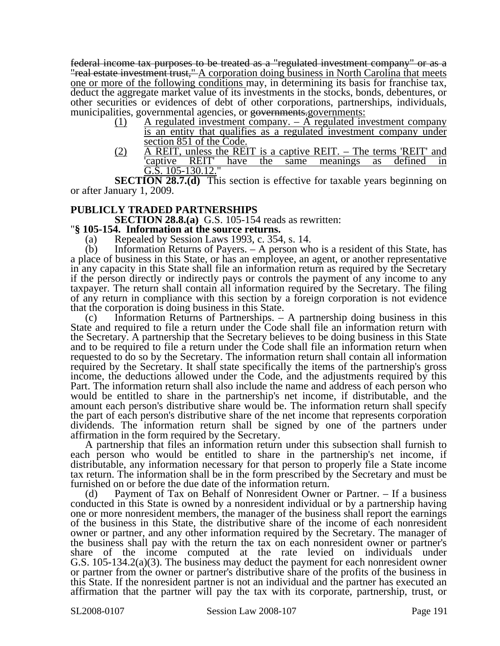federal income tax purposes to be treated as a "regulated investment company" or as a "real estate investment trust," A corporation doing business in North Carolina that meets one or more of the following conditions may, in determining its basis for franchise tax, deduct the aggregate market value of its investments in the stocks, bonds, debentures, or other securities or evidences of debt of other corporations, partnerships, individuals, municipalities, governmental agencies, or governments.governments:

- (1) A regulated investment company.  $-\overline{A}$  regulated investment company is an entity that qualifies as a regulated investment company under section 851 of the Code.
- (2) A REIT, unless the REIT is a captive REIT. The terms 'REIT' and <br>
<u>captive REIT' have the same meanings as defined</u> in have the same meanings as G.S. 105-130.12."

**SECTION 28.7.(d)** This section is effective for taxable years beginning on or after January 1, 2009.

#### **PUBLICLY TRADED PARTNERSHIPS**

**SECTION 28.8.(a)** G.S. 105-154 reads as rewritten: "**§ 105-154. Information at the source returns.** 

(a) Repealed by Session Laws 1993, c. 354, s. 14.

(b) Information Returns of Payers. – A person who is a resident of this State, has a place of business in this State, or has an employee, an agent, or another representative in any capacity in this State shall file an information return as required by the Secretary if the person directly or indirectly pays or controls the payment of any income to any taxpayer. The return shall contain all information required by the Secretary. The filing of any return in compliance with this section by a foreign corporation is not evidence that the corporation is doing business in this State.

(c) Information Returns of Partnerships. – A partnership doing business in this State and required to file a return under the Code shall file an information return with the Secretary. A partnership that the Secretary believes to be doing business in this State and to be required to file a return under the Code shall file an information return when requested to do so by the Secretary. The information return shall contain all information required by the Secretary. It shall state specifically the items of the partnership's gross income, the deductions allowed under the Code, and the adjustments required by this Part. The information return shall also include the name and address of each person who would be entitled to share in the partnership's net income, if distributable, and the amount each person's distributive share would be. The information return shall specify the part of each person's distributive share of the net income that represents corporation dividends. The information return shall be signed by one of the partners under affirmation in the form required by the Secretary.

A partnership that files an information return under this subsection shall furnish to each person who would be entitled to share in the partnership's net income, if distributable, any information necessary for that person to properly file a State income tax return. The information shall be in the form prescribed by the Secretary and must be furnished on or before the due date of the information return.

(d) Payment of Tax on Behalf of Nonresident Owner or Partner. – If a business conducted in this State is owned by a nonresident individual or by a partnership having one or more nonresident members, the manager of the business shall report the earnings of the business in this State, the distributive share of the income of each nonresident owner or partner, and any other information required by the Secretary. The manager of the business shall pay with the return the tax on each nonresident owner or partner's share of the income computed at the rate levied on individuals under G.S. 105-134.2(a)(3). The business may deduct the payment for each nonresident owner or partner from the owner or partner's distributive share of the profits of the business in this State. If the nonresident partner is not an individual and the partner has executed an affirmation that the partner will pay the tax with its corporate, partnership, trust, or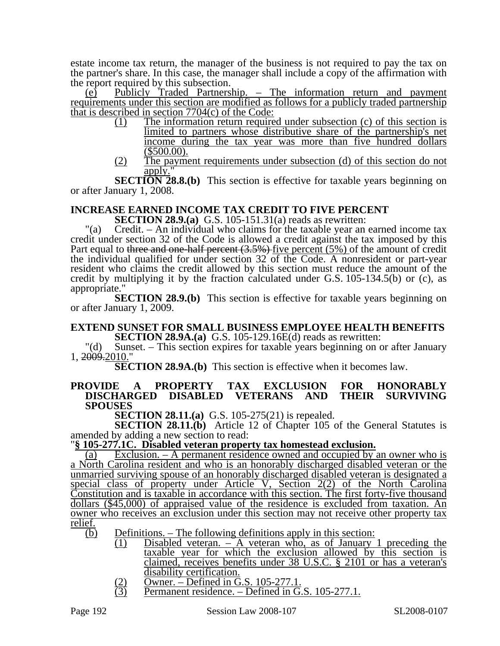estate income tax return, the manager of the business is not required to pay the tax on the partner's share. In this case, the manager shall include a copy of the affirmation with the report required by this subsection.

(e) Publicly Traded Partnership. – The information return and payment requirements under this section are modified as follows for a publicly traded partnership that is described in section 7704(c) of the Code:

- (1) The information return required under subsection (c) of this section is limited to partners whose distributive share of the partnership's net income during the tax year was more than five hundred dollars (\$500.00).
- (2) The payment requirements under subsection (d) of this section do not apply.'

**SECTION 28.8.(b)** This section is effective for taxable years beginning on or after January 1, 2008.

### **INCREASE EARNED INCOME TAX CREDIT TO FIVE PERCENT**

**SECTION 28.9.(a)** G.S. 105-151.31(a) reads as rewritten:

"(a) Credit. – An individual who claims for the taxable year an earned income tax credit under section 32 of the Code is allowed a credit against the tax imposed by this Part equal to three and one-half percent (3.5%) five percent (5%) of the amount of credit the individual qualified for under section 32 of the Code. A nonresident or part-year resident who claims the credit allowed by this section must reduce the amount of the credit by multiplying it by the fraction calculated under G.S. 105-134.5(b) or (c), as appropriate."

**SECTION 28.9.(b)** This section is effective for taxable years beginning on or after January 1, 2009.

#### **EXTEND SUNSET FOR SMALL BUSINESS EMPLOYEE HEALTH BENEFITS SECTION 28.9A.(a)** G.S. 105-129.16E(d) reads as rewritten:

"(d) Sunset. – This section expires for taxable years beginning on or after January 1, 2009.2010."

**SECTION 28.9A.(b)** This section is effective when it becomes law.

#### **PROVIDE A PROPERTY TAX EXCLUSION FOR HONORABLY DISCHARGED DISABLED SPOUSES**

**SECTION 28.11.(a)** G.S. 105-275(21) is repealed.

**SECTION 28.11.(b)** Article 12 of Chapter 105 of the General Statutes is amended by adding a new section to read:

#### "**§ 105-277.1C. Disabled veteran property tax homestead exclusion.**

(a) Exclusion. – A permanent residence owned and occupied by an owner who is a North Carolina resident and who is an honorably discharged disabled veteran or the unmarried surviving spouse of an honorably discharged disabled veteran is designated a special class of property under Article V, Section 2(2) of the North Carolina Constitution and is taxable in accordance with this section. The first forty-five thousand dollars (\$45,000) of appraised value of the residence is excluded from taxation. An owner who receives an exclusion under this section may not receive other property tax relief.

 $\overline{(b)}$  Definitions. – The following definitions apply in this section:

- $\overline{(1)}$  Disabled veteran. A veteran who, as of January 1 preceding the taxable year for which the exclusion allowed by this section is claimed, receives benefits under 38 U.S.C. § 2101 or has a veteran's disability certification.
- 
- $\overline{O}$  Owner. Defined in G.S. 105-277.1.<br>
(3) Permanent residence. Defined in G. Permanent residence. – Defined in G.S. 105-277.1.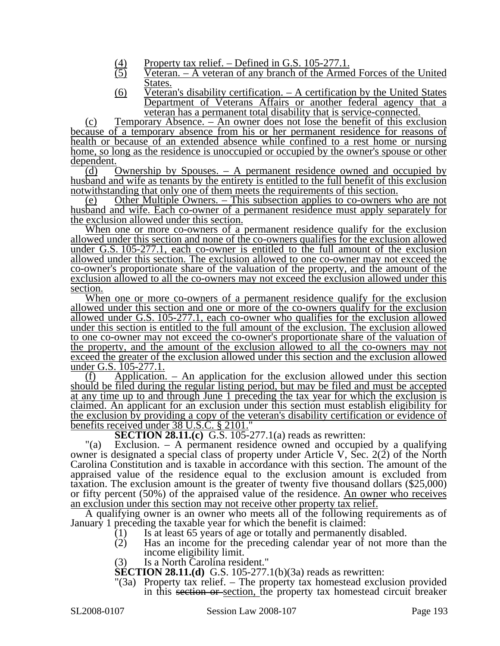- (4) Property tax relief. Defined in G.S. 105-277.1.<br>Veteran. A veteran of any branch of the Arme
- $\overline{\text{Vector}}$ . A veteran of any branch of the Armed Forces of the United States.
- (6) Veteran's disability certification. A certification by the United States Department of Veterans Affairs or another federal agency that a veteran has a permanent total disability that is service-connected.

(c) Temporary Absence. – An owner does not lose the benefit of this exclusion because of a temporary absence from his or her permanent residence for reasons of health or because of an extended absence while confined to a rest home or nursing home, so long as the residence is unoccupied or occupied by the owner's spouse or other dependent.

(d) Ownership by Spouses. – A permanent residence owned and occupied by husband and wife as tenants by the entirety is entitled to the full benefit of this exclusion notwithstanding that only one of them meets the requirements of this section.

(e) Other Multiple Owners. – This subsection applies to co-owners who are not husband and wife. Each co-owner of a permanent residence must apply separately for the exclusion allowed under this section.

When one or more co-owners of a permanent residence qualify for the exclusion allowed under this section and none of the co-owners qualifies for the exclusion allowed under G.S. 105-277.1, each co-owner is entitled to the full amount of the exclusion allowed under this section. The exclusion allowed to one co-owner may not exceed the co-owner's proportionate share of the valuation of the property, and the amount of the exclusion allowed to all the co-owners may not exceed the exclusion allowed under this section.

When one or more co-owners of a permanent residence qualify for the exclusion allowed under this section and one or more of the co-owners qualify for the exclusion allowed under G.S. 105-277.1, each co-owner who qualifies for the exclusion allowed under this section is entitled to the full amount of the exclusion. The exclusion allowed to one co-owner may not exceed the co-owner's proportionate share of the valuation of the property, and the amount of the exclusion allowed to all the co-owners may not exceed the greater of the exclusion allowed under this section and the exclusion allowed under G.S. 105-277.1.

(f) Application. – An application for the exclusion allowed under this section should be filed during the regular listing period, but may be filed and must be accepted at any time up to and through June 1 preceding the tax year for which the exclusion is claimed. An applicant for an exclusion under this section must establish eligibility for the exclusion by providing a copy of the veteran's disability certification or evidence of benefits received under 38 U.S.C. § 2101."

**SECTION 28.11.(c)** G.S. 105-277.1(a) reads as rewritten:

"(a) Exclusion. – A permanent residence owned and occupied by a qualifying owner is designated a special class of property under Article V, Sec. 2(2) of the North Carolina Constitution and is taxable in accordance with this section. The amount of the appraised value of the residence equal to the exclusion amount is excluded from taxation. The exclusion amount is the greater of twenty five thousand dollars (\$25,000) or fifty percent (50%) of the appraised value of the residence. An owner who receives an exclusion under this section may not receive other property tax relief.

A qualifying owner is an owner who meets all of the following requirements as of January 1 preceding the taxable year for which the benefit is claimed:

- $(1)$  Is at least 65 years of age or totally and permanently disabled.<br>  $(2)$  Has an income for the preceding calendar year of not more
	- Has an income for the preceding calendar year of not more than the income eligibility limit.
	- (3) Is a North Carolina resident."

**SECTION 28.11.(d)** G.S. 105-277.1(b)(3a) reads as rewritten:

"(3a) Property tax relief. – The property tax homestead exclusion provided in this section or section, the property tax homestead circuit breaker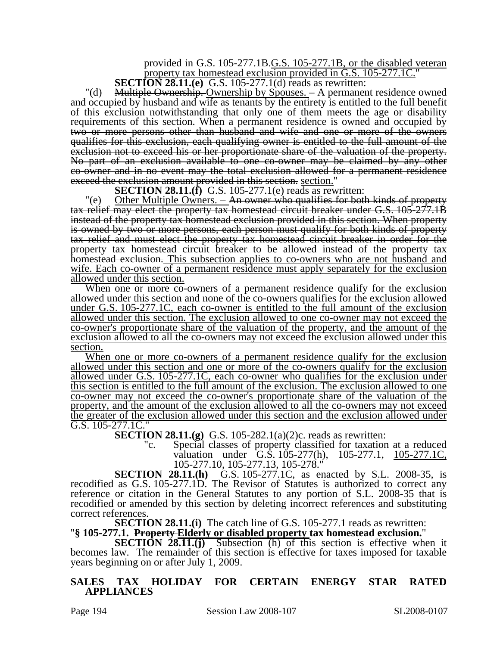provided in G.S. 105-277.1B.G.S. 105-277.1B, or the disabled veteran property tax homestead exclusion provided in G.S. 105-277.1C."

**SECTION 28.11.(e)** G.S. 105-277.1(d) reads as rewritten:

"(d) Multiple Ownership. Ownership by Spouses. – A permanent residence owned and occupied by husband and wife as tenants by the entirety is entitled to the full benefit of this exclusion notwithstanding that only one of them meets the age or disability requirements of this section. When a permanent residence is owned and occupied by two or more persons other than husband and wife and one or more of the owners qualifies for this exclusion, each qualifying owner is entitled to the full amount of the exclusion not to exceed his or her proportionate share of the valuation of the property. No part of an exclusion available to one co-owner may be claimed by any other co-owner and in no event may the total exclusion allowed for a permanent residence exceed the exclusion amount provided in this section. section."

**SECTION 28.11.(f)** G.S. 105-277.1(e) reads as rewritten:

"(e) Other Multiple Owners. – An owner who qualifies for both kinds of property tax relief may elect the property tax homestead circuit breaker under G.S. 105-277.1B instead of the property tax homestead exclusion provided in this section. When property is owned by two or more persons, each person must qualify for both kinds of property tax relief and must elect the property tax homestead circuit breaker in order for the property tax homestead circuit breaker to be allowed instead of the property tax homestead exclusion. This subsection applies to co-owners who are not husband and wife. Each co-owner of a permanent residence must apply separately for the exclusion allowed under this section.

When one or more co-owners of a permanent residence qualify for the exclusion allowed under this section and none of the co-owners qualifies for the exclusion allowed under G.S. 105-277.1C, each co-owner is entitled to the full amount of the exclusion allowed under this section. The exclusion allowed to one co-owner may not exceed the co-owner's proportionate share of the valuation of the property, and the amount of the exclusion allowed to all the co-owners may not exceed the exclusion allowed under this section.

When one or more co-owners of a permanent residence qualify for the exclusion allowed under this section and one or more of the co-owners qualify for the exclusion allowed under G.S. 105-277.1C, each co-owner who qualifies for the exclusion under this section is entitled to the full amount of the exclusion. The exclusion allowed to one co-owner may not exceed the co-owner's proportionate share of the valuation of the property, and the amount of the exclusion allowed to all the co-owners may not exceed the greater of the exclusion allowed under this section and the exclusion allowed under G.S.  $105-277.1C$ ."

**SECTION 28.11.(g)** G.S. 105-282.1(a)(2)c. reads as rewritten:

"c. Special classes of property classified for taxation at a reduced valuation under G.S. 105-277(h), 105-277.1, 105-277.1C, 105-277.10, 105-277.13, 105-278."

**SECTION 28.11.(h)** G.S. 105-277.1C, as enacted by S.L. 2008-35, is recodified as G.S. 105-277.1D. The Revisor of Statutes is authorized to correct any reference or citation in the General Statutes to any portion of S.L. 2008-35 that is recodified or amended by this section by deleting incorrect references and substituting correct references.

**SECTION 28.11.(i)** The catch line of G.S. 105-277.1 reads as rewritten:<br>"§ 105-277.1. Property-Elderly or disabled property tax homestead exclusion."<br>SECTION 28.11.(j) Subsection (h) of this section is effective when it

becomes law. The remainder of this section is effective for taxes imposed for taxable years beginning on or after July 1, 2009.

**SALES TAX HOLIDAY FOR CERTAIN ENERGY STAR RATED APPLIANCES**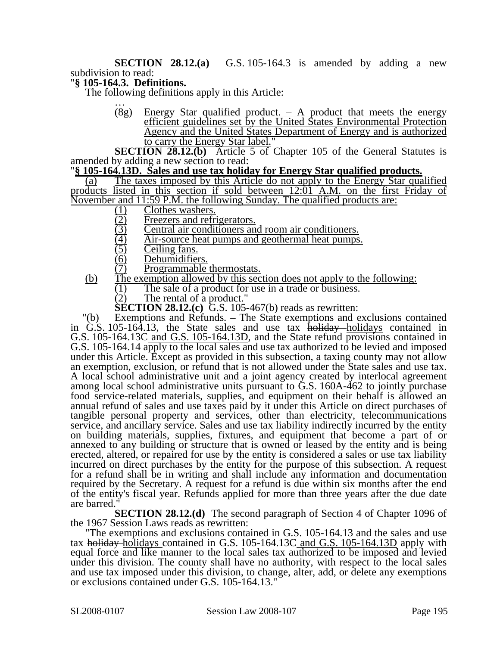**SECTION 28.12.(a)** G.S. 105-164.3 is amended by adding a new subdivision to read:

#### "**§ 105-164.3. Definitions.**

The following definitions apply in this Article:

 $(8g)$  Energy Star qualified product. – A product that meets the energy efficient guidelines set by the United States Environmental Protection Agency and the United States Department of Energy and is authorized to carry the Energy Star label."

**SECTION 28.12.(b)** Article 5 of Chapter 105 of the General Statutes is amended by adding a new section to read:

#### "**§ 105-164.13D. Sales and use tax holiday for Energy Star qualified products.**

(a) The taxes imposed by this Article do not apply to the Energy Star qualified products listed in this section if sold between 12:01 A.M. on the first Friday of November and 11:59 P.M. the following Sunday. The qualified products are:<br>  $\frac{(1)}{(2)}$  Clothes washers.<br>
<u>(3)</u> Freezers and refrigerators.<br>  $\frac{(4)}{(4)}$  Air-source heat pumps and geothermal heat pumps.

- 
- Freezers and refrigerators.
- Central air conditioners and room air conditioners.
- (4) Air-source heat pumps and geothermal heat pumps.<br>(5) Ceiling fans.
- 
- (5) Ceiling fans.<br>(6) Dehumidifier
- (6) Dehumidifiers.<br>(7) Programmable Programmable thermostats.
- (b) The exemption allowed by this section does not apply to the following:
	- $\frac{(1)}{(2)}$  The sale of a product for use in a trade or business.<br>
	(2) The rental of a product."
		- The rental of a product.

**SECTION 28.12.(c)** G.S. 105-467(b) reads as rewritten:

"(b) Exemptions and Refunds. – The State exemptions and exclusions contained in G.S. 105-164.13, the State sales and use tax holiday—holidays contained in G.S. 105-164.13C and G.S. 105-164.13D, and the State refund provisions contained in G.S. 105-164.14 apply to the local sales and use tax authorized to be levied and imposed under this Article. Except as provided in this subsection, a taxing county may not allow an exemption, exclusion, or refund that is not allowed under the State sales and use tax. A local school administrative unit and a joint agency created by interlocal agreement among local school administrative units pursuant to G.S. 160A-462 to jointly purchase food service-related materials, supplies, and equipment on their behalf is allowed an annual refund of sales and use taxes paid by it under this Article on direct purchases of tangible personal property and services, other than electricity, telecommunications service, and ancillary service. Sales and use tax liability indirectly incurred by the entity on building materials, supplies, fixtures, and equipment that become a part of or annexed to any building or structure that is owned or leased by the entity and is being erected, altered, or repaired for use by the entity is considered a sales or use tax liability incurred on direct purchases by the entity for the purpose of this subsection. A request for a refund shall be in writing and shall include any information and documentation required by the Secretary. A request for a refund is due within six months after the end of the entity's fiscal year. Refunds applied for more than three years after the due date are barred."

**SECTION 28.12.(d)** The second paragraph of Section 4 of Chapter 1096 of the 1967 Session Laws reads as rewritten:

"The exemptions and exclusions contained in G.S. 105-164.13 and the sales and use tax holiday holidays contained in G.S. 105-164.13C and G.S. 105-164.13D apply with equal force and like manner to the local sales tax authorized to be imposed and levied under this division. The county shall have no authority, with respect to the local sales and use tax imposed under this division, to change, alter, add, or delete any exemptions or exclusions contained under G.S. 105-164.13."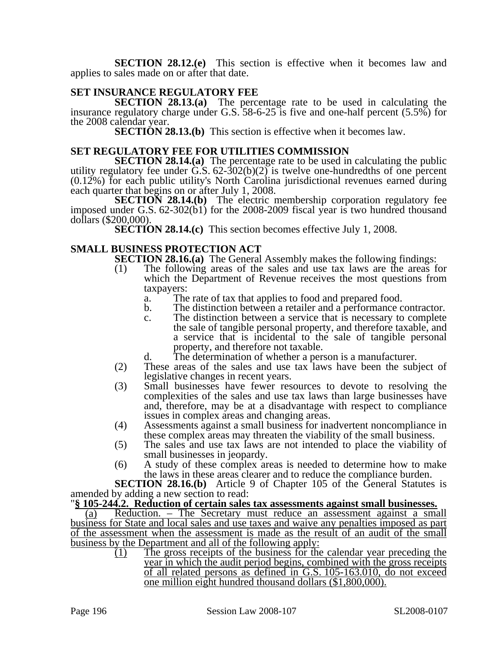**SECTION 28.12.(e)** This section is effective when it becomes law and applies to sales made on or after that date.

### **SET INSURANCE REGULATORY FEE**

**SECTION 28.13.(a)** The percentage rate to be used in calculating the insurance regulatory charge under G.S. 58-6-25 is five and one-half percent (5.5%) for the 2008 calendar year.

**SECTION 28.13.(b)** This section is effective when it becomes law.

#### **SET REGULATORY FEE FOR UTILITIES COMMISSION**

**SECTION 28.14.(a)** The percentage rate to be used in calculating the public utility regulatory fee under  $\ddot{G}$ .  $\ddot{S}$ .  $62-\dot{3}02(b)(2)$  is twelve one-hundredths of one percent  $(0.12\%)$  for each public utility's North Carolina jurisdictional revenues earned during each quarter that begins on or after July 1, 2008.

**SECTION 28.14.(b)** The electric membership corporation regulatory fee imposed under G.S. 62-302(b1) for the 2008-2009 fiscal year is two hundred thousand dollars (\$200,000).

**SECTION 28.14.(c)** This section becomes effective July 1, 2008.

### **SMALL BUSINESS PROTECTION ACT**

**SECTION 28.16.(a)** The General Assembly makes the following findings:

- (1) The following areas of the sales and use tax laws are the areas for which the Department of Revenue receives the most questions from taxpayers:
	- a. The rate of tax that applies to food and prepared food.
	- b. The distinction between a retailer and a performance contractor.
	- c. The distinction between a service that is necessary to complete the sale of tangible personal property, and therefore taxable, and a service that is incidental to the sale of tangible personal property, and therefore not taxable.
	- d. The determination of whether a person is a manufacturer.
- (2) These areas of the sales and use tax laws have been the subject of legislative changes in recent years.
- (3) Small businesses have fewer resources to devote to resolving the complexities of the sales and use tax laws than large businesses have and, therefore, may be at a disadvantage with respect to compliance issues in complex areas and changing areas.
- (4) Assessments against a small business for inadvertent noncompliance in these complex areas may threaten the viability of the small business.
- (5) The sales and use tax laws are not intended to place the viability of small businesses in jeopardy.
- (6) A study of these complex areas is needed to determine how to make the laws in these areas clearer and to reduce the compliance burden.

**SECTION 28.16.(b)** Article 9 of Chapter 105 of the General Statutes is amended by adding a new section to read:

# "**§ 105-244.2. Reduction of certain sales tax assessments against small businesses.** (a) Reduction. – The Secretary must reduce an assessment against a small

business for State and local sales and use taxes and waive any penalties imposed as part of the assessment when the assessment is made as the result of an audit of the small business by the Department and all of the following apply:

(1) The gross receipts of the business for the calendar year preceding the year in which the audit period begins, combined with the gross receipts of all related persons as defined in G.S. 105-163.010, do not exceed one million eight hundred thousand dollars (\$1,800,000).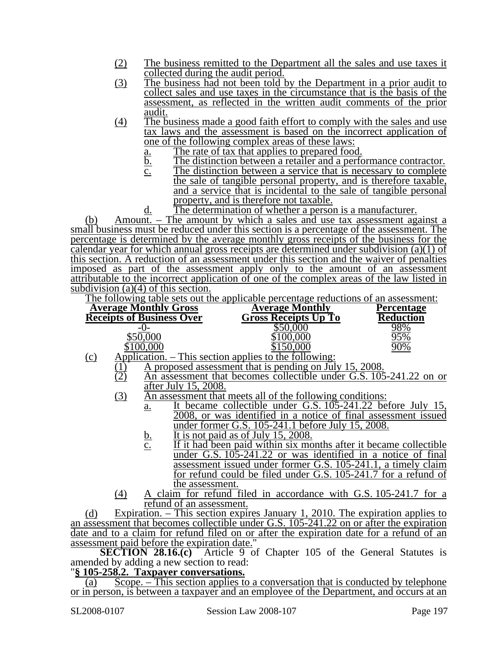- (2) The business remitted to the Department all the sales and use taxes it collected during the audit period.
- (3) The business had not been told by the Department in a prior audit to collect sales and use taxes in the circumstance that is the basis of the assessment, as reflected in the written audit comments of the prior audit.
- (4) The business made a good faith effort to comply with the sales and use tax laws and the assessment is based on the incorrect application of one of the following complex areas of these laws:
	-
	- <u>a.</u> The rate of tax that applies to prepared food.<br>b. The distinction between a retailer and a perfo
	- $\underline{b}$ . The distinction between a retailer and a performance contractor.<br>
	The distinction between a service that is necessary to complete The distinction between a service that is necessary to complete the sale of tangible personal property, and is therefore taxable, and a service that is incidental to the sale of tangible personal property, and is therefore not taxable.
	- d. The determination of whether a person is a manufacturer.

(b) Amount. – The amount by which a sales and use tax assessment against a small business must be reduced under this section is a percentage of the assessment. The percentage is determined by the average monthly gross receipts of the business for the calendar year for which annual gross receipts are determined under subdivision (a)(1) of this section. A reduction of an assessment under this section and the waiver of penalties imposed as part of the assessment apply only to the amount of an assessment attributable to the incorrect application of one of the complex areas of the law listed in subdivision (a)(4) of this section.

The following table sets out the applicable percentage reductions of an assessment:

|        | <b>Average Monthly Gross</b>     | <b>Average Monthly</b>                 | Percentage       |
|--------|----------------------------------|----------------------------------------|------------------|
|        | <b>Receipts of Business Over</b> | <b>Gross Receipts Up To</b>            | <b>Reduction</b> |
|        | $-1$ ) –                         |                                        | <u>98%</u>       |
|        | \$50,000                         |                                        | 95%              |
|        | \$100.000                        |                                        | 90%              |
| $\sim$ | Annlication                      | This soction epplies to the following: |                  |

- $(c)$  Application. This section applies to the following
	- $\frac{(1)}{(2)}$  A proposed assessment that is pending on July 15, 2008.<br>(2) An assessment that becomes collectible under G.S. 105
		- An assessment that becomes collectible under G.S. 105-241.22 on or after July 15, 2008.
	- (3) An assessment that meets all of the following conditions:
		- a. It became collectible under G.S. 105-241.22 before July 15, 2008, or was identified in a notice of final assessment issued under former G.S. 105-241.1 before July 15, 2008.
		- b. It is not paid as of July 15, 2008.
		- c. If it had been paid within six months after it became collectible under G.S. 105-241.22 or was identified in a notice of final assessment issued under former G.S. 105-241.1, a timely claim for refund could be filed under G.S. 105-241.7 for a refund of the assessment.
	- (4) A claim for refund filed in accordance with G.S. 105-241.7 for a refund of an assessment.

(d) Expiration. – This section expires January 1, 2010. The expiration applies to an assessment that becomes collectible under G.S. 105-241.22 on or after the expiration date and to a claim for refund filed on or after the expiration date for a refund of an assessment paid before the expiration date."

**SECTION 28.16.(c)** Article 9 of Chapter 105 of the General Statutes is amended by adding a new section to read:

#### "**§ 105-258.2. Taxpayer conversations.**

(a) Scope. – This section applies to a conversation that is conducted by telephone or in person, is between a taxpayer and an employee of the Department, and occurs at an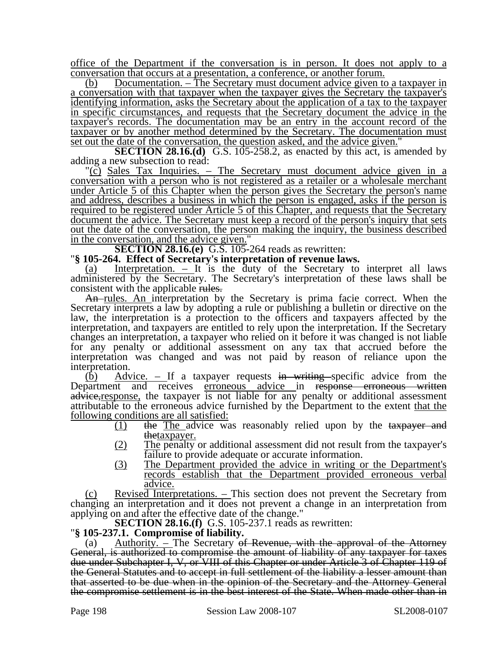office of the Department if the conversation is in person. It does not apply to a conversation that occurs at a presentation, a conference, or another forum.

(b) Documentation. – The Secretary must document advice given to a taxpayer in a conversation with that taxpayer when the taxpayer gives the Secretary the taxpayer's identifying information, asks the Secretary about the application of a tax to the taxpayer in specific circumstances, and requests that the Secretary document the advice in the taxpayer's records. The documentation may be an entry in the account record of the taxpayer or by another method determined by the Secretary. The documentation must set out the date of the conversation, the question asked, and the advice given."

**SECTION 28.16.(d)** G.S. 105-258.2, as enacted by this act, is amended by adding a new subsection to read:

"(c) Sales Tax Inquiries. – The Secretary must document advice given in a conversation with a person who is not registered as a retailer or a wholesale merchant under Article 5 of this Chapter when the person gives the Secretary the person's name and address, describes a business in which the person is engaged, asks if the person is required to be registered under Article 5 of this Chapter, and requests that the Secretary document the advice. The Secretary must keep a record of the person's inquiry that sets out the date of the conversation, the person making the inquiry, the business described

in the conversation, and the advice given."<br>**SECTION 28.16.(e)** G.S. 105-264 reads as rewritten:

**SECTION 28.105-264.** Effect of Secretary's interpretation of revenue laws.

(a) Interpretation. – It is the duty of the Secretary to interpret all laws administered by the Secretary. The Secretary's interpretation of these laws shall be consistent with the applicable rules.

An rules. An interpretation by the Secretary is prima facie correct. When the Secretary interprets a law by adopting a rule or publishing a bulletin or directive on the law, the interpretation is a protection to the officers and taxpayers affected by the interpretation, and taxpayers are entitled to rely upon the interpretation. If the Secretary changes an interpretation, a taxpayer who relied on it before it was changed is not liable for any penalty or additional assessment on any tax that accrued before the interpretation was changed and was not paid by reason of reliance upon the interpretation.

(b) Advice. – If a taxpayer requests in writing specific advice from the Department and receives erroneous advice in response erroneous written advice, response, the taxpayer is not liable for any penalty or additional assessment attributable to the erroneous advice furnished by the Department to the extent that the following conditions are all satisfied:

- (1) the The advice was reasonably relied upon by the taxpayer and thetaxpayer.
- (2) The penalty or additional assessment did not result from the taxpayer's failure to provide adequate or accurate information.
- (3) The Department provided the advice in writing or the Department's records establish that the Department provided erroneous verbal advice.

(c) Revised Interpretations. – This section does not prevent the Secretary from changing an interpretation and it does not prevent a change in an interpretation from applying on and after the effective date of the change."

**SECTION 28.16.(f)** G.S. 105-237.1 reads as rewritten: "**§ 105-237.1. Compromise of liability.** 

(a) Authority.  $\overline{\phantom{a}}$  – The Secretary of Revenue, with the approval of the Attorney General, is authorized to compromise the amount of liability of any taxpayer for taxes due under Subchapter I, V, or VIII of this Chapter or under Article 3 of Chapter 119 of the General Statutes and to accept in full settlement of the liability a lesser amount than that asserted to be due when in the opinion of the Secretary and the Attorney General the compromise settlement is in the best interest of the State. When made other than in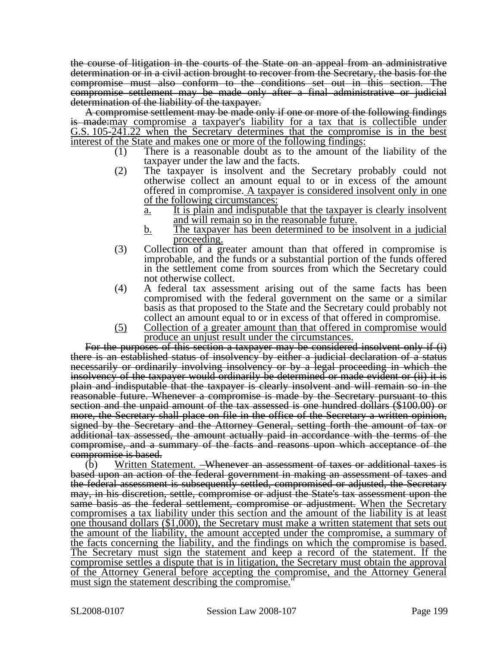the course of litigation in the courts of the State on an appeal from an administrative determination or in a civil action brought to recover from the Secretary, the basis for the compromise must also conform to the conditions set out in this section. The compromise settlement may be made only after a final administrative or judicial determination of the liability of the taxpayer.

A compromise settlement may be made only if one or more of the following findings is made:may compromise a taxpayer's liability for a tax that is collectible under G.S. 105-241.22 when the Secretary determines that the compromise is in the best interest of the State and makes one or more of the following findings:

- (1) There is a reasonable doubt as to the amount of the liability of the taxpayer under the law and the facts.
- (2) The taxpayer is insolvent and the Secretary probably could not otherwise collect an amount equal to or in excess of the amount offered in compromise. A taxpayer is considered insolvent only in one of the following circumstances:
	- a. It is plain and indisputable that the taxpayer is clearly insolvent and will remain so in the reasonable future.
	- b. The taxpayer has been determined to be insolvent in a judicial proceeding.
- (3) Collection of a greater amount than that offered in compromise is improbable, and the funds or a substantial portion of the funds offered in the settlement come from sources from which the Secretary could not otherwise collect.
- (4) A federal tax assessment arising out of the same facts has been compromised with the federal government on the same or a similar basis as that proposed to the State and the Secretary could probably not collect an amount equal to or in excess of that offered in compromise.
- (5) Collection of a greater amount than that offered in compromise would produce an unjust result under the circumstances.

For the purposes of this section a taxpayer may be considered insolvent only if (i) there is an established status of insolvency by either a judicial declaration of a status necessarily or ordinarily involving insolvency or by a legal proceeding in which the insolvency of the taxpayer would ordinarily be determined or made evident or (ii) it is plain and indisputable that the taxpayer is clearly insolvent and will remain so in the reasonable future. Whenever a compromise is made by the Secretary pursuant to this section and the unpaid amount of the tax assessed is one hundred dollars (\$100.00) or more, the Secretary shall place on file in the office of the Secretary a written opinion, signed by the Secretary and the Attorney General, setting forth the amount of tax or additional tax assessed, the amount actually paid in accordance with the terms of the compromise, and a summary of the facts and reasons upon which acceptance of the compromise is based.

(b) Written Statement. –Whenever an assessment of taxes or additional taxes is based upon an action of the federal government in making an assessment of taxes and the federal assessment is subsequently settled, compromised or adjusted, the Secretary may, in his discretion, settle, compromise or adjust the State's tax assessment upon the same basis as the federal settlement, compromise or adjustment. When the Secretary compromises a tax liability under this section and the amount of the liability is at least one thousand dollars (\$1,000), the Secretary must make a written statement that sets out the amount of the liability, the amount accepted under the compromise, a summary of the facts concerning the liability, and the findings on which the compromise is based. The Secretary must sign the statement and keep a record of the statement. If the compromise settles a dispute that is in litigation, the Secretary must obtain the approval of the Attorney General before accepting the compromise, and the Attorney General must sign the statement describing the compromise.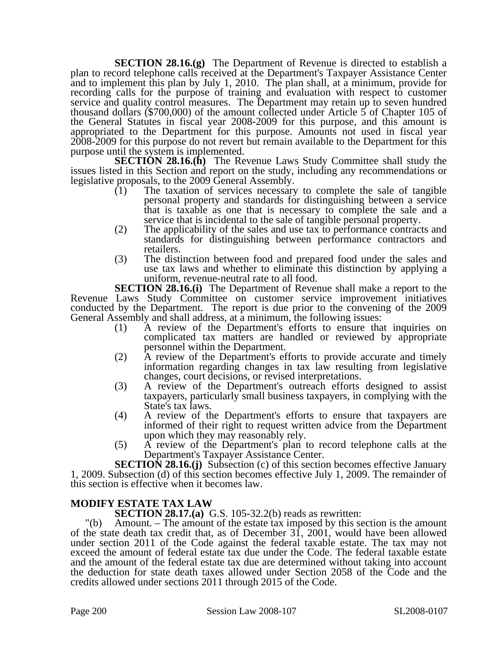**SECTION 28.16.(g)** The Department of Revenue is directed to establish a plan to record telephone calls received at the Department's Taxpayer Assistance Center and to implement this plan by July 1, 2010. The plan shall, at a minimum, provide for recording calls for the purpose of training and evaluation with respect to customer service and quality control measures. The Department may retain up to seven hundred thousand dollars (\$700,000) of the amount collected under Article 5 of Chapter 105 of the General Statutes in fiscal year 2008-2009 for this purpose, and this amount is appropriated to the Department for this purpose. Amounts not used in fiscal year 2008-2009 for this purpose do not revert but remain available to the Department for this purpose until the system is implemented.

**SECTION 28.16.(h)** The Revenue Laws Study Committee shall study the issues listed in this Section and report on the study, including any recommendations or legislative proposals, to the 2009 General Assembly.

- $(1)$  The taxation of services necessary to complete the sale of tangible personal property and standards for distinguishing between a service that is taxable as one that is necessary to complete the sale and a service that is incidental to the sale of tangible personal property.
- (2) The applicability of the sales and use tax to performance contracts and standards for distinguishing between performance contractors and retailers.
- (3) The distinction between food and prepared food under the sales and use tax laws and whether to eliminate this distinction by applying a uniform, revenue-neutral rate to all food.

**SECTION 28.16.(i)** The Department of Revenue shall make a report to the Revenue Laws Study Committee on customer service improvement initiatives conducted by the Department. The report is due prior to the convening of the 2009 General Assembly and shall address, at a minimum, the following issues:

- (1) A review of the Department's efforts to ensure that inquiries on complicated tax matters are handled or reviewed by appropriate personnel within the Department.
- (2) A review of the Department's efforts to provide accurate and timely information regarding changes in tax law resulting from legislative changes, court decisions, or revised interpretations.
- (3) A review of the Department's outreach efforts designed to assist taxpayers, particularly small business taxpayers, in complying with the State's tax laws.
- (4) A review of the Department's efforts to ensure that taxpayers are informed of their right to request written advice from the Department upon which they may reasonably rely.
- (5) A review of the Department's plan to record telephone calls at the Department's Taxpayer Assistance Center.

**SECTION 28.16.(j)** Subsection (c) of this section becomes effective January 1, 2009. Subsection (d) of this section becomes effective July 1, 2009. The remainder of this section is effective when it becomes law.

### **MODIFY ESTATE TAX LAW**

**SECTION 28.17.(a)** G.S. 105-32.2(b) reads as rewritten:

"(b) Amount. – The amount of the estate tax imposed by this section is the amount of the state death tax credit that, as of December 31, 2001, would have been allowed under section 2011 of the Code against the federal taxable estate. The tax may not exceed the amount of federal estate tax due under the Code. The federal taxable estate and the amount of the federal estate tax due are determined without taking into account the deduction for state death taxes allowed under Section 2058 of the Code and the credits allowed under sections 2011 through 2015 of the Code.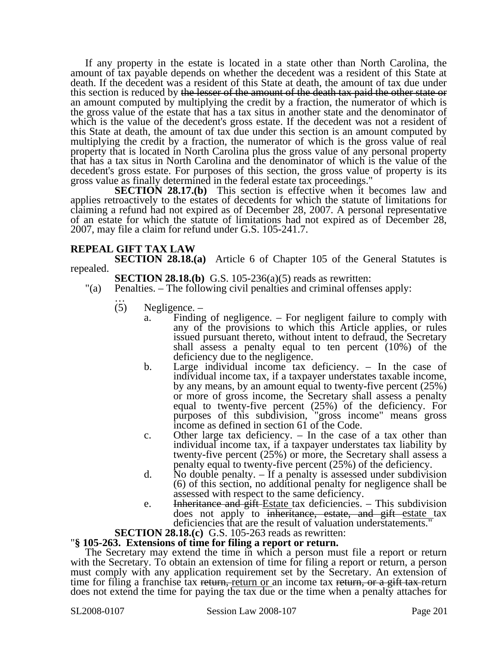If any property in the estate is located in a state other than North Carolina, the amount of tax payable depends on whether the decedent was a resident of this State at death. If the decedent was a resident of this State at death, the amount of tax due under this section is reduced by the lesser of the amount of the death tax paid the other state or an amount computed by multiplying the credit by a fraction, the numerator of which is the gross value of the estate that has a tax situs in another state and the denominator of which is the value of the decedent's gross estate. If the decedent was not a resident of this State at death, the amount of tax due under this section is an amount computed by multiplying the credit by a fraction, the numerator of which is the gross value of real property that is located in North Carolina plus the gross value of any personal property that has a tax situs in North Carolina and the denominator of which is the value of the decedent's gross estate. For purposes of this section, the gross value of property is its gross value as finally determined in the federal estate tax proceedings."

**SECTION 28.17.(b)** This section is effective when it becomes law and applies retroactively to the estates of decedents for which the statute of limitations for claiming a refund had not expired as of December 28, 2007. A personal representative of an estate for which the statute of limitations had not expired as of December 28, 2007, may file a claim for refund under G.S. 105-241.7.

#### **REPEAL GIFT TAX LAW**

**SECTION 28.18.(a)** Article 6 of Chapter 105 of the General Statutes is repealed.

**SECTION 28.18.(b)** G.S. 105-236(a)(5) reads as rewritten:

- "(a) Penalties. The following civil penalties and criminal offenses apply:<br>  $\therefore$ <br>
(5) Negligence.
	- Negligence.
		- a. Finding of negligence. For negligent failure to comply with any of the provisions to which this Article applies, or rules issued pursuant thereto, without intent to defraud, the Secretary shall assess a penalty equal to ten percent (10%) of the deficiency due to the negligence.
		- b. Large individual income tax deficiency. In the case of individual income tax, if a taxpayer understates taxable income, by any means, by an amount equal to twenty-five percent (25%) or more of gross income, the Secretary shall assess a penalty equal to twenty-five percent (25%) of the deficiency. For purposes of this subdivision, "gross income" means gross income as defined in section 61 of the Code.
		- c. Other large tax deficiency. In the case of a tax other than individual income tax, if a taxpayer understates tax liability by twenty-five percent (25%) or more, the Secretary shall assess a penalty equal to twenty-five percent (25%) of the deficiency.
		- d. No double penalty. If a penalty is assessed under subdivision (6) of this section, no additional penalty for negligence shall be assessed with respect to the same deficiency.
	- e. Inheritance and gift-Estate tax deficiencies. This subdivision does not apply to inheritance, estate, and gift estate tax deficiencies that are the result of valuation understatements."<br>SECTION 28.18.(c) G.S. 105-263 reads as rewritten:

#### **SECTION 28.105-263.** Extensions of time for filing a report or return.

The Secretary may extend the time in which a person must file a report or return with the Secretary. To obtain an extension of time for filing a report or return, a person must comply with any application requirement set by the Secretary. An extension of time for filing a franchise tax return, return or an income tax return, or a gift tax-return does not extend the time for paying the tax due or the time when a penalty attaches for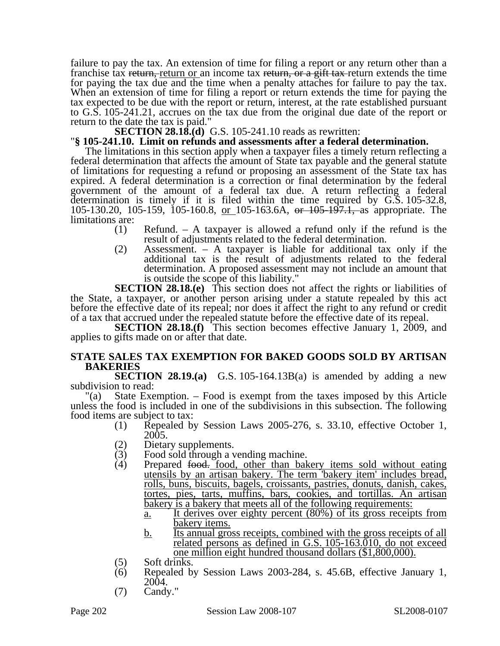failure to pay the tax. An extension of time for filing a report or any return other than a franchise tax return, return or an income tax return, or a gift tax return extends the time for paying the tax due and the time when a penalty attaches for failure to pay the tax. When an extension of time for filing a report or return extends the time for paying the tax expected to be due with the report or return, interest, at the rate established pursuant to G.S. 105-241.21, accrues on the tax due from the original due date of the report or return to the date the tax is paid."<br> **SECTION 28.18.(d)** G.S. 105-241.10 reads as rewritten:

#### $\degree$ § 105-241.10. Limit on refunds and assessments after a federal determination.

The limitations in this section apply when a taxpayer files a timely return reflecting a federal determination that affects the amount of State tax payable and the general statute of limitations for requesting a refund or proposing an assessment of the State tax has expired. A federal determination is a correction or final determination by the federal government of the amount of a federal tax due. A return reflecting a federal determination is timely if it is filed within the time required by G.S. 105-32.8, 105-130.20, 105-159, 105-160.8, or 105-163.6A, or 105-197.1, as appropriate. The limitations are:

- (1) Refund. A taxpayer is allowed a refund only if the refund is the result of adjustments related to the federal determination.
- (2) Assessment. A taxpayer is liable for additional tax only if the additional tax is the result of adjustments related to the federal determination. A proposed assessment may not include an amount that is outside the scope of this liability."

**SECTION 28.18.(e)** This section does not affect the rights or liabilities of the State, a taxpayer, or another person arising under a statute repealed by this act before the effective date of its repeal; nor does it affect the right to any refund or credit of a tax that accrued under the repealed statute before the effective date of its repeal.

**SECTION 28.18.(f)** This section becomes effective January 1, 2009, and applies to gifts made on or after that date.

#### **STATE SALES TAX EXEMPTION FOR BAKED GOODS SOLD BY ARTISAN BAKERIES**

**SECTION 28.19.(a)** G.S. 105-164.13B(a) is amended by adding a new subdivision to read:

"(a) State Exemption. – Food is exempt from the taxes imposed by this Article unless the food is included in one of the subdivisions in this subsection. The following food items are subject to tax:

- (1) Repealed by Session Laws 2005-276, s. 33.10, effective October 1, 2005.
- 
- (2) Dietary supplements.<br>(3) Food sold through a v (3) Food sold through a vending machine.<br>(4) Prepared <del>food.</del> food, other than bak
- $(4)$  Prepared food. food, other than bakery items sold without eating utensils by an artisan bakery. The term 'bakery item' includes bread, rolls, buns, biscuits, bagels, croissants, pastries, donuts, danish, cakes, tortes, pies, tarts, muffins, bars, cookies, and tortillas. An artisan bakery is a bakery that meets all of the following requirements:
	- a. It derives over eighty percent (80%) of its gross receipts from bakery items.
- b. Its annual gross receipts, combined with the gross receipts of all related persons as defined in G.S. 105-163.010, do not exceed one million eight hundred thousand dollars (\$1,800,000).<br>(5) Soft drinks.
- 
- (6) Repealed by Session Laws 2003-284, s. 45.6B, effective January 1, 2004.
- (7) Candy."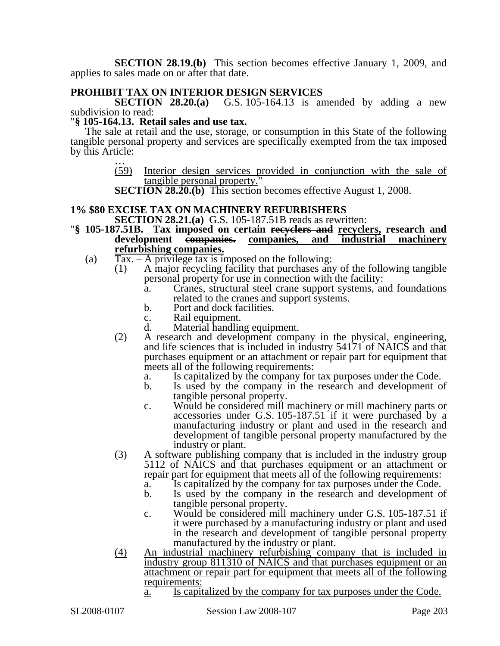**SECTION 28.19.(b)** This section becomes effective January 1, 2009, and applies to sales made on or after that date.

### **PROHIBIT TAX ON INTERIOR DESIGN SERVICES**

**SECTION 28.20.(a)** G.S. 105-164.13 is amended by adding a new subdivision to read:

#### "**§ 105-164.13. Retail sales and use tax.**

The sale at retail and the use, storage, or consumption in this State of the following tangible personal property and services are specifically exempted from the tax imposed by this Article:<br> $\frac{...}{(59)}$ 

Interior design services provided in conjunction with the sale of tangible personal property."

**SECTION 28.20.(b)** This section becomes effective August 1, 2008.

## **1% \$80 EXCISE TAX ON MACHINERY REFURBISHERS<br>SECTION 28.21.(a)** G.S. 105-187.51B reads as rewritten:

- **Section 28.105-187.51B.** Tax imposed on certain recyclers and recyclers, research and development empanies. companies, and industrial machinery companies, and industrial **refurbishing companies.**
	- (a)  $\text{Tax.} \text{A}$  privilege tax is imposed on the following:
		- (1) A major recycling facility that purchases any of the following tangible personal property for use in connection with the facility:
			- a. Cranes, structural steel crane support systems, and foundations related to the cranes and support systems.
			- b. Port and dock facilities.
			- c. Rail equipment.<br>d. Material handlin
			- Material handling equipment.
		- (2) A research and development company in the physical, engineering, and life sciences that is included in industry 54171 of NAICS and that purchases equipment or an attachment or repair part for equipment that meets all of the following requirements:
			- a. Is capitalized by the company for tax purposes under the Code.
			- Is used by the company in the research and development of tangible personal property.
			- c. Would be considered mill machinery or mill machinery parts or accessories under G.S. 105-187.51 if it were purchased by a manufacturing industry or plant and used in the research and development of tangible personal property manufactured by the industry or plant.
		- (3) A software publishing company that is included in the industry group 5112 of NAICS and that purchases equipment or an attachment or repair part for equipment that meets all of the following requirements:
			- a. Is capitalized by the company for tax purposes under the Code.
			- b. Is used by the company in the research and development of tangible personal property.
			- c. Would be considered mill machinery under G.S. 105-187.51 if it were purchased by a manufacturing industry or plant and used in the research and development of tangible personal property manufactured by the industry or plant.
		- (4) An industrial machinery refurbishing company that is included in industry group 811310 of NAICS and that purchases equipment or an attachment or repair part for equipment that meets all of the following requirements:
			- a. Is capitalized by the company for tax purposes under the Code.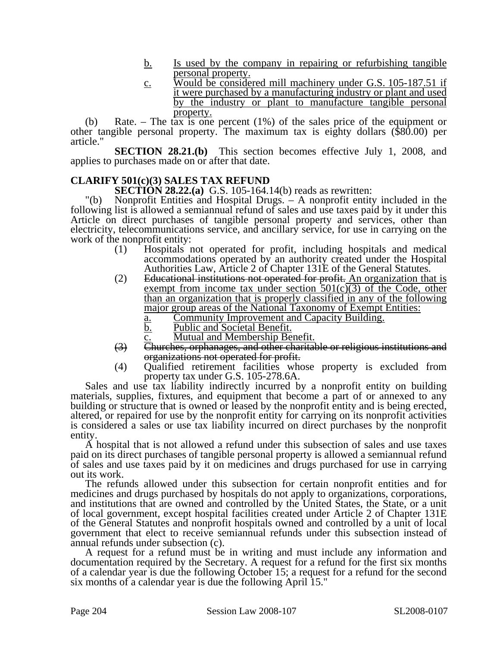- b. Is used by the company in repairing or refurbishing tangible personal property.
- c. Would be considered mill machinery under G.S. 105-187.51 if it were purchased by a manufacturing industry or plant and used by the industry or plant to manufacture tangible personal property.

(b) Rate. – The tax is one percent (1%) of the sales price of the equipment or other tangible personal property. The maximum tax is eighty dollars (\$80.00) per article."

**SECTION 28.21.(b)** This section becomes effective July 1, 2008, and applies to purchases made on or after that date.

### **CLARIFY 501(c)(3) SALES TAX REFUND**

**SECTION 28.22.(a)** G.S. 105-164.14(b) reads as rewritten:

"(b) Nonprofit Entities and Hospital Drugs. – A nonprofit entity included in the following list is allowed a semiannual refund of sales and use taxes paid by it under this Article on direct purchases of tangible personal property and services, other than electricity, telecommunications service, and ancillary service, for use in carrying on the work of the nonprofit entity:

- (1) Hospitals not operated for profit, including hospitals and medical accommodations operated by an authority created under the Hospital Authorities Law, Article 2 of Chapter 131E of the General Statutes.
- (2) Educational institutions not operated for profit. An organization that is exempt from income tax under section  $501(c)(3)$  of the Code, other than an organization that is properly classified in any of the following major group areas of the National Taxonomy of Exempt Entities:
	- a. Community Improvement and Capacity Building.
	- b. Public and Societal Benefit.
	- c. Mutual and Membership Benefit.
- (3) Churches, orphanages, and other charitable or religious institutions and organizations not operated for profit.
- (4) Qualified retirement facilities whose property is excluded from property tax under G.S. 105-278.6A.

Sales and use tax liability indirectly incurred by a nonprofit entity on building materials, supplies, fixtures, and equipment that become a part of or annexed to any building or structure that is owned or leased by the nonprofit entity and is being erected, altered, or repaired for use by the nonprofit entity for carrying on its nonprofit activities is considered a sales or use tax liability incurred on direct purchases by the nonprofit entity.

A hospital that is not allowed a refund under this subsection of sales and use taxes paid on its direct purchases of tangible personal property is allowed a semiannual refund of sales and use taxes paid by it on medicines and drugs purchased for use in carrying out its work.

The refunds allowed under this subsection for certain nonprofit entities and for medicines and drugs purchased by hospitals do not apply to organizations, corporations, and institutions that are owned and controlled by the United States, the State, or a unit of local government, except hospital facilities created under Article 2 of Chapter 131E of the General Statutes and nonprofit hospitals owned and controlled by a unit of local government that elect to receive semiannual refunds under this subsection instead of annual refunds under subsection (c).

A request for a refund must be in writing and must include any information and documentation required by the Secretary. A request for a refund for the first six months of a calendar year is due the following October 15; a request for a refund for the second six months of a calendar year is due the following April 15."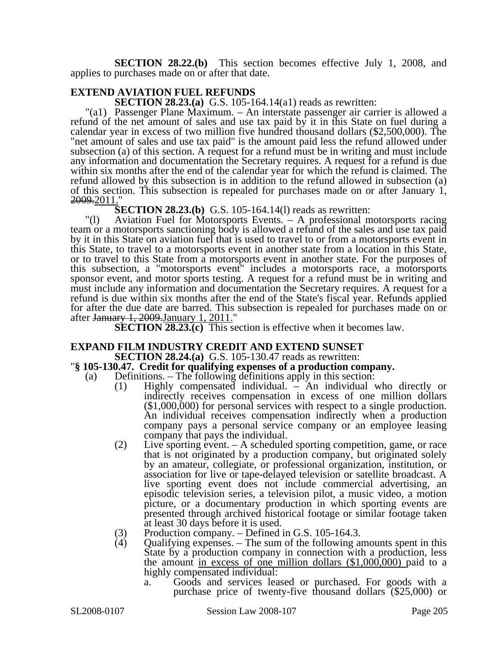**SECTION 28.22.(b)** This section becomes effective July 1, 2008, and applies to purchases made on or after that date.

### **EXTEND AVIATION FUEL REFUNDS**

**SECTION 28.23.(a)** G.S. 105-164.14(a1) reads as rewritten:

"(a1) Passenger Plane Maximum. – An interstate passenger air carrier is allowed a refund of the net amount of sales and use tax paid by it in this State on fuel during a calendar year in excess of two million five hundred thousand dollars (\$2,500,000). The "net amount of sales and use tax paid" is the amount paid less the refund allowed under subsection (a) of this section. A request for a refund must be in writing and must include any information and documentation the Secretary requires. A request for a refund is due within six months after the end of the calendar year for which the refund is claimed. The refund allowed by this subsection is in addition to the refund allowed in subsection (a) of this section. This subsection is repealed for purchases made on or after January 1, 2009.2011."

**SECTION 28.23.(b)** G.S. 105-164.14(1) reads as rewritten:

"(l) Aviation Fuel for Motorsports Events. – A professional motorsports racing team or a motorsports sanctioning body is allowed a refund of the sales and use tax paid by it in this State on aviation fuel that is used to travel to or from a motorsports event in this State, to travel to a motorsports event in another state from a location in this State, or to travel to this State from a motorsports event in another state. For the purposes of this subsection, a "motorsports event" includes a motorsports race, a motorsports sponsor event, and motor sports testing. A request for a refund must be in writing and must include any information and documentation the Secretary requires. A request for a refund is due within six months after the end of the State's fiscal year. Refunds applied for after the due date are barred. This subsection is repealed for purchases made on or after January 1, 2009. January 1, 2011."

**SECTION 28.23.(c)** This section is effective when it becomes law.

## **EXPAND FILM INDUSTRY CREDIT AND EXTEND SUNSET**<br>**SECTION 28.24.(a)** G.S. 105-130.47 reads as rewritten:

#### **''**§ 105-130.47. Credit for qualifying expenses of a production company.

- (a) Definitions. The following definitions apply in this section:
	- (1) Highly compensated individual. An individual who directly or indirectly receives compensation in excess of one million dollars (\$1,000,000) for personal services with respect to a single production. An individual receives compensation indirectly when a production company pays a personal service company or an employee leasing company that pays the individual.
	- (2) Live sporting event. A scheduled sporting competition, game, or race that is not originated by a production company, but originated solely by an amateur, collegiate, or professional organization, institution, or association for live or tape-delayed television or satellite broadcast. A live sporting event does not include commercial advertising, an episodic television series, a television pilot, a music video, a motion picture, or a documentary production in which sporting events are presented through archived historical footage or similar footage taken at least 30 days before it is used.
	- (3) Production company. Defined in G.S. 105-164.3.<br>(4) Oualifying expenses. The sum of the following as
	- Qualifying expenses. The sum of the following amounts spent in this State by a production company in connection with a production, less the amount in excess of one million dollars (\$1,000,000) paid to a highly compensated individual:
		- a. Goods and services leased or purchased. For goods with a purchase price of twenty-five thousand dollars (\$25,000) or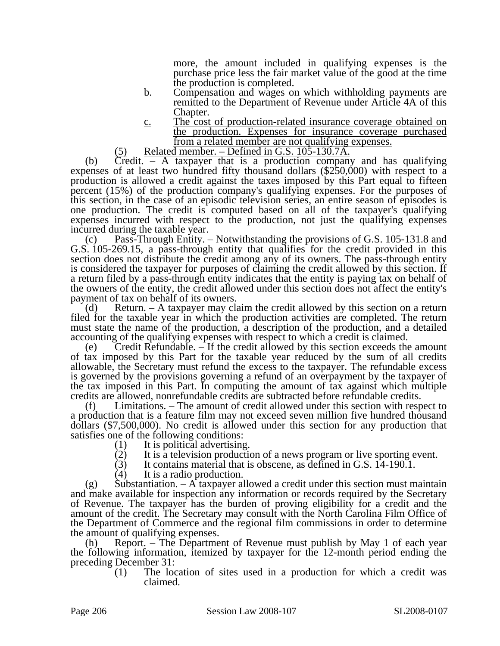more, the amount included in qualifying expenses is the purchase price less the fair market value of the good at the time the production is completed.

- b. Compensation and wages on which withholding payments are remitted to the Department of Revenue under Article 4A of this Chapter.
- c. The cost of production-related insurance coverage obtained on the production. Expenses for insurance coverage purchased from a related member are not qualifying expenses.
- $(5)$  Related member. Defined in G.S. 105-130.7A.

(b) Credit. – A taxpayer that is a production company and has qualifying expenses of at least two hundred fifty thousand dollars (\$250,000) with respect to a production is allowed a credit against the taxes imposed by this Part equal to fifteen percent (15%) of the production company's qualifying expenses. For the purposes of this section, in the case of an episodic television series, an entire season of episodes is one production. The credit is computed based on all of the taxpayer's qualifying expenses incurred with respect to the production, not just the qualifying expenses incurred during the taxable year.

(c) Pass-Through Entity. – Notwithstanding the provisions of G.S. 105-131.8 and G.S. 105-269.15, a pass-through entity that qualifies for the credit provided in this section does not distribute the credit among any of its owners. The pass-through entity is considered the taxpayer for purposes of claiming the credit allowed by this section. If a return filed by a pass-through entity indicates that the entity is paying tax on behalf of the owners of the entity, the credit allowed under this section does not affect the entity's payment of tax on behalf of its owners.

(d) Return. – A taxpayer may claim the credit allowed by this section on a return filed for the taxable year in which the production activities are completed. The return must state the name of the production, a description of the production, and a detailed accounting of the qualifying expenses with respect to which a credit is claimed.

(e) Credit Refundable. – If the credit allowed by this section exceeds the amount of tax imposed by this Part for the taxable year reduced by the sum of all credits allowable, the Secretary must refund the excess to the taxpayer. The refundable excess is governed by the provisions governing a refund of an overpayment by the taxpayer of the tax imposed in this Part. In computing the amount of tax against which multiple credits are allowed, nonrefundable credits are subtracted before refundable credits.

(f) Limitations. – The amount of credit allowed under this section with respect to a production that is a feature film may not exceed seven million five hundred thousand dollars (\$7,500,000). No credit is allowed under this section for any production that satisfies one of the following conditions:

- (1) It is political advertising.<br>(2) It is a television production
- (2) It is a television production of a news program or live sporting event.<br>  $(3)$  It contains material that is obscene, as defined in G.S. 14-190.1.
- It contains material that is obscene, as defined in G.S. 14-190.1.
- (4) It is a radio production.

(g) Substantiation.  $-\overline{A}$  taxpayer allowed a credit under this section must maintain and make available for inspection any information or records required by the Secretary of Revenue. The taxpayer has the burden of proving eligibility for a credit and the amount of the credit. The Secretary may consult with the North Carolina Film Office of the Department of Commerce and the regional film commissions in order to determine the amount of qualifying expenses.

(h) Report. – The Department of Revenue must publish by May 1 of each year the following information, itemized by taxpayer for the 12-month period ending the preceding December 31:

(1) The location of sites used in a production for which a credit was claimed.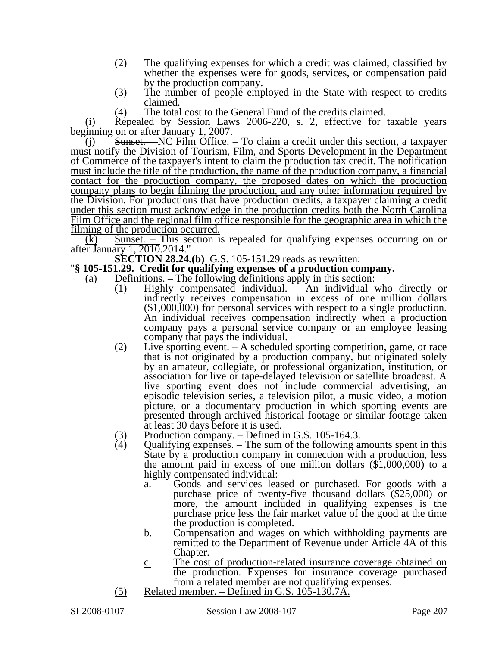- (2) The qualifying expenses for which a credit was claimed, classified by whether the expenses were for goods, services, or compensation paid by the production company.
- (3) The number of people employed in the State with respect to credits claimed.
- (4) The total cost to the General Fund of the credits claimed.

(i) Repealed by Session Laws 2006-220, s. 2, effective for taxable years beginning on or after January 1, 2007.

Sunset. – NC Film Office. – To claim a credit under this section, a taxpayer must notify the Division of Tourism, Film, and Sports Development in the Department of Commerce of the taxpayer's intent to claim the production tax credit. The notification must include the title of the production, the name of the production company, a financial contact for the production company, the proposed dates on which the production company plans to begin filming the production, and any other information required by the Division. For productions that have production credits, a taxpayer claiming a credit under this section must acknowledge in the production credits both the North Carolina Film Office and the regional film office responsible for the geographic area in which the filming of the production occurred.

 $(k)$  Sunset. – This section is repealed for qualifying expenses occurring on or after January 1, 2010.2014."

## **SECTION 28.24.(b)** G.S. 105-151.29 reads as rewritten: "**§ 105-151.29. Credit for qualifying expenses of a production company.**

- (a) Definitions. The following definitions apply in this section:
	- (1) Highly compensated individual. An individual who directly or indirectly receives compensation in excess of one million dollars (\$1,000,000) for personal services with respect to a single production. An individual receives compensation indirectly when a production company pays a personal service company or an employee leasing company that pays the individual.
	- (2) Live sporting event. A scheduled sporting competition, game, or race that is not originated by a production company, but originated solely by an amateur, collegiate, or professional organization, institution, or association for live or tape-delayed television or satellite broadcast. A live sporting event does not include commercial advertising, an episodic television series, a television pilot, a music video, a motion picture, or a documentary production in which sporting events are presented through archived historical footage or similar footage taken at least 30 days before it is used.
	- (3) Production company. Defined in G.S. 105-164.3.<br>(4) Oualifying expenses. The sum of the following ap-
	- Qualifying expenses.  $-$  The sum of the following amounts spent in this State by a production company in connection with a production, less the amount paid in excess of one million dollars (\$1,000,000) to a highly compensated individual:
		- a. Goods and services leased or purchased. For goods with a purchase price of twenty-five thousand dollars (\$25,000) or more, the amount included in qualifying expenses is the purchase price less the fair market value of the good at the time the production is completed.
		- b. Compensation and wages on which withholding payments are remitted to the Department of Revenue under Article 4A of this Chapter.
		- c. The cost of production-related insurance coverage obtained on the production. Expenses for insurance coverage purchased from a related member are not qualifying expenses.
	- (5) Related member. Defined in G.S. 105-130.7A.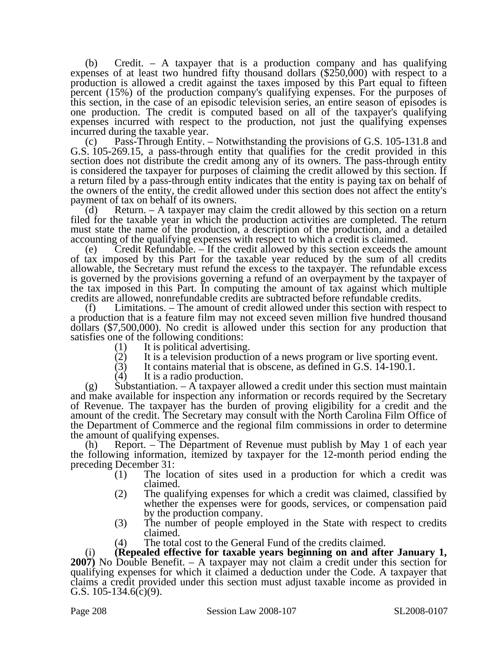(b) Credit. – A taxpayer that is a production company and has qualifying expenses of at least two hundred fifty thousand dollars (\$250,000) with respect to a production is allowed a credit against the taxes imposed by this Part equal to fifteen percent (15%) of the production company's qualifying expenses. For the purposes of this section, in the case of an episodic television series, an entire season of episodes is one production. The credit is computed based on all of the taxpayer's qualifying expenses incurred with respect to the production, not just the qualifying expenses incurred during the taxable year.

(c) Pass-Through Entity. – Notwithstanding the provisions of G.S. 105-131.8 and G.S. 105-269.15, a pass-through entity that qualifies for the credit provided in this section does not distribute the credit among any of its owners. The pass-through entity is considered the taxpayer for purposes of claiming the credit allowed by this section. If a return filed by a pass-through entity indicates that the entity is paying tax on behalf of the owners of the entity, the credit allowed under this section does not affect the entity's payment of tax on behalf of its owners.

(d) Return. – A taxpayer may claim the credit allowed by this section on a return filed for the taxable year in which the production activities are completed. The return must state the name of the production, a description of the production, and a detailed accounting of the qualifying expenses with respect to which a credit is claimed.

(e) Credit Refundable. – If the credit allowed by this section exceeds the amount of tax imposed by this Part for the taxable year reduced by the sum of all credits allowable, the Secretary must refund the excess to the taxpayer. The refundable excess is governed by the provisions governing a refund of an overpayment by the taxpayer of the tax imposed in this Part. In computing the amount of tax against which multiple credits are allowed, nonrefundable credits are subtracted before refundable credits.

(f) Limitations. – The amount of credit allowed under this section with respect to a production that is a feature film may not exceed seven million five hundred thousand dollars (\$7,500,000). No credit is allowed under this section for any production that satisfies one of the following conditions:

- (1) It is political advertising.<br>(2) It is a television production
- It is a television production of a news program or live sporting event.
- (3) It contains material that is obscene, as defined in G.S. 14-190.1.<br>(4) It is a radio production.
- It is a radio production.

(g) Substantiation. – A taxpayer allowed a credit under this section must maintain and make available for inspection any information or records required by the Secretary of Revenue. The taxpayer has the burden of proving eligibility for a credit and the amount of the credit. The Secretary may consult with the North Carolina Film Office of the Department of Commerce and the regional film commissions in order to determine the amount of qualifying expenses.

(h) Report. – The Department of Revenue must publish by May 1 of each year the following information, itemized by taxpayer for the 12-month period ending the preceding December 31:

- (1) The location of sites used in a production for which a credit was claimed.
- (2) The qualifying expenses for which a credit was claimed, classified by whether the expenses were for goods, services, or compensation paid by the production company.
- (3) The number of people employed in the State with respect to credits claimed.
- (4) The total cost to the General Fund of the credits claimed.

(i) **(Repealed effective for taxable years beginning on and after January 1, 2007)** No Double Benefit. – A taxpayer may not claim a credit under this section for qualifying expenses for which it claimed a deduction under the Code. A taxpayer that claims a credit provided under this section must adjust taxable income as provided in G.S. 105-134.6(c)(9).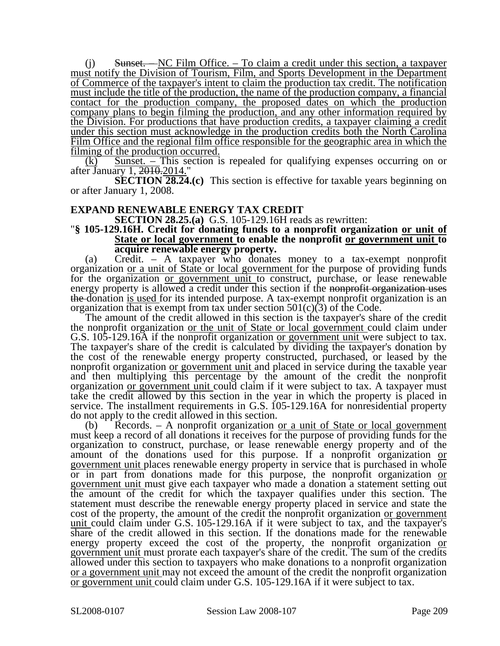(j) Sunset. – NC Film Office. – To claim a credit under this section, a taxpayer must notify the Division of Tourism, Film, and Sports Development in the Department of Commerce of the taxpayer's intent to claim the production tax credit. The notification must include the title of the production, the name of the production company, a financial contact for the production company, the proposed dates on which the production company plans to begin filming the production, and any other information required by the Division. For productions that have production credits, a taxpayer claiming a credit under this section must acknowledge in the production credits both the North Carolina Film Office and the regional film office responsible for the geographic area in which the filming of the production occurred.

 $(k)$  Sunset. – This section is repealed for qualifying expenses occurring on or after January 1, 2010.2014."

**SECTION 28.24.(c)** This section is effective for taxable years beginning on or after January 1, 2008.

**EXPAND RENEWABLE ENERGY TAX CREDIT<br>SECTION 28.25.(a)** G.S. 105-129.16H reads as rewritten:

#### **SECTION 28.16H.** Secure is readit for donating funds to a nonprofit organization <u>or unit of</u> **State or local government to enable the nonprofit or government unit to acquire renewable energy property.**

(a) Credit. – A taxpayer who donates money to a tax-exempt nonprofit organization or a unit of State or local government for the purpose of providing funds for the organization <u>or government unit</u> to construct, purchase, or lease renewable energy property is allowed a credit under this section if the nonprofit organization uses the donation is used for its intended purpose. A tax-exempt nonprofit organization is an organization that is exempt from tax under section  $501(c)(3)$  of the Code.

The amount of the credit allowed in this section is the taxpayer's share of the credit the nonprofit organization or the unit of State or local government could claim under G.S. 105-129.16A if the nonprofit organization <u>or government unit</u> were subject to tax. The taxpayer's share of the credit is calculated by dividing the taxpayer's donation by the cost of the renewable energy property constructed, purchased, or leased by the nonprofit organization <u>or government unit</u> and placed in service during the taxable year and then multiplying this percentage by the amount of the credit the nonprofit organization or government unit could claim if it were subject to tax. A taxpayer must take the credit allowed by this section in the year in which the property is placed in service. The installment requirements in G.S. 105-129.16A for nonresidential property do not apply to the credit allowed in this section.

 $\text{Records.} - A$  nonprofit organization <u>or a unit of State or local government</u> must keep a record of all donations it receives for the purpose of providing funds for the organization to construct, purchase, or lease renewable energy property and of the amount of the donations used for this purpose. If a nonprofit organization or government unit places renewable energy property in service that is purchased in whole or in part from donations made for this purpose, the nonprofit organization or government unit must give each taxpayer who made a donation a statement setting out the amount of the credit for which the taxpayer qualifies under this section. The statement must describe the renewable energy property placed in service and state the cost of the property, the amount of the credit the nonprofit organization or government unit could claim under G.S. 105-129.16A if it were subject to tax, and the taxpayer's share of the credit allowed in this section. If the donations made for the renewable energy property exceed the cost of the property, the nonprofit organization or government unit must prorate each taxpayer's share of the credit. The sum of the credits allowed under this section to taxpayers who make donations to a nonprofit organization or a government unit may not exceed the amount of the credit the nonprofit organization or government unit could claim under G.S. 105-129.16A if it were subject to tax.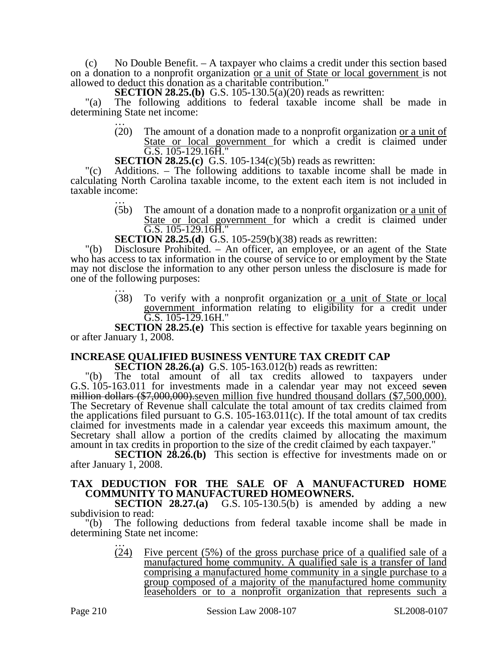(c) No Double Benefit.  $- A$  taxpayer who claims a credit under this section based on a donation to a nonprofit organization or a unit of State or local government is not allowed to deduct this donation as a charitable contribution."

**SECTION 28.25.(b)** G.S. 105-130.5(a)(20) reads as rewritten:

"(a) The following additions to federal taxable income shall be made in determining State net income:<br> $\frac{1}{20}$  The amount of

The amount of a donation made to a nonprofit organization <u>or a unit of</u> State or local government for which a credit is claimed under G.S. 105-129.16H."

**SECTION 28.25.(c)** G.S. 105-134(c)(5b) reads as rewritten:

"(c) Additions. – The following additions to taxable income shall be made in calculating North Carolina taxable income, to the extent each item is not included in taxable income:<br> $\frac{1}{(5b)}$ 

The amount of a donation made to a nonprofit organization <u>or a unit of</u> State or local government for which a credit is claimed under  $\overline{G.S.}$  105-129.16 $\overline{H}$ ."

**SECTION 28.25.(d)** G.S. 105-259(b)(38) reads as rewritten:

"(b) Disclosure Prohibited. – An officer, an employee, or an agent of the State who has access to tax information in the course of service to or employment by the State may not disclose the information to any other person unless the disclosure is made for one of the following purposes: …

> (38) To verify with a nonprofit organization or a unit of State or local government information relating to eligibility for a credit under G.S. 105-129.16H."

**SECTION 28.25.(e)** This section is effective for taxable years beginning on or after January 1, 2008.

### **INCREASE QUALIFIED BUSINESS VENTURE TAX CREDIT CAP**

**SECTION 28.26.(a)** G.S. 105-163.012(b) reads as rewritten:

The total amount of all tax credits allowed to taxpayers under G.S. 105-163.011 for investments made in a calendar year may not exceed seven million dollars (\$7,000,000). seven million five hundred thousand dollars (\$7,500,000). The Secretary of Revenue shall calculate the total amount of tax credits claimed from the applications filed pursuant to G.S. 105-163.011(c). If the total amount of tax credits claimed for investments made in a calendar year exceeds this maximum amount, the Secretary shall allow a portion of the credits claimed by allocating the maximum amount in tax credits in proportion to the size of the credit claimed by each taxpayer."

**SECTION 28.26.(b)** This section is effective for investments made on or after January 1, 2008.

#### **TAX DEDUCTION FOR THE SALE OF A MANUFACTURED HOME COMMUNITY TO MANUFACTURED HOMEOWNERS.**

**SECTION 28.27.(a)** G.S. 105-130.5(b) is amended by adding a new subdivision to read:

"(b) The following deductions from federal taxable income shall be made in determining State net income:<br>
...<br>
(24) Five percent

Five percent  $(5\%)$  of the gross purchase price of a qualified sale of a manufactured home community. A qualified sale is a transfer of land comprising a manufactured home community in a single purchase to a group composed of a majority of the manufactured home community leaseholders or to a nonprofit organization that represents such a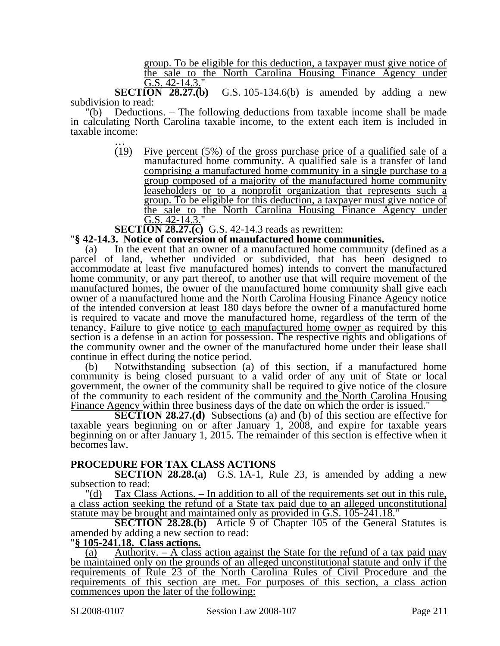group. To be eligible for this deduction, a taxpayer must give notice of the sale to the North Carolina Housing Finance Agency under G.S. 42-14.3."

**SECTION 28.27.(b)** G.S. 105-134.6(b) is amended by adding a new subdivision to read:

"(b) Deductions. – The following deductions from taxable income shall be made in calculating North Carolina taxable income, to the extent each item is included in taxable income:<br> $\frac{1}{(19)}$ 

Five percent  $(5\%)$  of the gross purchase price of a qualified sale of a manufactured home community. A qualified sale is a transfer of land comprising a manufactured home community in a single purchase to a group composed of a majority of the manufactured home community leaseholders or to a nonprofit organization that represents such a group. To be eligible for this deduction, a taxpayer must give notice of the sale to the North Carolina Housing Finance Agency under G.S. 42-14.3."

# **SECTION 28.27.(c)** G.S. 42-14.3 reads as rewritten: " $\S$  42-14.3. Notice of conversion of manufactured home communities.

(a) In the event that an owner of a manufactured home community (defined as a parcel of land, whether undivided or subdivided, that has been designed to accommodate at least five manufactured homes) intends to convert the manufactured home community, or any part thereof, to another use that will require movement of the manufactured homes, the owner of the manufactured home community shall give each owner of a manufactured home and the North Carolina Housing Finance Agency notice of the intended conversion at least 180 days before the owner of a manufactured home is required to vacate and move the manufactured home, regardless of the term of the tenancy. Failure to give notice to each manufactured home owner as required by this section is a defense in an action for possession. The respective rights and obligations of the community owner and the owner of the manufactured home under their lease shall continue in effect during the notice period.

(b) Notwithstanding subsection (a) of this section, if a manufactured home community is being closed pursuant to a valid order of any unit of State or local government, the owner of the community shall be required to give notice of the closure of the community to each resident of the community and the North Carolina Housing Finance Agency within three business days of the date on which the order is issued."

**SECTION 28.27.(d)** Subsections (a) and (b) of this section are effective for taxable years beginning on or after January 1, 2008, and expire for taxable years beginning on or after January 1, 2015. The remainder of this section is effective when it becomes law.

#### **PROCEDURE FOR TAX CLASS ACTIONS**

**SECTION 28.28.(a)** G.S. 1A-1, Rule 23, is amended by adding a new subsection to read:

"(d) Tax Class Actions. – In addition to all of the requirements set out in this rule, a class action seeking the refund of a State tax paid due to an alleged unconstitutional statute may be brought and maintained only as provided in G.S. 105-241.18."

**SECTION 28.28.(b)** Article 9 of Chapter 105 of the General Statutes is amended by adding a new section to read:

#### "**§ 105-241.18. Class actions.**

(a) Authority. – A class action against the State for the refund of a tax paid may be maintained only on the grounds of an alleged unconstitutional statute and only if the requirements of Rule 23 of the North Carolina Rules of Civil Procedure and the requirements of this section are met. For purposes of this section, a class action commences upon the later of the following: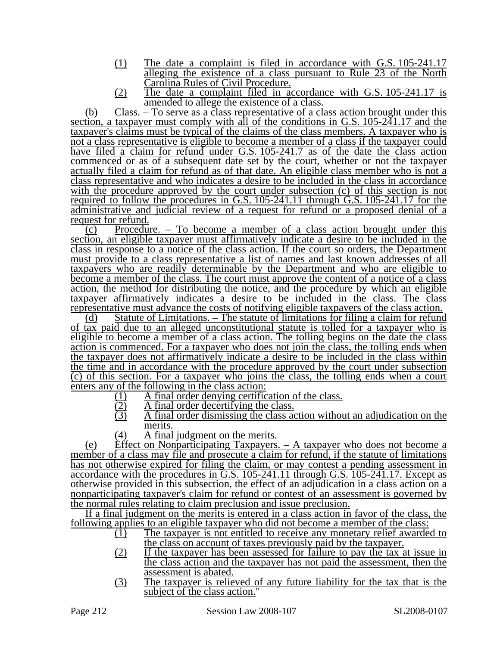- (1) The date a complaint is filed in accordance with G.S. 105-241.17 alleging the existence of a class pursuant to Rule 23 of the North Carolina Rules of Civil Procedure.
- (2) The date a complaint filed in accordance with G.S. 105-241.17 is amended to allege the existence of a class.

(b) Class. – To serve as a class representative of a class action brought under this section, a taxpayer must comply with all of the conditions in G.S. 105-241.17 and the taxpayer's claims must be typical of the claims of the class members. A taxpayer who is not a class representative is eligible to become a member of a class if the taxpayer could have filed a claim for refund under G.S. 105-241.7 as of the date the class action commenced or as of a subsequent date set by the court, whether or not the taxpayer actually filed a claim for refund as of that date. An eligible class member who is not a class representative and who indicates a desire to be included in the class in accordance with the procedure approved by the court under subsection (c) of this section is not required to follow the procedures in G.S. 105-241.11 through G.S. 105-241.17 for the administrative and judicial review of a request for refund or a proposed denial of a request for refund.

(c) Procedure. – To become a member of a class action brought under this section, an eligible taxpayer must affirmatively indicate a desire to be included in the class in response to a notice of the class action. If the court so orders, the Department must provide to a class representative a list of names and last known addresses of all taxpayers who are readily determinable by the Department and who are eligible to become a member of the class. The court must approve the content of a notice of a class action, the method for distributing the notice, and the procedure by which an eligible taxpayer affirmatively indicates a desire to be included in the class. The class representative must advance the costs of notifying eligible taxpayers of the class action.

(d) Statute of Limitations. – The statute of limitations for filing a claim for refund of tax paid due to an alleged unconstitutional statute is tolled for a taxpayer who is eligible to become a member of a class action. The tolling begins on the date the class action is commenced. For a taxpayer who does not join the class, the tolling ends when the taxpayer does not affirmatively indicate a desire to be included in the class within the time and in accordance with the procedure approved by the court under subsection (c) of this section. For a taxpayer who joins the class, the tolling ends when a court enters any of the following in the class action:

- (1) A final order denying certification of the class.<br>(2) A final order decertifying the class.
- $\frac{12}{2}$  A final order decertifying the class.<br>A final order dismissing the class as
- A final order dismissing the class action without an adjudication on the merits.
- (4) A final judgment on the merits.

(e) Effect on Nonparticipating Taxpayers. – A taxpayer who does not become a member of a class may file and prosecute a claim for refund, if the statute of limitations has not otherwise expired for filing the claim, or may contest a pending assessment in accordance with the procedures in G.S. 105-241.11 through G.S. 105-241.17. Except as otherwise provided in this subsection, the effect of an adjudication in a class action on a nonparticipating taxpayer's claim for refund or contest of an assessment is governed by the normal rules relating to claim preclusion and issue preclusion.

If a final judgment on the merits is entered in a class action in favor of the class, the following applies to an eligible taxpayer who did not become a member of the class:

- $(1)$  The taxpayer is not entitled to receive any monetary relief awarded to the class on account of taxes previously paid by the taxpayer.
- (2) If the taxpayer has been assessed for failure to pay the tax at issue in the class action and the taxpayer has not paid the assessment, then the assessment is abated.
- (3) The taxpayer is relieved of any future liability for the tax that is the subject of the class action."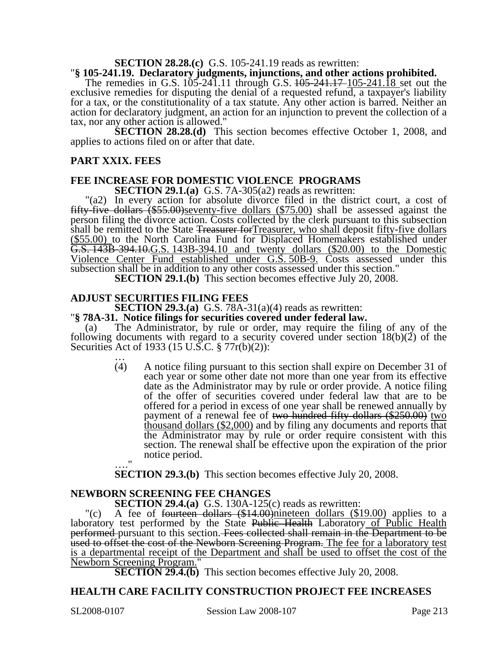# **SECTION 28.28.(c)** G.S. 105-241.19 reads as rewritten: "**§ 105-241.19. Declaratory judgments, injunctions, and other actions prohibited.**

The remedies in G.S.  $105-241.11$  through G.S.  $105-241.17-105-241.18$  set out the exclusive remedies for disputing the denial of a requested refund, a taxpayer's liability for a tax, or the constitutionality of a tax statute. Any other action is barred. Neither an action for declaratory judgment, an action for an injunction to prevent the collection of a tax, nor any other action is allowed."

**SECTION 28.28.(d)** This section becomes effective October 1, 2008, and applies to actions filed on or after that date.

#### **PART XXIX. FEES**

### **FEE INCREASE FOR DOMESTIC VIOLENCE PROGRAMS**

**SECTION 29.1.(a)** G.S. 7A-305(a2) reads as rewritten:

"(a2) In every action for absolute divorce filed in the district court, a cost of fifty-five dollars (\$55.00)seventy-five dollars (\$75.00) shall be assessed against the person filing the divorce action. Costs collected by the clerk pursuant to this subsection shall be remitted to the State <del>Treasurer for Treasurer, who shall</del> deposit fifty-five dollars (\$55.00) to the North Carolina Fund for Displaced Homemakers established under G.S. 143B-394.10.G.S. 143B-394.10 and twenty dollars (\$20.00) to the Domestic Violence Center Fund established under G.S. 50B-9. Costs assessed under this subsection shall be in addition to any other costs assessed under this section."

**SECTION 29.1.(b)** This section becomes effective July 20, 2008.

## **ADJUST SECURITIES FILING FEES**<br>**SECTION 29.3.(a)** G.S. 78A-31(a)(4) reads as rewritten:

## **S. 78A-31. Notice filings for securities covered under federal law.**<br>(a) The Administrator, by rule or order, may require the filing

The Administrator, by rule or order, may require the filing of any of the following documents with regard to a security covered under section  $18(b)(2)$  of the Securities Act of 1933 (15 U.S.C.  $\frac{5}{77}$ r(b)(2)):<br>
(4) A notice filing pursuant to thi

(4) A notice filing pursuant to this section shall expire on December 31 of each year or some other date not more than one year from its effective date as the Administrator may by rule or order provide. A notice filing of the offer of securities covered under federal law that are to be offered for a period in excess of one year shall be renewed annually by payment of a renewal fee of two hundred fifty dollars  $(\$250.00)$  two thousand dollars (\$2,000) and by filing any documents and reports that the Administrator may by rule or order require consistent with this section. The renewal shall be effective upon the expiration of the prior notice period.  $^{\bullet}$ 

**SECTION 29.3.(b)** This section becomes effective July 20, 2008.

#### **NEWBORN SCREENING FEE CHANGES**

**SECTION 29.4.(a)** G.S. 130A-125(c) reads as rewritten:

"(c) A fee of fourteen dollars (\$14.00)nineteen dollars (\$19.00) applies to a laboratory test performed by the State Public Health Laboratory of Public Health performed pursuant to this section. Fees collected shall remain in the Department to be used to offset the cost of the Newborn Screening Program. The fee for a laboratory test is a departmental receipt of the Department and shall be used to offset the cost of the Newborn Screening Program."

**SECTION 29.4.(b)** This section becomes effective July 20, 2008.

### **HEALTH CARE FACILITY CONSTRUCTION PROJECT FEE INCREASES**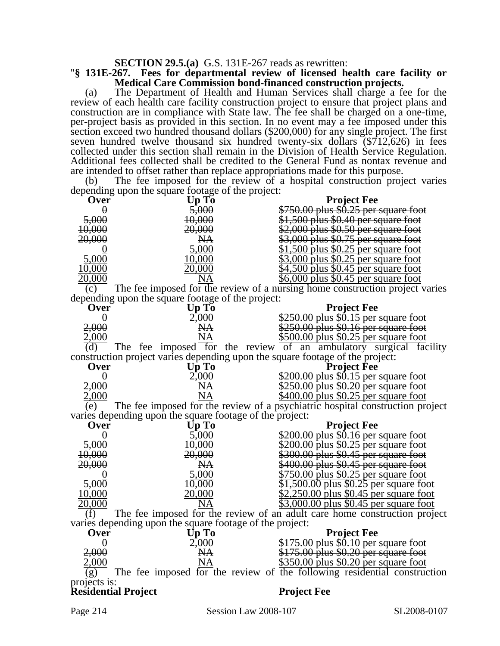## **SECTION 29.5.(a)** G.S. 131E-267 reads as rewritten: "**§ 131E-267. Fees for departmental review of licensed health care facility or Medical Care Commission bond-financed construction projects.**

(a) The Department of Health and Human Services shall charge a fee for the review of each health care facility construction project to ensure that project plans and construction are in compliance with State law. The fee shall be charged on a one-time, per-project basis as provided in this section. In no event may a fee imposed under this section exceed two hundred thousand dollars (\$200,000) for any single project. The first seven hundred twelve thousand six hundred twenty-six dollars (\$712,626) in fees collected under this section shall remain in the Division of Health Service Regulation. Additional fees collected shall be credited to the General Fund as nontax revenue and are intended to offset rather than replace appropriations made for this purpose.

(b) The fee imposed for the review of a hospital construction project varies depending upon the square footage of the project:

| ----o<br>Over                                                                        | mp and construction of the construction<br>Up To         | <b>Project Fee</b>                                                            |  |  |
|--------------------------------------------------------------------------------------|----------------------------------------------------------|-------------------------------------------------------------------------------|--|--|
| $\theta$                                                                             | 5,000                                                    | \$750.00 plus \$0.25 per square foot                                          |  |  |
| 5,000                                                                                | 10,000                                                   | \$1,500 plus \$0.40 per square foot                                           |  |  |
| 10,000                                                                               | 20,000                                                   | $$2,000$ plus \$0.50 per square foot                                          |  |  |
| 20,000                                                                               | N <sub>A</sub>                                           | \$3,000 plus \$0.75 per square foot                                           |  |  |
|                                                                                      | 5,000                                                    | <u>\$1,500 plus \$0.25 per square foot</u>                                    |  |  |
| 5,000                                                                                | 10,000                                                   | <u>\$3,000 plus \$0.25 per square foot</u>                                    |  |  |
| 10,000                                                                               | 20,000                                                   | <u>\$4,500 plus \$0.45 per square foot</u>                                    |  |  |
| 20,000                                                                               | NA                                                       | \$6,000 plus \$0.45 per square foot                                           |  |  |
| (c)                                                                                  |                                                          | The fee imposed for the review of a nursing home construction project varies  |  |  |
|                                                                                      | depending upon the square footage of the project:        |                                                                               |  |  |
| Over                                                                                 | Up To                                                    | <b>Project Fee</b>                                                            |  |  |
| $\overline{0}$                                                                       | 2,000                                                    | \$250.00 plus \$0.15 per square foot                                          |  |  |
| 2,000                                                                                | <b>NA</b>                                                | \$250.00 plus \$0.16 per square foot                                          |  |  |
| <u>2,000</u>                                                                         | $N\underline{A}$                                         | \$500.00 plus \$0.25 per square foot                                          |  |  |
| (d)                                                                                  |                                                          | The fee imposed for the review of an ambulatory surgical facility             |  |  |
|                                                                                      |                                                          | construction project varies depending upon the square footage of the project: |  |  |
| Over                                                                                 | Up To                                                    | <b>Project Fee</b>                                                            |  |  |
| $\theta$                                                                             | 2,000                                                    | \$200.00 plus \$0.15 per square foot                                          |  |  |
| 2,000                                                                                | <b>NA</b>                                                | \$250.00 plus \$0.20 per square foot                                          |  |  |
| 2,000                                                                                | NA                                                       | \$400.00 plus \$0.25 per square foot                                          |  |  |
| The fee imposed for the review of a psychiatric hospital construction project<br>(e) |                                                          |                                                                               |  |  |
|                                                                                      | varies depending upon the square footage of the project: |                                                                               |  |  |
| <b>Over</b>                                                                          | Up To                                                    | <b>Project Fee</b>                                                            |  |  |
| $\theta$                                                                             | 5,000                                                    | \$200.00 plus \$0.16 per square foot                                          |  |  |
| 5,000                                                                                | 10,000                                                   | \$200.00 plus \$0.25 per square foot                                          |  |  |
| 10,000                                                                               | 20,000                                                   | \$300.00 plus \$0.45 per square foot                                          |  |  |
| 20,000                                                                               | NA.                                                      | \$400.00 plus \$0.45 per square foot                                          |  |  |
|                                                                                      | 5,000                                                    | <u>\$750.00 plus \$0.25 per square foot</u>                                   |  |  |
| 5,000                                                                                | 10,000                                                   | <u>\$1,500.00 plus \$0.25 per square foot</u>                                 |  |  |
| 10,000                                                                               | 20,000                                                   | <u>\$2,250.00 plus \$0.45 per square foot</u>                                 |  |  |
| 20,000                                                                               |                                                          | \$3,000.00 plus \$0.45 per square foot                                        |  |  |
| The fee imposed for the review of an adult care home construction project<br>(f)     |                                                          |                                                                               |  |  |
| varies depending upon the square footage of the project:                             |                                                          |                                                                               |  |  |
| <b>Over</b>                                                                          | Up To                                                    | <b>Project Fee</b>                                                            |  |  |
| $\overline{0}$                                                                       | 2,000                                                    | \$175.00 plus \$0.10 per square foot                                          |  |  |
| 2,000                                                                                | <b>NA</b>                                                | \$175.00 plus \$0.20 per square foot                                          |  |  |
| 2,000                                                                                | <b>NA</b>                                                | \$350.00 plus \$0.20 per square foot                                          |  |  |
| (g)                                                                                  |                                                          | The fee imposed for the review of the following residential construction      |  |  |
| projects is:                                                                         |                                                          |                                                                               |  |  |
| <b>Residential Project</b>                                                           |                                                          | <b>Project Fee</b>                                                            |  |  |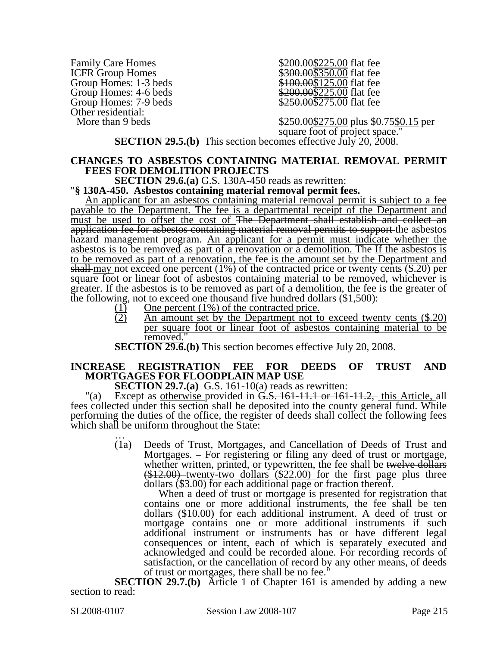Family Care Homes<br>
ICFR Group Homes<br>  $\frac{$200.00$225.00}{\$300.00$350.00}$  flat fee ICFR Group Homes<br>
Group Homes: 1-3 beds<br>
\$100.00\$125.00 flat fee Group Homes: 4-6 beds<br>
Group Homes: 7-9 beds<br>
\$250.00\$275.00 flat fee Other residential:<br>More than 9 beds

 $$100.00\overline{125.00}$  flat fee  $$250.00\overline{$}275.00$  flat fee

 $$250.00$275.00 plus $0.75$0.15 per$  square foot of project space." **SECTION 29.5.(b)** This section becomes effective July 20, 2008.

## **CHANGES TO ASBESTOS CONTAINING MATERIAL REMOVAL PERMIT FEES FOR DEMOLITION PROJECTS**<br>**SECTION 29.6.(a)** G.S. 130A-450 reads as rewritten:

**"§ 130A-450. Asbestos containing material removal permit fees.** 

An applicant for an asbestos containing material removal permit is subject to a fee payable to the Department. The fee is a departmental receipt of the Department and must be used to offset the cost of The Department shall establish and collect an application fee for asbestos containing material removal permits to support the asbestos hazard management program. An applicant for a permit must indicate whether the asbestos is to be removed as part of a renovation or a demolition. The If the asbestos is to be removed as part of a renovation, the fee is the amount set by the Department and shall may not exceed one percent  $(1\%)$  of the contracted price or twenty cents  $(\$.20)$  per square foot or linear foot of asbestos containing material to be removed, whichever is greater. If the asbestos is to be removed as part of a demolition, the fee is the greater of the following, not to exceed one thousand five hundred dollars (\$1,500):

- $(1)$  One percent (1%) of the contracted price.<br>
(2) An amount set by the Department not to
	- An amount set by the Department not to exceed twenty cents (\$.20) per square foot or linear foot of asbestos containing material to be removed."
- **SECTION 29.6.(b)** This section becomes effective July 20, 2008.

### **INCREASE REGISTRATION FEE FOR DEEDS OF TRUST AND MORTGAGES FOR FLOODPLAIN MAP USE**

**SECTION 29.7.(a)** G.S. 161-10(a) reads as rewritten:

"(a) Except as <u>otherwise</u> provided in  $\ddot{G}$ . S. 161-11.1 or 161-11.2, this Article, all fees collected under this section shall be deposited into the county general fund. While performing the duties of the office, the register of deeds shall collect the following fees which shall be uniform throughout the State:

> (1a) Deeds of Trust, Mortgages, and Cancellation of Deeds of Trust and Mortgages. – For registering or filing any deed of trust or mortgage, whether written, printed, or typewritten, the fee shall be twelve dollars  $$(412.00)$  twenty-two dollars  $$(22.00)$  for the first page plus three dollars  $$(3.00)$  for each additional page or fraction thereof.

When a deed of trust or mortgage is presented for registration that contains one or more additional instruments, the fee shall be ten dollars (\$10.00) for each additional instrument. A deed of trust or mortgage contains one or more additional instruments if such additional instrument or instruments has or have different legal consequences or intent, each of which is separately executed and acknowledged and could be recorded alone. For recording records of satisfaction, or the cancellation of record by any other means, of deeds of trust or mortgages, there shall be no fee."

**SECTION 29.7.(b)** Article 1 of Chapter 161 is amended by adding a new section to read: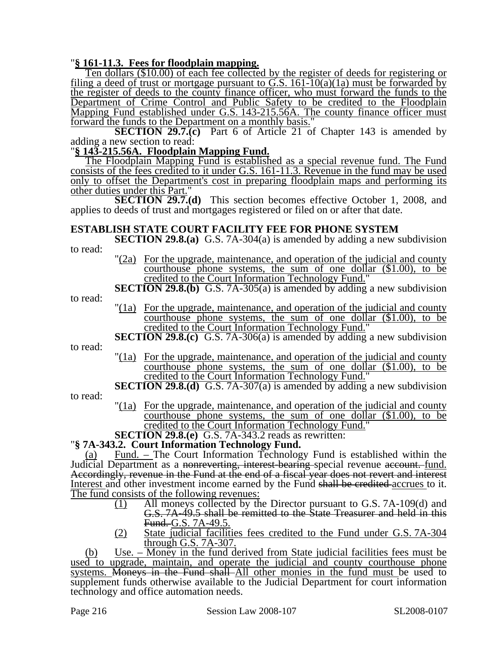"**§ 161-11.3. Fees for floodplain mapping.** Ten dollars (\$10.00) of each fee collected by the register of deeds for registering or filing a deed of trust or mortgage pursuant to G.S. 161-10(a)(1a) must be forwarded by the register of deeds to the county finance officer, who must forward the funds to the Department of Crime Control and Public Safety to be credited to the Floodplain Mapping Fund established under G.S. 143-215.56A. The county finance officer must forward the funds to the Department on a monthly basis."

**SECTION 29.7.(c)** Part 6 of Article 21 of Chapter 143 is amended by adding a new section to read:

"**§ 143-215.56A. Floodplain Mapping Fund.**

The Floodplain Mapping Fund is established as a special revenue fund. The Fund consists of the fees credited to it under G.S. 161-11.3. Revenue in the fund may be used only to offset the Department's cost in preparing floodplain maps and performing its other duties under this Part."

**SECTION 29.7.(d)** This section becomes effective October 1, 2008, and applies to deeds of trust and mortgages registered or filed on or after that date.

### **ESTABLISH STATE COURT FACILITY FEE FOR PHONE SYSTEM**

- **SECTION 29.8.(a)** G.S. 7A-304(a) is amended by adding a new subdivision to read:
	- "(2a) For the upgrade, maintenance, and operation of the judicial and county courthouse phone systems, the sum of one dollar (\$1.00), to be credited to the Court Information Technology Fund."
	- **SECTION 29.8.(b)** G.S. 7A-305(a) is amended by adding a new subdivision
- to read:
- "(1a) For the upgrade, maintenance, and operation of the judicial and county courthouse phone systems, the sum of one dollar  $(\$1.00)$ , to be credited to the Court Information Technology Fund."
- **SECTION 29.8.(c)** G.S. 7A-306(a) is amended by adding a new subdivision

to read:

"(1a) For the upgrade, maintenance, and operation of the judicial and county courthouse phone systems, the sum of one dollar (\$1.00), to be credited to the Court Information Technology Fund."

### **SECTION 29.8.(d)** G.S. 7A-307(a) is amended by adding a new subdivision

to read:

"(1a) For the upgrade, maintenance, and operation of the judicial and county courthouse phone systems, the sum of one dollar (\$1.00), to be credited to the Court Information Technology Fund."

**SECTION 29.8.(e)** G.S. 7A-343.2 reads as rewritten: "**§ 7A-343.2. Court Information Technology Fund.** 

(a) Fund. – The Court Information Technology Fund is established within the Judicial Department as a nonreverting, interest bearing special revenue account. fund. Accordingly, revenue in the Fund at the end of a fiscal year does not revert and interest Interest and other investment income earned by the Fund shall be credited accrues to it. The fund consists of the following revenues:

- (1) All moneys collected by the Director pursuant to G.S. 7A-109(d) and G.S. 7A-49.5 shall be remitted to the State Treasurer and held in this Fund. G.S. 7A-49.5.
- (2) State judicial facilities fees credited to the Fund under G.S. 7A-304 through G.S. 7A-307.

(b) Use. – Money in the fund derived from State judicial facilities fees must be used to upgrade, maintain, and operate the judicial and county courthouse phone systems. Moneys in the Fund shall All other monies in the fund must be used to supplement funds otherwise available to the Judicial Department for court information technology and office automation needs.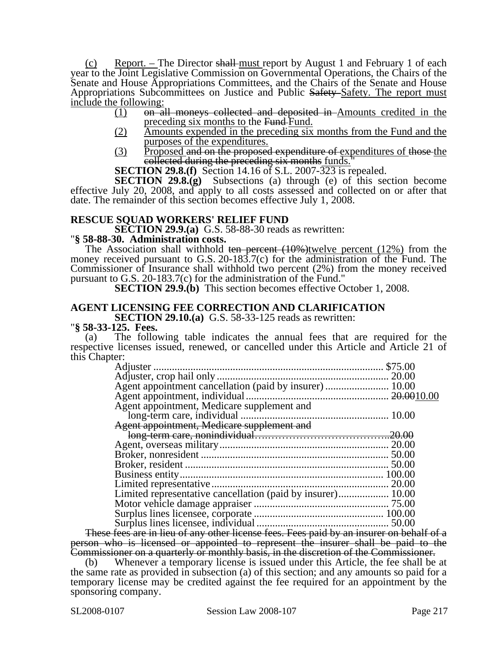(c) Report. – The Director shall must report by August 1 and February 1 of each year to the Joint Legislative Commission on Governmental Operations, the Chairs of the Senate and House Appropriations Committees, and the Chairs of the Senate and House Appropriations Subcommittees on Justice and Public Safety Safety. The report must  $\frac{\text{include the following:}}{(1) \quad \text{on-a}}$ 

- on all moneys collected and deposited in Amounts credited in the preceding six months to the Fund-Fund.
- (2) Amounts expended in the preceding six months from the Fund and the purposes of the expenditures.
- (3) Proposed and on the proposed expenditure of expenditures of those the collected during the preceding six months funds.

**SECTION 29.8.(f)** Section 14.16 of S.L. 2007-323 is repealed.

**SECTION 29.8.(g)** Subsections (a) through (e) of this section become effective July 20, 2008, and apply to all costs assessed and collected on or after that date. The remainder of this section becomes effective July 1, 2008.

### **RESCUE SQUAD WORKERS' RELIEF FUND**

**SECTION 29.9.(a)** G.S. 58-88-30 reads as rewritten: "**§ 58-88-30. Administration costs.** 

The Association shall withhold ten percent  $(10\%)$ twelve percent  $(12\%)$  from the money received pursuant to G.S. 20-183.7(c) for the administration of the Fund. The Commissioner of Insurance shall withhold two percent (2%) from the money received pursuant to G.S. 20-183.7(c) for the administration of the Fund."

**SECTION 29.9.(b)** This section becomes effective October 1, 2008.

### **AGENT LICENSING FEE CORRECTION AND CLARIFICATION**

# **SECTION 29.10.(a)** G.S. 58-33-125 reads as rewritten: "**§ 58-33-125. Fees.**

(a) The following table indicates the annual fees that are required for the respective licenses issued, renewed, or cancelled under this Article and Article 21 of this Chapter: Adjuster ....................................................................................... \$75.00

| Agent appointment cancellation (paid by insurer)  10.00     |  |
|-------------------------------------------------------------|--|
|                                                             |  |
| Agent appointment, Medicare supplement and                  |  |
|                                                             |  |
| Agent appointment, Medicare supplement and                  |  |
|                                                             |  |
|                                                             |  |
|                                                             |  |
|                                                             |  |
|                                                             |  |
|                                                             |  |
| Limited representative cancellation (paid by insurer) 10.00 |  |
|                                                             |  |
|                                                             |  |
|                                                             |  |

These fees are in lieu of any other license fees. Fees paid by an insurer on behalf of a person who is licensed or appointed to represent the insurer shall be paid to the Commissioner on a quarterly or monthly basis, in the discretion of the Commissioner.

(b) Whenever a temporary license is issued under this Article, the fee shall be at the same rate as provided in subsection (a) of this section; and any amounts so paid for a temporary license may be credited against the fee required for an appointment by the sponsoring company.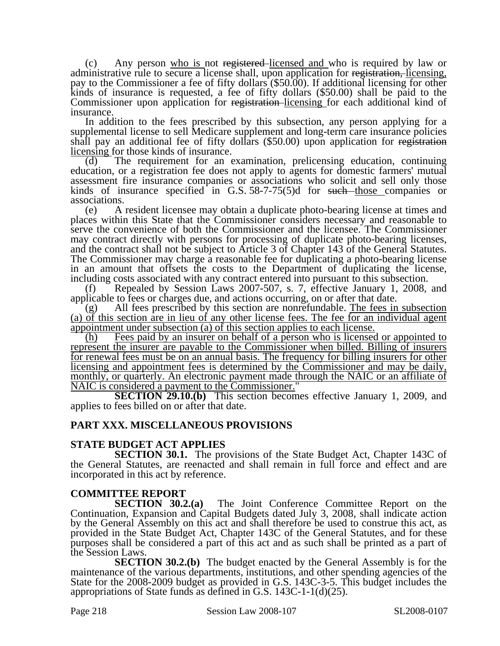(c) Any person who is not registered licensed and who is required by law or administrative rule to secure a license shall, upon application for registration, licensing, pay to the Commissioner a fee of fifty dollars (\$50.00). If additional licensing for other kinds of insurance is requested, a fee of fifty dollars (\$50.00) shall be paid to the Commissioner upon application for registration-licensing for each additional kind of insurance.

In addition to the fees prescribed by this subsection, any person applying for a supplemental license to sell Medicare supplement and long-term care insurance policies shall pay an additional fee of fifty dollars (\$50.00) upon application for registration licensing for those kinds of insurance.

(d) The requirement for an examination, prelicensing education, continuing education, or a registration fee does not apply to agents for domestic farmers' mutual assessment fire insurance companies or associations who solicit and sell only those kinds of insurance specified in G.S.  $58-7-75(5)$ d for such those companies or associations.

(e) A resident licensee may obtain a duplicate photo-bearing license at times and places within this State that the Commissioner considers necessary and reasonable to serve the convenience of both the Commissioner and the licensee. The Commissioner may contract directly with persons for processing of duplicate photo-bearing licenses, and the contract shall not be subject to Article 3 of Chapter 143 of the General Statutes. The Commissioner may charge a reasonable fee for duplicating a photo-bearing license in an amount that offsets the costs to the Department of duplicating the license, including costs associated with any contract entered into pursuant to this subsection.

(f) Repealed by Session Laws 2007-507, s. 7, effective January 1, 2008, and applicable to fees or charges due, and actions occurring, on or after that date.

(g) All fees prescribed by this section are nonrefundable. The fees in subsection (a) of this section are in lieu of any other license fees. The fee for an individual agent appointment under subsection (a) of this section applies to each license.

(h) Fees paid by an insurer on behalf of a person who is licensed or appointed to represent the insurer are payable to the Commissioner when billed. Billing of insurers for renewal fees must be on an annual basis. The frequency for billing insurers for other licensing and appointment fees is determined by the Commissioner and may be daily, monthly, or quarterly. An electronic payment made through the NAIC or an affiliate of NAIC is considered a payment to the Commissioner."

**SECTION 29.10.(b)** This section becomes effective January 1, 2009, and applies to fees billed on or after that date.

# **PART XXX. MISCELLANEOUS PROVISIONS**

### **STATE BUDGET ACT APPLIES**

**SECTION 30.1.** The provisions of the State Budget Act, Chapter 143C of the General Statutes, are reenacted and shall remain in full force and effect and are incorporated in this act by reference.

**COMMITTEE REPORT**<br>**SECTION 30.2.(a)** The Joint Conference Committee Report on the Continuation, Expansion and Capital Budgets dated July 3, 2008, shall indicate action by the General Assembly on this act and shall therefore be used to construe this act, as provided in the State Budget Act, Chapter 143C of the General Statutes, and for these purposes shall be considered a part of this act and as such shall be printed as a part of the Session Laws.

**SECTION 30.2.(b)** The budget enacted by the General Assembly is for the maintenance of the various departments, institutions, and other spending agencies of the State for the 2008-2009 budget as provided in G.S. 143C-3-5. This budget includes the appropriations of State funds as defined in G.S. 143C-1-1(d)(25).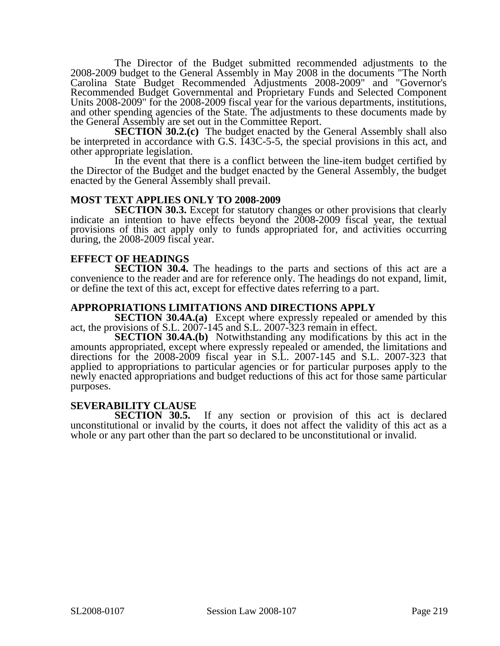The Director of the Budget submitted recommended adjustments to the 2008-2009 budget to the General Assembly in May 2008 in the documents "The North Carolina State Budget Recommended Adjustments 2008-2009" and "Governor's Recommended Budget Governmental and Proprietary Funds and Selected Component Units 2008-2009" for the 2008-2009 fiscal year for the various departments, institutions, and other spending agencies of the State. The adjustments to these documents made by the General Assembly are set out in the Committee Report.

**SECTION 30.2.(c)** The budget enacted by the General Assembly shall also be interpreted in accordance with G.S. 143C-5-5, the special provisions in this act, and other appropriate legislation.

In the event that there is a conflict between the line-item budget certified by the Director of the Budget and the budget enacted by the General Assembly, the budget enacted by the General Assembly shall prevail.

## **MOST TEXT APPLIES ONLY TO 2008-2009**

**SECTION 30.3.** Except for statutory changes or other provisions that clearly indicate an intention to have effects beyond the 2008-2009 fiscal year, the textual provisions of this act apply only to funds appropriated for, and activities occurring during, the 2008-2009 fiscal year.

### **EFFECT OF HEADINGS**

**SECTION 30.4.** The headings to the parts and sections of this act are a convenience to the reader and are for reference only. The headings do not expand, limit, or define the text of this act, except for effective dates referring to a part.

### **APPROPRIATIONS LIMITATIONS AND DIRECTIONS APPLY**

**SECTION 30.4A.(a)** Except where expressly repealed or amended by this act, the provisions of S.L. 2007-145 and S.L. 2007-323 remain in effect.

**SECTION 30.4A.(b)** Notwithstanding any modifications by this act in the amounts appropriated, except where expressly repealed or amended, the limitations and directions for the 2008-2009 fiscal year in S.L. 2007-145 and S.L. 2007-323 that applied to appropriations to particular agencies or for particular purposes apply to the newly enacted appropriations and budget reductions of this act for those same particular purposes.

### **SEVERABILITY CLAUSE**

**SECTION 30.5.** If any section or provision of this act is declared unconstitutional or invalid by the courts, it does not affect the validity of this act as a whole or any part other than the part so declared to be unconstitutional or invalid.